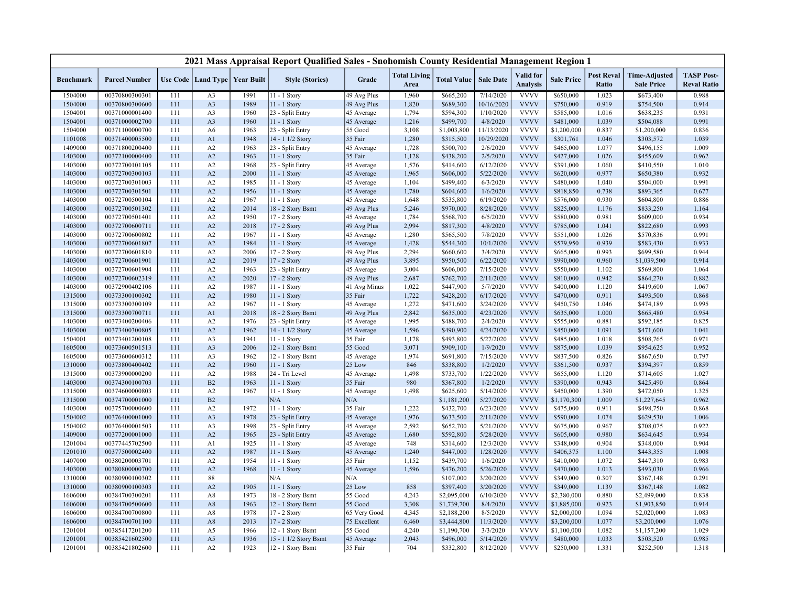|                    |                                  |            |                                  |                   | 2021 Mass Appraisal Report Qualified Sales - Snohomish County Residential Management Region 1 |                      |                             |                        |                       |                                     |                        |                            |                                           |                                         |
|--------------------|----------------------------------|------------|----------------------------------|-------------------|-----------------------------------------------------------------------------------------------|----------------------|-----------------------------|------------------------|-----------------------|-------------------------------------|------------------------|----------------------------|-------------------------------------------|-----------------------------------------|
| <b>Benchmark</b>   | <b>Parcel Number</b>             |            | Use Code   Land Type             | <b>Year Built</b> | <b>Style (Stories)</b>                                                                        | Grade                | <b>Total Living</b><br>Area | <b>Total Value</b>     | <b>Sale Date</b>      | <b>Valid</b> for<br><b>Analysis</b> | <b>Sale Price</b>      | <b>Post Reval</b><br>Ratio | <b>Time-Adjusted</b><br><b>Sale Price</b> | <b>TASP Post-</b><br><b>Reval Ratio</b> |
| 1504000            | 00370800300301                   | 111        | A <sub>3</sub>                   | 1991              | $11 - 1$ Story                                                                                | 49 Avg Plus          | 1,960                       | \$665,200              | 7/14/2020             | <b>VVVV</b>                         | \$650,000              | 1.023                      | \$673,400                                 | 0.988                                   |
| 1504000            | 00370800300600                   | 111        | A <sub>3</sub>                   | 1989              | 11 - 1 Story                                                                                  | 49 Avg Plus          | 1,820                       | \$689,300              | 10/16/2020            | <b>VVVV</b>                         | \$750,000              | 0.919                      | \$754,500                                 | 0.914                                   |
| 1504001            | 00371000001400                   | 111        | A3                               | 1960              | 23 - Split Entry                                                                              | 45 Average           | 1,794                       | \$594,300              | 1/10/2020             | <b>VVVV</b>                         | \$585,000              | 1.016                      | \$638,235                                 | 0.931                                   |
| 1504001            | 00371000002700                   | 111        | A <sub>3</sub>                   | 1960              | 11 - 1 Story                                                                                  | 45 Average           | 1,216                       | \$499,700              | 4/8/2020              | <b>VVVV</b>                         | \$481,000              | 1.039                      | \$504,088                                 | 0.991                                   |
| 1504000            | 00371100000700                   | 111        | A6                               | 1963              | 23 - Split Entry                                                                              | 55 Good              | 3,108                       | \$1,003,800            | 11/13/2020            | <b>VVVV</b>                         | \$1,200,000            | 0.837                      | \$1,200,000                               | 0.836                                   |
| 1101008            | 00371400005500                   | 111        | A1                               | 1948              | 14 - 1 1/2 Story                                                                              | 35 Fair              | 1,280                       | \$315,500              | 10/29/2020            | <b>VVVV</b>                         | \$301,761              | 1.046                      | \$303,572                                 | 1.039                                   |
| 1409000            | 00371800200400                   | 111        | A2                               | 1963              | 23 - Split Entry                                                                              | 45 Average           | 1,728                       | \$500,700              | 2/6/2020              | <b>VVVV</b>                         | \$465,000              | 1.077                      | \$496,155                                 | 1.009                                   |
| 1403000            | 00372100000400                   | 111        | A2                               | 1963              | 11 - 1 Story                                                                                  | 35 Fair              | 1,128                       | \$438,200              | 2/5/2020              | <b>VVVV</b>                         | \$427,000              | 1.026                      | \$455,609                                 | 0.962                                   |
| 1403000            | 00372700101105                   | 111        | A2                               | 1968              | 23 - Split Entry                                                                              | 45 Average           | 1,576                       | \$414,600              | 6/12/2020             | <b>VVVV</b>                         | \$391,000              | 1.060                      | \$410,550                                 | 1.010                                   |
| 1403000            | 00372700300103                   | 111        | A2                               | 2000              | 11 - 1 Story                                                                                  | 45 Average           | 1,965                       | \$606,000              | 5/22/2020             | <b>VVVV</b>                         | \$620,000              | 0.977                      | \$650,380                                 | 0.932                                   |
| 1403000            | 00372700301003                   | 111        | A2                               | 1985              | 11 - 1 Story                                                                                  | 45 Average           | 1,104                       | \$499,400              | 6/3/2020              | <b>VVVV</b>                         | \$480,000              | 1.040                      | \$504,000                                 | 0.991                                   |
| 1403000            | 00372700301501                   | 111        | A2                               | 1956              | 11 - 1 Story                                                                                  | 45 Average           | 1,780                       | \$604,600              | 1/6/2020              | <b>VVVV</b>                         | \$818,850              | 0.738                      | \$893,365                                 | 0.677                                   |
| 1403000            | 00372700500104                   | 111        | A2                               | 1967              | 11 - 1 Story                                                                                  | 45 Average           | 1,648                       | \$535,800              | 6/19/2020             | <b>VVVV</b>                         | \$576,000              | 0.930                      | \$604,800                                 | 0.886                                   |
| 1403000            | 00372700501302                   | 111        | A2                               | 2014              | 18 - 2 Story Bsmt                                                                             | 49 Avg Plus          | 5,246                       | \$970,000              | 8/28/2020             | <b>VVVV</b>                         | \$825,000              | 1.176                      | \$833,250                                 | 1.164                                   |
| 1403000            | 00372700501401                   | 111        | A2                               | 1950              | 17 - 2 Story                                                                                  | 45 Average           | 1,784                       | \$568,700              | 6/5/2020              | <b>VVVV</b>                         | \$580,000              | 0.981                      | \$609,000                                 | 0.934                                   |
| 1403000            | 00372700600711                   | 111        | A2                               | 2018              | 17 - 2 Story                                                                                  | 49 Avg Plus          | 2,994                       | \$817,300              | 4/8/2020              | <b>VVVV</b>                         | \$785,000              | 1.041                      | \$822,680                                 | 0.993                                   |
| 1403000            | 00372700600802                   | 111        | A2                               | 1967              | 11 - 1 Story                                                                                  | 45 Average           | 1,280                       | \$565,500              | 7/8/2020              | <b>VVVV</b>                         | \$551,000              | 1.026                      | \$570,836                                 | 0.991                                   |
| 1403000            | 00372700601807                   | 111        | A2                               | 1984              | 11 - 1 Story                                                                                  | 45 Average           | 1,428                       | \$544,300              | 10/1/2020             | <b>VVVV</b>                         | \$579,950              | 0.939                      | \$583,430                                 | 0.933                                   |
| 1403000            | 00372700601810                   | 111        | A2                               | 2006              | 17 - 2 Story                                                                                  | 49 Avg Plus          | 2,294                       | \$660,600              | 3/4/2020              | <b>VVVV</b>                         | \$665,000              | 0.993                      | \$699,580                                 | 0.944                                   |
| 1403000            | 00372700601901                   | 111        | A2                               | 2019              | 17 - 2 Story                                                                                  | 49 Avg Plus          | 3,895                       | \$950,500              | 6/22/2020             | <b>VVVV</b>                         | \$990,000              | 0.960                      | \$1,039,500                               | 0.914                                   |
| 1403000            | 00372700601904                   | 111        | A2                               | 1963              | 23 - Split Entry                                                                              | 45 Average           | 3,004                       | \$606,000              | 7/15/2020             | <b>VVVV</b>                         | \$550,000              | 1.102                      | \$569,800                                 | 1.064                                   |
| 1403000            | 00372700602319                   | 111        | A2                               | 2020              | 17 - 2 Story                                                                                  | 49 Avg Plus          | 2,687                       | \$762,700              | 2/11/2020             | <b>VVVV</b>                         | \$810,000              | 0.942                      | \$864,270                                 | 0.882                                   |
| 1403000            | 00372900402106                   | 111        | A2                               | 1987              | 11 - 1 Story                                                                                  | 41 Avg Minus         | 1,022                       | \$447,900              | 5/7/2020              | <b>VVVV</b>                         | \$400,000              | 1.120                      | \$419,600                                 | 1.067                                   |
| 1315000            | 00373300100302                   | 111        | A2                               | 1980              | 11 - 1 Story                                                                                  | 35 Fair              | 1,722                       | \$428,200              | 6/17/2020             | <b>VVVV</b>                         | \$470,000              | 0.911                      | \$493,500                                 | 0.868                                   |
| 1315000            | 00373300300109                   | 111        | A2                               | 1967              | 11 - 1 Story                                                                                  | 45 Average           | 1,272                       | \$471,600              | 3/24/2020             | <b>VVVV</b>                         | \$450,750              | 1.046                      | \$474,189                                 | 0.995                                   |
| 1315000            | 00373300700711                   | 111        | A1                               | 2018              | 18 - 2 Story Bsmt                                                                             | 49 Avg Plus          | 2,842                       | \$635,000              | 4/23/2020             | <b>VVVV</b>                         | \$635,000              | 1.000                      | \$665,480                                 | 0.954                                   |
| 1403000            | 00373400200406                   | 111        | A2                               | 1976              | 23 - Split Entry                                                                              | 45 Average           | 1,995                       | \$488,700              | 2/4/2020              | <b>VVVV</b>                         | \$555,000              | 0.881                      | \$592,185                                 | 0.825                                   |
| 1403000            | 00373400300805                   | 111        | A2                               | 1962              | 14 - 1 1/2 Story                                                                              | 45 Average           | 1,596                       | \$490,900              | 4/24/2020             | <b>VVVV</b><br><b>VVVV</b>          | \$450,000              | 1.091                      | \$471,600                                 | 1.041                                   |
| 1504001            | 00373401200108                   | 111        | A <sub>3</sub><br>A <sub>3</sub> | 1941<br>2006      | 11 - 1 Story<br>12 - 1 Story Bsmt                                                             | 35 Fair<br>55 Good   | 1,178<br>3,071              | \$493,800              | 5/27/2020<br>1/9/2020 | <b>VVVV</b>                         | \$485,000              | 1.018<br>1.039             | \$508,765                                 | 0.971<br>0.952                          |
| 1605000            | 00373600501513                   | 111        |                                  | 1962              |                                                                                               |                      | 1,974                       | \$909,100              | 7/15/2020             | <b>VVVV</b>                         | \$875,000<br>\$837,500 | 0.826                      | \$954,625                                 | 0.797                                   |
| 1605000<br>1310000 | 00373600600312<br>00373800400402 | 111<br>111 | A3<br>A2                         | 1960              | 12 - 1 Story Bsmt<br>11 - 1 Story                                                             | 45 Average<br>25 Low | 846                         | \$691,800<br>\$338,800 | 1/2/2020              | <b>VVVV</b>                         | \$361,500              | 0.937                      | \$867,650<br>\$394,397                    | 0.859                                   |
| 1315000            | 00373900000200                   | 111        | A2                               | 1988              | 24 - Tri Level                                                                                | 45 Average           | 1,498                       | \$733,700              | 1/22/2020             | <b>VVVV</b>                         | \$655,000              | 1.120                      | \$714,605                                 | 1.027                                   |
| 1403000            | 00374300100703                   | 111        | B <sub>2</sub>                   | 1963              | 11 - 1 Story                                                                                  | 35 Fair              | 980                         | \$367,800              | 1/2/2020              | <b>VVVV</b>                         | \$390,000              | 0.943                      | \$425,490                                 | 0.864                                   |
| 1315000            | 00374600000803                   | 111        | A2                               | 1967              | 11 - 1 Story                                                                                  | 45 Average           | 1,498                       | \$625,600              | 5/14/2020             | <b>VVVV</b>                         | \$450,000              | 1.390                      | \$472,050                                 | 1.325                                   |
| 1315000            | 00374700001000                   | 111        | B2                               |                   | N/A                                                                                           | N/A                  |                             | \$1,181,200            | 5/27/2020             | <b>VVVV</b>                         | \$1,170,300            | 1.009                      | \$1,227,645                               | 0.962                                   |
| 1403000            | 00375700000600                   | 111        | A2                               | 1972              | 11 - 1 Story                                                                                  | 35 Fair              | 1,222                       | \$432,700              | 6/23/2020             | <b>VVVV</b>                         | \$475,000              | 0.911                      | \$498,750                                 | 0.868                                   |
| 1504002            | 00376400001000                   | 111        | A <sub>3</sub>                   | 1978              | 23 - Split Entry                                                                              | 45 Average           | 1,976                       | \$633,500              | 2/11/2020             | <b>VVVV</b>                         | \$590,000              | 1.074                      | \$629,530                                 | 1.006                                   |
| 1504002            | 00376400001503                   | 111        | A3                               | 1998              | 23 - Split Entry                                                                              | 45 Average           | 2,592                       | \$652,700              | 5/21/2020             | <b>VVVV</b>                         | \$675,000              | 0.967                      | \$708,075                                 | 0.922                                   |
| 1409000            | 00377200001000                   | 111        | A2                               | 1965              | 23 - Split Entry                                                                              | 45 Average           | 1,680                       | \$592,800              | 5/28/2020             | <b>VVVV</b>                         | \$605,000              | 0.980                      | \$634,645                                 | 0.934                                   |
| 1201004            | 00377445702500                   | 111        | A1                               | 1925              | 11 - 1 Story                                                                                  | 45 Average           | 748                         | \$314,600              | 12/3/2020             | <b>VVVV</b>                         | \$348,000              | 0.904                      | \$348,000                                 | 0.904                                   |
| 1201010            | 00377500002400                   | 111        | A2                               | 1987              | $11 - 1$ Story                                                                                | 45 Average           | 1,240                       | \$447,000              | 1/28/2020             | <b>VVVV</b>                         | \$406,375              | 1.100                      | \$443,355                                 | 1.008                                   |
| 1407000            | 00380200003701                   | 111        | A2                               | 1954              | 11 - 1 Story                                                                                  | 35 Fair              | 1,152                       | \$439,700              | 1/6/2020              | <b>VVVV</b>                         | \$410,000              | 1.072                      | \$447,310                                 | 0.983                                   |
| 1403000            | 00380800000700                   | 111        | A2                               | 1968              | 11 - 1 Story                                                                                  | 45 Average           | 1,596                       | \$476,200              | 5/26/2020             | <b>VVVV</b>                         | \$470,000              | 1.013                      | \$493,030                                 | 0.966                                   |
| 1310000            | 00380900100302                   | 111        | 88                               |                   | N/A                                                                                           | N/A                  |                             | \$107,000              | 3/20/2020             | <b>VVVV</b>                         | \$349,000              | 0.307                      | \$367,148                                 | 0.291                                   |
| 1310000            | 00380900100303                   | 111        | A2                               | 1905              | $11 - 1$ Story                                                                                | 25 Low               | 858                         | \$397,400              | 3/20/2020             | <b>VVVV</b>                         | \$349,000              | 1.139                      | \$367,148                                 | 1.082                                   |
| 1606000            | 00384700300201                   | 111        | A8                               | 1973              | 18 - 2 Story Bsmt                                                                             | 55 Good              | 4,243                       | \$2,095,000            | 6/10/2020             | <b>VVVV</b>                         | \$2,380,000            | 0.880                      | \$2,499,000                               | 0.838                                   |
| 1606000            | 00384700500600                   | 111        | A8                               | 1963              | 12 - 1 Story Bsmt                                                                             | 55 Good              | 3,308                       | \$1,739,700            | 8/4/2020              | <b>VVVV</b>                         | \$1,885,000            | 0.923                      | \$1,903,850                               | 0.914                                   |
| 1606000            | 00384700700800                   | 111        | A8                               | 1978              | 17 - 2 Story                                                                                  | 65 Very Good         | 4,345                       | \$2,188,200            | 8/5/2020              | <b>VVVV</b>                         | \$2,000,000            | 1.094                      | \$2,020,000                               | 1.083                                   |
| 1606000            | 00384700701100                   | 111        | A8                               | 2013              | 17 - 2 Story                                                                                  | 75 Excellent         | 6,460                       | \$3,444,800            | 11/3/2020             | <b>VVVV</b>                         | \$3,200,000            | 1.077                      | \$3,200,000                               | 1.076                                   |
| 1201001            | 00385417201200                   | 111        | A5                               | 1966              | 12 - 1 Story Bsmt                                                                             | 55 Good              | 4,240                       | \$1,190,700            | 3/3/2020              | <b>VVVV</b>                         | \$1,100,000            | 1.082                      | \$1,157,200                               | 1.029                                   |
| 1201001            | 00385421602500                   | 111        | A5                               | 1936              | 15 - 1 1/2 Story Bsmt                                                                         | 45 Average           | 2,043                       | \$496,000              | 5/14/2020             | <b>VVVV</b>                         | \$480,000              | 1.033                      | \$503,520                                 | 0.985                                   |
| 1201001            | 00385421802600                   | 111        | A2                               | 1923              | 12 - 1 Story Bsmt                                                                             | 35 Fair              | 704                         | \$332,800              | 8/12/2020             | <b>VVVV</b>                         | \$250,000              | 1.331                      | \$252,500                                 | 1.318                                   |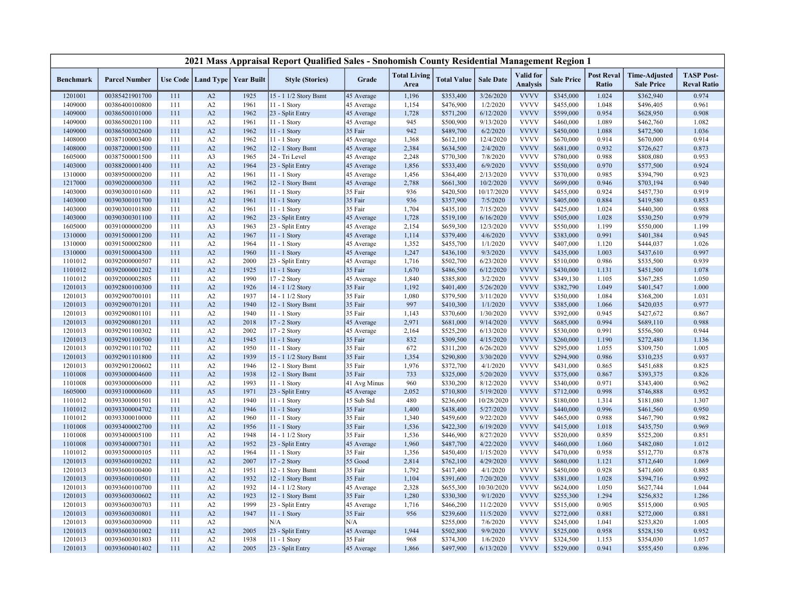|                    |                                  |            |                                   |              | 2021 Mass Appraisal Report Qualified Sales - Snohomish County Residential Management Region 1 |                       |                             |                        |                        |                                     |                        |                            |                                           |                                         |
|--------------------|----------------------------------|------------|-----------------------------------|--------------|-----------------------------------------------------------------------------------------------|-----------------------|-----------------------------|------------------------|------------------------|-------------------------------------|------------------------|----------------------------|-------------------------------------------|-----------------------------------------|
| <b>Benchmark</b>   | <b>Parcel Number</b>             |            | Use Code   Land Type   Year Built |              | <b>Style (Stories)</b>                                                                        | Grade                 | <b>Total Living</b><br>Area | <b>Total Value</b>     | <b>Sale Date</b>       | <b>Valid</b> for<br><b>Analysis</b> | <b>Sale Price</b>      | <b>Post Reval</b><br>Ratio | <b>Time-Adjusted</b><br><b>Sale Price</b> | <b>TASP Post-</b><br><b>Reval Ratio</b> |
| 1201001            | 00385421901700                   | 111        | A2                                | 1925         | 15 - 1 1/2 Story Bsmt                                                                         | 45 Average            | 1,196                       | \$353,400              | 3/26/2020              | <b>VVVV</b>                         | \$345,000              | 1.024                      | \$362,940                                 | 0.974                                   |
| 1409000            | 00386400100800                   | 111        | A2                                | 1961         | 11 - 1 Story                                                                                  | 45 Average            | 1,154                       | \$476,900              | 1/2/2020               | <b>VVVV</b>                         | \$455,000              | 1.048                      | \$496,405                                 | 0.961                                   |
| 1409000            | 00386500101000                   | 111        | A2                                | 1962         | 23 - Split Entry                                                                              | 45 Average            | 1,728                       | \$571,200              | 6/12/2020              | <b>VVVV</b>                         | \$599,000              | 0.954                      | \$628,950                                 | 0.908                                   |
| 1409000            | 00386500201100                   | 111        | A2                                | 1961         | 11 - 1 Story                                                                                  | 45 Average            | 945                         | \$500,900              | 9/13/2020              | <b>VVVV</b>                         | \$460,000              | 1.089                      | \$462,760                                 | 1.082                                   |
| 1409000            | 00386500302600                   | 111        | A2                                | 1962         | 11 - 1 Story                                                                                  | 35 Fair               | 942                         | \$489,700              | 6/2/2020               | <b>VVVV</b>                         | \$450,000              | 1.088                      | \$472,500                                 | 1.036                                   |
| 1408000            | 00387100003400                   | 111        | A2                                | 1962         | 11 - 1 Story                                                                                  | 45 Average            | 1,368                       | \$612,100              | 12/4/2020              | <b>VVVV</b>                         | \$670,000              | 0.914                      | \$670,000                                 | 0.914                                   |
| 1408000            | 00387200001500                   | 111        | A2                                | 1962         | 12 - 1 Story Bsmt                                                                             | 45 Average            | 2,384                       | \$634,500              | 2/4/2020               | <b>VVVV</b>                         | \$681,000              | 0.932                      | \$726,627                                 | 0.873                                   |
| 1605000            | 00387500001500                   | 111        | A <sub>3</sub>                    | 1965         | 24 - Tri Level                                                                                | 45 Average            | 2,248                       | \$770,300              | 7/8/2020               | <b>VVVV</b>                         | \$780,000              | 0.988                      | \$808,080                                 | 0.953                                   |
| 1403000            | 00388200001400                   | 111        | A2                                | 1964         | 23 - Split Entry                                                                              | 45 Average            | 1,856                       | \$533,400              | 6/9/2020               | <b>VVVV</b>                         | \$550,000              | 0.970                      | \$577,500                                 | 0.924                                   |
| 1310000            | 00389500000200                   | 111        | A2                                | 1961         | 11 - 1 Story                                                                                  | 45 Average            | 1,456                       | \$364,400              | 2/13/2020              | <b>VVVV</b>                         | \$370,000              | 0.985                      | \$394,790                                 | 0.923                                   |
| 1217000            | 00390200000300                   | 111        | A2                                | 1962         | 12 - 1 Story Bsmt                                                                             | 45 Average            | 2,788                       | \$661,300              | 10/2/2020              | <b>VVVV</b>                         | \$699,000              | 0.946                      | \$703,194                                 | 0.940                                   |
| 1403000            | 00390300101600                   | 111        | A2                                | 1961         | 11 - 1 Story                                                                                  | 35 Fair               | 936                         | \$420,500              | 10/17/2020             | <b>VVVV</b>                         | \$455,000              | 0.924                      | \$457,730                                 | 0.919                                   |
| 1403000            | 00390300101700                   | 111        | A2                                | 1961         | 11 - 1 Story                                                                                  | 35 Fair               | 936                         | \$357,900              | 7/5/2020               | <b>VVVV</b>                         | \$405,000              | 0.884                      | \$419,580                                 | 0.853                                   |
| 1403000            | 00390300101800                   | 111        | A2                                | 1961         | 11 - 1 Story                                                                                  | 35 Fair               | 1,704                       | \$435,100              | 7/15/2020              | <b>VVVV</b>                         | \$425,000              | 1.024                      | \$440,300                                 | 0.988                                   |
| 1403000            | 00390300301100                   | 111        | A2                                | 1962         | 23 - Split Entry                                                                              | 45 Average            | 1,728                       | \$519,100              | 6/16/2020              | <b>VVVV</b>                         | \$505,000              | 1.028                      | \$530,250                                 | 0.979                                   |
| 1605000            | 00391000000200                   | 111        | A3                                | 1963         | 23 - Split Entry                                                                              | 45 Average            | 2,154                       | \$659,300              | 12/3/2020              | <b>VVVV</b>                         | \$550,000              | 1.199                      | \$550,000                                 | 1.199                                   |
| 1310000            | 00391500001200                   | 111        | A2                                | 1967         | 11 - 1 Story                                                                                  | 45 Average            | 1,114                       | \$379,400              | 4/6/2020               | <b>VVVV</b>                         | \$383,000              | 0.991                      | \$401,384                                 | 0.945                                   |
| 1310000            | 00391500002800                   | 111        | A2                                | 1964         | 11 - 1 Story                                                                                  | 45 Average            | 1,352                       | \$455,700              | 1/1/2020               | <b>VVVV</b>                         | \$407,000              | 1.120                      | \$444,037                                 | 1.026                                   |
| 1310000            | 00391500004300                   | 111        | A2                                | 1960         | $11 - 1$ Story                                                                                | 45 Average            | 1,247                       | \$436,100              | 9/3/2020               | <b>VVVV</b>                         | \$435,000              | 1.003                      | \$437,610                                 | 0.997                                   |
| 1101012            | 00392000000507                   | 111        | A2                                | 2000         | 23 - Split Entry                                                                              | 45 Average            | 1,716                       | \$502,700              | 6/23/2020              | <b>VVVV</b>                         | \$510,000              | 0.986                      | \$535,500                                 | 0.939                                   |
| 1101012            | 00392000001202                   | 111        | A2                                | 1925         | 11 - 1 Story                                                                                  | 35 Fair               | 1,670                       | \$486,500              | 6/12/2020              | <b>VVVV</b>                         | \$430,000              | 1.131                      | \$451,500                                 | 1.078                                   |
| 1101012            | 00392000002805                   | 111        | A2                                | 1990         | 17 - 2 Story                                                                                  | 45 Average            | 1,840                       | \$385,800              | 3/2/2020               | <b>VVVV</b>                         | \$349,130              | 1.105                      | \$367,285                                 | 1.050                                   |
| 1201013            | 00392800100300                   | 111        | A2                                | 1926         | 14 - 1 1/2 Story                                                                              | 35 Fair               | 1,192                       | \$401,400              | 5/26/2020              | <b>VVVV</b>                         | \$382,790              | 1.049                      | \$401,547                                 | 1.000                                   |
| 1201013            | 00392900700101                   | 111        | A2                                | 1937         | 14 - 1 1/2 Story                                                                              | 35 Fair               | 1,080                       | \$379,500              | 3/11/2020              | <b>VVVV</b>                         | \$350,000              | 1.084                      | \$368,200                                 | 1.031                                   |
| 1201013            | 00392900701201                   | 111        | A2                                | 1940         | 12 - 1 Story Bsmt                                                                             | 35 Fair               | 997                         | \$410,300              | 1/1/2020               | <b>VVVV</b><br><b>VVVV</b>          | \$385,000              | 1.066                      | \$420,035                                 | 0.977                                   |
| 1201013            | 00392900801101                   | 111        | A2                                | 1940         | 11 - 1 Story                                                                                  | 35 Fair               | 1,143                       | \$370,600              | 1/30/2020              |                                     | \$392,000              | 0.945                      | \$427,672                                 | 0.867                                   |
| 1201013            | 00392900801201<br>00392901100302 | 111        | A2<br>A2                          | 2018<br>2002 | 17 - 2 Story                                                                                  | 45 Average            | 2,971<br>2,164              | \$681,000              | 9/14/2020<br>6/13/2020 | <b>VVVV</b><br><b>VVVV</b>          | \$685,000<br>\$530,000 | 0.994<br>0.991             | \$689,110                                 | 0.988<br>0.944                          |
| 1201013            | 00392901100500                   | 111<br>111 | A2                                | 1945         | 17 - 2 Story                                                                                  | 45 Average<br>35 Fair | 832                         | \$525,200<br>\$309,500 | 4/15/2020              | <b>VVVV</b>                         | \$260,000              | 1.190                      | \$556,500                                 | 1.136                                   |
| 1201013<br>1201013 | 00392901101702                   | 111        | A2                                | 1950         | 11 - 1 Story                                                                                  | 35 Fair               | 672                         | \$311,200              | 6/26/2020              | <b>VVVV</b>                         | \$295,000              | 1.055                      | \$272,480<br>\$309,750                    | 1.005                                   |
| 1201013            | 00392901101800                   | 111        | A2                                | 1939         | 11 - 1 Story<br>15 - 1 1/2 Story Bsmt                                                         | 35 Fair               | 1,354                       | \$290,800              | 3/30/2020              | <b>VVVV</b>                         | \$294,900              | 0.986                      | \$310,235                                 | 0.937                                   |
| 1201013            | 00392901200602                   | 111        | A2                                | 1946         | 12 - 1 Story Bsmt                                                                             | 35 Fair               | 1,976                       | \$372,700              | 4/1/2020               | <b>VVVV</b>                         | \$431,000              | 0.865                      | \$451,688                                 | 0.825                                   |
| 1101008            | 00393000004600                   | 111        | A2                                | 1938         | 12 - 1 Story Bsmt                                                                             | 35 Fair               | 733                         | \$325,000              | 5/20/2020              | <b>VVVV</b>                         | \$375,000              | 0.867                      | \$393,375                                 | 0.826                                   |
| 1101008            | 00393000006000                   | 111        | A2                                | 1993         | 11 - 1 Story                                                                                  | 41 Avg Minus          | 960                         | \$330,200              | 8/12/2020              | <b>VVVV</b>                         | \$340,000              | 0.971                      | \$343,400                                 | 0.962                                   |
| 1605000            | 00393100000600                   | 111        | A5                                | 1971         | 23 - Split Entry                                                                              | 45 Average            | 2,052                       | \$710,800              | 5/19/2020              | <b>VVVV</b>                         | \$712,000              | 0.998                      | \$746,888                                 | 0.952                                   |
| 1101012            | 00393300001501                   | 111        | A2                                | 1940         | 11 - 1 Story                                                                                  | 15 Sub Std            | 480                         | \$236,600              | 10/28/2020             | <b>VVVV</b>                         | \$180,000              | 1.314                      | \$181,080                                 | 1.307                                   |
| 1101012            | 00393300004702                   | 111        | A2                                | 1946         | 11 - 1 Story                                                                                  | 35 Fair               | 1,400                       | \$438,400              | 5/27/2020              | <b>VVVV</b>                         | \$440,000              | 0.996                      | \$461,560                                 | 0.950                                   |
| 1101012            | 00393300010000                   | 111        | A2                                | 1960         | 11 - 1 Story                                                                                  | 35 Fair               | 1,340                       | \$459,600              | 9/22/2020              | <b>VVVV</b>                         | \$465,000              | 0.988                      | \$467,790                                 | 0.982                                   |
| 1101008            | 00393400002700                   | 111        | A2                                | 1956         | $11 - 1$ Story                                                                                | 35 Fair               | 1,536                       | \$422,300              | 6/19/2020              | <b>VVVV</b>                         | \$415,000              | 1.018                      | \$435,750                                 | 0.969                                   |
| 1101008            | 00393400005100                   | 111        | A2                                | 1948         | 14 - 1 1/2 Story                                                                              | 35 Fair               | 1,536                       | \$446,900              | 8/27/2020              | <b>VVVV</b>                         | \$520,000              | 0.859                      | \$525,200                                 | 0.851                                   |
| 1101008            | 00393400007301                   | 111        | A2                                | 1952         | 23 - Split Entry                                                                              | 45 Average            | 1,960                       | \$487,700              | 4/22/2020              | <b>VVVV</b>                         | \$460,000              | 1.060                      | \$482,080                                 | 1.012                                   |
| 1101012            | 00393500000105                   | 111        | A2                                | 1964         | 11 - 1 Story                                                                                  | 35 Fair               | 1,356                       | \$450,400              | 1/15/2020              | <b>VVVV</b>                         | \$470,000              | 0.958                      | \$512,770                                 | 0.878                                   |
| 1201013            | 00393600100202                   | 111        | A2                                | 2007         | 17 - 2 Story                                                                                  | 55 Good               | 2,814                       | \$762,100              | 4/29/2020              | <b>VVVV</b>                         | \$680,000              | 1.121                      | \$712,640                                 | 1.069                                   |
| 1201013            | 00393600100400                   | 111        | A2                                | 1951         | 12 - 1 Story Bsmt                                                                             | 35 Fair               | 1,792                       | \$417,400              | 4/1/2020               | <b>VVVV</b>                         | \$450,000              | 0.928                      | \$471,600                                 | 0.885                                   |
| 1201013            | 00393600100501                   | 111        | A2                                | 1932         | 12 - 1 Story Bsmt                                                                             | 35 Fair               | 1,104                       | \$391,600              | 7/20/2020              | <b>VVVV</b>                         | \$381,000              | 1.028                      | \$394,716                                 | 0.992                                   |
| 1201013            | 00393600100700                   | 111        | A2                                | 1932         | 14 - 1 1/2 Story                                                                              | 45 Average            | 2,328                       | \$655,300              | 10/30/2020             | <b>VVVV</b>                         | \$624,000              | 1.050                      | \$627,744                                 | 1.044                                   |
| 1201013            | 00393600300602                   | 111        | A2                                | 1923         | 12 - 1 Story Bsmt                                                                             | 35 Fair               | 1,280                       | \$330,300              | 9/1/2020               | <b>VVVV</b>                         | \$255,300              | 1.294                      | \$256,832                                 | 1.286                                   |
| 1201013            | 00393600300703                   | 111        | A2                                | 1999         | 23 - Split Entry                                                                              | 45 Average            | 1,716                       | \$466,200              | 11/2/2020              | <b>VVVV</b>                         | \$515,000              | 0.905                      | \$515,000                                 | 0.905                                   |
| 1201013            | 00393600300801                   | 111        | A2                                | 1947         | 11 - 1 Story                                                                                  | 35 Fair               | 956                         | \$239,600              | 11/5/2020              | <b>VVVV</b>                         | \$272,000              | 0.881                      | \$272,000                                 | 0.881                                   |
| 1201013            | 00393600300900                   | 111        | A2                                |              | N/A                                                                                           | N/A                   |                             | \$255,000              | 7/6/2020               | <b>VVVV</b>                         | \$245,000              | 1.041                      | \$253,820                                 | 1.005                                   |
| 1201013            | 00393600301002                   | 111        | A2                                | 2005         | 23 - Split Entry                                                                              | 45 Average            | 1,944                       | \$502,800              | 9/9/2020               | <b>VVVV</b>                         | \$525,000              | 0.958                      | \$528,150                                 | 0.952                                   |
| 1201013            | 00393600301803                   | 111        | A2                                | 1938         | 11 - 1 Story                                                                                  | 35 Fair               | 968                         | \$374,300              | 1/6/2020               | <b>VVVV</b>                         | \$324,500              | 1.153                      | \$354,030                                 | 1.057                                   |
| 1201013            | 00393600401402                   | 111        | A2                                | 2005         | 23 - Split Entry                                                                              | 45 Average            | 1,866                       | \$497,900              | 6/13/2020              | <b>VVVV</b>                         | \$529,000              | 0.941                      | \$555,450                                 | 0.896                                   |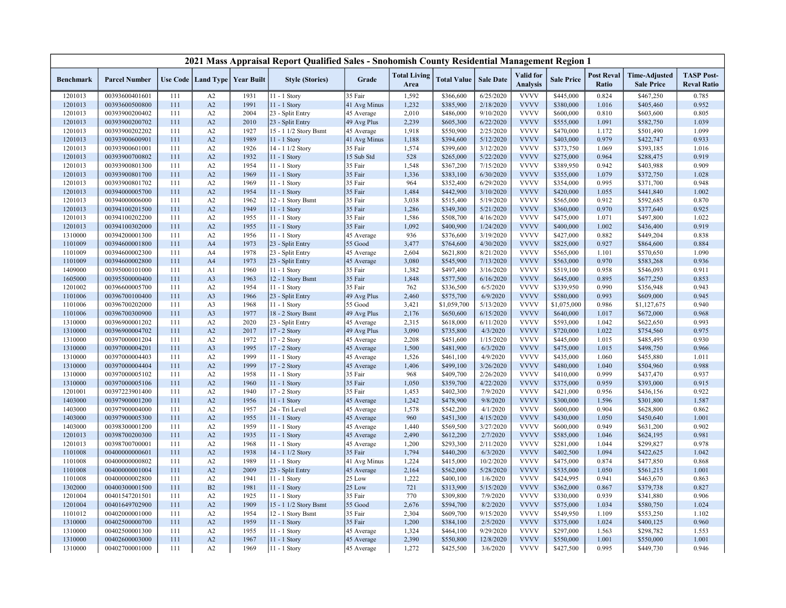|                    |                                  |            |                |                                   | 2021 Mass Appraisal Report Qualified Sales - Snohomish County Residential Management Region 1 |                           |                             |                        |                       |                              |                        |                            |                                           |                                         |
|--------------------|----------------------------------|------------|----------------|-----------------------------------|-----------------------------------------------------------------------------------------------|---------------------------|-----------------------------|------------------------|-----------------------|------------------------------|------------------------|----------------------------|-------------------------------------------|-----------------------------------------|
| <b>Benchmark</b>   | <b>Parcel Number</b>             |            |                | Use Code   Land Type   Year Built | <b>Style (Stories)</b>                                                                        | Grade                     | <b>Total Living</b><br>Area | <b>Total Value</b>     | <b>Sale Date</b>      | Valid for<br><b>Analysis</b> | <b>Sale Price</b>      | <b>Post Reval</b><br>Ratio | <b>Time-Adjusted</b><br><b>Sale Price</b> | <b>TASP Post-</b><br><b>Reval Ratio</b> |
| 1201013            | 00393600401601                   | 111        | A2             | 1931                              | 11 - 1 Story                                                                                  | 35 Fair                   | 1,592                       | \$366,600              | 6/25/2020             | <b>VVVV</b>                  | \$445,000              | 0.824                      | \$467,250                                 | 0.785                                   |
| 1201013            | 00393600500800                   | 111        | A2             | 1991                              | 11 - 1 Story                                                                                  | 41 Avg Minus              | 1,232                       | \$385,900              | 2/18/2020             | <b>VVVV</b>                  | \$380,000              | 1.016                      | \$405,460                                 | 0.952                                   |
| 1201013            | 00393900200402                   | 111        | A2             | 2004                              | 23 - Split Entry                                                                              | 45 Average                | 2,010                       | \$486,000              | 9/10/2020             | <b>VVVV</b>                  | \$600,000              | 0.810                      | \$603,600                                 | 0.805                                   |
| 1201013            | 00393900200702                   | 111        | A2             | 2010                              | 23 - Split Entry                                                                              | 49 Avg Plus               | 2,239                       | \$605,300              | 6/22/2020             | <b>VVVV</b>                  | \$555,000              | 1.091                      | \$582,750                                 | 1.039                                   |
| 1201013            | 00393900202202                   | 111        | A2             | 1927                              | 15 - 1 1/2 Story Bsmt                                                                         | 45 Average                | 1,918                       | \$550,900              | 2/25/2020             | <b>VVVV</b>                  | \$470,000              | 1.172                      | \$501,490                                 | 1.099                                   |
| 1201013            | 00393900600901                   | 111        | A2             | 1989                              | 11 - 1 Story                                                                                  | 41 Avg Minus              | 1,188                       | \$394,600              | 5/12/2020             | <b>VVVV</b>                  | \$403,000              | 0.979                      | \$422,747                                 | 0.933                                   |
| 1201013            | 00393900601001                   | 111        | A2             | 1926                              | 14 - 1 1/2 Story                                                                              | 35 Fair                   | 1,574                       | \$399,600              | 3/12/2020             | <b>VVVV</b>                  | \$373,750              | 1.069                      | \$393,185                                 | 1.016                                   |
| 1201013            | 00393900700802                   | 111        | A2             | 1932                              | 11 - 1 Story                                                                                  | 15 Sub Std                | 528                         | \$265,000              | 5/22/2020             | <b>VVVV</b>                  | \$275,000              | 0.964                      | \$288,475                                 | 0.919                                   |
| 1201013            | 00393900801300                   | 111        | A2             | 1954                              | 11 - 1 Story                                                                                  | 35 Fair                   | 1,548                       | \$367,200              | 7/15/2020             | <b>VVVV</b>                  | \$389,950              | 0.942                      | \$403,988                                 | 0.909                                   |
| 1201013            | 00393900801700                   | 111        | A2             | 1969                              | 11 - 1 Story                                                                                  | 35 Fair                   | 1,336                       | \$383,100              | 6/30/2020             | <b>VVVV</b>                  | \$355,000              | 1.079                      | \$372,750                                 | 1.028                                   |
| 1201013            | 00393900801702                   | 111        | A2             | 1969                              | 11 - 1 Story                                                                                  | 35 Fair                   | 964                         | \$352,400              | 6/29/2020             | <b>VVVV</b>                  | \$354,000              | 0.995                      | \$371,700                                 | 0.948                                   |
| 1201013            | 00394000005700                   | 111        | A2             | 1954                              | 11 - 1 Story                                                                                  | 35 Fair                   | 1,484                       | \$442,900              | 3/10/2020             | <b>VVVV</b>                  | \$420,000              | 1.055                      | \$441,840                                 | 1.002                                   |
| 1201013            | 00394000006000                   | 111        | A2             | 1962                              | 12 - 1 Story Bsmt                                                                             | 35 Fair                   | 3,038                       | \$515,400              | 5/19/2020             | <b>VVVV</b>                  | \$565,000              | 0.912                      | \$592,685                                 | 0.870                                   |
| 1201013            | 00394100201500                   | 111        | A2             | 1949                              | 11 - 1 Story                                                                                  | 35 Fair                   | 1,286                       | \$349,300              | 5/21/2020             | <b>VVVV</b>                  | \$360,000              | 0.970                      | \$377,640                                 | 0.925                                   |
| 1201013            | 00394100202200                   | 111        | A2             | 1955                              | $11 - 1$ Story                                                                                | 35 Fair                   | 1,586                       | \$508,700              | 4/16/2020             | <b>VVVV</b>                  | \$475,000              | 1.071                      | \$497,800                                 | 1.022                                   |
| 1201013            | 00394100302000                   | 111        | A2             | 1955                              | 11 - 1 Story                                                                                  | 35 Fair                   | 1,092                       | \$400,900              | 1/24/2020             | <b>VVVV</b>                  | \$400,000              | 1.002                      | \$436,400                                 | 0.919                                   |
| 1310000            | 00394200001300                   | 111        | A2             | 1956                              | $11 - 1$ Story                                                                                | 45 Average                | 936                         | \$376,600              | 3/19/2020             | <b>VVVV</b>                  | \$427,000              | 0.882                      | \$449,204                                 | 0.838                                   |
| 1101009            | 00394600001800                   | 111        | A <sub>4</sub> | 1973                              | 23 - Split Entry                                                                              | 55 Good                   | 3,477                       | \$764,600              | 4/30/2020             | <b>VVVV</b>                  | \$825,000              | 0.927                      | \$864,600                                 | 0.884                                   |
| 1101009            | 00394600002300                   | 111        | A4             | 1978                              | 23 - Split Entry                                                                              | 45 Average                | 2,604                       | \$621,800              | 8/21/2020             | <b>VVVV</b>                  | \$565,000              | 1.101                      | \$570,650                                 | 1.090                                   |
| 1101009            | 00394600002800                   | 111        | A4             | 1973                              | 23 - Split Entry                                                                              | 45 Average                | 3,080                       | \$545,900              | 7/13/2020             | <b>VVVV</b>                  | \$563,000              | 0.970                      | \$583,268                                 | 0.936                                   |
| 1409000            | 00395000101000                   | 111        | A1             | 1960                              | 11 - 1 Story                                                                                  | 35 Fair                   | 1,382                       | \$497,400              | 3/16/2020             | <b>VVVV</b>                  | \$519,100              | 0.958                      | \$546,093                                 | 0.911                                   |
| 1605000            | 00395500000400                   | 111        | A <sub>3</sub> | 1963                              | 12 - 1 Story Bsmt                                                                             | 35 Fair                   | 1,848                       | \$577,500              | 6/16/2020             | <b>VVVV</b>                  | \$645,000              | 0.895                      | \$677,250                                 | 0.853                                   |
| 1201002            | 00396600005700                   | 111        | A2             | 1954                              | 11 - 1 Story                                                                                  | 35 Fair                   | 762                         | \$336,500              | 6/5/2020              | <b>VVVV</b>                  | \$339,950              | 0.990                      | \$356,948                                 | 0.943                                   |
| 1101006            | 00396700100400                   | 111        | A <sub>3</sub> | 1966                              | 23 - Split Entry                                                                              | 49 Avg Plus               | 2,460                       | \$575,700              | 6/9/2020              | <b>VVVV</b>                  | \$580,000              | 0.993                      | \$609,000                                 | 0.945                                   |
| 1101006            | 00396700202000                   | 111        | A3             | 1968                              | 11 - 1 Story                                                                                  | 55 Good                   | 3,421                       | \$1,059,700            | 5/13/2020             | <b>VVVV</b>                  | \$1,075,000            | 0.986                      | \$1,127,675                               | 0.940                                   |
| 1101006            | 00396700300900                   | 111        | A <sub>3</sub> | 1977                              | 18 - 2 Story Bsmt                                                                             | 49 Avg Plus               | 2,176                       | \$650,600              | 6/15/2020             | <b>VVVV</b><br><b>VVVV</b>   | \$640,000              | 1.017                      | \$672,000                                 | 0.968                                   |
| 1310000            | 00396900001202                   | 111        | A2<br>A2       | 2020<br>2017                      | 23 - Split Entry<br>17 - 2 Story                                                              | 45 Average                | 2,315<br>3,090              | \$618,000              | 6/11/2020<br>4/3/2020 | <b>VVVV</b>                  | \$593,000              | 1.042<br>1.022             | \$622,650                                 | 0.993<br>0.975                          |
| 1310000<br>1310000 | 00396900004702<br>00397000001204 | 111<br>111 | A2             | 1972                              | 17 - 2 Story                                                                                  | 49 Avg Plus<br>45 Average | 2,208                       | \$735,800<br>\$451,600 | 1/15/2020             | <b>VVVV</b>                  | \$720,000<br>\$445,000 | 1.015                      | \$754,560<br>\$485,495                    | 0.930                                   |
| 1310000            | 00397000004201                   | 111        | A <sub>3</sub> | 1995                              | 17 - 2 Story                                                                                  | 45 Average                | 1,500                       | \$481,900              | 6/3/2020              | <b>VVVV</b>                  | \$475,000              | 1.015                      | \$498,750                                 | 0.966                                   |
| 1310000            | 00397000004403                   | 111        | A2             | 1999                              | 11 - 1 Story                                                                                  | 45 Average                | 1,526                       | \$461,100              | 4/9/2020              | <b>VVVV</b>                  | \$435,000              | 1.060                      | \$455,880                                 | 1.011                                   |
| 1310000            | 00397000004404                   | 111        | A2             | 1999                              | 17 - 2 Story                                                                                  | 45 Average                | 1,406                       | \$499,100              | 3/26/2020             | <b>VVVV</b>                  | \$480,000              | 1.040                      | \$504,960                                 | 0.988                                   |
| 1310000            | 00397000005102                   | 111        | A2             | 1958                              | $11 - 1$ Story                                                                                | 35 Fair                   | 968                         | \$409,700              | 2/26/2020             | <b>VVVV</b>                  | \$410,000              | 0.999                      | \$437,470                                 | 0.937                                   |
| 1310000            | 00397000005106                   | 111        | A2             | 1960                              | 11 - 1 Story                                                                                  | 35 Fair                   | 1,050                       | \$359,700              | 4/22/2020             | <b>VVVV</b>                  | \$375,000              | 0.959                      | \$393,000                                 | 0.915                                   |
| 1201001            | 00397223901400                   | 111        | A2             | 1940                              | 17 - 2 Story                                                                                  | 35 Fair                   | 1,453                       | \$402,300              | 7/9/2020              | <b>VVVV</b>                  | \$421,000              | 0.956                      | \$436,156                                 | 0.922                                   |
| 1403000            | 00397900001200                   | 111        | A2             | 1956                              | 11 - 1 Story                                                                                  | 45 Average                | 1,242                       | \$478,900              | 9/8/2020              | <b>VVVV</b>                  | \$300,000              | 1.596                      | \$301,800                                 | 1.587                                   |
| 1403000            | 00397900004000                   | 111        | A2             | 1957                              | 24 - Tri Level                                                                                | 45 Average                | 1,578                       | \$542,200              | 4/1/2020              | <b>VVVV</b>                  | \$600,000              | 0.904                      | \$628,800                                 | 0.862                                   |
| 1403000            | 00397900005300                   | 111        | A2             | 1955                              | 11 - 1 Story                                                                                  | 45 Average                | 960                         | \$451,300              | 4/15/2020             | <b>VVVV</b>                  | \$430,000              | 1.050                      | \$450,640                                 | 1.001                                   |
| 1403000            | 00398300001200                   | 111        | A2             | 1959                              | 11 - 1 Story                                                                                  | 45 Average                | 1,440                       | \$569,500              | 3/27/2020             | <b>VVVV</b>                  | \$600,000              | 0.949                      | \$631,200                                 | 0.902                                   |
| 1201013            | 00398700200300                   | 111        | A2             | 1935                              | $11 - 1$ Story                                                                                | 45 Average                | 2,490                       | \$612,200              | 2/7/2020              | <b>VVVV</b>                  | \$585,000              | 1.046                      | \$624,195                                 | 0.981                                   |
| 1201013            | 00398700700001                   | 111        | A2             | 1968                              | 11 - 1 Story                                                                                  | 45 Average                | 1,200                       | \$293,300              | 2/11/2020             | <b>VVVV</b>                  | \$281,000              | 1.044                      | \$299,827                                 | 0.978                                   |
| 1101008            | 00400000000601                   | 111        | A2             | 1938                              | 14 - 1 1/2 Story                                                                              | 35 Fair                   | 1,794                       | \$440,200              | 6/3/2020              | <b>VVVV</b>                  | \$402,500              | 1.094                      | \$422,625                                 | 1.042                                   |
| 1101008            | 00400000000802                   | 111        | A2             | 1989                              | 11 - 1 Story                                                                                  | 41 Avg Minus              | 1,224                       | \$415,000              | 10/2/2020             | <b>VVVV</b>                  | \$475,000              | 0.874                      | \$477,850                                 | 0.868                                   |
| 1101008            | 00400000001004                   | 111        | A2             | 2009                              | 23 - Split Entry                                                                              | 45 Average                | 2,164                       | \$562,000              | 5/28/2020             | <b>VVVV</b>                  | \$535,000              | 1.050                      | \$561,215                                 | 1.001                                   |
| 1101008            | 00400000002800                   | 111        | A2             | 1941                              | $11 - 1$ Story                                                                                | 25 Low                    | 1,222                       | \$400,100              | 1/6/2020              | <b>VVVV</b>                  | \$424,995              | 0.941                      | \$463,670                                 | 0.863                                   |
| 1302000            | 00400300001500                   | 111        | B <sub>2</sub> | 1981                              | 11 - 1 Story                                                                                  | 25 Low                    | 721                         | \$313,900              | 5/15/2020             | <b>VVVV</b>                  | \$362,000              | 0.867                      | \$379,738                                 | 0.827                                   |
| 1201004            | 00401547201501                   | 111        | A2             | 1925                              | $11 - 1$ Story                                                                                | 35 Fair                   | 770                         | \$309,800              | 7/9/2020              | <b>VVVV</b>                  | \$330,000              | 0.939                      | \$341,880                                 | 0.906                                   |
| 1201004            | 00401649702900                   | 111        | A2             | 1909                              | 15 - 1 1/2 Story Bsmt                                                                         | 55 Good                   | 2,676                       | \$594,700              | 8/2/2020              | <b>VVVV</b>                  | \$575,000              | 1.034                      | \$580,750                                 | 1.024                                   |
| 1101012            | 00402000001000                   | 111        | A2             | 1954                              | 12 - 1 Story Bsmt                                                                             | 35 Fair                   | 2,304                       | \$609,700              | 9/15/2020             | <b>VVVV</b>                  | \$549,950              | 1.109                      | \$553,250                                 | 1.102                                   |
| 1310000            | 00402500000700                   | 111        | A2             | 1959                              | 11 - 1 Story                                                                                  | 35 Fair                   | 1,200                       | \$384,100              | 2/5/2020              | <b>VVVV</b>                  | \$375,000              | 1.024                      | \$400,125                                 | 0.960                                   |
| 1310000            | 00402500001300                   | 111        | A2             | 1955                              | 11 - 1 Story                                                                                  | 45 Average                | 1,324                       | \$464,100              | 9/29/2020             | <b>VVVV</b>                  | \$297,000              | 1.563                      | \$298,782                                 | 1.553                                   |
| 1310000            | 00402600003000                   | 111        | A2             | 1967                              | 11 - 1 Story                                                                                  | 45 Average                | 2,390                       | \$550,800              | 12/8/2020             | <b>VVVV</b>                  | \$550,000              | 1.001                      | \$550,000                                 | 1.001                                   |
| 1310000            | 00402700001000                   | 111        | A2             | 1969                              | 11 - 1 Story                                                                                  | 45 Average                | 1,272                       | \$425,500              | 3/6/2020              | <b>VVVV</b>                  | \$427,500              | 0.995                      | \$449,730                                 | 0.946                                   |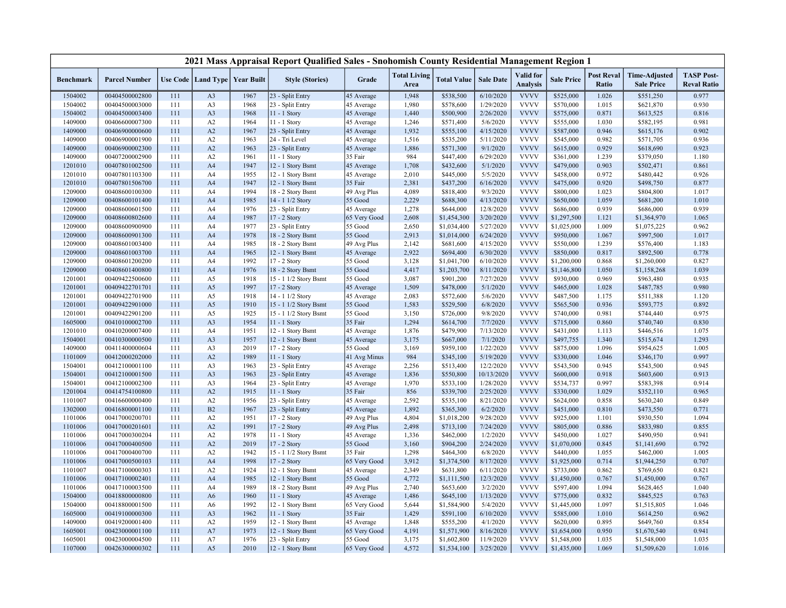|                    |                                  |            |                      |                   | 2021 Mass Appraisal Report Qualified Sales - Snohomish County Residential Management Region 1 |                       |                             |                        |                      |                                     |                        |                            |                                           |                                         |
|--------------------|----------------------------------|------------|----------------------|-------------------|-----------------------------------------------------------------------------------------------|-----------------------|-----------------------------|------------------------|----------------------|-------------------------------------|------------------------|----------------------------|-------------------------------------------|-----------------------------------------|
| <b>Benchmark</b>   | <b>Parcel Number</b>             |            | Use Code   Land Type | <b>Year Built</b> | <b>Style (Stories)</b>                                                                        | Grade                 | <b>Total Living</b><br>Area | <b>Total Value</b>     | <b>Sale Date</b>     | <b>Valid</b> for<br><b>Analysis</b> | <b>Sale Price</b>      | <b>Post Reval</b><br>Ratio | <b>Time-Adjusted</b><br><b>Sale Price</b> | <b>TASP Post-</b><br><b>Reval Ratio</b> |
| 1504002            | 00404500002800                   | 111        | A <sub>3</sub>       | 1967              | 23 - Split Entry                                                                              | 45 Average            | 1,948                       | \$538,500              | 6/10/2020            | <b>VVVV</b>                         | \$525,000              | 1.026                      | \$551,250                                 | 0.977                                   |
| 1504002            | 00404500003000                   | 111        | A3                   | 1968              | 23 - Split Entry                                                                              | 45 Average            | 1,980                       | \$578,600              | 1/29/2020            | <b>VVVV</b>                         | \$570,000              | 1.015                      | \$621,870                                 | 0.930                                   |
| 1504002            | 00404500003400                   | 111        | A <sub>3</sub>       | 1968              | 11 - 1 Story                                                                                  | 45 Average            | 1,440                       | \$500,900              | 2/26/2020            | <b>VVVV</b>                         | \$575,000              | 0.871                      | \$613,525                                 | 0.816                                   |
| 1409000            | 00406600007300                   | 111        | A2                   | 1964              | 11 - 1 Story                                                                                  | 45 Average            | 1,246                       | \$571,400              | 5/6/2020             | <b>VVVV</b>                         | \$555,000              | 1.030                      | \$582,195                                 | 0.981                                   |
| 1409000            | 00406900000600                   | 111        | A2                   | 1967              | 23 - Split Entry                                                                              | 45 Average            | 1,932                       | \$555,100              | 4/15/2020            | <b>VVVV</b>                         | \$587,000              | 0.946                      | \$615,176                                 | 0.902                                   |
| 1409000            | 00406900001900                   | 111        | A2                   | 1963              | 24 - Tri Level                                                                                | 45 Average            | 1,516                       | \$535,200              | 5/11/2020            | <b>VVVV</b>                         | \$545,000              | 0.982                      | \$571,705                                 | 0.936                                   |
| 1409000            | 00406900002300                   | 111        | A2                   | 1963              | 23 - Split Entry                                                                              | 45 Average            | 1,886                       | \$571,300              | 9/1/2020             | <b>VVVV</b>                         | \$615,000              | 0.929                      | \$618,690                                 | 0.923                                   |
| 1409000            | 00407200002900                   | 111        | A2                   | 1961              | 11 - 1 Story                                                                                  | 35 Fair               | 984                         | \$447,400              | 6/29/2020            | <b>VVVV</b>                         | \$361,000              | 1.239                      | \$379,050                                 | 1.180                                   |
| 1201010            | 00407801002500                   | 111        | A <sub>4</sub>       | 1947              | 12 - 1 Story Bsmt                                                                             | 45 Average            | 1,708                       | \$432,600              | 5/1/2020             | <b>VVVV</b>                         | \$479,000              | 0.903                      | \$502,471                                 | 0.861                                   |
| 1201010            | 00407801103300                   | 111        | A <sub>4</sub>       | 1955              | 12 - 1 Story Bsmt                                                                             | 45 Average            | 2,010                       | \$445,000              | 5/5/2020             | <b>VVVV</b>                         | \$458,000              | 0.972                      | \$480,442                                 | 0.926                                   |
| 1201010            | 00407801506700                   | 111        | A <sub>4</sub>       | 1947              | 12 - 1 Story Bsmt                                                                             | 35 Fair               | 2,381                       | \$437,200              | 6/16/2020            | <b>VVVV</b>                         | \$475,000              | 0.920                      | \$498,750                                 | 0.877                                   |
| 1209000            | 00408600100300                   | 111        | A4                   | 1994              | 18 - 2 Story Bsmt                                                                             | 49 Avg Plus           | 4,089                       | \$818,400              | 9/3/2020             | <b>VVVV</b>                         | \$800,000              | 1.023                      | \$804,800                                 | 1.017                                   |
| 1209000            | 00408600101400                   | 111        | A <sub>4</sub>       | 1985              | 14 - 1 1/2 Story                                                                              | 55 Good               | 2,229                       | \$688,300              | 4/13/2020            | <b>VVVV</b>                         | \$650,000              | 1.059                      | \$681,200                                 | 1.010                                   |
| 1209000            | 00408600601500                   | 111        | A4                   | 1976              | 23 - Split Entry                                                                              | 45 Average            | 1,278                       | \$644,000              | 12/8/2020            | <b>VVVV</b>                         | \$686,000              | 0.939                      | \$686,000                                 | 0.939                                   |
| 1209000            | 00408600802600                   | 111        | A4                   | 1987              | 17 - 2 Story                                                                                  | 65 Very Good          | 2,608                       | \$1,454,300            | 3/20/2020            | <b>VVVV</b>                         | \$1,297,500            | 1.121                      | \$1,364,970                               | 1.065                                   |
| 1209000            | 00408600900900                   | 111        | A4                   | 1977              | 23 - Split Entry                                                                              | 55 Good               | 2,650                       | \$1,034,400            | 5/27/2020            | <b>VVVV</b>                         | \$1,025,000            | 1.009                      | \$1,075,225                               | 0.962                                   |
| 1209000            | 00408600901300                   | 111        | A <sub>4</sub>       | 1978              | 18 - 2 Story Bsmt                                                                             | 55 Good               | 2,913                       | \$1,014,000            | 6/24/2020            | <b>VVVV</b>                         | \$950,000              | 1.067                      | \$997,500                                 | 1.017                                   |
| 1209000            | 00408601003400                   | 111        | A4                   | 1985              | 18 - 2 Story Bsmt                                                                             | 49 Avg Plus           | 2,142                       | \$681,600              | 4/15/2020            | <b>VVVV</b>                         | \$550,000              | 1.239                      | \$576,400                                 | 1.183                                   |
| 1209000            | 00408601003700                   | 111        | A <sub>4</sub>       | 1965              | 12 - 1 Story Bsmt                                                                             | 45 Average            | 2,922                       | \$694,400              | 6/30/2020            | <b>VVVV</b>                         | \$850,000              | 0.817                      | \$892,500                                 | 0.778                                   |
| 1209000            | 00408601200200                   | 111        | A4                   | 1992              | 17 - 2 Story                                                                                  | 55 Good               | 3,128                       | \$1,041,700            | 6/10/2020            | <b>VVVV</b>                         | \$1,200,000            | 0.868                      | \$1,260,000                               | 0.827                                   |
| 1209000            | 00408601400800                   | 111        | A <sub>4</sub>       | 1976              | 18 - 2 Story Bsmt                                                                             | 55 Good               | 4,417                       | \$1,203,700            | 8/11/2020            | <b>VVVV</b>                         | \$1,146,800            | 1.050                      | \$1,158,268                               | 1.039                                   |
| 1201001            | 00409422500600                   | 111        | A5                   | 1918              | 15 - 1 1/2 Story Bsmt                                                                         | 55 Good               | 3,087                       | \$901,200              | 7/27/2020            | <b>VVVV</b><br><b>VVVV</b>          | \$930,000              | 0.969                      | \$963,480                                 | 0.935                                   |
| 1201001            | 00409422701701                   | 111        | A <sub>5</sub>       | 1997              | $17 - 2$ Story                                                                                | 45 Average            | 1,509                       | \$478,000              | 5/1/2020             |                                     | \$465,000              | 1.028                      | \$487,785                                 | 0.980                                   |
| 1201001            | 00409422701900<br>00409422901000 | 111        | A5<br>A5             | 1918<br>1910      | 14 - 1 1/2 Story                                                                              | 45 Average<br>55 Good | 2,083<br>1,583              | \$572,600              | 5/6/2020<br>6/8/2020 | <b>VVVV</b><br><b>VVVV</b>          | \$487,500<br>\$565,500 | 1.175<br>0.936             | \$511,388                                 | 1.120<br>0.892                          |
| 1201001<br>1201001 | 00409422901200                   | 111<br>111 | A5                   | 1925              | 15 - 1 1/2 Story Bsmt<br>15 - 1 1/2 Story Bsmt                                                | 55 Good               | 3,150                       | \$529,500<br>\$726,000 | 9/8/2020             | <b>VVVV</b>                         | \$740,000              | 0.981                      | \$593,775<br>\$744,440                    | 0.975                                   |
| 1605000            | 00410100002700                   | 111        | A <sub>3</sub>       | 1954              | 11 - 1 Story                                                                                  | 35 Fair               | 1,294                       | \$614,700              | 7/7/2020             | <b>VVVV</b>                         | \$715,000              | 0.860                      | \$740,740                                 | 0.830                                   |
| 1201010            | 00410200007400                   | 111        | A4                   | 1951              | 12 - 1 Story Bsmt                                                                             | 45 Average            | 1,876                       | \$479,900              | 7/13/2020            | <b>VVVV</b>                         | \$431,000              | 1.113                      | \$446,516                                 | 1.075                                   |
| 1504001            | 00410300000500                   | 111        | A <sub>3</sub>       | 1957              | 12 - 1 Story Bsmt                                                                             | 45 Average            | 3,175                       | \$667,000              | 7/1/2020             | <b>VVVV</b>                         | \$497,755              | 1.340                      | \$515,674                                 | 1.293                                   |
| 1409000            | 00411400000604                   | 111        | A <sub>3</sub>       | 2019              | 17 - 2 Story                                                                                  | 55 Good               | 3,169                       | \$959,100              | 1/22/2020            | <b>VVVV</b>                         | \$875,000              | 1.096                      | \$954,625                                 | 1.005                                   |
| 1101009            | 00412000202000                   | 111        | A2                   | 1989              | 11 - 1 Story                                                                                  | 41 Avg Minus          | 984                         | \$345,100              | 5/19/2020            | <b>VVVV</b>                         | \$330,000              | 1.046                      | \$346,170                                 | 0.997                                   |
| 1504001            | 00412100001100                   | 111        | A <sub>3</sub>       | 1963              | 23 - Split Entry                                                                              | 45 Average            | 2,256                       | \$513,400              | 12/2/2020            | <b>VVVV</b>                         | \$543,500              | 0.945                      | \$543,500                                 | 0.945                                   |
| 1504001            | 00412100001500                   | 111        | A <sub>3</sub>       | 1963              | 23 - Split Entry                                                                              | 45 Average            | 1,836                       | \$550,800              | 10/13/2020           | <b>VVVV</b>                         | \$600,000              | 0.918                      | \$603,600                                 | 0.913                                   |
| 1504001            | 00412100002300                   | 111        | A3                   | 1964              | 23 - Split Entry                                                                              | 45 Average            | 1,970                       | \$533,100              | 1/28/2020            | <b>VVVV</b>                         | \$534,737              | 0.997                      | \$583,398                                 | 0.914                                   |
| 1201004            | 00414754100800                   | 111        | A2                   | 1915              | 11 - 1 Story                                                                                  | 35 Fair               | 856                         | \$339,700              | 2/25/2020            | <b>VVVV</b>                         | \$330,000              | 1.029                      | \$352,110                                 | 0.965                                   |
| 1101007            | 00416600000400                   | 111        | A2                   | 1956              | 23 - Split Entry                                                                              | 45 Average            | 2,592                       | \$535,100              | 8/21/2020            | <b>VVVV</b>                         | \$624,000              | 0.858                      | \$630,240                                 | 0.849                                   |
| 1302000            | 00416800001100                   | 111        | B2                   | 1967              | 23 - Split Entry                                                                              | 45 Average            | 1,892                       | \$365,300              | 6/2/2020             | <b>VVVV</b>                         | \$451,000              | 0.810                      | \$473,550                                 | 0.771                                   |
| 1101006            | 00417000200701                   | 111        | A2                   | 1951              | 17 - 2 Story                                                                                  | 49 Avg Plus           | 4,804                       | \$1,018,200            | 9/28/2020            | <b>VVVV</b>                         | \$925,000              | 1.101                      | \$930,550                                 | 1.094                                   |
| 1101006            | 00417000201601                   | 111        | A2                   | 1991              | 17 - 2 Story                                                                                  | 49 Avg Plus           | 2,498                       | \$713,100              | 7/24/2020            | <b>VVVV</b>                         | \$805,000              | 0.886                      | \$833,980                                 | 0.855                                   |
| 1101006            | 00417000300204                   | 111        | A2                   | 1978              | 11 - 1 Story                                                                                  | 45 Average            | 1,336                       | \$462,000              | 1/2/2020             | <b>VVVV</b>                         | \$450,000              | 1.027                      | \$490,950                                 | 0.941                                   |
| 1101006            | 00417000400500                   | 111        | A2                   | 2019              | 17 - 2 Story                                                                                  | 55 Good               | 3,160                       | \$904,200              | 2/24/2020            | <b>VVVV</b>                         | \$1,070,000            | 0.845                      | \$1,141,690                               | 0.792                                   |
| 1101006            | 00417000400700                   | 111        | A2                   | 1942              | 15 - 1 1/2 Story Bsmt                                                                         | 35 Fair               | 1,298                       | \$464,300              | 6/8/2020             | <b>VVVV</b>                         | \$440,000              | 1.055                      | \$462,000                                 | 1.005                                   |
| 1101006            | 00417000500103                   | 111        | A <sub>4</sub>       | 1998              | 17 - 2 Story                                                                                  | 65 Very Good          | 3,912                       | \$1,374,500            | 8/17/2020            | <b>VVVV</b>                         | \$1,925,000            | 0.714                      | \$1,944,250                               | 0.707                                   |
| 1101007            | 00417100000303                   | 111        | A2                   | 1924              | 12 - 1 Story Bsmt                                                                             | 45 Average            | 2,349                       | \$631,800              | 6/11/2020            | <b>VVVV</b>                         | \$733,000              | 0.862                      | \$769,650                                 | 0.821                                   |
| 1101006            | 00417100002401                   | 111        | A <sub>4</sub>       | 1985              | 12 - 1 Story Bsmt                                                                             | 55 Good               | 4,772                       | \$1,111,500            | 12/3/2020            | <b>VVVV</b>                         | \$1,450,000            | 0.767                      | \$1,450,000                               | 0.767                                   |
| 1101006            | 00417100003500                   | 111        | A4                   | 1989              | 18 - 2 Story Bsmt                                                                             | 49 Avg Plus           | 2,740                       | \$653,600              | 3/2/2020             | <b>VVVV</b>                         | \$597,400              | 1.094                      | \$628,465                                 | 1.040                                   |
| 1504000            | 00418800000800                   | 111        | A <sub>6</sub>       | 1960              | 11 - 1 Story                                                                                  | 45 Average            | 1,486                       | \$645,100              | 1/13/2020            | <b>VVVV</b>                         | \$775,000              | 0.832                      | \$845,525                                 | 0.763                                   |
| 1504000            | 00418800001500                   | 111        | A <sub>6</sub>       | 1992              | 12 - 1 Story Bsmt                                                                             | 65 Very Good          | 5,644                       | \$1,584,900            | 5/4/2020             | <b>VVVV</b>                         | \$1,445,000            | 1.097                      | \$1,515,805                               | 1.046                                   |
| 1605000            | 00419100000300                   | 111        | A <sub>3</sub>       | 1962              | 11 - 1 Story                                                                                  | 35 Fair               | 1,429                       | \$591,100              | 6/10/2020            | <b>VVVV</b>                         | \$585,000              | 1.010                      | \$614,250                                 | 0.962                                   |
| 1409000            | 00419200001400                   | 111        | A2                   | 1959              | 12 - 1 Story Bsmt                                                                             | 45 Average            | 1,848                       | \$555,200              | 4/1/2020             | <b>VVVV</b>                         | \$620,000              | 0.895                      | \$649,760                                 | 0.854                                   |
| 1605001            | 00423000001100                   | 111        | A7                   | 1973              | 12 - 1 Story Bsmt                                                                             | 65 Very Good          | 4,191                       | \$1,571,900            | 8/16/2020            | <b>VVVV</b>                         | \$1,654,000            | 0.950                      | \$1,670,540                               | 0.941                                   |
| 1605001            | 00423000004500                   | 111        | A7                   | 1976              | 23 - Split Entry                                                                              | 55 Good               | 3,175                       | \$1,602,800            | 11/9/2020            | <b>VVVV</b>                         | \$1,548,000            | 1.035                      | \$1,548,000                               | 1.035                                   |
| 1107000            | 00426300000302                   | 111        | A5                   | 2010              | 12 - 1 Story Bsmt                                                                             | 65 Very Good          | 4,572                       | \$1,534,100            | 3/25/2020            | <b>VVVV</b>                         | \$1,435,000            | 1.069                      | \$1,509,620                               | 1.016                                   |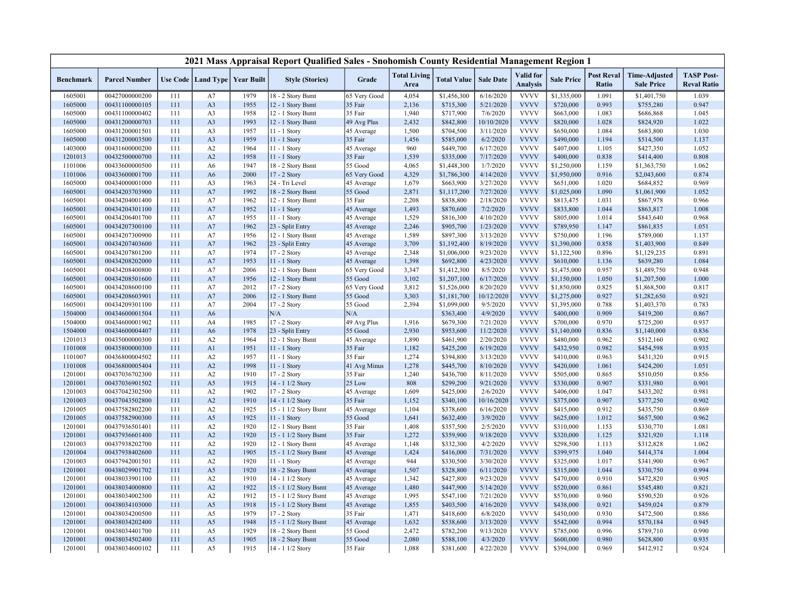|                  |                      |     |                |                                   | 2021 Mass Appraisal Report Qualified Sales - Snohomish County Residential Management Region 1 |              |                             |                    |                  |                              |                   |                            |                                           |                                         |
|------------------|----------------------|-----|----------------|-----------------------------------|-----------------------------------------------------------------------------------------------|--------------|-----------------------------|--------------------|------------------|------------------------------|-------------------|----------------------------|-------------------------------------------|-----------------------------------------|
| <b>Benchmark</b> | <b>Parcel Number</b> |     |                | Use Code   Land Type   Year Built | <b>Style (Stories)</b>                                                                        | Grade        | <b>Total Living</b><br>Area | <b>Total Value</b> | <b>Sale Date</b> | Valid for<br><b>Analysis</b> | <b>Sale Price</b> | <b>Post Reval</b><br>Ratio | <b>Time-Adjusted</b><br><b>Sale Price</b> | <b>TASP Post-</b><br><b>Reval Ratio</b> |
| 1605001          | 00427000000200       | 111 | A7             | 1979                              | 18 - 2 Story Bsmt                                                                             | 65 Very Good | 4,054                       | \$1,456,300        | 6/16/2020        | <b>VVVV</b>                  | \$1,335,000       | 1.091                      | \$1,401,750                               | 1.039                                   |
| 1605000          | 00431100000105       | 111 | A3             | 1955                              | 12 - 1 Story Bsmt                                                                             | 35 Fair      | 2,136                       | \$715,300          | 5/21/2020        | <b>VVVV</b>                  | \$720,000         | 0.993                      | \$755,280                                 | 0.947                                   |
| 1605000          | 00431100000402       | 111 | A <sub>3</sub> | 1958                              | 12 - 1 Story Bsmt                                                                             | 35 Fair      | 1,940                       | \$717,900          | 7/6/2020         | <b>VVVV</b>                  | \$663,000         | 1.083                      | \$686,868                                 | 1.045                                   |
| 1605000          | 00431200000703       | 111 | A <sub>3</sub> | 1993                              | 12 - 1 Story Bsmt                                                                             | 49 Avg Plus  | 2,432                       | \$842,800          | 10/10/2020       | <b>VVVV</b>                  | \$820,000         | 1.028                      | \$824,920                                 | 1.022                                   |
| 1605000          | 00431200001501       | 111 | A3             | 1957                              | 11 - 1 Story                                                                                  | 45 Average   | 1,500                       | \$704,500          | 3/11/2020        | <b>VVVV</b>                  | \$650,000         | 1.084                      | \$683,800                                 | 1.030                                   |
| 1605000          | 00431200003500       | 111 | A <sub>3</sub> | 1959                              | 11 - 1 Story                                                                                  | 35 Fair      | 1,456                       | \$585,000          | 6/2/2020         | <b>VVVV</b>                  | \$490,000         | 1.194                      | \$514,500                                 | 1.137                                   |
| 1403000          | 00431600000200       | 111 | A2             | 1964                              | 11 - 1 Story                                                                                  | 45 Average   | 960                         | \$449,700          | 6/17/2020        | <b>VVVV</b>                  | \$407,000         | 1.105                      | \$427,350                                 | 1.052                                   |
| 1201013          | 00432500000700       | 111 | A2             | 1958                              | 11 - 1 Story                                                                                  | 35 Fair      | 1,539                       | \$335,000          | 7/17/2020        | <b>VVVV</b>                  | \$400,000         | 0.838                      | \$414,400                                 | 0.808                                   |
| 1101006          | 00433600000500       | 111 | A6             | 1947                              | 18 - 2 Story Bsmt                                                                             | 55 Good      | 4,065                       | \$1,448,300        | 1/7/2020         | <b>VVVV</b>                  | \$1,250,000       | 1.159                      | \$1,363,750                               | 1.062                                   |
| 1101006          | 00433600001700       | 111 | A6             | 2000                              | 17 - 2 Story                                                                                  | 65 Very Good | 4,329                       | \$1,786,300        | 4/14/2020        | <b>VVVV</b>                  | \$1,950,000       | 0.916                      | \$2,043,600                               | 0.874                                   |
| 1605000          | 00434000001000       | 111 | A3             | 1963                              | 24 - Tri Level                                                                                | 45 Average   | 1,679                       | \$663,900          | 3/27/2020        | <b>VVVV</b>                  | \$651,000         | 1.020                      | \$684,852                                 | 0.969                                   |
| 1605001          | 00434203703900       | 111 | A7             | 1992                              | 18 - 2 Story Bsmt                                                                             | 55 Good      | 2,871                       | \$1,117,200        | 7/27/2020        | <b>VVVV</b>                  | \$1,025,000       | 1.090                      | \$1,061,900                               | 1.052                                   |
| 1605001          | 00434204001400       | 111 | A7             | 1962                              | 12 - 1 Story Bsmt                                                                             | 35 Fair      | 2,208                       | \$838,800          | 2/18/2020        | <b>VVVV</b>                  | \$813,475         | 1.031                      | \$867,978                                 | 0.966                                   |
| 1605001          | 00434204301100       | 111 | A7             | 1952                              | 11 - 1 Story                                                                                  | 45 Average   | 1,493                       | \$870,600          | 7/2/2020         | <b>VVVV</b>                  | \$833,800         | 1.044                      | \$863,817                                 | 1.008                                   |
| 1605001          | 00434206401700       | 111 | A7             | 1955                              | 11 - 1 Story                                                                                  | 45 Average   | 1,529                       | \$816,300          | 4/10/2020        | <b>VVVV</b>                  | \$805,000         | 1.014                      | \$843,640                                 | 0.968                                   |
| 1605001          | 00434207300100       | 111 | A7             | 1962                              | 23 - Split Entry                                                                              | 45 Average   | 2,246                       | \$905,700          | 1/23/2020        | <b>VVVV</b>                  | \$789,950         | 1.147                      | \$861,835                                 | 1.051                                   |
| 1605001          | 00434207300900       | 111 | A7             | 1956                              | 12 - 1 Story Bsmt                                                                             | 45 Average   | 1,589                       | \$897,300          | 3/13/2020        | <b>VVVV</b>                  | \$750,000         | 1.196                      | \$789,000                                 | 1.137                                   |
| 1605001          | 00434207403600       | 111 | A7             | 1962                              | 23 - Split Entry                                                                              | 45 Average   | 3,709                       | \$1,192,400        | 8/19/2020        | <b>VVVV</b>                  | \$1,390,000       | 0.858                      | \$1,403,900                               | 0.849                                   |
| 1605001          | 00434207801200       | 111 | A7             | 1974                              | 17 - 2 Story                                                                                  | 45 Average   | 2,348                       | \$1,006,000        | 9/23/2020        | <b>VVVV</b>                  | \$1,122,500       | 0.896                      | \$1,129,235                               | 0.891                                   |
| 1605001          | 00434208202000       | 111 | A7             | 1953                              | 11 - 1 Story                                                                                  | 45 Average   | 1,398                       | \$692,800          | 4/23/2020        | <b>VVVV</b>                  | \$610,000         | 1.136                      | \$639,280                                 | 1.084                                   |
| 1605001          | 00434208400800       | 111 | A7             | 2006                              | 12 - 1 Story Bsmt                                                                             | 65 Very Good | 3,347                       | \$1,412,300        | 8/5/2020         | <b>VVVV</b>                  | \$1,475,000       | 0.957                      | \$1,489,750                               | 0.948                                   |
| 1605001          | 00434208501600       | 111 | A7             | 1956                              | 12 - 1 Story Bsmt                                                                             | 55 Good      | 3,102                       | \$1,207,100        | 6/17/2020        | <b>VVVV</b>                  | \$1,150,000       | 1.050                      | \$1,207,500                               | 1.000                                   |
| 1605001          | 00434208600100       | 111 | A7             | 2012                              | $17 - 2$ Story                                                                                | 65 Very Good | 3,812                       | \$1,526,000        | 8/20/2020        | <b>VVVV</b>                  | \$1,850,000       | 0.825                      | \$1,868,500                               | 0.817                                   |
| 1605001          | 00434208603901       | 111 | A7             | 2006                              | 12 - 1 Story Bsmt                                                                             | 55 Good      | 3,303                       | \$1,181,700        | 10/12/2020       | <b>VVVV</b>                  | \$1,275,000       | 0.927                      | \$1,282,650                               | 0.921                                   |
| 1605001          | 00434209301100       | 111 | A7             | 2004                              | 17 - 2 Story                                                                                  | 55 Good      | 2,394                       | \$1,099,000        | 9/5/2020         | <b>VVVV</b>                  | \$1,395,000       | 0.788                      | \$1,403,370                               | 0.783                                   |
| 1504000          | 00434600001504       | 111 | A <sub>6</sub> |                                   | N/A                                                                                           | N/A          |                             | \$363,400          | 4/9/2020         | <b>VVVV</b>                  | \$400,000         | 0.909                      | \$419,200                                 | 0.867                                   |
| 1504000          | 00434600001902       | 111 | A4             | 1985                              | 17 - 2 Story                                                                                  | 49 Avg Plus  | 1,916                       | \$679,300          | 7/21/2020        | <b>VVVV</b>                  | \$700,000         | 0.970                      | \$725,200                                 | 0.937                                   |
| 1504000          | 00434600004407       | 111 | A <sub>6</sub> | 1978                              | 23 - Split Entry                                                                              | 55 Good      | 2,930                       | \$953,600          | 11/2/2020        | <b>VVVV</b>                  | \$1,140,000       | 0.836                      | \$1,140,000                               | 0.836                                   |
| 1201013          | 00435000000300       | 111 | A2             | 1964                              | 12 - 1 Story Bsmt                                                                             | 45 Average   | 1,890                       | \$461,900          | 2/20/2020        | <b>VVVV</b>                  | \$480,000         | 0.962                      | \$512,160                                 | 0.902                                   |
| 1101008          | 00435800000300       | 111 | A <sub>1</sub> | 1951                              | 11 - 1 Story                                                                                  | 35 Fair      | 1,182                       | \$425,200          | 6/19/2020        | <b>VVVV</b>                  | \$432,950         | 0.982                      | \$454,598                                 | 0.935                                   |
| 1101007          | 00436800004502       | 111 | A2             | 1957                              | 11 - 1 Story                                                                                  | 35 Fair      | 1,274                       | \$394,800          | 3/13/2020        | <b>VVVV</b>                  | \$410,000         | 0.963                      | \$431,320                                 | 0.915                                   |
| 1101008          | 00436800005404       | 111 | A2             | 1998                              | $11 - 1$ Story                                                                                | 41 Avg Minus | 1,278                       | \$445,700          | 8/10/2020        | <b>VVVV</b>                  | \$420,000         | 1.061                      | \$424,200                                 | 1.051                                   |
| 1201001          | 00437036702300       | 111 | A2             | 1910                              | 17 - 2 Story                                                                                  | 35 Fair      | 1,240                       | \$436,700          | 8/11/2020        | <b>VVVV</b>                  | \$505,000         | 0.865                      | \$510,050                                 | 0.856                                   |
| 1201001          | 00437036901502       | 111 | A <sub>5</sub> | 1915                              | 14 - 1 1/2 Story                                                                              | 25 Low       | 808                         | \$299,200          | 9/21/2020        | <b>VVVV</b>                  | \$330,000         | 0.907                      | \$331,980                                 | 0.901                                   |
| 1201003          | 00437042302500       | 111 | A2             | 1902                              | 17 - 2 Story                                                                                  | 45 Average   | 1,609                       | \$425,000          | 2/6/2020         | <b>VVVV</b>                  | \$406,000         | 1.047                      | \$433,202                                 | 0.981                                   |
| 1201003          | 00437043502800       | 111 | A2             | 1910                              | 14 - 1 1/2 Story                                                                              | 35 Fair      | 1,152                       | \$340,100          | 10/16/2020       | <b>VVVV</b>                  | \$375,000         | 0.907                      | \$377,250                                 | 0.902                                   |
| 1201005          | 00437582802200       | 111 | A2             | 1925                              | 15 - 1 1/2 Story Bsmt                                                                         | 45 Average   | 1,104                       | \$378,600          | 6/16/2020        | <b>VVVV</b>                  | \$415,000         | 0.912                      | \$435,750                                 | 0.869                                   |
| 1201005          | 00437582900300       | 111 | A5             | 1925                              | $11 - 1$ Story                                                                                | 55 Good      | 1,641                       | \$632,400          | 3/9/2020         | <b>VVVV</b>                  | \$625,000         | 1.012                      | \$657,500                                 | 0.962                                   |
| 1201001          | 00437936501401       | 111 | A2             | 1920                              | 12 - 1 Story Bsmt                                                                             | 35 Fair      | 1,408                       | \$357,500          | 2/5/2020         | <b>VVVV</b>                  | \$310,000         | 1.153                      | \$330,770                                 | 1.081                                   |
| 1201001          | 00437936601400       | 111 | A2             | 1920                              | 15 - 1 1/2 Story Bsmt                                                                         | 35 Fair      | 1,272                       | \$359,900          | 9/18/2020        | <b>VVVV</b>                  | \$320,000         | 1.125                      | \$321,920                                 | 1.118                                   |
| 1201003          | 00437938202700       | 111 | A2             | 1920                              | 12 - 1 Story Bsmt                                                                             | 45 Average   | 1,148                       | \$332,300          | 4/2/2020         | <b>VVVV</b>                  | \$298,500         | 1.113                      | \$312,828                                 | 1.062                                   |
| 1201004          | 00437938402600       | 111 | A2             | 1905                              | 15 - 1 1/2 Story Bsmt                                                                         | 45 Average   | 1,424                       | \$416,000          | 7/31/2020        | <b>VVVV</b>                  | \$399,975         | 1.040                      | \$414,374                                 | 1.004                                   |
| 1201003          | 00437942001501       | 111 | A2             | 1920                              | $11 - 1$ Story                                                                                | 45 Average   | 944                         | \$330,500          | 3/30/2020        | <b>VVVV</b>                  | \$325,000         | 1.017                      | \$341,900                                 | 0.967                                   |
| 1201001          | 00438029901702       | 111 | A <sub>5</sub> | 1920                              | 18 - 2 Story Bsmt                                                                             | 45 Average   | 1,507                       | \$328,800          | 6/11/2020        | <b>VVVV</b>                  | \$315,000         | 1.044                      | \$330,750                                 | 0.994                                   |
| 1201001          | 00438033901100       | 111 | A2             | 1910                              | 14 - 1 1/2 Story                                                                              | 45 Average   | 1,342                       | \$427,800          | 9/23/2020        | <b>VVVV</b>                  | \$470,000         | 0.910                      | \$472,820                                 | 0.905                                   |
| 1201001          | 00438034000800       | 111 | A2             | 1922                              | 15 - 1 1/2 Story Bsmt                                                                         | 45 Average   | 1,480                       | \$447,900          | 5/14/2020        | <b>VVVV</b>                  | \$520,000         | 0.861                      | \$545,480                                 | 0.821                                   |
| 1201001          | 00438034002300       | 111 | A2             | 1912                              | 15 - 1 1/2 Story Bsmt                                                                         | 45 Average   | 1,995                       | \$547,100          | 7/21/2020        | <b>VVVV</b>                  | \$570,000         | 0.960                      | \$590,520                                 | 0.926                                   |
| 1201001          | 00438034103000       | 111 | A <sub>5</sub> | 1918                              | 15 - 1 1/2 Story Bsmt                                                                         | 45 Average   | 1,855                       | \$403,500          | 4/16/2020        | <b>VVVV</b>                  | \$438,000         | 0.921                      | \$459,024                                 | 0.879                                   |
| 1201001          | 00438034200500       | 111 | A5             | 1979                              | 17 - 2 Story                                                                                  | 35 Fair      | 1,471                       | \$418,600          | 6/8/2020         | <b>VVVV</b>                  | \$450,000         | 0.930                      | \$472,500                                 | 0.886                                   |
| 1201001          | 00438034202400       | 111 | A <sub>5</sub> | 1948                              | 15 - 1 1/2 Story Bsmt                                                                         | 45 Average   | 1,632                       | \$538,600          | 3/13/2020        | <b>VVVV</b>                  | \$542,000         | 0.994                      | \$570,184                                 | 0.945                                   |
| 1201001          | 00438034401700       | 111 | A5             | 1929                              | 18 - 2 Story Bsmt                                                                             | 55 Good      | 2,472                       | \$782,200          | 9/13/2020        | <b>VVVV</b>                  | \$785,000         | 0.996                      | \$789,710                                 | 0.990                                   |
| 1201001          | 00438034502400       | 111 | A5             | 1905                              | 18 - 2 Story Bsmt                                                                             | 55 Good      | 2,080                       | \$588,100          | 4/3/2020         | <b>VVVV</b>                  | \$600,000         | 0.980                      | \$628,800                                 | 0.935                                   |
| 1201001          | 00438034600102       | 111 | A5             | 1915                              | 14 - 1 1/2 Story                                                                              | 35 Fair      | 1,088                       | \$381,600          | 4/22/2020        | <b>VVVV</b>                  | \$394,000         | 0.969                      | \$412,912                                 | 0.924                                   |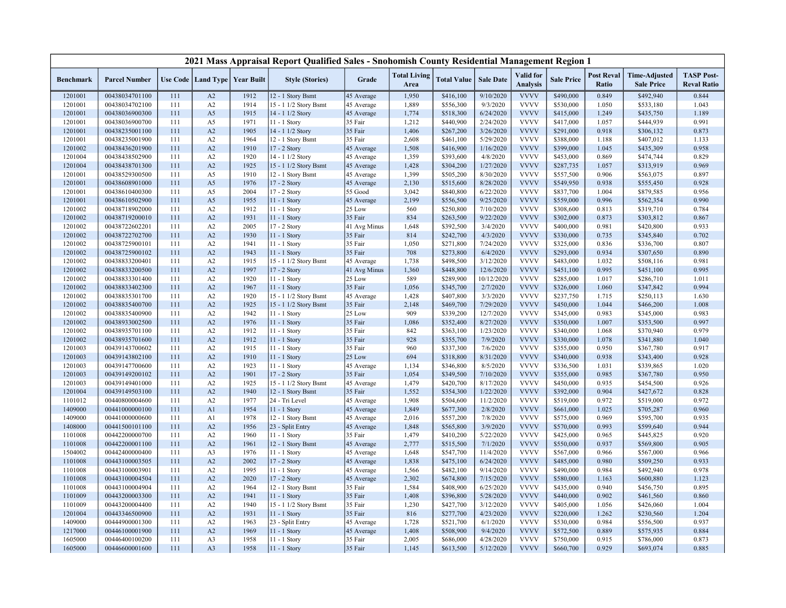|                    |                                  |            |                                   |              | 2021 Mass Appraisal Report Qualified Sales - Snohomish County Residential Management Region 1 |                    |                             |                        |                       |                                     |                        |                            |                                           |                                         |
|--------------------|----------------------------------|------------|-----------------------------------|--------------|-----------------------------------------------------------------------------------------------|--------------------|-----------------------------|------------------------|-----------------------|-------------------------------------|------------------------|----------------------------|-------------------------------------------|-----------------------------------------|
| <b>Benchmark</b>   | <b>Parcel Number</b>             |            | Use Code   Land Type   Year Built |              | <b>Style (Stories)</b>                                                                        | Grade              | <b>Total Living</b><br>Area | <b>Total Value</b>     | <b>Sale Date</b>      | <b>Valid</b> for<br><b>Analysis</b> | <b>Sale Price</b>      | <b>Post Reval</b><br>Ratio | <b>Time-Adjusted</b><br><b>Sale Price</b> | <b>TASP Post-</b><br><b>Reval Ratio</b> |
| 1201001            | 00438034701100                   | 111        | A2                                | 1912         | 12 - 1 Story Bsmt                                                                             | 45 Average         | 1,950                       | \$416,100              | 9/10/2020             | <b>VVVV</b>                         | \$490,000              | 0.849                      | \$492,940                                 | 0.844                                   |
| 1201001            | 00438034702100                   | 111        | A2                                | 1914         | 15 - 1 1/2 Story Bsmt                                                                         | 45 Average         | 1,889                       | \$556,300              | 9/3/2020              | <b>VVVV</b>                         | \$530,000              | 1.050                      | \$533,180                                 | 1.043                                   |
| 1201001            | 00438036900300                   | 111        | A5                                | 1915         | 14 - 1 1/2 Story                                                                              | 45 Average         | 1,774                       | \$518,300              | 6/24/2020             | <b>VVVV</b>                         | \$415,000              | 1.249                      | \$435,750                                 | 1.189                                   |
| 1201001            | 00438036900700                   | 111        | A5                                | 1971         | 11 - 1 Story                                                                                  | 35 Fair            | 1,212                       | \$440,900              | 2/24/2020             | <b>VVVV</b>                         | \$417,000              | 1.057                      | \$444,939                                 | 0.991                                   |
| 1201001            | 00438235001100                   | 111        | A2                                | 1905         | 14 - 1 1/2 Story                                                                              | 35 Fair            | 1,406                       | \$267,200              | 3/26/2020             | <b>VVVV</b>                         | \$291,000              | 0.918                      | \$306,132                                 | 0.873                                   |
| 1201001            | 00438235001900                   | 111        | A2                                | 1964         | 12 - 1 Story Bsmt                                                                             | 35 Fair            | 2,608                       | \$461,100              | 5/29/2020             | <b>VVVV</b>                         | \$388,000              | 1.188                      | \$407,012                                 | 1.133                                   |
| 1201002            | 00438436201900                   | 111        | A2                                | 1910         | 17 - 2 Story                                                                                  | 45 Average         | 1,508                       | \$416,900              | 1/16/2020             | <b>VVVV</b>                         | \$399,000              | 1.045                      | \$435,309                                 | 0.958                                   |
| 1201004            | 00438438502900                   | 111        | A2                                | 1920         | 14 - 1 1/2 Story                                                                              | 45 Average         | 1,359                       | \$393,600              | 4/8/2020              | <b>VVVV</b>                         | \$453,000              | 0.869                      | \$474,744                                 | 0.829                                   |
| 1201004            | 00438438701300                   | 111        | A2                                | 1925         | 15 - 1 1/2 Story Bsmt                                                                         | 45 Average         | 1,428                       | \$304,200              | 1/27/2020             | <b>VVVV</b>                         | \$287,735              | 1.057                      | \$313,919                                 | 0.969                                   |
| 1201001            | 00438529300500                   | 111        | A5                                | 1910         | 12 - 1 Story Bsmt                                                                             | 45 Average         | 1,399                       | \$505,200              | 8/30/2020             | <b>VVVV</b>                         | \$557,500              | 0.906                      | \$563,075                                 | 0.897                                   |
| 1201001            | 00438608901000                   | 111        | A <sub>5</sub>                    | 1976         | 17 - 2 Story                                                                                  | 45 Average         | 2,130                       | \$515,600              | 8/28/2020             | <b>VVVV</b>                         | \$549,950              | 0.938                      | \$555,450                                 | 0.928                                   |
| 1201001            | 00438610400300                   | 111        | A5                                | 2004         | 17 - 2 Story                                                                                  | 55 Good            | 3,042                       | \$840,800              | 6/22/2020             | <b>VVVV</b>                         | \$837,700              | 1.004                      | \$879,585                                 | 0.956                                   |
| 1201001            | 00438610502900                   | 111        | A <sub>5</sub>                    | 1955         | 11 - 1 Story                                                                                  | 45 Average         | 2,199                       | \$556,500              | 9/25/2020             | <b>VVVV</b>                         | \$559,000              | 0.996                      | \$562,354                                 | 0.990                                   |
| 1201002            | 00438718902000                   | 111        | A2                                | 1912         | 11 - 1 Story                                                                                  | 25 Low             | 560                         | \$250,800              | 7/10/2020             | <b>VVVV</b>                         | \$308,600              | 0.813                      | \$319,710                                 | 0.784                                   |
| 1201002            | 00438719200010                   | 111        | A2                                | 1931         | $11 - 1$ Story                                                                                | 35 Fair            | 834                         | \$263,500              | 9/22/2020             | <b>VVVV</b>                         | \$302,000              | 0.873                      | \$303,812                                 | 0.867                                   |
| 1201002            | 00438722602201                   | 111        | A2                                | 2005         | 17 - 2 Story                                                                                  | 41 Avg Minus       | 1,648                       | \$392,500              | 3/4/2020              | <b>VVVV</b>                         | \$400,000              | 0.981                      | \$420,800                                 | 0.933                                   |
| 1201002            | 00438722702700                   | 111        | A2                                | 1930         | $11 - 1$ Story                                                                                | 35 Fair            | 814                         | \$242,700              | 4/3/2020              | <b>VVVV</b>                         | \$330,000              | 0.735                      | \$345,840                                 | 0.702                                   |
| 1201002            | 00438725900101                   | 111        | A2                                | 1941         | 11 - 1 Story                                                                                  | 35 Fair            | 1,050                       | \$271,800              | 7/24/2020             | <b>VVVV</b>                         | \$325,000              | 0.836                      | \$336,700                                 | 0.807                                   |
| 1201002            | 00438725900102                   | 111        | A2                                | 1943         | 11 - 1 Story                                                                                  | 35 Fair            | 708                         | \$273,800              | 6/4/2020              | <b>VVVV</b>                         | \$293,000              | 0.934                      | \$307,650                                 | 0.890                                   |
| 1201002            | 00438833200401                   | 111        | A2                                | 1915         | 15 - 1 1/2 Story Bsmt                                                                         | 45 Average         | 1,738                       | \$498,500              | 3/12/2020             | <b>VVVV</b>                         | \$483,000              | 1.032                      | \$508,116                                 | 0.981                                   |
| 1201002            | 00438833200500                   | 111        | A2                                | 1997         | 17 - 2 Story                                                                                  | 41 Avg Minus       | 1,360                       | \$448,800              | 12/6/2020             | <b>VVVV</b>                         | \$451,100              | 0.995                      | \$451,100                                 | 0.995                                   |
| 1201002            | 00438833301400                   | 111        | A2                                | 1920         | 11 - 1 Story                                                                                  | 25 Low             | 589                         | \$289,900              | 10/12/2020            | <b>VVVV</b>                         | \$285,000              | 1.017                      | \$286,710                                 | 1.011                                   |
| 1201002            | 00438833402300                   | 111        | A2                                | 1967         | 11 - 1 Story                                                                                  | 35 Fair            | 1,056                       | \$345,700              | 2/7/2020              | <b>VVVV</b>                         | \$326,000              | 1.060                      | \$347,842                                 | 0.994                                   |
| 1201002            | 00438835301700                   | 111        | A2                                | 1920         | 15 - 1 1/2 Story Bsmt                                                                         | 45 Average         | 1,428                       | \$407,800              | 3/3/2020              | <b>VVVV</b>                         | \$237,750              | 1.715                      | \$250,113                                 | 1.630                                   |
| 1201002            | 00438835400700                   | 111        | A2                                | 1925         | 15 - 1 1/2 Story Bsmt                                                                         | 35 Fair            | 2,148                       | \$469,700              | 7/29/2020             | <b>VVVV</b><br><b>VVVV</b>          | \$450,000              | 1.044                      | \$466,200                                 | 1.008                                   |
| 1201002            | 00438835400900                   | 111        | A2                                | 1942         | 11 - 1 Story                                                                                  | 25 Low             | 909                         | \$339,200              | 12/7/2020             |                                     | \$345,000              | 0.983                      | \$345,000                                 | 0.983<br>0.997                          |
| 1201002            | 00438933002500                   | 111<br>111 | A2                                | 1976         | 11 - 1 Story                                                                                  | 35 Fair            | 1,086                       | \$352,400              | 8/27/2020             | <b>VVVV</b><br><b>VVVV</b>          | \$350,000              | 1.007                      | \$353,500                                 | 0.979                                   |
| 1201002<br>1201002 | 00438935701100<br>00438935701600 | 111        | A2<br>A2                          | 1912<br>1912 | 11 - 1 Story<br>11 - 1 Story                                                                  | 35 Fair<br>35 Fair | 842<br>928                  | \$363,100<br>\$355,700 | 1/23/2020<br>7/9/2020 | <b>VVVV</b>                         | \$340,000<br>\$330,000 | 1.068<br>1.078             | \$370,940<br>\$341,880                    | 1.040                                   |
| 1201003            | 00439143700602                   | 111        | A2                                | 1915         | 11 - 1 Story                                                                                  | 35 Fair            | 960                         |                        | 7/6/2020              | <b>VVVV</b>                         | \$355,000              | 0.950                      | \$367,780                                 | 0.917                                   |
| 1201003            | 00439143802100                   | 111        | A2                                | 1910         | 11 - 1 Story                                                                                  | 25 Low             | 694                         | \$337,300<br>\$318,800 | 8/31/2020             | <b>VVVV</b>                         | \$340,000              | 0.938                      | \$343,400                                 | 0.928                                   |
| 1201003            | 00439147700600                   | 111        | A2                                | 1923         | 11 - 1 Story                                                                                  | 45 Average         | 1,134                       | \$346,800              | 8/5/2020              | <b>VVVV</b>                         | \$336,500              | 1.031                      | \$339,865                                 | 1.020                                   |
| 1201003            | 00439149200102                   | 111        | A2                                | 1901         | 17 - 2 Story                                                                                  | 35 Fair            | 1,054                       | \$349,500              | 7/10/2020             | <b>VVVV</b>                         | \$355,000              | 0.985                      | \$367,780                                 | 0.950                                   |
| 1201003            | 00439149401000                   | 111        | A2                                | 1925         | 15 - 1 1/2 Story Bsmt                                                                         | 45 Average         | 1,479                       | \$420,700              | 8/17/2020             | <b>VVVV</b>                         | \$450,000              | 0.935                      | \$454,500                                 | 0.926                                   |
| 1201004            | 00439149503100                   | 111        | A2                                | 1940         | 12 - 1 Story Bsmt                                                                             | 35 Fair            | 1,552                       | \$354,300              | 1/22/2020             | <b>VVVV</b>                         | \$392,000              | 0.904                      | \$427,672                                 | 0.828                                   |
| 1101012            | 00440800004600                   | 111        | A2                                | 1977         | 24 - Tri Level                                                                                | 45 Average         | 1,908                       | \$504,600              | 11/2/2020             | <b>VVVV</b>                         | \$519,000              | 0.972                      | \$519,000                                 | 0.972                                   |
| 1409000            | 00441000000100                   | 111        | A1                                | 1954         | 11 - 1 Story                                                                                  | 45 Average         | 1,849                       | \$677,300              | 2/8/2020              | <b>VVVV</b>                         | \$661,000              | 1.025                      | \$705,287                                 | 0.960                                   |
| 1409000            | 00441000000600                   | 111        | A <sub>1</sub>                    | 1978         | 12 - 1 Story Bsmt                                                                             | 45 Average         | 2,016                       | \$557,200              | 7/8/2020              | <b>VVVV</b>                         | \$575,000              | 0.969                      | \$595,700                                 | 0.935                                   |
| 1408000            | 00441500101100                   | 111        | A2                                | 1956         | 23 - Split Entry                                                                              | 45 Average         | 1,848                       | \$565,800              | 3/9/2020              | <b>VVVV</b>                         | \$570,000              | 0.993                      | \$599,640                                 | 0.944                                   |
| 1101008            | 00442200000700                   | 111        | A2                                | 1960         | 11 - 1 Story                                                                                  | 35 Fair            | 1,479                       | \$410,200              | 5/22/2020             | <b>VVVV</b>                         | \$425,000              | 0.965                      | \$445,825                                 | 0.920                                   |
| 1101008            | 00442200001100                   | 111        | A2                                | 1961         | 12 - 1 Story Bsmt                                                                             | 45 Average         | 2,777                       | \$515,500              | 7/1/2020              | <b>VVVV</b>                         | \$550,000              | 0.937                      | \$569,800                                 | 0.905                                   |
| 1504002            | 00442400000400                   | 111        | A3                                | 1976         | 11 - 1 Story                                                                                  | 45 Average         | 1,648                       | \$547,700              | 11/4/2020             | <b>VVVV</b>                         | \$567,000              | 0.966                      | \$567,000                                 | 0.966                                   |
| 1101008            | 00443100003505                   | 111        | A2                                | 2002         | 17 - 2 Story                                                                                  | 45 Average         | 1,838                       | \$475,100              | 6/24/2020             | <b>VVVV</b>                         | \$485,000              | 0.980                      | \$509,250                                 | 0.933                                   |
| 1101008            | 00443100003901                   | 111        | A2                                | 1995         | 11 - 1 Story                                                                                  | 45 Average         | 1,566                       | \$482,100              | 9/14/2020             | <b>VVVV</b>                         | \$490,000              | 0.984                      | \$492,940                                 | 0.978                                   |
| 1101008            | 00443100004504                   | 111        | A2                                | 2020         | $17 - 2$ Story                                                                                | 45 Average         | 2,302                       | \$674,800              | 7/15/2020             | <b>VVVV</b>                         | \$580,000              | 1.163                      | \$600,880                                 | 1.123                                   |
| 1101008            | 00443100004904                   | 111        | A2                                | 1964         | 12 - 1 Story Bsmt                                                                             | 35 Fair            | 1,584                       | \$408,900              | 6/25/2020             | <b>VVVV</b>                         | \$435,000              | 0.940                      | \$456,750                                 | 0.895                                   |
| 1101009            | 00443200003300                   | 111        | A2                                | 1941         | 11 - 1 Story                                                                                  | 35 Fair            | 1,408                       | \$396,800              | 5/28/2020             | <b>VVVV</b>                         | \$440,000              | 0.902                      | \$461,560                                 | 0.860                                   |
| 1101009            | 00443200004400                   | 111        | A2                                | 1940         | 15 - 1 1/2 Story Bsmt                                                                         | 35 Fair            | 1,230                       | \$427,700              | 3/12/2020             | <b>VVVV</b>                         | \$405,000              | 1.056                      | \$426,060                                 | 1.004                                   |
| 1201004            | 00443346500900                   | 111        | A2                                | 1931         | 11 - 1 Story                                                                                  | 35 Fair            | 816                         | \$277,700              | 4/23/2020             | <b>VVVV</b>                         | \$220,000              | 1.262                      | \$230,560                                 | 1.204                                   |
| 1409000            | 00444900001300                   | 111        | A2                                | 1963         | 23 - Split Entry                                                                              | 45 Average         | 1,728                       | \$521,700              | 6/1/2020              | <b>VVVV</b>                         | \$530,000              | 0.984                      | \$556,500                                 | 0.937                                   |
| 1217000            | 00446100001900                   | 111        | A2                                | 1969         | 11 - 1 Story                                                                                  | 45 Average         | 1,408                       | \$508,900              | 9/4/2020              | <b>VVVV</b>                         | \$572,500              | 0.889                      | \$575,935                                 | 0.884                                   |
| 1605000            | 00446400100200                   | 111        | A <sub>3</sub>                    | 1958         | $11 - 1$ Story                                                                                | 35 Fair            | 2,005                       | \$686,000              | 4/28/2020             | <b>VVVV</b>                         | \$750,000              | 0.915                      | \$786,000                                 | 0.873                                   |
| 1605000            | 00446600001600                   | 111        | A <sub>3</sub>                    | 1958         | 11 - 1 Story                                                                                  | 35 Fair            | 1,145                       | \$613,500              | 5/12/2020             | <b>VVVV</b>                         | \$660,700              | 0.929                      | \$693,074                                 | 0.885                                   |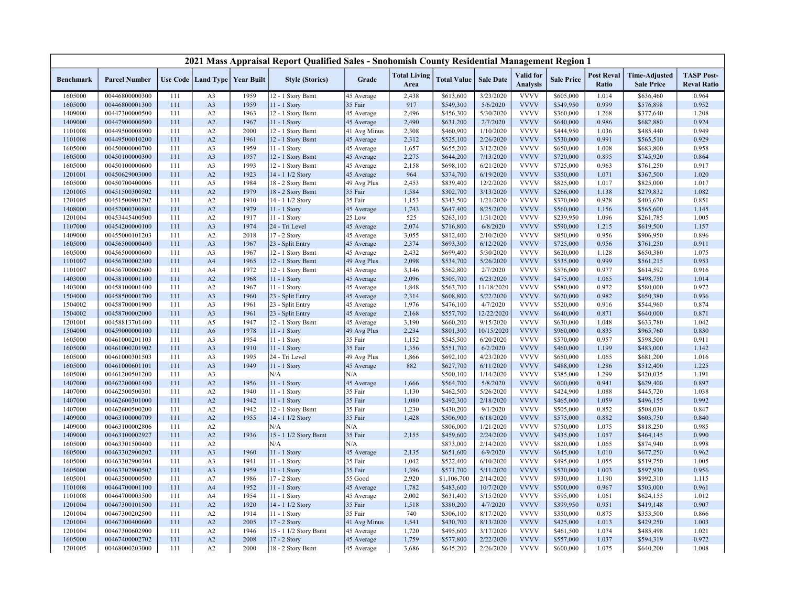|                  |                      |     |                      |                   | 2021 Mass Appraisal Report Qualified Sales - Snohomish County Residential Management Region 1 |              |                             |                    |                  |                                     |                   |                            |                                           |                                         |
|------------------|----------------------|-----|----------------------|-------------------|-----------------------------------------------------------------------------------------------|--------------|-----------------------------|--------------------|------------------|-------------------------------------|-------------------|----------------------------|-------------------------------------------|-----------------------------------------|
| <b>Benchmark</b> | <b>Parcel Number</b> |     | Use Code   Land Type | <b>Year Built</b> | <b>Style (Stories)</b>                                                                        | Grade        | <b>Total Living</b><br>Area | <b>Total Value</b> | <b>Sale Date</b> | <b>Valid</b> for<br><b>Analysis</b> | <b>Sale Price</b> | <b>Post Reval</b><br>Ratio | <b>Time-Adjusted</b><br><b>Sale Price</b> | <b>TASP Post-</b><br><b>Reval Ratio</b> |
| 1605000          | 00446800000300       | 111 | A3                   | 1959              | 12 - 1 Story Bsmt                                                                             | 45 Average   | 2,438                       | \$613,600          | 3/23/2020        | <b>VVVV</b>                         | \$605,000         | 1.014                      | \$636,460                                 | 0.964                                   |
| 1605000          | 00446800001300       | 111 | A3                   | 1959              | 11 - 1 Story                                                                                  | 35 Fair      | 917                         | \$549,300          | 5/6/2020         | <b>VVVV</b>                         | \$549,950         | 0.999                      | \$576,898                                 | 0.952                                   |
| 1409000          | 00447300000500       | 111 | A <sub>2</sub>       | 1963              | 12 - 1 Story Bsmt                                                                             | 45 Average   | 2,496                       | \$456,300          | 5/30/2020        | <b>VVVV</b>                         | \$360,000         | 1.268                      | \$377,640                                 | 1.208                                   |
| 1409000          | 00447900000500       | 111 | A2                   | 1967              | 11 - 1 Story                                                                                  | 45 Average   | 2,490                       | \$631,200          | 2/7/2020         | <b>VVVV</b>                         | \$640,000         | 0.986                      | \$682,880                                 | 0.924                                   |
| 1101008          | 00449500008900       | 111 | A2                   | 2000              | 12 - 1 Story Bsmt                                                                             | 41 Avg Minus | 2,308                       | \$460,900          | 1/10/2020        | <b>VVVV</b>                         | \$444,950         | 1.036                      | \$485,440                                 | 0.949                                   |
| 1101008          | 00449500010200       | 111 | A2                   | 1961              | 12 - 1 Story Bsmt                                                                             | 45 Average   | 2,312                       | \$525,100          | 2/26/2020        | <b>VVVV</b>                         | \$530,000         | 0.991                      | \$565,510                                 | 0.929                                   |
| 1605000          | 00450000000700       | 111 | A3                   | 1959              | 11 - 1 Story                                                                                  | 45 Average   | 1,657                       | \$655,200          | 3/12/2020        | <b>VVVV</b>                         | \$650,000         | 1.008                      | \$683,800                                 | 0.958                                   |
| 1605000          | 00450100000300       | 111 | A <sub>3</sub>       | 1957              | 12 - 1 Story Bsmt                                                                             | 45 Average   | 2,275                       | \$644,200          | 7/13/2020        | <b>VVVV</b>                         | \$720,000         | 0.895                      | \$745,920                                 | 0.864                                   |
| 1605000          | 00450100000600       | 111 | A <sub>3</sub>       | 1993              | 12 - 1 Story Bsmt                                                                             | 45 Average   | 2,158                       | \$698,100          | 6/21/2020        | <b>VVVV</b>                         | \$725,000         | 0.963                      | \$761,250                                 | 0.917                                   |
| 1201001          | 00450629003000       | 111 | A2                   | 1923              | 14 - 1 1/2 Story                                                                              | 45 Average   | 964                         | \$374,700          | 6/19/2020        | <b>VVVV</b>                         | \$350,000         | 1.071                      | \$367,500                                 | 1.020                                   |
| 1605000          | 00450700400006       | 111 | A5                   | 1984              | 18 - 2 Story Bsmt                                                                             | 49 Avg Plus  | 2,453                       | \$839,400          | 12/2/2020        | <b>VVVV</b>                         | \$825,000         | 1.017                      | \$825,000                                 | 1.017                                   |
| 1201005          | 00451500300502       | 111 | A2                   | 1979              | 18 - 2 Story Bsmt                                                                             | 35 Fair      | 1,584                       | \$302,700          | 3/13/2020        | <b>VVVV</b>                         | \$266,000         | 1.138                      | \$279,832                                 | 1.082                                   |
| 1201005          | 00451500901202       | 111 | A2                   | 1910              | $14 - 1$ $1/2$ Story                                                                          | 35 Fair      | 1,153                       | \$343,500          | 1/21/2020        | <b>VVVV</b>                         | \$370,000         | 0.928                      | \$403,670                                 | 0.851                                   |
| 1408000          | 00452000300801       | 111 | A2                   | 1979              | 11 - 1 Story                                                                                  | 45 Average   | 1,743                       | \$647,400          | 8/25/2020        | <b>VVVV</b>                         | \$560,000         | 1.156                      | \$565,600                                 | 1.145                                   |
| 1201004          | 00453445400500       | 111 | A2                   | 1917              | 11 - 1 Story                                                                                  | 25 Low       | 525                         | \$263,100          | 1/31/2020        | <b>VVVV</b>                         | \$239,950         | 1.096                      | \$261,785                                 | 1.005                                   |
| 1107000          | 00454200000100       | 111 | A <sub>3</sub>       | 1974              | 24 - Tri Level                                                                                | 45 Average   | 2,074                       | \$716,800          | 6/8/2020         | <b>VVVV</b>                         | \$590,000         | 1.215                      | \$619,500                                 | 1.157                                   |
| 1409000          | 00455000101203       | 111 | A2                   | 2018              | 17 - 2 Story                                                                                  | 45 Average   | 3,055                       | \$812,400          | 2/10/2020        | <b>VVVV</b>                         | \$850,000         | 0.956                      | \$906,950                                 | 0.896                                   |
| 1605000          | 00456500000400       | 111 | A <sub>3</sub>       | 1967              | 23 - Split Entry                                                                              | 45 Average   | 2,374                       | \$693,300          | 6/12/2020        | <b>VVVV</b>                         | \$725,000         | 0.956                      | \$761,250                                 | 0.911                                   |
| 1605000          | 00456500000600       | 111 | A <sub>3</sub>       | 1967              | 12 - 1 Story Bsmt                                                                             | 45 Average   | 2,432                       | \$699,400          | 5/30/2020        | <b>VVVV</b>                         | \$620,000         | 1.128                      | \$650,380                                 | 1.075                                   |
| 1101007          | 00456700002300       | 111 | A <sub>4</sub>       | 1965              | 12 - 1 Story Bsmt                                                                             | 49 Avg Plus  | 2,098                       | \$534,700          | 5/26/2020        | <b>VVVV</b>                         | \$535,000         | 0.999                      | \$561,215                                 | 0.953                                   |
| 1101007          | 00456700002600       | 111 | A4                   | 1972              | 12 - 1 Story Bsmt                                                                             | 45 Average   | 3,146                       | \$562,800          | 2/7/2020         | <b>VVVV</b>                         | \$576,000         | 0.977                      | \$614,592                                 | 0.916                                   |
| 1403000          | 00458100001100       | 111 | A2                   | 1968              | $11 - 1$ Story                                                                                | 45 Average   | 2,096                       | \$505,700          | 6/23/2020        | <b>VVVV</b>                         | \$475,000         | 1.065                      | \$498,750                                 | 1.014                                   |
| 1403000          | 00458100001400       | 111 | A2                   | 1967              | 11 - 1 Story                                                                                  | 45 Average   | 1,848                       | \$563,700          | 11/18/2020       | <b>VVVV</b>                         | \$580,000         | 0.972                      | \$580,000                                 | 0.972                                   |
| 1504000          | 00458500001700       | 111 | A <sub>3</sub>       | 1960              | 23 - Split Entry                                                                              | 45 Average   | 2,314                       | \$608,800          | 5/22/2020        | <b>VVVV</b>                         | \$620,000         | 0.982                      | \$650,380                                 | 0.936                                   |
| 1504002          | 00458700001900       | 111 | A <sub>3</sub>       | 1961              | 23 - Split Entry                                                                              | 45 Average   | 1,976                       | \$476,100          | 4/7/2020         | <b>VVVV</b>                         | \$520,000         | 0.916                      | \$544,960                                 | 0.874                                   |
| 1504002          | 00458700002000       | 111 | A <sub>3</sub>       | 1961              | 23 - Split Entry                                                                              | 45 Average   | 2,168                       | \$557,700          | 12/22/2020       | <b>VVVV</b>                         | \$640,000         | 0.871                      | \$640,000                                 | 0.871                                   |
| 1201001          | 00458813701400       | 111 | A5                   | 1947              | 12 - 1 Story Bsmt                                                                             | 45 Average   | 3,190                       | \$660,200          | 9/15/2020        | <b>VVVV</b>                         | \$630,000         | 1.048                      | \$633,780                                 | 1.042                                   |
| 1504000          | 00459000000100       | 111 | A6                   | 1978              | 11 - 1 Story                                                                                  | 49 Avg Plus  | 2,234                       | \$801,300          | 10/15/2020       | <b>VVVV</b>                         | \$960,000         | 0.835                      | \$965,760                                 | 0.830                                   |
| 1605000          | 00461000201103       | 111 | A <sub>3</sub>       | 1954              | 11 - 1 Story                                                                                  | 35 Fair      | 1,152                       | \$545,500          | 6/20/2020        | <b>VVVV</b>                         | \$570,000         | 0.957                      | \$598,500                                 | 0.911                                   |
| 1605000          | 00461000201902       | 111 | A <sub>3</sub>       | 1910              | 11 - 1 Story                                                                                  | 35 Fair      | 1,356                       | \$551,700          | 6/2/2020         | <b>VVVV</b>                         | \$460,000         | 1.199                      | \$483,000                                 | 1.142                                   |
| 1605000          | 00461000301503       | 111 | A <sub>3</sub>       | 1995              | 24 - Tri Level                                                                                | 49 Avg Plus  | 1,866                       | \$692,100          | 4/23/2020        | <b>VVVV</b>                         | \$650,000         | 1.065                      | \$681,200                                 | 1.016                                   |
| 1605000          | 00461000601101       | 111 | A <sub>3</sub>       | 1949              | 11 - 1 Story                                                                                  | 45 Average   | 882                         | \$627,700          | 6/11/2020        | <b>VVVV</b>                         | \$488,000         | 1.286                      | \$512,400                                 | 1.225                                   |
| 1605000          | 00461200501200       | 111 | A <sub>3</sub>       |                   | N/A                                                                                           | N/A          |                             | \$500,100          | 1/14/2020        | <b>VVVV</b>                         | \$385,000         | 1.299                      | \$420,035                                 | 1.191                                   |
| 1407000          | 00462200001400       | 111 | A2                   | 1956              | 11 - 1 Story                                                                                  | 45 Average   | 1,666                       | \$564,700          | 5/8/2020         | <b>VVVV</b>                         | \$600,000         | 0.941                      | \$629,400                                 | 0.897                                   |
| 1407000          | 00462500500301       | 111 | A2                   | 1940              | 11 - 1 Story                                                                                  | 35 Fair      | 1,130                       | \$462,500          | 5/26/2020        | <b>VVVV</b>                         | \$424,900         | 1.088                      | \$445,720                                 | 1.038                                   |
| 1407000          | 00462600301000       | 111 | A2                   | 1942              | 11 - 1 Story                                                                                  | 35 Fair      | 1,080                       | \$492,300          | 2/18/2020        | <b>VVVV</b>                         | \$465,000         | 1.059                      | \$496,155                                 | 0.992                                   |
| 1407000          | 00462600500200       | 111 | A2                   | 1942              | 12 - 1 Story Bsmt                                                                             | 35 Fair      | 1,230                       | \$430,200          | 9/1/2020         | <b>VVVV</b>                         | \$505,000         | 0.852                      | \$508,030                                 | 0.847                                   |
| 1409000          | 00463100000709       | 111 | A2                   | 1955              | 14 - 1 1/2 Story                                                                              | 35 Fair      | 1,428                       | \$506,900          | 6/18/2020        | <b>VVVV</b>                         | \$575,000         | 0.882                      | \$603,750                                 | 0.840                                   |
| 1409000          | 00463100002806       | 111 | A2                   |                   | N/A                                                                                           | N/A          |                             | \$806,000          | 1/21/2020        | <b>VVVV</b><br><b>VVVV</b>          | \$750,000         | 1.075                      | \$818,250                                 | 0.985                                   |
| 1409000          | 00463100002927       | 111 | A2                   | 1936              | 15 - 1 1/2 Story Bsmt                                                                         | 35 Fair      | 2,155                       | \$459,600          | 2/24/2020        |                                     | \$435,000         | 1.057                      | \$464,145                                 | 0.990                                   |
| 1605000          | 00463301500400       | 111 | A2                   |                   | N/A                                                                                           | N/A          |                             | \$873,000          | 2/14/2020        | <b>VVVV</b>                         | \$820,000         | 1.065                      | \$874,940                                 | 0.998                                   |
| 1605000          | 00463302900202       | 111 | A <sub>3</sub>       | 1960              | 11 - 1 Story                                                                                  | 45 Average   | 2,135                       | \$651,600          | 6/9/2020         | <b>VVVV</b>                         | \$645,000         | 1.010                      | \$677,250                                 | 0.962                                   |
| 1605000          | 00463302900304       | 111 | A <sub>3</sub>       | 1941              | 11 - 1 Story                                                                                  | 35 Fair      | 1,042                       | \$522,400          | 6/10/2020        | <b>VVVV</b>                         | \$495,000         | 1.055                      | \$519,750                                 | 1.005                                   |
| 1605000          | 00463302900502       | 111 | A <sub>3</sub>       | 1959              | 11 - 1 Story                                                                                  | 35 Fair      | 1,396                       | \$571,700          | 5/11/2020        | <b>VVVV</b>                         | \$570,000         | 1.003                      | \$597,930                                 | 0.956                                   |
| 1605001          | 00463500000500       | 111 | A7                   | 1986              | 17 - 2 Story                                                                                  | 55 Good      | 2,920                       | \$1,106,700        | 2/14/2020        | <b>VVVV</b>                         | \$930,000         | 1.190                      | \$992,310                                 | 1.115                                   |
| 1101008          | 00464700001100       | 111 | A <sub>4</sub>       | 1952              | 11 - 1 Story                                                                                  | 45 Average   | 1,782                       | \$483,600          | 10/7/2020        | <b>VVVV</b>                         | \$500,000         | 0.967                      | \$503,000                                 | 0.961                                   |
| 1101008          | 00464700003500       | 111 | A4                   | 1954              | 11 - 1 Story                                                                                  | 45 Average   | 2,002                       | \$631,400          | 5/15/2020        | <b>VVVV</b><br><b>VVVV</b>          | \$595,000         | 1.061                      | \$624,155                                 | 1.012                                   |
| 1201004          | 00467300101500       | 111 | A2                   | 1920              | 14 - 1 1/2 Story                                                                              | 35 Fair      | 1,518                       | \$380,200          | 4/7/2020         |                                     | \$399,950         | 0.951                      | \$419,148                                 | 0.907                                   |
| 1201004          | 00467300202500       | 111 | A2                   | 1914              | 11 - 1 Story                                                                                  | 35 Fair      | 740                         | \$306,100          | 8/17/2020        | <b>VVVV</b>                         | \$350,000         | 0.875                      | \$353,500                                 | 0.866                                   |
| 1201004          | 00467300400600       | 111 | A2                   | 2005              | 17 - 2 Story                                                                                  | 41 Avg Minus | 1,541                       | \$430,700          | 8/13/2020        | <b>VVVV</b>                         | \$425,000         | 1.013                      | \$429,250                                 | 1.003                                   |
| 1201004          | 00467300602900       | 111 | A2                   | 1946              | 15 - 1 1/2 Story Bsmt                                                                         | 45 Average   | 1,720                       | \$495,600          | 3/17/2020        | <b>VVVV</b>                         | \$461,500         | 1.074                      | \$485,498                                 | 1.021                                   |
| 1605000          | 00467400002702       | 111 | A2                   | 2008              | 17 - 2 Story                                                                                  | 45 Average   | 1,759                       | \$577,800          | 2/22/2020        | <b>VVVV</b>                         | \$557,000         | 1.037                      | \$594,319                                 | 0.972                                   |
| 1201005          | 00468000203000       | 111 | A2                   | 2000              | 18 - 2 Story Bsmt                                                                             | 45 Average   | 3,686                       | \$645,200          | 2/26/2020        | <b>VVVV</b>                         | \$600,000         | 1.075                      | \$640,200                                 | 1.008                                   |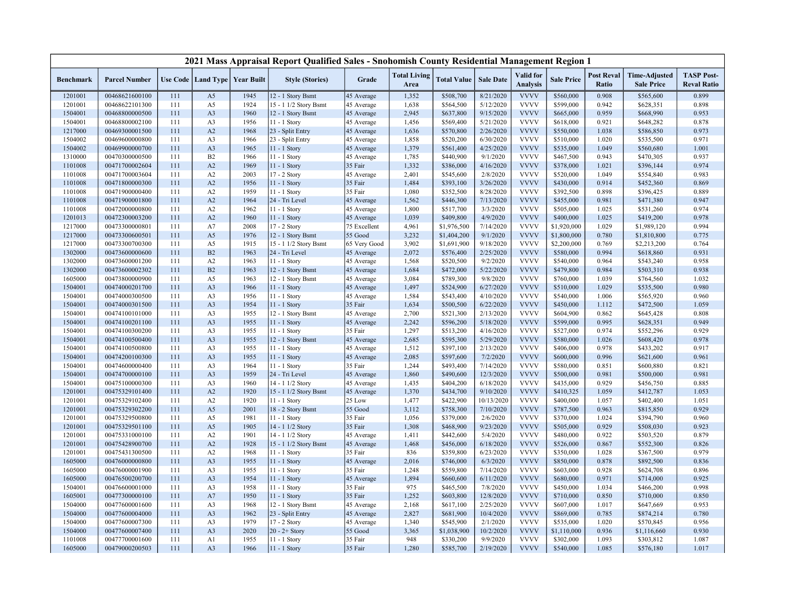|                    |                                  |            |                      |                                   | 2021 Mass Appraisal Report Qualified Sales - Snohomish County Residential Management Region 1 |                       |                             |                        |                        |                              |                        |                            |                                           |                                         |
|--------------------|----------------------------------|------------|----------------------|-----------------------------------|-----------------------------------------------------------------------------------------------|-----------------------|-----------------------------|------------------------|------------------------|------------------------------|------------------------|----------------------------|-------------------------------------------|-----------------------------------------|
| <b>Benchmark</b>   | <b>Parcel Number</b>             |            |                      | Use Code   Land Type   Year Built | <b>Style (Stories)</b>                                                                        | Grade                 | <b>Total Living</b><br>Area | <b>Total Value</b>     | <b>Sale Date</b>       | Valid for<br><b>Analysis</b> | <b>Sale Price</b>      | <b>Post Reval</b><br>Ratio | <b>Time-Adjusted</b><br><b>Sale Price</b> | <b>TASP Post-</b><br><b>Reval Ratio</b> |
| 1201001            | 00468621600100                   | 111        | A <sub>5</sub>       | 1945                              | 12 - 1 Story Bsmt                                                                             | 45 Average            | 1,352                       | \$508,700              | 8/21/2020              | <b>VVVV</b>                  | \$560,000              | 0.908                      | \$565,600                                 | 0.899                                   |
| 1201001            | 00468622101300                   | 111        | A5                   | 1924                              | 15 - 1 1/2 Story Bsmt                                                                         | 45 Average            | 1,638                       | \$564,500              | 5/12/2020              | <b>VVVV</b>                  | \$599,000              | 0.942                      | \$628,351                                 | 0.898                                   |
| 1504001            | 00468800000500                   | 111        | A <sub>3</sub>       | 1960                              | 12 - 1 Story Bsmt                                                                             | 45 Average            | 2,945                       | \$637,800              | 9/15/2020              | <b>VVVV</b>                  | \$665,000              | 0.959                      | \$668,990                                 | 0.953                                   |
| 1504001            | 00468800002100                   | 111        | A <sub>3</sub>       | 1956                              | 11 - 1 Story                                                                                  | 45 Average            | 1,456                       | \$569,400              | 5/21/2020              | <b>VVVV</b>                  | \$618,000              | 0.921                      | \$648,282                                 | 0.878                                   |
| 1217000            | 00469300001500                   | 111        | A2                   | 1968                              | 23 - Split Entry                                                                              | 45 Average            | 1,636                       | \$570,800              | 2/26/2020              | <b>VVVV</b>                  | \$550,000              | 1.038                      | \$586,850                                 | 0.973                                   |
| 1504002            | 00469600000800                   | 111        | A <sub>3</sub>       | 1966                              | 23 - Split Entry                                                                              | 45 Average            | 1,858                       | \$520,200              | 6/30/2020              | <b>VVVV</b>                  | \$510,000              | 1.020                      | \$535,500                                 | 0.971                                   |
| 1504002            | 00469900000700                   | 111        | A <sub>3</sub>       | 1965                              | 11 - 1 Story                                                                                  | 45 Average            | 1,379                       | \$561,400              | 4/25/2020              | <b>VVVV</b>                  | \$535,000              | 1.049                      | \$560,680                                 | 1.001                                   |
| 1310000            | 00470300000500                   | 111        | B2                   | 1966                              | 11 - 1 Story                                                                                  | 45 Average            | 1,785                       | \$440,900              | 9/1/2020               | <b>VVVV</b>                  | \$467,500              | 0.943                      | \$470,305                                 | 0.937                                   |
| 1101008            | 00471700002604                   | 111        | A2                   | 1969                              | 11 - 1 Story                                                                                  | 35 Fair               | 1,332                       | \$386,000              | 4/16/2020              | <b>VVVV</b>                  | \$378,000              | 1.021                      | \$396,144                                 | 0.974                                   |
| 1101008            | 00471700003604                   | 111        | A2                   | 2003                              | 17 - 2 Story                                                                                  | 45 Average            | 2,401                       | \$545,600              | 2/8/2020               | <b>VVVV</b>                  | \$520,000              | 1.049                      | \$554,840                                 | 0.983                                   |
| 1101008            | 00471800000300                   | 111        | A2                   | 1956                              | 11 - 1 Story                                                                                  | 35 Fair               | 1,484                       | \$393,100              | 3/26/2020              | <b>VVVV</b>                  | \$430,000              | 0.914                      | \$452,360                                 | 0.869                                   |
| 1101008            | 00471900000400                   | 111        | A2                   | 1959                              | 11 - 1 Story                                                                                  | 35 Fair               | 1,080                       | \$352,500              | 8/28/2020              | <b>VVVV</b>                  | \$392,500              | 0.898                      | \$396,425                                 | 0.889                                   |
| 1101008            | 00471900001800                   | 111        | A2                   | 1964                              | 24 - Tri Level                                                                                | 45 Average            | 1,562                       | \$446,300              | 7/13/2020              | <b>VVVV</b>                  | \$455,000              | 0.981                      | \$471,380                                 | 0.947                                   |
| 1101008            | 00472000000800                   | 111        | A2                   | 1962                              | 11 - 1 Story                                                                                  | 45 Average            | 1,800                       | \$517,700              | 3/3/2020               | <b>VVVV</b>                  | \$505,000              | 1.025                      | \$531,260                                 | 0.974                                   |
| 1201013            | 00472300003200                   | 111        | A2                   | 1960                              | $11 - 1$ Story                                                                                | 45 Average            | 1,039                       | \$409,800              | 4/9/2020               | <b>VVVV</b>                  | \$400,000              | 1.025                      | \$419,200                                 | 0.978                                   |
| 1217000            | 00473300000801                   | 111        | A7                   | 2008                              | 17 - 2 Story                                                                                  | 75 Excellent          | 4,961                       | \$1,976,500            | 7/14/2020              | <b>VVVV</b>                  | \$1,920,000            | 1.029                      | \$1,989,120                               | 0.994                                   |
| 1217000            | 00473300600501                   | 111        | A <sub>5</sub>       | 1976                              | 12 - 1 Story Bsmt                                                                             | 55 Good               | 3,232                       | \$1,404,200            | 9/1/2020               | <b>VVVV</b>                  | \$1,800,000            | 0.780                      | \$1,810,800                               | 0.775                                   |
| 1217000            | 00473300700300                   | 111        | A5                   | 1915                              | 15 - 1 1/2 Story Bsmt                                                                         | 65 Very Good          | 3,902                       | \$1,691,900            | 9/18/2020              | <b>VVVV</b>                  | \$2,200,000            | 0.769                      | \$2,213,200                               | 0.764                                   |
| 1302000            | 00473600000600                   | 111        | B2                   | 1963                              | 24 - Tri Level                                                                                | 45 Average            | 2,072                       | \$576,400              | 2/25/2020              | <b>VVVV</b>                  | \$580,000              | 0.994                      | \$618,860                                 | 0.931                                   |
| 1302000            | 00473600001200                   | 111        | A2                   | 1963                              | 11 - 1 Story                                                                                  | 45 Average            | 1,568                       | \$520,500              | 9/2/2020               | <b>VVVV</b>                  | \$540,000              | 0.964                      | \$543,240                                 | 0.958                                   |
| 1302000            | 00473600002302                   | 111        | B2                   | 1963                              | 12 - 1 Story Bsmt                                                                             | 45 Average            | 1,684                       | \$472,000              | 5/22/2020              | <b>VVVV</b>                  | \$479,800              | 0.984                      | \$503,310                                 | 0.938                                   |
| 1605000            | 00473800000900                   | 111        | A5                   | 1963                              | 12 - 1 Story Bsmt                                                                             | 45 Average            | 3,084                       | \$789,300              | 9/8/2020               | <b>VVVV</b>                  | \$760,000              | 1.039                      | \$764,560                                 | 1.032                                   |
| 1504001            | 00474000201700                   | 111        | A <sub>3</sub>       | 1966                              | 11 - 1 Story                                                                                  | 45 Average            | 1,497                       | \$524,900              | 6/27/2020              | <b>VVVV</b>                  | \$510,000              | 1.029                      | \$535,500                                 | 0.980                                   |
| 1504001            | 00474000300500                   | 111        | A <sub>3</sub>       | 1956                              | 11 - 1 Story                                                                                  | 45 Average            | 1,584                       | \$543,400              | 4/10/2020              | <b>VVVV</b>                  | \$540,000              | 1.006                      | \$565,920                                 | 0.960                                   |
| 1504001            | 00474000301500                   | 111        | A <sub>3</sub>       | 1954                              | 11 - 1 Story                                                                                  | 35 Fair               | 1,634                       | \$500,500              | 6/22/2020              | <b>VVVV</b><br><b>VVVV</b>   | \$450,000              | 1.112                      | \$472,500                                 | 1.059                                   |
| 1504001            | 00474100101000                   | 111        | A <sub>3</sub>       | 1955                              | 12 - 1 Story Bsmt                                                                             | 45 Average            | 2,700                       | \$521,300              | 2/13/2020              |                              | \$604,900              | 0.862                      | \$645,428                                 | 0.808                                   |
| 1504001            | 00474100201100                   | 111        | A3                   | 1955                              | 11 - 1 Story                                                                                  | 45 Average            | 2,242<br>1,297              | \$596,200              | 5/18/2020<br>4/16/2020 | <b>VVVV</b><br><b>VVVV</b>   | \$599,000              | 0.995<br>0.974             | \$628,351                                 | 0.949<br>0.929                          |
| 1504001<br>1504001 | 00474100300200<br>00474100500400 | 111<br>111 | A3<br>A <sub>3</sub> | 1955<br>1955                      | 11 - 1 Story<br>12 - 1 Story Bsmt                                                             | 35 Fair<br>45 Average | 2,685                       | \$513,200<br>\$595,300 | 5/29/2020              | <b>VVVV</b>                  | \$527,000<br>\$580,000 | 1.026                      | \$552,296<br>\$608,420                    | 0.978                                   |
| 1504001            | 00474100500800                   | 111        | A3                   | 1955                              | 11 - 1 Story                                                                                  | 45 Average            | 1,512                       |                        | 2/13/2020              | <b>VVVV</b>                  | \$406,000              | 0.978                      | \$433,202                                 | 0.917                                   |
| 1504001            | 00474200100300                   | 111        | A <sub>3</sub>       | 1955                              | 11 - 1 Story                                                                                  | 45 Average            | 2,085                       | \$397,100<br>\$597,600 | 7/2/2020               | <b>VVVV</b>                  | \$600,000              | 0.996                      | \$621,600                                 | 0.961                                   |
| 1504001            | 00474600000400                   | 111        | A3                   | 1964                              | 11 - 1 Story                                                                                  | 35 Fair               | 1,244                       | \$493,400              | 7/14/2020              | <b>VVVV</b>                  | \$580,000              | 0.851                      | \$600,880                                 | 0.821                                   |
| 1504001            | 00474700000100                   | 111        | A <sub>3</sub>       | 1959                              | 24 - Tri Level                                                                                | 45 Average            | 1,860                       | \$490,600              | 12/3/2020              | <b>VVVV</b>                  | \$500,000              | 0.981                      | \$500,000                                 | 0.981                                   |
| 1504001            | 00475100000300                   | 111        | A <sub>3</sub>       | 1960                              | 14 - 1 1/2 Story                                                                              | 45 Average            | 1,435                       | \$404,200              | 6/18/2020              | <b>VVVV</b>                  | \$435,000              | 0.929                      | \$456,750                                 | 0.885                                   |
| 1201001            | 00475329101400                   | 111        | A2                   | 1920                              | 15 - 1 1/2 Story Bsmt                                                                         | 45 Average            | 1,370                       | \$434,700              | 9/10/2020              | <b>VVVV</b>                  | \$410,325              | 1.059                      | \$412,787                                 | 1.053                                   |
| 1201001            | 00475329102400                   | 111        | A2                   | 1920                              | 11 - 1 Story                                                                                  | 25 Low                | 1,477                       | \$422,900              | 10/13/2020             | <b>VVVV</b>                  | \$400,000              | 1.057                      | \$402,400                                 | 1.051                                   |
| 1201001            | 00475329302200                   | 111        | A5                   | 2001                              | 18 - 2 Story Bsmt                                                                             | 55 Good               | 3,112                       | \$758,300              | 7/10/2020              | <b>VVVV</b>                  | \$787,500              | 0.963                      | \$815,850                                 | 0.929                                   |
| 1201001            | 00475329500800                   | 111        | A5                   | 1981                              | 11 - 1 Story                                                                                  | 35 Fair               | 1,056                       | \$379,000              | 2/6/2020               | <b>VVVV</b>                  | \$370,000              | 1.024                      | \$394,790                                 | 0.960                                   |
| 1201001            | 00475329501100                   | 111        | A <sub>5</sub>       | 1905                              | 14 - 1 1/2 Story                                                                              | 35 Fair               | 1,308                       | \$468,900              | 9/23/2020              | <b>VVVV</b>                  | \$505,000              | 0.929                      | \$508,030                                 | 0.923                                   |
| 1201001            | 00475331000100                   | 111        | A2                   | 1901                              | 14 - 1 1/2 Story                                                                              | 45 Average            | 1,411                       | \$442,600              | 5/4/2020               | <b>VVVV</b>                  | \$480,000              | 0.922                      | \$503,520                                 | 0.879                                   |
| 1201001            | 00475428900700                   | 111        | A2                   | 1928                              | 15 - 1 1/2 Story Bsmt                                                                         | 45 Average            | 1,468                       | \$456,000              | 6/18/2020              | <b>VVVV</b>                  | \$526,000              | 0.867                      | \$552,300                                 | 0.826                                   |
| 1201001            | 00475431300500                   | 111        | A2                   | 1968                              | 11 - 1 Story                                                                                  | 35 Fair               | 836                         | \$359,800              | 6/23/2020              | <b>VVVV</b>                  | \$350,000              | 1.028                      | \$367,500                                 | 0.979                                   |
| 1605000            | 00476000000800                   | 111        | A <sub>3</sub>       | 1955                              | 11 - 1 Story                                                                                  | 45 Average            | 2,016                       | \$746,000              | 6/3/2020               | <b>VVVV</b>                  | \$850,000              | 0.878                      | \$892,500                                 | 0.836                                   |
| 1605000            | 00476000001900                   | 111        | A <sub>3</sub>       | 1955                              | 11 - 1 Story                                                                                  | 35 Fair               | 1,248                       | \$559,800              | 7/14/2020              | <b>VVVV</b>                  | \$603,000              | 0.928                      | \$624,708                                 | 0.896                                   |
| 1605000            | 00476500200700                   | 111        | A <sub>3</sub>       | 1954                              | $11 - 1$ Story                                                                                | 45 Average            | 1,894                       | \$660,600              | 6/11/2020              | <b>VVVV</b>                  | \$680,000              | 0.971                      | \$714,000                                 | 0.925                                   |
| 1504001            | 00476600001000                   | 111        | A3                   | 1958                              | 11 - 1 Story                                                                                  | 35 Fair               | 975                         | \$465,500              | 7/8/2020               | <b>VVVV</b>                  | \$450,000              | 1.034                      | \$466,200                                 | 0.998                                   |
| 1605001            | 00477300000100                   | 111        | A7                   | 1950                              | $11 - 1$ Story                                                                                | 35 Fair               | 1,252                       | \$603,800              | 12/8/2020              | <b>VVVV</b>                  | \$710,000              | 0.850                      | \$710,000                                 | 0.850                                   |
| 1504000            | 00477600001600                   | 111        | A3                   | 1968                              | 12 - 1 Story Bsmt                                                                             | 45 Average            | 2,168                       | \$617,100              | 2/25/2020              | <b>VVVV</b>                  | \$607,000              | 1.017                      | \$647,669                                 | 0.953                                   |
| 1504000            | 00477600004000                   | 111        | A3                   | 1962                              | 23 - Split Entry                                                                              | 45 Average            | 2,827                       | \$681,900              | 10/4/2020              | <b>VVVV</b>                  | \$869,000              | 0.785                      | \$874,214                                 | 0.780                                   |
| 1504000            | 00477600007300                   | 111        | A3                   | 1979                              | 17 - 2 Story                                                                                  | 45 Average            | 1,340                       | \$545,900              | 2/1/2020               | <b>VVVV</b>                  | \$535,000              | 1.020                      | \$570,845                                 | 0.956                                   |
| 1504000            | 00477600007400                   | 111        | A <sub>3</sub>       | 2020                              | $20 - 2 +$ Story                                                                              | 55 Good               | 3,365                       | \$1,038,900            | 10/2/2020              | <b>VVVV</b>                  | \$1,110,000            | 0.936                      | \$1,116,660                               | 0.930                                   |
| 1101008            | 00477700001600                   | 111        | A <sub>1</sub>       | 1955                              | 11 - 1 Story                                                                                  | 35 Fair               | 948                         | \$330,200              | 9/9/2020               | <b>VVVV</b>                  | \$302,000              | 1.093                      | \$303,812                                 | 1.087                                   |
| 1605000            | 00479000200503                   | 111        | A <sub>3</sub>       | 1966                              | 11 - 1 Story                                                                                  | 35 Fair               | 1,280                       | \$585,700              | 2/19/2020              | <b>VVVV</b>                  | \$540,000              | 1.085                      | \$576,180                                 | 1.017                                   |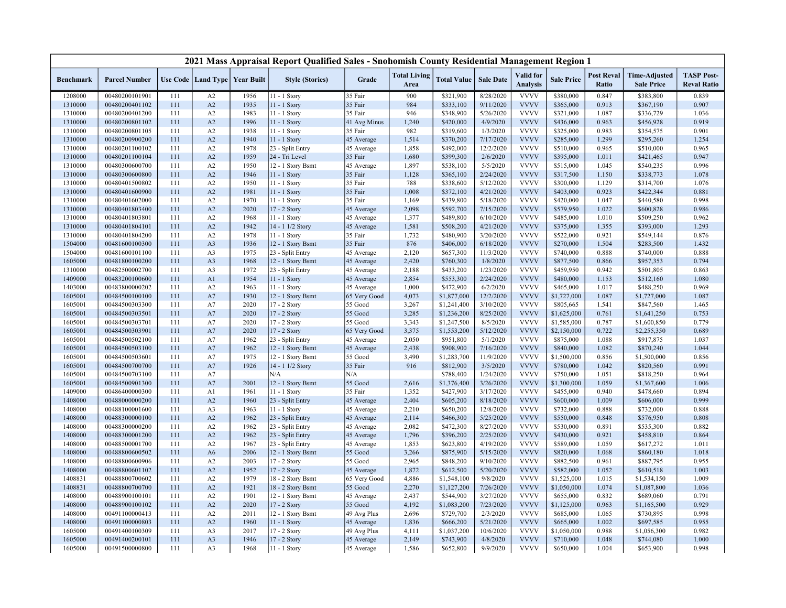|                  |                      |     |                |                                   | 2021 Mass Appraisal Report Qualified Sales - Snohomish County Residential Management Region 1 |              |                             |                    |                  |                              |                   |                            |                                           |                                         |
|------------------|----------------------|-----|----------------|-----------------------------------|-----------------------------------------------------------------------------------------------|--------------|-----------------------------|--------------------|------------------|------------------------------|-------------------|----------------------------|-------------------------------------------|-----------------------------------------|
| <b>Benchmark</b> | <b>Parcel Number</b> |     |                | Use Code   Land Type   Year Built | <b>Style (Stories)</b>                                                                        | Grade        | <b>Total Living</b><br>Area | <b>Total Value</b> | <b>Sale Date</b> | Valid for<br><b>Analysis</b> | <b>Sale Price</b> | <b>Post Reval</b><br>Ratio | <b>Time-Adjusted</b><br><b>Sale Price</b> | <b>TASP Post-</b><br><b>Reval Ratio</b> |
| 1208000          | 00480200101901       | 111 | A2             | 1956                              | 11 - 1 Story                                                                                  | 35 Fair      | 900                         | \$321,900          | 8/28/2020        | <b>VVVV</b>                  | \$380,000         | 0.847                      | \$383,800                                 | 0.839                                   |
| 1310000          | 00480200401102       | 111 | A2             | 1935                              | 11 - 1 Story                                                                                  | 35 Fair      | 984                         | \$333,100          | 9/11/2020        | <b>VVVV</b>                  | \$365,000         | 0.913                      | \$367,190                                 | 0.907                                   |
| 1310000          | 00480200401200       | 111 | A2             | 1983                              | $11 - 1$ Story                                                                                | 35 Fair      | 946                         | \$348,900          | 5/26/2020        | <b>VVVV</b>                  | \$321,000         | 1.087                      | \$336,729                                 | 1.036                                   |
| 1310000          | 00480200801102       | 111 | A2             | 1996                              | 11 - 1 Story                                                                                  | 41 Avg Minus | 1,240                       | \$420,000          | 4/9/2020         | <b>VVVV</b>                  | \$436,000         | 0.963                      | \$456,928                                 | 0.919                                   |
| 1310000          | 00480200801105       | 111 | A2             | 1938                              | 11 - 1 Story                                                                                  | 35 Fair      | 982                         | \$319,600          | 1/3/2020         | <b>VVVV</b>                  | \$325,000         | 0.983                      | \$354,575                                 | 0.901                                   |
| 1310000          | 00480200900200       | 111 | A2             | 1940                              | 11 - 1 Story                                                                                  | 45 Average   | 1,514                       | \$370,200          | 7/17/2020        | <b>VVVV</b>                  | \$285,000         | 1.299                      | \$295,260                                 | 1.254                                   |
| 1310000          | 00480201100102       | 111 | A2             | 1978                              | 23 - Split Entry                                                                              | 45 Average   | 1,858                       | \$492,000          | 12/2/2020        | <b>VVVV</b>                  | \$510,000         | 0.965                      | \$510,000                                 | 0.965                                   |
| 1310000          | 00480201100104       | 111 | A2             | 1959                              | 24 - Tri Level                                                                                | 35 Fair      | 1,680                       | \$399,300          | 2/6/2020         | <b>VVVV</b>                  | \$395,000         | 1.011                      | \$421,465                                 | 0.947                                   |
| 1310000          | 00480300600700       | 111 | A2             | 1950                              | 12 - 1 Story Bsmt                                                                             | 45 Average   | 1,897                       | \$538,100          | 5/5/2020         | <b>VVVV</b>                  | \$515,000         | 1.045                      | \$540,235                                 | 0.996                                   |
| 1310000          | 00480300600800       | 111 | A2             | 1946                              | 11 - 1 Story                                                                                  | 35 Fair      | 1,128                       | \$365,100          | 2/24/2020        | <b>VVVV</b>                  | \$317,500         | 1.150                      | \$338,773                                 | 1.078                                   |
| 1310000          | 00480401500802       | 111 | A2             | 1950                              | 11 - 1 Story                                                                                  | 35 Fair      | 788                         | \$338,600          | 5/12/2020        | <b>VVVV</b>                  | \$300,000         | 1.129                      | \$314,700                                 | 1.076                                   |
| 1310000          | 00480401600900       | 111 | A2             | 1981                              | $11 - 1$ Story                                                                                | 35 Fair      | 1,008                       | \$372,100          | 4/21/2020        | <b>VVVV</b>                  | \$403,000         | 0.923                      | \$422,344                                 | 0.881                                   |
| 1310000          | 00480401602000       | 111 | A2             | 1970                              | 11 - 1 Story                                                                                  | 35 Fair      | 1,169                       | \$439,800          | 5/18/2020        | <b>VVVV</b>                  | \$420,000         | 1.047                      | \$440,580                                 | 0.998                                   |
| 1310000          | 00480401803400       | 111 | A2             | 2020                              | 17 - 2 Story                                                                                  | 45 Average   | 2,098                       | \$592,700          | 7/15/2020        | <b>VVVV</b>                  | \$579,950         | 1.022                      | \$600,828                                 | 0.986                                   |
| 1310000          | 00480401803801       | 111 | A2             | 1968                              | 11 - 1 Story                                                                                  | 45 Average   | 1,377                       | \$489,800          | 6/10/2020        | <b>VVVV</b>                  | \$485,000         | 1.010                      | \$509,250                                 | 0.962                                   |
| 1310000          | 00480401804101       | 111 | A2             | 1942                              | 14 - 1 1/2 Story                                                                              | 45 Average   | 1,581                       | \$508,200          | 4/21/2020        | <b>VVVV</b>                  | \$375,000         | 1.355                      | \$393,000                                 | 1.293                                   |
| 1310000          | 00480401804200       | 111 | A2             | 1978                              | 11 - 1 Story                                                                                  | 35 Fair      | 1,732                       | \$480,900          | 3/20/2020        | <b>VVVV</b>                  | \$522,000         | 0.921                      | \$549,144                                 | 0.876                                   |
| 1504000          | 00481600100300       | 111 | A <sub>3</sub> | 1936                              | 12 - 1 Story Bsmt                                                                             | 35 Fair      | 876                         | \$406,000          | 6/18/2020        | <b>VVVV</b>                  | \$270,000         | 1.504                      | \$283,500                                 | 1.432                                   |
| 1504000          | 00481600101100       | 111 | A3             | 1975                              | 23 - Split Entry                                                                              | 45 Average   | 2,120                       | \$657,300          | 11/3/2020        | <b>VVVV</b>                  | \$740,000         | 0.888                      | \$740,000                                 | 0.888                                   |
| 1605000          | 00481800100200       | 111 | A <sub>3</sub> | 1968                              | 12 - 1 Story Bsmt                                                                             | 45 Average   | 2,420                       | \$760,300          | 1/8/2020         | <b>VVVV</b>                  | \$877,500         | 0.866                      | \$957,353                                 | 0.794                                   |
| 1310000          | 00482500002700       | 111 | A <sub>3</sub> | 1972                              | 23 - Split Entry                                                                              | 45 Average   | 2,188                       | \$433,200          | 1/23/2020        | <b>VVVV</b>                  | \$459,950         | 0.942                      | \$501,805                                 | 0.863                                   |
| 1409000          | 00483200100600       | 111 | A <sub>1</sub> | 1954                              | 11 - 1 Story                                                                                  | 45 Average   | 2,854                       | \$553,300          | 2/24/2020        | <b>VVVV</b>                  | \$480,000         | 1.153                      | \$512,160                                 | 1.080                                   |
| 1403000          | 00483800000202       | 111 | A2             | 1963                              | $11 - 1$ Story                                                                                | 45 Average   | 1,000                       | \$472,900          | 6/2/2020         | <b>VVVV</b>                  | \$465,000         | 1.017                      | \$488,250                                 | 0.969                                   |
| 1605001          | 00484500100100       | 111 | A7             | 1930                              | 12 - 1 Story Bsmt                                                                             | 65 Very Good | 4,073                       | \$1,877,000        | 12/2/2020        | <b>VVVV</b>                  | \$1,727,000       | 1.087                      | \$1,727,000                               | 1.087                                   |
| 1605001          | 00484500303300       | 111 | A7             | 2020                              | 17 - 2 Story                                                                                  | 55 Good      | 3,267                       | \$1,241,400        | 3/10/2020        | <b>VVVV</b>                  | \$805,665         | 1.541                      | \$847,560                                 | 1.465                                   |
| 1605001          | 00484500303501       | 111 | A7             | 2020                              | 17 - 2 Story                                                                                  | 55 Good      | 3,285                       | \$1,236,200        | 8/25/2020        | <b>VVVV</b>                  | \$1,625,000       | 0.761                      | \$1,641,250                               | 0.753                                   |
| 1605001          | 00484500303701       | 111 | A7             | 2020                              | 17 - 2 Story                                                                                  | 55 Good      | 3,343                       | \$1,247,500        | 8/5/2020         | <b>VVVV</b>                  | \$1,585,000       | 0.787                      | \$1,600,850                               | 0.779                                   |
| 1605001          | 00484500303901       | 111 | A7             | 2020                              | 17 - 2 Story                                                                                  | 65 Very Good | 3,375                       | \$1,553,200        | 5/12/2020        | <b>VVVV</b>                  | \$2,150,000       | 0.722                      | \$2,255,350                               | 0.689                                   |
| 1605001          | 00484500502100       | 111 | A7             | 1962                              | 23 - Split Entry                                                                              | 45 Average   | 2,050                       | \$951,800          | 5/1/2020         | <b>VVVV</b>                  | \$875,000         | 1.088                      | \$917,875                                 | 1.037                                   |
| 1605001          | 00484500503100       | 111 | A7             | 1962                              | 12 - 1 Story Bsmt                                                                             | 45 Average   | 2,438                       | \$908,900          | 7/16/2020        | <b>VVVV</b>                  | \$840,000         | 1.082                      | \$870,240                                 | 1.044                                   |
| 1605001          | 00484500503601       | 111 | A7             | 1975                              | 12 - 1 Story Bsmt                                                                             | 55 Good      | 3,490                       | \$1,283,700        | 11/9/2020        | <b>VVVV</b>                  | \$1,500,000       | 0.856                      | \$1,500,000                               | 0.856                                   |
| 1605001          | 00484500700700       | 111 | A7             | 1926                              | 14 - 1 1/2 Story                                                                              | 35 Fair      | 916                         | \$812,900          | 3/5/2020         | <b>VVVV</b>                  | \$780,000         | 1.042                      | \$820,560                                 | 0.991                                   |
| 1605001          | 00484500703100       | 111 | A7             |                                   | N/A                                                                                           | N/A          |                             | \$788,400          | 1/24/2020        | <b>VVVV</b>                  | \$750,000         | 1.051                      | \$818,250                                 | 0.964                                   |
| 1605001          | 00484500901300       | 111 | A7             | 2001                              | 12 - 1 Story Bsmt                                                                             | 55 Good      | 2,616                       | \$1,376,400        | 3/26/2020        | <b>VVVV</b>                  | \$1,300,000       | 1.059                      | \$1,367,600                               | 1.006                                   |
| 1409000          | 00486400000300       | 111 | A <sub>1</sub> | 1961                              | 11 - 1 Story                                                                                  | 35 Fair      | 1,352                       | \$427,900          | 3/17/2020        | <b>VVVV</b>                  | \$455,000         | 0.940                      | \$478,660                                 | 0.894                                   |
| 1408000          | 00488000000200       | 111 | A2             | 1960                              | 23 - Split Entry                                                                              | 45 Average   | 2,404                       | \$605,200          | 8/18/2020        | <b>VVVV</b>                  | \$600,000         | 1.009                      | \$606,000                                 | 0.999                                   |
| 1408000          | 00488100001600       | 111 | A <sub>3</sub> | 1963                              | 11 - 1 Story                                                                                  | 45 Average   | 2,210                       | \$650,200          | 12/8/2020        | <b>VVVV</b>                  | \$732,000         | 0.888                      | \$732,000                                 | 0.888                                   |
| 1408000          | 00488300000100       | 111 | A2             | 1962                              | 23 - Split Entry                                                                              | 45 Average   | 2,114                       | \$466,300          | 5/25/2020        | <b>VVVV</b>                  | \$550,000         | 0.848                      | \$576,950                                 | 0.808                                   |
| 1408000          | 00488300000200       | 111 | A2             | 1962                              | 23 - Split Entry                                                                              | 45 Average   | 2,082                       | \$472,300          | 8/27/2020        | <b>VVVV</b>                  | \$530,000         | 0.891                      | \$535,300                                 | 0.882                                   |
| 1408000          | 00488300001200       | 111 | A2             | 1962                              | 23 - Split Entry                                                                              | 45 Average   | 1,796                       | \$396,200          | 2/25/2020        | <b>VVVV</b>                  | \$430,000         | 0.921                      | \$458,810                                 | 0.864                                   |
| 1408000          | 00488500001700       | 111 | A2             | 1967                              | 23 - Split Entry                                                                              | 45 Average   | 1,853                       | \$623,800          | 4/19/2020        | <b>VVVV</b>                  | \$589,000         | 1.059                      | \$617,272                                 | 1.011                                   |
| 1408000          | 00488800600502       | 111 | A <sub>6</sub> | 2006                              | 12 - 1 Story Bsmt                                                                             | 55 Good      | 3,266                       | \$875,900          | 5/15/2020        | <b>VVVV</b>                  | \$820,000         | 1.068                      | \$860,180                                 | 1.018                                   |
| 1408000          | 00488800600906       | 111 | A2             | 2003                              | 17 - 2 Story                                                                                  | 55 Good      | 2,965                       | \$848,200          | 9/10/2020        | <b>VVVV</b>                  | \$882,500         | 0.961                      | \$887,795                                 | 0.955                                   |
| 1408000          | 00488800601102       | 111 | A2             | 1952                              | 17 - 2 Story                                                                                  | 45 Average   | 1,872                       | \$612,500          | 5/20/2020        | <b>VVVV</b>                  | \$582,000         | 1.052                      | \$610,518                                 | 1.003                                   |
| 1408831          | 00488800700602       | 111 | A2             | 1979                              | 18 - 2 Story Bsmt                                                                             | 65 Very Good | 4,886                       | \$1,548,100        | 9/8/2020         | <b>VVVV</b>                  | \$1,525,000       | 1.015                      | \$1,534,150                               | 1.009                                   |
| 1408831          | 00488800700700       | 111 | A2             | 1921                              | 18 - 2 Story Bsmt                                                                             | 55 Good      | 2,270                       | \$1,127,200        | 7/26/2020        | <b>VVVV</b>                  | \$1,050,000       | 1.074                      | \$1,087,800                               | 1.036                                   |
| 1408000          | 00488900100101       | 111 | A2             | 1901                              | 12 - 1 Story Bsmt                                                                             | 45 Average   | 2,437                       | \$544,900          | 3/27/2020        | <b>VVVV</b>                  | \$655,000         | 0.832                      | \$689,060                                 | 0.791                                   |
| 1408000          | 00488900100102       | 111 | A2             | 2020                              | 17 - 2 Story                                                                                  | 55 Good      | 4,192                       | \$1,083,200        | 7/23/2020        | <b>VVVV</b>                  | \$1,125,000       | 0.963                      | \$1,165,500                               | 0.929                                   |
| 1408000          | 00491100000413       | 111 | A2             | 2011                              | 12 - 1 Story Bsmt                                                                             | 49 Avg Plus  | 2,696                       | \$729,700          | 2/3/2020         | <b>VVVV</b>                  | \$685,000         | 1.065                      | \$730,895                                 | 0.998                                   |
| 1408000          | 00491100000803       | 111 | A2             | 1960                              | $11 - 1$ Story                                                                                | 45 Average   | 1,836                       | \$666,200          | 5/21/2020        | <b>VVVV</b>                  | \$665,000         | 1.002                      | \$697,585                                 | 0.955                                   |
| 1605000          | 00491400100309       | 111 | A3             | 2017                              | 17 - 2 Story                                                                                  | 49 Avg Plus  | 4,111                       | \$1,037,200        | 10/6/2020        | <b>VVVV</b>                  | \$1,050,000       | 0.988                      | \$1,056,300                               | 0.982                                   |
| 1605000          | 00491400200101       | 111 | A <sub>3</sub> | 1946                              | 17 - 2 Story                                                                                  |              | 2,149                       | \$743,900          | 4/8/2020         | <b>VVVV</b>                  | \$710,000         | 1.048                      | \$744,080                                 | 1.000                                   |
| 1605000          | 00491500000800       | 111 | A <sub>3</sub> | 1968                              | 11 - 1 Story                                                                                  | 45 Average   | 1,586                       | \$652,800          | 9/9/2020         | <b>VVVV</b>                  | \$650,000         | 1.004                      | \$653,900                                 | 0.998                                   |
|                  |                      |     |                |                                   |                                                                                               | 45 Average   |                             |                    |                  |                              |                   |                            |                                           |                                         |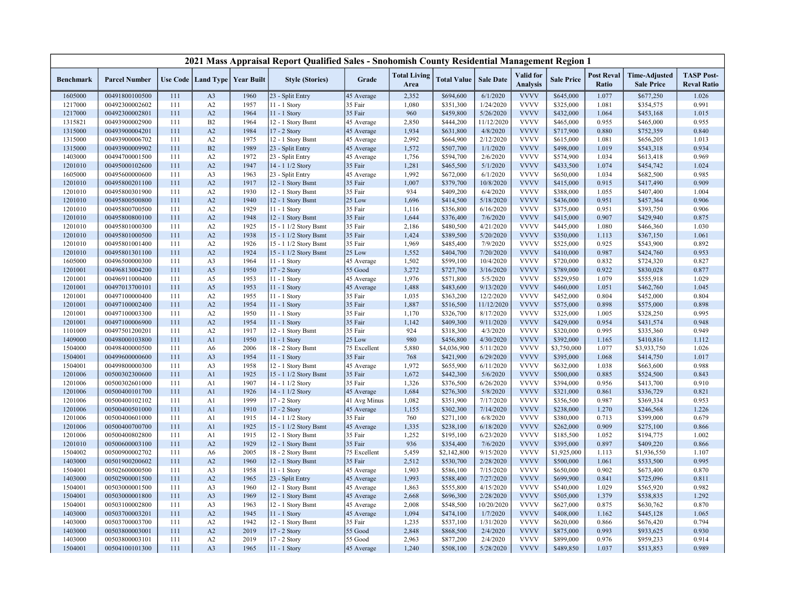|                    |                                  |            |                                   |              | 2021 Mass Appraisal Report Qualified Sales - Snohomish County Residential Management Region 1 |                   |                             |                          |                        |                                     |                          |                            |                                           |                                         |
|--------------------|----------------------------------|------------|-----------------------------------|--------------|-----------------------------------------------------------------------------------------------|-------------------|-----------------------------|--------------------------|------------------------|-------------------------------------|--------------------------|----------------------------|-------------------------------------------|-----------------------------------------|
| <b>Benchmark</b>   | <b>Parcel Number</b>             |            | Use Code   Land Type   Year Built |              | <b>Style (Stories)</b>                                                                        | Grade             | <b>Total Living</b><br>Area | <b>Total Value</b>       | <b>Sale Date</b>       | <b>Valid</b> for<br><b>Analysis</b> | <b>Sale Price</b>        | <b>Post Reval</b><br>Ratio | <b>Time-Adjusted</b><br><b>Sale Price</b> | <b>TASP Post-</b><br><b>Reval Ratio</b> |
| 1605000            | 00491800100500                   | 111        | A <sub>3</sub>                    | 1960         | 23 - Split Entry                                                                              | 45 Average        | 2,352                       | \$694,600                | 6/1/2020               | <b>VVVV</b>                         | \$645,000                | 1.077                      | \$677,250                                 | 1.026                                   |
| 1217000            | 00492300002602                   | 111        | A2                                | 1957         | 11 - 1 Story                                                                                  | 35 Fair           | 1,080                       | \$351,300                | 1/24/2020              | <b>VVVV</b>                         | \$325,000                | 1.081                      | \$354,575                                 | 0.991                                   |
| 1217000            | 00492300002801                   | 111        | A2                                | 1964         | 11 - 1 Story                                                                                  | 35 Fair           | 960                         | \$459,800                | 5/26/2020              | <b>VVVV</b>                         | \$432,000                | 1.064                      | \$453,168                                 | 1.015                                   |
| 1315821            | 00493900002900                   | 111        | B2                                | 1964         | 12 - 1 Story Bsmt                                                                             | 45 Average        | 2,850                       | \$444,200                | 11/12/2020             | <b>VVVV</b>                         | \$465,000                | 0.955                      | \$465,000                                 | 0.955                                   |
| 1315000            | 00493900004201                   | 111        | A2                                | 1984         | 17 - 2 Story                                                                                  | 45 Average        | 1,934                       | \$631,800                | 4/8/2020               | <b>VVVV</b>                         | \$717,900                | 0.880                      | \$752,359                                 | 0.840                                   |
| 1315000            | 00493900006702                   | 111        | A <sub>2</sub>                    | 1975         | 12 - 1 Story Bsmt                                                                             | 45 Average        | 2,992                       | \$664,900                | 2/12/2020              | <b>VVVV</b>                         | \$615,000                | 1.081                      | \$656,205                                 | 1.013                                   |
| 1315000            | 00493900009902                   | 111        | B2                                | 1989         | 23 - Split Entry                                                                              | 45 Average        | 1,572                       | \$507,700                | 1/1/2020               | <b>VVVV</b>                         | \$498,000                | 1.019                      | \$543,318                                 | 0.934                                   |
| 1403000            | 00494700001500                   | 111        | A2                                | 1972         | 23 - Split Entry                                                                              | 45 Average        | 1,756                       | \$594,700                | 2/6/2020               | <b>VVVV</b>                         | \$574,900                | 1.034                      | \$613,418                                 | 0.969                                   |
| 1201010            | 00495000102600                   | 111        | A2                                | 1947         | 14 - 1 1/2 Story                                                                              | 35 Fair           | 1,281                       | \$465,500                | 5/1/2020               | <b>VVVV</b>                         | \$433,500                | 1.074                      | \$454,742                                 | 1.024                                   |
| 1605000            | 00495600000600                   | 111        | A <sub>3</sub>                    | 1963         | 23 - Split Entry                                                                              | 45 Average        | 1,992                       | \$672,000                | 6/1/2020               | <b>VVVV</b>                         | \$650,000                | 1.034                      | \$682,500                                 | 0.985                                   |
| 1201010            | 00495800201100                   | 111        | A2                                | 1917         | 12 - 1 Story Bsmt                                                                             | 35 Fair           | 1,007                       | \$379,700                | 10/8/2020              | <b>VVVV</b>                         | \$415,000                | 0.915                      | \$417,490                                 | 0.909                                   |
| 1201010            | 00495800301900                   | 111        | A2                                | 1930         | 12 - 1 Story Bsmt                                                                             | 35 Fair           | 934                         | \$409,200                | 6/4/2020               | <b>VVVV</b>                         | \$388,000                | 1.055                      | \$407,400                                 | 1.004                                   |
| 1201010            | 00495800500800                   | 111        | A2                                | 1940         | 12 - 1 Story Bsmt                                                                             | 25 Low            | 1,696                       | \$414,500                | 5/18/2020              | <b>VVVV</b>                         | \$436,000                | 0.951                      | \$457,364                                 | 0.906                                   |
| 1201010            | 00495800700500                   | 111        | A2                                | 1929         | 11 - 1 Story                                                                                  | 35 Fair           | 1,116                       | \$356,800                | 6/16/2020              | <b>VVVV</b>                         | \$375,000                | 0.951                      | \$393,750                                 | 0.906                                   |
| 1201010            | 00495800800100                   | 111        | A2                                | 1948         | 12 - 1 Story Bsmt                                                                             | 35 Fair           | 1,644                       | \$376,400                | 7/6/2020               | <b>VVVV</b>                         | \$415,000                | 0.907                      | \$429,940                                 | 0.875                                   |
| 1201010            | 00495801000300                   | 111        | A2                                | 1925         | 15 - 1 1/2 Story Bsmt                                                                         | 35 Fair           | 2,186                       | \$480,500                | 4/21/2020              | <b>VVVV</b>                         | \$445,000                | 1.080                      | \$466,360                                 | 1.030                                   |
| 1201010            | 00495801000500                   | 111        | A2                                | 1938         | 15 - 1 1/2 Story Bsmt                                                                         | 35 Fair           | 1,424                       | \$389,500                | 5/20/2020              | <b>VVVV</b>                         | \$350,000                | 1.113                      | \$367,150                                 | 1.061                                   |
| 1201010            | 00495801001400                   | 111        | A2                                | 1926         | 15 - 1 1/2 Story Bsmt                                                                         | 35 Fair           | 1,969                       | \$485,400                | 7/9/2020               | <b>VVVV</b>                         | \$525,000                | 0.925                      | \$543,900                                 | 0.892                                   |
| 1201010            | 00495801301100                   | 111        | A2                                | 1924         | 15 - 1 1/2 Story Bsmt                                                                         | 25 Low            | 1,552                       | \$404,700                | 7/20/2020              | <b>VVVV</b>                         | \$410,000                | 0.987                      | \$424,760                                 | 0.953                                   |
| 1605000            | 00496500000300                   | 111        | A3                                | 1964         | 11 - 1 Story                                                                                  | 45 Average        | 1,502                       | \$599,100                | 10/4/2020              | <b>VVVV</b>                         | \$720,000                | 0.832                      | \$724,320                                 | 0.827                                   |
| 1201001            | 00496813004200                   | 111        | A <sub>5</sub>                    | 1950         | 17 - 2 Story                                                                                  | 55 Good           | 3,272                       | \$727,700                | 3/16/2020              | <b>VVVV</b>                         | \$789,000                | 0.922                      | \$830,028                                 | 0.877                                   |
| 1201001            | 00496911000400                   | 111        | A5                                | 1953         | 11 - 1 Story                                                                                  | 45 Average        | 1,976                       | \$571,800                | 5/5/2020               | <b>VVVV</b>                         | \$529,950                | 1.079                      | \$555,918                                 | 1.029                                   |
| 1201001            | 00497013700101                   | 111        | A5                                | 1953         | 11 - 1 Story                                                                                  | 45 Average        | 1,488                       | \$483,600                | 9/13/2020              | <b>VVVV</b>                         | \$460,000                | 1.051                      | \$462,760                                 | 1.045                                   |
| 1201001            | 00497100000400                   | 111        | A2                                | 1955         | 11 - 1 Story                                                                                  | 35 Fair           | 1,035                       | \$363,200                | 12/2/2020              | <b>VVVV</b>                         | \$452,000                | 0.804                      | \$452,000                                 | 0.804                                   |
| 1201001            | 00497100002400                   | 111        | A2                                | 1954         | 11 - 1 Story                                                                                  | 35 Fair           | 1,887                       | \$516,500                | 11/12/2020             | <b>VVVV</b>                         | \$575,000                | 0.898                      | \$575,000                                 | 0.898                                   |
| 1201001            | 00497100003300                   | 111        | A2                                | 1950         | 11 - 1 Story                                                                                  | 35 Fair           | 1,170                       | \$326,700                | 8/17/2020              | <b>VVVV</b>                         | \$325,000                | 1.005                      | \$328,250                                 | 0.995                                   |
| 1201001            | 00497100006900                   | 111        | A2                                | 1954         | 11 - 1 Story                                                                                  | 35 Fair           | 1,142                       | \$409,300                | 9/11/2020              | <b>VVVV</b><br><b>VVVV</b>          | \$429,000                | 0.954                      | \$431,574                                 | 0.948                                   |
| 1101009<br>1409000 | 00497501200201                   | 111<br>111 | A2<br>A1                          | 1917<br>1950 | 12 - 1 Story Bsmt                                                                             | 35 Fair<br>25 Low | 924<br>980                  | \$318,300<br>\$456,800   | 4/3/2020<br>4/30/2020  | <b>VVVV</b>                         | \$320,000<br>\$392,000   | 0.995<br>1.165             | \$335,360                                 | 0.949<br>1.112                          |
|                    | 00498000103800<br>00498400000500 | 111        |                                   |              | 11 - 1 Story                                                                                  | 75 Excellent      | 5,880                       |                          |                        | <b>VVVV</b>                         |                          | 1.077                      | \$410,816                                 |                                         |
| 1504000<br>1504001 | 00499600000600                   | 111        | A6<br>A <sub>3</sub>              | 2006<br>1954 | 18 - 2 Story Bsmt<br>11 - 1 Story                                                             | 35 Fair           | 768                         | \$4,036,900<br>\$421,900 | 5/11/2020<br>6/29/2020 | <b>VVVV</b>                         | \$3,750,000<br>\$395,000 | 1.068                      | \$3,933,750<br>\$414,750                  | 1.026<br>1.017                          |
| 1504001            | 00499800000300                   | 111        | A3                                | 1958         | 12 - 1 Story Bsmt                                                                             | 45 Average        | 1,972                       | \$655,900                | 6/11/2020              | <b>VVVV</b>                         | \$632,000                | 1.038                      | \$663,600                                 | 0.988                                   |
| 1201006            | 00500302300600                   | 111        | A1                                | 1925         | 15 - 1 1/2 Story Bsmt                                                                         | 35 Fair           | 1,672                       | \$442,300                | 5/6/2020               | <b>VVVV</b>                         | \$500,000                | 0.885                      | \$524,500                                 | 0.843                                   |
| 1201006            | 00500302601000                   | 111        | A1                                | 1907         | 14 - 1 1/2 Story                                                                              | 35 Fair           | 1,326                       | \$376,500                | 6/26/2020              | <b>VVVV</b>                         | \$394,000                | 0.956                      | \$413,700                                 | 0.910                                   |
| 1201006            | 00500400101700                   | 111        | A <sub>1</sub>                    | 1926         | 14 - 1 1/2 Story                                                                              | 45 Average        | 1,684                       | \$276,300                | 5/8/2020               | <b>VVVV</b>                         | \$321,000                | 0.861                      | \$336,729                                 | 0.821                                   |
| 1201006            | 00500400102102                   | 111        | A1                                | 1999         | 17 - 2 Story                                                                                  | 41 Avg Minus      | 1,082                       | \$351,900                | 7/17/2020              | <b>VVVV</b>                         | \$356,500                | 0.987                      | \$369,334                                 | 0.953                                   |
| 1201006            | 00500400501000                   | 111        | A1                                | 1910         | 17 - 2 Story                                                                                  | 45 Average        | 1,155                       | \$302,300                | 7/14/2020              | <b>VVVV</b>                         | \$238,000                | 1.270                      | \$246,568                                 | 1.226                                   |
| 1201006            | 00500400601000                   | 111        | A <sub>1</sub>                    | 1915         | 14 - 1 1/2 Story                                                                              | 35 Fair           | 760                         | \$271,100                | 6/8/2020               | <b>VVVV</b>                         | \$380,000                | 0.713                      | \$399,000                                 | 0.679                                   |
| 1201006            | 00500400700700                   | 111        | A1                                | 1925         | 15 - 1 1/2 Story Bsmt                                                                         | 45 Average        | 1,335                       | \$238,100                | 6/18/2020              | <b>VVVV</b>                         | \$262,000                | 0.909                      | \$275,100                                 | 0.866                                   |
| 1201006            | 00500400802800                   | 111        | A <sub>1</sub>                    | 1915         | 12 - 1 Story Bsmt                                                                             | 35 Fair           | 1,252                       | \$195,100                | 6/23/2020              | <b>VVVV</b>                         | \$185,500                | 1.052                      | \$194,775                                 | 1.002                                   |
| 1201010            | 00500600003100                   | 111        | A2                                | 1929         | 12 - 1 Story Bsmt                                                                             | 35 Fair           | 936                         | \$354,400                | 7/6/2020               | <b>VVVV</b>                         | \$395,000                | 0.897                      | \$409,220                                 | 0.866                                   |
| 1504002            | 00500900002702                   | 111        | A6                                | 2005         | 18 - 2 Story Bsmt                                                                             | 75 Excellent      | 5,459                       | \$2,142,800              | 9/15/2020              | <b>VVVV</b>                         | \$1,925,000              | 1.113                      | \$1,936,550                               | 1.107                                   |
| 1403000            | 00501900200602                   | 111        | A2                                | 1960         | 12 - 1 Story Bsmt                                                                             | 35 Fair           | 2,512                       | \$530,700                | 2/28/2020              | <b>VVVV</b>                         | \$500,000                | 1.061                      | \$533,500                                 | 0.995                                   |
| 1504001            | 00502600000500                   | 111        | A <sub>3</sub>                    | 1958         | 11 - 1 Story                                                                                  | 45 Average        | 1,903                       | \$586,100                | 7/15/2020              | <b>VVVV</b>                         | \$650,000                | 0.902                      | \$673,400                                 | 0.870                                   |
| 1403000            | 00502900001500                   | 111        | A2                                | 1965         | 23 - Split Entry                                                                              | 45 Average        | 1,993                       | \$588,400                | 7/27/2020              | <b>VVVV</b>                         | \$699,900                | 0.841                      | \$725,096                                 | 0.811                                   |
| 1504001            | 00503000001500                   | 111        | A3                                | 1960         | 12 - 1 Story Bsmt                                                                             | 45 Average        | 1,863                       | \$555,800                | 4/15/2020              | <b>VVVV</b>                         | \$540,000                | 1.029                      | \$565,920                                 | 0.982                                   |
| 1504001            | 00503000001800                   | 111        | A <sub>3</sub>                    | 1969         | 12 - 1 Story Bsmt                                                                             | 45 Average        | 2,668                       | \$696,300                | 2/28/2020              | <b>VVVV</b>                         | \$505,000                | 1.379                      | \$538,835                                 | 1.292                                   |
| 1504001            | 00503100002800                   | 111        | A <sub>3</sub>                    | 1963         | 12 - 1 Story Bsmt                                                                             | 45 Average        | 2,008                       | \$548,500                | 10/20/2020             | <b>VVVV</b>                         | \$627,000                | 0.875                      | \$630,762                                 | 0.870                                   |
| 1403000            | 00503700003201                   | 111        | A2                                | 1945         | 11 - 1 Story                                                                                  | 45 Average        | 1,094                       | \$474,100                | 1/7/2020               | <b>VVVV</b>                         | \$408,000                | 1.162                      | \$445,128                                 | 1.065                                   |
| 1403000            | 00503700003700                   | 111        | A2                                | 1942         | 12 - 1 Story Bsmt                                                                             | 35 Fair           | 1,235                       | \$537,100                | 1/31/2020              | <b>VVVV</b>                         | \$620,000                | 0.866                      | \$676,420                                 | 0.794                                   |
| 1403000            | 00503800003001                   | 111        | A2                                | 2019         | 17 - 2 Story                                                                                  | 55 Good           | 2,848                       | \$868,500                | 2/4/2020               | <b>VVVV</b>                         | \$875,000                | 0.993                      | \$933,625                                 | 0.930                                   |
| 1403000            | 00503800003101                   | 111        | A2                                | 2019         | 17 - 2 Story                                                                                  | 55 Good           | 2,963                       | \$877,200                | 2/4/2020               | <b>VVVV</b>                         | \$899,000                | 0.976                      | \$959,233                                 | 0.914                                   |
| 1504001            | 00504100101300                   | 111        | A <sub>3</sub>                    | 1965         | 11 - 1 Story                                                                                  | 45 Average        | 1,240                       | \$508,100                | 5/28/2020              | <b>VVVV</b>                         | \$489,850                | 1.037                      | \$513,853                                 | 0.989                                   |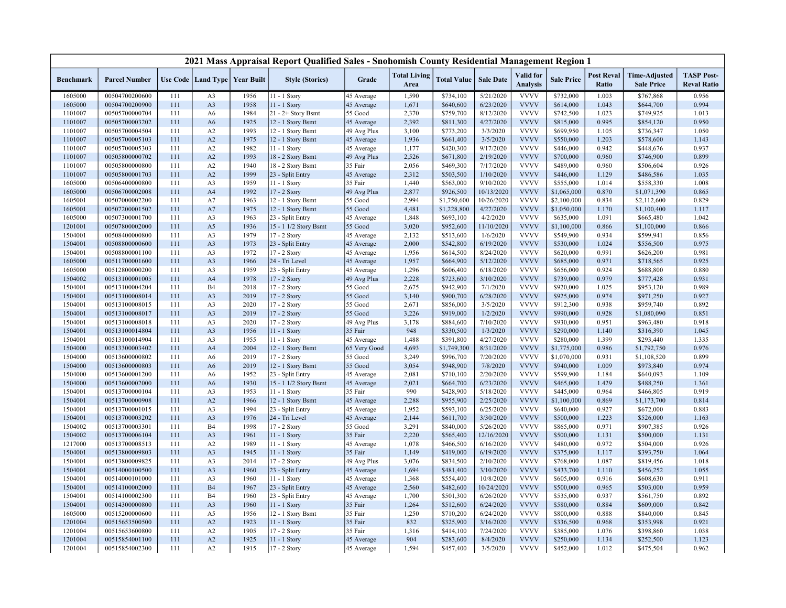|                  |                      |     |                |                                   | 2021 Mass Appraisal Report Qualified Sales - Snohomish County Residential Management Region 1 |              |                             |                    |                  |                              |                   |                            |                                           |                                         |
|------------------|----------------------|-----|----------------|-----------------------------------|-----------------------------------------------------------------------------------------------|--------------|-----------------------------|--------------------|------------------|------------------------------|-------------------|----------------------------|-------------------------------------------|-----------------------------------------|
| <b>Benchmark</b> | <b>Parcel Number</b> |     |                | Use Code   Land Type   Year Built | <b>Style (Stories)</b>                                                                        | Grade        | <b>Total Living</b><br>Area | <b>Total Value</b> | <b>Sale Date</b> | Valid for<br><b>Analysis</b> | <b>Sale Price</b> | <b>Post Reval</b><br>Ratio | <b>Time-Adjusted</b><br><b>Sale Price</b> | <b>TASP Post-</b><br><b>Reval Ratio</b> |
| 1605000          | 00504700200600       | 111 | A <sub>3</sub> | 1956                              | 11 - 1 Story                                                                                  | 45 Average   | 1,590                       | \$734,100          | 5/21/2020        | <b>VVVV</b>                  | \$732,000         | 1.003                      | \$767,868                                 | 0.956                                   |
| 1605000          | 00504700200900       | 111 | A <sub>3</sub> | 1958                              | 11 - 1 Story                                                                                  | 45 Average   | 1,671                       | \$640,600          | 6/23/2020        | <b>VVVV</b>                  | \$614,000         | 1.043                      | \$644,700                                 | 0.994                                   |
| 1101007          | 00505700000704       | 111 | A <sub>6</sub> | 1984                              | $21 - 2 +$ Story Bsmt                                                                         | 55 Good      | 2,370                       | \$759,700          | 8/12/2020        | <b>VVVV</b>                  | \$742,500         | 1.023                      | \$749,925                                 | 1.013                                   |
| 1101007          | 00505700003202       | 111 | A <sub>6</sub> | 1925                              | 12 - 1 Story Bsmt                                                                             | 45 Average   | 2,392                       | \$811,300          | 4/27/2020        | <b>VVVV</b>                  | \$815,000         | 0.995                      | \$854,120                                 | 0.950                                   |
| 1101007          | 00505700004504       | 111 | A2             | 1993                              | 12 - 1 Story Bsmt                                                                             | 49 Avg Plus  | 3,100                       | \$773,200          | 3/3/2020         | <b>VVVV</b>                  | \$699,950         | 1.105                      | \$736,347                                 | 1.050                                   |
| 1101007          | 00505700005103       | 111 | A2             | 1975                              | 12 - 1 Story Bsmt                                                                             | 45 Average   | 1,936                       | \$661,400          | 3/5/2020         | <b>VVVV</b>                  | \$550,000         | 1.203                      | \$578,600                                 | 1.143                                   |
| 1101007          | 00505700005303       | 111 | A2             | 1982                              | 11 - 1 Story                                                                                  | 45 Average   | 1,177                       | \$420,300          | 9/17/2020        | <b>VVVV</b>                  | \$446,000         | 0.942                      | \$448,676                                 | 0.937                                   |
| 1101007          | 00505800000702       | 111 | A2             | 1993                              | 18 - 2 Story Bsmt                                                                             | 49 Avg Plus  | 2,526                       | \$671,800          | 2/19/2020        | <b>VVVV</b>                  | \$700,000         | 0.960                      | \$746,900                                 | 0.899                                   |
| 1101007          | 00505800000800       | 111 | A2             | 1940                              | 18 - 2 Story Bsmt                                                                             | 35 Fair      | 2,056                       | \$469,300          | 7/17/2020        | <b>VVVV</b>                  | \$489,000         | 0.960                      | \$506,604                                 | 0.926                                   |
| 1101007          | 00505800001703       | 111 | A2             | 1999                              | 23 - Split Entry                                                                              | 45 Average   | 2,312                       | \$503,500          | 1/10/2020        | <b>VVVV</b>                  | \$446,000         | 1.129                      | \$486,586                                 | 1.035                                   |
| 1605000          | 00506400000800       | 111 | A3             | 1959                              | 11 - 1 Story                                                                                  | 35 Fair      | 1,440                       | \$563,000          | 9/10/2020        | <b>VVVV</b>                  | \$555,000         | 1.014                      | \$558,330                                 | 1.008                                   |
| 1605000          | 00506700002008       | 111 | A <sub>4</sub> | 1992                              | 17 - 2 Story                                                                                  | 49 Avg Plus  | 2,877                       | \$926,500          | 10/13/2020       | <b>VVVV</b>                  | \$1,065,000       | 0.870                      | \$1,071,390                               | 0.865                                   |
| 1605001          | 00507000002200       | 111 | A7             | 1963                              | 12 - 1 Story Bsmt                                                                             | 55 Good      | 2,994                       | \$1,750,600        | 10/26/2020       | <b>VVVV</b>                  | \$2,100,000       | 0.834                      | \$2,112,600                               | 0.829                                   |
| 1605001          | 00507200001502       | 111 | A7             | 1975                              | 12 - 1 Story Bsmt                                                                             | 55 Good      | 4,481                       | \$1,228,800        | 4/27/2020        | <b>VVVV</b>                  | \$1,050,000       | 1.170                      | \$1,100,400                               | 1.117                                   |
| 1605000          | 00507300001700       | 111 | A <sub>3</sub> | 1963                              | 23 - Split Entry                                                                              | 45 Average   | 1,848                       | \$693,100          | 4/2/2020         | <b>VVVV</b>                  | \$635,000         | 1.091                      | \$665,480                                 | 1.042                                   |
| 1201001          | 00507800002000       | 111 | A5             | 1936                              | 15 - 1 1/2 Story Bsmt                                                                         | 55 Good      | 3,020                       | \$952,600          | 11/10/2020       | <b>VVVV</b>                  | \$1,100,000       | 0.866                      | \$1,100,000                               | 0.866                                   |
| 1504001          | 00508400000800       | 111 | A <sub>3</sub> | 1979                              | 17 - 2 Story                                                                                  | 45 Average   | 2,132                       | \$513,600          | 1/6/2020         | <b>VVVV</b>                  | \$549,900         | 0.934                      | \$599,941                                 | 0.856                                   |
| 1504001          | 00508800000600       | 111 | A <sub>3</sub> | 1973                              | 23 - Split Entry                                                                              | 45 Average   | 2,000                       | \$542,800          | 6/19/2020        | <b>VVVV</b>                  | \$530,000         | 1.024                      | \$556,500                                 | 0.975                                   |
| 1504001          | 00508800001100       | 111 | A3             | 1972                              | 17 - 2 Story                                                                                  | 45 Average   | 1,956                       | \$614,500          | 8/24/2020        | <b>VVVV</b>                  | \$620,000         | 0.991                      | \$626,200                                 | 0.981                                   |
| 1605000          | 00511700001600       | 111 | A <sub>3</sub> | 1966                              | 24 - Tri Level                                                                                | 45 Average   | 1,957                       | \$664,900          | 5/12/2020        | <b>VVVV</b>                  | \$685,000         | 0.971                      | \$718,565                                 | 0.925                                   |
| 1605000          | 00512800000200       | 111 | A <sub>3</sub> | 1959                              | 23 - Split Entry                                                                              | 45 Average   | 1,296                       | \$606,400          | 6/18/2020        | <b>VVVV</b>                  | \$656,000         | 0.924                      | \$688,800                                 | 0.880                                   |
| 1504002          | 00513100001005       | 111 | A <sub>4</sub> | 1978                              | 17 - 2 Story                                                                                  | 49 Avg Plus  | 2,228                       | \$723,600          | 3/10/2020        | <b>VVVV</b>                  | \$739,000         | 0.979                      | \$777,428                                 | 0.931                                   |
| 1504001          | 00513100004204       | 111 | <b>B4</b>      | 2018                              | 17 - 2 Story                                                                                  | 55 Good      | 2,675                       | \$942,900          | 7/1/2020         | <b>VVVV</b>                  | \$920,000         | 1.025                      | \$953,120                                 | 0.989                                   |
| 1504001          | 00513100008014       | 111 | A <sub>3</sub> | 2019                              | 17 - 2 Story                                                                                  | 55 Good      | 3,140                       | \$900,700          | 6/28/2020        | <b>VVVV</b>                  | \$925,000         | 0.974                      | \$971,250                                 | 0.927                                   |
| 1504001          | 00513100008015       | 111 | A <sub>3</sub> | 2020                              | 17 - 2 Story                                                                                  | 55 Good      | 2,671                       | \$856,000          | 3/5/2020         | <b>VVVV</b>                  | \$912,300         | 0.938                      | \$959,740                                 | 0.892                                   |
| 1504001          | 00513100008017       | 111 | A <sub>3</sub> | 2019                              | 17 - 2 Story                                                                                  | 55 Good      | 3,226                       | \$919,000          | 1/2/2020         | <b>VVVV</b>                  | \$990,000         | 0.928                      | \$1,080,090                               | 0.851                                   |
| 1504001          | 00513100008018       | 111 | A3             | 2020                              | 17 - 2 Story                                                                                  | 49 Avg Plus  | 3,178                       | \$884,600          | 7/10/2020        | <b>VVVV</b>                  | \$930,000         | 0.951                      | \$963,480                                 | 0.918                                   |
| 1504001          | 00513100014804       | 111 | A <sub>3</sub> | 1956                              | 11 - 1 Story                                                                                  | 35 Fair      | 948                         | \$330,500          | 1/3/2020         | <b>VVVV</b>                  | \$290,000         | 1.140                      | \$316,390                                 | 1.045                                   |
| 1504001          | 00513100014904       | 111 | A3             | 1955                              | 11 - 1 Story                                                                                  | 45 Average   | 1,488                       | \$391,800          | 4/27/2020        | <b>VVVV</b>                  | \$280,000         | 1.399                      | \$293,440                                 | 1.335                                   |
| 1504000          | 00513300003402       | 111 | A <sub>4</sub> | 2004                              | 12 - 1 Story Bsmt                                                                             | 65 Very Good | 4,693                       | \$1,749,300        | 8/31/2020        | <b>VVVV</b>                  | \$1,775,000       | 0.986                      | \$1,792,750                               | 0.976                                   |
| 1504000          | 00513600000802       | 111 | A <sub>6</sub> | 2019                              | 17 - 2 Story                                                                                  | 55 Good      | 3,249                       | \$996,700          | 7/20/2020        | <b>VVVV</b>                  | \$1,070,000       | 0.931                      | \$1,108,520                               | 0.899                                   |
| 1504000          | 00513600000803       | 111 | A <sub>6</sub> | 2019                              | 12 - 1 Story Bsmt                                                                             | 55 Good      | 3,054                       | \$948,900          | 7/8/2020         | <b>VVVV</b>                  | \$940,000         | 1.009                      | \$973,840                                 | 0.974                                   |
| 1504000          | 00513600001200       | 111 | A <sub>6</sub> | 1952                              | 23 - Split Entry                                                                              | 45 Average   | 2,081                       | \$710,100          | 2/20/2020        | <b>VVVV</b>                  | \$599,900         | 1.184                      | \$640,093                                 | 1.109                                   |
| 1504000          | 00513600002000       | 111 | A <sub>6</sub> | 1930                              | 15 - 1 1/2 Story Bsmt                                                                         | 45 Average   | 2,021                       | \$664,700          | 6/23/2020        | <b>VVVV</b>                  | \$465,000         | 1.429                      | \$488,250                                 | 1.361                                   |
| 1504001          | 00513700000104       | 111 | A3             | 1953                              | 11 - 1 Story                                                                                  | 35 Fair      | 990                         | \$428,900          | 5/18/2020        | <b>VVVV</b>                  | \$445,000         | 0.964                      | \$466,805                                 | 0.919                                   |
| 1504001          | 00513700000908       | 111 | A2             | 1966                              | 12 - 1 Story Bsmt                                                                             | 45 Average   | 2,288                       | \$955,900          | 2/25/2020        | <b>VVVV</b>                  | \$1,100,000       | 0.869                      | \$1,173,700                               | 0.814                                   |
| 1504001          | 00513700001015       | 111 | A <sub>3</sub> | 1994                              | 23 - Split Entry                                                                              | 45 Average   | 1,952                       | \$593,100          | 6/25/2020        | <b>VVVV</b>                  | \$640,000         | 0.927                      | \$672,000                                 | 0.883                                   |
| 1504001          | 00513700003202       | 111 | A <sub>3</sub> | 1976                              | 24 - Tri Level                                                                                | 45 Average   | 2,144                       | \$611,700          | 3/30/2020        | <b>VVVV</b>                  | \$500,000         | 1.223                      | \$526,000                                 | 1.163                                   |
| 1504002          | 00513700003301       | 111 | B <sub>4</sub> | 1998                              | $17 - 2$ Story                                                                                | 55 Good      | 3,291                       | \$840,000          | 5/26/2020        | <b>VVVV</b>                  | \$865,000         | 0.971                      | \$907,385                                 | 0.926                                   |
| 1504002          | 00513700006104       | 111 | A <sub>3</sub> | 1961                              | 11 - 1 Story                                                                                  | 35 Fair      | 2,220                       | \$565,400          | 12/16/2020       | <b>VVVV</b>                  | \$500,000         | 1.131                      | \$500,000                                 | 1.131                                   |
| 1217000          | 00513700008513       | 111 | A2             | 1989                              | 11 - 1 Story                                                                                  | 45 Average   | 1,078                       | \$466,500          | 6/16/2020        | <b>VVVV</b>                  | \$480,000         | 0.972                      | \$504,000                                 | 0.926                                   |
| 1504001          | 00513800009803       | 111 | A <sub>3</sub> | 1945                              | 11 - 1 Story                                                                                  | 35 Fair      | 1,149                       | \$419,000          | 6/19/2020        | <b>VVVV</b>                  | \$375,000         | 1.117                      | \$393,750                                 | 1.064                                   |
| 1504001          | 00513800009825       | 111 | A <sub>3</sub> | 2014                              | 17 - 2 Story                                                                                  | 49 Avg Plus  | 3,076                       | \$834,500          | 2/10/2020        | <b>VVVV</b>                  | \$768,000         | 1.087                      | \$819,456                                 | 1.018                                   |
| 1504001          | 00514000100500       | 111 | A <sub>3</sub> | 1960                              | 23 - Split Entry                                                                              | 45 Average   | 1,694                       | \$481,400          | 3/10/2020        | <b>VVVV</b>                  | \$433,700         | 1.110                      | \$456,252                                 | 1.055                                   |
| 1504001          | 00514000101000       | 111 | A <sub>3</sub> | 1960                              | 11 - 1 Story                                                                                  | 45 Average   | 1,368                       | \$554,400          | 10/8/2020        | <b>VVVV</b>                  | \$605,000         | 0.916                      | \$608,630                                 | 0.911                                   |
| 1504001          | 00514100002000       | 111 | <b>B4</b>      | 1967                              | 23 - Split Entry                                                                              | 45 Average   | 2,560                       | \$482,600          | 10/24/2020       | <b>VVVV</b>                  | \$500,000         | 0.965                      | \$503,000                                 | 0.959                                   |
| 1504001          | 00514100002300       | 111 | <b>B4</b>      | 1960                              | 23 - Split Entry                                                                              | 45 Average   | 1,700                       | \$501,300          | 6/26/2020        | <b>VVVV</b>                  | \$535,000         | 0.937                      | \$561,750                                 | 0.892                                   |
| 1504001          | 00514300000800       | 111 | A <sub>3</sub> | 1960                              | 11 - 1 Story                                                                                  | 35 Fair      | 1,264                       | \$512,600          | 6/24/2020        | <b>VVVV</b>                  | \$580,000         | 0.884                      | \$609,000                                 | 0.842                                   |
| 1605000          | 00515200000600       | 111 | A5             | 1956                              | 12 - 1 Story Bsmt                                                                             | 35 Fair      | 1,250                       | \$710,200          | 6/24/2020        | <b>VVVV</b>                  | \$800,000         | 0.888                      | \$840,000                                 | 0.845                                   |
| 1201004          | 00515653500500       | 111 | A2             | 1923                              | 11 - 1 Story                                                                                  | 35 Fair      | 832                         | \$325,900          | 3/16/2020        | <b>VVVV</b>                  | \$336,500         | 0.968                      | \$353,998                                 | 0.921                                   |
| 1201004          | 00515653600800       | 111 | A2             | 1905                              | 17 - 2 Story                                                                                  | 35 Fair      | 1,316                       | \$414,100          | 7/24/2020        | <b>VVVV</b>                  | \$385,000         | 1.076                      | \$398,860                                 | 1.038                                   |
| 1201004          | 00515854001100       | 111 | A2             | 1925                              | 11 - 1 Story                                                                                  | 45 Average   | 904                         | \$283,600          | 8/4/2020         | <b>VVVV</b>                  | \$250,000         | 1.134                      | \$252,500                                 | 1.123                                   |
| 1201004          | 00515854002300       | 111 | A2             | 1915                              | 17 - 2 Story                                                                                  | 45 Average   | 1,594                       | \$457,400          | 3/5/2020         | <b>VVVV</b>                  | \$452,000         | 1.012                      | \$475,504                                 | 0.962                                   |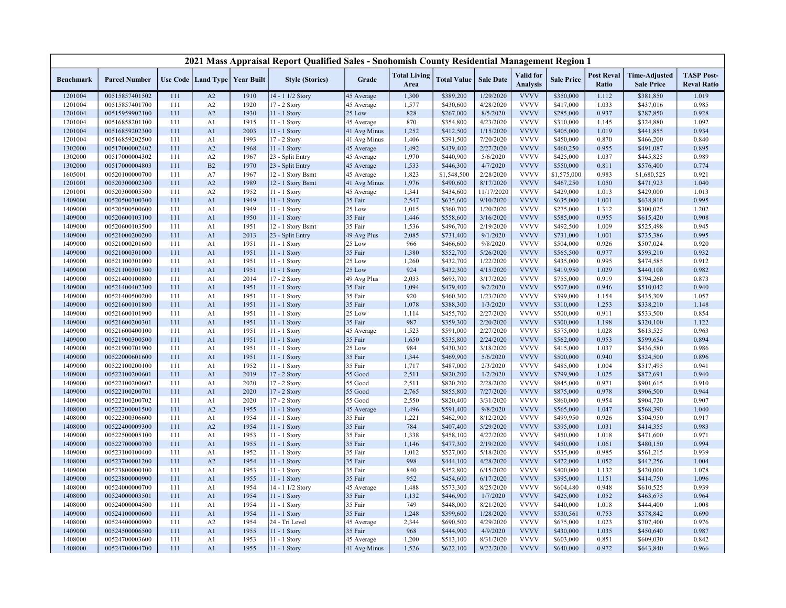|                    |                                  |            |                |                                   | 2021 Mass Appraisal Report Qualified Sales - Snohomish County Residential Management Region 1 |                       |                             |                        |                        |                                     |                        |                            |                                           |                                         |
|--------------------|----------------------------------|------------|----------------|-----------------------------------|-----------------------------------------------------------------------------------------------|-----------------------|-----------------------------|------------------------|------------------------|-------------------------------------|------------------------|----------------------------|-------------------------------------------|-----------------------------------------|
| <b>Benchmark</b>   | <b>Parcel Number</b>             |            |                | Use Code   Land Type   Year Built | <b>Style (Stories)</b>                                                                        | Grade                 | <b>Total Living</b><br>Area | <b>Total Value</b>     | <b>Sale Date</b>       | <b>Valid</b> for<br><b>Analysis</b> | <b>Sale Price</b>      | <b>Post Reval</b><br>Ratio | <b>Time-Adjusted</b><br><b>Sale Price</b> | <b>TASP Post-</b><br><b>Reval Ratio</b> |
| 1201004            | 00515857401502                   | 111        | A2             | 1910                              | 14 - 1 1/2 Story                                                                              | 45 Average            | 1,300                       | \$389,200              | 1/29/2020              | <b>VVVV</b>                         | \$350,000              | 1.112                      | \$381,850                                 | 1.019                                   |
| 1201004            | 00515857401700                   | 111        | A2             | 1920                              | 17 - 2 Story                                                                                  | 45 Average            | 1,577                       | \$430,600              | 4/28/2020              | <b>VVVV</b>                         | \$417,000              | 1.033                      | \$437,016                                 | 0.985                                   |
| 1201004            | 00515959902100                   | 111        | A2             | 1930                              | 11 - 1 Story                                                                                  | 25 Low                | 828                         | \$267,000              | 8/5/2020               | <b>VVVV</b>                         | \$285,000              | 0.937                      | \$287,850                                 | 0.928                                   |
| 1201004            | 00516858201100                   | 111        | A1             | 1915                              | 11 - 1 Story                                                                                  | 45 Average            | 870                         | \$354,800              | 4/23/2020              | <b>VVVV</b>                         | \$310,000              | 1.145                      | \$324,880                                 | 1.092                                   |
| 1201004            | 00516859202300                   | 111        | A1             | 2003                              | 11 - 1 Story                                                                                  | 41 Avg Minus          | 1,252                       | \$412,500              | 1/15/2020              | <b>VVVV</b>                         | \$405,000              | 1.019                      | \$441,855                                 | 0.934                                   |
| 1201004            | 00516859202500                   | 111        | A <sub>1</sub> | 1993                              | 17 - 2 Story                                                                                  | 41 Avg Minus          | 1,406                       | \$391,500              | 7/20/2020              | <b>VVVV</b>                         | \$450,000              | 0.870                      | \$466,200                                 | 0.840                                   |
| 1302000            | 00517000002402                   | 111        | A2             | 1968                              | 11 - 1 Story                                                                                  | 45 Average            | 1,492                       | \$439,400              | 2/27/2020              | <b>VVVV</b>                         | \$460,250              | 0.955                      | \$491,087                                 | 0.895                                   |
| 1302000            | 00517000004302                   | 111        | A2             | 1967                              | 23 - Split Entry                                                                              | 45 Average            | 1,970                       | \$440,900              | 5/6/2020               | <b>VVVV</b>                         | \$425,000              | 1.037                      | \$445,825                                 | 0.989                                   |
| 1302000            | 00517000004803                   | 111        | B2             | 1970                              | 23 - Split Entry                                                                              | 45 Average            | 1,533                       | \$446,300              | 4/7/2020               | <b>VVVV</b>                         | \$550,000              | 0.811                      | \$576,400                                 | 0.774                                   |
| 1605001            | 00520100000700                   | 111        | A7             | 1967                              | 12 - 1 Story Bsmt                                                                             | 45 Average            | 1,823                       | \$1,548,500            | 2/28/2020              | <b>VVVV</b>                         | \$1,575,000            | 0.983                      | \$1,680,525                               | 0.921                                   |
| 1201001            | 00520300002300                   | 111        | A2             | 1989                              | 12 - 1 Story Bsmt                                                                             | 41 Avg Minus          | 1,976                       | \$490,600              | 8/17/2020              | <b>VVVV</b>                         | \$467,250              | 1.050                      | \$471,923                                 | 1.040                                   |
| 1201001            | 00520300005500                   | 111        | A2             | 1952                              | 11 - 1 Story                                                                                  | 45 Average            | 1,341                       | \$434,600              | 11/17/2020             | <b>VVVV</b>                         | \$429,000              | 1.013                      | \$429,000                                 | 1.013                                   |
| 1409000            | 00520500300300                   | 111        | A1             | 1949                              | 11 - 1 Story                                                                                  | 35 Fair               | 2,547                       | \$635,600              | 9/10/2020              | <b>VVVV</b>                         | \$635,000              | 1.001                      | \$638,810                                 | 0.995                                   |
| 1409000            | 00520500500600                   | 111        | A <sub>1</sub> | 1949                              | 11 - 1 Story                                                                                  | 25 Low                | 1,015                       | \$360,700              | 1/20/2020              | <b>VVVV</b>                         | \$275,000              | 1.312                      | \$300,025                                 | 1.202                                   |
| 1409000            | 00520600103100                   | 111        | A <sub>1</sub> | 1950                              | $11 - 1$ Story                                                                                | 35 Fair               | 1,446                       | \$558,600              | 3/16/2020              | <b>VVVV</b>                         | \$585,000              | 0.955                      | \$615,420                                 | 0.908                                   |
| 1409000            | 00520600103500                   | 111        | A1             | 1951                              | 12 - 1 Story Bsmt                                                                             | 35 Fair               | 1,536                       | \$496,700              | 2/19/2020              | <b>VVVV</b>                         | \$492,500              | 1.009                      | \$525,498                                 | 0.945                                   |
| 1409000            | 00521000200200                   | 111        | A1             | 2013                              | 23 - Split Entry                                                                              | 49 Avg Plus           | 2,085                       | \$731,400              | 9/1/2020               | <b>VVVV</b>                         | \$731,000              | 1.001                      | \$735,386                                 | 0.995                                   |
| 1409000            | 00521000201600                   | 111        | A <sub>1</sub> | 1951                              | 11 - 1 Story                                                                                  | 25 Low                | 966                         | \$466,600              | 9/8/2020               | <b>VVVV</b>                         | \$504,000              | 0.926                      | \$507,024                                 | 0.920                                   |
| 1409000            | 00521000301000                   | 111        | A1             | 1951                              | $11 - 1$ Story                                                                                | 35 Fair               | 1,380                       | \$552,700              | 5/26/2020              | <b>VVVV</b>                         | \$565,500              | 0.977                      | \$593,210                                 | 0.932                                   |
| 1409000            | 00521100301000                   | 111        | A <sub>1</sub> | 1951                              | 11 - 1 Story                                                                                  | 25 Low                | 1,260                       | \$432,700              | 1/22/2020              | <b>VVVV</b>                         | \$435,000              | 0.995                      | \$474,585                                 | 0.912                                   |
| 1409000            | 00521100301300                   | 111        | A1             | 1951                              | 11 - 1 Story                                                                                  | 25 Low                | 924                         | \$432,300              | 4/15/2020              | <b>VVVV</b>                         | \$419,950              | 1.029                      | \$440,108                                 | 0.982                                   |
| 1409000            | 00521400100800                   | 111        | A <sub>1</sub> | 2014                              | 17 - 2 Story                                                                                  | 49 Avg Plus           | 2,033                       | \$693,700              | 3/17/2020              | <b>VVVV</b>                         | \$755,000              | 0.919                      | \$794,260                                 | 0.873                                   |
| 1409000            | 00521400402300                   | 111        | A1             | 1951                              | 11 - 1 Story                                                                                  | 35 Fair               | 1,094                       | \$479,400              | 9/2/2020               | <b>VVVV</b>                         | \$507,000              | 0.946                      | \$510,042                                 | 0.940                                   |
| 1409000            | 00521400500200                   | 111        | A1             | 1951                              | 11 - 1 Story                                                                                  | 35 Fair               | 920                         | \$460,300              | 1/23/2020              | <b>VVVV</b>                         | \$399,000              | 1.154                      | \$435,309                                 | 1.057                                   |
| 1409000            | 00521600101800                   | 111        | A1             | 1951                              | 11 - 1 Story                                                                                  | 35 Fair               | 1,078                       | \$388,300              | 1/3/2020               | <b>VVVV</b><br><b>VVVV</b>          | \$310,000              | 1.253                      | \$338,210                                 | 1.148                                   |
| 1409000            | 00521600101900                   | 111        | A <sub>1</sub> | 1951                              | 11 - 1 Story                                                                                  | 25 Low                | 1,114<br>987                | \$455,700              | 2/27/2020              | <b>VVVV</b>                         | \$500,000              | 0.911                      | \$533,500                                 | 0.854<br>1.122                          |
| 1409000            | 00521600200301                   | 111        | A1             | 1951                              | 11 - 1 Story                                                                                  | 35 Fair               |                             | \$359,300              | 2/20/2020              | <b>VVVV</b>                         | \$300,000              | 1.198                      | \$320,100                                 | 0.963                                   |
| 1409000<br>1409000 | 00521600400100<br>00521900300500 | 111<br>111 | A1<br>A1       | 1951<br>1951                      | 11 - 1 Story<br>11 - 1 Story                                                                  | 45 Average<br>35 Fair | 1,523<br>1,650              | \$591,000<br>\$535,800 | 2/27/2020<br>2/24/2020 | <b>VVVV</b>                         | \$575,000<br>\$562,000 | 1.028<br>0.953             | \$613,525<br>\$599,654                    | 0.894                                   |
| 1409000            | 00521900701900                   | 111        | A <sub>1</sub> | 1951                              | 11 - 1 Story                                                                                  | 25 Low                | 984                         | \$430,300              | 3/18/2020              | <b>VVVV</b>                         | \$415,000              | 1.037                      | \$436,580                                 | 0.986                                   |
| 1409000            | 00522000601600                   | 111        | A <sub>1</sub> | 1951                              | $11 - 1$ Story                                                                                | 35 Fair               | 1,344                       | \$469,900              | 5/6/2020               | <b>VVVV</b>                         | \$500,000              | 0.940                      | \$524,500                                 | 0.896                                   |
| 1409000            | 00522100200100                   | 111        | A <sub>1</sub> | 1952                              | 11 - 1 Story                                                                                  | 35 Fair               | 1,717                       | \$487,000              | 2/3/2020               | <b>VVVV</b>                         | \$485,000              | 1.004                      | \$517,495                                 | 0.941                                   |
| 1409000            | 00522100200601                   | 111        | A1             | 2019                              | 17 - 2 Story                                                                                  | 55 Good               | 2,511                       | \$820,200              | 1/2/2020               | <b>VVVV</b>                         | \$799,900              | 1.025                      | \$872,691                                 | 0.940                                   |
| 1409000            | 00522100200602                   | 111        | A <sub>1</sub> | 2020                              | 17 - 2 Story                                                                                  | 55 Good               | 2,511                       | \$820,200              | 2/28/2020              | <b>VVVV</b>                         | \$845,000              | 0.971                      | \$901,615                                 | 0.910                                   |
| 1409000            | 00522100200701                   | 111        | A <sub>1</sub> | 2020                              | 17 - 2 Story                                                                                  | 55 Good               | 2,765                       | \$855,800              | 7/27/2020              | <b>VVVV</b>                         | \$875,000              | 0.978                      | \$906,500                                 | 0.944                                   |
| 1409000            | 00522100200702                   | 111        | A1             | 2020                              | 17 - 2 Story                                                                                  | 55 Good               | 2,550                       | \$820,400              | 3/31/2020              | <b>VVVV</b>                         | \$860,000              | 0.954                      | \$904,720                                 | 0.907                                   |
| 1408000            | 00522200001500                   | 111        | A2             | 1955                              | 11 - 1 Story                                                                                  | 45 Average            | 1,496                       | \$591,400              | 9/8/2020               | <b>VVVV</b>                         | \$565,000              | 1.047                      | \$568,390                                 | 1.040                                   |
| 1408000            | 00522300306600                   | 111        | A <sub>1</sub> | 1954                              | 11 - 1 Story                                                                                  | 35 Fair               | 1,221                       | \$462,900              | 8/12/2020              | <b>VVVV</b>                         | \$499,950              | 0.926                      | \$504,950                                 | 0.917                                   |
| 1408000            | 00522400009300                   | 111        | A2             | 1954                              | 11 - 1 Story                                                                                  | 35 Fair               | 784                         | \$407,400              | 5/29/2020              | <b>VVVV</b>                         | \$395,000              | 1.031                      | \$414,355                                 | 0.983                                   |
| 1409000            | 00522500005100                   | 111        | A <sub>1</sub> | 1953                              | 11 - 1 Story                                                                                  | 35 Fair               | 1,338                       | \$458,100              | 4/27/2020              | <b>VVVV</b>                         | \$450,000              | 1.018                      | \$471,600                                 | 0.971                                   |
| 1409000            | 00522700000700                   | 111        | A1             | 1955                              | 11 - 1 Story                                                                                  | 35 Fair               | 1,146                       | \$477,300              | 2/19/2020              | <b>VVVV</b>                         | \$450,000              | 1.061                      | \$480,150                                 | 0.994                                   |
| 1409000            | 00523100100400                   | 111        | A1             | 1952                              | 11 - 1 Story                                                                                  | 35 Fair               | 1,012                       | \$527,000              | 5/18/2020              | <b>VVVV</b>                         | \$535,000              | 0.985                      | \$561,215                                 | 0.939                                   |
| 1408000            | 00523700001200                   | 111        | A2             | 1954                              | 11 - 1 Story                                                                                  | 35 Fair               | 998                         | \$444,100              | 4/28/2020              | <b>VVVV</b>                         | \$422,000              | 1.052                      | \$442,256                                 | 1.004                                   |
| 1409000            | 00523800000100                   | 111        | A1             | 1953                              | 11 - 1 Story                                                                                  | 35 Fair               | 840                         | \$452,800              | 6/15/2020              | <b>VVVV</b>                         | \$400,000              | 1.132                      | \$420,000                                 | 1.078                                   |
| 1409000            | 00523800000900                   | 111        | A1             | 1955                              | $11 - 1$ Story                                                                                | 35 Fair               | 952                         | \$454,600              | 6/17/2020              | <b>VVVV</b>                         | \$395,000              | 1.151                      | \$414,750                                 | 1.096                                   |
| 1408000            | 00524000000700                   | 111        | A1             | 1954                              | 14 - 1 1/2 Story                                                                              | 45 Average            | 1,488                       | \$573,300              | 8/25/2020              | <b>VVVV</b>                         | \$604,480              | 0.948                      | \$610,525                                 | 0.939                                   |
| 1408000            | 00524000003501                   | 111        | A1             | 1954                              | 11 - 1 Story                                                                                  | 35 Fair               | 1,132                       | \$446,900              | 1/7/2020               | <b>VVVV</b>                         | \$425,000              | 1.052                      | \$463,675                                 | 0.964                                   |
| 1408000            | 00524000004500                   | 111        | A <sub>1</sub> | 1954                              | 11 - 1 Story                                                                                  | 35 Fair               | 749                         | \$448,000              | 8/21/2020              | <b>VVVV</b>                         | \$440,000              | 1.018                      | \$444,400                                 | 1.008                                   |
| 1409000            | 00524100000600                   | 111        | A1             | 1954                              | $11 - 1$ Story                                                                                | 35 Fair               | 1,248                       | \$399,600              | 1/28/2020              | <b>VVVV</b>                         | \$530,561              | 0.753                      | \$578,842                                 | 0.690                                   |
| 1408000            | 00524400000900                   | 111        | A2             | 1954                              | 24 - Tri Level                                                                                | 45 Average            | 2,344                       | \$690,500              | 4/29/2020              | <b>VVVV</b>                         | \$675,000              | 1.023                      | \$707,400                                 | 0.976                                   |
| 1409000            | 00524500006500                   | 111        | A1             | 1955                              | 11 - 1 Story                                                                                  | 35 Fair               | 968                         | \$444,900              | 4/9/2020               | <b>VVVV</b>                         | \$430,000              | 1.035                      | \$450,640                                 | 0.987                                   |
| 1408000            | 00524700003600                   | 111        | A <sub>1</sub> | 1953                              | 11 - 1 Story                                                                                  | 45 Average            | 1,200                       | \$513,100              | 8/31/2020              | <b>VVVV</b>                         | \$603,000              | 0.851                      | \$609,030                                 | 0.842                                   |
| 1408000            | 00524700004700                   | 111        | A1             | 1955                              | 11 - 1 Story                                                                                  | 41 Avg Minus          | 1,526                       | \$622,100              | 9/22/2020              | <b>VVVV</b>                         | \$640,000              | 0.972                      | \$643,840                                 | 0.966                                   |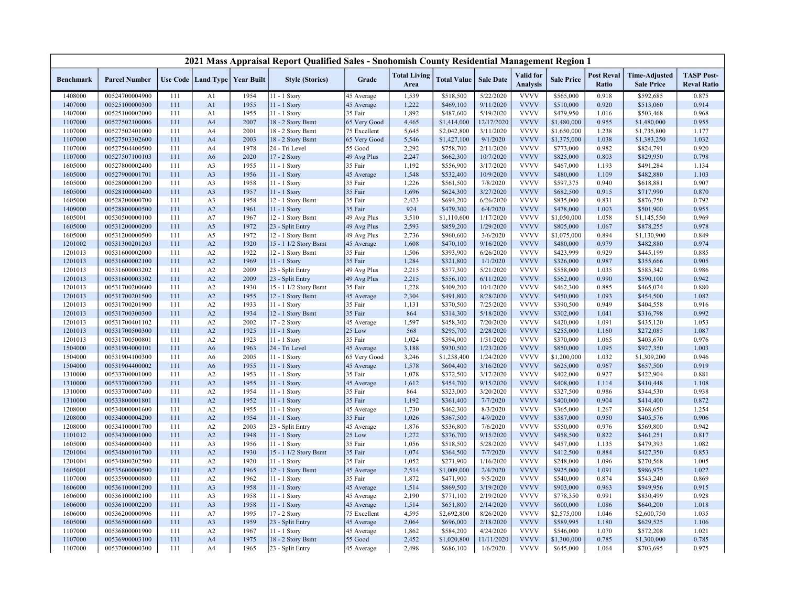|                  |                      |     |                |                                   | 2021 Mass Appraisal Report Qualified Sales - Snohomish County Residential Management Region 1 |              |                             |                    |                  |                              |                   |                            |                                           |                                         |
|------------------|----------------------|-----|----------------|-----------------------------------|-----------------------------------------------------------------------------------------------|--------------|-----------------------------|--------------------|------------------|------------------------------|-------------------|----------------------------|-------------------------------------------|-----------------------------------------|
| <b>Benchmark</b> | <b>Parcel Number</b> |     |                | Use Code   Land Type   Year Built | <b>Style (Stories)</b>                                                                        | Grade        | <b>Total Living</b><br>Area | <b>Total Value</b> | <b>Sale Date</b> | Valid for<br><b>Analysis</b> | <b>Sale Price</b> | <b>Post Reval</b><br>Ratio | <b>Time-Adjusted</b><br><b>Sale Price</b> | <b>TASP Post-</b><br><b>Reval Ratio</b> |
| 1408000          | 00524700004900       | 111 | A1             | 1954                              | 11 - 1 Story                                                                                  | 45 Average   | 1,539                       | \$518,500          | 5/22/2020        | <b>VVVV</b>                  | \$565,000         | 0.918                      | \$592,685                                 | 0.875                                   |
| 1407000          | 00525100000300       | 111 | A1             | 1955                              | 11 - 1 Story                                                                                  | 45 Average   | 1,222                       | \$469,100          | 9/11/2020        | <b>VVVV</b>                  | \$510,000         | 0.920                      | \$513,060                                 | 0.914                                   |
| 1407000          | 00525100002000       | 111 | A <sub>1</sub> | 1955                              | $11 - 1$ Story                                                                                | 35 Fair      | 1,892                       | \$487,600          | 5/19/2020        | <b>VVVV</b>                  | \$479,950         | 1.016                      | \$503,468                                 | 0.968                                   |
| 1107000          | 00527502100006       | 111 | A <sub>4</sub> | 2007                              | 18 - 2 Story Bsmt                                                                             | 65 Very Good | 4,465                       | \$1,414,000        | 12/17/2020       | <b>VVVV</b>                  | \$1,480,000       | 0.955                      | \$1,480,000                               | 0.955                                   |
| 1107000          | 00527502401000       | 111 | A4             | 2001                              | 18 - 2 Story Bsmt                                                                             | 75 Excellent | 5,645                       | \$2,042,800        | 3/11/2020        | <b>VVVV</b>                  | \$1,650,000       | 1.238                      | \$1,735,800                               | 1.177                                   |
| 1107000          | 00527503302600       | 111 | A <sub>4</sub> | 2003                              | 18 - 2 Story Bsmt                                                                             | 65 Very Good | 5,546                       | \$1,427,100        | 9/1/2020         | <b>VVVV</b>                  | \$1,375,000       | 1.038                      | \$1,383,250                               | 1.032                                   |
| 1107000          | 00527504400500       | 111 | A4             | 1978                              | 24 - Tri Level                                                                                | 55 Good      | 2,292                       | \$758,700          | 2/11/2020        | <b>VVVV</b>                  | \$773,000         | 0.982                      | \$824,791                                 | 0.920                                   |
| 1107000          | 00527507100103       | 111 | A <sub>6</sub> | 2020                              | 17 - 2 Story                                                                                  | 49 Avg Plus  | 2,247                       | \$662,300          | 10/7/2020        | <b>VVVV</b>                  | \$825,000         | 0.803                      | \$829,950                                 | 0.798                                   |
| 1605000          | 00527800002400       | 111 | A3             | 1955                              | 11 - 1 Story                                                                                  | 35 Fair      | 1,192                       | \$556,900          | 3/17/2020        | <b>VVVV</b>                  | \$467,000         | 1.193                      | \$491,284                                 | 1.134                                   |
| 1605000          | 00527900001701       | 111 | A <sub>3</sub> | 1956                              | $11 - 1$ Story                                                                                | 45 Average   | 1,548                       | \$532,400          | 10/9/2020        | <b>VVVV</b>                  | \$480,000         | 1.109                      | \$482,880                                 | 1.103                                   |
| 1605000          | 00528000001200       | 111 | A3             | 1958                              | 11 - 1 Story                                                                                  | 35 Fair      | 1,226                       | \$561,500          | 7/8/2020         | <b>VVVV</b>                  | \$597,375         | 0.940                      | \$618,881                                 | 0.907                                   |
| 1605000          | 00528100000400       | 111 | A <sub>3</sub> | 1957                              | $11 - 1$ Story                                                                                | 35 Fair      | 1,696                       | \$624,300          | 3/27/2020        | <b>VVVV</b>                  | \$682,500         | 0.915                      | \$717,990                                 | 0.870                                   |
| 1605000          | 00528200000700       | 111 | A3             | 1958                              | 12 - 1 Story Bsmt                                                                             | 35 Fair      | 2,423                       | \$694,200          | 6/26/2020        | <b>VVVV</b>                  | \$835,000         | 0.831                      | \$876,750                                 | 0.792                                   |
| 1409000          | 00528800000500       | 111 | A2             | 1961                              | 11 - 1 Story                                                                                  | 35 Fair      | 924                         | \$479,300          | 6/4/2020         | <b>VVVV</b>                  | \$478,000         | 1.003                      | \$501,900                                 | 0.955                                   |
| 1605001          | 00530500000100       | 111 | A7             | 1967                              | 12 - 1 Story Bsmt                                                                             | 49 Avg Plus  | 3,510                       | \$1,110,600        | 1/17/2020        | <b>VVVV</b>                  | \$1,050,000       | 1.058                      | \$1,145,550                               | 0.969                                   |
| 1605000          | 00531200000200       | 111 | A5             | 1972                              | 23 - Split Entry                                                                              | 49 Avg Plus  | 2,593                       | \$859,200          | 1/29/2020        | <b>VVVV</b>                  | \$805,000         | 1.067                      | \$878,255                                 | 0.978                                   |
| 1605000          | 00531200000500       | 111 | A5             | 1972                              | 12 - 1 Story Bsmt                                                                             | 49 Avg Plus  | 2,736                       | \$960,600          | 3/6/2020         | <b>VVVV</b>                  | \$1,075,000       | 0.894                      | \$1,130,900                               | 0.849                                   |
| 1201002          | 00531300201203       | 111 | A2             | 1920                              | 15 - 1 1/2 Story Bsmt                                                                         | 45 Average   | 1,608                       | \$470,100          | 9/16/2020        | <b>VVVV</b>                  | \$480,000         | 0.979                      | \$482,880                                 | 0.974                                   |
| 1201013          | 00531600002000       | 111 | A2             | 1922                              | 12 - 1 Story Bsmt                                                                             | 35 Fair      | 1,506                       | \$393,900          | 6/26/2020        | <b>VVVV</b>                  | \$423,999         | 0.929                      | \$445,199                                 | 0.885                                   |
| 1201013          | 00531600002100       | 111 | A2             | 1969                              | 11 - 1 Story                                                                                  | 35 Fair      | 1,284                       | \$321,800          | 1/1/2020         | <b>VVVV</b>                  | \$326,000         | 0.987                      | \$355,666                                 | 0.905                                   |
| 1201013          | 00531600003202       | 111 | A2             | 2009                              | 23 - Split Entry                                                                              | 49 Avg Plus  | 2,215                       | \$577,300          | 5/21/2020        | <b>VVVV</b>                  | \$558,000         | 1.035                      | \$585,342                                 | 0.986                                   |
| 1201013          | 00531600003302       | 111 | A2             | 2009                              | 23 - Split Entry                                                                              | 49 Avg Plus  | 2,215                       | \$556,100          | 6/11/2020        | <b>VVVV</b>                  | \$562,000         | 0.990                      | \$590,100                                 | 0.942                                   |
| 1201013          | 00531700200600       | 111 | A2             | 1930                              | 15 - 1 1/2 Story Bsmt                                                                         | 35 Fair      | 1,228                       | \$409,200          | 10/1/2020        | <b>VVVV</b>                  | \$462,300         | 0.885                      | \$465,074                                 | 0.880                                   |
| 1201013          | 00531700201500       | 111 | A2             | 1955                              | 12 - 1 Story Bsmt                                                                             | 45 Average   | 2,304                       | \$491,800          | 8/28/2020        | <b>VVVV</b>                  | \$450,000         | 1.093                      | \$454,500                                 | 1.082                                   |
| 1201013          | 00531700201900       | 111 | A2             | 1933                              | 11 - 1 Story                                                                                  | 35 Fair      | 1,131                       | \$370,500          | 7/25/2020        | <b>VVVV</b>                  | \$390,500         | 0.949                      | \$404,558                                 | 0.916                                   |
| 1201013          | 00531700300300       | 111 | A2             | 1934                              | 12 - 1 Story Bsmt                                                                             | 35 Fair      | 864                         | \$314,300          | 5/18/2020        | <b>VVVV</b>                  | \$302,000         | 1.041                      | \$316,798                                 | 0.992                                   |
| 1201013          | 00531700401102       | 111 | A2             | 2002                              | 17 - 2 Story                                                                                  | 45 Average   | 1,597                       | \$458,300          | 7/20/2020        | <b>VVVV</b>                  | \$420,000         | 1.091                      | \$435,120                                 | 1.053                                   |
| 1201013          | 00531700500300       | 111 | A2             | 1925                              | 11 - 1 Story                                                                                  | 25 Low       | 568                         | \$295,700          | 2/28/2020        | <b>VVVV</b>                  | \$255,000         | 1.160                      | \$272,085                                 | 1.087                                   |
| 1201013          | 00531700500801       | 111 | A2             | 1923                              | 11 - 1 Story                                                                                  | 35 Fair      | 1,024                       | \$394,000          | 1/31/2020        | <b>VVVV</b>                  | \$370,000         | 1.065                      | \$403,670                                 | 0.976                                   |
| 1504000          | 00531904000101       | 111 | A6             | 1963                              | 24 - Tri Level                                                                                | 45 Average   | 3,188                       | \$930,500          | 1/23/2020        | <b>VVVV</b>                  | \$850,000         | 1.095                      | \$927,350                                 | 1.003                                   |
| 1504000          | 00531904100300       | 111 | A <sub>6</sub> | 2005                              | 11 - 1 Story                                                                                  | 65 Very Good | 3,246                       | \$1,238,400        | 1/24/2020        | <b>VVVV</b>                  | \$1,200,000       | 1.032                      | \$1,309,200                               | 0.946                                   |
| 1504000          | 00531904400002       | 111 | A <sub>6</sub> | 1955                              | $11 - 1$ Story                                                                                | 45 Average   | 1,578                       | \$604,400          | 3/16/2020        | <b>VVVV</b>                  | \$625,000         | 0.967                      | \$657,500                                 | 0.919                                   |
| 1310000          | 00533700001000       | 111 | A2             | 1953                              | 11 - 1 Story                                                                                  | 35 Fair      | 1,078                       | \$372,500          | 3/17/2020        | <b>VVVV</b>                  | \$402,000         | 0.927                      | \$422,904                                 | 0.881                                   |
| 1310000          | 00533700003200       | 111 | A2             | 1955                              | $11 - 1$ Story                                                                                | 45 Average   | 1,612                       | \$454,700          | 9/15/2020        | <b>VVVV</b>                  | \$408,000         | 1.114                      | \$410,448                                 | 1.108                                   |
| 1310000          | 00533700007400       | 111 | A2             | 1954                              | 11 - 1 Story                                                                                  | 35 Fair      | 864                         | \$323,000          | 3/20/2020        | <b>VVVV</b>                  | \$327,500         | 0.986                      | \$344,530                                 | 0.938                                   |
| 1310000          | 00533800001801       | 111 | A2             | 1952                              | 11 - 1 Story                                                                                  | 35 Fair      | 1,192                       | \$361,400          | 7/7/2020         | <b>VVVV</b>                  | \$400,000         | 0.904                      | \$414,400                                 | 0.872                                   |
| 1208000          | 00534000001600       | 111 | A2             | 1955                              | 11 - 1 Story                                                                                  | 45 Average   | 1,730                       | \$462,300          | 8/3/2020         | <b>VVVV</b>                  | \$365,000         | 1.267                      | \$368,650                                 | 1.254                                   |
| 1208000          | 00534000004200       | 111 | A2             | 1954                              | 11 - 1 Story                                                                                  | 35 Fair      | 1,026                       | \$367,500          | 4/9/2020         | <b>VVVV</b>                  | \$387,000         | 0.950                      | \$405,576                                 | 0.906                                   |
| 1208000          | 00534100001700       | 111 | A2             | 2003                              | 23 - Split Entry                                                                              | 45 Average   | 1,876                       | \$536,800          | 7/6/2020         | <b>VVVV</b>                  | \$550,000         | 0.976                      | \$569,800                                 | 0.942                                   |
| 1101012          | 00534300001000       | 111 | A2             | 1948                              | 11 - 1 Story                                                                                  | 25 Low       | 1,272                       | \$376,700          | 9/15/2020        | <b>VVVV</b>                  | \$458,500         | 0.822                      | \$461,251                                 | 0.817                                   |
| 1605000          | 00534600000400       | 111 | A <sub>3</sub> | 1956                              | $11 - 1$ Story                                                                                | 35 Fair      | 1,056                       | \$518,500          | 5/28/2020        | <b>VVVV</b>                  | \$457,000         | 1.135                      | \$479,393                                 | 1.082                                   |
| 1201004          | 00534800101700       | 111 | A2             | 1930                              | 15 - 1 1/2 Story Bsmt                                                                         | 35 Fair      | 1,074                       | \$364,500          | 7/7/2020         | <b>VVVV</b>                  | \$412,500         | 0.884                      | \$427,350                                 | 0.853                                   |
| 1201004          | 00534800202500       | 111 | A2             | 1920                              | $11 - 1$ Story                                                                                | 35 Fair      | 1,052                       | \$271,900          | 1/16/2020        | <b>VVVV</b>                  | \$248,000         | 1.096                      | \$270,568                                 | 1.005                                   |
| 1605001          | 00535600000500       | 111 | A7             | 1965                              | 12 - 1 Story Bsmt                                                                             | 45 Average   | 2,514                       | \$1,009,000        | 2/4/2020         | <b>VVVV</b>                  | \$925,000         | 1.091                      | \$986,975                                 | 1.022                                   |
| 1107000          | 00535900000800       | 111 | A2             | 1962                              | 11 - 1 Story                                                                                  | 35 Fair      | 1,872                       | \$471,900          | 9/5/2020         | <b>VVVV</b>                  | \$540,000         | 0.874                      | \$543,240                                 | 0.869                                   |
| 1606000          | 00536100001200       | 111 | A <sub>3</sub> | 1958                              | 11 - 1 Story                                                                                  | 45 Average   | 1,514                       | \$869,500          | 3/19/2020        | <b>VVVV</b>                  | \$903,000         | 0.963                      | \$949,956                                 | 0.915                                   |
| 1606000          | 00536100002100       | 111 | A3             | 1958                              | 11 - 1 Story                                                                                  | 45 Average   | 2,190                       | \$771,100          | 2/19/2020        | <b>VVVV</b>                  | \$778,350         | 0.991                      | \$830,499                                 | 0.928                                   |
| 1606000          | 00536100002200       | 111 | A3             | 1958                              | 11 - 1 Story                                                                                  | 45 Average   | 1,514                       | \$651,800          | 2/14/2020        | <b>VVVV</b>                  | \$600,000         | 1.086                      | \$640,200                                 | 1.018                                   |
| 1606000          | 00536200000906       | 111 | A7             | 1995                              | 17 - 2 Story                                                                                  | 75 Excellent | 4,595                       | \$2,692,800        | 8/26/2020        | <b>VVVV</b>                  | \$2,575,000       | 1.046                      | \$2,600,750                               | 1.035                                   |
| 1605000          | 00536500001600       | 111 | A <sub>3</sub> | 1959                              | 23 - Split Entry                                                                              | 45 Average   | 2,064                       | \$696,000          | 2/18/2020        | <b>VVVV</b>                  | \$589,995         | 1.180                      | \$629,525                                 | 1.106                                   |
| 1107000          | 00536800001900       | 111 | A2             | 1967                              | 11 - 1 Story                                                                                  | 45 Average   | 1,862                       | \$584,200          | 4/24/2020        | <b>VVVV</b>                  | \$546,000         | 1.070                      | \$572,208                                 | 1.021                                   |
| 1107000          | 00536900003100       | 111 | A4             | 1975                              | 18 - 2 Story Bsmt                                                                             | 55 Good      | 2,452                       | \$1,020,800        | 11/11/2020       | <b>VVVV</b>                  | \$1,300,000       | 0.785                      | \$1,300,000                               | 0.785                                   |
| 1107000          | 00537000000300       | 111 | A4             | 1965                              | 23 - Split Entry                                                                              | 45 Average   | 2,498                       | \$686,100          | 1/6/2020         | <b>VVVV</b>                  | \$645,000         | 1.064                      | \$703,695                                 | 0.975                                   |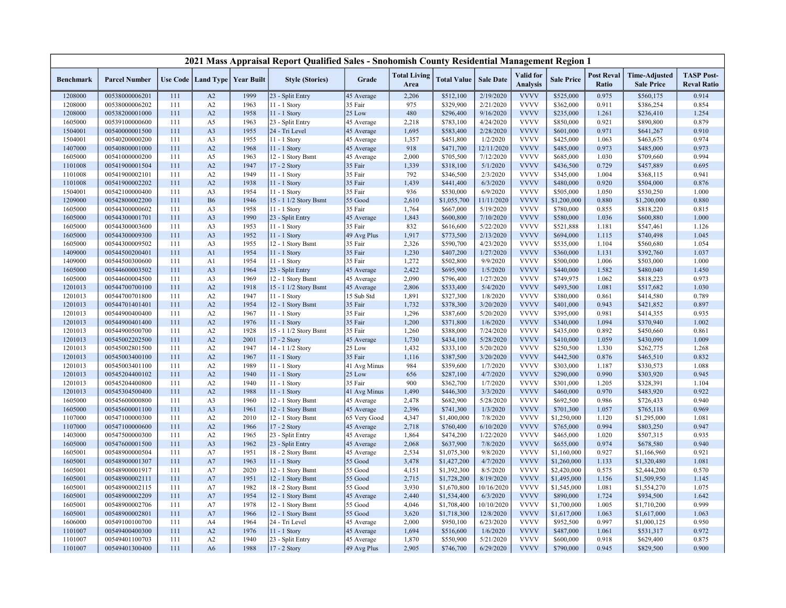|                    |                                  |            |                                   |              | 2021 Mass Appraisal Report Qualified Sales - Snohomish County Residential Management Region 1 |                     |                             |                        |                        |                                     |                        |                            |                                           |                                         |
|--------------------|----------------------------------|------------|-----------------------------------|--------------|-----------------------------------------------------------------------------------------------|---------------------|-----------------------------|------------------------|------------------------|-------------------------------------|------------------------|----------------------------|-------------------------------------------|-----------------------------------------|
| <b>Benchmark</b>   | <b>Parcel Number</b>             |            | Use Code   Land Type   Year Built |              | <b>Style (Stories)</b>                                                                        | Grade               | <b>Total Living</b><br>Area | <b>Total Value</b>     | <b>Sale Date</b>       | <b>Valid</b> for<br><b>Analysis</b> | <b>Sale Price</b>      | <b>Post Reval</b><br>Ratio | <b>Time-Adjusted</b><br><b>Sale Price</b> | <b>TASP Post-</b><br><b>Reval Ratio</b> |
| 1208000            | 00538000006201                   | 111        | A2                                | 1999         | 23 - Split Entry                                                                              | 45 Average          | 2,206                       | \$512,100              | 2/19/2020              | <b>VVVV</b>                         | \$525,000              | 0.975                      | \$560,175                                 | 0.914                                   |
| 1208000            | 00538000006202                   | 111        | A2                                | 1963         | 11 - 1 Story                                                                                  | 35 Fair             | 975                         | \$329,900              | 2/21/2020              | <b>VVVV</b>                         | \$362,000              | 0.911                      | \$386,254                                 | 0.854                                   |
| 1208000            | 00538200001000                   | 111        | A2                                | 1958         | 11 - 1 Story                                                                                  | 25 Low              | 480                         | \$296,400              | 9/16/2020              | <b>VVVV</b>                         | \$235,000              | 1.261                      | \$236,410                                 | 1.254                                   |
| 1605000            | 00539100000600                   | 111        | A5                                | 1963         | 23 - Split Entry                                                                              | 45 Average          | 2,218                       | \$783,100              | 4/24/2020              | <b>VVVV</b>                         | \$850,000              | 0.921                      | \$890,800                                 | 0.879                                   |
| 1504001            | 00540000001500                   | 111        | A <sub>3</sub>                    | 1955         | 24 - Tri Level                                                                                | 45 Average          | 1,695                       | \$583,400              | 2/28/2020              | <b>VVVV</b>                         | \$601,000              | 0.971                      | \$641,267                                 | 0.910                                   |
| 1504001            | 00540200000200                   | 111        | A3                                | 1955         | 11 - 1 Story                                                                                  | 45 Average          | 1,357                       | \$451,800              | 1/2/2020               | <b>VVVV</b>                         | \$425,000              | 1.063                      | \$463,675                                 | 0.974                                   |
| 1407000            | 00540800001000                   | 111        | A2                                | 1968         | 11 - 1 Story                                                                                  | 45 Average          | 918                         | \$471,700              | 12/11/2020             | <b>VVVV</b>                         | \$485,000              | 0.973                      | \$485,000                                 | 0.973                                   |
| 1605000            | 00541000000200                   | 111        | A5                                | 1963         | 12 - 1 Story Bsmt                                                                             | 45 Average          | 2,000                       | \$705,500              | 7/12/2020              | <b>VVVV</b>                         | \$685,000              | 1.030                      | \$709,660                                 | 0.994                                   |
| 1101008            | 00541900001504                   | 111        | A2                                | 1947         | 17 - 2 Story                                                                                  | 35 Fair             | 1,339                       | \$318,100              | 5/1/2020               | <b>VVVV</b>                         | \$436,500              | 0.729                      | \$457,889                                 | 0.695                                   |
| 1101008            | 00541900002101                   | 111        | A2                                | 1949         | 11 - 1 Story                                                                                  | 35 Fair             | 792                         | \$346,500              | 2/3/2020               | <b>VVVV</b>                         | \$345,000              | 1.004                      | \$368,115                                 | 0.941                                   |
| 1101008            | 00541900002202                   | 111        | A2                                | 1938         | 11 - 1 Story                                                                                  | 35 Fair             | 1,439                       | \$441,400              | 6/3/2020               | <b>VVVV</b>                         | \$480,000              | 0.920                      | \$504,000                                 | 0.876                                   |
| 1504001            | 00542100000400                   | 111        | A <sub>3</sub>                    | 1954         | 11 - 1 Story                                                                                  | 35 Fair             | 936                         | \$530,000              | 6/9/2020               | <b>VVVV</b>                         | \$505,000              | 1.050                      | \$530,250                                 | 1.000                                   |
| 1209000            | 00542800002200                   | 111        | <b>B6</b>                         | 1946         | 15 - 1 1/2 Story Bsmt                                                                         | 55 Good             | 2,610                       | \$1,055,700            | 11/11/2020             | <b>VVVV</b>                         | \$1,200,000            | 0.880                      | \$1,200,000                               | 0.880                                   |
| 1605000            | 00544300000602                   | 111        | A <sub>3</sub>                    | 1958         | 11 - 1 Story                                                                                  | 35 Fair             | 1,764                       | \$667,000              | 5/19/2020              | <b>VVVV</b>                         | \$780,000              | 0.855                      | \$818,220                                 | 0.815                                   |
| 1605000            | 00544300001701                   | 111        | A <sub>3</sub>                    | 1990         | 23 - Split Entry                                                                              | 45 Average          | 1,843                       | \$600,800              | 7/10/2020              | <b>VVVV</b>                         | \$580,000              | 1.036                      | \$600,880                                 | 1.000                                   |
| 1605000            | 00544300003600                   | 111        | A3                                | 1953         | 11 - 1 Story                                                                                  | 35 Fair             | 832                         | \$616,600              | 5/22/2020              | <b>VVVV</b>                         | \$521,888              | 1.181                      | \$547,461                                 | 1.126                                   |
| 1605000            | 00544300009300                   | 111        | A <sub>3</sub>                    | 1952         | 11 - 1 Story                                                                                  | 49 Avg Plus         | 1,917                       | \$773,500              | 2/13/2020              | <b>VVVV</b>                         | \$694,000              | 1.115                      | \$740,498                                 | 1.045                                   |
| 1605000            | 00544300009502                   | 111        | A3                                | 1955         | 12 - 1 Story Bsmt                                                                             | 35 Fair             | 2,326                       | \$590,700              | 4/23/2020              | <b>VVVV</b>                         | \$535,000              | 1.104                      | \$560,680                                 | 1.054                                   |
| 1409000            | 00544500200401                   | 111        | A1                                | 1954         | $11 - 1$ Story                                                                                | 35 Fair             | 1,230                       | \$407,200              | 1/27/2020              | <b>VVVV</b>                         | \$360,000              | 1.131                      | \$392,760                                 | 1.037                                   |
| 1409000            | 00544500300600                   | 111        | A <sub>1</sub>                    | 1954         | 11 - 1 Story                                                                                  | 35 Fair             | 1,272                       | \$502,800              | 9/9/2020               | <b>VVVV</b>                         | \$500,000              | 1.006                      | \$503,000                                 | 1.000                                   |
| 1605000            | 00544600003502                   | 111        | A <sub>3</sub>                    | 1964         | 23 - Split Entry                                                                              | 45 Average          | 2,422                       | \$695,900              | 1/5/2020               | <b>VVVV</b>                         | \$440,000              | 1.582                      | \$480,040                                 | 1.450                                   |
| 1605000            | 00544600004500                   | 111        | A <sub>3</sub>                    | 1969         | 12 - 1 Story Bsmt                                                                             | 45 Average          | 2,090                       | \$796,400              | 1/27/2020              | <b>VVVV</b>                         | \$749,975              | 1.062                      | \$818,223                                 | 0.973                                   |
| 1201013            | 00544700700100                   | 111        | A2                                | 1918         | 15 - 1 1/2 Story Bsmt                                                                         | 45 Average          | 2,806                       | \$533,400              | 5/4/2020               | <b>VVVV</b>                         | \$493,500              | 1.081                      | \$517,682                                 | 1.030                                   |
| 1201013            | 00544700701800                   | 111        | A2                                | 1947         | 11 - 1 Story                                                                                  | 15 Sub Std          | 1,891                       | \$327,300              | 1/8/2020               | <b>VVVV</b>                         | \$380,000              | 0.861                      | \$414,580                                 | 0.789                                   |
| 1201013<br>1201013 | 00544701401401<br>00544900400400 | 111<br>111 | A2                                | 1954<br>1967 | 12 - 1 Story Bsmt                                                                             | 35 Fair<br>35 Fair  | 1,732<br>1,296              | \$378,300              | 3/20/2020<br>5/20/2020 | <b>VVVV</b><br><b>VVVV</b>          | \$401,000<br>\$395,000 | 0.943<br>0.981             | \$421,852                                 | 0.897<br>0.935                          |
|                    |                                  |            | A2<br>A2                          | 1976         | 11 - 1 Story                                                                                  | 35 Fair             | 1,200                       | \$387,600<br>\$371,800 | 1/6/2020               | <b>VVVV</b>                         |                        | 1.094                      | \$414,355                                 | 1.002                                   |
| 1201013<br>1201013 | 00544900401400<br>00544900500700 | 111<br>111 | A2                                | 1928         | 11 - 1 Story<br>15 - 1 1/2 Story Bsmt                                                         | 35 Fair             | 1,260                       | \$388,000              | 7/24/2020              | <b>VVVV</b>                         | \$340,000<br>\$435,000 | 0.892                      | \$370,940<br>\$450,660                    | 0.861                                   |
| 1201013            | 00545002202500                   | 111        | A2                                | 2001         | $17 - 2$ Story                                                                                | 45 Average          | 1,730                       | \$434,100              | 5/28/2020              | <b>VVVV</b>                         | \$410,000              | 1.059                      | \$430,090                                 | 1.009                                   |
| 1201013            | 00545002801500                   | 111        | A2                                | 1947         | 14 - 1 1/2 Story                                                                              | 25 Low              | 1,432                       | \$333,100              | 5/20/2020              | <b>VVVV</b>                         | \$250,500              | 1.330                      | \$262,775                                 | 1.268                                   |
| 1201013            | 00545003400100                   | 111        | A2                                | 1967         | 11 - 1 Story                                                                                  | 35 Fair             | 1,116                       | \$387,500              | 3/20/2020              | <b>VVVV</b>                         | \$442,500              | 0.876                      | \$465,510                                 | 0.832                                   |
| 1201013            | 00545003401100                   | 111        | A2                                | 1989         | 11 - 1 Story                                                                                  | 41 Avg Minus        | 984                         | \$359,600              | 1/7/2020               | <b>VVVV</b>                         | \$303,000              | 1.187                      | \$330,573                                 | 1.088                                   |
| 1201013            | 00545204400102                   | 111        | A2                                | 1940         | 11 - 1 Story                                                                                  | 25 Low              | 656                         | \$287,100              | 4/7/2020               | <b>VVVV</b>                         | \$290,000              | 0.990                      | \$303,920                                 | 0.945                                   |
| 1201013            | 00545204400800                   | 111        | A2                                | 1940         | 11 - 1 Story                                                                                  | 35 Fair             | 900                         | \$362,700              | 1/7/2020               | <b>VVVV</b>                         | \$301,000              | 1.205                      | \$328,391                                 | 1.104                                   |
| 1201013            | 00545304500400                   | 111        | A2                                | 1988         | 11 - 1 Story                                                                                  | 41 Avg Minus        | 1,490                       | \$446,300              | 3/3/2020               | <b>VVVV</b>                         | \$460,000              | 0.970                      | \$483,920                                 | 0.922                                   |
| 1605000            | 00545600000800                   | 111        | A3                                | 1960         | 12 - 1 Story Bsmt                                                                             | 45 Average          | 2,478                       | \$682,900              | 5/28/2020              | <b>VVVV</b>                         | \$692,500              | 0.986                      | \$726,433                                 | 0.940                                   |
| 1605000            | 00545600001100                   | 111        | A3                                | 1961         | 12 - 1 Story Bsmt                                                                             | 45 Average          | 2,396                       | \$741,300              | 1/3/2020               | <b>VVVV</b>                         | \$701,300              | 1.057                      | \$765,118                                 | 0.969                                   |
| 1107000            | 00547100000300                   | 111        | A2                                | 2010         | 12 - 1 Story Bsmt                                                                             | 65 Very Good        | 4,347                       | \$1,400,000            | 7/8/2020               | <b>VVVV</b>                         | \$1,250,000            | 1.120                      | \$1,295,000                               | 1.081                                   |
| 1107000            | 00547100000600                   | 111        | A2                                | 1966         | 17 - 2 Story                                                                                  | 45 Average          | 2,718                       | \$760,400              | 6/10/2020              | <b>VVVV</b>                         | \$765,000              | 0.994                      | \$803,250                                 | 0.947                                   |
| 1403000            | 00547500000300                   | 111        | A2                                | 1965         | 23 - Split Entry                                                                              | 45 Average          | 1,864                       | \$474,200              | 1/22/2020              | <b>VVVV</b>                         | \$465,000              | 1.020                      | \$507,315                                 | 0.935                                   |
| 1605000            | 00547600001500                   | 111        | A <sub>3</sub>                    | 1962         | 23 - Split Entry                                                                              | 45 Average          | 2,068                       | \$637,900              | 7/8/2020               | <b>VVVV</b>                         | \$655,000              | 0.974                      | \$678,580                                 | 0.940                                   |
| 1605001            | 00548900000504                   | 111        | A7                                | 1951         | 18 - 2 Story Bsmt                                                                             | 45 Average          | 2,534                       | \$1,075,300            | 9/8/2020               | <b>VVVV</b>                         | \$1,160,000            | 0.927                      | \$1,166,960                               | 0.921                                   |
| 1605001            | 00548900001307                   | 111        | A7                                | 1963         | 11 - 1 Story                                                                                  | 55 Good             | 3,478                       | \$1,427,200            | 4/7/2020               | <b>VVVV</b>                         | \$1,260,000            | 1.133                      | \$1,320,480                               | 1.081                                   |
| 1605001            | 00548900001917                   | 111        | A7                                | 2020         | 12 - 1 Story Bsmt                                                                             | 55 Good             | 4,151                       | \$1,392,300            | 8/5/2020               | <b>VVVV</b>                         | \$2,420,000            | 0.575                      | \$2,444,200                               | 0.570                                   |
| 1605001            | 00548900002111                   | 111        | A7                                | 1951         | 12 - 1 Story Bsmt                                                                             | 55 Good             | 2,715                       | \$1,728,200            | 8/19/2020              | <b>VVVV</b>                         | \$1,495,000            | 1.156                      | \$1,509,950                               | 1.145                                   |
| 1605001            | 00548900002115                   | 111        | A7                                | 1982         | 18 - 2 Story Bsmt                                                                             | $55\;\mathrm{Good}$ | 3,930                       | \$1,670,800            | 10/16/2020             | <b>VVVV</b>                         | \$1,545,000            | 1.081                      | \$1,554,270                               | 1.075                                   |
| 1605001            | 00548900002209                   | 111        | A7                                | 1954         | 12 - 1 Story Bsmt                                                                             | 45 Average          | 2,440                       | \$1,534,400            | 6/3/2020               | <b>VVVV</b>                         | \$890,000              | 1.724                      | \$934,500                                 | 1.642                                   |
| 1605001            | 00548900002706                   | 111        | A7                                | 1978         | 12 - 1 Story Bsmt                                                                             | 55 Good             | 4,046                       | \$1,708,400            | 10/10/2020             | <b>VVVV</b>                         | \$1,700,000            | 1.005                      | \$1,710,200                               | 0.999                                   |
| 1605001            | 00548900002801                   | 111        | A7                                | 1966         | 12 - 1 Story Bsmt                                                                             | 55 Good             | 3,620                       | \$1,718,300            | 12/8/2020              | <b>VVVV</b>                         | \$1,617,000            | 1.063                      | \$1,617,000                               | 1.063                                   |
| 1606000            | 00549100100700                   | 111        | A4                                | 1964         | 24 - Tri Level                                                                                | 45 Average          | 2,000                       | \$950,100              | 6/23/2020              | <b>VVVV</b>                         | \$952,500              | 0.997                      | \$1,000,125                               | 0.950                                   |
| 1101007            | 00549400400300                   | 111        | A2                                | 1976         | 11 - 1 Story                                                                                  | 45 Average          | 1,694                       | \$516,600              | 1/6/2020               | <b>VVVV</b>                         | \$487,000              | 1.061                      | \$531,317                                 | 0.972                                   |
| 1101007            | 00549401100703                   | 111        | A2                                | 1940         | 23 - Split Entry                                                                              | 45 Average          | 1,870                       | \$550,900              | 5/21/2020              | <b>VVVV</b>                         | \$600,000              | 0.918                      | \$629,400                                 | 0.875                                   |
| 1101007            | 00549401300400                   | 111        | A <sub>6</sub>                    | 1988         | 17 - 2 Story                                                                                  | 49 Avg Plus         | 2,905                       | \$746,700              | 6/29/2020              | <b>VVVV</b>                         | \$790,000              | 0.945                      | \$829,500                                 | 0.900                                   |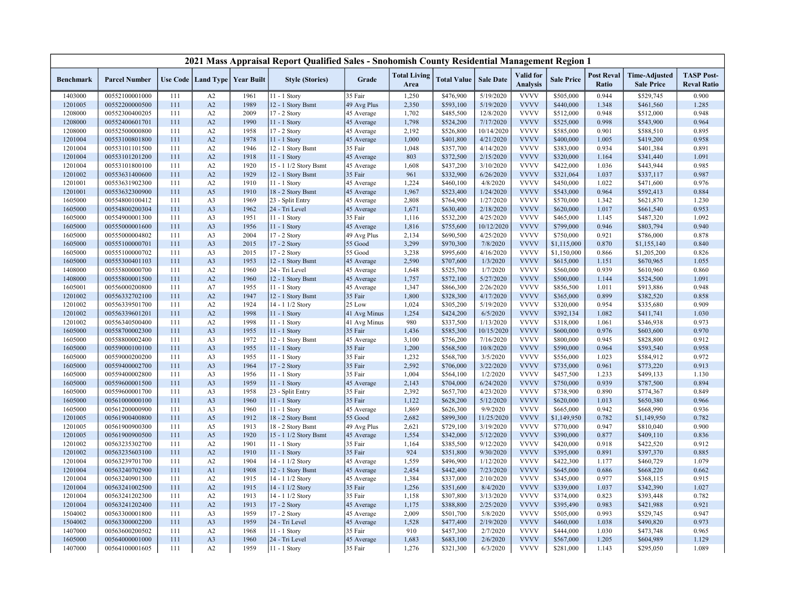|                  |                      |     |                                   |      | 2021 Mass Appraisal Report Qualified Sales - Snohomish County Residential Management Region 1 |              |                             |                    |                  |                              |                   |                            |                                           |                                         |
|------------------|----------------------|-----|-----------------------------------|------|-----------------------------------------------------------------------------------------------|--------------|-----------------------------|--------------------|------------------|------------------------------|-------------------|----------------------------|-------------------------------------------|-----------------------------------------|
| <b>Benchmark</b> | <b>Parcel Number</b> |     | Use Code   Land Type   Year Built |      | <b>Style (Stories)</b>                                                                        | Grade        | <b>Total Living</b><br>Area | <b>Total Value</b> | <b>Sale Date</b> | Valid for<br><b>Analysis</b> | <b>Sale Price</b> | <b>Post Reval</b><br>Ratio | <b>Time-Adjusted</b><br><b>Sale Price</b> | <b>TASP Post-</b><br><b>Reval Ratio</b> |
| 1403000          | 00552100001000       | 111 | A2                                | 1961 | 11 - 1 Story                                                                                  | 35 Fair      | 1,250                       | \$476,900          | 5/19/2020        | <b>VVVV</b>                  | \$505,000         | 0.944                      | \$529,745                                 | 0.900                                   |
| 1201005          | 00552200000500       | 111 | A2                                | 1989 | 12 - 1 Story Bsmt                                                                             | 49 Avg Plus  | 2,350                       | \$593,100          | 5/19/2020        | <b>VVVV</b>                  | \$440,000         | 1.348                      | \$461,560                                 | 1.285                                   |
| 1208000          | 00552300400205       | 111 | A2                                | 2009 | 17 - 2 Story                                                                                  | 45 Average   | 1,702                       | \$485,500          | 12/8/2020        | <b>VVVV</b>                  | \$512,000         | 0.948                      | \$512,000                                 | 0.948                                   |
| 1208000          | 00552400601701       | 111 | A2                                | 1990 | 11 - 1 Story                                                                                  | 45 Average   | 1,798                       | \$524,200          | 7/17/2020        | <b>VVVV</b>                  | \$525,000         | 0.998                      | \$543,900                                 | 0.964                                   |
| 1208000          | 00552500000800       | 111 | A2                                | 1958 | 17 - 2 Story                                                                                  | 45 Average   | 2,192                       | \$526,800          | 10/14/2020       | <b>VVVV</b>                  | \$585,000         | 0.901                      | \$588,510                                 | 0.895                                   |
| 1201004          | 00553100801800       | 111 | A2                                | 1978 | 11 - 1 Story                                                                                  | 45 Average   | 1,000                       | \$401,800          | 4/21/2020        | <b>VVVV</b>                  | \$400,000         | 1.005                      | \$419,200                                 | 0.958                                   |
| 1201004          | 00553101101500       | 111 | A2                                | 1946 | 12 - 1 Story Bsmt                                                                             | 35 Fair      | 1,048                       | \$357,700          | 4/14/2020        | <b>VVVV</b>                  | \$383,000         | 0.934                      | \$401,384                                 | 0.891                                   |
| 1201004          | 00553101201200       | 111 | A2                                | 1918 | 11 - 1 Story                                                                                  | 45 Average   | 803                         | \$372,500          | 2/15/2020        | <b>VVVV</b>                  | \$320,000         | 1.164                      | \$341,440                                 | 1.091                                   |
| 1201004          | 00553101800100       | 111 | A2                                | 1920 | 15 - 1 1/2 Story Bsmt                                                                         | 45 Average   | 1,608                       | \$437,200          | 3/10/2020        | <b>VVVV</b>                  | \$422,000         | 1.036                      | \$443,944                                 | 0.985                                   |
| 1201002          | 00553631400600       | 111 | A2                                | 1929 | 12 - 1 Story Bsmt                                                                             | 35 Fair      | 961                         | \$332,900          | 6/26/2020        | <b>VVVV</b>                  | \$321,064         | 1.037                      | \$337,117                                 | 0.987                                   |
| 1201001          | 00553631902300       | 111 | A2                                | 1910 | 11 - 1 Story                                                                                  | 45 Average   | 1,224                       | \$460,100          | 4/8/2020         | <b>VVVV</b>                  | \$450,000         | 1.022                      | \$471,600                                 | 0.976                                   |
| 1201001          | 00553632300900       | 111 | A5                                | 1910 | 18 - 2 Story Bsmt                                                                             | 45 Average   | 1,967                       | \$523,400          | 1/24/2020        | <b>VVVV</b>                  | \$543,000         | 0.964                      | \$592,413                                 | 0.884                                   |
| 1605000          | 00554800100412       | 111 | A3                                | 1969 | 23 - Split Entry                                                                              | 45 Average   | 2,808                       | \$764,900          | 1/27/2020        | <b>VVVV</b>                  | \$570,000         | 1.342                      | \$621,870                                 | 1.230                                   |
| 1605000          | 00554800200304       | 111 | A <sub>3</sub>                    | 1962 | 24 - Tri Level                                                                                | 45 Average   | 1,671                       | \$630,400          | 2/18/2020        | <b>VVVV</b>                  | \$620,000         | 1.017                      | \$661,540                                 | 0.953                                   |
| 1605000          | 00554900001300       | 111 | A3                                | 1951 | 11 - 1 Story                                                                                  | 35 Fair      | 1,116                       | \$532,200          | 4/25/2020        | <b>VVVV</b>                  | \$465,000         | 1.145                      | \$487,320                                 | 1.092                                   |
| 1605000          | 00555000001600       | 111 | A3                                | 1956 | 11 - 1 Story                                                                                  | 45 Average   | 1,816                       | \$755,600          | 10/12/2020       | <b>VVVV</b>                  | \$799,000         | 0.946                      | \$803,794                                 | 0.940                                   |
| 1605000          | 00555000004802       | 111 | A <sub>3</sub>                    | 2004 | 17 - 2 Story                                                                                  | 49 Avg Plus  | 2,134                       | \$690,500          | 4/25/2020        | <b>VVVV</b>                  | \$750,000         | 0.921                      | \$786,000                                 | 0.878                                   |
| 1605000          | 00555100000701       | 111 | A3                                | 2015 | 17 - 2 Story                                                                                  | 55 Good      | 3,299                       | \$970,300          | 7/8/2020         | <b>VVVV</b>                  | \$1,115,000       | 0.870                      | \$1,155,140                               | 0.840                                   |
| 1605000          | 00555100000702       | 111 | A3                                | 2015 | 17 - 2 Story                                                                                  | 55 Good      | 3,238                       | \$995,600          | 4/16/2020        | <b>VVVV</b>                  | \$1,150,000       | 0.866                      | \$1,205,200                               | 0.826                                   |
| 1605000          | 00555300401103       | 111 | A <sub>3</sub>                    | 1953 | 12 - 1 Story Bsmt                                                                             | 45 Average   | 2,590                       | \$707,600          | 1/3/2020         | <b>VVVV</b>                  | \$615,000         | 1.151                      | \$670,965                                 | 1.055                                   |
| 1408000          | 00555800000700       | 111 | A2                                | 1960 | 24 - Tri Level                                                                                | 45 Average   | 1,648                       | \$525,700          | 1/7/2020         | <b>VVVV</b>                  | \$560,000         | 0.939                      | \$610,960                                 | 0.860                                   |
| 1408000          | 00555800001500       | 111 | A2                                | 1960 | 12 - 1 Story Bsmt                                                                             | 45 Average   | 1,757                       | \$572,100          | 5/27/2020        | <b>VVVV</b>                  | \$500,000         | 1.144                      | \$524,500                                 | 1.091                                   |
| 1605001          | 00556000200800       | 111 | A7                                | 1955 | $11 - 1$ Story                                                                                | 45 Average   | 1,347                       | \$866,300          | 2/26/2020        | <b>VVVV</b>                  | \$856,500         | 1.011                      | \$913,886                                 | 0.948                                   |
| 1201002          | 00556332702100       | 111 | A2                                | 1947 | 12 - 1 Story Bsmt                                                                             | 35 Fair      | 1,800                       | \$328,300          | 4/17/2020        | <b>VVVV</b>                  | \$365,000         | 0.899                      | \$382,520                                 | 0.858                                   |
| 1201002          | 00556339501700       | 111 | A2                                | 1924 | 14 - 1 1/2 Story                                                                              | 25 Low       | 1,024                       | \$305,200          | 5/19/2020        | <b>VVVV</b>                  | \$320,000         | 0.954                      | \$335,680                                 | 0.909                                   |
| 1201002          | 00556339601201       | 111 | A2                                | 1998 | 11 - 1 Story                                                                                  | 41 Avg Minus | 1,254                       | \$424,200          | 6/5/2020         | <b>VVVV</b>                  | \$392,134         | 1.082                      | \$411,741                                 | 1.030                                   |
| 1201002          | 00556340500400       | 111 | A2                                | 1998 | 11 - 1 Story                                                                                  | 41 Avg Minus | 980                         | \$337,500          | 1/13/2020        | <b>VVVV</b>                  | \$318,000         | 1.061                      | \$346,938                                 | 0.973                                   |
| 1605000          | 00558700002300       | 111 | A <sub>3</sub>                    | 1955 | 11 - 1 Story                                                                                  | 35 Fair      | 1,436                       | \$585,300          | 10/15/2020       | <b>VVVV</b>                  | \$600,000         | 0.976                      | \$603,600                                 | 0.970                                   |
| 1605000          | 00558800002400       | 111 | A3                                | 1972 | 12 - 1 Story Bsmt                                                                             | 45 Average   | 3,100                       | \$756,200          | 7/16/2020        | <b>VVVV</b>                  | \$800,000         | 0.945                      | \$828,800                                 | 0.912                                   |
| 1605000          | 00559000100100       | 111 | A <sub>3</sub>                    | 1955 | 11 - 1 Story                                                                                  | 35 Fair      | 1,200                       | \$568,500          | 10/8/2020        | <b>VVVV</b>                  | \$590,000         | 0.964                      | \$593,540                                 | 0.958                                   |
| 1605000          | 00559000200200       | 111 | A3                                | 1955 | 11 - 1 Story                                                                                  | 35 Fair      | 1,232                       | \$568,700          | 3/5/2020         | <b>VVVV</b>                  | \$556,000         | 1.023                      | \$584,912                                 | 0.972                                   |
| 1605000          | 00559400002700       | 111 | A <sub>3</sub>                    | 1964 | 17 - 2 Story                                                                                  | 35 Fair      | 2,592                       | \$706,000          | 3/22/2020        | <b>VVVV</b>                  | \$735,000         | 0.961                      | \$773,220                                 | 0.913                                   |
| 1605000          | 00559400002800       | 111 | A3                                | 1956 | 11 - 1 Story                                                                                  | 35 Fair      | 1,004                       | \$564,100          | 1/2/2020         | <b>VVVV</b>                  | \$457,500         | 1.233                      | \$499,133                                 | 1.130                                   |
| 1605000          | 00559600001500       | 111 | A <sub>3</sub>                    | 1959 | 11 - 1 Story                                                                                  | 45 Average   | 2,143                       | \$704,000          | 6/24/2020        | <b>VVVV</b>                  | \$750,000         | 0.939                      | \$787,500                                 | 0.894                                   |
| 1605000          | 00559600001700       | 111 | A3                                | 1958 | 23 - Split Entry                                                                              | 35 Fair      | 2,392                       | \$657,700          | 4/23/2020        | <b>VVVV</b>                  | \$738,900         | 0.890                      | \$774,367                                 | 0.849                                   |
| 1605000          | 00561000000100       | 111 | A3                                | 1960 | 11 - 1 Story                                                                                  | 35 Fair      | 1,122                       | \$628,200          | 5/12/2020        | <b>VVVV</b>                  | \$620,000         | 1.013                      | \$650,380                                 | 0.966                                   |
| 1605000          | 00561200000900       | 111 | A <sub>3</sub>                    | 1960 | 11 - 1 Story                                                                                  | 45 Average   | 1,869                       | \$626,300          | 9/9/2020         | <b>VVVV</b>                  | \$665,000         | 0.942                      | \$668,990                                 | 0.936                                   |
| 1201005          | 00561900400800       | 111 | A5                                | 1912 | 18 - 2 Story Bsmt                                                                             | 55 Good      | 2,682                       | \$899,300          | 11/25/2020       | <b>VVVV</b>                  | \$1,149,950       | 0.782                      | \$1,149,950                               | 0.782                                   |
| 1201005          | 00561900900300       | 111 | A5                                | 1913 | 18 - 2 Story Bsmt                                                                             | 49 Avg Plus  | 2,621                       | \$729,100          | 3/19/2020        | <b>VVVV</b>                  | \$770,000         | 0.947                      | \$810,040                                 | 0.900                                   |
| 1201005          | 00561900900500       | 111 | A5                                | 1920 | 15 - 1 1/2 Story Bsmt                                                                         | 45 Average   | 1,554                       | \$342,000          | 5/12/2020        | <b>VVVV</b>                  | \$390,000         | 0.877                      | \$409,110                                 | 0.836                                   |
| 1201002          | 00563235302700       | 111 | A2                                | 1901 | $11 - 1$ Story                                                                                | 35 Fair      | 1,164                       | \$385,500          | 9/12/2020        | <b>VVVV</b>                  | \$420,000         | 0.918                      | \$422,520                                 | 0.912                                   |
| 1201002          | 00563235603100       | 111 | A2                                | 1910 | 11 - 1 Story                                                                                  | 35 Fair      | 924                         | \$351,800          | 9/30/2020        | <b>VVVV</b>                  | \$395,000         | 0.891                      | \$397,370                                 | 0.885                                   |
| 1201004          | 00563239701700       | 111 | A2                                | 1904 | 14 - 1 1/2 Story                                                                              | 45 Average   | 1,559                       | \$496,900          | 1/12/2020        | <b>VVVV</b>                  | \$422,300         | 1.177                      | \$460,729                                 | 1.079                                   |
| 1201004          | 00563240702900       | 111 | A <sub>1</sub>                    | 1908 | 12 - 1 Story Bsmt                                                                             | 45 Average   | 2,454                       | \$442,400          | 7/23/2020        | <b>VVVV</b>                  | \$645,000         | 0.686                      | \$668,220                                 | 0.662                                   |
| 1201004          | 00563240901300       | 111 | A2                                | 1915 | 14 - 1 1/2 Story                                                                              | 45 Average   | 1,384                       | \$337,000          | 2/10/2020        | <b>VVVV</b>                  | \$345,000         | 0.977                      | \$368,115                                 | 0.915                                   |
| 1201004          | 00563241002500       | 111 | A2                                | 1915 | 14 - 1 1/2 Story                                                                              | 35 Fair      | 1,256                       | \$351,600          | 8/4/2020         | <b>VVVV</b>                  | \$339,000         | 1.037                      | \$342,390                                 | 1.027                                   |
| 1201004          | 00563241202300       | 111 | A2                                | 1913 | 14 - 1 1/2 Story                                                                              | 35 Fair      | 1,158                       | \$307,800          | 3/13/2020        | <b>VVVV</b>                  | \$374,000         | 0.823                      | \$393,448                                 | 0.782                                   |
| 1201004          | 00563241202400       | 111 | A2                                | 1913 | 17 - 2 Story                                                                                  | 45 Average   | 1,175                       | \$388,800          | 2/25/2020        | <b>VVVV</b>                  | \$395,490         | 0.983                      | \$421,988                                 | 0.921                                   |
| 1504002          | 00563300001800       | 111 | A3                                | 1959 | 17 - 2 Story                                                                                  | 45 Average   | 2,009                       | \$501,700          | 5/8/2020         | <b>VVVV</b>                  | \$505,000         | 0.993                      | \$529,745                                 | 0.947                                   |
| 1504002          | 00563300002200       | 111 | A <sub>3</sub>                    | 1959 | 24 - Tri Level                                                                                | 45 Average   | 1,528                       | \$477,400          | 2/19/2020        | <b>VVVV</b>                  | \$460,000         | 1.038                      | \$490,820                                 | 0.973                                   |
| 1407000          | 00563600200502       | 111 | A2                                | 1968 | 11 - 1 Story                                                                                  | 35 Fair      | 910                         | \$457,300          | 2/7/2020         | <b>VVVV</b>                  | \$444,000         | 1.030                      | \$473,748                                 | 0.965                                   |
| 1605000          | 00564000001000       | 111 | A <sub>3</sub>                    | 1960 | 24 - Tri Level                                                                                | 45 Average   | 1,683                       | \$683,100          | 2/6/2020         | <b>VVVV</b>                  | \$567,000         | 1.205                      | \$604,989                                 | 1.129                                   |
| 1407000          | 00564100001605       | 111 | A2                                | 1959 | 11 - 1 Story                                                                                  | 35 Fair      | 1,276                       | \$321,300          | 6/3/2020         | <b>VVVV</b>                  | \$281,000         | 1.143                      | \$295,050                                 | 1.089                                   |
|                  |                      |     |                                   |      |                                                                                               |              |                             |                    |                  |                              |                   |                            |                                           |                                         |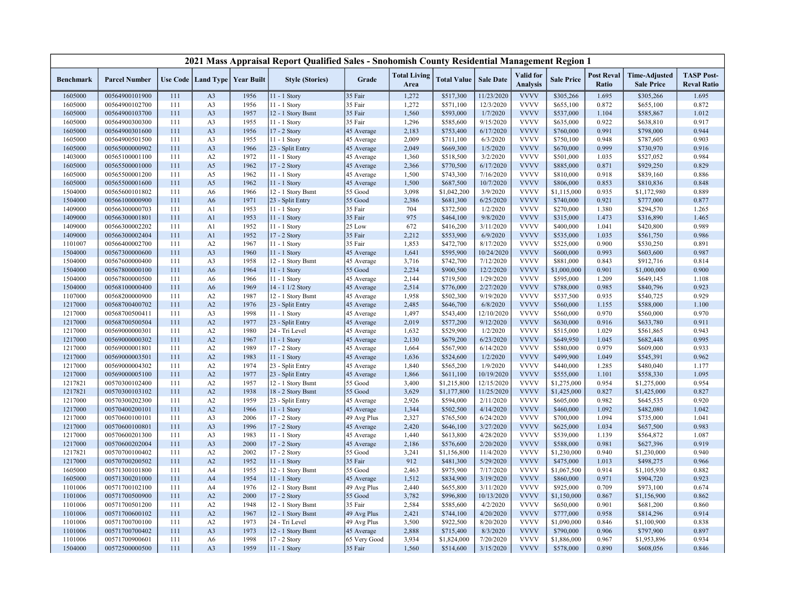| <b>Total Living</b><br><b>Valid</b> for<br><b>Post Reval</b><br><b>TASP Post-</b><br><b>Time-Adjusted</b><br><b>Sale Date</b><br>Use Code   Land Type   Year Built<br><b>Style (Stories)</b><br>Grade<br><b>Total Value</b><br><b>Sale Price</b><br><b>Benchmark</b><br><b>Parcel Number</b><br><b>Analysis</b><br>Ratio<br><b>Reval Ratio</b><br>Area<br><b>Sale Price</b><br><b>VVVV</b><br>1605000<br>00564900101900<br>1956<br>11 - 1 Story<br>35 Fair<br>1,272<br>\$517,300<br>11/23/2020<br>\$305,266<br>1.695<br>\$305,266<br>1.695<br>111<br>A <sub>3</sub><br><b>VVVV</b><br>1605000<br>00564900102700<br>1956<br>11 - 1 Story<br>35 Fair<br>1,272<br>\$571,100<br>12/3/2020<br>\$655,100<br>0.872<br>\$655,100<br>0.872<br>111<br>A3<br><b>VVVV</b><br>1957<br>35 Fair<br>1,560<br>\$593,000<br>1/7/2020<br>1.104<br>1.012<br>1605000<br>00564900103700<br>A <sub>3</sub><br>12 - 1 Story Bsmt<br>\$537,000<br>\$585,867<br>111<br><b>VVVV</b><br>1955<br>35 Fair<br>1,296<br>\$585,600<br>9/15/2020<br>0.922<br>0.917<br>1605000<br>00564900300300<br>111<br>A <sub>3</sub><br>11 - 1 Story<br>\$635,000<br>\$638,810<br>2,183<br><b>VVVV</b><br>0.944<br>1605000<br>00564900301600<br>111<br>A <sub>3</sub><br>1956<br>17 - 2 Story<br>45 Average<br>\$753,400<br>6/17/2020<br>\$760,000<br>0.991<br>\$798,000<br><b>VVVV</b><br>1955<br>2,009<br>\$711,100<br>6/3/2020<br>\$750,100<br>0.948<br>0.903<br>1605000<br>00564900501500<br>111<br>A <sub>3</sub><br>11 - 1 Story<br>45 Average<br>\$787,605<br>2,049<br>\$669,300<br>1/5/2020<br><b>VVVV</b><br>0.999<br>0.916<br>1605000<br>00565000000902<br>111<br>A <sub>3</sub><br>1966<br>23 - Split Entry<br>45 Average<br>\$670,000<br>\$730,970<br><b>VVVV</b><br>1403000<br>A2<br>1972<br>11 - 1 Story<br>45 Average<br>1,360<br>\$518,500<br>3/2/2020<br>\$501,000<br>1.035<br>\$527,052<br>0.984<br>00565100001100<br>111<br><b>VVVV</b><br>A <sub>5</sub><br>1962<br>\$770,500<br>6/17/2020<br>0.871<br>0.829<br>1605000<br>00565500001000<br>111<br>17 - 2 Story<br>2,366<br>\$885,000<br>\$929,250<br>45 Average<br><b>VVVV</b><br>0.918<br>1605000<br>00565500001200<br>A5<br>1962<br>11 - 1 Story<br>45 Average<br>1,500<br>\$743,300<br>7/16/2020<br>\$810,000<br>\$839,160<br>0.886<br>111<br>00565500001600<br>A <sub>5</sub><br>1962<br>11 - 1 Story<br>1,500<br>\$687,500<br>10/7/2020<br><b>VVVV</b><br>0.853<br>0.848<br>1605000<br>111<br>45 Average<br>\$806,000<br>\$810,836<br>\$1,042,200<br>3/9/2020<br><b>VVVV</b><br>0.935<br>1504000<br>00565600101802<br>111<br>1966<br>12 - 1 Story Bsmt<br>55 Good<br>3,098<br>\$1,115,000<br>\$1,172,980<br>0.889<br>A6<br><b>VVVV</b><br>1971<br>1504000<br>A6<br>23 - Split Entry<br>55 Good<br>2,386<br>\$681,300<br>6/25/2020<br>\$740,000<br>0.921<br>\$777,000<br>0.877<br>00566100000900<br>111<br>1953<br>35 Fair<br>704<br>1/2/2020<br><b>VVVV</b><br>1409000<br>00566300000703<br>111<br>11 - 1 Story<br>\$372,500<br>\$270,000<br>1.380<br>\$294,570<br>1.265<br>A <sub>1</sub><br><b>VVVV</b><br>1953<br>35 Fair<br>975<br>\$464,100<br>9/8/2020<br>1.465<br>1409000<br>00566300001801<br>111<br>A <sub>1</sub><br>$11 - 1$ Story<br>\$315,000<br>1.473<br>\$316,890<br><b>VVVV</b><br>1952<br>25 Low<br>672<br>\$416,200<br>3/11/2020<br>\$400,000<br>1.041<br>\$420,800<br>0.989<br>1409000<br>00566300002202<br>111<br>A1<br>11 - 1 Story<br>1952<br>35 Fair<br>2,212<br>\$553,900<br>6/9/2020<br><b>VVVV</b><br>0.986<br>1409000<br>00566300002404<br>111<br>A1<br>17 - 2 Story<br>\$535,000<br>1.035<br>\$561,750<br><b>VVVV</b><br>1967<br>35 Fair<br>1,853<br>\$472,700<br>8/17/2020<br>0.900<br>0.891<br>1101007<br>00566400002700<br>111<br>A2<br>11 - 1 Story<br>\$525,000<br>\$530,250<br><b>VVVV</b><br>1960<br>1,641<br>10/24/2020<br>\$600,000<br>0.993<br>1504000<br>00567300000600<br>111<br>A <sub>3</sub><br>11 - 1 Story<br>\$595,900<br>\$603,600<br>0.987<br>45 Average<br><b>VVVV</b><br>1958<br>3,716<br>7/12/2020<br>0.843<br>0.814<br>1504000<br>00567600000400<br>111<br>A <sub>3</sub><br>12 - 1 Story Bsmt<br>45 Average<br>\$742,700<br>\$881,000<br>\$912,716<br>1964<br>55 Good<br>2,234<br>\$900,500<br>12/2/2020<br><b>VVVV</b><br>0.901<br>1504000<br>00567800000100<br>111<br>A <sub>6</sub><br>11 - 1 Story<br>\$1,000,000<br>\$1,000,000<br>0.900<br><b>VVVV</b><br>1504000<br>00567800000500<br>1966<br>2,144<br>\$719,500<br>1/29/2020<br>\$595,000<br>1.209<br>\$649,145<br>1.108<br>111<br>A6<br>11 - 1 Story<br>45 Average<br><b>VVVV</b><br>1969<br>2,514<br>\$776,000<br>2/27/2020<br>0.985<br>0.923<br>1504000<br>00568100000400<br>111<br>A <sub>6</sub><br>14 - 1 1/2 Story<br>45 Average<br>\$788,000<br>\$840,796<br><b>VVVV</b><br>0.929<br>1107000<br>00568200000900<br>A2<br>1987<br>12 - 1 Story Bsmt<br>1,958<br>\$502,300<br>9/19/2020<br>\$537,500<br>0.935<br>\$540,725<br>111<br>45 Average<br><b>VVVV</b><br>1976<br>2,485<br>6/8/2020<br>1.100<br>1217000<br>00568700400702<br>111<br>A2<br>23 - Split Entry<br>45 Average<br>\$646,700<br>\$560,000<br>1.155<br>\$588,000<br><b>VVVV</b><br>0.970<br>00568700500411<br>A <sub>3</sub><br>1998<br>12/10/2020<br>\$560,000 |         |     |  | 2021 Mass Appraisal Report Qualified Sales - Snohomish County Residential Management Region 1 |            |       |           |  |  |           |       |
|--------------------------------------------------------------------------------------------------------------------------------------------------------------------------------------------------------------------------------------------------------------------------------------------------------------------------------------------------------------------------------------------------------------------------------------------------------------------------------------------------------------------------------------------------------------------------------------------------------------------------------------------------------------------------------------------------------------------------------------------------------------------------------------------------------------------------------------------------------------------------------------------------------------------------------------------------------------------------------------------------------------------------------------------------------------------------------------------------------------------------------------------------------------------------------------------------------------------------------------------------------------------------------------------------------------------------------------------------------------------------------------------------------------------------------------------------------------------------------------------------------------------------------------------------------------------------------------------------------------------------------------------------------------------------------------------------------------------------------------------------------------------------------------------------------------------------------------------------------------------------------------------------------------------------------------------------------------------------------------------------------------------------------------------------------------------------------------------------------------------------------------------------------------------------------------------------------------------------------------------------------------------------------------------------------------------------------------------------------------------------------------------------------------------------------------------------------------------------------------------------------------------------------------------------------------------------------------------------------------------------------------------------------------------------------------------------------------------------------------------------------------------------------------------------------------------------------------------------------------------------------------------------------------------------------------------------------------------------------------------------------------------------------------------------------------------------------------------------------------------------------------------------------------------------------------------------------------------------------------------------------------------------------------------------------------------------------------------------------------------------------------------------------------------------------------------------------------------------------------------------------------------------------------------------------------------------------------------------------------------------------------------------------------------------------------------------------------------------------------------------------------------------------------------------------------------------------------------------------------------------------------------------------------------------------------------------------------------------------------------------------------------------------------------------------------------------------------------------------------------------------------------------------------------------------------------------------------------------------------------------------------------------------------------------------------------------------------------------------------------------------------------------------------------------------------------------------------------------------------------------------------------------------------------------------------------------------------------------------------------------------------------------------------------------------------------------------------------------------------------------------------------------------------------------------------------------------------------------------------------------------------------------------------------------------------------------------------------------------------------------------------------------------------------------------------------------------------------------------------------------------------------------------------------------------|---------|-----|--|-----------------------------------------------------------------------------------------------|------------|-------|-----------|--|--|-----------|-------|
|                                                                                                                                                                                                                                                                                                                                                                                                                                                                                                                                                                                                                                                                                                                                                                                                                                                                                                                                                                                                                                                                                                                                                                                                                                                                                                                                                                                                                                                                                                                                                                                                                                                                                                                                                                                                                                                                                                                                                                                                                                                                                                                                                                                                                                                                                                                                                                                                                                                                                                                                                                                                                                                                                                                                                                                                                                                                                                                                                                                                                                                                                                                                                                                                                                                                                                                                                                                                                                                                                                                                                                                                                                                                                                                                                                                                                                                                                                                                                                                                                                                                                                                                                                                                                                                                                                                                                                                                                                                                                                                                                                                                                                                                                                                                                                                                                                                                                                                                                                                                                                                                                                                                                                                |         |     |  |                                                                                               |            |       |           |  |  |           |       |
|                                                                                                                                                                                                                                                                                                                                                                                                                                                                                                                                                                                                                                                                                                                                                                                                                                                                                                                                                                                                                                                                                                                                                                                                                                                                                                                                                                                                                                                                                                                                                                                                                                                                                                                                                                                                                                                                                                                                                                                                                                                                                                                                                                                                                                                                                                                                                                                                                                                                                                                                                                                                                                                                                                                                                                                                                                                                                                                                                                                                                                                                                                                                                                                                                                                                                                                                                                                                                                                                                                                                                                                                                                                                                                                                                                                                                                                                                                                                                                                                                                                                                                                                                                                                                                                                                                                                                                                                                                                                                                                                                                                                                                                                                                                                                                                                                                                                                                                                                                                                                                                                                                                                                                                |         |     |  |                                                                                               |            |       |           |  |  |           |       |
|                                                                                                                                                                                                                                                                                                                                                                                                                                                                                                                                                                                                                                                                                                                                                                                                                                                                                                                                                                                                                                                                                                                                                                                                                                                                                                                                                                                                                                                                                                                                                                                                                                                                                                                                                                                                                                                                                                                                                                                                                                                                                                                                                                                                                                                                                                                                                                                                                                                                                                                                                                                                                                                                                                                                                                                                                                                                                                                                                                                                                                                                                                                                                                                                                                                                                                                                                                                                                                                                                                                                                                                                                                                                                                                                                                                                                                                                                                                                                                                                                                                                                                                                                                                                                                                                                                                                                                                                                                                                                                                                                                                                                                                                                                                                                                                                                                                                                                                                                                                                                                                                                                                                                                                |         |     |  |                                                                                               |            |       |           |  |  |           |       |
|                                                                                                                                                                                                                                                                                                                                                                                                                                                                                                                                                                                                                                                                                                                                                                                                                                                                                                                                                                                                                                                                                                                                                                                                                                                                                                                                                                                                                                                                                                                                                                                                                                                                                                                                                                                                                                                                                                                                                                                                                                                                                                                                                                                                                                                                                                                                                                                                                                                                                                                                                                                                                                                                                                                                                                                                                                                                                                                                                                                                                                                                                                                                                                                                                                                                                                                                                                                                                                                                                                                                                                                                                                                                                                                                                                                                                                                                                                                                                                                                                                                                                                                                                                                                                                                                                                                                                                                                                                                                                                                                                                                                                                                                                                                                                                                                                                                                                                                                                                                                                                                                                                                                                                                |         |     |  |                                                                                               |            |       |           |  |  |           |       |
|                                                                                                                                                                                                                                                                                                                                                                                                                                                                                                                                                                                                                                                                                                                                                                                                                                                                                                                                                                                                                                                                                                                                                                                                                                                                                                                                                                                                                                                                                                                                                                                                                                                                                                                                                                                                                                                                                                                                                                                                                                                                                                                                                                                                                                                                                                                                                                                                                                                                                                                                                                                                                                                                                                                                                                                                                                                                                                                                                                                                                                                                                                                                                                                                                                                                                                                                                                                                                                                                                                                                                                                                                                                                                                                                                                                                                                                                                                                                                                                                                                                                                                                                                                                                                                                                                                                                                                                                                                                                                                                                                                                                                                                                                                                                                                                                                                                                                                                                                                                                                                                                                                                                                                                |         |     |  |                                                                                               |            |       |           |  |  |           |       |
|                                                                                                                                                                                                                                                                                                                                                                                                                                                                                                                                                                                                                                                                                                                                                                                                                                                                                                                                                                                                                                                                                                                                                                                                                                                                                                                                                                                                                                                                                                                                                                                                                                                                                                                                                                                                                                                                                                                                                                                                                                                                                                                                                                                                                                                                                                                                                                                                                                                                                                                                                                                                                                                                                                                                                                                                                                                                                                                                                                                                                                                                                                                                                                                                                                                                                                                                                                                                                                                                                                                                                                                                                                                                                                                                                                                                                                                                                                                                                                                                                                                                                                                                                                                                                                                                                                                                                                                                                                                                                                                                                                                                                                                                                                                                                                                                                                                                                                                                                                                                                                                                                                                                                                                |         |     |  |                                                                                               |            |       |           |  |  |           |       |
|                                                                                                                                                                                                                                                                                                                                                                                                                                                                                                                                                                                                                                                                                                                                                                                                                                                                                                                                                                                                                                                                                                                                                                                                                                                                                                                                                                                                                                                                                                                                                                                                                                                                                                                                                                                                                                                                                                                                                                                                                                                                                                                                                                                                                                                                                                                                                                                                                                                                                                                                                                                                                                                                                                                                                                                                                                                                                                                                                                                                                                                                                                                                                                                                                                                                                                                                                                                                                                                                                                                                                                                                                                                                                                                                                                                                                                                                                                                                                                                                                                                                                                                                                                                                                                                                                                                                                                                                                                                                                                                                                                                                                                                                                                                                                                                                                                                                                                                                                                                                                                                                                                                                                                                |         |     |  |                                                                                               |            |       |           |  |  |           |       |
|                                                                                                                                                                                                                                                                                                                                                                                                                                                                                                                                                                                                                                                                                                                                                                                                                                                                                                                                                                                                                                                                                                                                                                                                                                                                                                                                                                                                                                                                                                                                                                                                                                                                                                                                                                                                                                                                                                                                                                                                                                                                                                                                                                                                                                                                                                                                                                                                                                                                                                                                                                                                                                                                                                                                                                                                                                                                                                                                                                                                                                                                                                                                                                                                                                                                                                                                                                                                                                                                                                                                                                                                                                                                                                                                                                                                                                                                                                                                                                                                                                                                                                                                                                                                                                                                                                                                                                                                                                                                                                                                                                                                                                                                                                                                                                                                                                                                                                                                                                                                                                                                                                                                                                                |         |     |  |                                                                                               |            |       |           |  |  |           |       |
|                                                                                                                                                                                                                                                                                                                                                                                                                                                                                                                                                                                                                                                                                                                                                                                                                                                                                                                                                                                                                                                                                                                                                                                                                                                                                                                                                                                                                                                                                                                                                                                                                                                                                                                                                                                                                                                                                                                                                                                                                                                                                                                                                                                                                                                                                                                                                                                                                                                                                                                                                                                                                                                                                                                                                                                                                                                                                                                                                                                                                                                                                                                                                                                                                                                                                                                                                                                                                                                                                                                                                                                                                                                                                                                                                                                                                                                                                                                                                                                                                                                                                                                                                                                                                                                                                                                                                                                                                                                                                                                                                                                                                                                                                                                                                                                                                                                                                                                                                                                                                                                                                                                                                                                |         |     |  |                                                                                               |            |       |           |  |  |           |       |
|                                                                                                                                                                                                                                                                                                                                                                                                                                                                                                                                                                                                                                                                                                                                                                                                                                                                                                                                                                                                                                                                                                                                                                                                                                                                                                                                                                                                                                                                                                                                                                                                                                                                                                                                                                                                                                                                                                                                                                                                                                                                                                                                                                                                                                                                                                                                                                                                                                                                                                                                                                                                                                                                                                                                                                                                                                                                                                                                                                                                                                                                                                                                                                                                                                                                                                                                                                                                                                                                                                                                                                                                                                                                                                                                                                                                                                                                                                                                                                                                                                                                                                                                                                                                                                                                                                                                                                                                                                                                                                                                                                                                                                                                                                                                                                                                                                                                                                                                                                                                                                                                                                                                                                                |         |     |  |                                                                                               |            |       |           |  |  |           |       |
|                                                                                                                                                                                                                                                                                                                                                                                                                                                                                                                                                                                                                                                                                                                                                                                                                                                                                                                                                                                                                                                                                                                                                                                                                                                                                                                                                                                                                                                                                                                                                                                                                                                                                                                                                                                                                                                                                                                                                                                                                                                                                                                                                                                                                                                                                                                                                                                                                                                                                                                                                                                                                                                                                                                                                                                                                                                                                                                                                                                                                                                                                                                                                                                                                                                                                                                                                                                                                                                                                                                                                                                                                                                                                                                                                                                                                                                                                                                                                                                                                                                                                                                                                                                                                                                                                                                                                                                                                                                                                                                                                                                                                                                                                                                                                                                                                                                                                                                                                                                                                                                                                                                                                                                |         |     |  |                                                                                               |            |       |           |  |  |           |       |
|                                                                                                                                                                                                                                                                                                                                                                                                                                                                                                                                                                                                                                                                                                                                                                                                                                                                                                                                                                                                                                                                                                                                                                                                                                                                                                                                                                                                                                                                                                                                                                                                                                                                                                                                                                                                                                                                                                                                                                                                                                                                                                                                                                                                                                                                                                                                                                                                                                                                                                                                                                                                                                                                                                                                                                                                                                                                                                                                                                                                                                                                                                                                                                                                                                                                                                                                                                                                                                                                                                                                                                                                                                                                                                                                                                                                                                                                                                                                                                                                                                                                                                                                                                                                                                                                                                                                                                                                                                                                                                                                                                                                                                                                                                                                                                                                                                                                                                                                                                                                                                                                                                                                                                                |         |     |  |                                                                                               |            |       |           |  |  |           |       |
|                                                                                                                                                                                                                                                                                                                                                                                                                                                                                                                                                                                                                                                                                                                                                                                                                                                                                                                                                                                                                                                                                                                                                                                                                                                                                                                                                                                                                                                                                                                                                                                                                                                                                                                                                                                                                                                                                                                                                                                                                                                                                                                                                                                                                                                                                                                                                                                                                                                                                                                                                                                                                                                                                                                                                                                                                                                                                                                                                                                                                                                                                                                                                                                                                                                                                                                                                                                                                                                                                                                                                                                                                                                                                                                                                                                                                                                                                                                                                                                                                                                                                                                                                                                                                                                                                                                                                                                                                                                                                                                                                                                                                                                                                                                                                                                                                                                                                                                                                                                                                                                                                                                                                                                |         |     |  |                                                                                               |            |       |           |  |  |           |       |
|                                                                                                                                                                                                                                                                                                                                                                                                                                                                                                                                                                                                                                                                                                                                                                                                                                                                                                                                                                                                                                                                                                                                                                                                                                                                                                                                                                                                                                                                                                                                                                                                                                                                                                                                                                                                                                                                                                                                                                                                                                                                                                                                                                                                                                                                                                                                                                                                                                                                                                                                                                                                                                                                                                                                                                                                                                                                                                                                                                                                                                                                                                                                                                                                                                                                                                                                                                                                                                                                                                                                                                                                                                                                                                                                                                                                                                                                                                                                                                                                                                                                                                                                                                                                                                                                                                                                                                                                                                                                                                                                                                                                                                                                                                                                                                                                                                                                                                                                                                                                                                                                                                                                                                                |         |     |  |                                                                                               |            |       |           |  |  |           |       |
|                                                                                                                                                                                                                                                                                                                                                                                                                                                                                                                                                                                                                                                                                                                                                                                                                                                                                                                                                                                                                                                                                                                                                                                                                                                                                                                                                                                                                                                                                                                                                                                                                                                                                                                                                                                                                                                                                                                                                                                                                                                                                                                                                                                                                                                                                                                                                                                                                                                                                                                                                                                                                                                                                                                                                                                                                                                                                                                                                                                                                                                                                                                                                                                                                                                                                                                                                                                                                                                                                                                                                                                                                                                                                                                                                                                                                                                                                                                                                                                                                                                                                                                                                                                                                                                                                                                                                                                                                                                                                                                                                                                                                                                                                                                                                                                                                                                                                                                                                                                                                                                                                                                                                                                |         |     |  |                                                                                               |            |       |           |  |  |           |       |
|                                                                                                                                                                                                                                                                                                                                                                                                                                                                                                                                                                                                                                                                                                                                                                                                                                                                                                                                                                                                                                                                                                                                                                                                                                                                                                                                                                                                                                                                                                                                                                                                                                                                                                                                                                                                                                                                                                                                                                                                                                                                                                                                                                                                                                                                                                                                                                                                                                                                                                                                                                                                                                                                                                                                                                                                                                                                                                                                                                                                                                                                                                                                                                                                                                                                                                                                                                                                                                                                                                                                                                                                                                                                                                                                                                                                                                                                                                                                                                                                                                                                                                                                                                                                                                                                                                                                                                                                                                                                                                                                                                                                                                                                                                                                                                                                                                                                                                                                                                                                                                                                                                                                                                                |         |     |  |                                                                                               |            |       |           |  |  |           |       |
|                                                                                                                                                                                                                                                                                                                                                                                                                                                                                                                                                                                                                                                                                                                                                                                                                                                                                                                                                                                                                                                                                                                                                                                                                                                                                                                                                                                                                                                                                                                                                                                                                                                                                                                                                                                                                                                                                                                                                                                                                                                                                                                                                                                                                                                                                                                                                                                                                                                                                                                                                                                                                                                                                                                                                                                                                                                                                                                                                                                                                                                                                                                                                                                                                                                                                                                                                                                                                                                                                                                                                                                                                                                                                                                                                                                                                                                                                                                                                                                                                                                                                                                                                                                                                                                                                                                                                                                                                                                                                                                                                                                                                                                                                                                                                                                                                                                                                                                                                                                                                                                                                                                                                                                |         |     |  |                                                                                               |            |       |           |  |  |           |       |
|                                                                                                                                                                                                                                                                                                                                                                                                                                                                                                                                                                                                                                                                                                                                                                                                                                                                                                                                                                                                                                                                                                                                                                                                                                                                                                                                                                                                                                                                                                                                                                                                                                                                                                                                                                                                                                                                                                                                                                                                                                                                                                                                                                                                                                                                                                                                                                                                                                                                                                                                                                                                                                                                                                                                                                                                                                                                                                                                                                                                                                                                                                                                                                                                                                                                                                                                                                                                                                                                                                                                                                                                                                                                                                                                                                                                                                                                                                                                                                                                                                                                                                                                                                                                                                                                                                                                                                                                                                                                                                                                                                                                                                                                                                                                                                                                                                                                                                                                                                                                                                                                                                                                                                                |         |     |  |                                                                                               |            |       |           |  |  |           |       |
|                                                                                                                                                                                                                                                                                                                                                                                                                                                                                                                                                                                                                                                                                                                                                                                                                                                                                                                                                                                                                                                                                                                                                                                                                                                                                                                                                                                                                                                                                                                                                                                                                                                                                                                                                                                                                                                                                                                                                                                                                                                                                                                                                                                                                                                                                                                                                                                                                                                                                                                                                                                                                                                                                                                                                                                                                                                                                                                                                                                                                                                                                                                                                                                                                                                                                                                                                                                                                                                                                                                                                                                                                                                                                                                                                                                                                                                                                                                                                                                                                                                                                                                                                                                                                                                                                                                                                                                                                                                                                                                                                                                                                                                                                                                                                                                                                                                                                                                                                                                                                                                                                                                                                                                |         |     |  |                                                                                               |            |       |           |  |  |           |       |
|                                                                                                                                                                                                                                                                                                                                                                                                                                                                                                                                                                                                                                                                                                                                                                                                                                                                                                                                                                                                                                                                                                                                                                                                                                                                                                                                                                                                                                                                                                                                                                                                                                                                                                                                                                                                                                                                                                                                                                                                                                                                                                                                                                                                                                                                                                                                                                                                                                                                                                                                                                                                                                                                                                                                                                                                                                                                                                                                                                                                                                                                                                                                                                                                                                                                                                                                                                                                                                                                                                                                                                                                                                                                                                                                                                                                                                                                                                                                                                                                                                                                                                                                                                                                                                                                                                                                                                                                                                                                                                                                                                                                                                                                                                                                                                                                                                                                                                                                                                                                                                                                                                                                                                                |         |     |  |                                                                                               |            |       |           |  |  |           |       |
|                                                                                                                                                                                                                                                                                                                                                                                                                                                                                                                                                                                                                                                                                                                                                                                                                                                                                                                                                                                                                                                                                                                                                                                                                                                                                                                                                                                                                                                                                                                                                                                                                                                                                                                                                                                                                                                                                                                                                                                                                                                                                                                                                                                                                                                                                                                                                                                                                                                                                                                                                                                                                                                                                                                                                                                                                                                                                                                                                                                                                                                                                                                                                                                                                                                                                                                                                                                                                                                                                                                                                                                                                                                                                                                                                                                                                                                                                                                                                                                                                                                                                                                                                                                                                                                                                                                                                                                                                                                                                                                                                                                                                                                                                                                                                                                                                                                                                                                                                                                                                                                                                                                                                                                |         |     |  |                                                                                               |            |       |           |  |  |           |       |
|                                                                                                                                                                                                                                                                                                                                                                                                                                                                                                                                                                                                                                                                                                                                                                                                                                                                                                                                                                                                                                                                                                                                                                                                                                                                                                                                                                                                                                                                                                                                                                                                                                                                                                                                                                                                                                                                                                                                                                                                                                                                                                                                                                                                                                                                                                                                                                                                                                                                                                                                                                                                                                                                                                                                                                                                                                                                                                                                                                                                                                                                                                                                                                                                                                                                                                                                                                                                                                                                                                                                                                                                                                                                                                                                                                                                                                                                                                                                                                                                                                                                                                                                                                                                                                                                                                                                                                                                                                                                                                                                                                                                                                                                                                                                                                                                                                                                                                                                                                                                                                                                                                                                                                                |         |     |  |                                                                                               |            |       |           |  |  |           |       |
|                                                                                                                                                                                                                                                                                                                                                                                                                                                                                                                                                                                                                                                                                                                                                                                                                                                                                                                                                                                                                                                                                                                                                                                                                                                                                                                                                                                                                                                                                                                                                                                                                                                                                                                                                                                                                                                                                                                                                                                                                                                                                                                                                                                                                                                                                                                                                                                                                                                                                                                                                                                                                                                                                                                                                                                                                                                                                                                                                                                                                                                                                                                                                                                                                                                                                                                                                                                                                                                                                                                                                                                                                                                                                                                                                                                                                                                                                                                                                                                                                                                                                                                                                                                                                                                                                                                                                                                                                                                                                                                                                                                                                                                                                                                                                                                                                                                                                                                                                                                                                                                                                                                                                                                |         |     |  |                                                                                               |            |       |           |  |  |           |       |
|                                                                                                                                                                                                                                                                                                                                                                                                                                                                                                                                                                                                                                                                                                                                                                                                                                                                                                                                                                                                                                                                                                                                                                                                                                                                                                                                                                                                                                                                                                                                                                                                                                                                                                                                                                                                                                                                                                                                                                                                                                                                                                                                                                                                                                                                                                                                                                                                                                                                                                                                                                                                                                                                                                                                                                                                                                                                                                                                                                                                                                                                                                                                                                                                                                                                                                                                                                                                                                                                                                                                                                                                                                                                                                                                                                                                                                                                                                                                                                                                                                                                                                                                                                                                                                                                                                                                                                                                                                                                                                                                                                                                                                                                                                                                                                                                                                                                                                                                                                                                                                                                                                                                                                                |         |     |  |                                                                                               |            |       |           |  |  |           |       |
|                                                                                                                                                                                                                                                                                                                                                                                                                                                                                                                                                                                                                                                                                                                                                                                                                                                                                                                                                                                                                                                                                                                                                                                                                                                                                                                                                                                                                                                                                                                                                                                                                                                                                                                                                                                                                                                                                                                                                                                                                                                                                                                                                                                                                                                                                                                                                                                                                                                                                                                                                                                                                                                                                                                                                                                                                                                                                                                                                                                                                                                                                                                                                                                                                                                                                                                                                                                                                                                                                                                                                                                                                                                                                                                                                                                                                                                                                                                                                                                                                                                                                                                                                                                                                                                                                                                                                                                                                                                                                                                                                                                                                                                                                                                                                                                                                                                                                                                                                                                                                                                                                                                                                                                |         |     |  |                                                                                               |            |       |           |  |  |           |       |
|                                                                                                                                                                                                                                                                                                                                                                                                                                                                                                                                                                                                                                                                                                                                                                                                                                                                                                                                                                                                                                                                                                                                                                                                                                                                                                                                                                                                                                                                                                                                                                                                                                                                                                                                                                                                                                                                                                                                                                                                                                                                                                                                                                                                                                                                                                                                                                                                                                                                                                                                                                                                                                                                                                                                                                                                                                                                                                                                                                                                                                                                                                                                                                                                                                                                                                                                                                                                                                                                                                                                                                                                                                                                                                                                                                                                                                                                                                                                                                                                                                                                                                                                                                                                                                                                                                                                                                                                                                                                                                                                                                                                                                                                                                                                                                                                                                                                                                                                                                                                                                                                                                                                                                                |         |     |  |                                                                                               |            |       |           |  |  |           |       |
|                                                                                                                                                                                                                                                                                                                                                                                                                                                                                                                                                                                                                                                                                                                                                                                                                                                                                                                                                                                                                                                                                                                                                                                                                                                                                                                                                                                                                                                                                                                                                                                                                                                                                                                                                                                                                                                                                                                                                                                                                                                                                                                                                                                                                                                                                                                                                                                                                                                                                                                                                                                                                                                                                                                                                                                                                                                                                                                                                                                                                                                                                                                                                                                                                                                                                                                                                                                                                                                                                                                                                                                                                                                                                                                                                                                                                                                                                                                                                                                                                                                                                                                                                                                                                                                                                                                                                                                                                                                                                                                                                                                                                                                                                                                                                                                                                                                                                                                                                                                                                                                                                                                                                                                | 1217000 | 111 |  | 11 - 1 Story                                                                                  | 45 Average | 1,497 | \$543,400 |  |  | \$560,000 | 0.970 |
| <b>VVVV</b><br>1217000<br>00568700500504<br>A2<br>1977<br>23 - Split Entry<br>2,019<br>\$577,200<br>9/12/2020<br>\$630,000<br>0.916<br>\$633,780<br>0.911<br>111<br>45 Average                                                                                                                                                                                                                                                                                                                                                                                                                                                                                                                                                                                                                                                                                                                                                                                                                                                                                                                                                                                                                                                                                                                                                                                                                                                                                                                                                                                                                                                                                                                                                                                                                                                                                                                                                                                                                                                                                                                                                                                                                                                                                                                                                                                                                                                                                                                                                                                                                                                                                                                                                                                                                                                                                                                                                                                                                                                                                                                                                                                                                                                                                                                                                                                                                                                                                                                                                                                                                                                                                                                                                                                                                                                                                                                                                                                                                                                                                                                                                                                                                                                                                                                                                                                                                                                                                                                                                                                                                                                                                                                                                                                                                                                                                                                                                                                                                                                                                                                                                                                                 |         |     |  |                                                                                               |            |       |           |  |  |           |       |
| <b>VVVV</b><br>1.029<br>0.943<br>1217000<br>00569000000301<br>111<br>A2<br>1980<br>24 - Tri Level<br>45 Average<br>1,632<br>\$529,900<br>1/2/2020<br>\$515,000<br>\$561,865                                                                                                                                                                                                                                                                                                                                                                                                                                                                                                                                                                                                                                                                                                                                                                                                                                                                                                                                                                                                                                                                                                                                                                                                                                                                                                                                                                                                                                                                                                                                                                                                                                                                                                                                                                                                                                                                                                                                                                                                                                                                                                                                                                                                                                                                                                                                                                                                                                                                                                                                                                                                                                                                                                                                                                                                                                                                                                                                                                                                                                                                                                                                                                                                                                                                                                                                                                                                                                                                                                                                                                                                                                                                                                                                                                                                                                                                                                                                                                                                                                                                                                                                                                                                                                                                                                                                                                                                                                                                                                                                                                                                                                                                                                                                                                                                                                                                                                                                                                                                    |         |     |  |                                                                                               |            |       |           |  |  |           |       |
| <b>VVVV</b><br>0.995<br>1217000<br>A2<br>1967<br>2,130<br>\$679,200<br>6/23/2020<br>\$649,950<br>1.045<br>00569000000302<br>111<br>11 - 1 Story<br>45 Average<br>\$682,448                                                                                                                                                                                                                                                                                                                                                                                                                                                                                                                                                                                                                                                                                                                                                                                                                                                                                                                                                                                                                                                                                                                                                                                                                                                                                                                                                                                                                                                                                                                                                                                                                                                                                                                                                                                                                                                                                                                                                                                                                                                                                                                                                                                                                                                                                                                                                                                                                                                                                                                                                                                                                                                                                                                                                                                                                                                                                                                                                                                                                                                                                                                                                                                                                                                                                                                                                                                                                                                                                                                                                                                                                                                                                                                                                                                                                                                                                                                                                                                                                                                                                                                                                                                                                                                                                                                                                                                                                                                                                                                                                                                                                                                                                                                                                                                                                                                                                                                                                                                                     |         |     |  |                                                                                               |            |       |           |  |  |           |       |
| <b>VVVV</b><br>1989<br>6/14/2020<br>0.979<br>0.933<br>1217000<br>00569000001801<br>111<br>A2<br>17 - 2 Story<br>45 Average<br>1,664<br>\$567,900<br>\$580,000<br>\$609,000                                                                                                                                                                                                                                                                                                                                                                                                                                                                                                                                                                                                                                                                                                                                                                                                                                                                                                                                                                                                                                                                                                                                                                                                                                                                                                                                                                                                                                                                                                                                                                                                                                                                                                                                                                                                                                                                                                                                                                                                                                                                                                                                                                                                                                                                                                                                                                                                                                                                                                                                                                                                                                                                                                                                                                                                                                                                                                                                                                                                                                                                                                                                                                                                                                                                                                                                                                                                                                                                                                                                                                                                                                                                                                                                                                                                                                                                                                                                                                                                                                                                                                                                                                                                                                                                                                                                                                                                                                                                                                                                                                                                                                                                                                                                                                                                                                                                                                                                                                                                     |         |     |  |                                                                                               |            |       |           |  |  |           |       |
| <b>VVVV</b><br>1217000<br>00569000003501<br>A2<br>1983<br>$11 - 1$ Story<br>45 Average<br>1,636<br>\$524,600<br>1/2/2020<br>\$499,900<br>1.049<br>0.962<br>111<br>\$545,391<br><b>VVVV</b>                                                                                                                                                                                                                                                                                                                                                                                                                                                                                                                                                                                                                                                                                                                                                                                                                                                                                                                                                                                                                                                                                                                                                                                                                                                                                                                                                                                                                                                                                                                                                                                                                                                                                                                                                                                                                                                                                                                                                                                                                                                                                                                                                                                                                                                                                                                                                                                                                                                                                                                                                                                                                                                                                                                                                                                                                                                                                                                                                                                                                                                                                                                                                                                                                                                                                                                                                                                                                                                                                                                                                                                                                                                                                                                                                                                                                                                                                                                                                                                                                                                                                                                                                                                                                                                                                                                                                                                                                                                                                                                                                                                                                                                                                                                                                                                                                                                                                                                                                                                     |         |     |  |                                                                                               |            |       |           |  |  |           |       |
| 1217000<br>1974<br>\$565,200<br>1/9/2020<br>\$440,000<br>1.177<br>00569000004302<br>111<br>A2<br>23 - Split Entry<br>45 Average<br>1,840<br>1.285<br>\$480,040<br><b>VVVV</b>                                                                                                                                                                                                                                                                                                                                                                                                                                                                                                                                                                                                                                                                                                                                                                                                                                                                                                                                                                                                                                                                                                                                                                                                                                                                                                                                                                                                                                                                                                                                                                                                                                                                                                                                                                                                                                                                                                                                                                                                                                                                                                                                                                                                                                                                                                                                                                                                                                                                                                                                                                                                                                                                                                                                                                                                                                                                                                                                                                                                                                                                                                                                                                                                                                                                                                                                                                                                                                                                                                                                                                                                                                                                                                                                                                                                                                                                                                                                                                                                                                                                                                                                                                                                                                                                                                                                                                                                                                                                                                                                                                                                                                                                                                                                                                                                                                                                                                                                                                                                  |         |     |  |                                                                                               |            |       |           |  |  |           |       |
| 1217000<br>A2<br>1977<br>10/19/2020<br>1.095<br>00569000005100<br>111<br>23 - Split Entry<br>1,866<br>\$611,100<br>\$555,000<br>1.101<br>\$558,330<br>45 Average<br><b>VVVV</b><br>1957<br>55 Good<br>0.954                                                                                                                                                                                                                                                                                                                                                                                                                                                                                                                                                                                                                                                                                                                                                                                                                                                                                                                                                                                                                                                                                                                                                                                                                                                                                                                                                                                                                                                                                                                                                                                                                                                                                                                                                                                                                                                                                                                                                                                                                                                                                                                                                                                                                                                                                                                                                                                                                                                                                                                                                                                                                                                                                                                                                                                                                                                                                                                                                                                                                                                                                                                                                                                                                                                                                                                                                                                                                                                                                                                                                                                                                                                                                                                                                                                                                                                                                                                                                                                                                                                                                                                                                                                                                                                                                                                                                                                                                                                                                                                                                                                                                                                                                                                                                                                                                                                                                                                                                                    |         |     |  |                                                                                               |            |       |           |  |  |           |       |
| A2<br>12 - 1 Story Bsmt<br>3,400<br>12/15/2020<br>0.954<br>1217821<br>00570300102400<br>111<br>\$1,215,800<br>\$1,275,000<br>\$1,275,000<br><b>VVVV</b>                                                                                                                                                                                                                                                                                                                                                                                                                                                                                                                                                                                                                                                                                                                                                                                                                                                                                                                                                                                                                                                                                                                                                                                                                                                                                                                                                                                                                                                                                                                                                                                                                                                                                                                                                                                                                                                                                                                                                                                                                                                                                                                                                                                                                                                                                                                                                                                                                                                                                                                                                                                                                                                                                                                                                                                                                                                                                                                                                                                                                                                                                                                                                                                                                                                                                                                                                                                                                                                                                                                                                                                                                                                                                                                                                                                                                                                                                                                                                                                                                                                                                                                                                                                                                                                                                                                                                                                                                                                                                                                                                                                                                                                                                                                                                                                                                                                                                                                                                                                                                        |         |     |  |                                                                                               |            |       |           |  |  |           |       |
| 55 Good<br>1217821<br>00570300103102<br>111<br>A2<br>1938<br>18 - 2 Story Bsmt<br>3,629<br>\$1,177,800<br>11/25/2020<br>\$1,425,000<br>0.827<br>\$1,425,000<br>0.827<br><b>VVVV</b><br>1217000<br>00570300202300<br>A2<br>1959<br>23 - Split Entry<br>2,926<br>\$594,000<br>2/11/2020<br>\$605,000<br>0.982<br>\$645,535<br>0.920<br>111                                                                                                                                                                                                                                                                                                                                                                                                                                                                                                                                                                                                                                                                                                                                                                                                                                                                                                                                                                                                                                                                                                                                                                                                                                                                                                                                                                                                                                                                                                                                                                                                                                                                                                                                                                                                                                                                                                                                                                                                                                                                                                                                                                                                                                                                                                                                                                                                                                                                                                                                                                                                                                                                                                                                                                                                                                                                                                                                                                                                                                                                                                                                                                                                                                                                                                                                                                                                                                                                                                                                                                                                                                                                                                                                                                                                                                                                                                                                                                                                                                                                                                                                                                                                                                                                                                                                                                                                                                                                                                                                                                                                                                                                                                                                                                                                                                       |         |     |  |                                                                                               |            |       |           |  |  |           |       |
| 45 Average<br>A2<br>1966<br>1,344<br>\$502,500<br>4/14/2020<br><b>VVVV</b><br>1.092<br>\$482,080<br>1.042<br>00570400200101<br>111<br>11 - 1 Story<br>\$460,000                                                                                                                                                                                                                                                                                                                                                                                                                                                                                                                                                                                                                                                                                                                                                                                                                                                                                                                                                                                                                                                                                                                                                                                                                                                                                                                                                                                                                                                                                                                                                                                                                                                                                                                                                                                                                                                                                                                                                                                                                                                                                                                                                                                                                                                                                                                                                                                                                                                                                                                                                                                                                                                                                                                                                                                                                                                                                                                                                                                                                                                                                                                                                                                                                                                                                                                                                                                                                                                                                                                                                                                                                                                                                                                                                                                                                                                                                                                                                                                                                                                                                                                                                                                                                                                                                                                                                                                                                                                                                                                                                                                                                                                                                                                                                                                                                                                                                                                                                                                                                |         |     |  |                                                                                               |            |       |           |  |  |           |       |
| 1217000<br>45 Average<br><b>VVVV</b><br>1.094<br>1217000<br>00570600100101<br>111<br>A <sub>3</sub><br>2006<br>17 - 2 Story<br>49 Avg Plus<br>2,327<br>\$765,500<br>6/24/2020<br>\$700,000<br>\$735,000<br>1.041                                                                                                                                                                                                                                                                                                                                                                                                                                                                                                                                                                                                                                                                                                                                                                                                                                                                                                                                                                                                                                                                                                                                                                                                                                                                                                                                                                                                                                                                                                                                                                                                                                                                                                                                                                                                                                                                                                                                                                                                                                                                                                                                                                                                                                                                                                                                                                                                                                                                                                                                                                                                                                                                                                                                                                                                                                                                                                                                                                                                                                                                                                                                                                                                                                                                                                                                                                                                                                                                                                                                                                                                                                                                                                                                                                                                                                                                                                                                                                                                                                                                                                                                                                                                                                                                                                                                                                                                                                                                                                                                                                                                                                                                                                                                                                                                                                                                                                                                                               |         |     |  |                                                                                               |            |       |           |  |  |           |       |
| <b>VVVV</b><br>1217000<br>1996<br>2,420<br>\$646,100<br>3/27/2020<br>0.983<br>00570600100801<br>111<br>A <sub>3</sub><br>17 - 2 Story<br>45 Average<br>\$625,000<br>1.034<br>\$657,500                                                                                                                                                                                                                                                                                                                                                                                                                                                                                                                                                                                                                                                                                                                                                                                                                                                                                                                                                                                                                                                                                                                                                                                                                                                                                                                                                                                                                                                                                                                                                                                                                                                                                                                                                                                                                                                                                                                                                                                                                                                                                                                                                                                                                                                                                                                                                                                                                                                                                                                                                                                                                                                                                                                                                                                                                                                                                                                                                                                                                                                                                                                                                                                                                                                                                                                                                                                                                                                                                                                                                                                                                                                                                                                                                                                                                                                                                                                                                                                                                                                                                                                                                                                                                                                                                                                                                                                                                                                                                                                                                                                                                                                                                                                                                                                                                                                                                                                                                                                         |         |     |  |                                                                                               |            |       |           |  |  |           |       |
| <b>VVVV</b><br>1217000<br>A <sub>3</sub><br>1983<br>1,440<br>\$613,800<br>4/28/2020<br>\$539,000<br>1.139<br>1.087<br>00570600201300<br>111<br>11 - 1 Story<br>45 Average<br>\$564,872                                                                                                                                                                                                                                                                                                                                                                                                                                                                                                                                                                                                                                                                                                                                                                                                                                                                                                                                                                                                                                                                                                                                                                                                                                                                                                                                                                                                                                                                                                                                                                                                                                                                                                                                                                                                                                                                                                                                                                                                                                                                                                                                                                                                                                                                                                                                                                                                                                                                                                                                                                                                                                                                                                                                                                                                                                                                                                                                                                                                                                                                                                                                                                                                                                                                                                                                                                                                                                                                                                                                                                                                                                                                                                                                                                                                                                                                                                                                                                                                                                                                                                                                                                                                                                                                                                                                                                                                                                                                                                                                                                                                                                                                                                                                                                                                                                                                                                                                                                                         |         |     |  |                                                                                               |            |       |           |  |  |           |       |
| <b>VVVV</b><br>1217000<br>00570600202004<br>A <sub>3</sub><br>2000<br>17 - 2 Story<br>2,186<br>\$576,600<br>2/20/2020<br>\$588,000<br>0.981<br>\$627,396<br>0.919<br>111<br>45 Average                                                                                                                                                                                                                                                                                                                                                                                                                                                                                                                                                                                                                                                                                                                                                                                                                                                                                                                                                                                                                                                                                                                                                                                                                                                                                                                                                                                                                                                                                                                                                                                                                                                                                                                                                                                                                                                                                                                                                                                                                                                                                                                                                                                                                                                                                                                                                                                                                                                                                                                                                                                                                                                                                                                                                                                                                                                                                                                                                                                                                                                                                                                                                                                                                                                                                                                                                                                                                                                                                                                                                                                                                                                                                                                                                                                                                                                                                                                                                                                                                                                                                                                                                                                                                                                                                                                                                                                                                                                                                                                                                                                                                                                                                                                                                                                                                                                                                                                                                                                         |         |     |  |                                                                                               |            |       |           |  |  |           |       |
| 11/4/2020<br><b>VVVV</b><br>0.940<br>1217821<br>00570700100402<br>111<br>A2<br>2002<br>17 - 2 Story<br>55 Good<br>3,241<br>\$1,156,800<br>\$1,230,000<br>0.940<br>\$1,230,000                                                                                                                                                                                                                                                                                                                                                                                                                                                                                                                                                                                                                                                                                                                                                                                                                                                                                                                                                                                                                                                                                                                                                                                                                                                                                                                                                                                                                                                                                                                                                                                                                                                                                                                                                                                                                                                                                                                                                                                                                                                                                                                                                                                                                                                                                                                                                                                                                                                                                                                                                                                                                                                                                                                                                                                                                                                                                                                                                                                                                                                                                                                                                                                                                                                                                                                                                                                                                                                                                                                                                                                                                                                                                                                                                                                                                                                                                                                                                                                                                                                                                                                                                                                                                                                                                                                                                                                                                                                                                                                                                                                                                                                                                                                                                                                                                                                                                                                                                                                                  |         |     |  |                                                                                               |            |       |           |  |  |           |       |
| <b>VVVV</b><br>1217000<br>00570700200502<br>A2<br>1952<br>35 Fair<br>912<br>\$481,300<br>5/29/2020<br>1.013<br>\$498,275<br>0.966<br>111<br>11 - 1 Story<br>\$475,000                                                                                                                                                                                                                                                                                                                                                                                                                                                                                                                                                                                                                                                                                                                                                                                                                                                                                                                                                                                                                                                                                                                                                                                                                                                                                                                                                                                                                                                                                                                                                                                                                                                                                                                                                                                                                                                                                                                                                                                                                                                                                                                                                                                                                                                                                                                                                                                                                                                                                                                                                                                                                                                                                                                                                                                                                                                                                                                                                                                                                                                                                                                                                                                                                                                                                                                                                                                                                                                                                                                                                                                                                                                                                                                                                                                                                                                                                                                                                                                                                                                                                                                                                                                                                                                                                                                                                                                                                                                                                                                                                                                                                                                                                                                                                                                                                                                                                                                                                                                                          |         |     |  |                                                                                               |            |       |           |  |  |           |       |
| 55 Good<br><b>VVVV</b><br>0.882<br>1605000<br>00571300101800<br>111<br>A4<br>1955<br>12 - 1 Story Bsmt<br>2,463<br>\$975,900<br>7/17/2020<br>\$1,067,500<br>0.914<br>\$1,105,930                                                                                                                                                                                                                                                                                                                                                                                                                                                                                                                                                                                                                                                                                                                                                                                                                                                                                                                                                                                                                                                                                                                                                                                                                                                                                                                                                                                                                                                                                                                                                                                                                                                                                                                                                                                                                                                                                                                                                                                                                                                                                                                                                                                                                                                                                                                                                                                                                                                                                                                                                                                                                                                                                                                                                                                                                                                                                                                                                                                                                                                                                                                                                                                                                                                                                                                                                                                                                                                                                                                                                                                                                                                                                                                                                                                                                                                                                                                                                                                                                                                                                                                                                                                                                                                                                                                                                                                                                                                                                                                                                                                                                                                                                                                                                                                                                                                                                                                                                                                               |         |     |  |                                                                                               |            |       |           |  |  |           |       |
| <b>VVVV</b><br>1954<br>11 - 1 Story<br>1,512<br>\$834,900<br>3/19/2020<br>\$860,000<br>0.971<br>0.923<br>1605000<br>00571300201000<br>111<br>A <sub>4</sub><br>45 Average<br>\$904,720                                                                                                                                                                                                                                                                                                                                                                                                                                                                                                                                                                                                                                                                                                                                                                                                                                                                                                                                                                                                                                                                                                                                                                                                                                                                                                                                                                                                                                                                                                                                                                                                                                                                                                                                                                                                                                                                                                                                                                                                                                                                                                                                                                                                                                                                                                                                                                                                                                                                                                                                                                                                                                                                                                                                                                                                                                                                                                                                                                                                                                                                                                                                                                                                                                                                                                                                                                                                                                                                                                                                                                                                                                                                                                                                                                                                                                                                                                                                                                                                                                                                                                                                                                                                                                                                                                                                                                                                                                                                                                                                                                                                                                                                                                                                                                                                                                                                                                                                                                                         |         |     |  |                                                                                               |            |       |           |  |  |           |       |
| <b>VVVV</b><br>1976<br>2,440<br>\$655,800<br>3/11/2020<br>0.709<br>0.674<br>1101006<br>00571700102100<br>111<br>A4<br>12 - 1 Story Bsmt<br>49 Avg Plus<br>\$925,000<br>\$973,100                                                                                                                                                                                                                                                                                                                                                                                                                                                                                                                                                                                                                                                                                                                                                                                                                                                                                                                                                                                                                                                                                                                                                                                                                                                                                                                                                                                                                                                                                                                                                                                                                                                                                                                                                                                                                                                                                                                                                                                                                                                                                                                                                                                                                                                                                                                                                                                                                                                                                                                                                                                                                                                                                                                                                                                                                                                                                                                                                                                                                                                                                                                                                                                                                                                                                                                                                                                                                                                                                                                                                                                                                                                                                                                                                                                                                                                                                                                                                                                                                                                                                                                                                                                                                                                                                                                                                                                                                                                                                                                                                                                                                                                                                                                                                                                                                                                                                                                                                                                               |         |     |  |                                                                                               |            |       |           |  |  |           |       |
| 2000<br><b>VVVV</b><br>1101006<br>00571700500900<br>111<br>A2<br>17 - 2 Story<br>55 Good<br>3,782<br>\$996,800<br>10/13/2020<br>\$1,150,000<br>0.867<br>\$1,156,900<br>0.862                                                                                                                                                                                                                                                                                                                                                                                                                                                                                                                                                                                                                                                                                                                                                                                                                                                                                                                                                                                                                                                                                                                                                                                                                                                                                                                                                                                                                                                                                                                                                                                                                                                                                                                                                                                                                                                                                                                                                                                                                                                                                                                                                                                                                                                                                                                                                                                                                                                                                                                                                                                                                                                                                                                                                                                                                                                                                                                                                                                                                                                                                                                                                                                                                                                                                                                                                                                                                                                                                                                                                                                                                                                                                                                                                                                                                                                                                                                                                                                                                                                                                                                                                                                                                                                                                                                                                                                                                                                                                                                                                                                                                                                                                                                                                                                                                                                                                                                                                                                                   |         |     |  |                                                                                               |            |       |           |  |  |           |       |
| <b>VVVV</b><br>1948<br>35 Fair<br>2,584<br>4/2/2020<br>0.901<br>1101006<br>00571700501200<br>111<br>A2<br>12 - 1 Story Bsmt<br>\$585,600<br>\$650,000<br>\$681,200<br>0.860                                                                                                                                                                                                                                                                                                                                                                                                                                                                                                                                                                                                                                                                                                                                                                                                                                                                                                                                                                                                                                                                                                                                                                                                                                                                                                                                                                                                                                                                                                                                                                                                                                                                                                                                                                                                                                                                                                                                                                                                                                                                                                                                                                                                                                                                                                                                                                                                                                                                                                                                                                                                                                                                                                                                                                                                                                                                                                                                                                                                                                                                                                                                                                                                                                                                                                                                                                                                                                                                                                                                                                                                                                                                                                                                                                                                                                                                                                                                                                                                                                                                                                                                                                                                                                                                                                                                                                                                                                                                                                                                                                                                                                                                                                                                                                                                                                                                                                                                                                                                    |         |     |  |                                                                                               |            |       |           |  |  |           |       |
| <b>VVVV</b><br>A2<br>1967<br>4/20/2020<br>1101006<br>00571700600102<br>111<br>12 - 1 Story Bsmt<br>2,421<br>\$744,100<br>\$777,000<br>0.958<br>\$814,296<br>0.914<br>49 Avg Plus                                                                                                                                                                                                                                                                                                                                                                                                                                                                                                                                                                                                                                                                                                                                                                                                                                                                                                                                                                                                                                                                                                                                                                                                                                                                                                                                                                                                                                                                                                                                                                                                                                                                                                                                                                                                                                                                                                                                                                                                                                                                                                                                                                                                                                                                                                                                                                                                                                                                                                                                                                                                                                                                                                                                                                                                                                                                                                                                                                                                                                                                                                                                                                                                                                                                                                                                                                                                                                                                                                                                                                                                                                                                                                                                                                                                                                                                                                                                                                                                                                                                                                                                                                                                                                                                                                                                                                                                                                                                                                                                                                                                                                                                                                                                                                                                                                                                                                                                                                                               |         |     |  |                                                                                               |            |       |           |  |  |           |       |
| <b>VVVV</b><br>A2<br>1973<br>24 - Tri Level<br>49 Avg Plus<br>3,500<br>\$922,500<br>0.838<br>1101006<br>00571700700100<br>111<br>8/20/2020<br>\$1,090,000<br>0.846<br>\$1,100,900                                                                                                                                                                                                                                                                                                                                                                                                                                                                                                                                                                                                                                                                                                                                                                                                                                                                                                                                                                                                                                                                                                                                                                                                                                                                                                                                                                                                                                                                                                                                                                                                                                                                                                                                                                                                                                                                                                                                                                                                                                                                                                                                                                                                                                                                                                                                                                                                                                                                                                                                                                                                                                                                                                                                                                                                                                                                                                                                                                                                                                                                                                                                                                                                                                                                                                                                                                                                                                                                                                                                                                                                                                                                                                                                                                                                                                                                                                                                                                                                                                                                                                                                                                                                                                                                                                                                                                                                                                                                                                                                                                                                                                                                                                                                                                                                                                                                                                                                                                                              |         |     |  |                                                                                               |            |       |           |  |  |           |       |
| <b>VVVV</b><br>1101006<br>00571700700402<br>111<br>A <sub>3</sub><br>1973<br>12 - 1 Story Bsmt<br>45 Average<br>2,888<br>\$715,400<br>8/3/2020<br>\$790,000<br>0.906<br>\$797,900<br>0.897                                                                                                                                                                                                                                                                                                                                                                                                                                                                                                                                                                                                                                                                                                                                                                                                                                                                                                                                                                                                                                                                                                                                                                                                                                                                                                                                                                                                                                                                                                                                                                                                                                                                                                                                                                                                                                                                                                                                                                                                                                                                                                                                                                                                                                                                                                                                                                                                                                                                                                                                                                                                                                                                                                                                                                                                                                                                                                                                                                                                                                                                                                                                                                                                                                                                                                                                                                                                                                                                                                                                                                                                                                                                                                                                                                                                                                                                                                                                                                                                                                                                                                                                                                                                                                                                                                                                                                                                                                                                                                                                                                                                                                                                                                                                                                                                                                                                                                                                                                                     |         |     |  |                                                                                               |            |       |           |  |  |           |       |
| <b>VVVV</b><br>1101006<br>00571700900601<br>1998<br>17 - 2 Story<br>65 Very Good<br>3,934<br>\$1,824,000<br>7/20/2020<br>\$1,886,000<br>0.967<br>\$1,953,896<br>0.934<br>111<br>A6                                                                                                                                                                                                                                                                                                                                                                                                                                                                                                                                                                                                                                                                                                                                                                                                                                                                                                                                                                                                                                                                                                                                                                                                                                                                                                                                                                                                                                                                                                                                                                                                                                                                                                                                                                                                                                                                                                                                                                                                                                                                                                                                                                                                                                                                                                                                                                                                                                                                                                                                                                                                                                                                                                                                                                                                                                                                                                                                                                                                                                                                                                                                                                                                                                                                                                                                                                                                                                                                                                                                                                                                                                                                                                                                                                                                                                                                                                                                                                                                                                                                                                                                                                                                                                                                                                                                                                                                                                                                                                                                                                                                                                                                                                                                                                                                                                                                                                                                                                                             |         |     |  |                                                                                               |            |       |           |  |  |           |       |
| <b>VVVV</b><br>1504000<br>A <sub>3</sub><br>1959<br>35 Fair<br>1,560<br>\$514,600<br>3/15/2020<br>\$578,000<br>0.890<br>0.846<br>00572500000500<br>111<br>11 - 1 Story<br>\$608,056                                                                                                                                                                                                                                                                                                                                                                                                                                                                                                                                                                                                                                                                                                                                                                                                                                                                                                                                                                                                                                                                                                                                                                                                                                                                                                                                                                                                                                                                                                                                                                                                                                                                                                                                                                                                                                                                                                                                                                                                                                                                                                                                                                                                                                                                                                                                                                                                                                                                                                                                                                                                                                                                                                                                                                                                                                                                                                                                                                                                                                                                                                                                                                                                                                                                                                                                                                                                                                                                                                                                                                                                                                                                                                                                                                                                                                                                                                                                                                                                                                                                                                                                                                                                                                                                                                                                                                                                                                                                                                                                                                                                                                                                                                                                                                                                                                                                                                                                                                                            |         |     |  |                                                                                               |            |       |           |  |  |           |       |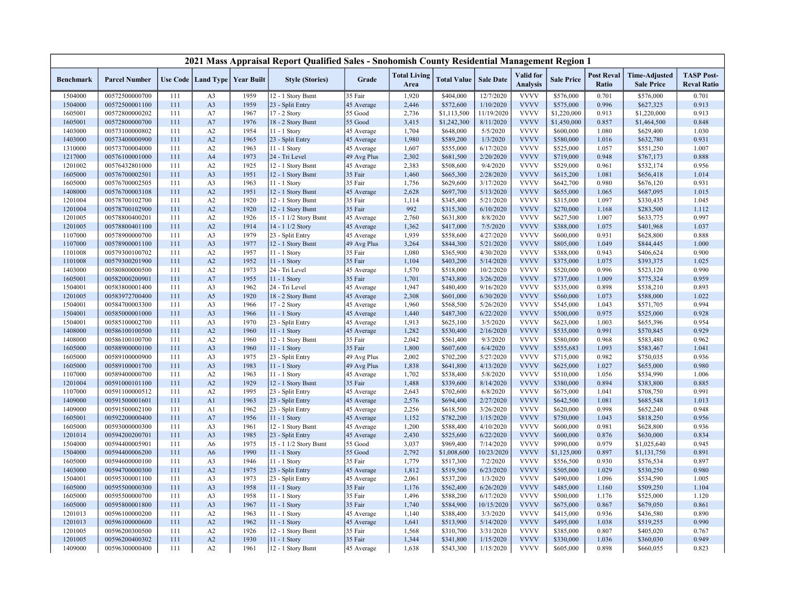|                    |                                  |            |                |                                   | 2021 Mass Appraisal Report Qualified Sales - Snohomish County Residential Management Region 1 |                            |                             |                        |                       |                              |                        |                            |                                           |                                         |
|--------------------|----------------------------------|------------|----------------|-----------------------------------|-----------------------------------------------------------------------------------------------|----------------------------|-----------------------------|------------------------|-----------------------|------------------------------|------------------------|----------------------------|-------------------------------------------|-----------------------------------------|
| <b>Benchmark</b>   | <b>Parcel Number</b>             |            |                | Use Code   Land Type   Year Built | <b>Style (Stories)</b>                                                                        | Grade                      | <b>Total Living</b><br>Area | <b>Total Value</b>     | <b>Sale Date</b>      | Valid for<br><b>Analysis</b> | <b>Sale Price</b>      | <b>Post Reval</b><br>Ratio | <b>Time-Adjusted</b><br><b>Sale Price</b> | <b>TASP Post-</b><br><b>Reval Ratio</b> |
| 1504000            | 00572500000700                   | 111        | A <sub>3</sub> | 1959                              | 12 - 1 Story Bsmt                                                                             | 35 Fair                    | 1,920                       | \$404,000              | 12/7/2020             | <b>VVVV</b>                  | \$576,000              | 0.701                      | \$576,000                                 | 0.701                                   |
| 1504000            | 00572500001100                   | 111        | A3             | 1959                              | 23 - Split Entry                                                                              | 45 Average                 | 2,446                       | \$572,600              | 1/10/2020             | <b>VVVV</b>                  | \$575,000              | 0.996                      | \$627,325                                 | 0.913                                   |
| 1605001            | 00572800000202                   | 111        | A7             | 1967                              | 17 - 2 Story                                                                                  | 55 Good                    | 2,736                       | \$1,113,500            | 11/19/2020            | <b>VVVV</b>                  | \$1,220,000            | 0.913                      | \$1,220,000                               | 0.913                                   |
| 1605001            | 00572800000700                   | 111        | A7             | 1976                              | 18 - 2 Story Bsmt                                                                             | 55 Good                    | 3,415                       | \$1,242,300            | 8/11/2020             | <b>VVVV</b>                  | \$1,450,000            | 0.857                      | \$1,464,500                               | 0.848                                   |
| 1403000            | 00573100000802                   | 111        | A2             | 1954                              | 11 - 1 Story                                                                                  | 45 Average                 | 1,704                       | \$648,000              | 5/5/2020              | <b>VVVV</b>                  | \$600,000              | 1.080                      | \$629,400                                 | 1.030                                   |
| 1403000            | 00573400000900                   | 111        | A2             | 1965                              | 23 - Split Entry                                                                              | 45 Average                 | 1,980                       | \$589,200              | 1/3/2020              | <b>VVVV</b>                  | \$580,000              | 1.016                      | \$632,780                                 | 0.931                                   |
| 1310000            | 00573700004000                   | 111        | A2             | 1963                              | 11 - 1 Story                                                                                  | 45 Average                 | 1,607                       | \$555,000              | 6/17/2020             | <b>VVVV</b>                  | \$525,000              | 1.057                      | \$551,250                                 | 1.007                                   |
| 1217000            | 00576100001000                   | 111        | A <sub>4</sub> | 1973                              | 24 - Tri Level                                                                                | 49 Avg Plus                | 2,302                       | \$681,500              | 2/20/2020             | <b>VVVV</b>                  | \$719,000              | 0.948                      | \$767,173                                 | 0.888                                   |
| 1201002            | 00576432801000                   | 111        | A2             | 1925                              | 12 - 1 Story Bsmt                                                                             | 45 Average                 | 2,383                       | \$508,600              | 9/4/2020              | <b>VVVV</b>                  | \$529,000              | 0.961                      | \$532,174                                 | 0.956                                   |
| 1605000            | 00576700002501                   | 111        | A <sub>3</sub> | 1951                              | 12 - 1 Story Bsmt                                                                             | 35 Fair                    | 1,460                       | \$665,300              | 2/28/2020             | <b>VVVV</b>                  | \$615,200              | 1.081                      | \$656,418                                 | 1.014                                   |
| 1605000            | 00576700002505                   | 111        | A3             | 1963                              | 11 - 1 Story                                                                                  | 35 Fair                    | 1,756                       | \$629,600              | 3/17/2020             | <b>VVVV</b>                  | \$642,700              | 0.980                      | \$676,120                                 | 0.931                                   |
| 1408000            | 00576700003108                   | 111        | A2             | 1951                              | 12 - 1 Story Bsmt                                                                             | 45 Average                 | 2,628                       | \$697,700              | 5/13/2020             | <b>VVVV</b>                  | \$655,000              | 1.065                      | \$687,095                                 | 1.015                                   |
| 1201004            | 00578700102700                   | 111        | A2             | 1920                              | 12 - 1 Story Bsmt                                                                             | 35 Fair                    | 1,114                       | \$345,400              | 5/21/2020             | <b>VVVV</b>                  | \$315,000              | 1.097                      | \$330,435                                 | 1.045                                   |
| 1201004            | 00578700102900                   | 111        | A2             | 1920                              | 12 - 1 Story Bsmt                                                                             | 35 Fair                    | 992                         | \$315,300              | 6/10/2020             | <b>VVVV</b>                  | \$270,000              | 1.168                      | \$283,500                                 | 1.112                                   |
| 1201005            | 00578800400201                   | 111        | A2             | 1926                              | 15 - 1 1/2 Story Bsmt                                                                         | 45 Average                 | 2,760                       | \$631,800              | 8/8/2020              | <b>VVVV</b>                  | \$627,500              | 1.007                      | \$633,775                                 | 0.997                                   |
| 1201005            | 00578800401100                   | 111        | A2             | 1914                              | 14 - 1 1/2 Story                                                                              | 45 Average                 | 1,362                       | \$417,000              | 7/5/2020              | <b>VVVV</b>                  | \$388,000              | 1.075                      | \$401,968                                 | 1.037                                   |
| 1107000            | 00578900000700                   | 111        | A <sub>3</sub> | 1979                              | 23 - Split Entry                                                                              | 45 Average                 | 1,939                       | \$558,600              | 4/27/2020             | <b>VVVV</b>                  | \$600,000              | 0.931                      | \$628,800                                 | 0.888                                   |
| 1107000            | 00578900001100                   | 111        | A3             | 1977                              | 12 - 1 Story Bsmt                                                                             | 49 Avg Plus                | 3,264                       | \$844,300              | 5/21/2020             | <b>VVVV</b>                  | \$805,000              | 1.049                      | \$844,445                                 | 1.000                                   |
| 1101008            | 00579300100702                   | 111        | A2             | 1957                              | $11 - 1$ Story                                                                                | 35 Fair                    | 1,080                       | \$365,900              | 4/30/2020             | <b>VVVV</b>                  | \$388,000              | 0.943                      | \$406,624                                 | 0.900                                   |
| 1101008            | 00579300201900                   | 111        | A2             | 1952                              | 11 - 1 Story                                                                                  | 35 Fair                    | 1,104                       | \$403,200              | 5/14/2020             | <b>VVVV</b>                  | \$375,000              | 1.075                      | \$393,375                                 | 1.025                                   |
| 1403000            | 00580800000500                   | 111        | A2             | 1973                              | 24 - Tri Level                                                                                | 45 Average                 | 1,570                       | \$518,000              | 10/2/2020             | <b>VVVV</b>                  | \$520,000              | 0.996                      | \$523,120                                 | 0.990                                   |
| 1605001            | 00582000200901                   | 111        | A7             | 1955                              | 11 - 1 Story                                                                                  | 35 Fair                    | 1,701                       | \$743,800              | 3/26/2020             | <b>VVVV</b>                  | \$737,000              | 1.009                      | \$775,324                                 | 0.959                                   |
| 1504001            | 00583800001400                   | 111        | A <sub>3</sub> | 1962                              | 24 - Tri Level                                                                                | 45 Average                 | 1,947                       | \$480,400              | 9/16/2020             | <b>VVVV</b>                  | \$535,000              | 0.898                      | \$538,210                                 | 0.893                                   |
| 1201005            | 00583972700400                   | 111        | A <sub>5</sub> | 1920                              | 18 - 2 Story Bsmt                                                                             | 45 Average                 | 2,308                       | \$601,000              | 6/30/2020             | <b>VVVV</b>                  | \$560,000              | 1.073                      | \$588,000                                 | 1.022                                   |
| 1504001            | 00584700003300                   | 111        | A <sub>3</sub> | 1966                              | 17 - 2 Story                                                                                  | 45 Average                 | 1,960                       | \$568,500              | 5/26/2020             | <b>VVVV</b>                  | \$545,000              | 1.043                      | \$571,705                                 | 0.994                                   |
| 1504001            | 00585000001000                   | 111        | A <sub>3</sub> | 1966                              | 11 - 1 Story                                                                                  | 45 Average                 | 1,440                       | \$487,300              | 6/22/2020             | <b>VVVV</b>                  | \$500,000              | 0.975                      | \$525,000                                 | 0.928                                   |
| 1504001            | 00585100002700                   | 111        | A3<br>A2       | 1970                              | 23 - Split Entry                                                                              | 45 Average                 | 1,913                       | \$625,100              | 3/5/2020<br>2/16/2020 | <b>VVVV</b><br><b>VVVV</b>   | \$623,000              | 1.003<br>0.991             | \$655,396                                 | 0.954<br>0.929                          |
| 1408000<br>1408000 | 00586100100500<br>00586100100700 | 111<br>111 | A2             | 1960<br>1960                      | 11 - 1 Story                                                                                  | 45 Average<br>35 Fair      | 1,282<br>2,042              | \$530,400              | 9/3/2020              | <b>VVVV</b>                  | \$535,000<br>\$580,000 | 0.968                      | \$570,845<br>\$583,480                    | 0.962                                   |
|                    | 00588900000100                   | 111        | A <sub>3</sub> | 1960                              | 12 - 1 Story Bsmt<br>11 - 1 Story                                                             | 35 Fair                    | 1,800                       | \$561,400<br>\$607,600 | 6/4/2020              | <b>VVVV</b>                  | \$555,683              | 1.093                      | \$583,467                                 | 1.041                                   |
| 1605000<br>1605000 | 00589100000900                   | 111        | A3             | 1975                              |                                                                                               |                            | 2,002                       | \$702,200              | 5/27/2020             | <b>VVVV</b>                  | \$715,000              | 0.982                      | \$750,035                                 | 0.936                                   |
| 1605000            | 00589100001700                   | 111        | A <sub>3</sub> | 1983                              | 23 - Split Entry<br>$11 - 1$ Story                                                            | 49 Avg Plus<br>49 Avg Plus | 1,838                       | \$641,800              | 4/13/2020             | <b>VVVV</b>                  | \$625,000              | 1.027                      | \$655,000                                 | 0.980                                   |
| 1107000            | 00589400000700                   | 111        | A2             | 1963                              | 11 - 1 Story                                                                                  | 45 Average                 | 1,702                       | \$538,400              | 5/8/2020              | <b>VVVV</b>                  | \$510,000              | 1.056                      | \$534,990                                 | 1.006                                   |
| 1201004            | 00591000101100                   | 111        | A2             | 1929                              | 12 - 1 Story Bsmt                                                                             | 35 Fair                    | 1,488                       | \$339,600              | 8/14/2020             | <b>VVVV</b>                  | \$380,000              | 0.894                      | \$383,800                                 | 0.885                                   |
| 1107000            | 00591100000512                   | 111        | A2             | 1995                              | 23 - Split Entry                                                                              | 45 Average                 | 2,643                       | \$702,600              | 6/8/2020              | <b>VVVV</b>                  | \$675,000              | 1.041                      | \$708,750                                 | 0.991                                   |
| 1409000            | 00591500001601                   | 111        | A <sub>1</sub> | 1963                              | 23 - Split Entry                                                                              | 45 Average                 | 2,576                       | \$694,400              | 2/27/2020             | <b>VVVV</b>                  | \$642,500              | 1.081                      | \$685,548                                 | 1.013                                   |
| 1409000            | 00591500002100                   | 111        | A <sub>1</sub> | 1962                              | 23 - Split Entry                                                                              | 45 Average                 | 2,256                       | \$618,500              | 3/26/2020             | <b>VVVV</b>                  | \$620,000              | 0.998                      | \$652,240                                 | 0.948                                   |
| 1605001            | 00592200000400                   | 111        | A7             | 1956                              | 11 - 1 Story                                                                                  | 45 Average                 | 1,152                       | \$782,200              | 1/15/2020             | <b>VVVV</b>                  | \$750,000              | 1.043                      | \$818,250                                 | 0.956                                   |
| 1605000            | 00593000000300                   | 111        | A3             | 1961                              | 12 - 1 Story Bsmt                                                                             | 45 Average                 | 1,200                       | \$588,400              | 4/10/2020             | <b>VVVV</b>                  | \$600,000              | 0.981                      | \$628,800                                 | 0.936                                   |
| 1201014            | 00594200200701                   | 111        | A <sub>3</sub> | 1985                              | 23 - Split Entry                                                                              | 45 Average                 | 2,430                       | \$525,600              | 6/22/2020             | <b>VVVV</b>                  | \$600,000              | 0.876                      | \$630,000                                 | 0.834                                   |
| 1504000            | 00594400005901                   | 111        | A6             | 1975                              | 15 - 1 1/2 Story Bsmt                                                                         | 55 Good                    | 3,037                       | \$969,400              | 7/14/2020             | <b>VVVV</b>                  | \$990,000              | 0.979                      | \$1,025,640                               | 0.945                                   |
| 1504000            | 00594400006200                   | 111        | A <sub>6</sub> | 1990                              | 11 - 1 Story                                                                                  | 55 Good                    | 2,792                       | \$1,008,600            | 10/23/2020            | <b>VVVV</b>                  | \$1,125,000            | 0.897                      | \$1,131,750                               | 0.891                                   |
| 1605000            | 00594600000100                   | 111        | A <sub>3</sub> | 1946                              | $11 - 1$ Story                                                                                | 35 Fair                    | 1,779                       | \$517,300              | 7/2/2020              | <b>VVVV</b>                  | \$556,500              | 0.930                      | \$576,534                                 | 0.897                                   |
| 1403000            | 00594700000300                   | 111        | A2             | 1975                              | 23 - Split Entry                                                                              | 45 Average                 | 1,812                       | \$519,500              | 6/23/2020             | <b>VVVV</b>                  | \$505,000              | 1.029                      | \$530,250                                 | 0.980                                   |
| 1504001            | 00595300001100                   | 111        | A <sub>3</sub> | 1973                              | 23 - Split Entry                                                                              | 45 Average                 | 2,061                       | \$537,200              | 1/3/2020              | <b>VVVV</b>                  | \$490,000              | 1.096                      | \$534,590                                 | 1.005                                   |
| 1605000            | 00595500000300                   | 111        | A <sub>3</sub> | 1958                              | 11 - 1 Story                                                                                  | 35 Fair                    | 1,176                       | \$562,400              | 6/26/2020             | <b>VVVV</b>                  | \$485,000              | 1.160                      | \$509,250                                 | 1.104                                   |
| 1605000            | 00595500000700                   | 111        | A3             | 1958                              | 11 - 1 Story                                                                                  | 35 Fair                    | 1,496                       | \$588,200              | 6/17/2020             | <b>VVVV</b>                  | \$500,000              | 1.176                      | \$525,000                                 | 1.120                                   |
| 1605000            | 00595800001800                   | 111        | A <sub>3</sub> | 1967                              | 11 - 1 Story                                                                                  | 35 Fair                    | 1,740                       | \$584,900              | 10/15/2020            | <b>VVVV</b>                  | \$675,000              | 0.867                      | \$679,050                                 | 0.861                                   |
| 1201013            | 00596100000200                   | 111        | A2             | 1963                              | 11 - 1 Story                                                                                  | 45 Average                 | 1,140                       | \$388,400              | 3/3/2020              | <b>VVVV</b>                  | \$415,000              | 0.936                      | \$436,580                                 | 0.890                                   |
| 1201013            | 00596100000600                   | 111        | A2             | 1962                              | $11 - 1$ Story                                                                                | 45 Average                 | 1,641                       | \$513,900              | 5/14/2020             | <b>VVVV</b>                  | \$495,000              | 1.038                      | \$519,255                                 | 0.990                                   |
| 1201005            | 00596200300500                   | 111        | A2             | 1926                              | 12 - 1 Story Bsmt                                                                             | 35 Fair                    | 1,568                       | \$310,700              | 3/31/2020             | <b>VVVV</b>                  | \$385,000              | 0.807                      | \$405,020                                 | 0.767                                   |
| 1201005            | 00596200400302                   | 111        | A2             | 1930                              | $11 - 1$ Story                                                                                | 35 Fair                    | 1,344                       | \$341,800              | 1/15/2020             | <b>VVVV</b>                  | \$330,000              | 1.036                      | \$360,030                                 | 0.949                                   |
| 1409000            | 00596300000400                   | 111        | A2             | 1961                              | 12 - 1 Story Bsmt                                                                             | 45 Average                 | 1,638                       | \$543,300              | 1/15/2020             | <b>VVVV</b>                  | \$605,000              | 0.898                      | \$660,055                                 | 0.823                                   |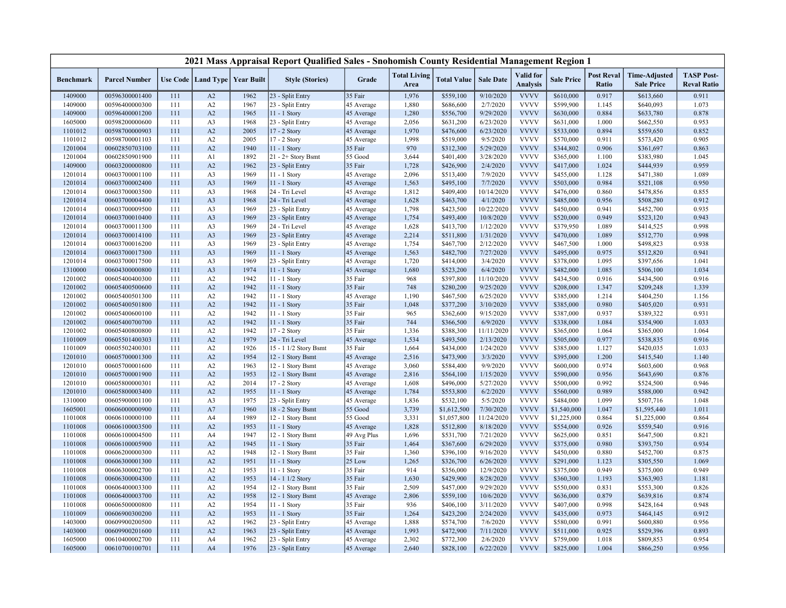|                    |                                  |            |                      |                   | 2021 Mass Appraisal Report Qualified Sales - Snohomish County Residential Management Region 1 |                    |                             |                        |                        |                                     |                        |                            |                                           |                                         |
|--------------------|----------------------------------|------------|----------------------|-------------------|-----------------------------------------------------------------------------------------------|--------------------|-----------------------------|------------------------|------------------------|-------------------------------------|------------------------|----------------------------|-------------------------------------------|-----------------------------------------|
| <b>Benchmark</b>   | <b>Parcel Number</b>             |            | Use Code   Land Type | <b>Year Built</b> | <b>Style (Stories)</b>                                                                        | Grade              | <b>Total Living</b><br>Area | <b>Total Value</b>     | <b>Sale Date</b>       | <b>Valid</b> for<br><b>Analysis</b> | <b>Sale Price</b>      | <b>Post Reval</b><br>Ratio | <b>Time-Adjusted</b><br><b>Sale Price</b> | <b>TASP Post-</b><br><b>Reval Ratio</b> |
| 1409000            | 00596300001400                   | 111        | A2                   | 1962              | 23 - Split Entry                                                                              | 35 Fair            | 1,976                       | \$559,100              | 9/10/2020              | <b>VVVV</b>                         | \$610,000              | 0.917                      | \$613,660                                 | 0.911                                   |
| 1409000            | 00596400000300                   | 111        | A2                   | 1967              | 23 - Split Entry                                                                              | 45 Average         | 1,880                       | \$686,600              | 2/7/2020               | <b>VVVV</b>                         | \$599,900              | 1.145                      | \$640,093                                 | 1.073                                   |
| 1409000            | 00596400001200                   | 111        | A2                   | 1965              | $11 - 1$ Story                                                                                | 45 Average         | 1,280                       | \$556,700              | 9/29/2020              | <b>VVVV</b>                         | \$630,000              | 0.884                      | \$633,780                                 | 0.878                                   |
| 1605000            | 00598200000600                   | 111        | A <sub>3</sub>       | 1968              | 23 - Split Entry                                                                              | 45 Average         | 2,056                       | \$631,200              | 6/23/2020              | <b>VVVV</b>                         | \$631,000              | 1.000                      | \$662,550                                 | 0.953                                   |
| 1101012            | 00598700000903                   | 111        | A2                   | 2005              | 17 - 2 Story                                                                                  | 45 Average         | 1,970                       | \$476,600              | 6/23/2020              | <b>VVVV</b>                         | \$533,000              | 0.894                      | \$559,650                                 | 0.852                                   |
| 1101012            | 00598700001103                   | 111        | A2                   | 2005              | 17 - 2 Story                                                                                  | 45 Average         | 1,998                       | \$519,000              | 9/5/2020               | <b>VVVV</b>                         | \$570,000              | 0.911                      | \$573,420                                 | 0.905                                   |
| 1201004            | 00602850703100                   | 111        | A2                   | 1940              | 11 - 1 Story                                                                                  | 35 Fair            | 970                         | \$312,300              | 5/29/2020              | <b>VVVV</b>                         | \$344,802              | 0.906                      | \$361,697                                 | 0.863                                   |
| 1201004            | 00602850901900                   | 111        | A <sub>1</sub>       | 1892              | $21 - 2 +$ Story Bsmt                                                                         | 55 Good            | 3,644                       | \$401,400              | 3/28/2020              | <b>VVVV</b>                         | \$365,000              | 1.100                      | \$383,980                                 | 1.045                                   |
| 1409000            | 00603200000800                   | 111        | A2                   | 1962              | 23 - Split Entry                                                                              | 35 Fair            | 1,728                       | \$426,900              | 2/4/2020               | <b>VVVV</b>                         | \$417,000              | 1.024                      | \$444,939                                 | 0.959                                   |
| 1201014            | 00603700001100                   | 111        | A <sub>3</sub>       | 1969              | 11 - 1 Story                                                                                  | 45 Average         | 2,096                       | \$513,400              | 7/9/2020               | <b>VVVV</b>                         | \$455,000              | 1.128                      | \$471,380                                 | 1.089                                   |
| 1201014            | 00603700002400                   | 111        | A <sub>3</sub>       | 1969              | 11 - 1 Story                                                                                  | 45 Average         | 1,563                       | \$495,100              | 7/7/2020               | <b>VVVV</b>                         | \$503,000              | 0.984                      | \$521,108                                 | 0.950                                   |
| 1201014            | 00603700003500                   | 111        | A <sub>3</sub>       | 1968              | 24 - Tri Level                                                                                | 45 Average         | 1,812                       | \$409,400              | 10/14/2020             | <b>VVVV</b>                         | \$476,000              | 0.860                      | \$478,856                                 | 0.855                                   |
| 1201014            | 00603700004400                   | 111        | A <sub>3</sub>       | 1968              | 24 - Tri Level                                                                                | 45 Average         | 1,628                       | \$463,700              | 4/1/2020               | <b>VVVV</b>                         | \$485,000              | 0.956                      | \$508,280                                 | 0.912                                   |
| 1201014            | 00603700009500                   | 111        | A <sub>3</sub>       | 1969              | 23 - Split Entry                                                                              | 45 Average         | 1,798                       | \$423,500              | 10/22/2020             | <b>VVVV</b>                         | \$450,000              | 0.941                      | \$452,700                                 | 0.935                                   |
| 1201014            | 00603700010400                   | 111        | A <sub>3</sub>       | 1969              | 23 - Split Entry                                                                              | 45 Average         | 1,754                       | \$493,400              | 10/8/2020              | <b>VVVV</b>                         | \$520,000              | 0.949                      | \$523,120                                 | 0.943                                   |
| 1201014            | 00603700011300                   | 111        | A3                   | 1969              | 24 - Tri Level                                                                                | 45 Average         | 1,628                       | \$413,700              | 1/12/2020              | <b>VVVV</b>                         | \$379,950              | 1.089                      | \$414,525                                 | 0.998                                   |
| 1201014            | 00603700014100                   | 111        | A <sub>3</sub>       | 1969              | 23 - Split Entry                                                                              | 45 Average         | 2,214                       | \$511,800              | 1/31/2020              | <b>VVVV</b>                         | \$470,000              | 1.089                      | \$512,770                                 | 0.998                                   |
| 1201014            | 00603700016200                   | 111        | A3                   | 1969              | 23 - Split Entry                                                                              | 45 Average         | 1,754                       | \$467,700              | 2/12/2020              | <b>VVVV</b>                         | \$467,500              | 1.000                      | \$498,823                                 | 0.938                                   |
| 1201014            | 00603700017300                   | 111        | A <sub>3</sub>       | 1969              | $11 - 1$ Story                                                                                | 45 Average         | 1,563                       | \$482,700              | 7/27/2020              | <b>VVVV</b>                         | \$495,000              | 0.975                      | \$512,820                                 | 0.941                                   |
| 1201014            | 00603700017500                   | 111        | A3                   | 1969              | 23 - Split Entry                                                                              | 45 Average         | 1,720                       | \$414,000              | 3/4/2020               | <b>VVVV</b>                         | \$378,000              | 1.095                      | \$397,656                                 | 1.041                                   |
| 1310000            | 00604300000800                   | 111        | A <sub>3</sub>       | 1974              | 11 - 1 Story                                                                                  | 45 Average         | 1,680                       | \$523,200              | 6/4/2020               | <b>VVVV</b>                         | \$482,000              | 1.085                      | \$506,100                                 | 1.034                                   |
| 1201002            | 00605400400300                   | 111        | A2                   | 1942              | 11 - 1 Story                                                                                  | 35 Fair            | 968                         | \$397,800              | 11/10/2020             | <b>VVVV</b>                         | \$434,500              | 0.916                      | \$434,500                                 | 0.916                                   |
| 1201002            | 00605400500600                   | 111        | A2                   | 1942              | $11 - 1$ Story                                                                                | 35 Fair            | 748                         | \$280,200              | 9/25/2020              | <b>VVVV</b>                         | \$208,000              | 1.347                      | \$209,248                                 | 1.339                                   |
| 1201002            | 00605400501300                   | 111        | A2                   | 1942              | 11 - 1 Story                                                                                  | 45 Average         | 1,190                       | \$467,500              | 6/25/2020              | <b>VVVV</b>                         | \$385,000              | 1.214                      | \$404,250                                 | 1.156                                   |
| 1201002<br>1201002 | 00605400501800<br>00605400600100 | 111<br>111 | A2                   | 1942<br>1942      | 11 - 1 Story                                                                                  | 35 Fair<br>35 Fair | 1,048<br>965                | \$377,200<br>\$362,600 | 3/10/2020<br>9/15/2020 | <b>VVVV</b><br><b>VVVV</b>          | \$385,000<br>\$387,000 | 0.980<br>0.937             | \$405,020<br>\$389,322                    | 0.931<br>0.931                          |
|                    |                                  |            | A2<br>A2             | 1942              | 11 - 1 Story                                                                                  | 35 Fair            | 744                         |                        | 6/9/2020               | <b>VVVV</b>                         |                        | 1.084                      |                                           | 1.033                                   |
| 1201002<br>1201002 | 00605400700700<br>00605400800800 | 111<br>111 | A2                   | 1942              | 11 - 1 Story<br>17 - 2 Story                                                                  | 35 Fair            | 1,336                       | \$366,500<br>\$388,300 | 11/11/2020             | <b>VVVV</b>                         | \$338,000<br>\$365,000 | 1.064                      | \$354,900<br>\$365,000                    | 1.064                                   |
| 1101009            | 00605501400303                   | 111        | A2                   | 1979              | 24 - Tri Level                                                                                | 45 Average         | 1,534                       | \$493,500              | 2/13/2020              | <b>VVVV</b>                         | \$505,000              | 0.977                      | \$538,835                                 | 0.916                                   |
| 1101009            | 00605502400301                   | 111        | A2                   | 1926              | 15 - 1 1/2 Story Bsmt                                                                         | 35 Fair            | 1,664                       | \$434,000              | 1/24/2020              | <b>VVVV</b>                         | \$385,000              | 1.127                      | \$420,035                                 | 1.033                                   |
| 1201010            | 00605700001300                   | 111        | A2                   | 1954              | 12 - 1 Story Bsmt                                                                             | 45 Average         | 2,516                       | \$473,900              | 3/3/2020               | <b>VVVV</b>                         | \$395,000              | 1.200                      | \$415,540                                 | 1.140                                   |
| 1201010            | 00605700001600                   | 111        | A2                   | 1963              | 12 - 1 Story Bsmt                                                                             | 45 Average         | 3,060                       | \$584,400              | 9/9/2020               | <b>VVVV</b>                         | \$600,000              | 0.974                      | \$603,600                                 | 0.968                                   |
| 1201010            | 00605700001900                   | 111        | A2                   | 1953              | 12 - 1 Story Bsmt                                                                             | 45 Average         | 2,816                       | \$564,100              | 1/15/2020              | <b>VVVV</b>                         | \$590,000              | 0.956                      | \$643,690                                 | 0.876                                   |
| 1201010            | 00605800000301                   | 111        | A2                   | 2014              | 17 - 2 Story                                                                                  | 45 Average         | 1,608                       | \$496,000              | 5/27/2020              | <b>VVVV</b>                         | \$500,000              | 0.992                      | \$524,500                                 | 0.946                                   |
| 1201010            | 00605800003400                   | 111        | A2                   | 1955              | 11 - 1 Story                                                                                  | 45 Average         | 1,784                       | \$553,800              | 6/2/2020               | <b>VVVV</b>                         | \$560,000              | 0.989                      | \$588,000                                 | 0.942                                   |
| 1310000            | 00605900001100                   | 111        | A3                   | 1975              | 23 - Split Entry                                                                              | 45 Average         | 1,836                       | \$532,100              | 5/5/2020               | <b>VVVV</b>                         | \$484,000              | 1.099                      | \$507,716                                 | 1.048                                   |
| 1605001            | 00606000000900                   | 111        | A7                   | 1960              | 18 - 2 Story Bsmt                                                                             | 55 Good            | 3,739                       | \$1,612,500            | 7/30/2020              | <b>VVVV</b>                         | \$1,540,000            | 1.047                      | \$1,595,440                               | 1.011                                   |
| 1101008            | 00606100000100                   | 111        | A4                   | 1989              | 12 - 1 Story Bsmt                                                                             | 55 Good            | 3,331                       | \$1,057,800            | 11/24/2020             | <b>VVVV</b>                         | \$1,225,000            | 0.864                      | \$1,225,000                               | 0.864                                   |
| 1101008            | 00606100003500                   | 111        | A2                   | 1953              | 11 - 1 Story                                                                                  | 45 Average         | 1,828                       | \$512,800              | 8/18/2020              | <b>VVVV</b>                         | \$554,000              | 0.926                      | \$559,540                                 | 0.916                                   |
| 1101008            | 00606100004500                   | 111        | A4                   | 1947              | 12 - 1 Story Bsmt                                                                             | 49 Avg Plus        | 1,696                       | \$531,700              | 7/21/2020              | <b>VVVV</b>                         | \$625,000              | 0.851                      | \$647,500                                 | 0.821                                   |
| 1101008            | 00606100005900                   | 111        | A2                   | 1945              | 11 - 1 Story                                                                                  | 35 Fair            | 1,464                       | \$367,600              | 6/29/2020              | <b>VVVV</b>                         | \$375,000              | 0.980                      | \$393,750                                 | 0.934                                   |
| 1101008            | 00606200000300                   | 111        | A2                   | 1948              | 12 - 1 Story Bsmt                                                                             | 35 Fair            | 1,360                       | \$396,100              | 9/16/2020              | <b>VVVV</b>                         | \$450,000              | 0.880                      | \$452,700                                 | 0.875                                   |
| 1101008            | 00606300001300                   | 111        | A2                   | 1951              | 11 - 1 Story                                                                                  | 25 Low             | 1,265                       | \$326,700              | 6/26/2020              | <b>VVVV</b>                         | \$291,000              | 1.123                      | \$305,550                                 | 1.069                                   |
| 1101008            | 00606300002700                   | 111        | A2                   | 1953              | 11 - 1 Story                                                                                  | 35 Fair            | 914                         | \$356,000              | 12/9/2020              | <b>VVVV</b>                         | \$375,000              | 0.949                      | \$375,000                                 | 0.949                                   |
| 1101008            | 00606300004300                   | 111        | A2                   | 1953              | 14 - 1 1/2 Story                                                                              | 35 Fair            | 1,630                       | \$429,900              | 8/28/2020              | <b>VVVV</b>                         | \$360,300              | 1.193                      | \$363,903                                 | 1.181                                   |
| 1101008            | 00606400003300                   | 111        | A2                   | 1954              | 12 - 1 Story Bsmt                                                                             | 35 Fair            | 2,509                       | \$457,000              | 9/29/2020              | <b>VVVV</b>                         | \$550,000              | 0.831                      | \$553,300                                 | 0.826                                   |
| 1101008            | 00606400003700                   | 111        | A2                   | 1958              | 12 - 1 Story Bsmt                                                                             | 45 Average         | 2,806                       | \$559,100              | 10/6/2020              | <b>VVVV</b>                         | \$636,000              | 0.879                      | \$639,816                                 | 0.874                                   |
| 1101008            | 00606500000800                   | 111        | A2                   | 1954              | 11 - 1 Story                                                                                  | 35 Fair            | 936                         | \$406,100              | 3/11/2020              | <b>VVVV</b>                         | \$407,000              | 0.998                      | \$428,164                                 | 0.948                                   |
| 1101009            | 00606900300200                   | 111        | A2                   | 1953              | 11 - 1 Story                                                                                  | 35 Fair            | 1,264                       | \$423,200              | 2/24/2020              | <b>VVVV</b>                         | \$435,000              | 0.973                      | \$464,145                                 | 0.912                                   |
| 1403000            | 00609900200500                   | 111        | A2                   | 1962              | 23 - Split Entry                                                                              | 45 Average         | 1,888                       | \$574,700              | 7/6/2020               | <b>VVVV</b>                         | \$580,000              | 0.991                      | \$600,880                                 | 0.956                                   |
| 1403000            | 00609900201600                   | 111        | A2                   | 1963              | 23 - Split Entry                                                                              | 45 Average         | 1,993                       | \$472,900              | 7/11/2020              | <b>VVVV</b>                         | \$511,000              | 0.925                      | \$529,396                                 | 0.893                                   |
| 1605000            | 00610400002700                   | 111        | A4                   | 1962              | 23 - Split Entry                                                                              | 45 Average         | 2,302                       | \$772,300              | 2/6/2020               | <b>VVVV</b>                         | \$759,000              | 1.018                      | \$809,853                                 | 0.954                                   |
| 1605000            | 00610700100701                   | 111        | A <sub>4</sub>       | 1976              | 23 - Split Entry                                                                              | 45 Average         | 2,640                       | \$828,100              | 6/22/2020              | <b>VVVV</b>                         | \$825,000              | 1.004                      | \$866,250                                 | 0.956                                   |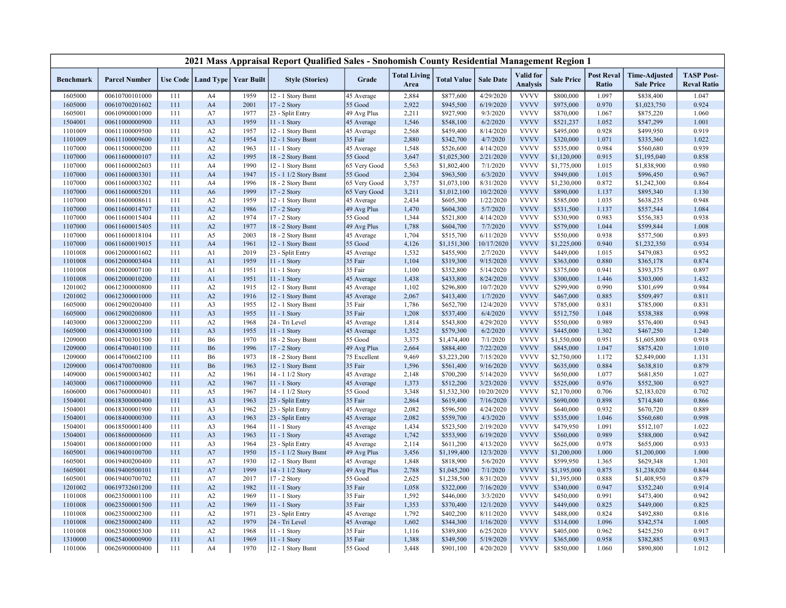|                    |                                  |            |                        |                                   | 2021 Mass Appraisal Report Qualified Sales - Snohomish County Residential Management Region 1 |                         |                             |                          |                        |                              |                          |                            |                                           |                                         |
|--------------------|----------------------------------|------------|------------------------|-----------------------------------|-----------------------------------------------------------------------------------------------|-------------------------|-----------------------------|--------------------------|------------------------|------------------------------|--------------------------|----------------------------|-------------------------------------------|-----------------------------------------|
| <b>Benchmark</b>   | <b>Parcel Number</b>             |            |                        | Use Code   Land Type   Year Built | <b>Style (Stories)</b>                                                                        | Grade                   | <b>Total Living</b><br>Area | <b>Total Value</b>       | <b>Sale Date</b>       | Valid for<br><b>Analysis</b> | <b>Sale Price</b>        | <b>Post Reval</b><br>Ratio | <b>Time-Adjusted</b><br><b>Sale Price</b> | <b>TASP Post-</b><br><b>Reval Ratio</b> |
| 1605000            | 00610700101000                   | 111        | A4                     | 1959                              | 12 - 1 Story Bsmt                                                                             | 45 Average              | 2,884                       | \$877,600                | 4/29/2020              | <b>VVVV</b>                  | \$800,000                | 1.097                      | \$838,400                                 | 1.047                                   |
| 1605000            | 00610700201602                   | 111        | A <sub>4</sub>         | 2001                              | 17 - 2 Story                                                                                  | 55 Good                 | 2,922                       | \$945,500                | 6/19/2020              | <b>VVVV</b>                  | \$975,000                | 0.970                      | \$1,023,750                               | 0.924                                   |
| 1605001            | 00610900001000                   | 111        | A7                     | 1977                              | 23 - Split Entry                                                                              | 49 Avg Plus             | 2,211                       | \$927,900                | 9/3/2020               | <b>VVVV</b>                  | \$870,000                | 1.067                      | \$875,220                                 | 1.060                                   |
| 1504001            | 00611000000900                   | 111        | A <sub>3</sub>         | 1959                              | 11 - 1 Story                                                                                  | 45 Average              | 1,546                       | \$548,100                | 6/2/2020               | <b>VVVV</b>                  | \$521,237                | 1.052                      | \$547,299                                 | 1.001                                   |
| 1101009            | 00611100009500                   | 111        | A2                     | 1957                              | 12 - 1 Story Bsmt                                                                             | 45 Average              | 2,568                       | \$459,400                | 8/14/2020              | <b>VVVV</b>                  | \$495,000                | 0.928                      | \$499,950                                 | 0.919                                   |
| 1101009            | 00611100009600                   | 111        | A2                     | 1954                              | 12 - 1 Story Bsmt                                                                             | 35 Fair                 | 2,880                       | \$342,700                | 4/7/2020               | <b>VVVV</b>                  | \$320,000                | 1.071                      | \$335,360                                 | 1.022                                   |
| 1107000            | 00611500000200                   | 111        | A2                     | 1963                              | 11 - 1 Story                                                                                  | 45 Average              | 1,548                       | \$526,600                | 4/14/2020              | <b>VVVV</b>                  | \$535,000                | 0.984                      | \$560,680                                 | 0.939                                   |
| 1107000            | 00611600000107                   | 111        | A2                     | 1995                              | 18 - 2 Story Bsmt                                                                             | 55 Good                 | 3,647                       | \$1,025,300              | 2/21/2020              | <b>VVVV</b>                  | \$1,120,000              | 0.915                      | \$1,195,040                               | 0.858                                   |
| 1107000            | 00611600002603                   | 111        | A4                     | 1990                              | 12 - 1 Story Bsmt                                                                             | 65 Very Good            | 5,563                       | \$1,802,400              | 7/1/2020               | <b>VVVV</b>                  | \$1,775,000              | 1.015                      | \$1,838,900                               | 0.980                                   |
| 1107000            | 00611600003301                   | 111        | A <sub>4</sub>         | 1947                              | 15 - 1 1/2 Story Bsmt                                                                         | 55 Good                 | 2,304                       | \$963,500                | 6/3/2020               | <b>VVVV</b>                  | \$949,000                | 1.015                      | \$996,450                                 | 0.967                                   |
| 1107000            | 00611600003302                   | 111        | A <sub>4</sub>         | 1996                              | 18 - 2 Story Bsmt                                                                             | 65 Very Good            | 3,757                       | \$1,073,100              | 8/31/2020              | <b>VVVV</b>                  | \$1,230,000              | 0.872                      | \$1,242,300                               | 0.864                                   |
| 1107000            | 00611600005201                   | 111        | A <sub>6</sub>         | 1999                              | 17 - 2 Story                                                                                  | 65 Very Good            | 3,211                       | \$1,012,100              | 10/2/2020              | <b>VVVV</b>                  | \$890,000                | 1.137                      | \$895,340                                 | 1.130                                   |
| 1107000            | 00611600008611                   | 111        | A2                     | 1959                              | 12 - 1 Story Bsmt                                                                             | 45 Average              | 2,434                       | \$605,300                | 1/22/2020              | <b>VVVV</b>                  | \$585,000                | 1.035                      | \$638,235                                 | 0.948                                   |
| 1107000            | 00611600014707                   | 111        | A2                     | 1986                              | 17 - 2 Story                                                                                  | 49 Avg Plus             | 1,470                       | \$604,300                | 5/7/2020               | <b>VVVV</b>                  | \$531,500                | 1.137                      | \$557,544                                 | 1.084                                   |
| 1107000            | 00611600015404                   | 111        | A2                     | 1974                              | 17 - 2 Story                                                                                  | 55 Good                 | 1,344                       | \$521,800                | 4/14/2020              | <b>VVVV</b>                  | \$530,900                | 0.983                      | \$556,383                                 | 0.938                                   |
| 1107000            | 00611600015405                   | 111        | A2                     | 1977                              | 18 - 2 Story Bsmt                                                                             | 49 Avg Plus             | 1,788                       | \$604,700                | 7/7/2020               | <b>VVVV</b>                  | \$579,000                | 1.044                      | \$599,844                                 | 1.008                                   |
| 1107000            | 00611600018104                   | 111        | A5                     | 2003                              | 18 - 2 Story Bsmt                                                                             | 45 Average              | 1,704                       | \$515,700                | 6/11/2020              | <b>VVVV</b>                  | \$550,000                | 0.938                      | \$577,500                                 | 0.893                                   |
| 1107000            | 00611600019015                   | 111        | A <sub>4</sub>         | 1961                              | 12 - 1 Story Bsmt                                                                             | 55 Good                 | 4,126                       | \$1,151,300              | 10/17/2020             | <b>VVVV</b>                  | \$1,225,000              | 0.940                      | \$1,232,350                               | 0.934                                   |
| 1101008            | 00612000001602                   | 111        | A <sub>1</sub>         | 2019                              | 23 - Split Entry                                                                              | 45 Average              | 1,532                       | \$455,900                | 2/7/2020               | <b>VVVV</b>                  | \$449,000                | 1.015                      | \$479,083                                 | 0.952                                   |
| 1101008            | 00612000003404                   | 111        | A <sub>1</sub>         | 1959                              | 11 - 1 Story                                                                                  | 35 Fair                 | 1,104                       | \$319,300                | 9/15/2020              | <b>VVVV</b>                  | \$363,000                | 0.880                      | \$365,178                                 | 0.874                                   |
| 1101008            | 00612000007100                   | 111        | A <sub>1</sub>         | 1951                              | 11 - 1 Story                                                                                  | 35 Fair                 | 1,100                       | \$352,800                | 5/14/2020              | <b>VVVV</b>                  | \$375,000                | 0.941                      | \$393,375                                 | 0.897                                   |
| 1101008            | 00612000010200                   | 111        | A <sub>1</sub>         | 1951                              | 11 - 1 Story                                                                                  | 45 Average              | 1,438                       | \$433,800                | 8/24/2020              | <b>VVVV</b>                  | \$300,000                | 1.446                      | \$303,000                                 | 1.432                                   |
| 1201002            | 00612300000800                   | 111        | A2                     | 1915                              | 12 - 1 Story Bsmt                                                                             | 45 Average              | 1,102                       | \$296,800                | 10/7/2020              | <b>VVVV</b>                  | \$299,900                | 0.990                      | \$301,699                                 | 0.984                                   |
| 1201002            | 00612300001000                   | 111        | A2                     | 1916                              | 12 - 1 Story Bsmt                                                                             | 45 Average              | 2,067                       | \$413,400                | 1/7/2020               | <b>VVVV</b>                  | \$467,000                | 0.885                      | \$509,497                                 | 0.811                                   |
| 1605000            | 00612900200400                   | 111        | A <sub>3</sub>         | 1955                              | 12 - 1 Story Bsmt                                                                             | 35 Fair                 | 1,786                       | \$652,700                | 12/4/2020              | <b>VVVV</b>                  | \$785,000                | 0.831                      | \$785,000                                 | 0.831                                   |
| 1605000            | 00612900200800                   | 111        | A <sub>3</sub>         | 1955                              | 11 - 1 Story                                                                                  | 35 Fair                 | 1,208                       | \$537,400                | 6/4/2020               | <b>VVVV</b>                  | \$512,750                | 1.048                      | \$538,388                                 | 0.998                                   |
| 1403000            | 00613200002200                   | 111        | A2                     | 1968                              | 24 - Tri Level                                                                                | 45 Average              | 1,814                       | \$543,800                | 4/29/2020              | <b>VVVV</b>                  | \$550,000                | 0.989                      | \$576,400                                 | 0.943                                   |
| 1605000            | 00614300003100                   | 111        | A <sub>3</sub>         | 1955                              | 11 - 1 Story                                                                                  | 45 Average              | 1,352                       | \$579,300                | 6/2/2020               | <b>VVVV</b><br><b>VVVV</b>   | \$445,000                | 1.302                      | \$467,250                                 | 1.240                                   |
| 1209000            | 00614700301500                   | 111        | <b>B6</b>              | 1970                              | 18 - 2 Story Bsmt                                                                             | 55 Good                 | 3,375                       | \$1,474,400              | 7/1/2020               |                              | \$1,550,000              | 0.951                      | \$1,605,800                               | 0.918                                   |
| 1209000            | 00614700401100                   | 111        | <b>B6</b>              | 1996                              | 17 - 2 Story                                                                                  | 49 Avg Plus             | 2,664                       | \$884,400                | 7/22/2020              | <b>VVVV</b>                  | \$845,000                | 1.047                      | \$875,420                                 | 1.010                                   |
| 1209000            | 00614700602100<br>00614700700800 | 111<br>111 | <b>B6</b><br><b>B6</b> | 1973<br>1963                      | 18 - 2 Story Bsmt                                                                             | 75 Excellent<br>35 Fair | 9,469                       | \$3,223,200              | 7/15/2020              | <b>VVVV</b><br><b>VVVV</b>   | \$2,750,000<br>\$635,000 | 1.172<br>0.884             | \$2,849,000                               | 1.131<br>0.879                          |
| 1209000            |                                  |            |                        |                                   | 12 - 1 Story Bsmt                                                                             |                         | 1,596                       | \$561,400                | 9/16/2020              | <b>VVVV</b>                  |                          | 1.077                      | \$638,810                                 |                                         |
| 1409000            | 00615900003402<br>00617100000900 | 111<br>111 | A2<br>A2               | 1961<br>1967                      | 14 - 1 1/2 Story<br>$11 - 1$ Story                                                            | 45 Average              | 2,148<br>1,373              | \$700,200                | 5/14/2020<br>3/23/2020 | <b>VVVV</b>                  | \$650,000<br>\$525,000   | 0.976                      | \$681,850                                 | 1.027<br>0.927                          |
| 1403000            | 00617600000401                   | 111        |                        | 1967                              | 14 - 1 1/2 Story                                                                              | 45 Average<br>55 Good   | 3,348                       | \$512,200<br>\$1,532,300 | 10/20/2020             | <b>VVVV</b>                  | \$2,170,000              | 0.706                      | \$552,300                                 | 0.702                                   |
| 1606000<br>1504001 | 00618300000400                   | 111        | A5<br>A3               | 1963                              | 23 - Split Entry                                                                              | 35 Fair                 | 2,864                       | \$619,400                | 7/16/2020              | <b>VVVV</b>                  | \$690,000                | 0.898                      | \$2,183,020<br>\$714,840                  | 0.866                                   |
| 1504001            | 00618300001900                   | 111        | A <sub>3</sub>         | 1962                              | 23 - Split Entry                                                                              | 45 Average              | 2,082                       | \$596,500                | 4/24/2020              | <b>VVVV</b>                  | \$640,000                | 0.932                      | \$670,720                                 | 0.889                                   |
| 1504001            | 00618400000300                   | 111        | A3                     | 1963                              | 23 - Split Entry                                                                              | 45 Average              | 2,082                       | \$559,700                | 4/3/2020               | <b>VVVV</b>                  | \$535,000                | 1.046                      | \$560,680                                 | 0.998                                   |
| 1504001            | 00618500001400                   | 111        | A3                     | 1964                              | 11 - 1 Story                                                                                  | 45 Average              | 1,434                       | \$523,500                | 2/19/2020              | <b>VVVV</b>                  | \$479,950                | 1.091                      | \$512,107                                 | 1.022                                   |
| 1504001            | 00618600000600                   | 111        | A <sub>3</sub>         | 1963                              | 11 - 1 Story                                                                                  | 45 Average              | 1,742                       | \$553,900                | 6/19/2020              | <b>VVVV</b>                  | \$560,000                | 0.989                      | \$588,000                                 | 0.942                                   |
| 1504001            | 00618600001000                   | 111        | A <sub>3</sub>         | 1964                              | 23 - Split Entry                                                                              | 45 Average              | 2,114                       | \$611,200                | 4/13/2020              | <b>VVVV</b>                  | \$625,000                | 0.978                      | \$655,000                                 | 0.933                                   |
| 1605001            | 00619400100700                   | 111        | A7                     | 1950                              | 15 - 1 1/2 Story Bsmt                                                                         | 49 Avg Plus             | 3,456                       | \$1,199,400              | 12/3/2020              | <b>VVVV</b>                  | \$1,200,000              | 1.000                      | \$1,200,000                               | 1.000                                   |
| 1605001            | 00619400200400                   | 111        | A7                     | 1930                              | 12 - 1 Story Bsmt                                                                             | 45 Average              | 1,848                       | \$818,900                | 5/6/2020               | <b>VVVV</b>                  | \$599,950                | 1.365                      | \$629,348                                 | 1.301                                   |
| 1605001            | 00619400500101                   | 111        | A7                     | 1999                              | 14 - 1 1/2 Story                                                                              | 49 Avg Plus             | 2,788                       | \$1,045,200              | 7/1/2020               | <b>VVVV</b>                  | \$1,195,000              | 0.875                      | \$1,238,020                               | 0.844                                   |
| 1605001            | 00619400700702                   | 111        | A7                     | 2017                              | 17 - 2 Story                                                                                  | 55 Good                 | 2,625                       | \$1,238,500              | 8/31/2020              | <b>VVVV</b>                  | \$1,395,000              | 0.888                      | \$1,408,950                               | 0.879                                   |
| 1201002            | 00619732601200                   | 111        | A2                     | 1982                              | 11 - 1 Story                                                                                  | 35 Fair                 | 1,058                       | \$322,000                | 7/16/2020              | <b>VVVV</b>                  | \$340,000                | 0.947                      | \$352,240                                 | 0.914                                   |
| 1101008            | 00623500001100                   | 111        | A2                     | 1969                              | 11 - 1 Story                                                                                  | 35 Fair                 | 1,592                       | \$446,000                | 3/3/2020               | <b>VVVV</b>                  | \$450,000                | 0.991                      | \$473,400                                 | 0.942                                   |
| 1101008            | 00623500001500                   | 111        | A2                     | 1969                              | 11 - 1 Story                                                                                  | 35 Fair                 | 1,353                       | \$370,400                | 12/1/2020              | <b>VVVV</b>                  | \$449,000                | 0.825                      | \$449,000                                 | 0.825                                   |
| 1101008            | 00623500002300                   | 111        | A2                     | 1971                              | 23 - Split Entry                                                                              | 45 Average              | 1,792                       | \$402,200                | 8/11/2020              | <b>VVVV</b>                  | \$488,000                | 0.824                      | \$492,880                                 | 0.816                                   |
| 1101008            | 00623500002400                   | 111        | A2                     | 1979                              | 24 - Tri Level                                                                                | 45 Average              | 1,602                       | \$344,300                | 1/16/2020              | <b>VVVV</b>                  | \$314,000                | 1.096                      | \$342,574                                 | 1.005                                   |
| 1101008            | 00623500005300                   | 111        | A2                     | 1968                              | 11 - 1 Story                                                                                  | 35 Fair                 | 1,116                       | \$389,800                | 6/25/2020              | <b>VVVV</b>                  | \$405,000                | 0.962                      | \$425,250                                 | 0.917                                   |
| 1310000            | 00625400000900                   | 111        | A1                     | 1969                              | 11 - 1 Story                                                                                  | 35 Fair                 | 1,388                       | \$349,500                | 5/19/2020              | <b>VVVV</b>                  | \$365,000                | 0.958                      | \$382,885                                 | 0.913                                   |
| 1101006            | 00626900000400                   | 111        | A4                     | 1970                              | 12 - 1 Story Bsmt                                                                             | 55 Good                 | 3,448                       | \$901,100                | 4/20/2020              | <b>VVVV</b>                  | \$850,000                | 1.060                      | \$890,800                                 | 1.012                                   |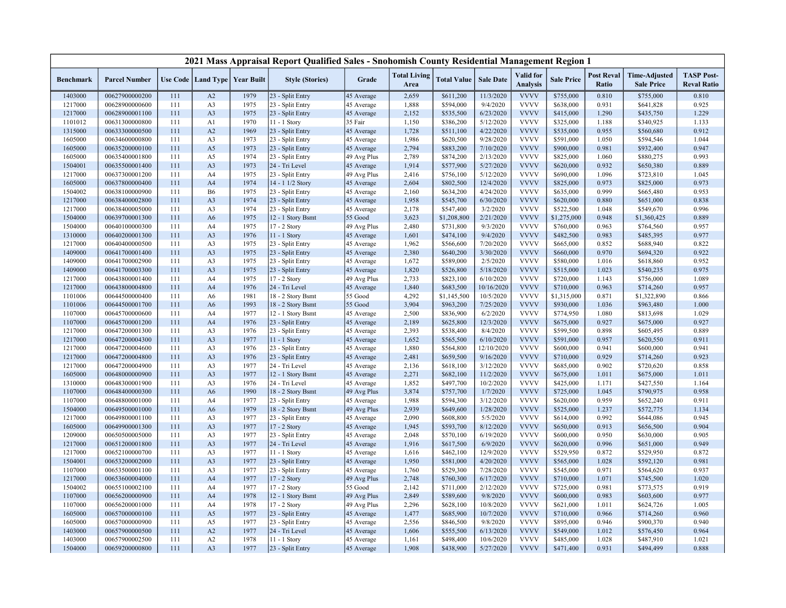|                  |                      |     |                      |                   | 2021 Mass Appraisal Report Qualified Sales - Snohomish County Residential Management Region 1 |             |                             |                    |                  |                                     |                   |                            |                                           |                                         |
|------------------|----------------------|-----|----------------------|-------------------|-----------------------------------------------------------------------------------------------|-------------|-----------------------------|--------------------|------------------|-------------------------------------|-------------------|----------------------------|-------------------------------------------|-----------------------------------------|
| <b>Benchmark</b> | <b>Parcel Number</b> |     | Use Code   Land Type | <b>Year Built</b> | <b>Style (Stories)</b>                                                                        | Grade       | <b>Total Living</b><br>Area | <b>Total Value</b> | <b>Sale Date</b> | <b>Valid</b> for<br><b>Analysis</b> | <b>Sale Price</b> | <b>Post Reval</b><br>Ratio | <b>Time-Adjusted</b><br><b>Sale Price</b> | <b>TASP Post-</b><br><b>Reval Ratio</b> |
| 1403000          | 00627900000200       | 111 | A2                   | 1979              | 23 - Split Entry                                                                              | 45 Average  | 2,659                       | \$611,200          | 11/3/2020        | <b>VVVV</b>                         | \$755,000         | 0.810                      | \$755,000                                 | 0.810                                   |
| 1217000          | 00628900000600       | 111 | A <sub>3</sub>       | 1975              | 23 - Split Entry                                                                              | 45 Average  | 1,888                       | \$594,000          | 9/4/2020         | <b>VVVV</b>                         | \$638,000         | 0.931                      | \$641,828                                 | 0.925                                   |
| 1217000          | 00628900001100       | 111 | A <sub>3</sub>       | 1975              | 23 - Split Entry                                                                              | 45 Average  | 2,152                       | \$535,500          | 6/23/2020        | <b>VVVV</b>                         | \$415,000         | 1.290                      | \$435,750                                 | 1.229                                   |
| 1101012          | 00631300000800       | 111 | A1                   | 1970              | 11 - 1 Story                                                                                  | 35 Fair     | 1,150                       | \$386,200          | 5/12/2020        | <b>VVVV</b>                         | \$325,000         | 1.188                      | \$340,925                                 | 1.133                                   |
| 1315000          | 00633300000500       | 111 | A2                   | 1969              | 23 - Split Entry                                                                              | 45 Average  | 1,728                       | \$511,100          | 4/22/2020        | <b>VVVV</b>                         | \$535,000         | 0.955                      | \$560,680                                 | 0.912                                   |
| 1605000          | 00634600000800       | 111 | A <sub>3</sub>       | 1973              | 23 - Split Entry                                                                              | 45 Average  | 1,986                       | \$620,500          | 9/28/2020        | <b>VVVV</b>                         | \$591,000         | 1.050                      | \$594,546                                 | 1.044                                   |
| 1605000          | 00635200000100       | 111 | A5                   | 1973              | 23 - Split Entry                                                                              | 45 Average  | 2,794                       | \$883,200          | 7/10/2020        | <b>VVVV</b>                         | \$900,000         | 0.981                      | \$932,400                                 | 0.947                                   |
| 1605000          | 00635400001800       | 111 | A5                   | 1974              | 23 - Split Entry                                                                              | 49 Avg Plus | 2,789                       | \$874,200          | 2/13/2020        | <b>VVVV</b>                         | \$825,000         | 1.060                      | \$880,275                                 | 0.993                                   |
| 1504001          | 00635500001400       | 111 | A <sub>3</sub>       | 1973              | 24 - Tri Level                                                                                | 45 Average  | 1,914                       | \$577,900          | 5/27/2020        | <b>VVVV</b>                         | \$620,000         | 0.932                      | \$650,380                                 | 0.889                                   |
| 1217000          | 00637300001200       | 111 | A4                   | 1975              | 23 - Split Entry                                                                              | 49 Avg Plus | 2,416                       | \$756,100          | 5/12/2020        | <b>VVVV</b>                         | \$690,000         | 1.096                      | \$723,810                                 | 1.045                                   |
| 1605000          | 00637800000400       | 111 | A <sub>4</sub>       | 1974              | 14 - 1 1/2 Story                                                                              | 45 Average  | 2,604                       | \$802,500          | 12/4/2020        | <b>VVVV</b>                         | \$825,000         | 0.973                      | \$825,000                                 | 0.973                                   |
| 1504002          | 00638100000900       | 111 | <b>B6</b>            | 1975              | 23 - Split Entry                                                                              | 45 Average  | 2,160                       | \$634,200          | 4/24/2020        | <b>VVVV</b>                         | \$635,000         | 0.999                      | \$665,480                                 | 0.953                                   |
| 1217000          | 00638400002800       | 111 | A <sub>3</sub>       | 1974              | 23 - Split Entry                                                                              | 45 Average  | 1,958                       | \$545,700          | 6/30/2020        | <b>VVVV</b>                         | \$620,000         | 0.880                      | \$651,000                                 | 0.838                                   |
| 1217000          | 00638400005000       | 111 | A <sub>3</sub>       | 1974              | 23 - Split Entry                                                                              | 45 Average  | 2,178                       | \$547,400          | 3/2/2020         | <b>VVVV</b>                         | \$522,500         | 1.048                      | \$549,670                                 | 0.996                                   |
| 1504000          | 00639700001300       | 111 | A <sub>6</sub>       | 1975              | 12 - 1 Story Bsmt                                                                             | 55 Good     | 3,623                       | \$1,208,800        | 2/21/2020        | <b>VVVV</b>                         | \$1,275,000       | 0.948                      | \$1,360,425                               | 0.889                                   |
| 1504000          | 00640100000300       | 111 | A4                   | 1975              | 17 - 2 Story                                                                                  | 49 Avg Plus | 2,480                       | \$731,800          | 9/3/2020         | <b>VVVV</b>                         | \$760,000         | 0.963                      | \$764,560                                 | 0.957                                   |
| 1310000          | 00640200001300       | 111 | A <sub>3</sub>       | 1976              | 11 - 1 Story                                                                                  | 45 Average  | 1,601                       | \$474,100          | 9/4/2020         | <b>VVVV</b>                         | \$482,500         | 0.983                      | \$485,395                                 | 0.977                                   |
| 1217000          | 00640400000500       | 111 | A3                   | 1975              | 23 - Split Entry                                                                              | 45 Average  | 1,962                       | \$566,600          | 7/20/2020        | <b>VVVV</b>                         | \$665,000         | 0.852                      | \$688,940                                 | 0.822                                   |
| 1409000          | 00641700001400       | 111 | A <sub>3</sub>       | 1975              | 23 - Split Entry                                                                              | 45 Average  | 2,380                       | \$640,200          | 3/30/2020        | <b>VVVV</b>                         | \$660,000         | 0.970                      | \$694,320                                 | 0.922                                   |
| 1409000          | 00641700002900       | 111 | A3                   | 1975              | 23 - Split Entry                                                                              | 45 Average  | 1,672                       | \$589,000          | 2/5/2020         | <b>VVVV</b>                         | \$580,000         | 1.016                      | \$618,860                                 | 0.952                                   |
| 1409000          | 00641700003300       | 111 | A <sub>3</sub>       | 1975              | 23 - Split Entry                                                                              | 45 Average  | 1,820                       | \$526,800          | 5/18/2020        | <b>VVVV</b>                         | \$515,000         | 1.023                      | \$540,235                                 | 0.975                                   |
| 1217000          | 00643800001400       | 111 | A4                   | 1975              | 17 - 2 Story                                                                                  | 49 Avg Plus | 2,733                       | \$823,100          | 6/10/2020        | <b>VVVV</b>                         | \$720,000         | 1.143                      | \$756,000                                 | 1.089                                   |
| 1217000          | 00643800004800       | 111 | A <sub>4</sub>       | 1976              | 24 - Tri Level                                                                                | 45 Average  | 1,840                       | \$683,500          | 10/16/2020       | <b>VVVV</b>                         | \$710,000         | 0.963                      | \$714,260                                 | 0.957                                   |
| 1101006          | 00644500000400       | 111 | A <sub>6</sub>       | 1981              | 18 - 2 Story Bsmt                                                                             | 55 Good     | 4,292                       | \$1,145,500        | 10/5/2020        | <b>VVVV</b>                         | \$1,315,000       | 0.871                      | \$1,322,890                               | 0.866                                   |
| 1101006          | 00644500001700       | 111 | A <sub>6</sub>       | 1993              | 18 - 2 Story Bsmt                                                                             | 55 Good     | 3,904                       | \$963,200          | 7/25/2020        | <b>VVVV</b>                         | \$930,000         | 1.036                      | \$963,480                                 | 1.000                                   |
| 1107000          | 00645700000600       | 111 | A4                   | 1977              | 12 - 1 Story Bsmt                                                                             | 45 Average  | 2,500                       | \$836,900          | 6/2/2020         | <b>VVVV</b>                         | \$774,950         | 1.080                      | \$813,698                                 | 1.029                                   |
| 1107000          | 00645700001200       | 111 | A <sub>4</sub>       | 1976              | 23 - Split Entry                                                                              | 45 Average  | 2,189                       | \$625,800          | 12/3/2020        | <b>VVVV</b>                         | \$675,000         | 0.927                      | \$675,000                                 | 0.927                                   |
| 1217000          | 00647200001300       | 111 | A <sub>3</sub>       | 1976              | 23 - Split Entry                                                                              | 45 Average  | 2,393                       | \$538,400          | 8/4/2020         | <b>VVVV</b>                         | \$599,500         | 0.898                      | \$605,495                                 | 0.889                                   |
| 1217000          | 00647200004300       | 111 | A <sub>3</sub>       | 1977              | 11 - 1 Story                                                                                  | 45 Average  | 1,652                       | \$565,500          | 6/10/2020        | <b>VVVV</b>                         | \$591,000         | 0.957                      | \$620,550                                 | 0.911                                   |
| 1217000          | 00647200004600       | 111 | A3                   | 1976              | 23 - Split Entry                                                                              | 45 Average  | 1,880                       | \$564,800          | 12/10/2020       | <b>VVVV</b>                         | \$600,000         | 0.941                      | \$600,000                                 | 0.941                                   |
| 1217000          | 00647200004800       | 111 | A <sub>3</sub>       | 1976              | 23 - Split Entry                                                                              | 45 Average  | 2,481                       | \$659,500          | 9/16/2020        | <b>VVVV</b>                         | \$710,000         | 0.929                      | \$714,260                                 | 0.923                                   |
| 1217000          | 00647200004900       | 111 | A <sub>3</sub>       | 1977              | 24 - Tri Level                                                                                | 45 Average  | 2,136                       | \$618,100          | 3/12/2020        | <b>VVVV</b>                         | \$685,000         | 0.902                      | \$720,620                                 | 0.858                                   |
| 1605000          | 00648000000900       | 111 | A <sub>3</sub>       | 1977              | 12 - 1 Story Bsmt                                                                             | 45 Average  | 2,271                       | \$682,100          | 11/2/2020        | <b>VVVV</b>                         | \$675,000         | 1.011                      | \$675,000                                 | 1.011                                   |
| 1310000          | 00648300001900       | 111 | A <sub>3</sub>       | 1976              | 24 - Tri Level                                                                                | 45 Average  | 1,852                       | \$497,700          | 10/2/2020        | <b>VVVV</b>                         | \$425,000         | 1.171                      | \$427,550                                 | 1.164                                   |
| 1107000          | 00648400000300       | 111 | A <sub>6</sub>       | 1990              | 18 - 2 Story Bsmt                                                                             | 49 Avg Plus | 3,874                       | \$757,700          | 1/7/2020         | <b>VVVV</b>                         | \$725,000         | 1.045                      | \$790,975                                 | 0.958                                   |
| 1107000          | 00648800001000       | 111 | A4                   | 1977              | 23 - Split Entry                                                                              | 45 Average  | 1,988                       | \$594,300          | 3/12/2020        | <b>VVVV</b>                         | \$620,000         | 0.959                      | \$652,240                                 | 0.911                                   |
| 1504000          | 00649500001000       | 111 | A <sub>6</sub>       | 1979              | 18 - 2 Story Bsmt                                                                             | 49 Avg Plus | 2,939                       | \$649,600          | 1/28/2020        | <b>VVVV</b>                         | \$525,000         | 1.237                      | \$572,775                                 | 1.134                                   |
| 1217000          | 00649800001100       | 111 | A <sub>3</sub>       | 1977              | 23 - Split Entry                                                                              | 45 Average  | 2,090                       | \$608,800          | 5/5/2020         | <b>VVVV</b>                         | \$614,000         | 0.992                      | \$644,086                                 | 0.945                                   |
| 1605000          | 00649900001300       | 111 | A <sub>3</sub>       | 1977              | 17 - 2 Story                                                                                  | 45 Average  | 1,945                       | \$593,700          | 8/12/2020        | <b>VVVV</b>                         | \$650,000         | 0.913                      | \$656,500                                 | 0.904                                   |
| 1209000          | 00650500005000       | 111 | A3                   | 1977              | 23 - Split Entry                                                                              | 45 Average  | 2,048                       | \$570,100          | 6/19/2020        | <b>VVVV</b>                         | \$600,000         | 0.950                      | \$630,000                                 | 0.905                                   |
| 1217000          | 00651200001800       | 111 | A <sub>3</sub>       | 1977              | 24 - Tri Level                                                                                | 45 Average  | 1,916                       | \$617,500          | 6/9/2020         | <b>VVVV</b>                         | \$620,000         | 0.996                      | \$651,000                                 | 0.949                                   |
| 1217000          | 00652100000700       | 111 | A3                   | 1977              | 11 - 1 Story                                                                                  | 45 Average  | 1,616                       | \$462,100          | 12/9/2020        | <b>VVVV</b>                         | \$529,950         | 0.872                      | \$529,950                                 | 0.872                                   |
| 1504001          | 00653200002000       | 111 | A <sub>3</sub>       | 1977              | 23 - Split Entry                                                                              | 45 Average  | 1,950                       | \$581,000          | 4/20/2020        | <b>VVVV</b>                         | \$565,000         | 1.028                      | \$592,120                                 | 0.981                                   |
| 1107000          | 00653500001100       | 111 | A <sub>3</sub>       | 1977              | 23 - Split Entry                                                                              | 45 Average  | 1,760                       | \$529,300          | 7/28/2020        | <b>VVVV</b>                         | \$545,000         | 0.971                      | \$564,620                                 | 0.937                                   |
| 1217000          | 00653600004000       | 111 | A <sub>4</sub>       | 1977              | 17 - 2 Story                                                                                  | 49 Avg Plus | 2,748                       | \$760,300          | 6/17/2020        | <b>VVVV</b>                         | \$710,000         | 1.071                      | \$745,500                                 | 1.020                                   |
| 1504002          | 00655100002100       | 111 | A4                   | 1977              | 17 - 2 Story                                                                                  | 55 Good     | 2,142                       | \$711,000          | 2/12/2020        | <b>VVVV</b>                         | \$725,000         | 0.981                      | \$773,575                                 | 0.919                                   |
| 1107000          | 00656200000900       | 111 | A <sub>4</sub>       | 1978              | 12 - 1 Story Bsmt                                                                             | 49 Avg Plus | 2,849                       | \$589,600          | 9/8/2020         | <b>VVVV</b>                         | \$600,000         | 0.983                      | \$603,600                                 | 0.977                                   |
| 1107000          | 00656200001000       | 111 | A4                   | 1978              | 17 - 2 Story                                                                                  | 49 Avg Plus | 2,296                       | \$628,100          | 10/8/2020        | <b>VVVV</b>                         | \$621,000         | 1.011                      | \$624,726                                 | 1.005                                   |
| 1605000          | 00657000000100       | 111 | A5                   | 1977              | 23 - Split Entry                                                                              | 45 Average  | 1,477                       | \$685,900          | 10/7/2020        | <b>VVVV</b>                         | \$710,000         | 0.966                      | \$714,260                                 | 0.960                                   |
| 1605000          | 00657000000900       | 111 | A5                   | 1977              | 23 - Split Entry                                                                              | 45 Average  | 2,556                       | \$846,500          | 9/8/2020         | <b>VVVV</b>                         | \$895,000         | 0.946                      | \$900,370                                 | 0.940                                   |
| 1403000          | 00657900000500       | 111 | A2                   | 1977              | 24 - Tri Level                                                                                | 45 Average  | 1,606                       | \$555,500          | 6/13/2020        | <b>VVVV</b>                         | \$549,000         | 1.012                      | \$576,450                                 | 0.964                                   |
| 1403000          | 00657900002500       | 111 | A2                   | 1978              | $11 - 1$ Story                                                                                | 45 Average  | 1,161                       | \$498,400          | 10/6/2020        | <b>VVVV</b>                         | \$485,000         | 1.028                      | \$487,910                                 | 1.021                                   |
| 1504000          | 00659200000800       | 111 | A <sub>3</sub>       | 1977              | 23 - Split Entry                                                                              | 45 Average  | 1,908                       | \$438,900          | 5/27/2020        | <b>VVVV</b>                         | \$471,400         | 0.931                      | \$494,499                                 | 0.888                                   |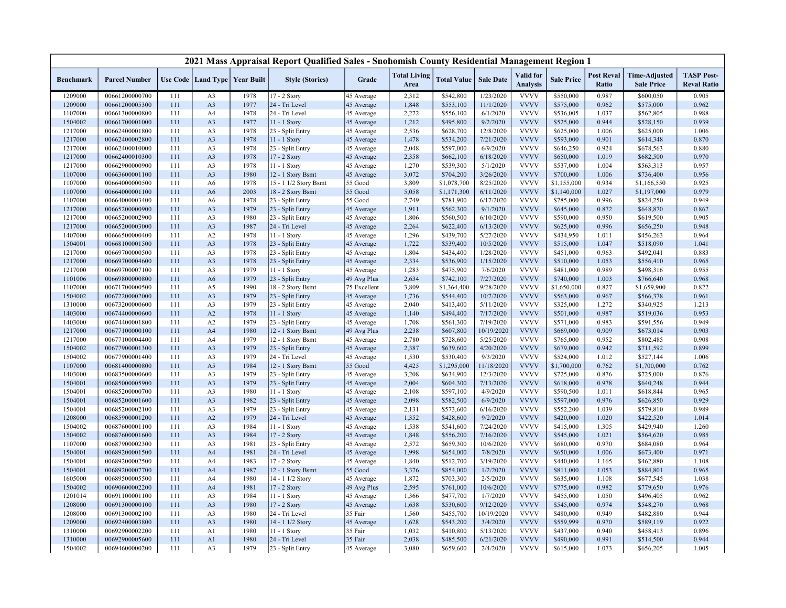|                    |                                  |            |                                  |                                   | 2021 Mass Appraisal Report Qualified Sales - Snohomish County Residential Management Region 1 |                          |                             |                          |                        |                              |                          |                                   |                                           |                                         |
|--------------------|----------------------------------|------------|----------------------------------|-----------------------------------|-----------------------------------------------------------------------------------------------|--------------------------|-----------------------------|--------------------------|------------------------|------------------------------|--------------------------|-----------------------------------|-------------------------------------------|-----------------------------------------|
| <b>Benchmark</b>   | <b>Parcel Number</b>             |            |                                  | Use Code   Land Type   Year Built | <b>Style (Stories)</b>                                                                        | Grade                    | <b>Total Living</b><br>Area | <b>Total Value</b>       | <b>Sale Date</b>       | Valid for<br><b>Analysis</b> | <b>Sale Price</b>        | <b>Post Reval</b><br><b>Ratio</b> | <b>Time-Adjusted</b><br><b>Sale Price</b> | <b>TASP Post-</b><br><b>Reval Ratio</b> |
| 1209000            | 00661200000700                   | 111        | A <sub>3</sub>                   | 1978                              | 17 - 2 Story                                                                                  | 45 Average               | 2,312                       | \$542,800                | 1/23/2020              | <b>VVVV</b>                  | \$550,000                | 0.987                             | \$600,050                                 | 0.905                                   |
| 1209000            | 00661200005300                   | 111        | A <sub>3</sub>                   | 1977                              | 24 - Tri Level                                                                                | 45 Average               | 1,848                       | \$553,100                | 11/1/2020              | <b>VVVV</b>                  | \$575,000                | 0.962                             | \$575,000                                 | 0.962                                   |
| 1107000            | 00661300000800                   | 111        | A4                               | 1978                              | 24 - Tri Level                                                                                | 45 Average               | 2,272                       | \$556,100                | 6/1/2020               | <b>VVVV</b>                  | \$536,005                | 1.037                             | \$562,805                                 | 0.988                                   |
| 1504002            | 00661700001000                   | 111        | A3                               | 1977                              | 11 - 1 Story                                                                                  | 45 Average               | 1,212                       | \$495,800                | 9/2/2020               | <b>VVVV</b>                  | \$525,000                | 0.944                             | \$528,150                                 | 0.939                                   |
| 1217000            | 00662400001800                   | 111        | A3                               | 1978                              | 23 - Split Entry                                                                              | 45 Average               | 2,536                       | \$628,700                | 12/8/2020              | <b>VVVV</b>                  | \$625,000                | 1.006                             | \$625,000                                 | 1.006                                   |
| 1217000            | 00662400002800                   | 111        | A <sub>3</sub>                   | 1978                              | 11 - 1 Story                                                                                  | 45 Average               | 1,478                       | \$534,200                | 7/21/2020              | <b>VVVV</b>                  | \$593,000                | 0.901                             | \$614,348                                 | 0.870                                   |
| 1217000            | 00662400010000                   | 111        | A3                               | 1978                              | 23 - Split Entry                                                                              | 45 Average               | 2,048                       | \$597,000                | 6/9/2020               | <b>VVVV</b>                  | \$646,250                | 0.924                             | \$678,563                                 | 0.880                                   |
| 1217000            | 00662400010300                   | 111        | A <sub>3</sub>                   | 1978                              | 17 - 2 Story                                                                                  | 45 Average               | 2,358                       | \$662,100                | 6/18/2020              | <b>VVVV</b>                  | \$650,000                | 1.019                             | \$682,500                                 | 0.970                                   |
| 1217000            | 00662900000900                   | 111        | A3                               | 1978                              | 11 - 1 Story                                                                                  | 45 Average               | 1,270                       | \$539,300                | 5/1/2020               | <b>VVVV</b>                  | \$537,000                | 1.004                             | \$563,313                                 | 0.957                                   |
| 1107000            | 00663600001100                   | 111        | A <sub>3</sub>                   | 1980                              | 12 - 1 Story Bsmt                                                                             | 45 Average               | 3,072                       | \$704,200                | 3/26/2020              | <b>VVVV</b>                  | \$700,000                | 1.006                             | \$736,400                                 | 0.956                                   |
| 1107000            | 00664000000500                   | 111        | A <sub>6</sub>                   | 1978                              | 15 - 1 1/2 Story Bsmt                                                                         | 55 Good                  | 3,809                       | \$1,078,700              | 8/25/2020              | <b>VVVV</b>                  | \$1,155,000              | 0.934                             | \$1,166,550                               | 0.925                                   |
| 1107000            | 00664000001100                   | 111        | A <sub>6</sub>                   | 2003                              | 18 - 2 Story Bsmt                                                                             | 55 Good                  | 5,058                       | \$1,171,300              | 6/11/2020              | <b>VVVV</b>                  | \$1,140,000              | 1.027                             | \$1,197,000                               | 0.979                                   |
| 1107000            | 00664000003400                   | 111        | A <sub>6</sub>                   | 1978                              | 23 - Split Entry                                                                              | 55 Good                  | 2,749                       | \$781,900                | 6/17/2020              | <b>VVVV</b>                  | \$785,000                | 0.996                             | \$824,250                                 | 0.949                                   |
| 1217000            | 00665200000900                   | 111        | A <sub>3</sub>                   | 1979                              | 23 - Split Entry                                                                              | 45 Average               | 1,911                       | \$562,300                | 9/1/2020               | <b>VVVV</b>                  | \$645,000                | 0.872                             | \$648,870                                 | 0.867                                   |
| 1217000            | 00665200002900                   | 111        | A <sub>3</sub>                   | 1980                              | 23 - Split Entry                                                                              | 45 Average               | 1,806                       | \$560,500                | 6/10/2020              | <b>VVVV</b>                  | \$590,000                | 0.950                             | \$619,500                                 | 0.905                                   |
| 1217000            | 00665200003000                   | 111        | A <sub>3</sub>                   | 1987                              | 24 - Tri Level                                                                                | 45 Average               | 2,264                       | \$622,400                | 6/13/2020              | <b>VVVV</b>                  | \$625,000                | 0.996                             | \$656,250                                 | 0.948                                   |
| 1407000            | 00666500000400                   | 111        | A2                               | 1978                              | 11 - 1 Story                                                                                  | 45 Average               | 1,296                       | \$439,700                | 5/27/2020              | <b>VVVV</b>                  | \$434,950                | 1.011                             | \$456,263                                 | 0.964                                   |
| 1504001            | 00668100001500                   | 111        | A <sub>3</sub>                   | 1978                              | 23 - Split Entry                                                                              | 45 Average               | 1,722                       | \$539,400                | 10/5/2020              | <b>VVVV</b>                  | \$515,000                | 1.047                             | \$518,090                                 | 1.041                                   |
| 1217000            | 00669700000500                   | 111        | A3                               | 1978                              | 23 - Split Entry                                                                              | 45 Average               | 1,804                       | \$434,400                | 1/28/2020              | <b>VVVV</b>                  | \$451,000                | 0.963                             | \$492,041                                 | 0.883                                   |
| 1217000            | 00669700004600                   | 111        | A <sub>3</sub>                   | 1978                              | 23 - Split Entry                                                                              | 45 Average               | 2,334                       | \$536,900                | 1/15/2020              | <b>VVVV</b>                  | \$510,000                | 1.053                             | \$556,410                                 | 0.965                                   |
| 1217000            | 00669700007100                   | 111        | A <sub>3</sub>                   | 1979                              | 11 - 1 Story                                                                                  | 45 Average               | 1,283                       | \$475,900                | 7/6/2020               | <b>VVVV</b>                  | \$481,000                | 0.989                             | \$498,316                                 | 0.955                                   |
| 1101006            | 00669800000800                   | 111        | A <sub>6</sub>                   | 1979                              | 23 - Split Entry                                                                              | 49 Avg Plus              | 2,634                       | \$742,100                | 7/27/2020              | <b>VVVV</b>                  | \$740,000                | 1.003                             | \$766,640                                 | 0.968                                   |
| 1107000            | 00671700000500                   | 111        | A5                               | 1990                              | 18 - 2 Story Bsmt                                                                             | 75 Excellent             | 3,809                       | \$1,364,400              | 9/28/2020              | <b>VVVV</b>                  | \$1,650,000              | 0.827                             | \$1,659,900                               | 0.822                                   |
| 1504002            | 00672200002000                   | 111        | A <sub>3</sub>                   | 1979                              | 23 - Split Entry                                                                              | 45 Average               | 1,736                       | \$544,400                | 10/7/2020              | <b>VVVV</b>                  | \$563,000                | 0.967                             | \$566,378                                 | 0.961                                   |
| 1310000            | 00673200000600                   | 111        | A <sub>3</sub>                   | 1979                              | 23 - Split Entry                                                                              | 45 Average               | 2,040                       | \$413,400                | 5/11/2020              | <b>VVVV</b>                  | \$325,000                | 1.272                             | \$340,925                                 | 1.213                                   |
| 1403000            | 00674400000600                   | 111        | A2                               | 1978                              | 11 - 1 Story                                                                                  | 45 Average               | 1,140                       | \$494,400                | 7/17/2020              | <b>VVVV</b>                  | \$501,000                | 0.987                             | \$519,036                                 | 0.953                                   |
| 1403000            | 00674400001800                   | 111        | A2                               | 1979                              | 23 - Split Entry                                                                              | 45 Average               | 1,708                       | \$561,300                | 7/19/2020              | <b>VVVV</b>                  | \$571,000                | 0.983                             | \$591,556                                 | 0.949                                   |
| 1217000            | 00677100000100                   | 111        | A <sub>4</sub>                   | 1980                              | 12 - 1 Story Bsmt                                                                             | 49 Avg Plus              | 2,238                       | \$607,800                | 10/19/2020             | <b>VVVV</b><br><b>VVVV</b>   | \$669,000                | 0.909<br>0.952                    | \$673,014                                 | 0.903                                   |
| 1217000            | 00677100004400                   | 111        | A4                               | 1979                              | 12 - 1 Story Bsmt                                                                             | 45 Average               | 2,780                       | \$728,600                | 5/25/2020              |                              | \$765,000                |                                   | \$802,485                                 | 0.908                                   |
| 1504002            | 00677900001300                   | 111        | A <sub>3</sub>                   | 1979<br>1979                      | 23 - Split Entry                                                                              | 45 Average               | 2,387                       | \$639,600                | 4/20/2020              | <b>VVVV</b><br><b>VVVV</b>   | \$679,000                | 0.942<br>1.012                    | \$711,592                                 | 0.899                                   |
| 1504002<br>1107000 | 00677900001400<br>00681400000800 | 111<br>111 | A <sub>3</sub><br>A5             | 1984                              | 24 - Tri Level                                                                                | 45 Average<br>55 Good    | 1,530<br>4,425              | \$530,400<br>\$1,295,000 | 9/3/2020<br>11/18/2020 | <b>VVVV</b>                  | \$524,000<br>\$1,700,000 | 0.762                             | \$527,144                                 | 1.006<br>0.762                          |
|                    |                                  |            |                                  | 1979                              | 12 - 1 Story Bsmt<br>23 - Split Entry                                                         |                          | 3,208                       | \$634,900                | 12/3/2020              | <b>VVVV</b>                  |                          | 0.876                             | \$1,700,000                               | 0.876                                   |
| 1403000            | 00683500000600<br>00685000005900 | 111        | A <sub>3</sub><br>A <sub>3</sub> | 1979                              | 23 - Split Entry                                                                              | 45 Average               | 2,004                       |                          | 7/13/2020              | <b>VVVV</b>                  | \$725,000<br>\$618,000   | 0.978                             | \$725,000<br>\$640,248                    | 0.944                                   |
| 1504001<br>1504001 | 00685200000700                   | 111<br>111 | A <sub>3</sub>                   | 1980                              | 11 - 1 Story                                                                                  | 45 Average               | 2,108                       | \$604,300<br>\$597,100   | 4/9/2020               | <b>VVVV</b>                  | \$590,500                | 1.011                             | \$618,844                                 | 0.965                                   |
| 1504001            | 00685200001600                   | 111        | A <sub>3</sub>                   | 1982                              | 23 - Split Entry                                                                              | 45 Average<br>45 Average | 2,098                       | \$582,500                | 6/9/2020               | <b>VVVV</b>                  | \$597,000                | 0.976                             | \$626,850                                 | 0.929                                   |
| 1504001            | 00685200002100                   | 111        | A <sub>3</sub>                   | 1979                              | 23 - Split Entry                                                                              | 45 Average               | 2,131                       | \$573,600                | 6/16/2020              | <b>VVVV</b>                  | \$552,200                | 1.039                             | \$579,810                                 | 0.989                                   |
| 1208000            | 00685900001200                   | 111        | A2                               | 1979                              | 24 - Tri Level                                                                                | 45 Average               | 1,352                       | \$428,600                | 9/2/2020               | <b>VVVV</b>                  | \$420,000                | 1.020                             | \$422,520                                 | 1.014                                   |
| 1504002            | 00687600001100                   | 111        | A3                               | 1984                              | 11 - 1 Story                                                                                  | 45 Average               | 1,538                       | \$541,600                | 7/24/2020              | <b>VVVV</b>                  | \$415,000                | 1.305                             | \$429,940                                 | 1.260                                   |
| 1504002            | 00687600001600                   | 111        | A <sub>3</sub>                   | 1984                              | 17 - 2 Story                                                                                  | 45 Average               | 1,848                       | \$556,200                | 7/16/2020              | <b>VVVV</b>                  | \$545,000                | 1.021                             | \$564,620                                 | 0.985                                   |
| 1107000            | 00687900002300                   | 111        | A <sub>3</sub>                   | 1981                              | 23 - Split Entry                                                                              | 45 Average               | 2,572                       | \$659,300                | 10/6/2020              | <b>VVVV</b>                  | \$680,000                | 0.970                             | \$684,080                                 | 0.964                                   |
| 1504001            | 00689200001500                   | 111        | A <sub>4</sub>                   | 1981                              | 24 - Tri Level                                                                                | 45 Average               | 1,998                       | \$654,000                | 7/8/2020               | <b>VVVV</b>                  | \$650,000                | 1.006                             | \$673,400                                 | 0.971                                   |
| 1504001            | 00689200002500                   | 111        | A4                               | 1983                              | 17 - 2 Story                                                                                  | 45 Average               | 1,840                       | \$512,700                | 3/19/2020              | <b>VVVV</b>                  | \$440,000                | 1.165                             | \$462,880                                 | 1.108                                   |
| 1504001            | 00689200007700                   | 111        | A <sub>4</sub>                   | 1987                              | 12 - 1 Story Bsmt                                                                             | 55 Good                  | 3,376                       | \$854,000                | 1/2/2020               | <b>VVVV</b>                  | \$811,000                | 1.053                             | \$884,801                                 | 0.965                                   |
| 1605000            | 00689500005500                   | 111        | A4                               | 1980                              | 14 - 1 1/2 Story                                                                              | 45 Average               | 1,872                       | \$703,300                | 2/5/2020               | <b>VVVV</b>                  | \$635,000                | 1.108                             | \$677,545                                 | 1.038                                   |
| 1504002            | 00690600002200                   | 111        | A <sub>4</sub>                   | 1981                              | 17 - 2 Story                                                                                  | 49 Avg Plus              | 2,595                       | \$761,000                | 10/6/2020              | <b>VVVV</b>                  | \$775,000                | 0.982                             | \$779,650                                 | 0.976                                   |
| 1201014            | 00691100001100                   | 111        | A3                               | 1984                              | 11 - 1 Story                                                                                  | 45 Average               | 1,366                       | \$477,700                | 1/7/2020               | <b>VVVV</b>                  | \$455,000                | 1.050                             | \$496,405                                 | 0.962                                   |
| 1208000            | 00691300000100                   | 111        | A <sub>3</sub>                   | 1980                              | 17 - 2 Story                                                                                  | 45 Average               | 1,638                       | \$530,600                | 9/12/2020              | <b>VVVV</b>                  | \$545,000                | 0.974                             | \$548,270                                 | 0.968                                   |
| 1208000            | 00691300002100                   | 111        | A3                               | 1980                              | 24 - Tri Level                                                                                | 35 Fair                  | 1,560                       | \$455,700                | 10/19/2020             | <b>VVVV</b>                  | \$480,000                | 0.949                             | \$482,880                                 | 0.944                                   |
| 1209000            | 00692400003800                   | 111        | A <sub>3</sub>                   | 1980                              | 14 - 1 1/2 Story                                                                              | 45 Average               | 1,628                       | \$543,200                | 3/4/2020               | <b>VVVV</b>                  | \$559,999                | 0.970                             | \$589,119                                 | 0.922                                   |
| 1310000            | 00692900002200                   | 111        | A1                               | 1980                              | 11 - 1 Story                                                                                  | 35 Fair                  | 1,032                       | \$410,800                | 5/13/2020              | <b>VVVV</b>                  | \$437,000                | 0.940                             | \$458,413                                 | 0.896                                   |
| 1310000            | 00692900005600                   | 111        | A1                               | 1980                              | 24 - Tri Level                                                                                | 35 Fair                  | 2,038                       | \$485,500                | 6/21/2020              | <b>VVVV</b>                  | \$490,000                | 0.991                             | \$514,500                                 | 0.944                                   |
| 1504002            | 00694600000200                   | 111        | A3                               | 1979                              | 23 - Split Entry                                                                              | 45 Average               | 3,080                       | \$659,600                | 2/4/2020               | <b>VVVV</b>                  | \$615,000                | 1.073                             | \$656,205                                 | 1.005                                   |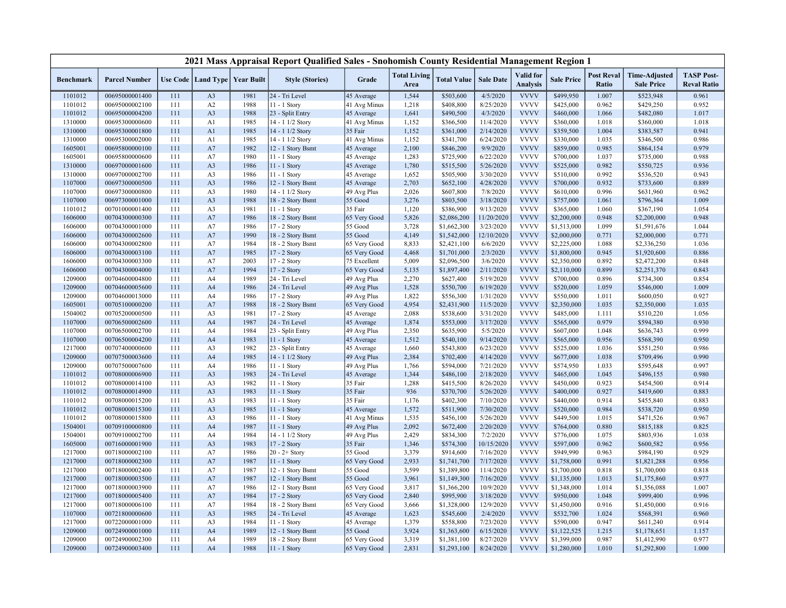|                    |                                  |            |                                   |              | 2021 Mass Appraisal Report Qualified Sales - Snohomish County Residential Management Region 1 |                           |                             |                        |                       |                                     |                        |                            |                                           |                                         |
|--------------------|----------------------------------|------------|-----------------------------------|--------------|-----------------------------------------------------------------------------------------------|---------------------------|-----------------------------|------------------------|-----------------------|-------------------------------------|------------------------|----------------------------|-------------------------------------------|-----------------------------------------|
| <b>Benchmark</b>   | <b>Parcel Number</b>             |            | Use Code   Land Type   Year Built |              | <b>Style (Stories)</b>                                                                        | Grade                     | <b>Total Living</b><br>Area | <b>Total Value</b>     | <b>Sale Date</b>      | <b>Valid</b> for<br><b>Analysis</b> | <b>Sale Price</b>      | <b>Post Reval</b><br>Ratio | <b>Time-Adjusted</b><br><b>Sale Price</b> | <b>TASP Post-</b><br><b>Reval Ratio</b> |
| 1101012            | 00695000001400                   | 111        | A <sub>3</sub>                    | 1981         | 24 - Tri Level                                                                                | 45 Average                | 1,544                       | \$503,600              | 4/5/2020              | <b>VVVV</b>                         | \$499,950              | 1.007                      | \$523,948                                 | 0.961                                   |
| 1101012            | 00695000002100                   | 111        | A2                                | 1988         | 11 - 1 Story                                                                                  | 41 Avg Minus              | 1,218                       | \$408,800              | 8/25/2020             | <b>VVVV</b>                         | \$425,000              | 0.962                      | \$429,250                                 | 0.952                                   |
| 1101012            | 00695000004200                   | 111        | A <sub>3</sub>                    | 1988         | 23 - Split Entry                                                                              | 45 Average                | 1,641                       | \$490,500              | 4/3/2020              | <b>VVVV</b>                         | \$460,000              | 1.066                      | \$482,080                                 | 1.017                                   |
| 1310000            | 00695300000600                   | 111        | A1                                | 1985         | 14 - 1 1/2 Story                                                                              | 41 Avg Minus              | 1,152                       | \$366,500              | 11/4/2020             | <b>VVVV</b>                         | \$360,000              | 1.018                      | \$360,000                                 | 1.018                                   |
| 1310000            | 00695300001800                   | 111        | A <sub>1</sub>                    | 1985         | 14 - 1 1/2 Story                                                                              | 35 Fair                   | 1,152                       | \$361,000              | 2/14/2020             | <b>VVVV</b>                         | \$359,500              | 1.004                      | \$383,587                                 | 0.941                                   |
| 1310000            | 00695300002000                   | 111        | A <sub>1</sub>                    | 1985         | 14 - 1 1/2 Story                                                                              | 41 Avg Minus              | 1,152                       | \$341,700              | 6/24/2020             | <b>VVVV</b>                         | \$330,000              | 1.035                      | \$346,500                                 | 0.986                                   |
| 1605001            | 00695800000100                   | 111        | A7                                | 1982         | 12 - 1 Story Bsmt                                                                             | 45 Average                | 2,100                       | \$846,200              | 9/9/2020              | <b>VVVV</b>                         | \$859,000              | 0.985                      | \$864,154                                 | 0.979                                   |
| 1605001            | 00695800000600                   | 111        | A7                                | 1980         | 11 - 1 Story                                                                                  | 45 Average                | 1,283                       | \$725,900              | 6/22/2020             | <b>VVVV</b>                         | \$700,000              | 1.037                      | \$735,000                                 | 0.988                                   |
| 1310000            | 00697000001600                   | 111        | A <sub>3</sub>                    | 1986         | 11 - 1 Story                                                                                  | 45 Average                | 1,780                       | \$515,500              | 5/26/2020             | <b>VVVV</b>                         | \$525,000              | 0.982                      | \$550,725                                 | 0.936                                   |
| 1310000            | 00697000002700                   | 111        | A3                                | 1986         | 11 - 1 Story                                                                                  | 45 Average                | 1,652                       | \$505,900              | 3/30/2020             | <b>VVVV</b>                         | \$510,000              | 0.992                      | \$536,520                                 | 0.943                                   |
| 1107000            | 00697300000500                   | 111        | A <sub>3</sub>                    | 1986         | 12 - 1 Story Bsmt                                                                             | 45 Average                | 2,703                       | \$652,100              | 4/28/2020             | <b>VVVV</b>                         | \$700,000              | 0.932                      | \$733,600                                 | 0.889                                   |
| 1107000            | 00697300000800                   | 111        | A3                                | 1980         | 14 - 1 1/2 Story                                                                              | 49 Avg Plus               | 2,026                       | \$607,800              | 7/8/2020              | <b>VVVV</b>                         | \$610,000              | 0.996                      | \$631,960                                 | 0.962                                   |
| 1107000            | 00697300001000                   | 111        | A <sub>3</sub>                    | 1988         | 18 - 2 Story Bsmt                                                                             | 55 Good                   | 3,276                       | \$803,500              | 3/18/2020             | <b>VVVV</b>                         | \$757,000              | 1.061                      | \$796,364                                 | 1.009                                   |
| 1101012            | 00701000001400                   | 111        | A3                                | 1981         | 11 - 1 Story                                                                                  | 35 Fair                   | 1,120                       | \$386,900              | 9/13/2020             | <b>VVVV</b>                         | \$365,000              | 1.060                      | \$367,190                                 | 1.054                                   |
| 1606000            | 00704300000300                   | 111        | A7                                | 1986         | 18 - 2 Story Bsmt                                                                             | 65 Very Good              | 5,826                       | \$2,086,200            | 11/20/2020            | <b>VVVV</b>                         | \$2,200,000            | 0.948                      | \$2,200,000                               | 0.948                                   |
| 1606000            | 00704300001000                   | 111        | A7                                | 1986         | 17 - 2 Story                                                                                  | 55 Good                   | 3,728                       | \$1,662,300            | 3/23/2020             | <b>VVVV</b>                         | \$1,513,000            | 1.099                      | \$1,591,676                               | 1.044                                   |
| 1606000            | 00704300002600                   | 111        | A7                                | 1990         | 18 - 2 Story Bsmt                                                                             | 55 Good                   | 4,149                       | \$1,542,000            | 12/10/2020            | <b>VVVV</b>                         | \$2,000,000            | 0.771                      | \$2,000,000                               | 0.771                                   |
| 1606000            | 00704300002800                   | 111        | A7                                | 1984         | 18 - 2 Story Bsmt                                                                             | 65 Very Good              | 8,833                       | \$2,421,100            | 6/6/2020              | <b>VVVV</b>                         | \$2,225,000            | 1.088                      | \$2,336,250                               | 1.036                                   |
| 1606000            | 00704300003100                   | 111        | A7                                | 1985         | 17 - 2 Story                                                                                  | 65 Very Good              | 4,468                       | \$1,701,000            | 2/3/2020              | <b>VVVV</b>                         | \$1,800,000            | 0.945                      | \$1,920,600                               | 0.886                                   |
| 1606000            | 00704300003300                   | 111        | A7                                | 2003         | 17 - 2 Story                                                                                  | 75 Excellent              | 5,009                       | \$2,096,500            | 3/6/2020              | <b>VVVV</b>                         | \$2,350,000            | 0.892                      | \$2,472,200                               | 0.848                                   |
| 1606000            | 00704300004000                   | 111        | A7                                | 1994         | 17 - 2 Story                                                                                  | 65 Very Good              | 5,135                       | \$1,897,400            | 2/11/2020             | <b>VVVV</b>                         | \$2,110,000            | 0.899                      | \$2,251,370                               | 0.843                                   |
| 1209000            | 00704600004800                   | 111        | A4                                | 1989         | 24 - Tri Level                                                                                | 49 Avg Plus               | 2,270                       | \$627,400              | 5/19/2020             | <b>VVVV</b>                         | \$700,000              | 0.896                      | \$734,300                                 | 0.854                                   |
| 1209000            | 00704600005600                   | 111        | A <sub>4</sub>                    | 1986         | 24 - Tri Level                                                                                | 49 Avg Plus               | 1,528                       | \$550,700              | 6/19/2020             | <b>VVVV</b>                         | \$520,000              | 1.059                      | \$546,000                                 | 1.009                                   |
| 1209000            | 00704600013000                   | 111        | A4                                | 1986         | 17 - 2 Story                                                                                  | 49 Avg Plus               | 1,822                       | \$556,300              | 1/31/2020             | <b>VVVV</b>                         | \$550,000              | 1.011                      | \$600,050                                 | 0.927                                   |
| 1605001            | 00705100000200                   | 111        | A7                                | 1988         | 18 - 2 Story Bsmt                                                                             | 65 Very Good              | 4,954                       | \$2,431,900            | 11/5/2020             | <b>VVVV</b>                         | \$2,350,000            | 1.035                      | \$2,350,000                               | 1.035                                   |
| 1504002            | 00705200000500                   | 111        | A <sub>3</sub>                    | 1981         | 17 - 2 Story                                                                                  | 45 Average                | 2,088                       | \$538,600              | 3/31/2020             | <b>VVVV</b>                         | \$485,000              | 1.111                      | \$510,220                                 | 1.056<br>0.930                          |
| 1107000            | 00706500002600                   | 111        | A <sub>4</sub>                    | 1987         | 24 - Tri Level                                                                                | 45 Average                | 1,874                       | \$553,000              | 3/17/2020             | <b>VVVV</b><br><b>VVVV</b>          | \$565,000              | 0.979<br>1.048             | \$594,380                                 | 0.999                                   |
| 1107000<br>1107000 | 00706500002700<br>00706500004200 | 111<br>111 | A4<br>A <sub>4</sub>              | 1984<br>1983 | 23 - Split Entry<br>11 - 1 Story                                                              | 49 Avg Plus<br>45 Average | 2,350<br>1,512              | \$635,900<br>\$540,100 | 5/5/2020<br>9/14/2020 | <b>VVVV</b>                         | \$607,000<br>\$565,000 | 0.956                      | \$636,743<br>\$568,390                    | 0.950                                   |
| 1217000            | 00707400000600                   | 111        | A3                                | 1982         | 23 - Split Entry                                                                              | 45 Average                | 1,660                       | \$543,800              | 6/23/2020             | <b>VVVV</b>                         | \$525,000              | 1.036                      | \$551,250                                 | 0.986                                   |
| 1209000            | 00707500003600                   | 111        | A <sub>4</sub>                    | 1985         | 14 - 1 1/2 Story                                                                              | 49 Avg Plus               | 2,384                       | \$702,400              | 4/14/2020             | <b>VVVV</b>                         | \$677,000              | 1.038                      | \$709,496                                 | 0.990                                   |
| 1209000            | 00707500007600                   | 111        | A4                                | 1986         | 11 - 1 Story                                                                                  | 49 Avg Plus               | 1,766                       | \$594,000              | 7/21/2020             | <b>VVVV</b>                         | \$574,950              | 1.033                      | \$595,648                                 | 0.997                                   |
| 1101012            | 00708000006900                   | 111        | A <sub>3</sub>                    | 1983         | 24 - Tri Level                                                                                | 45 Average                | 1,344                       | \$486,100              | 2/18/2020             | <b>VVVV</b>                         | \$465,000              | 1.045                      | \$496,155                                 | 0.980                                   |
| 1101012            | 00708000014100                   | 111        | A <sub>3</sub>                    | 1982         | 11 - 1 Story                                                                                  | 35 Fair                   | 1,288                       | \$415,500              | 8/26/2020             | <b>VVVV</b>                         | \$450,000              | 0.923                      | \$454,500                                 | 0.914                                   |
| 1101012            | 00708000014900                   | 111        | A <sub>3</sub>                    | 1983         | 11 - 1 Story                                                                                  | 35 Fair                   | 936                         | \$370,700              | 5/26/2020             | <b>VVVV</b>                         | \$400,000              | 0.927                      | \$419,600                                 | 0.883                                   |
| 1101012            | 00708000015200                   | 111        | A3                                | 1983         | 11 - 1 Story                                                                                  | 35 Fair                   | 1,176                       | \$402,300              | 7/10/2020             | <b>VVVV</b>                         | \$440,000              | 0.914                      | \$455,840                                 | 0.883                                   |
| 1101012            | 00708000015300                   | 111        | A <sub>3</sub>                    | 1985         | 11 - 1 Story                                                                                  | 45 Average                | 1,572                       | \$511,900              | 7/30/2020             | <b>VVVV</b>                         | \$520,000              | 0.984                      | \$538,720                                 | 0.950                                   |
| 1101012            | 00708000015800                   | 111        | A <sub>3</sub>                    | 1986         | 11 - 1 Story                                                                                  | 41 Avg Minus              | 1,535                       | \$456,100              | 5/26/2020             | <b>VVVV</b>                         | \$449,500              | 1.015                      | \$471,526                                 | 0.967                                   |
| 1504001            | 00709100000800                   | 111        | A <sub>4</sub>                    | 1987         | 11 - 1 Story                                                                                  | 49 Avg Plus               | 2,092                       | \$672,400              | 2/20/2020             | <b>VVVV</b>                         | \$764,000              | 0.880                      | \$815,188                                 | 0.825                                   |
| 1504001            | 00709100002700                   | 111        | A4                                | 1984         | 14 - 1 1/2 Story                                                                              | 49 Avg Plus               | 2,429                       | \$834,300              | 7/2/2020              | <b>VVVV</b>                         | \$776,000              | 1.075                      | \$803,936                                 | 1.038                                   |
| 1605000            | 00716000001900                   | 111        | A <sub>3</sub>                    | 1983         | 17 - 2 Story                                                                                  | 35 Fair                   | 1,346                       | \$574,300              | 10/15/2020            | <b>VVVV</b>                         | \$597,000              | 0.962                      | \$600,582                                 | 0.956                                   |
| 1217000            | 00718000002100                   | 111        | A7                                | 1986         | $20 - 2 +$ Story                                                                              | 55 Good                   | 3,379                       | \$914,600              | 7/16/2020             | <b>VVVV</b>                         | \$949,990              | 0.963                      | \$984,190                                 | 0.929                                   |
| 1217000            | 00718000002300                   | 111        | A7                                | 1987         | 11 - 1 Story                                                                                  | 65 Very Good              | 2,933                       | \$1,741,700            | 7/17/2020             | <b>VVVV</b>                         | \$1,758,000            | 0.991                      | \$1,821,288                               | 0.956                                   |
| 1217000            | 00718000002400                   | 111        | A7                                | 1987         | 12 - 1 Story Bsmt                                                                             | 55 Good                   | 3,599                       | \$1,389,800            | 11/4/2020             | <b>VVVV</b>                         | \$1,700,000            | 0.818                      | \$1,700,000                               | 0.818                                   |
| 1217000            | 00718000003500                   | 111        | A7                                | 1987         | 12 - 1 Story Bsmt                                                                             | 55 Good                   | 3,961                       | \$1,149,300            | 7/16/2020             | <b>VVVV</b>                         | \$1,135,000            | 1.013                      | \$1,175,860                               | 0.977                                   |
| 1217000            | 00718000003900                   | 111        | A7                                | 1986         | 12 - 1 Story Bsmt                                                                             | 65 Very Good              | 3,817                       | \$1,366,200            | 10/9/2020             | <b>VVVV</b>                         | \$1,348,000            | 1.014                      | \$1,356,088                               | 1.007                                   |
| 1217000            | 00718000005400                   | 111        | A7                                | 1984         | 17 - 2 Story                                                                                  | 65 Very Good              | 2,840                       | \$995,900              | 3/18/2020             | <b>VVVV</b>                         | \$950,000              | 1.048                      | \$999,400                                 | 0.996                                   |
| 1217000            | 00718000006100                   | 111        | A7                                | 1984         | 18 - 2 Story Bsmt                                                                             | 65 Very Good              | 3,666                       | \$1,328,000            | 12/9/2020             | <b>VVVV</b>                         | \$1,450,000            | 0.916                      | \$1,450,000                               | 0.916                                   |
| 1107000            | 00721800000600                   | 111        | A3                                | 1985         | 24 - Tri Level                                                                                | 45 Average                | 1,623                       | \$545,600              | 2/4/2020              | <b>VVVV</b>                         | \$532,700              | 1.024                      | \$568,391                                 | 0.960                                   |
| 1217000            | 00722000001000                   | 111        | A3                                | 1984         | 11 - 1 Story                                                                                  | 45 Average                | 1,379                       | \$558,800              | 7/23/2020             | <b>VVVV</b>                         | \$590,000              | 0.947                      | \$611,240                                 | 0.914                                   |
| 1209000            | 00724900001000                   | 111        | A <sub>4</sub>                    | 1989         | 12 - 1 Story Bsmt                                                                             | 55 Good                   | 3,924                       | \$1,363,600            | 6/15/2020             | <b>VVVV</b>                         | \$1,122,525            | 1.215                      | \$1,178,651                               | 1.157                                   |
| 1209000            | 00724900002300                   | 111        | A4                                | 1989         | 18 - 2 Story Bsmt                                                                             | 65 Very Good              | 3,319                       | \$1,381,100            | 8/27/2020             | <b>VVVV</b>                         | \$1,399,000            | 0.987                      | \$1,412,990                               | 0.977                                   |
| 1209000            | 00724900003400                   | 111        | A <sub>4</sub>                    | 1988         | 11 - 1 Story                                                                                  | 65 Very Good              | 2,831                       | \$1,293,100            | 8/24/2020             | <b>VVVV</b>                         | \$1,280,000            | 1.010                      | \$1,292,800                               | 1.000                                   |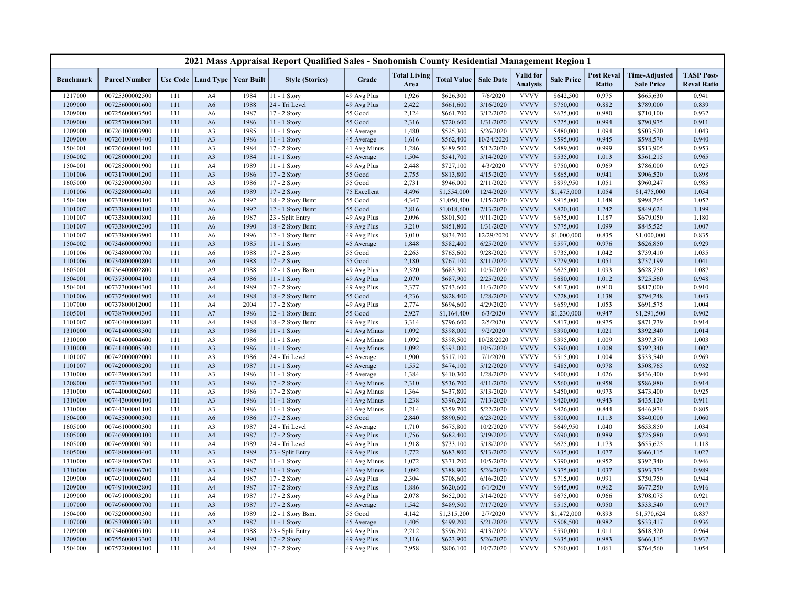| <b>Total Living</b><br>Valid for<br><b>Post Reval</b><br><b>TASP Post-</b><br><b>Time-Adjusted</b><br><b>Sale Date</b><br>Use Code   Land Type   Year Built<br><b>Style (Stories)</b><br>Grade<br><b>Total Value</b><br><b>Sale Price</b><br><b>Benchmark</b><br><b>Parcel Number</b><br><b>Analysis</b><br>Ratio<br><b>Reval Ratio</b><br>Area<br><b>Sale Price</b><br>7/6/2020<br><b>VVVV</b><br>\$642,500<br>1217000<br>00725300002500<br>111<br>1984<br>11 - 1 Story<br>49 Avg Plus<br>1,926<br>\$626,300<br>0.975<br>\$665,630<br>0.941<br>A4<br>24 - Tri Level<br><b>VVVV</b><br>1209000<br>00725600001600<br>1988<br>49 Avg Plus<br>2,422<br>\$661,600<br>3/16/2020<br>\$750,000<br>0.882<br>\$789,000<br>0.839<br>111<br>A <sub>6</sub><br><b>VVVV</b><br>0.980<br>0.932<br>1209000<br>111<br>1987<br>17 - 2 Story<br>55 Good<br>2,124<br>\$661,700<br>3/12/2020<br>\$675,000<br>00725600003500<br>A <sub>6</sub><br>\$710,100<br><b>VVVV</b><br>55 Good<br>2,316<br>1/31/2020<br>0.994<br>1209000<br>00725700000200<br>111<br>A <sub>6</sub><br>1986<br>11 - 1 Story<br>\$720,600<br>\$725,000<br>\$790,975<br>0.911<br><b>VVVV</b><br>1209000<br>00726100003900<br>111<br>A3<br>1985<br>11 - 1 Story<br>45 Average<br>1,480<br>\$525,300<br>5/26/2020<br>\$480,000<br>1.094<br>\$503,520<br>1.043<br><b>VVVV</b><br>1209000<br>A <sub>3</sub><br>1986<br>1,616<br>\$562,400<br>10/24/2020<br>\$595,000<br>0.945<br>\$598,570<br>0.940<br>00726100004400<br>111<br>11 - 1 Story<br>45 Average<br><b>VVVV</b><br>0.999<br>0.953<br>1504001<br>111<br>A3<br>1984<br>17 - 2 Story<br>41 Avg Minus<br>1,286<br>\$489,500<br>5/12/2020<br>\$489,900<br>\$513,905<br>00726600001100<br><b>VVVV</b><br>111<br>A <sub>3</sub><br>1984<br>45 Average<br>1,504<br>\$541,700<br>5/14/2020<br>0.965<br>1504002<br>00728000001200<br>$11 - 1$ Story<br>\$535,000<br>1.013<br>\$561,215<br><b>VVVV</b><br>4/3/2020<br>\$750,000<br>0.969<br>0.925<br>1504001<br>00728500001900<br>111<br>1989<br>11 - 1 Story<br>49 Avg Plus<br>2,448<br>\$727,100<br>\$786,000<br>A4<br><b>VVVV</b><br>1101006<br>00731700001200<br>111<br>A <sub>3</sub><br>1986<br>55 Good<br>2,755<br>\$813,800<br>4/15/2020<br>\$865,000<br>0.941<br>\$906,520<br>0.898<br>17 - 2 Story<br>55 Good<br>2,731<br>\$946,000<br>2/11/2020<br><b>VVVV</b><br>1.051<br>\$960,247<br>0.985<br>1605000<br>00732500000300<br>111<br>A3<br>1986<br>17 - 2 Story<br>\$899,950<br>12/4/2020<br><b>VVVV</b><br>1101006<br>00732800000400<br>111<br>A <sub>6</sub><br>1989<br>17 - 2 Story<br>4,496<br>\$1,554,000<br>\$1,475,000<br>1.054<br>\$1,475,000<br>1.054<br>75 Excellent<br><b>VVVV</b><br>1992<br>4,347<br>1/15/2020<br>1.052<br>1504000<br>00733000000100<br>111<br>A <sub>6</sub><br>18 - 2 Story Bsmt<br>55 Good<br>\$1,050,400<br>\$915,000<br>1.148<br>\$998,265<br><b>VVVV</b><br>00733800000100<br>A <sub>6</sub><br>1992<br>12 - 1 Story Bsmt<br>55 Good<br>2,816<br>\$1,018,600<br>7/13/2020<br>\$820,100<br>1.242<br>\$849,624<br>1.199<br>1101007<br>111<br><b>VVVV</b><br>23 - Split Entry<br>2,096<br>1101007<br>00733800000800<br>111<br>A <sub>6</sub><br>1987<br>49 Avg Plus<br>\$801,500<br>9/11/2020<br>\$675,000<br>1.187<br>\$679,050<br>1.180<br>1990<br>1/31/2020<br><b>VVVV</b><br>1.099<br>1.007<br>1101007<br>00733800002300<br>111<br>A <sub>6</sub><br>18 - 2 Story Bsmt<br>49 Avg Plus<br>3,210<br>\$851,800<br>\$775,000<br>\$845,525<br>1996<br>12 - 1 Story Bsmt<br>3,010<br>12/29/2020<br><b>VVVV</b><br>0.835<br>0.835<br>1101007<br>00733800003900<br>111<br>A <sub>6</sub><br>49 Avg Plus<br>\$834,700<br>\$1,000,000<br>\$1,000,000<br><b>VVVV</b><br>0.929<br>1504002<br>111<br>A3<br>1985<br>11 - 1 Story<br>45 Average<br>1,848<br>\$582,400<br>6/25/2020<br>\$597,000<br>0.976<br>\$626,850<br>00734600000900<br><b>VVVV</b><br>1101006<br>17 - 2 Story<br>55 Good<br>2,263<br>\$765,600<br>9/28/2020<br>\$735,000<br>1.042<br>\$739,410<br>1.035<br>00734800000700<br>111<br>A6<br>1988<br><b>VVVV</b><br>1.041<br>1101006<br>00734800000800<br>111<br>A <sub>6</sub><br>1988<br>17 - 2 Story<br>55 Good<br>2,180<br>\$767,100<br>8/11/2020<br>\$729,900<br>1.051<br>\$737,199<br><b>VVVV</b><br>1605001<br>111<br>A <sub>9</sub><br>1988<br>12 - 1 Story Bsmt<br>49 Avg Plus<br>2,320<br>\$683,300<br>10/5/2020<br>\$625,000<br>1.093<br>\$628,750<br>1.087<br>00736400002800<br><b>VVVV</b><br>1504001<br>1986<br>49 Avg Plus<br>2,070<br>\$687,900<br>2/25/2020<br>\$680,000<br>1.012<br>\$725,560<br>0.948<br>00737300004100<br>111<br>A <sub>4</sub><br>11 - 1 Story<br>2,377<br><b>VVVV</b><br>1989<br>49 Avg Plus<br>\$743,600<br>11/3/2020<br>\$817,000<br>0.910<br>0.910<br>1504001<br>00737300004300<br>111<br>A4<br>17 - 2 Story<br>\$817,000<br><b>VVVV</b><br>55 Good<br>4,236<br>1101006<br>00737500001900<br>111<br>A <sub>4</sub><br>1988<br>18 - 2 Story Bsmt<br>\$828,400<br>1/28/2020<br>\$728,000<br>1.138<br>\$794,248<br>1.043<br><b>VVVV</b><br>1107000<br>00737800012000<br>111<br>2004<br>17 - 2 Story<br>49 Avg Plus<br>2,774<br>\$694,600<br>4/29/2020<br>\$659,900<br>1.053<br>\$691,575<br>1.004<br>A4<br>1986<br>12 - 1 Story Bsmt<br>2,927<br>6/3/2020<br><b>VVVV</b><br>0.947<br>0.902<br>1605001<br>00738700000300<br>111<br>A7<br>55 Good<br>\$1,164,400<br>\$1,230,000<br>\$1,291,500<br><b>VVVV</b><br>0.975<br>1101007<br>111<br>A4<br>1988<br>18 - 2 Story Bsmt<br>49 Avg Plus<br>3,314<br>\$796,600<br>2/5/2020<br>\$817,000<br>\$871,739<br>0.914<br>00740400000800<br><b>VVVV</b><br>A <sub>3</sub><br>1986<br>11 - 1 Story<br>1,092<br>9/2/2020<br>1.021<br>\$392,340<br>1.014<br>1310000<br>00741400003300<br>111<br>41 Avg Minus<br>\$398,000<br>\$390,000<br><b>VVVV</b><br>10/28/2020<br>1310000<br>1986<br>11 - 1 Story<br>41 Avg Minus<br>1,092<br>\$398,500<br>\$395,000<br>1.009<br>\$397,370<br>1.003<br>00741400004600<br>111<br>A3<br><b>VVVV</b><br>1310000<br>00741400005300<br>111<br>A3<br>1986<br>41 Avg Minus<br>1,092<br>\$393,000<br>10/5/2020<br>\$390,000<br>1.008<br>\$392,340<br>1.002<br>$11 - 1$ Story<br>1,900<br>7/1/2020<br><b>VVVV</b><br>0.969<br>1101007<br>00742000002000<br>111<br>A3<br>1986<br>24 - Tri Level<br>45 Average<br>\$517,100<br>\$515,000<br>1.004<br>\$533,540<br>5/12/2020<br><b>VVVV</b><br>0.932<br>1101007<br>00742000003200<br>111<br>A <sub>3</sub><br>1987<br>11 - 1 Story<br>1,552<br>\$474,100<br>\$485,000<br>0.978<br>\$508,765<br>45 Average<br><b>VVVV</b><br>\$410,300<br>0.940<br>1310000<br>00742900003200<br>111<br>A3<br>1986<br>11 - 1 Story<br>45 Average<br>1,384<br>1/28/2020<br>\$400,000<br>1.026<br>\$436,400<br><b>VVVV</b><br>00743700004300<br>A <sub>3</sub><br>1986<br>17 - 2 Story<br>41 Avg Minus<br>2,310<br>\$536,700<br>4/11/2020<br>\$560,000<br>0.958<br>0.914<br>1208000<br>111<br>\$586,880<br><b>VVVV</b><br>1986<br>1,364<br>\$437,800<br>3/13/2020<br>\$450,000<br>0.973<br>\$473,400<br>0.925<br>1310000<br>00744000002600<br>111<br>A3<br>17 - 2 Story<br>41 Avg Minus<br>1,238<br>7/13/2020<br><b>VVVV</b><br>0.911<br>1310000<br>00744300000100<br>111<br>A3<br>1986<br>11 - 1 Story<br>41 Avg Minus<br>\$396,200<br>\$420,000<br>0.943<br>\$435,120<br>A <sub>3</sub><br>5/22/2020<br><b>VVVV</b><br>0.844<br>0.805<br>1310000<br>00744300001100<br>111<br>1986<br>11 - 1 Story<br>41 Avg Minus<br>1,214<br>\$359,700<br>\$426,000<br>\$446,874<br><b>VVVV</b><br>00745500000300<br>111<br>1986<br>17 - 2 Story<br>55 Good<br>2,840<br>\$890,600<br>6/23/2020<br>\$800,000<br>1.113<br>\$840,000<br>1.060<br>1504000<br>A <sub>6</sub><br><b>VVVV</b><br>24 - Tri Level<br>1,710<br>10/2/2020<br>\$649,950<br>1.040<br>1.034<br>1605000<br>00746100000300<br>111<br>A3<br>1987<br>45 Average<br>\$675,800<br>\$653,850<br><b>VVVV</b><br>0.940<br>1605000<br>00746900000100<br>111<br>A4<br>1987<br>17 - 2 Story<br>49 Avg Plus<br>1,756<br>\$682,400<br>3/19/2020<br>\$690,000<br>0.989<br>\$725,880<br>1,918<br><b>VVVV</b><br>1605000<br>00746900001500<br>111<br>1989<br>24 - Tri Level<br>49 Avg Plus<br>\$733,100<br>5/18/2020<br>\$625,000<br>1.173<br>\$655,625<br>1.118<br>A4<br><b>VVVV</b><br>1605000<br>A <sub>3</sub><br>1989<br>23 - Split Entry<br>1,772<br>\$683,800<br>5/13/2020<br>\$635,000<br>1.077<br>1.027<br>00748000000400<br>111<br>49 Avg Plus<br>\$666,115<br><b>VVVV</b><br>0.952<br>1987<br>11 - 1 Story<br>1,072<br>\$371,200<br>10/5/2020<br>\$390,000<br>\$392,340<br>0.946<br>1310000<br>00748400005700<br>111<br>A <sub>3</sub><br>41 Avg Minus<br><b>VVVV</b><br>1,092<br>1310000<br>00748400006700<br>111<br>A <sub>3</sub><br>1987<br>11 - 1 Story<br>41 Avg Minus<br>\$388,900<br>5/26/2020<br>\$375,000<br>1.037<br>\$393,375<br>0.989<br><b>VVVV</b><br>1209000<br>111<br>1987<br>17 - 2 Story<br>49 Avg Plus<br>2,304<br>\$708,600<br>6/16/2020<br>\$715,000<br>0.991<br>\$750,750<br>0.944<br>00749100002600<br>A4<br><b>VVVV</b><br>1209000<br>111<br>A <sub>4</sub><br>1987<br>17 - 2 Story<br>49 Avg Plus<br>1,886<br>\$620,600<br>6/1/2020<br>\$645,000<br>0.962<br>\$677,250<br>0.916<br>00749100002800<br><b>VVVV</b><br>1209000<br>111<br>1987<br>17 - 2 Story<br>49 Avg Plus<br>2,078<br>\$652,000<br>5/14/2020<br>\$675,000<br>0.966<br>\$708,075<br>0.921<br>00749100003200<br>A4<br><b>VVVV</b><br>A <sub>3</sub><br>1987<br>1,542<br>7/17/2020<br>0.917<br>1107000<br>00749600000700<br>111<br>17 - 2 Story<br>45 Average<br>\$489,500<br>\$515,000<br>0.950<br>\$533,540 |         |                |     |                |      | 2021 Mass Appraisal Report Qualified Sales - Snohomish County Residential Management Region 1 |         |       |             |          |             |             |       |             |       |
|--------------------------------------------------------------------------------------------------------------------------------------------------------------------------------------------------------------------------------------------------------------------------------------------------------------------------------------------------------------------------------------------------------------------------------------------------------------------------------------------------------------------------------------------------------------------------------------------------------------------------------------------------------------------------------------------------------------------------------------------------------------------------------------------------------------------------------------------------------------------------------------------------------------------------------------------------------------------------------------------------------------------------------------------------------------------------------------------------------------------------------------------------------------------------------------------------------------------------------------------------------------------------------------------------------------------------------------------------------------------------------------------------------------------------------------------------------------------------------------------------------------------------------------------------------------------------------------------------------------------------------------------------------------------------------------------------------------------------------------------------------------------------------------------------------------------------------------------------------------------------------------------------------------------------------------------------------------------------------------------------------------------------------------------------------------------------------------------------------------------------------------------------------------------------------------------------------------------------------------------------------------------------------------------------------------------------------------------------------------------------------------------------------------------------------------------------------------------------------------------------------------------------------------------------------------------------------------------------------------------------------------------------------------------------------------------------------------------------------------------------------------------------------------------------------------------------------------------------------------------------------------------------------------------------------------------------------------------------------------------------------------------------------------------------------------------------------------------------------------------------------------------------------------------------------------------------------------------------------------------------------------------------------------------------------------------------------------------------------------------------------------------------------------------------------------------------------------------------------------------------------------------------------------------------------------------------------------------------------------------------------------------------------------------------------------------------------------------------------------------------------------------------------------------------------------------------------------------------------------------------------------------------------------------------------------------------------------------------------------------------------------------------------------------------------------------------------------------------------------------------------------------------------------------------------------------------------------------------------------------------------------------------------------------------------------------------------------------------------------------------------------------------------------------------------------------------------------------------------------------------------------------------------------------------------------------------------------------------------------------------------------------------------------------------------------------------------------------------------------------------------------------------------------------------------------------------------------------------------------------------------------------------------------------------------------------------------------------------------------------------------------------------------------------------------------------------------------------------------------------------------------------------------------------------------------------------------------------------------------------------------------------------------------------------------------------------------------------------------------------------------------------------------------------------------------------------------------------------------------------------------------------------------------------------------------------------------------------------------------------------------------------------------------------------------------------------------------------------------------------------------------------------------------------------------------------------------------------------------------------------------------------------------------------------------------------------------------------------------------------------------------------------------------------------------------------------------------------------------------------------------------------------------------------------------------------------------------------------------------------------------------------------------------------------------------------------------------------------------------------------------------------------------------------------------------------------------------------------------------------------------------------------------------------------------------------------------------------------------------------------------------------------------------------------------------------------------------------------------------------------------------------------------------------------------------------------------------------------------------------------------------------------------------------------------------------------------------------------------------------------------------------------------------------------------------------------------------------------------------------------------------------------------------------------------------------------------------------------------------------------------------------------------------------------------------------------------------------------------------------------------------------------------------------------------------------------------------------------------------------------------------------------------------------------------------------------------------------------------------------------------------------------------------------------------------------------------------------------------------------------------------------------------------------------------------------------------------------------------------------------------------------------------------------------------------------------------------------------------------------------------------------------------------------------------------------------------------------------------------------------------------------------------------------------------------------------------------------------------------------------------------------------------------------------------------------------------------------------------------------------------------------------------------------------------------------------------------------------------------------------------------------------------------------------------------------------------------------------------------------------------------------------------------------------------------------------------------------------------------------------------------------------------------------------------------------------------------------------------------------------------------------------------------------------------------------------------------------------------------------------------------------------------------------------------------------------------------------------------------------------------------------------------------------------------------------------------------------------------------------------------------------------------------------------------------------------------------------------------------------------------------------------------------------------------------------------------------------------------|---------|----------------|-----|----------------|------|-----------------------------------------------------------------------------------------------|---------|-------|-------------|----------|-------------|-------------|-------|-------------|-------|
|                                                                                                                                                                                                                                                                                                                                                                                                                                                                                                                                                                                                                                                                                                                                                                                                                                                                                                                                                                                                                                                                                                                                                                                                                                                                                                                                                                                                                                                                                                                                                                                                                                                                                                                                                                                                                                                                                                                                                                                                                                                                                                                                                                                                                                                                                                                                                                                                                                                                                                                                                                                                                                                                                                                                                                                                                                                                                                                                                                                                                                                                                                                                                                                                                                                                                                                                                                                                                                                                                                                                                                                                                                                                                                                                                                                                                                                                                                                                                                                                                                                                                                                                                                                                                                                                                                                                                                                                                                                                                                                                                                                                                                                                                                                                                                                                                                                                                                                                                                                                                                                                                                                                                                                                                                                                                                                                                                                                                                                                                                                                                                                                                                                                                                                                                                                                                                                                                                                                                                                                                                                                                                                                                                                                                                                                                                                                                                                                                                                                                                                                                                                                                                                                                                                                                                                                                                                                                                                                                                                                                                                                                                                                                                                                                                                                                                                                                                                                                                                                                                                                                                                                                                                                                                                                                                                                                                                                                                                                                                                                                                                                                                                                                                                                                                                                                                                                                                                                                                                                                                                                                                                                                                                                                                                                                                                                                                                                                                                                                                                                                                                                                                                                                                                                                                                                                                                                                                                                                                                                                |         |                |     |                |      |                                                                                               |         |       |             |          |             |             |       |             |       |
|                                                                                                                                                                                                                                                                                                                                                                                                                                                                                                                                                                                                                                                                                                                                                                                                                                                                                                                                                                                                                                                                                                                                                                                                                                                                                                                                                                                                                                                                                                                                                                                                                                                                                                                                                                                                                                                                                                                                                                                                                                                                                                                                                                                                                                                                                                                                                                                                                                                                                                                                                                                                                                                                                                                                                                                                                                                                                                                                                                                                                                                                                                                                                                                                                                                                                                                                                                                                                                                                                                                                                                                                                                                                                                                                                                                                                                                                                                                                                                                                                                                                                                                                                                                                                                                                                                                                                                                                                                                                                                                                                                                                                                                                                                                                                                                                                                                                                                                                                                                                                                                                                                                                                                                                                                                                                                                                                                                                                                                                                                                                                                                                                                                                                                                                                                                                                                                                                                                                                                                                                                                                                                                                                                                                                                                                                                                                                                                                                                                                                                                                                                                                                                                                                                                                                                                                                                                                                                                                                                                                                                                                                                                                                                                                                                                                                                                                                                                                                                                                                                                                                                                                                                                                                                                                                                                                                                                                                                                                                                                                                                                                                                                                                                                                                                                                                                                                                                                                                                                                                                                                                                                                                                                                                                                                                                                                                                                                                                                                                                                                                                                                                                                                                                                                                                                                                                                                                                                                                                                                                |         |                |     |                |      |                                                                                               |         |       |             |          |             |             |       |             |       |
|                                                                                                                                                                                                                                                                                                                                                                                                                                                                                                                                                                                                                                                                                                                                                                                                                                                                                                                                                                                                                                                                                                                                                                                                                                                                                                                                                                                                                                                                                                                                                                                                                                                                                                                                                                                                                                                                                                                                                                                                                                                                                                                                                                                                                                                                                                                                                                                                                                                                                                                                                                                                                                                                                                                                                                                                                                                                                                                                                                                                                                                                                                                                                                                                                                                                                                                                                                                                                                                                                                                                                                                                                                                                                                                                                                                                                                                                                                                                                                                                                                                                                                                                                                                                                                                                                                                                                                                                                                                                                                                                                                                                                                                                                                                                                                                                                                                                                                                                                                                                                                                                                                                                                                                                                                                                                                                                                                                                                                                                                                                                                                                                                                                                                                                                                                                                                                                                                                                                                                                                                                                                                                                                                                                                                                                                                                                                                                                                                                                                                                                                                                                                                                                                                                                                                                                                                                                                                                                                                                                                                                                                                                                                                                                                                                                                                                                                                                                                                                                                                                                                                                                                                                                                                                                                                                                                                                                                                                                                                                                                                                                                                                                                                                                                                                                                                                                                                                                                                                                                                                                                                                                                                                                                                                                                                                                                                                                                                                                                                                                                                                                                                                                                                                                                                                                                                                                                                                                                                                                                                |         |                |     |                |      |                                                                                               |         |       |             |          |             |             |       |             |       |
|                                                                                                                                                                                                                                                                                                                                                                                                                                                                                                                                                                                                                                                                                                                                                                                                                                                                                                                                                                                                                                                                                                                                                                                                                                                                                                                                                                                                                                                                                                                                                                                                                                                                                                                                                                                                                                                                                                                                                                                                                                                                                                                                                                                                                                                                                                                                                                                                                                                                                                                                                                                                                                                                                                                                                                                                                                                                                                                                                                                                                                                                                                                                                                                                                                                                                                                                                                                                                                                                                                                                                                                                                                                                                                                                                                                                                                                                                                                                                                                                                                                                                                                                                                                                                                                                                                                                                                                                                                                                                                                                                                                                                                                                                                                                                                                                                                                                                                                                                                                                                                                                                                                                                                                                                                                                                                                                                                                                                                                                                                                                                                                                                                                                                                                                                                                                                                                                                                                                                                                                                                                                                                                                                                                                                                                                                                                                                                                                                                                                                                                                                                                                                                                                                                                                                                                                                                                                                                                                                                                                                                                                                                                                                                                                                                                                                                                                                                                                                                                                                                                                                                                                                                                                                                                                                                                                                                                                                                                                                                                                                                                                                                                                                                                                                                                                                                                                                                                                                                                                                                                                                                                                                                                                                                                                                                                                                                                                                                                                                                                                                                                                                                                                                                                                                                                                                                                                                                                                                                                                                |         |                |     |                |      |                                                                                               |         |       |             |          |             |             |       |             |       |
|                                                                                                                                                                                                                                                                                                                                                                                                                                                                                                                                                                                                                                                                                                                                                                                                                                                                                                                                                                                                                                                                                                                                                                                                                                                                                                                                                                                                                                                                                                                                                                                                                                                                                                                                                                                                                                                                                                                                                                                                                                                                                                                                                                                                                                                                                                                                                                                                                                                                                                                                                                                                                                                                                                                                                                                                                                                                                                                                                                                                                                                                                                                                                                                                                                                                                                                                                                                                                                                                                                                                                                                                                                                                                                                                                                                                                                                                                                                                                                                                                                                                                                                                                                                                                                                                                                                                                                                                                                                                                                                                                                                                                                                                                                                                                                                                                                                                                                                                                                                                                                                                                                                                                                                                                                                                                                                                                                                                                                                                                                                                                                                                                                                                                                                                                                                                                                                                                                                                                                                                                                                                                                                                                                                                                                                                                                                                                                                                                                                                                                                                                                                                                                                                                                                                                                                                                                                                                                                                                                                                                                                                                                                                                                                                                                                                                                                                                                                                                                                                                                                                                                                                                                                                                                                                                                                                                                                                                                                                                                                                                                                                                                                                                                                                                                                                                                                                                                                                                                                                                                                                                                                                                                                                                                                                                                                                                                                                                                                                                                                                                                                                                                                                                                                                                                                                                                                                                                                                                                                                                |         |                |     |                |      |                                                                                               |         |       |             |          |             |             |       |             |       |
|                                                                                                                                                                                                                                                                                                                                                                                                                                                                                                                                                                                                                                                                                                                                                                                                                                                                                                                                                                                                                                                                                                                                                                                                                                                                                                                                                                                                                                                                                                                                                                                                                                                                                                                                                                                                                                                                                                                                                                                                                                                                                                                                                                                                                                                                                                                                                                                                                                                                                                                                                                                                                                                                                                                                                                                                                                                                                                                                                                                                                                                                                                                                                                                                                                                                                                                                                                                                                                                                                                                                                                                                                                                                                                                                                                                                                                                                                                                                                                                                                                                                                                                                                                                                                                                                                                                                                                                                                                                                                                                                                                                                                                                                                                                                                                                                                                                                                                                                                                                                                                                                                                                                                                                                                                                                                                                                                                                                                                                                                                                                                                                                                                                                                                                                                                                                                                                                                                                                                                                                                                                                                                                                                                                                                                                                                                                                                                                                                                                                                                                                                                                                                                                                                                                                                                                                                                                                                                                                                                                                                                                                                                                                                                                                                                                                                                                                                                                                                                                                                                                                                                                                                                                                                                                                                                                                                                                                                                                                                                                                                                                                                                                                                                                                                                                                                                                                                                                                                                                                                                                                                                                                                                                                                                                                                                                                                                                                                                                                                                                                                                                                                                                                                                                                                                                                                                                                                                                                                                                                                |         |                |     |                |      |                                                                                               |         |       |             |          |             |             |       |             |       |
|                                                                                                                                                                                                                                                                                                                                                                                                                                                                                                                                                                                                                                                                                                                                                                                                                                                                                                                                                                                                                                                                                                                                                                                                                                                                                                                                                                                                                                                                                                                                                                                                                                                                                                                                                                                                                                                                                                                                                                                                                                                                                                                                                                                                                                                                                                                                                                                                                                                                                                                                                                                                                                                                                                                                                                                                                                                                                                                                                                                                                                                                                                                                                                                                                                                                                                                                                                                                                                                                                                                                                                                                                                                                                                                                                                                                                                                                                                                                                                                                                                                                                                                                                                                                                                                                                                                                                                                                                                                                                                                                                                                                                                                                                                                                                                                                                                                                                                                                                                                                                                                                                                                                                                                                                                                                                                                                                                                                                                                                                                                                                                                                                                                                                                                                                                                                                                                                                                                                                                                                                                                                                                                                                                                                                                                                                                                                                                                                                                                                                                                                                                                                                                                                                                                                                                                                                                                                                                                                                                                                                                                                                                                                                                                                                                                                                                                                                                                                                                                                                                                                                                                                                                                                                                                                                                                                                                                                                                                                                                                                                                                                                                                                                                                                                                                                                                                                                                                                                                                                                                                                                                                                                                                                                                                                                                                                                                                                                                                                                                                                                                                                                                                                                                                                                                                                                                                                                                                                                                                                                |         |                |     |                |      |                                                                                               |         |       |             |          |             |             |       |             |       |
|                                                                                                                                                                                                                                                                                                                                                                                                                                                                                                                                                                                                                                                                                                                                                                                                                                                                                                                                                                                                                                                                                                                                                                                                                                                                                                                                                                                                                                                                                                                                                                                                                                                                                                                                                                                                                                                                                                                                                                                                                                                                                                                                                                                                                                                                                                                                                                                                                                                                                                                                                                                                                                                                                                                                                                                                                                                                                                                                                                                                                                                                                                                                                                                                                                                                                                                                                                                                                                                                                                                                                                                                                                                                                                                                                                                                                                                                                                                                                                                                                                                                                                                                                                                                                                                                                                                                                                                                                                                                                                                                                                                                                                                                                                                                                                                                                                                                                                                                                                                                                                                                                                                                                                                                                                                                                                                                                                                                                                                                                                                                                                                                                                                                                                                                                                                                                                                                                                                                                                                                                                                                                                                                                                                                                                                                                                                                                                                                                                                                                                                                                                                                                                                                                                                                                                                                                                                                                                                                                                                                                                                                                                                                                                                                                                                                                                                                                                                                                                                                                                                                                                                                                                                                                                                                                                                                                                                                                                                                                                                                                                                                                                                                                                                                                                                                                                                                                                                                                                                                                                                                                                                                                                                                                                                                                                                                                                                                                                                                                                                                                                                                                                                                                                                                                                                                                                                                                                                                                                                                                |         |                |     |                |      |                                                                                               |         |       |             |          |             |             |       |             |       |
|                                                                                                                                                                                                                                                                                                                                                                                                                                                                                                                                                                                                                                                                                                                                                                                                                                                                                                                                                                                                                                                                                                                                                                                                                                                                                                                                                                                                                                                                                                                                                                                                                                                                                                                                                                                                                                                                                                                                                                                                                                                                                                                                                                                                                                                                                                                                                                                                                                                                                                                                                                                                                                                                                                                                                                                                                                                                                                                                                                                                                                                                                                                                                                                                                                                                                                                                                                                                                                                                                                                                                                                                                                                                                                                                                                                                                                                                                                                                                                                                                                                                                                                                                                                                                                                                                                                                                                                                                                                                                                                                                                                                                                                                                                                                                                                                                                                                                                                                                                                                                                                                                                                                                                                                                                                                                                                                                                                                                                                                                                                                                                                                                                                                                                                                                                                                                                                                                                                                                                                                                                                                                                                                                                                                                                                                                                                                                                                                                                                                                                                                                                                                                                                                                                                                                                                                                                                                                                                                                                                                                                                                                                                                                                                                                                                                                                                                                                                                                                                                                                                                                                                                                                                                                                                                                                                                                                                                                                                                                                                                                                                                                                                                                                                                                                                                                                                                                                                                                                                                                                                                                                                                                                                                                                                                                                                                                                                                                                                                                                                                                                                                                                                                                                                                                                                                                                                                                                                                                                                                                |         |                |     |                |      |                                                                                               |         |       |             |          |             |             |       |             |       |
|                                                                                                                                                                                                                                                                                                                                                                                                                                                                                                                                                                                                                                                                                                                                                                                                                                                                                                                                                                                                                                                                                                                                                                                                                                                                                                                                                                                                                                                                                                                                                                                                                                                                                                                                                                                                                                                                                                                                                                                                                                                                                                                                                                                                                                                                                                                                                                                                                                                                                                                                                                                                                                                                                                                                                                                                                                                                                                                                                                                                                                                                                                                                                                                                                                                                                                                                                                                                                                                                                                                                                                                                                                                                                                                                                                                                                                                                                                                                                                                                                                                                                                                                                                                                                                                                                                                                                                                                                                                                                                                                                                                                                                                                                                                                                                                                                                                                                                                                                                                                                                                                                                                                                                                                                                                                                                                                                                                                                                                                                                                                                                                                                                                                                                                                                                                                                                                                                                                                                                                                                                                                                                                                                                                                                                                                                                                                                                                                                                                                                                                                                                                                                                                                                                                                                                                                                                                                                                                                                                                                                                                                                                                                                                                                                                                                                                                                                                                                                                                                                                                                                                                                                                                                                                                                                                                                                                                                                                                                                                                                                                                                                                                                                                                                                                                                                                                                                                                                                                                                                                                                                                                                                                                                                                                                                                                                                                                                                                                                                                                                                                                                                                                                                                                                                                                                                                                                                                                                                                                                                |         |                |     |                |      |                                                                                               |         |       |             |          |             |             |       |             |       |
|                                                                                                                                                                                                                                                                                                                                                                                                                                                                                                                                                                                                                                                                                                                                                                                                                                                                                                                                                                                                                                                                                                                                                                                                                                                                                                                                                                                                                                                                                                                                                                                                                                                                                                                                                                                                                                                                                                                                                                                                                                                                                                                                                                                                                                                                                                                                                                                                                                                                                                                                                                                                                                                                                                                                                                                                                                                                                                                                                                                                                                                                                                                                                                                                                                                                                                                                                                                                                                                                                                                                                                                                                                                                                                                                                                                                                                                                                                                                                                                                                                                                                                                                                                                                                                                                                                                                                                                                                                                                                                                                                                                                                                                                                                                                                                                                                                                                                                                                                                                                                                                                                                                                                                                                                                                                                                                                                                                                                                                                                                                                                                                                                                                                                                                                                                                                                                                                                                                                                                                                                                                                                                                                                                                                                                                                                                                                                                                                                                                                                                                                                                                                                                                                                                                                                                                                                                                                                                                                                                                                                                                                                                                                                                                                                                                                                                                                                                                                                                                                                                                                                                                                                                                                                                                                                                                                                                                                                                                                                                                                                                                                                                                                                                                                                                                                                                                                                                                                                                                                                                                                                                                                                                                                                                                                                                                                                                                                                                                                                                                                                                                                                                                                                                                                                                                                                                                                                                                                                                                                                |         |                |     |                |      |                                                                                               |         |       |             |          |             |             |       |             |       |
|                                                                                                                                                                                                                                                                                                                                                                                                                                                                                                                                                                                                                                                                                                                                                                                                                                                                                                                                                                                                                                                                                                                                                                                                                                                                                                                                                                                                                                                                                                                                                                                                                                                                                                                                                                                                                                                                                                                                                                                                                                                                                                                                                                                                                                                                                                                                                                                                                                                                                                                                                                                                                                                                                                                                                                                                                                                                                                                                                                                                                                                                                                                                                                                                                                                                                                                                                                                                                                                                                                                                                                                                                                                                                                                                                                                                                                                                                                                                                                                                                                                                                                                                                                                                                                                                                                                                                                                                                                                                                                                                                                                                                                                                                                                                                                                                                                                                                                                                                                                                                                                                                                                                                                                                                                                                                                                                                                                                                                                                                                                                                                                                                                                                                                                                                                                                                                                                                                                                                                                                                                                                                                                                                                                                                                                                                                                                                                                                                                                                                                                                                                                                                                                                                                                                                                                                                                                                                                                                                                                                                                                                                                                                                                                                                                                                                                                                                                                                                                                                                                                                                                                                                                                                                                                                                                                                                                                                                                                                                                                                                                                                                                                                                                                                                                                                                                                                                                                                                                                                                                                                                                                                                                                                                                                                                                                                                                                                                                                                                                                                                                                                                                                                                                                                                                                                                                                                                                                                                                                                                |         |                |     |                |      |                                                                                               |         |       |             |          |             |             |       |             |       |
|                                                                                                                                                                                                                                                                                                                                                                                                                                                                                                                                                                                                                                                                                                                                                                                                                                                                                                                                                                                                                                                                                                                                                                                                                                                                                                                                                                                                                                                                                                                                                                                                                                                                                                                                                                                                                                                                                                                                                                                                                                                                                                                                                                                                                                                                                                                                                                                                                                                                                                                                                                                                                                                                                                                                                                                                                                                                                                                                                                                                                                                                                                                                                                                                                                                                                                                                                                                                                                                                                                                                                                                                                                                                                                                                                                                                                                                                                                                                                                                                                                                                                                                                                                                                                                                                                                                                                                                                                                                                                                                                                                                                                                                                                                                                                                                                                                                                                                                                                                                                                                                                                                                                                                                                                                                                                                                                                                                                                                                                                                                                                                                                                                                                                                                                                                                                                                                                                                                                                                                                                                                                                                                                                                                                                                                                                                                                                                                                                                                                                                                                                                                                                                                                                                                                                                                                                                                                                                                                                                                                                                                                                                                                                                                                                                                                                                                                                                                                                                                                                                                                                                                                                                                                                                                                                                                                                                                                                                                                                                                                                                                                                                                                                                                                                                                                                                                                                                                                                                                                                                                                                                                                                                                                                                                                                                                                                                                                                                                                                                                                                                                                                                                                                                                                                                                                                                                                                                                                                                                                                |         |                |     |                |      |                                                                                               |         |       |             |          |             |             |       |             |       |
|                                                                                                                                                                                                                                                                                                                                                                                                                                                                                                                                                                                                                                                                                                                                                                                                                                                                                                                                                                                                                                                                                                                                                                                                                                                                                                                                                                                                                                                                                                                                                                                                                                                                                                                                                                                                                                                                                                                                                                                                                                                                                                                                                                                                                                                                                                                                                                                                                                                                                                                                                                                                                                                                                                                                                                                                                                                                                                                                                                                                                                                                                                                                                                                                                                                                                                                                                                                                                                                                                                                                                                                                                                                                                                                                                                                                                                                                                                                                                                                                                                                                                                                                                                                                                                                                                                                                                                                                                                                                                                                                                                                                                                                                                                                                                                                                                                                                                                                                                                                                                                                                                                                                                                                                                                                                                                                                                                                                                                                                                                                                                                                                                                                                                                                                                                                                                                                                                                                                                                                                                                                                                                                                                                                                                                                                                                                                                                                                                                                                                                                                                                                                                                                                                                                                                                                                                                                                                                                                                                                                                                                                                                                                                                                                                                                                                                                                                                                                                                                                                                                                                                                                                                                                                                                                                                                                                                                                                                                                                                                                                                                                                                                                                                                                                                                                                                                                                                                                                                                                                                                                                                                                                                                                                                                                                                                                                                                                                                                                                                                                                                                                                                                                                                                                                                                                                                                                                                                                                                                                                |         |                |     |                |      |                                                                                               |         |       |             |          |             |             |       |             |       |
|                                                                                                                                                                                                                                                                                                                                                                                                                                                                                                                                                                                                                                                                                                                                                                                                                                                                                                                                                                                                                                                                                                                                                                                                                                                                                                                                                                                                                                                                                                                                                                                                                                                                                                                                                                                                                                                                                                                                                                                                                                                                                                                                                                                                                                                                                                                                                                                                                                                                                                                                                                                                                                                                                                                                                                                                                                                                                                                                                                                                                                                                                                                                                                                                                                                                                                                                                                                                                                                                                                                                                                                                                                                                                                                                                                                                                                                                                                                                                                                                                                                                                                                                                                                                                                                                                                                                                                                                                                                                                                                                                                                                                                                                                                                                                                                                                                                                                                                                                                                                                                                                                                                                                                                                                                                                                                                                                                                                                                                                                                                                                                                                                                                                                                                                                                                                                                                                                                                                                                                                                                                                                                                                                                                                                                                                                                                                                                                                                                                                                                                                                                                                                                                                                                                                                                                                                                                                                                                                                                                                                                                                                                                                                                                                                                                                                                                                                                                                                                                                                                                                                                                                                                                                                                                                                                                                                                                                                                                                                                                                                                                                                                                                                                                                                                                                                                                                                                                                                                                                                                                                                                                                                                                                                                                                                                                                                                                                                                                                                                                                                                                                                                                                                                                                                                                                                                                                                                                                                                                                                |         |                |     |                |      |                                                                                               |         |       |             |          |             |             |       |             |       |
|                                                                                                                                                                                                                                                                                                                                                                                                                                                                                                                                                                                                                                                                                                                                                                                                                                                                                                                                                                                                                                                                                                                                                                                                                                                                                                                                                                                                                                                                                                                                                                                                                                                                                                                                                                                                                                                                                                                                                                                                                                                                                                                                                                                                                                                                                                                                                                                                                                                                                                                                                                                                                                                                                                                                                                                                                                                                                                                                                                                                                                                                                                                                                                                                                                                                                                                                                                                                                                                                                                                                                                                                                                                                                                                                                                                                                                                                                                                                                                                                                                                                                                                                                                                                                                                                                                                                                                                                                                                                                                                                                                                                                                                                                                                                                                                                                                                                                                                                                                                                                                                                                                                                                                                                                                                                                                                                                                                                                                                                                                                                                                                                                                                                                                                                                                                                                                                                                                                                                                                                                                                                                                                                                                                                                                                                                                                                                                                                                                                                                                                                                                                                                                                                                                                                                                                                                                                                                                                                                                                                                                                                                                                                                                                                                                                                                                                                                                                                                                                                                                                                                                                                                                                                                                                                                                                                                                                                                                                                                                                                                                                                                                                                                                                                                                                                                                                                                                                                                                                                                                                                                                                                                                                                                                                                                                                                                                                                                                                                                                                                                                                                                                                                                                                                                                                                                                                                                                                                                                                                                |         |                |     |                |      |                                                                                               |         |       |             |          |             |             |       |             |       |
|                                                                                                                                                                                                                                                                                                                                                                                                                                                                                                                                                                                                                                                                                                                                                                                                                                                                                                                                                                                                                                                                                                                                                                                                                                                                                                                                                                                                                                                                                                                                                                                                                                                                                                                                                                                                                                                                                                                                                                                                                                                                                                                                                                                                                                                                                                                                                                                                                                                                                                                                                                                                                                                                                                                                                                                                                                                                                                                                                                                                                                                                                                                                                                                                                                                                                                                                                                                                                                                                                                                                                                                                                                                                                                                                                                                                                                                                                                                                                                                                                                                                                                                                                                                                                                                                                                                                                                                                                                                                                                                                                                                                                                                                                                                                                                                                                                                                                                                                                                                                                                                                                                                                                                                                                                                                                                                                                                                                                                                                                                                                                                                                                                                                                                                                                                                                                                                                                                                                                                                                                                                                                                                                                                                                                                                                                                                                                                                                                                                                                                                                                                                                                                                                                                                                                                                                                                                                                                                                                                                                                                                                                                                                                                                                                                                                                                                                                                                                                                                                                                                                                                                                                                                                                                                                                                                                                                                                                                                                                                                                                                                                                                                                                                                                                                                                                                                                                                                                                                                                                                                                                                                                                                                                                                                                                                                                                                                                                                                                                                                                                                                                                                                                                                                                                                                                                                                                                                                                                                                                                |         |                |     |                |      |                                                                                               |         |       |             |          |             |             |       |             |       |
|                                                                                                                                                                                                                                                                                                                                                                                                                                                                                                                                                                                                                                                                                                                                                                                                                                                                                                                                                                                                                                                                                                                                                                                                                                                                                                                                                                                                                                                                                                                                                                                                                                                                                                                                                                                                                                                                                                                                                                                                                                                                                                                                                                                                                                                                                                                                                                                                                                                                                                                                                                                                                                                                                                                                                                                                                                                                                                                                                                                                                                                                                                                                                                                                                                                                                                                                                                                                                                                                                                                                                                                                                                                                                                                                                                                                                                                                                                                                                                                                                                                                                                                                                                                                                                                                                                                                                                                                                                                                                                                                                                                                                                                                                                                                                                                                                                                                                                                                                                                                                                                                                                                                                                                                                                                                                                                                                                                                                                                                                                                                                                                                                                                                                                                                                                                                                                                                                                                                                                                                                                                                                                                                                                                                                                                                                                                                                                                                                                                                                                                                                                                                                                                                                                                                                                                                                                                                                                                                                                                                                                                                                                                                                                                                                                                                                                                                                                                                                                                                                                                                                                                                                                                                                                                                                                                                                                                                                                                                                                                                                                                                                                                                                                                                                                                                                                                                                                                                                                                                                                                                                                                                                                                                                                                                                                                                                                                                                                                                                                                                                                                                                                                                                                                                                                                                                                                                                                                                                                                                                |         |                |     |                |      |                                                                                               |         |       |             |          |             |             |       |             |       |
|                                                                                                                                                                                                                                                                                                                                                                                                                                                                                                                                                                                                                                                                                                                                                                                                                                                                                                                                                                                                                                                                                                                                                                                                                                                                                                                                                                                                                                                                                                                                                                                                                                                                                                                                                                                                                                                                                                                                                                                                                                                                                                                                                                                                                                                                                                                                                                                                                                                                                                                                                                                                                                                                                                                                                                                                                                                                                                                                                                                                                                                                                                                                                                                                                                                                                                                                                                                                                                                                                                                                                                                                                                                                                                                                                                                                                                                                                                                                                                                                                                                                                                                                                                                                                                                                                                                                                                                                                                                                                                                                                                                                                                                                                                                                                                                                                                                                                                                                                                                                                                                                                                                                                                                                                                                                                                                                                                                                                                                                                                                                                                                                                                                                                                                                                                                                                                                                                                                                                                                                                                                                                                                                                                                                                                                                                                                                                                                                                                                                                                                                                                                                                                                                                                                                                                                                                                                                                                                                                                                                                                                                                                                                                                                                                                                                                                                                                                                                                                                                                                                                                                                                                                                                                                                                                                                                                                                                                                                                                                                                                                                                                                                                                                                                                                                                                                                                                                                                                                                                                                                                                                                                                                                                                                                                                                                                                                                                                                                                                                                                                                                                                                                                                                                                                                                                                                                                                                                                                                                                                |         |                |     |                |      |                                                                                               |         |       |             |          |             |             |       |             |       |
|                                                                                                                                                                                                                                                                                                                                                                                                                                                                                                                                                                                                                                                                                                                                                                                                                                                                                                                                                                                                                                                                                                                                                                                                                                                                                                                                                                                                                                                                                                                                                                                                                                                                                                                                                                                                                                                                                                                                                                                                                                                                                                                                                                                                                                                                                                                                                                                                                                                                                                                                                                                                                                                                                                                                                                                                                                                                                                                                                                                                                                                                                                                                                                                                                                                                                                                                                                                                                                                                                                                                                                                                                                                                                                                                                                                                                                                                                                                                                                                                                                                                                                                                                                                                                                                                                                                                                                                                                                                                                                                                                                                                                                                                                                                                                                                                                                                                                                                                                                                                                                                                                                                                                                                                                                                                                                                                                                                                                                                                                                                                                                                                                                                                                                                                                                                                                                                                                                                                                                                                                                                                                                                                                                                                                                                                                                                                                                                                                                                                                                                                                                                                                                                                                                                                                                                                                                                                                                                                                                                                                                                                                                                                                                                                                                                                                                                                                                                                                                                                                                                                                                                                                                                                                                                                                                                                                                                                                                                                                                                                                                                                                                                                                                                                                                                                                                                                                                                                                                                                                                                                                                                                                                                                                                                                                                                                                                                                                                                                                                                                                                                                                                                                                                                                                                                                                                                                                                                                                                                                                |         |                |     |                |      |                                                                                               |         |       |             |          |             |             |       |             |       |
|                                                                                                                                                                                                                                                                                                                                                                                                                                                                                                                                                                                                                                                                                                                                                                                                                                                                                                                                                                                                                                                                                                                                                                                                                                                                                                                                                                                                                                                                                                                                                                                                                                                                                                                                                                                                                                                                                                                                                                                                                                                                                                                                                                                                                                                                                                                                                                                                                                                                                                                                                                                                                                                                                                                                                                                                                                                                                                                                                                                                                                                                                                                                                                                                                                                                                                                                                                                                                                                                                                                                                                                                                                                                                                                                                                                                                                                                                                                                                                                                                                                                                                                                                                                                                                                                                                                                                                                                                                                                                                                                                                                                                                                                                                                                                                                                                                                                                                                                                                                                                                                                                                                                                                                                                                                                                                                                                                                                                                                                                                                                                                                                                                                                                                                                                                                                                                                                                                                                                                                                                                                                                                                                                                                                                                                                                                                                                                                                                                                                                                                                                                                                                                                                                                                                                                                                                                                                                                                                                                                                                                                                                                                                                                                                                                                                                                                                                                                                                                                                                                                                                                                                                                                                                                                                                                                                                                                                                                                                                                                                                                                                                                                                                                                                                                                                                                                                                                                                                                                                                                                                                                                                                                                                                                                                                                                                                                                                                                                                                                                                                                                                                                                                                                                                                                                                                                                                                                                                                                                                                |         |                |     |                |      |                                                                                               |         |       |             |          |             |             |       |             |       |
|                                                                                                                                                                                                                                                                                                                                                                                                                                                                                                                                                                                                                                                                                                                                                                                                                                                                                                                                                                                                                                                                                                                                                                                                                                                                                                                                                                                                                                                                                                                                                                                                                                                                                                                                                                                                                                                                                                                                                                                                                                                                                                                                                                                                                                                                                                                                                                                                                                                                                                                                                                                                                                                                                                                                                                                                                                                                                                                                                                                                                                                                                                                                                                                                                                                                                                                                                                                                                                                                                                                                                                                                                                                                                                                                                                                                                                                                                                                                                                                                                                                                                                                                                                                                                                                                                                                                                                                                                                                                                                                                                                                                                                                                                                                                                                                                                                                                                                                                                                                                                                                                                                                                                                                                                                                                                                                                                                                                                                                                                                                                                                                                                                                                                                                                                                                                                                                                                                                                                                                                                                                                                                                                                                                                                                                                                                                                                                                                                                                                                                                                                                                                                                                                                                                                                                                                                                                                                                                                                                                                                                                                                                                                                                                                                                                                                                                                                                                                                                                                                                                                                                                                                                                                                                                                                                                                                                                                                                                                                                                                                                                                                                                                                                                                                                                                                                                                                                                                                                                                                                                                                                                                                                                                                                                                                                                                                                                                                                                                                                                                                                                                                                                                                                                                                                                                                                                                                                                                                                                                                |         |                |     |                |      |                                                                                               |         |       |             |          |             |             |       |             |       |
|                                                                                                                                                                                                                                                                                                                                                                                                                                                                                                                                                                                                                                                                                                                                                                                                                                                                                                                                                                                                                                                                                                                                                                                                                                                                                                                                                                                                                                                                                                                                                                                                                                                                                                                                                                                                                                                                                                                                                                                                                                                                                                                                                                                                                                                                                                                                                                                                                                                                                                                                                                                                                                                                                                                                                                                                                                                                                                                                                                                                                                                                                                                                                                                                                                                                                                                                                                                                                                                                                                                                                                                                                                                                                                                                                                                                                                                                                                                                                                                                                                                                                                                                                                                                                                                                                                                                                                                                                                                                                                                                                                                                                                                                                                                                                                                                                                                                                                                                                                                                                                                                                                                                                                                                                                                                                                                                                                                                                                                                                                                                                                                                                                                                                                                                                                                                                                                                                                                                                                                                                                                                                                                                                                                                                                                                                                                                                                                                                                                                                                                                                                                                                                                                                                                                                                                                                                                                                                                                                                                                                                                                                                                                                                                                                                                                                                                                                                                                                                                                                                                                                                                                                                                                                                                                                                                                                                                                                                                                                                                                                                                                                                                                                                                                                                                                                                                                                                                                                                                                                                                                                                                                                                                                                                                                                                                                                                                                                                                                                                                                                                                                                                                                                                                                                                                                                                                                                                                                                                                                                |         |                |     |                |      |                                                                                               |         |       |             |          |             |             |       |             |       |
|                                                                                                                                                                                                                                                                                                                                                                                                                                                                                                                                                                                                                                                                                                                                                                                                                                                                                                                                                                                                                                                                                                                                                                                                                                                                                                                                                                                                                                                                                                                                                                                                                                                                                                                                                                                                                                                                                                                                                                                                                                                                                                                                                                                                                                                                                                                                                                                                                                                                                                                                                                                                                                                                                                                                                                                                                                                                                                                                                                                                                                                                                                                                                                                                                                                                                                                                                                                                                                                                                                                                                                                                                                                                                                                                                                                                                                                                                                                                                                                                                                                                                                                                                                                                                                                                                                                                                                                                                                                                                                                                                                                                                                                                                                                                                                                                                                                                                                                                                                                                                                                                                                                                                                                                                                                                                                                                                                                                                                                                                                                                                                                                                                                                                                                                                                                                                                                                                                                                                                                                                                                                                                                                                                                                                                                                                                                                                                                                                                                                                                                                                                                                                                                                                                                                                                                                                                                                                                                                                                                                                                                                                                                                                                                                                                                                                                                                                                                                                                                                                                                                                                                                                                                                                                                                                                                                                                                                                                                                                                                                                                                                                                                                                                                                                                                                                                                                                                                                                                                                                                                                                                                                                                                                                                                                                                                                                                                                                                                                                                                                                                                                                                                                                                                                                                                                                                                                                                                                                                                                                |         |                |     |                |      |                                                                                               |         |       |             |          |             |             |       |             |       |
|                                                                                                                                                                                                                                                                                                                                                                                                                                                                                                                                                                                                                                                                                                                                                                                                                                                                                                                                                                                                                                                                                                                                                                                                                                                                                                                                                                                                                                                                                                                                                                                                                                                                                                                                                                                                                                                                                                                                                                                                                                                                                                                                                                                                                                                                                                                                                                                                                                                                                                                                                                                                                                                                                                                                                                                                                                                                                                                                                                                                                                                                                                                                                                                                                                                                                                                                                                                                                                                                                                                                                                                                                                                                                                                                                                                                                                                                                                                                                                                                                                                                                                                                                                                                                                                                                                                                                                                                                                                                                                                                                                                                                                                                                                                                                                                                                                                                                                                                                                                                                                                                                                                                                                                                                                                                                                                                                                                                                                                                                                                                                                                                                                                                                                                                                                                                                                                                                                                                                                                                                                                                                                                                                                                                                                                                                                                                                                                                                                                                                                                                                                                                                                                                                                                                                                                                                                                                                                                                                                                                                                                                                                                                                                                                                                                                                                                                                                                                                                                                                                                                                                                                                                                                                                                                                                                                                                                                                                                                                                                                                                                                                                                                                                                                                                                                                                                                                                                                                                                                                                                                                                                                                                                                                                                                                                                                                                                                                                                                                                                                                                                                                                                                                                                                                                                                                                                                                                                                                                                                                |         |                |     |                |      |                                                                                               |         |       |             |          |             |             |       |             |       |
|                                                                                                                                                                                                                                                                                                                                                                                                                                                                                                                                                                                                                                                                                                                                                                                                                                                                                                                                                                                                                                                                                                                                                                                                                                                                                                                                                                                                                                                                                                                                                                                                                                                                                                                                                                                                                                                                                                                                                                                                                                                                                                                                                                                                                                                                                                                                                                                                                                                                                                                                                                                                                                                                                                                                                                                                                                                                                                                                                                                                                                                                                                                                                                                                                                                                                                                                                                                                                                                                                                                                                                                                                                                                                                                                                                                                                                                                                                                                                                                                                                                                                                                                                                                                                                                                                                                                                                                                                                                                                                                                                                                                                                                                                                                                                                                                                                                                                                                                                                                                                                                                                                                                                                                                                                                                                                                                                                                                                                                                                                                                                                                                                                                                                                                                                                                                                                                                                                                                                                                                                                                                                                                                                                                                                                                                                                                                                                                                                                                                                                                                                                                                                                                                                                                                                                                                                                                                                                                                                                                                                                                                                                                                                                                                                                                                                                                                                                                                                                                                                                                                                                                                                                                                                                                                                                                                                                                                                                                                                                                                                                                                                                                                                                                                                                                                                                                                                                                                                                                                                                                                                                                                                                                                                                                                                                                                                                                                                                                                                                                                                                                                                                                                                                                                                                                                                                                                                                                                                                                                                |         |                |     |                |      |                                                                                               |         |       |             |          |             |             |       |             |       |
|                                                                                                                                                                                                                                                                                                                                                                                                                                                                                                                                                                                                                                                                                                                                                                                                                                                                                                                                                                                                                                                                                                                                                                                                                                                                                                                                                                                                                                                                                                                                                                                                                                                                                                                                                                                                                                                                                                                                                                                                                                                                                                                                                                                                                                                                                                                                                                                                                                                                                                                                                                                                                                                                                                                                                                                                                                                                                                                                                                                                                                                                                                                                                                                                                                                                                                                                                                                                                                                                                                                                                                                                                                                                                                                                                                                                                                                                                                                                                                                                                                                                                                                                                                                                                                                                                                                                                                                                                                                                                                                                                                                                                                                                                                                                                                                                                                                                                                                                                                                                                                                                                                                                                                                                                                                                                                                                                                                                                                                                                                                                                                                                                                                                                                                                                                                                                                                                                                                                                                                                                                                                                                                                                                                                                                                                                                                                                                                                                                                                                                                                                                                                                                                                                                                                                                                                                                                                                                                                                                                                                                                                                                                                                                                                                                                                                                                                                                                                                                                                                                                                                                                                                                                                                                                                                                                                                                                                                                                                                                                                                                                                                                                                                                                                                                                                                                                                                                                                                                                                                                                                                                                                                                                                                                                                                                                                                                                                                                                                                                                                                                                                                                                                                                                                                                                                                                                                                                                                                                                                                |         |                |     |                |      |                                                                                               |         |       |             |          |             |             |       |             |       |
|                                                                                                                                                                                                                                                                                                                                                                                                                                                                                                                                                                                                                                                                                                                                                                                                                                                                                                                                                                                                                                                                                                                                                                                                                                                                                                                                                                                                                                                                                                                                                                                                                                                                                                                                                                                                                                                                                                                                                                                                                                                                                                                                                                                                                                                                                                                                                                                                                                                                                                                                                                                                                                                                                                                                                                                                                                                                                                                                                                                                                                                                                                                                                                                                                                                                                                                                                                                                                                                                                                                                                                                                                                                                                                                                                                                                                                                                                                                                                                                                                                                                                                                                                                                                                                                                                                                                                                                                                                                                                                                                                                                                                                                                                                                                                                                                                                                                                                                                                                                                                                                                                                                                                                                                                                                                                                                                                                                                                                                                                                                                                                                                                                                                                                                                                                                                                                                                                                                                                                                                                                                                                                                                                                                                                                                                                                                                                                                                                                                                                                                                                                                                                                                                                                                                                                                                                                                                                                                                                                                                                                                                                                                                                                                                                                                                                                                                                                                                                                                                                                                                                                                                                                                                                                                                                                                                                                                                                                                                                                                                                                                                                                                                                                                                                                                                                                                                                                                                                                                                                                                                                                                                                                                                                                                                                                                                                                                                                                                                                                                                                                                                                                                                                                                                                                                                                                                                                                                                                                                                                |         |                |     |                |      |                                                                                               |         |       |             |          |             |             |       |             |       |
|                                                                                                                                                                                                                                                                                                                                                                                                                                                                                                                                                                                                                                                                                                                                                                                                                                                                                                                                                                                                                                                                                                                                                                                                                                                                                                                                                                                                                                                                                                                                                                                                                                                                                                                                                                                                                                                                                                                                                                                                                                                                                                                                                                                                                                                                                                                                                                                                                                                                                                                                                                                                                                                                                                                                                                                                                                                                                                                                                                                                                                                                                                                                                                                                                                                                                                                                                                                                                                                                                                                                                                                                                                                                                                                                                                                                                                                                                                                                                                                                                                                                                                                                                                                                                                                                                                                                                                                                                                                                                                                                                                                                                                                                                                                                                                                                                                                                                                                                                                                                                                                                                                                                                                                                                                                                                                                                                                                                                                                                                                                                                                                                                                                                                                                                                                                                                                                                                                                                                                                                                                                                                                                                                                                                                                                                                                                                                                                                                                                                                                                                                                                                                                                                                                                                                                                                                                                                                                                                                                                                                                                                                                                                                                                                                                                                                                                                                                                                                                                                                                                                                                                                                                                                                                                                                                                                                                                                                                                                                                                                                                                                                                                                                                                                                                                                                                                                                                                                                                                                                                                                                                                                                                                                                                                                                                                                                                                                                                                                                                                                                                                                                                                                                                                                                                                                                                                                                                                                                                                                                |         |                |     |                |      |                                                                                               |         |       |             |          |             |             |       |             |       |
|                                                                                                                                                                                                                                                                                                                                                                                                                                                                                                                                                                                                                                                                                                                                                                                                                                                                                                                                                                                                                                                                                                                                                                                                                                                                                                                                                                                                                                                                                                                                                                                                                                                                                                                                                                                                                                                                                                                                                                                                                                                                                                                                                                                                                                                                                                                                                                                                                                                                                                                                                                                                                                                                                                                                                                                                                                                                                                                                                                                                                                                                                                                                                                                                                                                                                                                                                                                                                                                                                                                                                                                                                                                                                                                                                                                                                                                                                                                                                                                                                                                                                                                                                                                                                                                                                                                                                                                                                                                                                                                                                                                                                                                                                                                                                                                                                                                                                                                                                                                                                                                                                                                                                                                                                                                                                                                                                                                                                                                                                                                                                                                                                                                                                                                                                                                                                                                                                                                                                                                                                                                                                                                                                                                                                                                                                                                                                                                                                                                                                                                                                                                                                                                                                                                                                                                                                                                                                                                                                                                                                                                                                                                                                                                                                                                                                                                                                                                                                                                                                                                                                                                                                                                                                                                                                                                                                                                                                                                                                                                                                                                                                                                                                                                                                                                                                                                                                                                                                                                                                                                                                                                                                                                                                                                                                                                                                                                                                                                                                                                                                                                                                                                                                                                                                                                                                                                                                                                                                                                                                |         |                |     |                |      |                                                                                               |         |       |             |          |             |             |       |             |       |
|                                                                                                                                                                                                                                                                                                                                                                                                                                                                                                                                                                                                                                                                                                                                                                                                                                                                                                                                                                                                                                                                                                                                                                                                                                                                                                                                                                                                                                                                                                                                                                                                                                                                                                                                                                                                                                                                                                                                                                                                                                                                                                                                                                                                                                                                                                                                                                                                                                                                                                                                                                                                                                                                                                                                                                                                                                                                                                                                                                                                                                                                                                                                                                                                                                                                                                                                                                                                                                                                                                                                                                                                                                                                                                                                                                                                                                                                                                                                                                                                                                                                                                                                                                                                                                                                                                                                                                                                                                                                                                                                                                                                                                                                                                                                                                                                                                                                                                                                                                                                                                                                                                                                                                                                                                                                                                                                                                                                                                                                                                                                                                                                                                                                                                                                                                                                                                                                                                                                                                                                                                                                                                                                                                                                                                                                                                                                                                                                                                                                                                                                                                                                                                                                                                                                                                                                                                                                                                                                                                                                                                                                                                                                                                                                                                                                                                                                                                                                                                                                                                                                                                                                                                                                                                                                                                                                                                                                                                                                                                                                                                                                                                                                                                                                                                                                                                                                                                                                                                                                                                                                                                                                                                                                                                                                                                                                                                                                                                                                                                                                                                                                                                                                                                                                                                                                                                                                                                                                                                                                                |         |                |     |                |      |                                                                                               |         |       |             |          |             |             |       |             |       |
|                                                                                                                                                                                                                                                                                                                                                                                                                                                                                                                                                                                                                                                                                                                                                                                                                                                                                                                                                                                                                                                                                                                                                                                                                                                                                                                                                                                                                                                                                                                                                                                                                                                                                                                                                                                                                                                                                                                                                                                                                                                                                                                                                                                                                                                                                                                                                                                                                                                                                                                                                                                                                                                                                                                                                                                                                                                                                                                                                                                                                                                                                                                                                                                                                                                                                                                                                                                                                                                                                                                                                                                                                                                                                                                                                                                                                                                                                                                                                                                                                                                                                                                                                                                                                                                                                                                                                                                                                                                                                                                                                                                                                                                                                                                                                                                                                                                                                                                                                                                                                                                                                                                                                                                                                                                                                                                                                                                                                                                                                                                                                                                                                                                                                                                                                                                                                                                                                                                                                                                                                                                                                                                                                                                                                                                                                                                                                                                                                                                                                                                                                                                                                                                                                                                                                                                                                                                                                                                                                                                                                                                                                                                                                                                                                                                                                                                                                                                                                                                                                                                                                                                                                                                                                                                                                                                                                                                                                                                                                                                                                                                                                                                                                                                                                                                                                                                                                                                                                                                                                                                                                                                                                                                                                                                                                                                                                                                                                                                                                                                                                                                                                                                                                                                                                                                                                                                                                                                                                                                                                |         |                |     |                |      |                                                                                               |         |       |             |          |             |             |       |             |       |
|                                                                                                                                                                                                                                                                                                                                                                                                                                                                                                                                                                                                                                                                                                                                                                                                                                                                                                                                                                                                                                                                                                                                                                                                                                                                                                                                                                                                                                                                                                                                                                                                                                                                                                                                                                                                                                                                                                                                                                                                                                                                                                                                                                                                                                                                                                                                                                                                                                                                                                                                                                                                                                                                                                                                                                                                                                                                                                                                                                                                                                                                                                                                                                                                                                                                                                                                                                                                                                                                                                                                                                                                                                                                                                                                                                                                                                                                                                                                                                                                                                                                                                                                                                                                                                                                                                                                                                                                                                                                                                                                                                                                                                                                                                                                                                                                                                                                                                                                                                                                                                                                                                                                                                                                                                                                                                                                                                                                                                                                                                                                                                                                                                                                                                                                                                                                                                                                                                                                                                                                                                                                                                                                                                                                                                                                                                                                                                                                                                                                                                                                                                                                                                                                                                                                                                                                                                                                                                                                                                                                                                                                                                                                                                                                                                                                                                                                                                                                                                                                                                                                                                                                                                                                                                                                                                                                                                                                                                                                                                                                                                                                                                                                                                                                                                                                                                                                                                                                                                                                                                                                                                                                                                                                                                                                                                                                                                                                                                                                                                                                                                                                                                                                                                                                                                                                                                                                                                                                                                                                                |         |                |     |                |      |                                                                                               |         |       |             |          |             |             |       |             |       |
|                                                                                                                                                                                                                                                                                                                                                                                                                                                                                                                                                                                                                                                                                                                                                                                                                                                                                                                                                                                                                                                                                                                                                                                                                                                                                                                                                                                                                                                                                                                                                                                                                                                                                                                                                                                                                                                                                                                                                                                                                                                                                                                                                                                                                                                                                                                                                                                                                                                                                                                                                                                                                                                                                                                                                                                                                                                                                                                                                                                                                                                                                                                                                                                                                                                                                                                                                                                                                                                                                                                                                                                                                                                                                                                                                                                                                                                                                                                                                                                                                                                                                                                                                                                                                                                                                                                                                                                                                                                                                                                                                                                                                                                                                                                                                                                                                                                                                                                                                                                                                                                                                                                                                                                                                                                                                                                                                                                                                                                                                                                                                                                                                                                                                                                                                                                                                                                                                                                                                                                                                                                                                                                                                                                                                                                                                                                                                                                                                                                                                                                                                                                                                                                                                                                                                                                                                                                                                                                                                                                                                                                                                                                                                                                                                                                                                                                                                                                                                                                                                                                                                                                                                                                                                                                                                                                                                                                                                                                                                                                                                                                                                                                                                                                                                                                                                                                                                                                                                                                                                                                                                                                                                                                                                                                                                                                                                                                                                                                                                                                                                                                                                                                                                                                                                                                                                                                                                                                                                                                                                |         |                |     |                |      |                                                                                               |         |       |             |          |             |             |       |             |       |
|                                                                                                                                                                                                                                                                                                                                                                                                                                                                                                                                                                                                                                                                                                                                                                                                                                                                                                                                                                                                                                                                                                                                                                                                                                                                                                                                                                                                                                                                                                                                                                                                                                                                                                                                                                                                                                                                                                                                                                                                                                                                                                                                                                                                                                                                                                                                                                                                                                                                                                                                                                                                                                                                                                                                                                                                                                                                                                                                                                                                                                                                                                                                                                                                                                                                                                                                                                                                                                                                                                                                                                                                                                                                                                                                                                                                                                                                                                                                                                                                                                                                                                                                                                                                                                                                                                                                                                                                                                                                                                                                                                                                                                                                                                                                                                                                                                                                                                                                                                                                                                                                                                                                                                                                                                                                                                                                                                                                                                                                                                                                                                                                                                                                                                                                                                                                                                                                                                                                                                                                                                                                                                                                                                                                                                                                                                                                                                                                                                                                                                                                                                                                                                                                                                                                                                                                                                                                                                                                                                                                                                                                                                                                                                                                                                                                                                                                                                                                                                                                                                                                                                                                                                                                                                                                                                                                                                                                                                                                                                                                                                                                                                                                                                                                                                                                                                                                                                                                                                                                                                                                                                                                                                                                                                                                                                                                                                                                                                                                                                                                                                                                                                                                                                                                                                                                                                                                                                                                                                                                                |         |                |     |                |      |                                                                                               |         |       |             |          |             |             |       |             |       |
|                                                                                                                                                                                                                                                                                                                                                                                                                                                                                                                                                                                                                                                                                                                                                                                                                                                                                                                                                                                                                                                                                                                                                                                                                                                                                                                                                                                                                                                                                                                                                                                                                                                                                                                                                                                                                                                                                                                                                                                                                                                                                                                                                                                                                                                                                                                                                                                                                                                                                                                                                                                                                                                                                                                                                                                                                                                                                                                                                                                                                                                                                                                                                                                                                                                                                                                                                                                                                                                                                                                                                                                                                                                                                                                                                                                                                                                                                                                                                                                                                                                                                                                                                                                                                                                                                                                                                                                                                                                                                                                                                                                                                                                                                                                                                                                                                                                                                                                                                                                                                                                                                                                                                                                                                                                                                                                                                                                                                                                                                                                                                                                                                                                                                                                                                                                                                                                                                                                                                                                                                                                                                                                                                                                                                                                                                                                                                                                                                                                                                                                                                                                                                                                                                                                                                                                                                                                                                                                                                                                                                                                                                                                                                                                                                                                                                                                                                                                                                                                                                                                                                                                                                                                                                                                                                                                                                                                                                                                                                                                                                                                                                                                                                                                                                                                                                                                                                                                                                                                                                                                                                                                                                                                                                                                                                                                                                                                                                                                                                                                                                                                                                                                                                                                                                                                                                                                                                                                                                                                                                |         |                |     |                |      |                                                                                               |         |       |             |          |             |             |       |             |       |
|                                                                                                                                                                                                                                                                                                                                                                                                                                                                                                                                                                                                                                                                                                                                                                                                                                                                                                                                                                                                                                                                                                                                                                                                                                                                                                                                                                                                                                                                                                                                                                                                                                                                                                                                                                                                                                                                                                                                                                                                                                                                                                                                                                                                                                                                                                                                                                                                                                                                                                                                                                                                                                                                                                                                                                                                                                                                                                                                                                                                                                                                                                                                                                                                                                                                                                                                                                                                                                                                                                                                                                                                                                                                                                                                                                                                                                                                                                                                                                                                                                                                                                                                                                                                                                                                                                                                                                                                                                                                                                                                                                                                                                                                                                                                                                                                                                                                                                                                                                                                                                                                                                                                                                                                                                                                                                                                                                                                                                                                                                                                                                                                                                                                                                                                                                                                                                                                                                                                                                                                                                                                                                                                                                                                                                                                                                                                                                                                                                                                                                                                                                                                                                                                                                                                                                                                                                                                                                                                                                                                                                                                                                                                                                                                                                                                                                                                                                                                                                                                                                                                                                                                                                                                                                                                                                                                                                                                                                                                                                                                                                                                                                                                                                                                                                                                                                                                                                                                                                                                                                                                                                                                                                                                                                                                                                                                                                                                                                                                                                                                                                                                                                                                                                                                                                                                                                                                                                                                                                                                                |         |                |     |                |      |                                                                                               |         |       |             |          |             |             |       |             |       |
|                                                                                                                                                                                                                                                                                                                                                                                                                                                                                                                                                                                                                                                                                                                                                                                                                                                                                                                                                                                                                                                                                                                                                                                                                                                                                                                                                                                                                                                                                                                                                                                                                                                                                                                                                                                                                                                                                                                                                                                                                                                                                                                                                                                                                                                                                                                                                                                                                                                                                                                                                                                                                                                                                                                                                                                                                                                                                                                                                                                                                                                                                                                                                                                                                                                                                                                                                                                                                                                                                                                                                                                                                                                                                                                                                                                                                                                                                                                                                                                                                                                                                                                                                                                                                                                                                                                                                                                                                                                                                                                                                                                                                                                                                                                                                                                                                                                                                                                                                                                                                                                                                                                                                                                                                                                                                                                                                                                                                                                                                                                                                                                                                                                                                                                                                                                                                                                                                                                                                                                                                                                                                                                                                                                                                                                                                                                                                                                                                                                                                                                                                                                                                                                                                                                                                                                                                                                                                                                                                                                                                                                                                                                                                                                                                                                                                                                                                                                                                                                                                                                                                                                                                                                                                                                                                                                                                                                                                                                                                                                                                                                                                                                                                                                                                                                                                                                                                                                                                                                                                                                                                                                                                                                                                                                                                                                                                                                                                                                                                                                                                                                                                                                                                                                                                                                                                                                                                                                                                                                                                |         |                |     |                |      |                                                                                               |         |       |             |          |             |             |       |             |       |
|                                                                                                                                                                                                                                                                                                                                                                                                                                                                                                                                                                                                                                                                                                                                                                                                                                                                                                                                                                                                                                                                                                                                                                                                                                                                                                                                                                                                                                                                                                                                                                                                                                                                                                                                                                                                                                                                                                                                                                                                                                                                                                                                                                                                                                                                                                                                                                                                                                                                                                                                                                                                                                                                                                                                                                                                                                                                                                                                                                                                                                                                                                                                                                                                                                                                                                                                                                                                                                                                                                                                                                                                                                                                                                                                                                                                                                                                                                                                                                                                                                                                                                                                                                                                                                                                                                                                                                                                                                                                                                                                                                                                                                                                                                                                                                                                                                                                                                                                                                                                                                                                                                                                                                                                                                                                                                                                                                                                                                                                                                                                                                                                                                                                                                                                                                                                                                                                                                                                                                                                                                                                                                                                                                                                                                                                                                                                                                                                                                                                                                                                                                                                                                                                                                                                                                                                                                                                                                                                                                                                                                                                                                                                                                                                                                                                                                                                                                                                                                                                                                                                                                                                                                                                                                                                                                                                                                                                                                                                                                                                                                                                                                                                                                                                                                                                                                                                                                                                                                                                                                                                                                                                                                                                                                                                                                                                                                                                                                                                                                                                                                                                                                                                                                                                                                                                                                                                                                                                                                                                                |         |                |     |                |      |                                                                                               |         |       |             |          |             |             |       |             |       |
|                                                                                                                                                                                                                                                                                                                                                                                                                                                                                                                                                                                                                                                                                                                                                                                                                                                                                                                                                                                                                                                                                                                                                                                                                                                                                                                                                                                                                                                                                                                                                                                                                                                                                                                                                                                                                                                                                                                                                                                                                                                                                                                                                                                                                                                                                                                                                                                                                                                                                                                                                                                                                                                                                                                                                                                                                                                                                                                                                                                                                                                                                                                                                                                                                                                                                                                                                                                                                                                                                                                                                                                                                                                                                                                                                                                                                                                                                                                                                                                                                                                                                                                                                                                                                                                                                                                                                                                                                                                                                                                                                                                                                                                                                                                                                                                                                                                                                                                                                                                                                                                                                                                                                                                                                                                                                                                                                                                                                                                                                                                                                                                                                                                                                                                                                                                                                                                                                                                                                                                                                                                                                                                                                                                                                                                                                                                                                                                                                                                                                                                                                                                                                                                                                                                                                                                                                                                                                                                                                                                                                                                                                                                                                                                                                                                                                                                                                                                                                                                                                                                                                                                                                                                                                                                                                                                                                                                                                                                                                                                                                                                                                                                                                                                                                                                                                                                                                                                                                                                                                                                                                                                                                                                                                                                                                                                                                                                                                                                                                                                                                                                                                                                                                                                                                                                                                                                                                                                                                                                                                |         |                |     |                |      |                                                                                               |         |       |             |          |             |             |       |             |       |
|                                                                                                                                                                                                                                                                                                                                                                                                                                                                                                                                                                                                                                                                                                                                                                                                                                                                                                                                                                                                                                                                                                                                                                                                                                                                                                                                                                                                                                                                                                                                                                                                                                                                                                                                                                                                                                                                                                                                                                                                                                                                                                                                                                                                                                                                                                                                                                                                                                                                                                                                                                                                                                                                                                                                                                                                                                                                                                                                                                                                                                                                                                                                                                                                                                                                                                                                                                                                                                                                                                                                                                                                                                                                                                                                                                                                                                                                                                                                                                                                                                                                                                                                                                                                                                                                                                                                                                                                                                                                                                                                                                                                                                                                                                                                                                                                                                                                                                                                                                                                                                                                                                                                                                                                                                                                                                                                                                                                                                                                                                                                                                                                                                                                                                                                                                                                                                                                                                                                                                                                                                                                                                                                                                                                                                                                                                                                                                                                                                                                                                                                                                                                                                                                                                                                                                                                                                                                                                                                                                                                                                                                                                                                                                                                                                                                                                                                                                                                                                                                                                                                                                                                                                                                                                                                                                                                                                                                                                                                                                                                                                                                                                                                                                                                                                                                                                                                                                                                                                                                                                                                                                                                                                                                                                                                                                                                                                                                                                                                                                                                                                                                                                                                                                                                                                                                                                                                                                                                                                                                                |         |                |     |                |      |                                                                                               |         |       |             |          |             |             |       |             |       |
|                                                                                                                                                                                                                                                                                                                                                                                                                                                                                                                                                                                                                                                                                                                                                                                                                                                                                                                                                                                                                                                                                                                                                                                                                                                                                                                                                                                                                                                                                                                                                                                                                                                                                                                                                                                                                                                                                                                                                                                                                                                                                                                                                                                                                                                                                                                                                                                                                                                                                                                                                                                                                                                                                                                                                                                                                                                                                                                                                                                                                                                                                                                                                                                                                                                                                                                                                                                                                                                                                                                                                                                                                                                                                                                                                                                                                                                                                                                                                                                                                                                                                                                                                                                                                                                                                                                                                                                                                                                                                                                                                                                                                                                                                                                                                                                                                                                                                                                                                                                                                                                                                                                                                                                                                                                                                                                                                                                                                                                                                                                                                                                                                                                                                                                                                                                                                                                                                                                                                                                                                                                                                                                                                                                                                                                                                                                                                                                                                                                                                                                                                                                                                                                                                                                                                                                                                                                                                                                                                                                                                                                                                                                                                                                                                                                                                                                                                                                                                                                                                                                                                                                                                                                                                                                                                                                                                                                                                                                                                                                                                                                                                                                                                                                                                                                                                                                                                                                                                                                                                                                                                                                                                                                                                                                                                                                                                                                                                                                                                                                                                                                                                                                                                                                                                                                                                                                                                                                                                                                                                |         |                |     |                |      |                                                                                               |         |       |             |          |             |             |       |             |       |
|                                                                                                                                                                                                                                                                                                                                                                                                                                                                                                                                                                                                                                                                                                                                                                                                                                                                                                                                                                                                                                                                                                                                                                                                                                                                                                                                                                                                                                                                                                                                                                                                                                                                                                                                                                                                                                                                                                                                                                                                                                                                                                                                                                                                                                                                                                                                                                                                                                                                                                                                                                                                                                                                                                                                                                                                                                                                                                                                                                                                                                                                                                                                                                                                                                                                                                                                                                                                                                                                                                                                                                                                                                                                                                                                                                                                                                                                                                                                                                                                                                                                                                                                                                                                                                                                                                                                                                                                                                                                                                                                                                                                                                                                                                                                                                                                                                                                                                                                                                                                                                                                                                                                                                                                                                                                                                                                                                                                                                                                                                                                                                                                                                                                                                                                                                                                                                                                                                                                                                                                                                                                                                                                                                                                                                                                                                                                                                                                                                                                                                                                                                                                                                                                                                                                                                                                                                                                                                                                                                                                                                                                                                                                                                                                                                                                                                                                                                                                                                                                                                                                                                                                                                                                                                                                                                                                                                                                                                                                                                                                                                                                                                                                                                                                                                                                                                                                                                                                                                                                                                                                                                                                                                                                                                                                                                                                                                                                                                                                                                                                                                                                                                                                                                                                                                                                                                                                                                                                                                                                                |         |                |     |                |      |                                                                                               |         |       |             |          |             |             |       |             |       |
|                                                                                                                                                                                                                                                                                                                                                                                                                                                                                                                                                                                                                                                                                                                                                                                                                                                                                                                                                                                                                                                                                                                                                                                                                                                                                                                                                                                                                                                                                                                                                                                                                                                                                                                                                                                                                                                                                                                                                                                                                                                                                                                                                                                                                                                                                                                                                                                                                                                                                                                                                                                                                                                                                                                                                                                                                                                                                                                                                                                                                                                                                                                                                                                                                                                                                                                                                                                                                                                                                                                                                                                                                                                                                                                                                                                                                                                                                                                                                                                                                                                                                                                                                                                                                                                                                                                                                                                                                                                                                                                                                                                                                                                                                                                                                                                                                                                                                                                                                                                                                                                                                                                                                                                                                                                                                                                                                                                                                                                                                                                                                                                                                                                                                                                                                                                                                                                                                                                                                                                                                                                                                                                                                                                                                                                                                                                                                                                                                                                                                                                                                                                                                                                                                                                                                                                                                                                                                                                                                                                                                                                                                                                                                                                                                                                                                                                                                                                                                                                                                                                                                                                                                                                                                                                                                                                                                                                                                                                                                                                                                                                                                                                                                                                                                                                                                                                                                                                                                                                                                                                                                                                                                                                                                                                                                                                                                                                                                                                                                                                                                                                                                                                                                                                                                                                                                                                                                                                                                                                                                |         |                |     |                |      |                                                                                               |         |       |             |          |             |             |       |             |       |
|                                                                                                                                                                                                                                                                                                                                                                                                                                                                                                                                                                                                                                                                                                                                                                                                                                                                                                                                                                                                                                                                                                                                                                                                                                                                                                                                                                                                                                                                                                                                                                                                                                                                                                                                                                                                                                                                                                                                                                                                                                                                                                                                                                                                                                                                                                                                                                                                                                                                                                                                                                                                                                                                                                                                                                                                                                                                                                                                                                                                                                                                                                                                                                                                                                                                                                                                                                                                                                                                                                                                                                                                                                                                                                                                                                                                                                                                                                                                                                                                                                                                                                                                                                                                                                                                                                                                                                                                                                                                                                                                                                                                                                                                                                                                                                                                                                                                                                                                                                                                                                                                                                                                                                                                                                                                                                                                                                                                                                                                                                                                                                                                                                                                                                                                                                                                                                                                                                                                                                                                                                                                                                                                                                                                                                                                                                                                                                                                                                                                                                                                                                                                                                                                                                                                                                                                                                                                                                                                                                                                                                                                                                                                                                                                                                                                                                                                                                                                                                                                                                                                                                                                                                                                                                                                                                                                                                                                                                                                                                                                                                                                                                                                                                                                                                                                                                                                                                                                                                                                                                                                                                                                                                                                                                                                                                                                                                                                                                                                                                                                                                                                                                                                                                                                                                                                                                                                                                                                                                                                                |         |                |     |                |      |                                                                                               |         |       |             |          |             |             |       |             |       |
|                                                                                                                                                                                                                                                                                                                                                                                                                                                                                                                                                                                                                                                                                                                                                                                                                                                                                                                                                                                                                                                                                                                                                                                                                                                                                                                                                                                                                                                                                                                                                                                                                                                                                                                                                                                                                                                                                                                                                                                                                                                                                                                                                                                                                                                                                                                                                                                                                                                                                                                                                                                                                                                                                                                                                                                                                                                                                                                                                                                                                                                                                                                                                                                                                                                                                                                                                                                                                                                                                                                                                                                                                                                                                                                                                                                                                                                                                                                                                                                                                                                                                                                                                                                                                                                                                                                                                                                                                                                                                                                                                                                                                                                                                                                                                                                                                                                                                                                                                                                                                                                                                                                                                                                                                                                                                                                                                                                                                                                                                                                                                                                                                                                                                                                                                                                                                                                                                                                                                                                                                                                                                                                                                                                                                                                                                                                                                                                                                                                                                                                                                                                                                                                                                                                                                                                                                                                                                                                                                                                                                                                                                                                                                                                                                                                                                                                                                                                                                                                                                                                                                                                                                                                                                                                                                                                                                                                                                                                                                                                                                                                                                                                                                                                                                                                                                                                                                                                                                                                                                                                                                                                                                                                                                                                                                                                                                                                                                                                                                                                                                                                                                                                                                                                                                                                                                                                                                                                                                                                                                |         |                |     |                |      |                                                                                               |         |       |             |          |             |             |       |             |       |
|                                                                                                                                                                                                                                                                                                                                                                                                                                                                                                                                                                                                                                                                                                                                                                                                                                                                                                                                                                                                                                                                                                                                                                                                                                                                                                                                                                                                                                                                                                                                                                                                                                                                                                                                                                                                                                                                                                                                                                                                                                                                                                                                                                                                                                                                                                                                                                                                                                                                                                                                                                                                                                                                                                                                                                                                                                                                                                                                                                                                                                                                                                                                                                                                                                                                                                                                                                                                                                                                                                                                                                                                                                                                                                                                                                                                                                                                                                                                                                                                                                                                                                                                                                                                                                                                                                                                                                                                                                                                                                                                                                                                                                                                                                                                                                                                                                                                                                                                                                                                                                                                                                                                                                                                                                                                                                                                                                                                                                                                                                                                                                                                                                                                                                                                                                                                                                                                                                                                                                                                                                                                                                                                                                                                                                                                                                                                                                                                                                                                                                                                                                                                                                                                                                                                                                                                                                                                                                                                                                                                                                                                                                                                                                                                                                                                                                                                                                                                                                                                                                                                                                                                                                                                                                                                                                                                                                                                                                                                                                                                                                                                                                                                                                                                                                                                                                                                                                                                                                                                                                                                                                                                                                                                                                                                                                                                                                                                                                                                                                                                                                                                                                                                                                                                                                                                                                                                                                                                                                                                                |         |                |     |                |      |                                                                                               |         |       |             |          |             |             |       |             |       |
|                                                                                                                                                                                                                                                                                                                                                                                                                                                                                                                                                                                                                                                                                                                                                                                                                                                                                                                                                                                                                                                                                                                                                                                                                                                                                                                                                                                                                                                                                                                                                                                                                                                                                                                                                                                                                                                                                                                                                                                                                                                                                                                                                                                                                                                                                                                                                                                                                                                                                                                                                                                                                                                                                                                                                                                                                                                                                                                                                                                                                                                                                                                                                                                                                                                                                                                                                                                                                                                                                                                                                                                                                                                                                                                                                                                                                                                                                                                                                                                                                                                                                                                                                                                                                                                                                                                                                                                                                                                                                                                                                                                                                                                                                                                                                                                                                                                                                                                                                                                                                                                                                                                                                                                                                                                                                                                                                                                                                                                                                                                                                                                                                                                                                                                                                                                                                                                                                                                                                                                                                                                                                                                                                                                                                                                                                                                                                                                                                                                                                                                                                                                                                                                                                                                                                                                                                                                                                                                                                                                                                                                                                                                                                                                                                                                                                                                                                                                                                                                                                                                                                                                                                                                                                                                                                                                                                                                                                                                                                                                                                                                                                                                                                                                                                                                                                                                                                                                                                                                                                                                                                                                                                                                                                                                                                                                                                                                                                                                                                                                                                                                                                                                                                                                                                                                                                                                                                                                                                                                                                |         |                |     |                |      |                                                                                               |         |       |             |          |             |             |       |             |       |
|                                                                                                                                                                                                                                                                                                                                                                                                                                                                                                                                                                                                                                                                                                                                                                                                                                                                                                                                                                                                                                                                                                                                                                                                                                                                                                                                                                                                                                                                                                                                                                                                                                                                                                                                                                                                                                                                                                                                                                                                                                                                                                                                                                                                                                                                                                                                                                                                                                                                                                                                                                                                                                                                                                                                                                                                                                                                                                                                                                                                                                                                                                                                                                                                                                                                                                                                                                                                                                                                                                                                                                                                                                                                                                                                                                                                                                                                                                                                                                                                                                                                                                                                                                                                                                                                                                                                                                                                                                                                                                                                                                                                                                                                                                                                                                                                                                                                                                                                                                                                                                                                                                                                                                                                                                                                                                                                                                                                                                                                                                                                                                                                                                                                                                                                                                                                                                                                                                                                                                                                                                                                                                                                                                                                                                                                                                                                                                                                                                                                                                                                                                                                                                                                                                                                                                                                                                                                                                                                                                                                                                                                                                                                                                                                                                                                                                                                                                                                                                                                                                                                                                                                                                                                                                                                                                                                                                                                                                                                                                                                                                                                                                                                                                                                                                                                                                                                                                                                                                                                                                                                                                                                                                                                                                                                                                                                                                                                                                                                                                                                                                                                                                                                                                                                                                                                                                                                                                                                                                                                                |         |                |     |                |      |                                                                                               |         |       |             |          |             |             |       |             |       |
|                                                                                                                                                                                                                                                                                                                                                                                                                                                                                                                                                                                                                                                                                                                                                                                                                                                                                                                                                                                                                                                                                                                                                                                                                                                                                                                                                                                                                                                                                                                                                                                                                                                                                                                                                                                                                                                                                                                                                                                                                                                                                                                                                                                                                                                                                                                                                                                                                                                                                                                                                                                                                                                                                                                                                                                                                                                                                                                                                                                                                                                                                                                                                                                                                                                                                                                                                                                                                                                                                                                                                                                                                                                                                                                                                                                                                                                                                                                                                                                                                                                                                                                                                                                                                                                                                                                                                                                                                                                                                                                                                                                                                                                                                                                                                                                                                                                                                                                                                                                                                                                                                                                                                                                                                                                                                                                                                                                                                                                                                                                                                                                                                                                                                                                                                                                                                                                                                                                                                                                                                                                                                                                                                                                                                                                                                                                                                                                                                                                                                                                                                                                                                                                                                                                                                                                                                                                                                                                                                                                                                                                                                                                                                                                                                                                                                                                                                                                                                                                                                                                                                                                                                                                                                                                                                                                                                                                                                                                                                                                                                                                                                                                                                                                                                                                                                                                                                                                                                                                                                                                                                                                                                                                                                                                                                                                                                                                                                                                                                                                                                                                                                                                                                                                                                                                                                                                                                                                                                                                                                | 1504000 | 00752000000300 | 111 | A <sub>6</sub> | 1989 | 12 - 1 Story Bsmt                                                                             | 55 Good | 4,142 | \$1,315,200 | 2/7/2020 | <b>VVVV</b> | \$1,472,000 | 0.893 | \$1,570,624 | 0.837 |
| <b>VVVV</b><br>1107000<br>A2<br>1987<br>11 - 1 Story<br>45 Average<br>1,405<br>\$499,200<br>5/21/2020<br>\$508,500<br>0.982<br>\$533,417<br>0.936<br>00753900003300<br>111                                                                                                                                                                                                                                                                                                                                                                                                                                                                                                                                                                                                                                                                                                                                                                                                                                                                                                                                                                                                                                                                                                                                                                                                                                                                                                                                                                                                                                                                                                                                                                                                                                                                                                                                                                                                                                                                                                                                                                                                                                                                                                                                                                                                                                                                                                                                                                                                                                                                                                                                                                                                                                                                                                                                                                                                                                                                                                                                                                                                                                                                                                                                                                                                                                                                                                                                                                                                                                                                                                                                                                                                                                                                                                                                                                                                                                                                                                                                                                                                                                                                                                                                                                                                                                                                                                                                                                                                                                                                                                                                                                                                                                                                                                                                                                                                                                                                                                                                                                                                                                                                                                                                                                                                                                                                                                                                                                                                                                                                                                                                                                                                                                                                                                                                                                                                                                                                                                                                                                                                                                                                                                                                                                                                                                                                                                                                                                                                                                                                                                                                                                                                                                                                                                                                                                                                                                                                                                                                                                                                                                                                                                                                                                                                                                                                                                                                                                                                                                                                                                                                                                                                                                                                                                                                                                                                                                                                                                                                                                                                                                                                                                                                                                                                                                                                                                                                                                                                                                                                                                                                                                                                                                                                                                                                                                                                                                                                                                                                                                                                                                                                                                                                                                                                                                                                                                     |         |                |     |                |      |                                                                                               |         |       |             |          |             |             |       |             |       |
| 2,212<br><b>VVVV</b><br>1209000<br>00754600005100<br>111<br>A4<br>1988<br>23 - Split Entry<br>49 Avg Plus<br>\$596,200<br>4/13/2020<br>\$590,000<br>1.011<br>\$618,320<br>0.964                                                                                                                                                                                                                                                                                                                                                                                                                                                                                                                                                                                                                                                                                                                                                                                                                                                                                                                                                                                                                                                                                                                                                                                                                                                                                                                                                                                                                                                                                                                                                                                                                                                                                                                                                                                                                                                                                                                                                                                                                                                                                                                                                                                                                                                                                                                                                                                                                                                                                                                                                                                                                                                                                                                                                                                                                                                                                                                                                                                                                                                                                                                                                                                                                                                                                                                                                                                                                                                                                                                                                                                                                                                                                                                                                                                                                                                                                                                                                                                                                                                                                                                                                                                                                                                                                                                                                                                                                                                                                                                                                                                                                                                                                                                                                                                                                                                                                                                                                                                                                                                                                                                                                                                                                                                                                                                                                                                                                                                                                                                                                                                                                                                                                                                                                                                                                                                                                                                                                                                                                                                                                                                                                                                                                                                                                                                                                                                                                                                                                                                                                                                                                                                                                                                                                                                                                                                                                                                                                                                                                                                                                                                                                                                                                                                                                                                                                                                                                                                                                                                                                                                                                                                                                                                                                                                                                                                                                                                                                                                                                                                                                                                                                                                                                                                                                                                                                                                                                                                                                                                                                                                                                                                                                                                                                                                                                                                                                                                                                                                                                                                                                                                                                                                                                                                                                                |         |                |     |                |      |                                                                                               |         |       |             |          |             |             |       |             |       |
| 1990<br>2,116<br><b>VVVV</b><br>0.983<br>0.937<br>1209000<br>00755600013300<br>111<br>A4<br>17 - 2 Story<br>\$623,900<br>5/26/2020<br>\$635,000<br>\$666,115<br>49 Avg Plus                                                                                                                                                                                                                                                                                                                                                                                                                                                                                                                                                                                                                                                                                                                                                                                                                                                                                                                                                                                                                                                                                                                                                                                                                                                                                                                                                                                                                                                                                                                                                                                                                                                                                                                                                                                                                                                                                                                                                                                                                                                                                                                                                                                                                                                                                                                                                                                                                                                                                                                                                                                                                                                                                                                                                                                                                                                                                                                                                                                                                                                                                                                                                                                                                                                                                                                                                                                                                                                                                                                                                                                                                                                                                                                                                                                                                                                                                                                                                                                                                                                                                                                                                                                                                                                                                                                                                                                                                                                                                                                                                                                                                                                                                                                                                                                                                                                                                                                                                                                                                                                                                                                                                                                                                                                                                                                                                                                                                                                                                                                                                                                                                                                                                                                                                                                                                                                                                                                                                                                                                                                                                                                                                                                                                                                                                                                                                                                                                                                                                                                                                                                                                                                                                                                                                                                                                                                                                                                                                                                                                                                                                                                                                                                                                                                                                                                                                                                                                                                                                                                                                                                                                                                                                                                                                                                                                                                                                                                                                                                                                                                                                                                                                                                                                                                                                                                                                                                                                                                                                                                                                                                                                                                                                                                                                                                                                                                                                                                                                                                                                                                                                                                                                                                                                                                                                                    |         |                |     |                |      |                                                                                               |         |       |             |          |             |             |       |             |       |
| <b>VVVV</b><br>1989<br>17 - 2 Story<br>2,958<br>\$760,000<br>1.061<br>1504000<br>00757200000100<br>111<br>A4<br>49 Avg Plus<br>\$806,100<br>10/7/2020<br>\$764,560<br>1.054                                                                                                                                                                                                                                                                                                                                                                                                                                                                                                                                                                                                                                                                                                                                                                                                                                                                                                                                                                                                                                                                                                                                                                                                                                                                                                                                                                                                                                                                                                                                                                                                                                                                                                                                                                                                                                                                                                                                                                                                                                                                                                                                                                                                                                                                                                                                                                                                                                                                                                                                                                                                                                                                                                                                                                                                                                                                                                                                                                                                                                                                                                                                                                                                                                                                                                                                                                                                                                                                                                                                                                                                                                                                                                                                                                                                                                                                                                                                                                                                                                                                                                                                                                                                                                                                                                                                                                                                                                                                                                                                                                                                                                                                                                                                                                                                                                                                                                                                                                                                                                                                                                                                                                                                                                                                                                                                                                                                                                                                                                                                                                                                                                                                                                                                                                                                                                                                                                                                                                                                                                                                                                                                                                                                                                                                                                                                                                                                                                                                                                                                                                                                                                                                                                                                                                                                                                                                                                                                                                                                                                                                                                                                                                                                                                                                                                                                                                                                                                                                                                                                                                                                                                                                                                                                                                                                                                                                                                                                                                                                                                                                                                                                                                                                                                                                                                                                                                                                                                                                                                                                                                                                                                                                                                                                                                                                                                                                                                                                                                                                                                                                                                                                                                                                                                                                                                    |         |                |     |                |      |                                                                                               |         |       |             |          |             |             |       |             |       |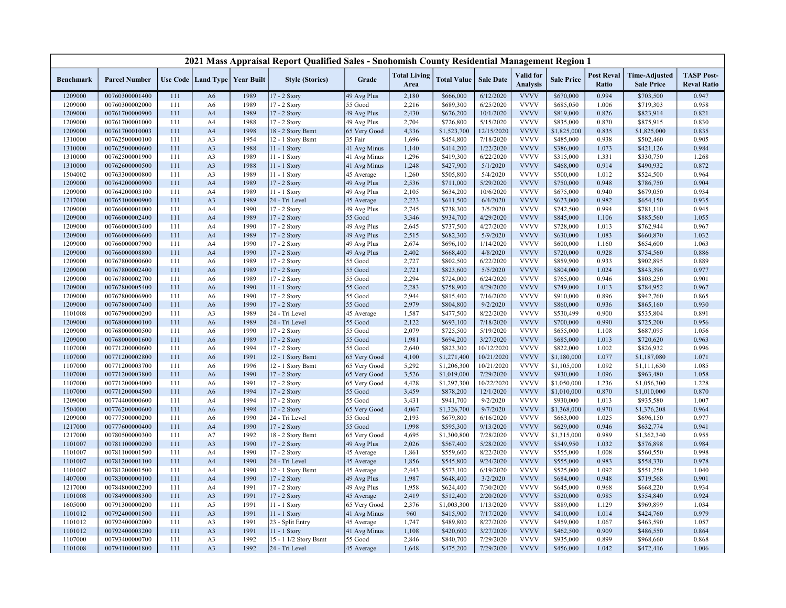|                  |                      |     |                                   |      | 2021 Mass Appraisal Report Qualified Sales - Snohomish County Residential Management Region 1 |              |                             |                    |                  |                                     |                   |                            |                                           |                                         |
|------------------|----------------------|-----|-----------------------------------|------|-----------------------------------------------------------------------------------------------|--------------|-----------------------------|--------------------|------------------|-------------------------------------|-------------------|----------------------------|-------------------------------------------|-----------------------------------------|
| <b>Benchmark</b> | <b>Parcel Number</b> |     | Use Code   Land Type   Year Built |      | <b>Style (Stories)</b>                                                                        | Grade        | <b>Total Living</b><br>Area | <b>Total Value</b> | <b>Sale Date</b> | <b>Valid</b> for<br><b>Analysis</b> | <b>Sale Price</b> | <b>Post Reval</b><br>Ratio | <b>Time-Adjusted</b><br><b>Sale Price</b> | <b>TASP Post-</b><br><b>Reval Ratio</b> |
| 1209000          | 00760300001400       | 111 | A <sub>6</sub>                    | 1989 | 17 - 2 Story                                                                                  | 49 Avg Plus  | 2,180                       | \$666,000          | 6/12/2020        | <b>VVVV</b>                         | \$670,000         | 0.994                      | \$703,500                                 | 0.947                                   |
| 1209000          | 00760300002000       | 111 | A6                                | 1989 | 17 - 2 Story                                                                                  | 55 Good      | 2,216                       | \$689,300          | 6/25/2020        | <b>VVVV</b>                         | \$685,050         | 1.006                      | \$719,303                                 | 0.958                                   |
| 1209000          | 00761700000900       | 111 | A4                                | 1989 | 17 - 2 Story                                                                                  | 49 Avg Plus  | 2,430                       | \$676,200          | 10/1/2020        | <b>VVVV</b>                         | \$819,000         | 0.826                      | \$823,914                                 | 0.821                                   |
| 1209000          | 00761700001000       | 111 | A4                                | 1988 | 17 - 2 Story                                                                                  | 49 Avg Plus  | 2,704                       | \$726,800          | 5/15/2020        | <b>VVVV</b>                         | \$835,000         | 0.870                      | \$875,915                                 | 0.830                                   |
| 1209000          | 00761700010003       | 111 | A4                                | 1998 | 18 - 2 Story Bsmt                                                                             | 65 Very Good | 4,336                       | \$1,523,700        | 12/15/2020       | <b>VVVV</b>                         | \$1,825,000       | 0.835                      | \$1,825,000                               | 0.835                                   |
| 1310000          | 00762500000100       | 111 | A3                                | 1954 | 12 - 1 Story Bsmt                                                                             | 35 Fair      | 1,696                       | \$454,800          | 7/18/2020        | <b>VVVV</b>                         | \$485,000         | 0.938                      | \$502,460                                 | 0.905                                   |
| 1310000          | 00762500000600       | 111 | A3                                | 1988 | 11 - 1 Story                                                                                  | 41 Avg Minus | 1,140                       | \$414,200          | 1/22/2020        | <b>VVVV</b>                         | \$386,000         | 1.073                      | \$421,126                                 | 0.984                                   |
| 1310000          | 00762500001900       | 111 | A <sub>3</sub>                    | 1989 | $11 - 1$ Story                                                                                | 41 Avg Minus | 1,296                       | \$419,300          | 6/22/2020        | <b>VVVV</b>                         | \$315,000         | 1.331                      | \$330,750                                 | 1.268                                   |
| 1310000          | 00762600000500       | 111 | A <sub>3</sub>                    | 1988 | 11 - 1 Story                                                                                  | 41 Avg Minus | 1,248                       | \$427,900          | 5/1/2020         | <b>VVVV</b>                         | \$468,000         | 0.914                      | \$490,932                                 | 0.872                                   |
| 1504002          | 00763300000800       | 111 | A3                                | 1989 | $11 - 1$ Story                                                                                | 45 Average   | 1,260                       | \$505,800          | 5/4/2020         | <b>VVVV</b>                         | \$500,000         | 1.012                      | \$524,500                                 | 0.964                                   |
| 1209000          | 00764200000900       | 111 | A <sub>4</sub>                    | 1989 | 17 - 2 Story                                                                                  | 49 Avg Plus  | 2,536                       | \$711,000          | 5/29/2020        | <b>VVVV</b>                         | \$750,000         | 0.948                      | \$786,750                                 | 0.904                                   |
| 1209000          | 00764200003100       | 111 | A4                                | 1989 | $11 - 1$ Story                                                                                | 49 Avg Plus  | 2,105                       | \$634,200          | 10/6/2020        | <b>VVVV</b>                         | \$675,000         | 0.940                      | \$679,050                                 | 0.934                                   |
| 1217000          | 00765100000900       | 111 | A <sub>3</sub>                    | 1989 | 24 - Tri Level                                                                                | 45 Average   | 2,223                       | \$611,500          | 6/4/2020         | <b>VVVV</b>                         | \$623,000         | 0.982                      | \$654,150                                 | 0.935                                   |
| 1209000          | 00766000001000       | 111 | A4                                | 1990 | 17 - 2 Story                                                                                  | 49 Avg Plus  | 2,745                       | \$738,300          | 3/5/2020         | <b>VVVV</b>                         | \$742,500         | 0.994                      | \$781,110                                 | 0.945                                   |
| 1209000          | 00766000002400       | 111 | A <sub>4</sub>                    | 1989 | 17 - 2 Story                                                                                  | 55 Good      | 3,346                       | \$934,700          | 4/29/2020        | <b>VVVV</b>                         | \$845,000         | 1.106                      | \$885,560                                 | 1.055                                   |
| 1209000          | 00766000003400       | 111 | A4                                | 1990 | 17 - 2 Story                                                                                  | 49 Avg Plus  | 2,645                       | \$737,500          | 4/27/2020        | <b>VVVV</b>                         | \$728,000         | 1.013                      | \$762,944                                 | 0.967                                   |
| 1209000          | 00766000006600       | 111 | A <sub>4</sub>                    | 1989 | 17 - 2 Story                                                                                  | 49 Avg Plus  | 2,515                       | \$682,300          | 5/9/2020         | <b>VVVV</b>                         | \$630,000         | 1.083                      | \$660,870                                 | 1.032                                   |
| 1209000          | 00766000007900       | 111 | A4                                | 1990 | 17 - 2 Story                                                                                  | 49 Avg Plus  | 2,674                       | \$696,100          | 1/14/2020        | <b>VVVV</b>                         | \$600,000         | 1.160                      | \$654,600                                 | 1.063                                   |
| 1209000          | 00766000008800       | 111 | A4                                | 1990 | 17 - 2 Story                                                                                  | 49 Avg Plus  | 2,402                       | \$668,400          | 4/8/2020         | <b>VVVV</b>                         | \$720,000         | 0.928                      | \$754,560                                 | 0.886                                   |
| 1209000          | 00767800000600       | 111 | A6                                | 1989 | 17 - 2 Story                                                                                  | 55 Good      | 2,727                       | \$802,500          | 6/22/2020        | <b>VVVV</b>                         | \$859,900         | 0.933                      | \$902,895                                 | 0.889                                   |
| 1209000          | 00767800002400       | 111 | A <sub>6</sub>                    | 1989 | 17 - 2 Story                                                                                  | 55 Good      | 2,721                       | \$823,600          | 5/5/2020         | <b>VVVV</b>                         | \$804,000         | 1.024                      | \$843,396                                 | 0.977                                   |
| 1209000          | 00767800002700       | 111 | A6                                | 1989 | 17 - 2 Story                                                                                  | 55 Good      | 2,294                       | \$724,000          | 6/24/2020        | <b>VVVV</b>                         | \$765,000         | 0.946                      | \$803,250                                 | 0.901                                   |
| 1209000          | 00767800005400       | 111 | A <sub>6</sub>                    | 1990 | $11 - 1$ Story                                                                                | 55 Good      | 2,283                       | \$758,900          | 4/29/2020        | <b>VVVV</b>                         | \$749,000         | 1.013                      | \$784,952                                 | 0.967                                   |
| 1209000          | 00767800006900       | 111 | A6                                | 1990 | 17 - 2 Story                                                                                  | 55 Good      | 2,944                       | \$815,400          | 7/16/2020        | <b>VVVV</b>                         | \$910,000         | 0.896                      | \$942,760                                 | 0.865                                   |
| 1209000          | 00767800007400       | 111 | A6                                | 1990 | 17 - 2 Story                                                                                  | 55 Good      | 2,979                       | \$804,800          | 9/2/2020         | <b>VVVV</b>                         | \$860,000         | 0.936                      | \$865,160                                 | 0.930                                   |
| 1101008          | 00767900000200       | 111 | A3                                | 1989 | 24 - Tri Level                                                                                | 45 Average   | 1,587                       | \$477,500          | 8/22/2020        | <b>VVVV</b>                         | \$530,499         | 0.900                      | \$535,804                                 | 0.891                                   |
| 1209000          | 00768000000100       | 111 | A <sub>6</sub>                    | 1989 | 24 - Tri Level                                                                                | 55 Good      | 2,122                       | \$693,100          | 7/18/2020        | <b>VVVV</b>                         | \$700,000         | 0.990                      | \$725,200                                 | 0.956                                   |
| 1209000          | 00768000000500       | 111 | A <sub>6</sub>                    | 1990 | 17 - 2 Story                                                                                  | 55 Good      | 2,079                       | \$725,500          | 5/19/2020        | <b>VVVV</b>                         | \$655,000         | 1.108                      | \$687,095                                 | 1.056                                   |
| 1209000          | 00768000001600       | 111 | A6                                | 1989 | 17 - 2 Story                                                                                  | 55 Good      | 1,981                       | \$694,200          | 3/27/2020        | <b>VVVV</b>                         | \$685,000         | 1.013                      | \$720,620                                 | 0.963                                   |
| 1107000          | 00771200000600       | 111 | A6                                | 1994 | 17 - 2 Story                                                                                  | 55 Good      | 2,640                       | \$823,300          | 10/12/2020       | <b>VVVV</b>                         | \$822,000         | 1.002                      | \$826,932                                 | 0.996                                   |
| 1107000          | 00771200002800       | 111 | A <sub>6</sub>                    | 1991 | 12 - 1 Story Bsmt                                                                             | 65 Very Good | 4,100                       | \$1,271,400        | 10/21/2020       | <b>VVVV</b>                         | \$1,180,000       | 1.077                      | \$1,187,080                               | 1.071                                   |
| 1107000          | 00771200003700       | 111 | A6                                | 1996 | 12 - 1 Story Bsmt                                                                             | 65 Very Good | 5,292                       | \$1,206,300        | 10/21/2020       | <b>VVVV</b>                         | \$1,105,000       | 1.092                      | \$1,111,630                               | 1.085                                   |
| 1107000          | 00771200003800       | 111 | A <sub>6</sub>                    | 1990 | 17 - 2 Story                                                                                  | 65 Very Good | 3,526                       | \$1,019,000        | 7/29/2020        | <b>VVVV</b>                         | \$930,000         | 1.096                      | \$963,480                                 | 1.058                                   |
| 1107000          | 00771200004000       | 111 | A6                                | 1991 | 17 - 2 Story                                                                                  | 65 Very Good | 4,428                       | \$1,297,300        | 10/22/2020       | <b>VVVV</b>                         | \$1,050,000       | 1.236                      | \$1,056,300                               | 1.228                                   |
| 1107000          | 00771200004500       | 111 | A <sub>6</sub>                    | 1994 | 17 - 2 Story                                                                                  | 55 Good      | 3,459                       | \$878,200          | 12/1/2020        | <b>VVVV</b>                         | \$1,010,000       | 0.870                      | \$1,010,000                               | 0.870                                   |
| 1209000          | 00774400000600       | 111 | A4                                | 1994 | 17 - 2 Story                                                                                  | 55 Good      | 3,431                       | \$941,700          | 9/2/2020         | <b>VVVV</b>                         | \$930,000         | 1.013                      | \$935,580                                 | 1.007                                   |
| 1504000          | 00776200000600       | 111 | A <sub>6</sub>                    | 1998 | 17 - 2 Story                                                                                  | 65 Very Good | 4,067                       | \$1,326,700        | 9/7/2020         | <b>VVVV</b>                         | \$1,368,000       | 0.970                      | \$1,376,208                               | 0.964                                   |
| 1209000          | 00777500000200       | 111 | A6                                | 1990 | 24 - Tri Level                                                                                | 55 Good      | 2,193                       | \$679,800          | 6/16/2020        | <b>VVVV</b>                         | \$663,000         | 1.025                      | \$696,150                                 | 0.977                                   |
| 1217000          | 00777600000400       | 111 | A4                                | 1990 | $17 - 2$ Story                                                                                | 55 Good      | 1,998                       | \$595,300          | 9/13/2020        | <b>VVVV</b>                         | \$629,000         | 0.946                      | \$632,774                                 | 0.941                                   |
| 1217000          | 00780500000300       | 111 | A7                                | 1992 | 18 - 2 Story Bsmt                                                                             | 65 Very Good | 4,695                       | \$1,300,800        | 7/28/2020        | <b>VVVV</b>                         | \$1,315,000       | 0.989                      | \$1,362,340                               | 0.955                                   |
| 1101007          | 00781100000200       | 111 | A <sub>3</sub>                    | 1990 | 17 - 2 Story                                                                                  | 49 Avg Plus  | 2,026                       | \$567,400          | 5/28/2020        | <b>VVVV</b>                         | \$549,950         | 1.032                      | \$576,898                                 | 0.984                                   |
| 1101007          | 00781100001500       | 111 | A4                                | 1990 | 17 - 2 Story                                                                                  | 45 Average   | 1,861                       | \$559,600          | 8/22/2020        | <b>VVVV</b>                         | \$555,000         | 1.008                      | \$560,550                                 | 0.998                                   |
| 1101007          | 00781200001100       | 111 | A <sub>4</sub>                    | 1990 | 24 - Tri Level                                                                                | 45 Average   | 1,856                       | \$545,800          | 9/24/2020        | <b>VVVV</b>                         | \$555,000         | 0.983                      | \$558,330                                 | 0.978                                   |
| 1101007          | 00781200001500       | 111 | A4                                | 1990 | 12 - 1 Story Bsmt                                                                             | 45 Average   | 2,443                       | \$573,100          | 6/19/2020        | <b>VVVV</b>                         | \$525,000         | 1.092                      | \$551,250                                 | 1.040                                   |
| 1407000          | 00783000000100       | 111 | A4                                | 1990 | 17 - 2 Story                                                                                  | 49 Avg Plus  | 1,987                       | \$648,400          | 3/2/2020         | <b>VVVV</b>                         | \$684,000         | 0.948                      | \$719,568                                 | 0.901                                   |
| 1217000          | 00784800002200       | 111 | A4                                | 1991 | 17 - 2 Story                                                                                  | 49 Avg Plus  | 1,958                       | \$624,400          | 7/30/2020        | <b>VVVV</b>                         | \$645,000         | 0.968                      | \$668,220                                 | 0.934                                   |
| 1101008          | 00784900008300       | 111 | A <sub>3</sub>                    | 1991 | 17 - 2 Story                                                                                  | 45 Average   | 2,419                       | \$512,400          | 2/20/2020        | <b>VVVV</b>                         | \$520,000         | 0.985                      | \$554,840                                 | 0.924                                   |
| 1605000          | 00791300000200       | 111 | A5                                | 1991 | 11 - 1 Story                                                                                  | 65 Very Good | 2,376                       | \$1,003,300        | 1/13/2020        | <b>VVVV</b>                         | \$889,000         | 1.129                      | \$969,899                                 | 1.034                                   |
| 1101012          | 00792400001500       | 111 | A3                                | 1991 | 11 - 1 Story                                                                                  | 41 Avg Minus | 960                         | \$415,900          | 7/17/2020        | <b>VVVV</b>                         | \$410,000         | 1.014                      | \$424,760                                 | 0.979                                   |
| 1101012          | 00792400002000       | 111 | A3                                | 1991 | 23 - Split Entry                                                                              | 45 Average   | 1,747                       | \$489,800          | 8/27/2020        | <b>VVVV</b>                         | \$459,000         | 1.067                      | \$463,590                                 | 1.057                                   |
| 1101012          | 00792400003200       | 111 | A <sub>3</sub>                    | 1991 | 11 - 1 Story                                                                                  | 41 Avg Minus | 1,108                       | \$420,600          | 3/27/2020        | <b>VVVV</b>                         | \$462,500         | 0.909                      | \$486,550                                 | 0.864                                   |
| 1107000          | 00793400000700       | 111 | A3                                | 1992 | 15 - 1 1/2 Story Bsmt                                                                         | 55 Good      | 2,846                       | \$840,700          | 7/29/2020        | <b>VVVV</b>                         | \$935,000         | 0.899                      | \$968,660                                 | 0.868                                   |
| 1101008          | 00794100001800       | 111 | A3                                | 1992 | 24 - Tri Level                                                                                | 45 Average   | 1,648                       | \$475,200          | 7/29/2020        | <b>VVVV</b>                         | \$456,000         | 1.042                      | \$472,416                                 | 1.006                                   |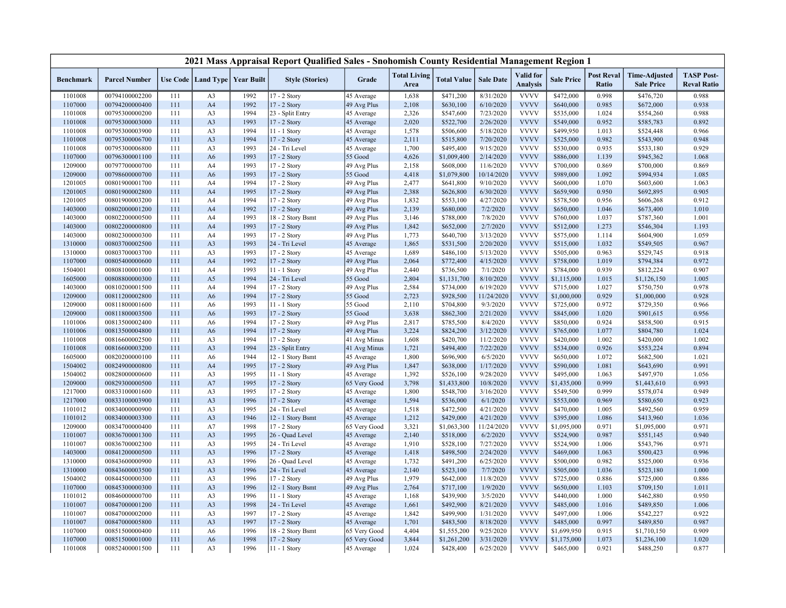|                  |                      |     |                                   |      | 2021 Mass Appraisal Report Qualified Sales - Snohomish County Residential Management Region 1 |                           |                             |                    |                  |                              |                   |                            |                                           |                                         |
|------------------|----------------------|-----|-----------------------------------|------|-----------------------------------------------------------------------------------------------|---------------------------|-----------------------------|--------------------|------------------|------------------------------|-------------------|----------------------------|-------------------------------------------|-----------------------------------------|
| <b>Benchmark</b> | <b>Parcel Number</b> |     | Use Code   Land Type   Year Built |      | <b>Style (Stories)</b>                                                                        | Grade                     | <b>Total Living</b><br>Area | <b>Total Value</b> | <b>Sale Date</b> | Valid for<br><b>Analysis</b> | <b>Sale Price</b> | <b>Post Reval</b><br>Ratio | <b>Time-Adjusted</b><br><b>Sale Price</b> | <b>TASP Post-</b><br><b>Reval Ratio</b> |
| 1101008          | 00794100002200       | 111 | A <sub>3</sub>                    | 1992 | 17 - 2 Story                                                                                  | 45 Average                | 1,638                       | \$471,200          | 8/31/2020        | <b>VVVV</b>                  | \$472,000         | 0.998                      | \$476,720                                 | 0.988                                   |
| 1107000          | 00794200000400       | 111 | A4                                | 1992 | 17 - 2 Story                                                                                  | 49 Avg Plus               | 2,108                       | \$630,100          | 6/10/2020        | <b>VVVV</b>                  | \$640,000         | 0.985                      | \$672,000                                 | 0.938                                   |
| 1101008          | 00795300000200       | 111 | A <sub>3</sub>                    | 1994 | 23 - Split Entry                                                                              | 45 Average                | 2,326                       | \$547,600          | 7/23/2020        | <b>VVVV</b>                  | \$535,000         | 1.024                      | \$554,260                                 | 0.988                                   |
| 1101008          | 00795300003000       | 111 | A <sub>3</sub>                    | 1993 | 17 - 2 Story                                                                                  | 45 Average                | 2,020                       | \$522,700          | 2/26/2020        | <b>VVVV</b>                  | \$549,000         | 0.952                      | \$585,783                                 | 0.892                                   |
| 1101008          | 00795300003900       | 111 | A3                                | 1994 | 11 - 1 Story                                                                                  | 45 Average                | 1,578                       | \$506,600          | 5/18/2020        | <b>VVVV</b>                  | \$499,950         | 1.013                      | \$524,448                                 | 0.966                                   |
| 1101008          | 00795300006700       | 111 | A <sub>3</sub>                    | 1994 | 17 - 2 Story                                                                                  | 45 Average                | 2,111                       | \$515,800          | 7/20/2020        | <b>VVVV</b>                  | \$525,000         | 0.982                      | \$543,900                                 | 0.948                                   |
| 1101008          | 00795300006800       | 111 | A3                                | 1993 | 24 - Tri Level                                                                                | 45 Average                | 1,700                       | \$495,400          | 9/15/2020        | <b>VVVV</b>                  | \$530,000         | 0.935                      | \$533,180                                 | 0.929                                   |
| 1107000          | 00796300001100       | 111 | A <sub>6</sub>                    | 1993 | 17 - 2 Story                                                                                  | 55 Good                   | 4,626                       | \$1,009,400        | 2/14/2020        | <b>VVVV</b>                  | \$886,000         | 1.139                      | \$945,362                                 | 1.068                                   |
| 1209000          | 00797700000700       | 111 | A4                                | 1993 | 17 - 2 Story                                                                                  | 49 Avg Plus               | 2,158                       | \$608,000          | 11/6/2020        | <b>VVVV</b>                  | \$700,000         | 0.869                      | \$700,000                                 | 0.869                                   |
| 1209000          | 00798600000700       | 111 | A6                                | 1993 | 17 - 2 Story                                                                                  | 55 Good                   | 4,418                       | \$1,079,800        | 10/14/2020       | <b>VVVV</b>                  | \$989,000         | 1.092                      | \$994,934                                 | 1.085                                   |
| 1201005          | 00801900001700       | 111 | A4                                | 1994 | 17 - 2 Story                                                                                  | 49 Avg Plus               | 2,477                       | \$641,800          | 9/10/2020        | <b>VVVV</b>                  | \$600,000         | 1.070                      | \$603,600                                 | 1.063                                   |
| 1201005          | 00801900002800       | 111 | A4                                | 1995 | 17 - 2 Story                                                                                  | 49 Avg Plus               | 2,388                       | \$626,800          | 6/30/2020        | <b>VVVV</b>                  | \$659,900         | 0.950                      | \$692,895                                 | 0.905                                   |
| 1201005          | 00801900003200       | 111 | A4                                | 1994 | 17 - 2 Story                                                                                  | 49 Avg Plus               | 1,832                       | \$553,100          | 4/27/2020        | <b>VVVV</b>                  | \$578,500         | 0.956                      | \$606,268                                 | 0.912                                   |
| 1403000          | 00802000001200       | 111 | A <sub>4</sub>                    | 1992 | 17 - 2 Story                                                                                  | 49 Avg Plus               | 2,139                       | \$680,000          | 7/2/2020         | <b>VVVV</b>                  | \$650,000         | 1.046                      | \$673,400                                 | 1.010                                   |
| 1403000          | 00802200000500       | 111 | A <sub>4</sub>                    | 1993 | 18 - 2 Story Bsmt                                                                             | 49 Avg Plus               | 3,146                       | \$788,000          | 7/8/2020         | <b>VVVV</b>                  | \$760,000         | 1.037                      | \$787,360                                 | 1.001                                   |
| 1403000          | 00802200000800       | 111 | A <sub>4</sub>                    | 1993 | 17 - 2 Story                                                                                  | 49 Avg Plus               | 1,842                       | \$652,000          | 2/7/2020         | <b>VVVV</b>                  | \$512,000         | 1.273                      | \$546,304                                 | 1.193                                   |
| 1403000          | 00802300000300       | 111 | A4                                | 1993 | 17 - 2 Story                                                                                  | 49 Avg Plus               | 1,773                       | \$640,700          | 3/13/2020        | <b>VVVV</b>                  | \$575,000         | 1.114                      | \$604,900                                 | 1.059                                   |
| 1310000          | 00803700002500       | 111 | A <sub>3</sub>                    | 1993 | 24 - Tri Level                                                                                | 45 Average                | 1,865                       | \$531,500          | 2/20/2020        | <b>VVVV</b>                  | \$515,000         | 1.032                      | \$549,505                                 | 0.967                                   |
| 1310000          | 00803700003700       | 111 | A3                                | 1993 | $17 - 2$ Story                                                                                | 45 Average                | 1,689                       | \$486,100          | 5/13/2020        | <b>VVVV</b>                  | \$505,000         | 0.963                      | \$529,745                                 | 0.918                                   |
| 1107000          | 00805400000600       | 111 | A4                                | 1992 | 17 - 2 Story                                                                                  | 49 Avg Plus               | 2,064                       | \$772,400          | 4/15/2020        | <b>VVVV</b>                  | \$758,000         | 1.019                      | \$794,384                                 | 0.972                                   |
| 1504001          | 00808100001000       | 111 | A4                                | 1993 | 11 - 1 Story                                                                                  | 49 Avg Plus               | 2,440                       | \$736,500          | 7/1/2020         | <b>VVVV</b>                  | \$784,000         | 0.939                      | \$812,224                                 | 0.907                                   |
| 1605000          | 00808800000300       | 111 | A5                                | 1994 | 24 - Tri Level                                                                                | 55 Good                   | 2,804                       | \$1,131,700        | 8/10/2020        | <b>VVVV</b>                  | \$1,115,000       | 1.015                      | \$1,126,150                               | 1.005                                   |
| 1403000          | 00810200001500       | 111 | A4                                | 1994 | 17 - 2 Story                                                                                  | 49 Avg Plus               | 2,584                       | \$734,000          | 6/19/2020        | <b>VVVV</b>                  | \$715,000         | 1.027                      | \$750,750                                 | 0.978                                   |
| 1209000          | 00811200002800       | 111 | A <sub>6</sub>                    | 1994 | 17 - 2 Story                                                                                  | 55 Good                   | 2,723                       | \$928,500          | 11/24/2020       | <b>VVVV</b>                  | \$1,000,000       | 0.929                      | \$1,000,000                               | 0.928                                   |
| 1209000          | 00811800001600       | 111 | A <sub>6</sub>                    | 1993 | 11 - 1 Story                                                                                  | 55 Good                   | 2,110                       | \$704,800          | 9/3/2020         | <b>VVVV</b>                  | \$725,000         | 0.972                      | \$729,350                                 | 0.966                                   |
| 1209000          | 00811800003500       | 111 | A <sub>6</sub>                    | 1993 | 17 - 2 Story                                                                                  | 55 Good                   | 3,638                       | \$862,300          | 2/21/2020        | <b>VVVV</b>                  | \$845,000         | 1.020                      | \$901,615                                 | 0.956                                   |
| 1101006          | 00813500002400       | 111 | A <sub>6</sub>                    | 1994 | 17 - 2 Story                                                                                  | 49 Avg Plus               | 2,817                       | \$785,500          | 8/4/2020         | <b>VVVV</b>                  | \$850,000         | 0.924                      | \$858,500                                 | 0.915                                   |
| 1101006          | 00813500004800       | 111 | A <sub>6</sub>                    | 1994 | 17 - 2 Story                                                                                  | 49 Avg Plus               | 3,224                       | \$824,200          | 3/12/2020        | <b>VVVV</b>                  | \$765,000         | 1.077                      | \$804,780                                 | 1.024                                   |
| 1101008          | 00816600002500       | 111 | A3                                | 1994 | 17 - 2 Story                                                                                  | 41 Avg Minus              | 1,608                       | \$420,700          | 11/2/2020        | <b>VVVV</b>                  | \$420,000         | 1.002                      | \$420,000                                 | 1.002                                   |
| 1101008          | 00816600003200       | 111 | A <sub>3</sub>                    | 1994 | 23 - Split Entry                                                                              | 41 Avg Minus              | 1,721                       | \$494,400          | 7/22/2020        | <b>VVVV</b>                  | \$534,000         | 0.926                      | \$553,224                                 | 0.894                                   |
| 1605000          | 00820200000100       | 111 | A <sub>6</sub>                    | 1944 |                                                                                               |                           | 1,800                       | \$696,900          | 6/5/2020         | <b>VVVV</b>                  | \$650,000         | 1.072                      | \$682,500                                 | 1.021                                   |
| 1504002          | 00824900000800       | 111 | A4                                | 1995 | 12 - 1 Story Bsmt<br>17 - 2 Story                                                             | 45 Average<br>49 Avg Plus | 1,847                       | \$638,000          | 1/17/2020        | <b>VVVV</b>                  | \$590,000         | 1.081                      | \$643,690                                 | 0.991                                   |
|                  |                      |     |                                   | 1995 |                                                                                               |                           |                             |                    |                  | <b>VVVV</b>                  |                   |                            |                                           |                                         |
| 1504002          | 00828000000600       | 111 | A3                                |      | 11 - 1 Story                                                                                  | 45 Average                | 1,392                       | \$526,100          | 9/28/2020        | <b>VVVV</b>                  | \$495,000         | 1.063                      | \$497,970                                 | 1.056                                   |
| 1209000          | 00829300000500       | 111 | A7                                | 1995 | 17 - 2 Story                                                                                  | 65 Very Good              | 3,798                       | \$1,433,800        | 10/8/2020        |                              | \$1,435,000       | 0.999                      | \$1,443,610                               | 0.993                                   |
| 1217000          | 00833100001600       | 111 | A3                                | 1995 | 17 - 2 Story                                                                                  | 45 Average                | 1,800                       | \$548,700          | 3/16/2020        | <b>VVVV</b>                  | \$549,500         | 0.999                      | \$578,074                                 | 0.949                                   |
| 1217000          | 00833100003900       | 111 | A3                                | 1996 | 17 - 2 Story                                                                                  | 45 Average                | 1,594                       | \$536,000          | 6/1/2020         | <b>VVVV</b>                  | \$553,000         | 0.969                      | \$580,650                                 | 0.923                                   |
| 1101012          | 00834000000900       | 111 | A <sub>3</sub>                    | 1995 | 24 - Tri Level                                                                                | 45 Average                | 1,518                       | \$472,500          | 4/21/2020        | <b>VVVV</b>                  | \$470,000         | 1.005                      | \$492,560                                 | 0.959                                   |
| 1101012          | 00834000003300       | 111 | A3                                | 1946 | 12 - 1 Story Bsmt                                                                             | 45 Average                | 1,212                       | \$429,000          | 4/21/2020        | <b>VVVV</b>                  | \$395,000         | 1.086                      | \$413,960                                 | 1.036                                   |
| 1209000          | 00834700000400       | 111 | A7                                | 1998 | $17 - 2$ Story                                                                                | 65 Very Good              | 3,321                       | \$1,063,300        | 11/24/2020       | <b>VVVV</b>                  | \$1,095,000       | 0.971                      | \$1,095,000                               | 0.971                                   |
| 1101007          | 00836700001300       | 111 | A <sub>3</sub>                    | 1995 | 26 - Quad Level                                                                               | 45 Average                | 2,140                       | \$518,000          | 6/2/2020         | <b>VVVV</b>                  | \$524,900         | 0.987                      | \$551,145                                 | 0.940                                   |
| 1101007          | 00836700002300       | 111 | A3                                | 1995 | 24 - Tri Level                                                                                | 45 Average                | 1,910                       | \$528,100          | 7/27/2020        | <b>VVVV</b>                  | \$524,900         | 1.006                      | \$543,796                                 | 0.971                                   |
| 1403000          | 00841200000500       | 111 | A <sub>3</sub>                    | 1996 | 17 - 2 Story                                                                                  | 45 Average                | 1,418                       | \$498,500          | 2/24/2020        | <b>VVVV</b>                  | \$469,000         | 1.063                      | \$500,423                                 | 0.996                                   |
| 1310000          | 00843600000900       | 111 | A <sub>3</sub>                    | 1996 | 26 - Quad Level                                                                               | 45 Average                | 1,732                       | \$491,200          | 6/25/2020        | <b>VVVV</b>                  | \$500,000         | 0.982                      | \$525,000                                 | 0.936                                   |
| 1310000          | 00843600003500       | 111 | A <sub>3</sub>                    | 1996 | 24 - Tri Level                                                                                | 45 Average                | 2,140                       | \$523,100          | 7/7/2020         | <b>VVVV</b>                  | \$505,000         | 1.036                      | \$523,180                                 | 1.000                                   |
| 1504002          | 00844500000300       | 111 | A <sub>3</sub>                    | 1996 | 17 - 2 Story                                                                                  | 49 Avg Plus               | 1,979                       | \$642,000          | 11/8/2020        | <b>VVVV</b>                  | \$725,000         | 0.886                      | \$725,000                                 | 0.886                                   |
| 1107000          | 00845300000300       | 111 | A <sub>3</sub>                    | 1996 | 12 - 1 Story Bsmt                                                                             | 49 Avg Plus               | 2,764                       | \$717,100          | 1/9/2020         | <b>VVVV</b>                  | \$650,000         | 1.103                      | \$709,150                                 | 1.011                                   |
| 1101012          | 00846000000700       | 111 | A3                                | 1996 | 11 - 1 Story                                                                                  | 45 Average                | 1,168                       | \$439,900          | 3/5/2020         | <b>VVVV</b>                  | \$440,000         | 1.000                      | \$462,880                                 | 0.950                                   |
| 1101007          | 00847000001200       | 111 | A <sub>3</sub>                    | 1998 | 24 - Tri Level                                                                                | 45 Average                | 1,661                       | \$492,900          | 8/21/2020        | <b>VVVV</b>                  | \$485,000         | 1.016                      | \$489,850                                 | 1.006                                   |
| 1101007          | 00847000002000       | 111 | A3                                | 1997 | 17 - 2 Story                                                                                  | 45 Average                | 1,842                       | \$499,900          | 1/31/2020        | <b>VVVV</b>                  | \$497,000         | 1.006                      | \$542,227                                 | 0.922                                   |
| 1101007          | 00847000005800       | 111 | A3                                | 1997 | 17 - 2 Story                                                                                  | 45 Average                | 1,701                       | \$483,500          | 8/18/2020        | <b>VVVV</b>                  | \$485,000         | 0.997                      | \$489,850                                 | 0.987                                   |
| 1107000          | 00851500000400       | 111 | A6                                | 1996 | 18 - 2 Story Bsmt                                                                             | 65 Very Good              | 4,404                       | \$1,555,200        | 9/25/2020        | <b>VVVV</b>                  | \$1,699,950       | 0.915                      | \$1,710,150                               | 0.909                                   |
| 1107000          | 00851500001000       | 111 | A <sub>6</sub>                    | 1998 | 17 - 2 Story                                                                                  | 65 Very Good              | 3,844                       | \$1,261,200        | 3/31/2020        | <b>VVVV</b>                  | \$1,175,000       | 1.073                      | \$1,236,100                               | 1.020                                   |
| 1101008          | 00852400001500       | 111 | A3                                | 1996 | 11 - 1 Story                                                                                  | 45 Average                | 1,024                       | \$428,400          | 6/25/2020        | <b>VVVV</b>                  | \$465,000         | 0.921                      | \$488,250                                 | 0.877                                   |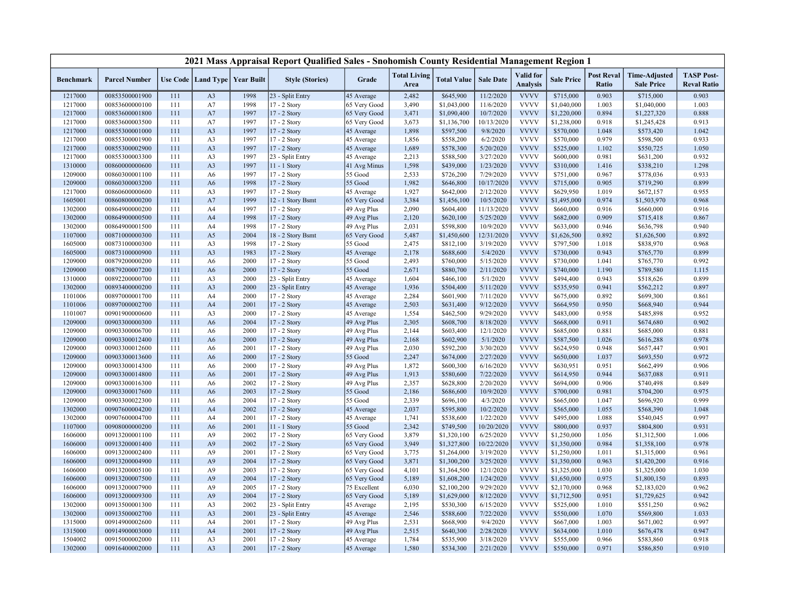| <b>Valid</b> for<br><b>Post Reval</b><br><b>TASP Post-</b><br><b>Total Living</b><br><b>Time-Adjusted</b><br>Use Code   Land Type  <br><b>Year Built</b><br><b>Style (Stories)</b><br>Grade<br><b>Total Value</b><br><b>Sale Date</b><br><b>Sale Price</b><br><b>Benchmark</b><br><b>Parcel Number</b><br><b>Analysis</b><br>Ratio<br><b>Reval Ratio</b><br>Area<br><b>Sale Price</b><br>23 - Split Entry<br>11/2/2020<br>1217000<br>00853500001900<br>1998<br>2,482<br>\$645,900<br><b>VVVV</b><br>\$715,000<br>0.903<br>\$715,000<br>0.903<br>111<br>A <sub>3</sub><br>45 Average<br><b>VVVV</b><br>1217000<br>00853600000100<br>1998<br>17 - 2 Story<br>3,490<br>\$1,043,000<br>11/6/2020<br>\$1,040,000<br>1.003<br>\$1,040,000<br>1.003<br>111<br>A7<br>65 Very Good<br><b>VVVV</b><br>1997<br>10/7/2020<br>0.894<br>0.888<br>1217000<br>00853600001800<br>A7<br>17 - 2 Story<br>65 Very Good<br>3,471<br>\$1,090,400<br>\$1,220,000<br>\$1,227,320<br>111<br>1997<br><b>VVVV</b><br>0.918<br>0.913<br>1217000<br>00853600003500<br>111<br>A7<br>17 - 2 Story<br>65 Very Good<br>3,673<br>\$1,136,700<br>10/13/2020<br>\$1,238,000<br>\$1,245,428<br><b>VVVV</b><br>1.042<br>1217000<br>00855300001000<br>111<br>A <sub>3</sub><br>1997<br>17 - 2 Story<br>45 Average<br>1,898<br>\$597,500<br>9/8/2020<br>\$570,000<br>1.048<br>\$573,420<br><b>VVVV</b><br>1217000<br>1997<br>\$558,200<br>6/2/2020<br>\$570,000<br>0.979<br>\$598,500<br>0.933<br>00855300001900<br>111<br>A <sub>3</sub><br>17 - 2 Story<br>45 Average<br>1,856<br>1997<br>\$578,300<br>5/20/2020<br><b>VVVV</b><br>1.050<br>1217000<br>00855300002900<br>111<br>A <sub>3</sub><br>17 - 2 Story<br>45 Average<br>1,689<br>\$525,000<br>1.102<br>\$550,725<br><b>VVVV</b><br>1217000<br>A <sub>3</sub><br>1997<br>2,213<br>\$588,500<br>3/27/2020<br>\$600,000<br>0.981<br>\$631,200<br>0.932<br>00855300003300<br>111<br>23 - Split Entry<br>45 Average<br><b>VVVV</b><br>1997<br>1,598<br>\$439,000<br>1/23/2020<br>1.298<br>1310000<br>00860000000600<br>111<br>A <sub>3</sub><br>11 - 1 Story<br>\$310,000<br>1.416<br>\$338,210<br>41 Avg Minus<br><b>VVVV</b><br>1209000<br>00860300001100<br>A6<br>1997<br>17 - 2 Story<br>55 Good<br>2,533<br>\$726,200<br>7/29/2020<br>\$751,000<br>0.967<br>\$778,036<br>0.933<br>111<br>1998<br>17 - 2 Story<br>55 Good<br>1,982<br>\$646,800<br>10/17/2020<br><b>VVVV</b><br>\$715,000<br>0.905<br>\$719,290<br>0.899<br>1209000<br>00860300003200<br>111<br>A <sub>6</sub><br>1,927<br>2/12/2020<br><b>VVVV</b><br>0.955<br>1217000<br>00860600000600<br>111<br>A3<br>1997<br>17 - 2 Story<br>45 Average<br>\$642,000<br>\$629,950<br>1.019<br>\$672,157<br><b>VVVV</b><br>1605001<br>A7<br>1999<br>12 - 1 Story Bsmt<br>3,384<br>\$1,456,100<br>10/5/2020<br>\$1,495,000<br>0.974<br>\$1,503,970<br>0.968<br>00860800000200<br>111<br>65 Very Good<br>2,090<br><b>VVVV</b><br>0.916<br>1302000<br>00864900000200<br>111<br>1997<br>17 - 2 Story<br>49 Avg Plus<br>\$604,400<br>11/13/2020<br>\$660,000<br>0.916<br>\$660,000<br>A4<br><b>VVVV</b><br>1998<br>17 - 2 Story<br>49 Avg Plus<br>5/25/2020<br>0.909<br>0.867<br>1302000<br>00864900000500<br>111<br>A <sub>4</sub><br>2,120<br>\$620,100<br>\$682,000<br>\$715,418<br><b>VVVV</b><br>1998<br>2,031<br>\$598,800<br>10/9/2020<br>\$633,000<br>0.946<br>0.940<br>1302000<br>00864900001500<br>111<br>A4<br>17 - 2 Story<br>49 Avg Plus<br>\$636,798<br><b>VVVV</b><br>0.892<br>1107000<br>00871000000300<br>111<br>A5<br>2004<br>18 - 2 Story Bsmt<br>65 Very Good<br>5,487<br>\$1,450,600<br>12/31/2020<br>\$1,626,500<br>0.892<br>\$1,626,500<br><b>VVVV</b><br>1998<br>55 Good<br>2,475<br>3/19/2020<br>\$797,500<br>1.018<br>0.968<br>1605000<br>00873100000300<br>111<br>A3<br>17 - 2 Story<br>\$812,100<br>\$838,970<br><b>VVVV</b><br>1983<br>5/4/2020<br>0.943<br>0.899<br>1605000<br>00873100000900<br>111<br>A <sub>3</sub><br>17 - 2 Story<br>2,178<br>\$688,600<br>\$730,000<br>\$765,770<br>45 Average<br><b>VVVV</b><br>2000<br>1.041<br>0.992<br>1209000<br>00879200000200<br>111<br>A <sub>6</sub><br>17 - 2 Story<br>55 Good<br>2,493<br>\$760,000<br>5/15/2020<br>\$730,000<br>\$765,770<br>2/11/2020<br><b>VVVV</b><br>\$740,000<br>1209000<br>00879200007200<br>111<br>A <sub>6</sub><br>2000<br>17 - 2 Story<br>55 Good<br>2,671<br>\$880,700<br>1.190<br>\$789,580<br>1.115<br><b>VVVV</b><br>1310000<br>00892200000700<br>2000<br>23 - Split Entry<br>1,604<br>\$466,100<br>5/1/2020<br>\$494,400<br>0.943<br>0.899<br>111<br>A <sub>3</sub><br>45 Average<br>\$518,626<br><b>VVVV</b><br>A <sub>3</sub><br>2000<br>1,936<br>5/11/2020<br>0.941<br>0.897<br>1302000<br>00893400000200<br>111<br>23 - Split Entry<br>\$504,400<br>\$535,950<br>\$562,212<br>45 Average<br><b>VVVV</b><br>A <sub>4</sub><br>2000<br>17 - 2 Story<br>2,284<br>\$601,900<br>7/11/2020<br>\$675,000<br>0.892<br>\$699,300<br>0.861<br>1101006<br>00897000001700<br>111<br>45 Average<br><b>VVVV</b><br>0.944<br>1101006<br>00897000002700<br>111<br>A <sub>4</sub><br>2001<br>17 - 2 Story<br>45 Average<br>2,503<br>\$631,400<br>9/12/2020<br>\$664,950<br>0.950<br>\$668,940<br><b>VVVV</b><br>1101007<br>2000<br>1,554<br>\$462,500<br>9/29/2020<br>\$483,000<br>0.958<br>\$485,898<br>0.952<br>00901900000600<br>111<br>A <sub>3</sub><br>17 - 2 Story<br>45 Average<br><b>VVVV</b><br>1209000<br>00903300000300<br>2004<br>49 Avg Plus<br>2,305<br>\$608,700<br>8/18/2020<br>\$668,000<br>0.911<br>\$674,680<br>0.902<br>111<br>A <sub>6</sub><br>17 - 2 Story<br><b>VVVV</b><br>1209000<br>111<br>2000<br>49 Avg Plus<br>2,144<br>\$603,400<br>12/1/2020<br>\$685,000<br>0.881<br>\$685,000<br>0.881<br>00903300006700<br>A <sub>6</sub><br>17 - 2 Story<br><b>VVVV</b><br>1209000<br>2000<br>2,168<br>\$602,900<br>5/1/2020<br>\$587,500<br>1.026<br>0.978<br>00903300012400<br>111<br>A <sub>6</sub><br>17 - 2 Story<br>49 Avg Plus<br>\$616,288<br><b>VVVV</b><br>0.948<br>0.901<br>1209000<br>00903300012600<br>111<br>A <sub>6</sub><br>2001<br>17 - 2 Story<br>49 Avg Plus<br>2,030<br>\$592,200<br>3/30/2020<br>\$624,950<br>\$657,447<br><b>VVVV</b><br>00903300013600<br>2000<br>17 - 2 Story<br>55 Good<br>2,247<br>\$674,000<br>2/27/2020<br>\$650,000<br>1.037<br>0.972<br>1209000<br>111<br>A <sub>6</sub><br>\$693,550<br>1,872<br>\$600,300<br>6/16/2020<br><b>VVVV</b><br>\$630,951<br>0.906<br>1209000<br>00903300014300<br>111<br>2000<br>17 - 2 Story<br>49 Avg Plus<br>0.951<br>\$662,499<br>A <sub>6</sub><br><b>VVVV</b><br>0.944<br>1209000<br>00903300014800<br>A6<br>2001<br>49 Avg Plus<br>1,913<br>\$580,600<br>7/22/2020<br>\$614,950<br>\$637,088<br>0.911<br>111<br>17 - 2 Story<br><b>VVVV</b><br>2,357<br>0.906<br>0.849<br>1209000<br>00903300016300<br>111<br>A <sub>6</sub><br>2002<br>17 - 2 Story<br>49 Avg Plus<br>\$628,800<br>2/20/2020<br>\$694,000<br>\$740,498<br><b>VVVV</b><br>1209000<br>00903300017600<br>111<br>2003<br>17 - 2 Story<br>55 Good<br>2,186<br>\$686,600<br>10/9/2020<br>\$700,000<br>0.981<br>\$704,200<br>0.975<br>A <sub>6</sub><br><b>VVVV</b><br>1209000<br>2004<br>55 Good<br>2,339<br>4/3/2020<br>\$665,000<br>1.047<br>\$696,920<br>0.999<br>00903300022300<br>111<br>A6<br>17 - 2 Story<br>\$696,100<br>2002<br>2,037<br>10/2/2020<br><b>VVVV</b><br>1.055<br>1.048<br>1302000<br>00907600004200<br>111<br>A <sub>4</sub><br>17 - 2 Story<br>45 Average<br>\$595,800<br>\$565,000<br>\$568,390<br><b>VVVV</b><br>111<br>2001<br>1,741<br>\$538,600<br>1/22/2020<br>\$495,000<br>1.088<br>\$540,045<br>0.997<br>1302000<br>00907600004700<br>A4<br>17 - 2 Story<br>45 Average<br><b>VVVV</b><br>2,342<br>\$749,500<br>10/20/2020<br>0.937<br>0.931<br>1107000<br>00908000000200<br>111<br>A6<br>2001<br>11 - 1 Story<br>55 Good<br>\$800,000<br>\$804,800<br><b>VVVV</b><br>2002<br>65 Very Good<br>3,879<br>\$1,320,100<br>6/25/2020<br>1.056<br>1.006<br>1606000<br>00913200001100<br>111<br>A <sub>9</sub><br>17 - 2 Story<br>\$1,250,000<br>\$1,312,500<br>00913200001400<br>A <sub>9</sub><br>2002<br>3,949<br>\$1,327,800<br>10/22/2020<br><b>VVVV</b><br>0.984<br>0.978<br>1606000<br>111<br>17 - 2 Story<br>65 Very Good<br>\$1,350,000<br>\$1,358,100<br>3/19/2020<br><b>VVVV</b><br>1606000<br>00913200002400<br>A <sub>9</sub><br>2001<br>17 - 2 Story<br>65 Very Good<br>3,775<br>\$1,264,000<br>\$1,250,000<br>1.011<br>\$1,315,000<br>0.961<br>111<br><b>VVVV</b><br>A <sub>9</sub><br>2004<br>3,871<br>\$1,300,200<br>3/25/2020<br>0.963<br>0.916<br>1606000<br>00913200004900<br>111<br>17 - 2 Story<br>65 Very Good<br>\$1,350,000<br>\$1,420,200<br><b>VVVV</b><br>1606000<br>00913200005100<br>A <sub>9</sub><br>2003<br>17 - 2 Story<br>65 Very Good<br>4,101<br>\$1,364,500<br>12/1/2020<br>\$1,325,000<br>1.030<br>\$1,325,000<br>1.030<br>111<br><b>VVVV</b><br>2004<br>5,189<br>\$1,608,200<br>1/24/2020<br>0.893<br>1606000<br>00913200007500<br>111<br>A <sub>9</sub><br>17 - 2 Story<br>65 Very Good<br>\$1,650,000<br>0.975<br>\$1,800,150<br>2005<br>6,030<br>\$2,100,200<br>9/29/2020<br><b>VVVV</b><br>0.968<br>0.962<br>1606000<br>00913200007900<br>111<br>A <sub>9</sub><br>17 - 2 Story<br>75 Excellent<br>\$2,170,000<br>\$2,183,020<br><b>VVVV</b><br>0.942<br>1606000<br>00913200009300<br>111<br>A <sub>9</sub><br>2004<br>17 - 2 Story<br>65 Very Good<br>5,189<br>\$1,629,000<br>8/12/2020<br>\$1,712,500<br>0.951<br>\$1,729,625<br>2,195<br>6/15/2020<br><b>VVVV</b><br>0.962<br>1302000<br>00913500001300<br>111<br>A <sub>3</sub><br>2002<br>23 - Split Entry<br>45 Average<br>\$530,300<br>\$525,000<br>1.010<br>\$551,250<br><b>VVVV</b><br>7/22/2020<br>1302000<br>00913500002700<br>111<br>A <sub>3</sub><br>2001<br>23 - Split Entry<br>2,546<br>\$588,600<br>\$550,000<br>1.070<br>\$569,800<br>1.033<br>45 Average<br><b>VVVV</b><br>49 Avg Plus<br>9/4/2020<br>1.003<br>0.997<br>1315000<br>00914900002600<br>111<br>A4<br>2001<br>17 - 2 Story<br>2,531<br>\$668,900<br>\$667,000<br>\$671,002<br><b>VVVV</b><br>1315000<br>00914900003000<br>111<br>A <sub>4</sub><br>2001<br>17 - 2 Story<br>49 Avg Plus<br>2,515<br>\$640,300<br>2/28/2020<br>\$634,000<br>1.010<br>\$676,478<br>0.947<br><b>VVVV</b><br>1504002<br>00915000002000<br>2001<br>17 - 2 Story<br>1,784<br>\$535,900<br>3/18/2020<br>\$555,000<br>0.966<br>\$583,860<br>0.918<br>111<br>A <sub>3</sub><br>45 Average |         |                |     |                |      | 2021 Mass Appraisal Report Qualified Sales - Snohomish County Residential Management Region 1 |            |       |           |           |             |           |       |           |       |
|-------------------------------------------------------------------------------------------------------------------------------------------------------------------------------------------------------------------------------------------------------------------------------------------------------------------------------------------------------------------------------------------------------------------------------------------------------------------------------------------------------------------------------------------------------------------------------------------------------------------------------------------------------------------------------------------------------------------------------------------------------------------------------------------------------------------------------------------------------------------------------------------------------------------------------------------------------------------------------------------------------------------------------------------------------------------------------------------------------------------------------------------------------------------------------------------------------------------------------------------------------------------------------------------------------------------------------------------------------------------------------------------------------------------------------------------------------------------------------------------------------------------------------------------------------------------------------------------------------------------------------------------------------------------------------------------------------------------------------------------------------------------------------------------------------------------------------------------------------------------------------------------------------------------------------------------------------------------------------------------------------------------------------------------------------------------------------------------------------------------------------------------------------------------------------------------------------------------------------------------------------------------------------------------------------------------------------------------------------------------------------------------------------------------------------------------------------------------------------------------------------------------------------------------------------------------------------------------------------------------------------------------------------------------------------------------------------------------------------------------------------------------------------------------------------------------------------------------------------------------------------------------------------------------------------------------------------------------------------------------------------------------------------------------------------------------------------------------------------------------------------------------------------------------------------------------------------------------------------------------------------------------------------------------------------------------------------------------------------------------------------------------------------------------------------------------------------------------------------------------------------------------------------------------------------------------------------------------------------------------------------------------------------------------------------------------------------------------------------------------------------------------------------------------------------------------------------------------------------------------------------------------------------------------------------------------------------------------------------------------------------------------------------------------------------------------------------------------------------------------------------------------------------------------------------------------------------------------------------------------------------------------------------------------------------------------------------------------------------------------------------------------------------------------------------------------------------------------------------------------------------------------------------------------------------------------------------------------------------------------------------------------------------------------------------------------------------------------------------------------------------------------------------------------------------------------------------------------------------------------------------------------------------------------------------------------------------------------------------------------------------------------------------------------------------------------------------------------------------------------------------------------------------------------------------------------------------------------------------------------------------------------------------------------------------------------------------------------------------------------------------------------------------------------------------------------------------------------------------------------------------------------------------------------------------------------------------------------------------------------------------------------------------------------------------------------------------------------------------------------------------------------------------------------------------------------------------------------------------------------------------------------------------------------------------------------------------------------------------------------------------------------------------------------------------------------------------------------------------------------------------------------------------------------------------------------------------------------------------------------------------------------------------------------------------------------------------------------------------------------------------------------------------------------------------------------------------------------------------------------------------------------------------------------------------------------------------------------------------------------------------------------------------------------------------------------------------------------------------------------------------------------------------------------------------------------------------------------------------------------------------------------------------------------------------------------------------------------------------------------------------------------------------------------------------------------------------------------------------------------------------------------------------------------------------------------------------------------------------------------------------------------------------------------------------------------------------------------------------------------------------------------------------------------------------------------------------------------------------------------------------------------------------------------------------------------------------------------------------------------------------------------------------------------------------------------------------------------------------------------------------------------------------------------------------------------------------------------------------------------------------------------------------------------------------------------------------------------------------------------------------------------------------------------------------------------------------------------------------------------------------------------------------------------------------------------------------------------------------------------------------------------------------------------------------------------------------------------------------------------------------------------------------------------------------------------------------------------------------------------------------------------------------------------------------------------------------------------------------------------------------------------------------------------------------------------------------------------------------------------------------------------------------------------------------------------------------------------------------------------------------------------------------------------------------------------------------------------------------------------------------------------------------------------------------------------------------------------------------------------------------------------------------------------------------------------------------------------------------------------------------------------------------------------------------------------------------------------------------------------------------------------------------------------------------------------------------------------------------------------------------------------------------------------------------------------------------------------------------------------------------------------------------------------------------------------------------------------------------------------------------------------------------------------------------------------------------------------------------------------------------------------------------------------------------------------------------------------------------------------------------------------------------------------------------------------------------------------------------------------------------------------------------------------------------------------------------------------------------------------------------------------------------------------------------------------------------------------------------------------------------------------------------|---------|----------------|-----|----------------|------|-----------------------------------------------------------------------------------------------|------------|-------|-----------|-----------|-------------|-----------|-------|-----------|-------|
|                                                                                                                                                                                                                                                                                                                                                                                                                                                                                                                                                                                                                                                                                                                                                                                                                                                                                                                                                                                                                                                                                                                                                                                                                                                                                                                                                                                                                                                                                                                                                                                                                                                                                                                                                                                                                                                                                                                                                                                                                                                                                                                                                                                                                                                                                                                                                                                                                                                                                                                                                                                                                                                                                                                                                                                                                                                                                                                                                                                                                                                                                                                                                                                                                                                                                                                                                                                                                                                                                                                                                                                                                                                                                                                                                                                                                                                                                                                                                                                                                                                                                                                                                                                                                                                                                                                                                                                                                                                                                                                                                                                                                                                                                                                                                                                                                                                                                                                                                                                                                                                                                                                                                                                                                                                                                                                                                                                                                                                                                                                                                                                                                                                                                                                                                                                                                                                                                                                                                                                                                                                                                                                                                                                                                                                                                                                                                                                                                                                                                                                                                                                                                                                                                                                                                                                                                                                                                                                                                                                                                                                                                                                                                                                                                                                                                                                                                                                                                                                                                                                                                                                                                                                                                                                                                                                                                                                                                                                                                                                                                                                                                                                                                                                                                                                                                                                                                                                                                                                                                                                                                                                                                                                                                                                                                                                                                                                                                                                                                                                                                                                                                                                                                                                                                                                                                                                                                                                                                                                                                                                                                                                                                                                                                                                                                                                                                                                                                                                                                                                                                                                                                                                                                                                                                                                                                                                                                                                                       |         |                |     |                |      |                                                                                               |            |       |           |           |             |           |       |           |       |
|                                                                                                                                                                                                                                                                                                                                                                                                                                                                                                                                                                                                                                                                                                                                                                                                                                                                                                                                                                                                                                                                                                                                                                                                                                                                                                                                                                                                                                                                                                                                                                                                                                                                                                                                                                                                                                                                                                                                                                                                                                                                                                                                                                                                                                                                                                                                                                                                                                                                                                                                                                                                                                                                                                                                                                                                                                                                                                                                                                                                                                                                                                                                                                                                                                                                                                                                                                                                                                                                                                                                                                                                                                                                                                                                                                                                                                                                                                                                                                                                                                                                                                                                                                                                                                                                                                                                                                                                                                                                                                                                                                                                                                                                                                                                                                                                                                                                                                                                                                                                                                                                                                                                                                                                                                                                                                                                                                                                                                                                                                                                                                                                                                                                                                                                                                                                                                                                                                                                                                                                                                                                                                                                                                                                                                                                                                                                                                                                                                                                                                                                                                                                                                                                                                                                                                                                                                                                                                                                                                                                                                                                                                                                                                                                                                                                                                                                                                                                                                                                                                                                                                                                                                                                                                                                                                                                                                                                                                                                                                                                                                                                                                                                                                                                                                                                                                                                                                                                                                                                                                                                                                                                                                                                                                                                                                                                                                                                                                                                                                                                                                                                                                                                                                                                                                                                                                                                                                                                                                                                                                                                                                                                                                                                                                                                                                                                                                                                                                                                                                                                                                                                                                                                                                                                                                                                                                                                                                                                       |         |                |     |                |      |                                                                                               |            |       |           |           |             |           |       |           |       |
|                                                                                                                                                                                                                                                                                                                                                                                                                                                                                                                                                                                                                                                                                                                                                                                                                                                                                                                                                                                                                                                                                                                                                                                                                                                                                                                                                                                                                                                                                                                                                                                                                                                                                                                                                                                                                                                                                                                                                                                                                                                                                                                                                                                                                                                                                                                                                                                                                                                                                                                                                                                                                                                                                                                                                                                                                                                                                                                                                                                                                                                                                                                                                                                                                                                                                                                                                                                                                                                                                                                                                                                                                                                                                                                                                                                                                                                                                                                                                                                                                                                                                                                                                                                                                                                                                                                                                                                                                                                                                                                                                                                                                                                                                                                                                                                                                                                                                                                                                                                                                                                                                                                                                                                                                                                                                                                                                                                                                                                                                                                                                                                                                                                                                                                                                                                                                                                                                                                                                                                                                                                                                                                                                                                                                                                                                                                                                                                                                                                                                                                                                                                                                                                                                                                                                                                                                                                                                                                                                                                                                                                                                                                                                                                                                                                                                                                                                                                                                                                                                                                                                                                                                                                                                                                                                                                                                                                                                                                                                                                                                                                                                                                                                                                                                                                                                                                                                                                                                                                                                                                                                                                                                                                                                                                                                                                                                                                                                                                                                                                                                                                                                                                                                                                                                                                                                                                                                                                                                                                                                                                                                                                                                                                                                                                                                                                                                                                                                                                                                                                                                                                                                                                                                                                                                                                                                                                                                                                                       |         |                |     |                |      |                                                                                               |            |       |           |           |             |           |       |           |       |
|                                                                                                                                                                                                                                                                                                                                                                                                                                                                                                                                                                                                                                                                                                                                                                                                                                                                                                                                                                                                                                                                                                                                                                                                                                                                                                                                                                                                                                                                                                                                                                                                                                                                                                                                                                                                                                                                                                                                                                                                                                                                                                                                                                                                                                                                                                                                                                                                                                                                                                                                                                                                                                                                                                                                                                                                                                                                                                                                                                                                                                                                                                                                                                                                                                                                                                                                                                                                                                                                                                                                                                                                                                                                                                                                                                                                                                                                                                                                                                                                                                                                                                                                                                                                                                                                                                                                                                                                                                                                                                                                                                                                                                                                                                                                                                                                                                                                                                                                                                                                                                                                                                                                                                                                                                                                                                                                                                                                                                                                                                                                                                                                                                                                                                                                                                                                                                                                                                                                                                                                                                                                                                                                                                                                                                                                                                                                                                                                                                                                                                                                                                                                                                                                                                                                                                                                                                                                                                                                                                                                                                                                                                                                                                                                                                                                                                                                                                                                                                                                                                                                                                                                                                                                                                                                                                                                                                                                                                                                                                                                                                                                                                                                                                                                                                                                                                                                                                                                                                                                                                                                                                                                                                                                                                                                                                                                                                                                                                                                                                                                                                                                                                                                                                                                                                                                                                                                                                                                                                                                                                                                                                                                                                                                                                                                                                                                                                                                                                                                                                                                                                                                                                                                                                                                                                                                                                                                                                                                       |         |                |     |                |      |                                                                                               |            |       |           |           |             |           |       |           |       |
|                                                                                                                                                                                                                                                                                                                                                                                                                                                                                                                                                                                                                                                                                                                                                                                                                                                                                                                                                                                                                                                                                                                                                                                                                                                                                                                                                                                                                                                                                                                                                                                                                                                                                                                                                                                                                                                                                                                                                                                                                                                                                                                                                                                                                                                                                                                                                                                                                                                                                                                                                                                                                                                                                                                                                                                                                                                                                                                                                                                                                                                                                                                                                                                                                                                                                                                                                                                                                                                                                                                                                                                                                                                                                                                                                                                                                                                                                                                                                                                                                                                                                                                                                                                                                                                                                                                                                                                                                                                                                                                                                                                                                                                                                                                                                                                                                                                                                                                                                                                                                                                                                                                                                                                                                                                                                                                                                                                                                                                                                                                                                                                                                                                                                                                                                                                                                                                                                                                                                                                                                                                                                                                                                                                                                                                                                                                                                                                                                                                                                                                                                                                                                                                                                                                                                                                                                                                                                                                                                                                                                                                                                                                                                                                                                                                                                                                                                                                                                                                                                                                                                                                                                                                                                                                                                                                                                                                                                                                                                                                                                                                                                                                                                                                                                                                                                                                                                                                                                                                                                                                                                                                                                                                                                                                                                                                                                                                                                                                                                                                                                                                                                                                                                                                                                                                                                                                                                                                                                                                                                                                                                                                                                                                                                                                                                                                                                                                                                                                                                                                                                                                                                                                                                                                                                                                                                                                                                                                                       |         |                |     |                |      |                                                                                               |            |       |           |           |             |           |       |           |       |
|                                                                                                                                                                                                                                                                                                                                                                                                                                                                                                                                                                                                                                                                                                                                                                                                                                                                                                                                                                                                                                                                                                                                                                                                                                                                                                                                                                                                                                                                                                                                                                                                                                                                                                                                                                                                                                                                                                                                                                                                                                                                                                                                                                                                                                                                                                                                                                                                                                                                                                                                                                                                                                                                                                                                                                                                                                                                                                                                                                                                                                                                                                                                                                                                                                                                                                                                                                                                                                                                                                                                                                                                                                                                                                                                                                                                                                                                                                                                                                                                                                                                                                                                                                                                                                                                                                                                                                                                                                                                                                                                                                                                                                                                                                                                                                                                                                                                                                                                                                                                                                                                                                                                                                                                                                                                                                                                                                                                                                                                                                                                                                                                                                                                                                                                                                                                                                                                                                                                                                                                                                                                                                                                                                                                                                                                                                                                                                                                                                                                                                                                                                                                                                                                                                                                                                                                                                                                                                                                                                                                                                                                                                                                                                                                                                                                                                                                                                                                                                                                                                                                                                                                                                                                                                                                                                                                                                                                                                                                                                                                                                                                                                                                                                                                                                                                                                                                                                                                                                                                                                                                                                                                                                                                                                                                                                                                                                                                                                                                                                                                                                                                                                                                                                                                                                                                                                                                                                                                                                                                                                                                                                                                                                                                                                                                                                                                                                                                                                                                                                                                                                                                                                                                                                                                                                                                                                                                                                                                       |         |                |     |                |      |                                                                                               |            |       |           |           |             |           |       |           |       |
|                                                                                                                                                                                                                                                                                                                                                                                                                                                                                                                                                                                                                                                                                                                                                                                                                                                                                                                                                                                                                                                                                                                                                                                                                                                                                                                                                                                                                                                                                                                                                                                                                                                                                                                                                                                                                                                                                                                                                                                                                                                                                                                                                                                                                                                                                                                                                                                                                                                                                                                                                                                                                                                                                                                                                                                                                                                                                                                                                                                                                                                                                                                                                                                                                                                                                                                                                                                                                                                                                                                                                                                                                                                                                                                                                                                                                                                                                                                                                                                                                                                                                                                                                                                                                                                                                                                                                                                                                                                                                                                                                                                                                                                                                                                                                                                                                                                                                                                                                                                                                                                                                                                                                                                                                                                                                                                                                                                                                                                                                                                                                                                                                                                                                                                                                                                                                                                                                                                                                                                                                                                                                                                                                                                                                                                                                                                                                                                                                                                                                                                                                                                                                                                                                                                                                                                                                                                                                                                                                                                                                                                                                                                                                                                                                                                                                                                                                                                                                                                                                                                                                                                                                                                                                                                                                                                                                                                                                                                                                                                                                                                                                                                                                                                                                                                                                                                                                                                                                                                                                                                                                                                                                                                                                                                                                                                                                                                                                                                                                                                                                                                                                                                                                                                                                                                                                                                                                                                                                                                                                                                                                                                                                                                                                                                                                                                                                                                                                                                                                                                                                                                                                                                                                                                                                                                                                                                                                                                                       |         |                |     |                |      |                                                                                               |            |       |           |           |             |           |       |           |       |
|                                                                                                                                                                                                                                                                                                                                                                                                                                                                                                                                                                                                                                                                                                                                                                                                                                                                                                                                                                                                                                                                                                                                                                                                                                                                                                                                                                                                                                                                                                                                                                                                                                                                                                                                                                                                                                                                                                                                                                                                                                                                                                                                                                                                                                                                                                                                                                                                                                                                                                                                                                                                                                                                                                                                                                                                                                                                                                                                                                                                                                                                                                                                                                                                                                                                                                                                                                                                                                                                                                                                                                                                                                                                                                                                                                                                                                                                                                                                                                                                                                                                                                                                                                                                                                                                                                                                                                                                                                                                                                                                                                                                                                                                                                                                                                                                                                                                                                                                                                                                                                                                                                                                                                                                                                                                                                                                                                                                                                                                                                                                                                                                                                                                                                                                                                                                                                                                                                                                                                                                                                                                                                                                                                                                                                                                                                                                                                                                                                                                                                                                                                                                                                                                                                                                                                                                                                                                                                                                                                                                                                                                                                                                                                                                                                                                                                                                                                                                                                                                                                                                                                                                                                                                                                                                                                                                                                                                                                                                                                                                                                                                                                                                                                                                                                                                                                                                                                                                                                                                                                                                                                                                                                                                                                                                                                                                                                                                                                                                                                                                                                                                                                                                                                                                                                                                                                                                                                                                                                                                                                                                                                                                                                                                                                                                                                                                                                                                                                                                                                                                                                                                                                                                                                                                                                                                                                                                                                                                       |         |                |     |                |      |                                                                                               |            |       |           |           |             |           |       |           |       |
|                                                                                                                                                                                                                                                                                                                                                                                                                                                                                                                                                                                                                                                                                                                                                                                                                                                                                                                                                                                                                                                                                                                                                                                                                                                                                                                                                                                                                                                                                                                                                                                                                                                                                                                                                                                                                                                                                                                                                                                                                                                                                                                                                                                                                                                                                                                                                                                                                                                                                                                                                                                                                                                                                                                                                                                                                                                                                                                                                                                                                                                                                                                                                                                                                                                                                                                                                                                                                                                                                                                                                                                                                                                                                                                                                                                                                                                                                                                                                                                                                                                                                                                                                                                                                                                                                                                                                                                                                                                                                                                                                                                                                                                                                                                                                                                                                                                                                                                                                                                                                                                                                                                                                                                                                                                                                                                                                                                                                                                                                                                                                                                                                                                                                                                                                                                                                                                                                                                                                                                                                                                                                                                                                                                                                                                                                                                                                                                                                                                                                                                                                                                                                                                                                                                                                                                                                                                                                                                                                                                                                                                                                                                                                                                                                                                                                                                                                                                                                                                                                                                                                                                                                                                                                                                                                                                                                                                                                                                                                                                                                                                                                                                                                                                                                                                                                                                                                                                                                                                                                                                                                                                                                                                                                                                                                                                                                                                                                                                                                                                                                                                                                                                                                                                                                                                                                                                                                                                                                                                                                                                                                                                                                                                                                                                                                                                                                                                                                                                                                                                                                                                                                                                                                                                                                                                                                                                                                                                                       |         |                |     |                |      |                                                                                               |            |       |           |           |             |           |       |           |       |
|                                                                                                                                                                                                                                                                                                                                                                                                                                                                                                                                                                                                                                                                                                                                                                                                                                                                                                                                                                                                                                                                                                                                                                                                                                                                                                                                                                                                                                                                                                                                                                                                                                                                                                                                                                                                                                                                                                                                                                                                                                                                                                                                                                                                                                                                                                                                                                                                                                                                                                                                                                                                                                                                                                                                                                                                                                                                                                                                                                                                                                                                                                                                                                                                                                                                                                                                                                                                                                                                                                                                                                                                                                                                                                                                                                                                                                                                                                                                                                                                                                                                                                                                                                                                                                                                                                                                                                                                                                                                                                                                                                                                                                                                                                                                                                                                                                                                                                                                                                                                                                                                                                                                                                                                                                                                                                                                                                                                                                                                                                                                                                                                                                                                                                                                                                                                                                                                                                                                                                                                                                                                                                                                                                                                                                                                                                                                                                                                                                                                                                                                                                                                                                                                                                                                                                                                                                                                                                                                                                                                                                                                                                                                                                                                                                                                                                                                                                                                                                                                                                                                                                                                                                                                                                                                                                                                                                                                                                                                                                                                                                                                                                                                                                                                                                                                                                                                                                                                                                                                                                                                                                                                                                                                                                                                                                                                                                                                                                                                                                                                                                                                                                                                                                                                                                                                                                                                                                                                                                                                                                                                                                                                                                                                                                                                                                                                                                                                                                                                                                                                                                                                                                                                                                                                                                                                                                                                                                                                       |         |                |     |                |      |                                                                                               |            |       |           |           |             |           |       |           |       |
|                                                                                                                                                                                                                                                                                                                                                                                                                                                                                                                                                                                                                                                                                                                                                                                                                                                                                                                                                                                                                                                                                                                                                                                                                                                                                                                                                                                                                                                                                                                                                                                                                                                                                                                                                                                                                                                                                                                                                                                                                                                                                                                                                                                                                                                                                                                                                                                                                                                                                                                                                                                                                                                                                                                                                                                                                                                                                                                                                                                                                                                                                                                                                                                                                                                                                                                                                                                                                                                                                                                                                                                                                                                                                                                                                                                                                                                                                                                                                                                                                                                                                                                                                                                                                                                                                                                                                                                                                                                                                                                                                                                                                                                                                                                                                                                                                                                                                                                                                                                                                                                                                                                                                                                                                                                                                                                                                                                                                                                                                                                                                                                                                                                                                                                                                                                                                                                                                                                                                                                                                                                                                                                                                                                                                                                                                                                                                                                                                                                                                                                                                                                                                                                                                                                                                                                                                                                                                                                                                                                                                                                                                                                                                                                                                                                                                                                                                                                                                                                                                                                                                                                                                                                                                                                                                                                                                                                                                                                                                                                                                                                                                                                                                                                                                                                                                                                                                                                                                                                                                                                                                                                                                                                                                                                                                                                                                                                                                                                                                                                                                                                                                                                                                                                                                                                                                                                                                                                                                                                                                                                                                                                                                                                                                                                                                                                                                                                                                                                                                                                                                                                                                                                                                                                                                                                                                                                                                                                                       |         |                |     |                |      |                                                                                               |            |       |           |           |             |           |       |           |       |
|                                                                                                                                                                                                                                                                                                                                                                                                                                                                                                                                                                                                                                                                                                                                                                                                                                                                                                                                                                                                                                                                                                                                                                                                                                                                                                                                                                                                                                                                                                                                                                                                                                                                                                                                                                                                                                                                                                                                                                                                                                                                                                                                                                                                                                                                                                                                                                                                                                                                                                                                                                                                                                                                                                                                                                                                                                                                                                                                                                                                                                                                                                                                                                                                                                                                                                                                                                                                                                                                                                                                                                                                                                                                                                                                                                                                                                                                                                                                                                                                                                                                                                                                                                                                                                                                                                                                                                                                                                                                                                                                                                                                                                                                                                                                                                                                                                                                                                                                                                                                                                                                                                                                                                                                                                                                                                                                                                                                                                                                                                                                                                                                                                                                                                                                                                                                                                                                                                                                                                                                                                                                                                                                                                                                                                                                                                                                                                                                                                                                                                                                                                                                                                                                                                                                                                                                                                                                                                                                                                                                                                                                                                                                                                                                                                                                                                                                                                                                                                                                                                                                                                                                                                                                                                                                                                                                                                                                                                                                                                                                                                                                                                                                                                                                                                                                                                                                                                                                                                                                                                                                                                                                                                                                                                                                                                                                                                                                                                                                                                                                                                                                                                                                                                                                                                                                                                                                                                                                                                                                                                                                                                                                                                                                                                                                                                                                                                                                                                                                                                                                                                                                                                                                                                                                                                                                                                                                                                                                       |         |                |     |                |      |                                                                                               |            |       |           |           |             |           |       |           |       |
|                                                                                                                                                                                                                                                                                                                                                                                                                                                                                                                                                                                                                                                                                                                                                                                                                                                                                                                                                                                                                                                                                                                                                                                                                                                                                                                                                                                                                                                                                                                                                                                                                                                                                                                                                                                                                                                                                                                                                                                                                                                                                                                                                                                                                                                                                                                                                                                                                                                                                                                                                                                                                                                                                                                                                                                                                                                                                                                                                                                                                                                                                                                                                                                                                                                                                                                                                                                                                                                                                                                                                                                                                                                                                                                                                                                                                                                                                                                                                                                                                                                                                                                                                                                                                                                                                                                                                                                                                                                                                                                                                                                                                                                                                                                                                                                                                                                                                                                                                                                                                                                                                                                                                                                                                                                                                                                                                                                                                                                                                                                                                                                                                                                                                                                                                                                                                                                                                                                                                                                                                                                                                                                                                                                                                                                                                                                                                                                                                                                                                                                                                                                                                                                                                                                                                                                                                                                                                                                                                                                                                                                                                                                                                                                                                                                                                                                                                                                                                                                                                                                                                                                                                                                                                                                                                                                                                                                                                                                                                                                                                                                                                                                                                                                                                                                                                                                                                                                                                                                                                                                                                                                                                                                                                                                                                                                                                                                                                                                                                                                                                                                                                                                                                                                                                                                                                                                                                                                                                                                                                                                                                                                                                                                                                                                                                                                                                                                                                                                                                                                                                                                                                                                                                                                                                                                                                                                                                                                                       |         |                |     |                |      |                                                                                               |            |       |           |           |             |           |       |           |       |
|                                                                                                                                                                                                                                                                                                                                                                                                                                                                                                                                                                                                                                                                                                                                                                                                                                                                                                                                                                                                                                                                                                                                                                                                                                                                                                                                                                                                                                                                                                                                                                                                                                                                                                                                                                                                                                                                                                                                                                                                                                                                                                                                                                                                                                                                                                                                                                                                                                                                                                                                                                                                                                                                                                                                                                                                                                                                                                                                                                                                                                                                                                                                                                                                                                                                                                                                                                                                                                                                                                                                                                                                                                                                                                                                                                                                                                                                                                                                                                                                                                                                                                                                                                                                                                                                                                                                                                                                                                                                                                                                                                                                                                                                                                                                                                                                                                                                                                                                                                                                                                                                                                                                                                                                                                                                                                                                                                                                                                                                                                                                                                                                                                                                                                                                                                                                                                                                                                                                                                                                                                                                                                                                                                                                                                                                                                                                                                                                                                                                                                                                                                                                                                                                                                                                                                                                                                                                                                                                                                                                                                                                                                                                                                                                                                                                                                                                                                                                                                                                                                                                                                                                                                                                                                                                                                                                                                                                                                                                                                                                                                                                                                                                                                                                                                                                                                                                                                                                                                                                                                                                                                                                                                                                                                                                                                                                                                                                                                                                                                                                                                                                                                                                                                                                                                                                                                                                                                                                                                                                                                                                                                                                                                                                                                                                                                                                                                                                                                                                                                                                                                                                                                                                                                                                                                                                                                                                                                                                       |         |                |     |                |      |                                                                                               |            |       |           |           |             |           |       |           |       |
|                                                                                                                                                                                                                                                                                                                                                                                                                                                                                                                                                                                                                                                                                                                                                                                                                                                                                                                                                                                                                                                                                                                                                                                                                                                                                                                                                                                                                                                                                                                                                                                                                                                                                                                                                                                                                                                                                                                                                                                                                                                                                                                                                                                                                                                                                                                                                                                                                                                                                                                                                                                                                                                                                                                                                                                                                                                                                                                                                                                                                                                                                                                                                                                                                                                                                                                                                                                                                                                                                                                                                                                                                                                                                                                                                                                                                                                                                                                                                                                                                                                                                                                                                                                                                                                                                                                                                                                                                                                                                                                                                                                                                                                                                                                                                                                                                                                                                                                                                                                                                                                                                                                                                                                                                                                                                                                                                                                                                                                                                                                                                                                                                                                                                                                                                                                                                                                                                                                                                                                                                                                                                                                                                                                                                                                                                                                                                                                                                                                                                                                                                                                                                                                                                                                                                                                                                                                                                                                                                                                                                                                                                                                                                                                                                                                                                                                                                                                                                                                                                                                                                                                                                                                                                                                                                                                                                                                                                                                                                                                                                                                                                                                                                                                                                                                                                                                                                                                                                                                                                                                                                                                                                                                                                                                                                                                                                                                                                                                                                                                                                                                                                                                                                                                                                                                                                                                                                                                                                                                                                                                                                                                                                                                                                                                                                                                                                                                                                                                                                                                                                                                                                                                                                                                                                                                                                                                                                                                                       |         |                |     |                |      |                                                                                               |            |       |           |           |             |           |       |           |       |
|                                                                                                                                                                                                                                                                                                                                                                                                                                                                                                                                                                                                                                                                                                                                                                                                                                                                                                                                                                                                                                                                                                                                                                                                                                                                                                                                                                                                                                                                                                                                                                                                                                                                                                                                                                                                                                                                                                                                                                                                                                                                                                                                                                                                                                                                                                                                                                                                                                                                                                                                                                                                                                                                                                                                                                                                                                                                                                                                                                                                                                                                                                                                                                                                                                                                                                                                                                                                                                                                                                                                                                                                                                                                                                                                                                                                                                                                                                                                                                                                                                                                                                                                                                                                                                                                                                                                                                                                                                                                                                                                                                                                                                                                                                                                                                                                                                                                                                                                                                                                                                                                                                                                                                                                                                                                                                                                                                                                                                                                                                                                                                                                                                                                                                                                                                                                                                                                                                                                                                                                                                                                                                                                                                                                                                                                                                                                                                                                                                                                                                                                                                                                                                                                                                                                                                                                                                                                                                                                                                                                                                                                                                                                                                                                                                                                                                                                                                                                                                                                                                                                                                                                                                                                                                                                                                                                                                                                                                                                                                                                                                                                                                                                                                                                                                                                                                                                                                                                                                                                                                                                                                                                                                                                                                                                                                                                                                                                                                                                                                                                                                                                                                                                                                                                                                                                                                                                                                                                                                                                                                                                                                                                                                                                                                                                                                                                                                                                                                                                                                                                                                                                                                                                                                                                                                                                                                                                                                                                       |         |                |     |                |      |                                                                                               |            |       |           |           |             |           |       |           |       |
|                                                                                                                                                                                                                                                                                                                                                                                                                                                                                                                                                                                                                                                                                                                                                                                                                                                                                                                                                                                                                                                                                                                                                                                                                                                                                                                                                                                                                                                                                                                                                                                                                                                                                                                                                                                                                                                                                                                                                                                                                                                                                                                                                                                                                                                                                                                                                                                                                                                                                                                                                                                                                                                                                                                                                                                                                                                                                                                                                                                                                                                                                                                                                                                                                                                                                                                                                                                                                                                                                                                                                                                                                                                                                                                                                                                                                                                                                                                                                                                                                                                                                                                                                                                                                                                                                                                                                                                                                                                                                                                                                                                                                                                                                                                                                                                                                                                                                                                                                                                                                                                                                                                                                                                                                                                                                                                                                                                                                                                                                                                                                                                                                                                                                                                                                                                                                                                                                                                                                                                                                                                                                                                                                                                                                                                                                                                                                                                                                                                                                                                                                                                                                                                                                                                                                                                                                                                                                                                                                                                                                                                                                                                                                                                                                                                                                                                                                                                                                                                                                                                                                                                                                                                                                                                                                                                                                                                                                                                                                                                                                                                                                                                                                                                                                                                                                                                                                                                                                                                                                                                                                                                                                                                                                                                                                                                                                                                                                                                                                                                                                                                                                                                                                                                                                                                                                                                                                                                                                                                                                                                                                                                                                                                                                                                                                                                                                                                                                                                                                                                                                                                                                                                                                                                                                                                                                                                                                                                                       |         |                |     |                |      |                                                                                               |            |       |           |           |             |           |       |           |       |
|                                                                                                                                                                                                                                                                                                                                                                                                                                                                                                                                                                                                                                                                                                                                                                                                                                                                                                                                                                                                                                                                                                                                                                                                                                                                                                                                                                                                                                                                                                                                                                                                                                                                                                                                                                                                                                                                                                                                                                                                                                                                                                                                                                                                                                                                                                                                                                                                                                                                                                                                                                                                                                                                                                                                                                                                                                                                                                                                                                                                                                                                                                                                                                                                                                                                                                                                                                                                                                                                                                                                                                                                                                                                                                                                                                                                                                                                                                                                                                                                                                                                                                                                                                                                                                                                                                                                                                                                                                                                                                                                                                                                                                                                                                                                                                                                                                                                                                                                                                                                                                                                                                                                                                                                                                                                                                                                                                                                                                                                                                                                                                                                                                                                                                                                                                                                                                                                                                                                                                                                                                                                                                                                                                                                                                                                                                                                                                                                                                                                                                                                                                                                                                                                                                                                                                                                                                                                                                                                                                                                                                                                                                                                                                                                                                                                                                                                                                                                                                                                                                                                                                                                                                                                                                                                                                                                                                                                                                                                                                                                                                                                                                                                                                                                                                                                                                                                                                                                                                                                                                                                                                                                                                                                                                                                                                                                                                                                                                                                                                                                                                                                                                                                                                                                                                                                                                                                                                                                                                                                                                                                                                                                                                                                                                                                                                                                                                                                                                                                                                                                                                                                                                                                                                                                                                                                                                                                                                                                       |         |                |     |                |      |                                                                                               |            |       |           |           |             |           |       |           |       |
|                                                                                                                                                                                                                                                                                                                                                                                                                                                                                                                                                                                                                                                                                                                                                                                                                                                                                                                                                                                                                                                                                                                                                                                                                                                                                                                                                                                                                                                                                                                                                                                                                                                                                                                                                                                                                                                                                                                                                                                                                                                                                                                                                                                                                                                                                                                                                                                                                                                                                                                                                                                                                                                                                                                                                                                                                                                                                                                                                                                                                                                                                                                                                                                                                                                                                                                                                                                                                                                                                                                                                                                                                                                                                                                                                                                                                                                                                                                                                                                                                                                                                                                                                                                                                                                                                                                                                                                                                                                                                                                                                                                                                                                                                                                                                                                                                                                                                                                                                                                                                                                                                                                                                                                                                                                                                                                                                                                                                                                                                                                                                                                                                                                                                                                                                                                                                                                                                                                                                                                                                                                                                                                                                                                                                                                                                                                                                                                                                                                                                                                                                                                                                                                                                                                                                                                                                                                                                                                                                                                                                                                                                                                                                                                                                                                                                                                                                                                                                                                                                                                                                                                                                                                                                                                                                                                                                                                                                                                                                                                                                                                                                                                                                                                                                                                                                                                                                                                                                                                                                                                                                                                                                                                                                                                                                                                                                                                                                                                                                                                                                                                                                                                                                                                                                                                                                                                                                                                                                                                                                                                                                                                                                                                                                                                                                                                                                                                                                                                                                                                                                                                                                                                                                                                                                                                                                                                                                                                                       |         |                |     |                |      |                                                                                               |            |       |           |           |             |           |       |           |       |
|                                                                                                                                                                                                                                                                                                                                                                                                                                                                                                                                                                                                                                                                                                                                                                                                                                                                                                                                                                                                                                                                                                                                                                                                                                                                                                                                                                                                                                                                                                                                                                                                                                                                                                                                                                                                                                                                                                                                                                                                                                                                                                                                                                                                                                                                                                                                                                                                                                                                                                                                                                                                                                                                                                                                                                                                                                                                                                                                                                                                                                                                                                                                                                                                                                                                                                                                                                                                                                                                                                                                                                                                                                                                                                                                                                                                                                                                                                                                                                                                                                                                                                                                                                                                                                                                                                                                                                                                                                                                                                                                                                                                                                                                                                                                                                                                                                                                                                                                                                                                                                                                                                                                                                                                                                                                                                                                                                                                                                                                                                                                                                                                                                                                                                                                                                                                                                                                                                                                                                                                                                                                                                                                                                                                                                                                                                                                                                                                                                                                                                                                                                                                                                                                                                                                                                                                                                                                                                                                                                                                                                                                                                                                                                                                                                                                                                                                                                                                                                                                                                                                                                                                                                                                                                                                                                                                                                                                                                                                                                                                                                                                                                                                                                                                                                                                                                                                                                                                                                                                                                                                                                                                                                                                                                                                                                                                                                                                                                                                                                                                                                                                                                                                                                                                                                                                                                                                                                                                                                                                                                                                                                                                                                                                                                                                                                                                                                                                                                                                                                                                                                                                                                                                                                                                                                                                                                                                                                                                       |         |                |     |                |      |                                                                                               |            |       |           |           |             |           |       |           |       |
|                                                                                                                                                                                                                                                                                                                                                                                                                                                                                                                                                                                                                                                                                                                                                                                                                                                                                                                                                                                                                                                                                                                                                                                                                                                                                                                                                                                                                                                                                                                                                                                                                                                                                                                                                                                                                                                                                                                                                                                                                                                                                                                                                                                                                                                                                                                                                                                                                                                                                                                                                                                                                                                                                                                                                                                                                                                                                                                                                                                                                                                                                                                                                                                                                                                                                                                                                                                                                                                                                                                                                                                                                                                                                                                                                                                                                                                                                                                                                                                                                                                                                                                                                                                                                                                                                                                                                                                                                                                                                                                                                                                                                                                                                                                                                                                                                                                                                                                                                                                                                                                                                                                                                                                                                                                                                                                                                                                                                                                                                                                                                                                                                                                                                                                                                                                                                                                                                                                                                                                                                                                                                                                                                                                                                                                                                                                                                                                                                                                                                                                                                                                                                                                                                                                                                                                                                                                                                                                                                                                                                                                                                                                                                                                                                                                                                                                                                                                                                                                                                                                                                                                                                                                                                                                                                                                                                                                                                                                                                                                                                                                                                                                                                                                                                                                                                                                                                                                                                                                                                                                                                                                                                                                                                                                                                                                                                                                                                                                                                                                                                                                                                                                                                                                                                                                                                                                                                                                                                                                                                                                                                                                                                                                                                                                                                                                                                                                                                                                                                                                                                                                                                                                                                                                                                                                                                                                                                                                                       |         |                |     |                |      |                                                                                               |            |       |           |           |             |           |       |           |       |
|                                                                                                                                                                                                                                                                                                                                                                                                                                                                                                                                                                                                                                                                                                                                                                                                                                                                                                                                                                                                                                                                                                                                                                                                                                                                                                                                                                                                                                                                                                                                                                                                                                                                                                                                                                                                                                                                                                                                                                                                                                                                                                                                                                                                                                                                                                                                                                                                                                                                                                                                                                                                                                                                                                                                                                                                                                                                                                                                                                                                                                                                                                                                                                                                                                                                                                                                                                                                                                                                                                                                                                                                                                                                                                                                                                                                                                                                                                                                                                                                                                                                                                                                                                                                                                                                                                                                                                                                                                                                                                                                                                                                                                                                                                                                                                                                                                                                                                                                                                                                                                                                                                                                                                                                                                                                                                                                                                                                                                                                                                                                                                                                                                                                                                                                                                                                                                                                                                                                                                                                                                                                                                                                                                                                                                                                                                                                                                                                                                                                                                                                                                                                                                                                                                                                                                                                                                                                                                                                                                                                                                                                                                                                                                                                                                                                                                                                                                                                                                                                                                                                                                                                                                                                                                                                                                                                                                                                                                                                                                                                                                                                                                                                                                                                                                                                                                                                                                                                                                                                                                                                                                                                                                                                                                                                                                                                                                                                                                                                                                                                                                                                                                                                                                                                                                                                                                                                                                                                                                                                                                                                                                                                                                                                                                                                                                                                                                                                                                                                                                                                                                                                                                                                                                                                                                                                                                                                                                                                       |         |                |     |                |      |                                                                                               |            |       |           |           |             |           |       |           |       |
|                                                                                                                                                                                                                                                                                                                                                                                                                                                                                                                                                                                                                                                                                                                                                                                                                                                                                                                                                                                                                                                                                                                                                                                                                                                                                                                                                                                                                                                                                                                                                                                                                                                                                                                                                                                                                                                                                                                                                                                                                                                                                                                                                                                                                                                                                                                                                                                                                                                                                                                                                                                                                                                                                                                                                                                                                                                                                                                                                                                                                                                                                                                                                                                                                                                                                                                                                                                                                                                                                                                                                                                                                                                                                                                                                                                                                                                                                                                                                                                                                                                                                                                                                                                                                                                                                                                                                                                                                                                                                                                                                                                                                                                                                                                                                                                                                                                                                                                                                                                                                                                                                                                                                                                                                                                                                                                                                                                                                                                                                                                                                                                                                                                                                                                                                                                                                                                                                                                                                                                                                                                                                                                                                                                                                                                                                                                                                                                                                                                                                                                                                                                                                                                                                                                                                                                                                                                                                                                                                                                                                                                                                                                                                                                                                                                                                                                                                                                                                                                                                                                                                                                                                                                                                                                                                                                                                                                                                                                                                                                                                                                                                                                                                                                                                                                                                                                                                                                                                                                                                                                                                                                                                                                                                                                                                                                                                                                                                                                                                                                                                                                                                                                                                                                                                                                                                                                                                                                                                                                                                                                                                                                                                                                                                                                                                                                                                                                                                                                                                                                                                                                                                                                                                                                                                                                                                                                                                                                                       |         |                |     |                |      |                                                                                               |            |       |           |           |             |           |       |           |       |
|                                                                                                                                                                                                                                                                                                                                                                                                                                                                                                                                                                                                                                                                                                                                                                                                                                                                                                                                                                                                                                                                                                                                                                                                                                                                                                                                                                                                                                                                                                                                                                                                                                                                                                                                                                                                                                                                                                                                                                                                                                                                                                                                                                                                                                                                                                                                                                                                                                                                                                                                                                                                                                                                                                                                                                                                                                                                                                                                                                                                                                                                                                                                                                                                                                                                                                                                                                                                                                                                                                                                                                                                                                                                                                                                                                                                                                                                                                                                                                                                                                                                                                                                                                                                                                                                                                                                                                                                                                                                                                                                                                                                                                                                                                                                                                                                                                                                                                                                                                                                                                                                                                                                                                                                                                                                                                                                                                                                                                                                                                                                                                                                                                                                                                                                                                                                                                                                                                                                                                                                                                                                                                                                                                                                                                                                                                                                                                                                                                                                                                                                                                                                                                                                                                                                                                                                                                                                                                                                                                                                                                                                                                                                                                                                                                                                                                                                                                                                                                                                                                                                                                                                                                                                                                                                                                                                                                                                                                                                                                                                                                                                                                                                                                                                                                                                                                                                                                                                                                                                                                                                                                                                                                                                                                                                                                                                                                                                                                                                                                                                                                                                                                                                                                                                                                                                                                                                                                                                                                                                                                                                                                                                                                                                                                                                                                                                                                                                                                                                                                                                                                                                                                                                                                                                                                                                                                                                                                                                       |         |                |     |                |      |                                                                                               |            |       |           |           |             |           |       |           |       |
|                                                                                                                                                                                                                                                                                                                                                                                                                                                                                                                                                                                                                                                                                                                                                                                                                                                                                                                                                                                                                                                                                                                                                                                                                                                                                                                                                                                                                                                                                                                                                                                                                                                                                                                                                                                                                                                                                                                                                                                                                                                                                                                                                                                                                                                                                                                                                                                                                                                                                                                                                                                                                                                                                                                                                                                                                                                                                                                                                                                                                                                                                                                                                                                                                                                                                                                                                                                                                                                                                                                                                                                                                                                                                                                                                                                                                                                                                                                                                                                                                                                                                                                                                                                                                                                                                                                                                                                                                                                                                                                                                                                                                                                                                                                                                                                                                                                                                                                                                                                                                                                                                                                                                                                                                                                                                                                                                                                                                                                                                                                                                                                                                                                                                                                                                                                                                                                                                                                                                                                                                                                                                                                                                                                                                                                                                                                                                                                                                                                                                                                                                                                                                                                                                                                                                                                                                                                                                                                                                                                                                                                                                                                                                                                                                                                                                                                                                                                                                                                                                                                                                                                                                                                                                                                                                                                                                                                                                                                                                                                                                                                                                                                                                                                                                                                                                                                                                                                                                                                                                                                                                                                                                                                                                                                                                                                                                                                                                                                                                                                                                                                                                                                                                                                                                                                                                                                                                                                                                                                                                                                                                                                                                                                                                                                                                                                                                                                                                                                                                                                                                                                                                                                                                                                                                                                                                                                                                                                                       |         |                |     |                |      |                                                                                               |            |       |           |           |             |           |       |           |       |
|                                                                                                                                                                                                                                                                                                                                                                                                                                                                                                                                                                                                                                                                                                                                                                                                                                                                                                                                                                                                                                                                                                                                                                                                                                                                                                                                                                                                                                                                                                                                                                                                                                                                                                                                                                                                                                                                                                                                                                                                                                                                                                                                                                                                                                                                                                                                                                                                                                                                                                                                                                                                                                                                                                                                                                                                                                                                                                                                                                                                                                                                                                                                                                                                                                                                                                                                                                                                                                                                                                                                                                                                                                                                                                                                                                                                                                                                                                                                                                                                                                                                                                                                                                                                                                                                                                                                                                                                                                                                                                                                                                                                                                                                                                                                                                                                                                                                                                                                                                                                                                                                                                                                                                                                                                                                                                                                                                                                                                                                                                                                                                                                                                                                                                                                                                                                                                                                                                                                                                                                                                                                                                                                                                                                                                                                                                                                                                                                                                                                                                                                                                                                                                                                                                                                                                                                                                                                                                                                                                                                                                                                                                                                                                                                                                                                                                                                                                                                                                                                                                                                                                                                                                                                                                                                                                                                                                                                                                                                                                                                                                                                                                                                                                                                                                                                                                                                                                                                                                                                                                                                                                                                                                                                                                                                                                                                                                                                                                                                                                                                                                                                                                                                                                                                                                                                                                                                                                                                                                                                                                                                                                                                                                                                                                                                                                                                                                                                                                                                                                                                                                                                                                                                                                                                                                                                                                                                                                                                       |         |                |     |                |      |                                                                                               |            |       |           |           |             |           |       |           |       |
|                                                                                                                                                                                                                                                                                                                                                                                                                                                                                                                                                                                                                                                                                                                                                                                                                                                                                                                                                                                                                                                                                                                                                                                                                                                                                                                                                                                                                                                                                                                                                                                                                                                                                                                                                                                                                                                                                                                                                                                                                                                                                                                                                                                                                                                                                                                                                                                                                                                                                                                                                                                                                                                                                                                                                                                                                                                                                                                                                                                                                                                                                                                                                                                                                                                                                                                                                                                                                                                                                                                                                                                                                                                                                                                                                                                                                                                                                                                                                                                                                                                                                                                                                                                                                                                                                                                                                                                                                                                                                                                                                                                                                                                                                                                                                                                                                                                                                                                                                                                                                                                                                                                                                                                                                                                                                                                                                                                                                                                                                                                                                                                                                                                                                                                                                                                                                                                                                                                                                                                                                                                                                                                                                                                                                                                                                                                                                                                                                                                                                                                                                                                                                                                                                                                                                                                                                                                                                                                                                                                                                                                                                                                                                                                                                                                                                                                                                                                                                                                                                                                                                                                                                                                                                                                                                                                                                                                                                                                                                                                                                                                                                                                                                                                                                                                                                                                                                                                                                                                                                                                                                                                                                                                                                                                                                                                                                                                                                                                                                                                                                                                                                                                                                                                                                                                                                                                                                                                                                                                                                                                                                                                                                                                                                                                                                                                                                                                                                                                                                                                                                                                                                                                                                                                                                                                                                                                                                                                                       |         |                |     |                |      |                                                                                               |            |       |           |           |             |           |       |           |       |
|                                                                                                                                                                                                                                                                                                                                                                                                                                                                                                                                                                                                                                                                                                                                                                                                                                                                                                                                                                                                                                                                                                                                                                                                                                                                                                                                                                                                                                                                                                                                                                                                                                                                                                                                                                                                                                                                                                                                                                                                                                                                                                                                                                                                                                                                                                                                                                                                                                                                                                                                                                                                                                                                                                                                                                                                                                                                                                                                                                                                                                                                                                                                                                                                                                                                                                                                                                                                                                                                                                                                                                                                                                                                                                                                                                                                                                                                                                                                                                                                                                                                                                                                                                                                                                                                                                                                                                                                                                                                                                                                                                                                                                                                                                                                                                                                                                                                                                                                                                                                                                                                                                                                                                                                                                                                                                                                                                                                                                                                                                                                                                                                                                                                                                                                                                                                                                                                                                                                                                                                                                                                                                                                                                                                                                                                                                                                                                                                                                                                                                                                                                                                                                                                                                                                                                                                                                                                                                                                                                                                                                                                                                                                                                                                                                                                                                                                                                                                                                                                                                                                                                                                                                                                                                                                                                                                                                                                                                                                                                                                                                                                                                                                                                                                                                                                                                                                                                                                                                                                                                                                                                                                                                                                                                                                                                                                                                                                                                                                                                                                                                                                                                                                                                                                                                                                                                                                                                                                                                                                                                                                                                                                                                                                                                                                                                                                                                                                                                                                                                                                                                                                                                                                                                                                                                                                                                                                                                                                       |         |                |     |                |      |                                                                                               |            |       |           |           |             |           |       |           |       |
|                                                                                                                                                                                                                                                                                                                                                                                                                                                                                                                                                                                                                                                                                                                                                                                                                                                                                                                                                                                                                                                                                                                                                                                                                                                                                                                                                                                                                                                                                                                                                                                                                                                                                                                                                                                                                                                                                                                                                                                                                                                                                                                                                                                                                                                                                                                                                                                                                                                                                                                                                                                                                                                                                                                                                                                                                                                                                                                                                                                                                                                                                                                                                                                                                                                                                                                                                                                                                                                                                                                                                                                                                                                                                                                                                                                                                                                                                                                                                                                                                                                                                                                                                                                                                                                                                                                                                                                                                                                                                                                                                                                                                                                                                                                                                                                                                                                                                                                                                                                                                                                                                                                                                                                                                                                                                                                                                                                                                                                                                                                                                                                                                                                                                                                                                                                                                                                                                                                                                                                                                                                                                                                                                                                                                                                                                                                                                                                                                                                                                                                                                                                                                                                                                                                                                                                                                                                                                                                                                                                                                                                                                                                                                                                                                                                                                                                                                                                                                                                                                                                                                                                                                                                                                                                                                                                                                                                                                                                                                                                                                                                                                                                                                                                                                                                                                                                                                                                                                                                                                                                                                                                                                                                                                                                                                                                                                                                                                                                                                                                                                                                                                                                                                                                                                                                                                                                                                                                                                                                                                                                                                                                                                                                                                                                                                                                                                                                                                                                                                                                                                                                                                                                                                                                                                                                                                                                                                                                                       |         |                |     |                |      |                                                                                               |            |       |           |           |             |           |       |           |       |
|                                                                                                                                                                                                                                                                                                                                                                                                                                                                                                                                                                                                                                                                                                                                                                                                                                                                                                                                                                                                                                                                                                                                                                                                                                                                                                                                                                                                                                                                                                                                                                                                                                                                                                                                                                                                                                                                                                                                                                                                                                                                                                                                                                                                                                                                                                                                                                                                                                                                                                                                                                                                                                                                                                                                                                                                                                                                                                                                                                                                                                                                                                                                                                                                                                                                                                                                                                                                                                                                                                                                                                                                                                                                                                                                                                                                                                                                                                                                                                                                                                                                                                                                                                                                                                                                                                                                                                                                                                                                                                                                                                                                                                                                                                                                                                                                                                                                                                                                                                                                                                                                                                                                                                                                                                                                                                                                                                                                                                                                                                                                                                                                                                                                                                                                                                                                                                                                                                                                                                                                                                                                                                                                                                                                                                                                                                                                                                                                                                                                                                                                                                                                                                                                                                                                                                                                                                                                                                                                                                                                                                                                                                                                                                                                                                                                                                                                                                                                                                                                                                                                                                                                                                                                                                                                                                                                                                                                                                                                                                                                                                                                                                                                                                                                                                                                                                                                                                                                                                                                                                                                                                                                                                                                                                                                                                                                                                                                                                                                                                                                                                                                                                                                                                                                                                                                                                                                                                                                                                                                                                                                                                                                                                                                                                                                                                                                                                                                                                                                                                                                                                                                                                                                                                                                                                                                                                                                                                                                       |         |                |     |                |      |                                                                                               |            |       |           |           |             |           |       |           |       |
|                                                                                                                                                                                                                                                                                                                                                                                                                                                                                                                                                                                                                                                                                                                                                                                                                                                                                                                                                                                                                                                                                                                                                                                                                                                                                                                                                                                                                                                                                                                                                                                                                                                                                                                                                                                                                                                                                                                                                                                                                                                                                                                                                                                                                                                                                                                                                                                                                                                                                                                                                                                                                                                                                                                                                                                                                                                                                                                                                                                                                                                                                                                                                                                                                                                                                                                                                                                                                                                                                                                                                                                                                                                                                                                                                                                                                                                                                                                                                                                                                                                                                                                                                                                                                                                                                                                                                                                                                                                                                                                                                                                                                                                                                                                                                                                                                                                                                                                                                                                                                                                                                                                                                                                                                                                                                                                                                                                                                                                                                                                                                                                                                                                                                                                                                                                                                                                                                                                                                                                                                                                                                                                                                                                                                                                                                                                                                                                                                                                                                                                                                                                                                                                                                                                                                                                                                                                                                                                                                                                                                                                                                                                                                                                                                                                                                                                                                                                                                                                                                                                                                                                                                                                                                                                                                                                                                                                                                                                                                                                                                                                                                                                                                                                                                                                                                                                                                                                                                                                                                                                                                                                                                                                                                                                                                                                                                                                                                                                                                                                                                                                                                                                                                                                                                                                                                                                                                                                                                                                                                                                                                                                                                                                                                                                                                                                                                                                                                                                                                                                                                                                                                                                                                                                                                                                                                                                                                                                                       |         |                |     |                |      |                                                                                               |            |       |           |           |             |           |       |           |       |
|                                                                                                                                                                                                                                                                                                                                                                                                                                                                                                                                                                                                                                                                                                                                                                                                                                                                                                                                                                                                                                                                                                                                                                                                                                                                                                                                                                                                                                                                                                                                                                                                                                                                                                                                                                                                                                                                                                                                                                                                                                                                                                                                                                                                                                                                                                                                                                                                                                                                                                                                                                                                                                                                                                                                                                                                                                                                                                                                                                                                                                                                                                                                                                                                                                                                                                                                                                                                                                                                                                                                                                                                                                                                                                                                                                                                                                                                                                                                                                                                                                                                                                                                                                                                                                                                                                                                                                                                                                                                                                                                                                                                                                                                                                                                                                                                                                                                                                                                                                                                                                                                                                                                                                                                                                                                                                                                                                                                                                                                                                                                                                                                                                                                                                                                                                                                                                                                                                                                                                                                                                                                                                                                                                                                                                                                                                                                                                                                                                                                                                                                                                                                                                                                                                                                                                                                                                                                                                                                                                                                                                                                                                                                                                                                                                                                                                                                                                                                                                                                                                                                                                                                                                                                                                                                                                                                                                                                                                                                                                                                                                                                                                                                                                                                                                                                                                                                                                                                                                                                                                                                                                                                                                                                                                                                                                                                                                                                                                                                                                                                                                                                                                                                                                                                                                                                                                                                                                                                                                                                                                                                                                                                                                                                                                                                                                                                                                                                                                                                                                                                                                                                                                                                                                                                                                                                                                                                                                                                       |         |                |     |                |      |                                                                                               |            |       |           |           |             |           |       |           |       |
|                                                                                                                                                                                                                                                                                                                                                                                                                                                                                                                                                                                                                                                                                                                                                                                                                                                                                                                                                                                                                                                                                                                                                                                                                                                                                                                                                                                                                                                                                                                                                                                                                                                                                                                                                                                                                                                                                                                                                                                                                                                                                                                                                                                                                                                                                                                                                                                                                                                                                                                                                                                                                                                                                                                                                                                                                                                                                                                                                                                                                                                                                                                                                                                                                                                                                                                                                                                                                                                                                                                                                                                                                                                                                                                                                                                                                                                                                                                                                                                                                                                                                                                                                                                                                                                                                                                                                                                                                                                                                                                                                                                                                                                                                                                                                                                                                                                                                                                                                                                                                                                                                                                                                                                                                                                                                                                                                                                                                                                                                                                                                                                                                                                                                                                                                                                                                                                                                                                                                                                                                                                                                                                                                                                                                                                                                                                                                                                                                                                                                                                                                                                                                                                                                                                                                                                                                                                                                                                                                                                                                                                                                                                                                                                                                                                                                                                                                                                                                                                                                                                                                                                                                                                                                                                                                                                                                                                                                                                                                                                                                                                                                                                                                                                                                                                                                                                                                                                                                                                                                                                                                                                                                                                                                                                                                                                                                                                                                                                                                                                                                                                                                                                                                                                                                                                                                                                                                                                                                                                                                                                                                                                                                                                                                                                                                                                                                                                                                                                                                                                                                                                                                                                                                                                                                                                                                                                                                                                                       |         |                |     |                |      |                                                                                               |            |       |           |           |             |           |       |           |       |
|                                                                                                                                                                                                                                                                                                                                                                                                                                                                                                                                                                                                                                                                                                                                                                                                                                                                                                                                                                                                                                                                                                                                                                                                                                                                                                                                                                                                                                                                                                                                                                                                                                                                                                                                                                                                                                                                                                                                                                                                                                                                                                                                                                                                                                                                                                                                                                                                                                                                                                                                                                                                                                                                                                                                                                                                                                                                                                                                                                                                                                                                                                                                                                                                                                                                                                                                                                                                                                                                                                                                                                                                                                                                                                                                                                                                                                                                                                                                                                                                                                                                                                                                                                                                                                                                                                                                                                                                                                                                                                                                                                                                                                                                                                                                                                                                                                                                                                                                                                                                                                                                                                                                                                                                                                                                                                                                                                                                                                                                                                                                                                                                                                                                                                                                                                                                                                                                                                                                                                                                                                                                                                                                                                                                                                                                                                                                                                                                                                                                                                                                                                                                                                                                                                                                                                                                                                                                                                                                                                                                                                                                                                                                                                                                                                                                                                                                                                                                                                                                                                                                                                                                                                                                                                                                                                                                                                                                                                                                                                                                                                                                                                                                                                                                                                                                                                                                                                                                                                                                                                                                                                                                                                                                                                                                                                                                                                                                                                                                                                                                                                                                                                                                                                                                                                                                                                                                                                                                                                                                                                                                                                                                                                                                                                                                                                                                                                                                                                                                                                                                                                                                                                                                                                                                                                                                                                                                                                                                       |         |                |     |                |      |                                                                                               |            |       |           |           |             |           |       |           |       |
|                                                                                                                                                                                                                                                                                                                                                                                                                                                                                                                                                                                                                                                                                                                                                                                                                                                                                                                                                                                                                                                                                                                                                                                                                                                                                                                                                                                                                                                                                                                                                                                                                                                                                                                                                                                                                                                                                                                                                                                                                                                                                                                                                                                                                                                                                                                                                                                                                                                                                                                                                                                                                                                                                                                                                                                                                                                                                                                                                                                                                                                                                                                                                                                                                                                                                                                                                                                                                                                                                                                                                                                                                                                                                                                                                                                                                                                                                                                                                                                                                                                                                                                                                                                                                                                                                                                                                                                                                                                                                                                                                                                                                                                                                                                                                                                                                                                                                                                                                                                                                                                                                                                                                                                                                                                                                                                                                                                                                                                                                                                                                                                                                                                                                                                                                                                                                                                                                                                                                                                                                                                                                                                                                                                                                                                                                                                                                                                                                                                                                                                                                                                                                                                                                                                                                                                                                                                                                                                                                                                                                                                                                                                                                                                                                                                                                                                                                                                                                                                                                                                                                                                                                                                                                                                                                                                                                                                                                                                                                                                                                                                                                                                                                                                                                                                                                                                                                                                                                                                                                                                                                                                                                                                                                                                                                                                                                                                                                                                                                                                                                                                                                                                                                                                                                                                                                                                                                                                                                                                                                                                                                                                                                                                                                                                                                                                                                                                                                                                                                                                                                                                                                                                                                                                                                                                                                                                                                                                                       |         |                |     |                |      |                                                                                               |            |       |           |           |             |           |       |           |       |
|                                                                                                                                                                                                                                                                                                                                                                                                                                                                                                                                                                                                                                                                                                                                                                                                                                                                                                                                                                                                                                                                                                                                                                                                                                                                                                                                                                                                                                                                                                                                                                                                                                                                                                                                                                                                                                                                                                                                                                                                                                                                                                                                                                                                                                                                                                                                                                                                                                                                                                                                                                                                                                                                                                                                                                                                                                                                                                                                                                                                                                                                                                                                                                                                                                                                                                                                                                                                                                                                                                                                                                                                                                                                                                                                                                                                                                                                                                                                                                                                                                                                                                                                                                                                                                                                                                                                                                                                                                                                                                                                                                                                                                                                                                                                                                                                                                                                                                                                                                                                                                                                                                                                                                                                                                                                                                                                                                                                                                                                                                                                                                                                                                                                                                                                                                                                                                                                                                                                                                                                                                                                                                                                                                                                                                                                                                                                                                                                                                                                                                                                                                                                                                                                                                                                                                                                                                                                                                                                                                                                                                                                                                                                                                                                                                                                                                                                                                                                                                                                                                                                                                                                                                                                                                                                                                                                                                                                                                                                                                                                                                                                                                                                                                                                                                                                                                                                                                                                                                                                                                                                                                                                                                                                                                                                                                                                                                                                                                                                                                                                                                                                                                                                                                                                                                                                                                                                                                                                                                                                                                                                                                                                                                                                                                                                                                                                                                                                                                                                                                                                                                                                                                                                                                                                                                                                                                                                                                                                       |         |                |     |                |      |                                                                                               |            |       |           |           |             |           |       |           |       |
|                                                                                                                                                                                                                                                                                                                                                                                                                                                                                                                                                                                                                                                                                                                                                                                                                                                                                                                                                                                                                                                                                                                                                                                                                                                                                                                                                                                                                                                                                                                                                                                                                                                                                                                                                                                                                                                                                                                                                                                                                                                                                                                                                                                                                                                                                                                                                                                                                                                                                                                                                                                                                                                                                                                                                                                                                                                                                                                                                                                                                                                                                                                                                                                                                                                                                                                                                                                                                                                                                                                                                                                                                                                                                                                                                                                                                                                                                                                                                                                                                                                                                                                                                                                                                                                                                                                                                                                                                                                                                                                                                                                                                                                                                                                                                                                                                                                                                                                                                                                                                                                                                                                                                                                                                                                                                                                                                                                                                                                                                                                                                                                                                                                                                                                                                                                                                                                                                                                                                                                                                                                                                                                                                                                                                                                                                                                                                                                                                                                                                                                                                                                                                                                                                                                                                                                                                                                                                                                                                                                                                                                                                                                                                                                                                                                                                                                                                                                                                                                                                                                                                                                                                                                                                                                                                                                                                                                                                                                                                                                                                                                                                                                                                                                                                                                                                                                                                                                                                                                                                                                                                                                                                                                                                                                                                                                                                                                                                                                                                                                                                                                                                                                                                                                                                                                                                                                                                                                                                                                                                                                                                                                                                                                                                                                                                                                                                                                                                                                                                                                                                                                                                                                                                                                                                                                                                                                                                                                                       |         |                |     |                |      |                                                                                               |            |       |           |           |             |           |       |           |       |
|                                                                                                                                                                                                                                                                                                                                                                                                                                                                                                                                                                                                                                                                                                                                                                                                                                                                                                                                                                                                                                                                                                                                                                                                                                                                                                                                                                                                                                                                                                                                                                                                                                                                                                                                                                                                                                                                                                                                                                                                                                                                                                                                                                                                                                                                                                                                                                                                                                                                                                                                                                                                                                                                                                                                                                                                                                                                                                                                                                                                                                                                                                                                                                                                                                                                                                                                                                                                                                                                                                                                                                                                                                                                                                                                                                                                                                                                                                                                                                                                                                                                                                                                                                                                                                                                                                                                                                                                                                                                                                                                                                                                                                                                                                                                                                                                                                                                                                                                                                                                                                                                                                                                                                                                                                                                                                                                                                                                                                                                                                                                                                                                                                                                                                                                                                                                                                                                                                                                                                                                                                                                                                                                                                                                                                                                                                                                                                                                                                                                                                                                                                                                                                                                                                                                                                                                                                                                                                                                                                                                                                                                                                                                                                                                                                                                                                                                                                                                                                                                                                                                                                                                                                                                                                                                                                                                                                                                                                                                                                                                                                                                                                                                                                                                                                                                                                                                                                                                                                                                                                                                                                                                                                                                                                                                                                                                                                                                                                                                                                                                                                                                                                                                                                                                                                                                                                                                                                                                                                                                                                                                                                                                                                                                                                                                                                                                                                                                                                                                                                                                                                                                                                                                                                                                                                                                                                                                                                                                       |         |                |     |                |      |                                                                                               |            |       |           |           |             |           |       |           |       |
|                                                                                                                                                                                                                                                                                                                                                                                                                                                                                                                                                                                                                                                                                                                                                                                                                                                                                                                                                                                                                                                                                                                                                                                                                                                                                                                                                                                                                                                                                                                                                                                                                                                                                                                                                                                                                                                                                                                                                                                                                                                                                                                                                                                                                                                                                                                                                                                                                                                                                                                                                                                                                                                                                                                                                                                                                                                                                                                                                                                                                                                                                                                                                                                                                                                                                                                                                                                                                                                                                                                                                                                                                                                                                                                                                                                                                                                                                                                                                                                                                                                                                                                                                                                                                                                                                                                                                                                                                                                                                                                                                                                                                                                                                                                                                                                                                                                                                                                                                                                                                                                                                                                                                                                                                                                                                                                                                                                                                                                                                                                                                                                                                                                                                                                                                                                                                                                                                                                                                                                                                                                                                                                                                                                                                                                                                                                                                                                                                                                                                                                                                                                                                                                                                                                                                                                                                                                                                                                                                                                                                                                                                                                                                                                                                                                                                                                                                                                                                                                                                                                                                                                                                                                                                                                                                                                                                                                                                                                                                                                                                                                                                                                                                                                                                                                                                                                                                                                                                                                                                                                                                                                                                                                                                                                                                                                                                                                                                                                                                                                                                                                                                                                                                                                                                                                                                                                                                                                                                                                                                                                                                                                                                                                                                                                                                                                                                                                                                                                                                                                                                                                                                                                                                                                                                                                                                                                                                                                                       |         |                |     |                |      |                                                                                               |            |       |           |           |             |           |       |           |       |
|                                                                                                                                                                                                                                                                                                                                                                                                                                                                                                                                                                                                                                                                                                                                                                                                                                                                                                                                                                                                                                                                                                                                                                                                                                                                                                                                                                                                                                                                                                                                                                                                                                                                                                                                                                                                                                                                                                                                                                                                                                                                                                                                                                                                                                                                                                                                                                                                                                                                                                                                                                                                                                                                                                                                                                                                                                                                                                                                                                                                                                                                                                                                                                                                                                                                                                                                                                                                                                                                                                                                                                                                                                                                                                                                                                                                                                                                                                                                                                                                                                                                                                                                                                                                                                                                                                                                                                                                                                                                                                                                                                                                                                                                                                                                                                                                                                                                                                                                                                                                                                                                                                                                                                                                                                                                                                                                                                                                                                                                                                                                                                                                                                                                                                                                                                                                                                                                                                                                                                                                                                                                                                                                                                                                                                                                                                                                                                                                                                                                                                                                                                                                                                                                                                                                                                                                                                                                                                                                                                                                                                                                                                                                                                                                                                                                                                                                                                                                                                                                                                                                                                                                                                                                                                                                                                                                                                                                                                                                                                                                                                                                                                                                                                                                                                                                                                                                                                                                                                                                                                                                                                                                                                                                                                                                                                                                                                                                                                                                                                                                                                                                                                                                                                                                                                                                                                                                                                                                                                                                                                                                                                                                                                                                                                                                                                                                                                                                                                                                                                                                                                                                                                                                                                                                                                                                                                                                                                                                       |         |                |     |                |      |                                                                                               |            |       |           |           |             |           |       |           |       |
|                                                                                                                                                                                                                                                                                                                                                                                                                                                                                                                                                                                                                                                                                                                                                                                                                                                                                                                                                                                                                                                                                                                                                                                                                                                                                                                                                                                                                                                                                                                                                                                                                                                                                                                                                                                                                                                                                                                                                                                                                                                                                                                                                                                                                                                                                                                                                                                                                                                                                                                                                                                                                                                                                                                                                                                                                                                                                                                                                                                                                                                                                                                                                                                                                                                                                                                                                                                                                                                                                                                                                                                                                                                                                                                                                                                                                                                                                                                                                                                                                                                                                                                                                                                                                                                                                                                                                                                                                                                                                                                                                                                                                                                                                                                                                                                                                                                                                                                                                                                                                                                                                                                                                                                                                                                                                                                                                                                                                                                                                                                                                                                                                                                                                                                                                                                                                                                                                                                                                                                                                                                                                                                                                                                                                                                                                                                                                                                                                                                                                                                                                                                                                                                                                                                                                                                                                                                                                                                                                                                                                                                                                                                                                                                                                                                                                                                                                                                                                                                                                                                                                                                                                                                                                                                                                                                                                                                                                                                                                                                                                                                                                                                                                                                                                                                                                                                                                                                                                                                                                                                                                                                                                                                                                                                                                                                                                                                                                                                                                                                                                                                                                                                                                                                                                                                                                                                                                                                                                                                                                                                                                                                                                                                                                                                                                                                                                                                                                                                                                                                                                                                                                                                                                                                                                                                                                                                                                                                                       |         |                |     |                |      |                                                                                               |            |       |           |           |             |           |       |           |       |
|                                                                                                                                                                                                                                                                                                                                                                                                                                                                                                                                                                                                                                                                                                                                                                                                                                                                                                                                                                                                                                                                                                                                                                                                                                                                                                                                                                                                                                                                                                                                                                                                                                                                                                                                                                                                                                                                                                                                                                                                                                                                                                                                                                                                                                                                                                                                                                                                                                                                                                                                                                                                                                                                                                                                                                                                                                                                                                                                                                                                                                                                                                                                                                                                                                                                                                                                                                                                                                                                                                                                                                                                                                                                                                                                                                                                                                                                                                                                                                                                                                                                                                                                                                                                                                                                                                                                                                                                                                                                                                                                                                                                                                                                                                                                                                                                                                                                                                                                                                                                                                                                                                                                                                                                                                                                                                                                                                                                                                                                                                                                                                                                                                                                                                                                                                                                                                                                                                                                                                                                                                                                                                                                                                                                                                                                                                                                                                                                                                                                                                                                                                                                                                                                                                                                                                                                                                                                                                                                                                                                                                                                                                                                                                                                                                                                                                                                                                                                                                                                                                                                                                                                                                                                                                                                                                                                                                                                                                                                                                                                                                                                                                                                                                                                                                                                                                                                                                                                                                                                                                                                                                                                                                                                                                                                                                                                                                                                                                                                                                                                                                                                                                                                                                                                                                                                                                                                                                                                                                                                                                                                                                                                                                                                                                                                                                                                                                                                                                                                                                                                                                                                                                                                                                                                                                                                                                                                                                                                       |         |                |     |                |      |                                                                                               |            |       |           |           |             |           |       |           |       |
|                                                                                                                                                                                                                                                                                                                                                                                                                                                                                                                                                                                                                                                                                                                                                                                                                                                                                                                                                                                                                                                                                                                                                                                                                                                                                                                                                                                                                                                                                                                                                                                                                                                                                                                                                                                                                                                                                                                                                                                                                                                                                                                                                                                                                                                                                                                                                                                                                                                                                                                                                                                                                                                                                                                                                                                                                                                                                                                                                                                                                                                                                                                                                                                                                                                                                                                                                                                                                                                                                                                                                                                                                                                                                                                                                                                                                                                                                                                                                                                                                                                                                                                                                                                                                                                                                                                                                                                                                                                                                                                                                                                                                                                                                                                                                                                                                                                                                                                                                                                                                                                                                                                                                                                                                                                                                                                                                                                                                                                                                                                                                                                                                                                                                                                                                                                                                                                                                                                                                                                                                                                                                                                                                                                                                                                                                                                                                                                                                                                                                                                                                                                                                                                                                                                                                                                                                                                                                                                                                                                                                                                                                                                                                                                                                                                                                                                                                                                                                                                                                                                                                                                                                                                                                                                                                                                                                                                                                                                                                                                                                                                                                                                                                                                                                                                                                                                                                                                                                                                                                                                                                                                                                                                                                                                                                                                                                                                                                                                                                                                                                                                                                                                                                                                                                                                                                                                                                                                                                                                                                                                                                                                                                                                                                                                                                                                                                                                                                                                                                                                                                                                                                                                                                                                                                                                                                                                                                                                                       |         |                |     |                |      |                                                                                               |            |       |           |           |             |           |       |           |       |
|                                                                                                                                                                                                                                                                                                                                                                                                                                                                                                                                                                                                                                                                                                                                                                                                                                                                                                                                                                                                                                                                                                                                                                                                                                                                                                                                                                                                                                                                                                                                                                                                                                                                                                                                                                                                                                                                                                                                                                                                                                                                                                                                                                                                                                                                                                                                                                                                                                                                                                                                                                                                                                                                                                                                                                                                                                                                                                                                                                                                                                                                                                                                                                                                                                                                                                                                                                                                                                                                                                                                                                                                                                                                                                                                                                                                                                                                                                                                                                                                                                                                                                                                                                                                                                                                                                                                                                                                                                                                                                                                                                                                                                                                                                                                                                                                                                                                                                                                                                                                                                                                                                                                                                                                                                                                                                                                                                                                                                                                                                                                                                                                                                                                                                                                                                                                                                                                                                                                                                                                                                                                                                                                                                                                                                                                                                                                                                                                                                                                                                                                                                                                                                                                                                                                                                                                                                                                                                                                                                                                                                                                                                                                                                                                                                                                                                                                                                                                                                                                                                                                                                                                                                                                                                                                                                                                                                                                                                                                                                                                                                                                                                                                                                                                                                                                                                                                                                                                                                                                                                                                                                                                                                                                                                                                                                                                                                                                                                                                                                                                                                                                                                                                                                                                                                                                                                                                                                                                                                                                                                                                                                                                                                                                                                                                                                                                                                                                                                                                                                                                                                                                                                                                                                                                                                                                                                                                                                                                       |         |                |     |                |      |                                                                                               |            |       |           |           |             |           |       |           |       |
|                                                                                                                                                                                                                                                                                                                                                                                                                                                                                                                                                                                                                                                                                                                                                                                                                                                                                                                                                                                                                                                                                                                                                                                                                                                                                                                                                                                                                                                                                                                                                                                                                                                                                                                                                                                                                                                                                                                                                                                                                                                                                                                                                                                                                                                                                                                                                                                                                                                                                                                                                                                                                                                                                                                                                                                                                                                                                                                                                                                                                                                                                                                                                                                                                                                                                                                                                                                                                                                                                                                                                                                                                                                                                                                                                                                                                                                                                                                                                                                                                                                                                                                                                                                                                                                                                                                                                                                                                                                                                                                                                                                                                                                                                                                                                                                                                                                                                                                                                                                                                                                                                                                                                                                                                                                                                                                                                                                                                                                                                                                                                                                                                                                                                                                                                                                                                                                                                                                                                                                                                                                                                                                                                                                                                                                                                                                                                                                                                                                                                                                                                                                                                                                                                                                                                                                                                                                                                                                                                                                                                                                                                                                                                                                                                                                                                                                                                                                                                                                                                                                                                                                                                                                                                                                                                                                                                                                                                                                                                                                                                                                                                                                                                                                                                                                                                                                                                                                                                                                                                                                                                                                                                                                                                                                                                                                                                                                                                                                                                                                                                                                                                                                                                                                                                                                                                                                                                                                                                                                                                                                                                                                                                                                                                                                                                                                                                                                                                                                                                                                                                                                                                                                                                                                                                                                                                                                                                                                                       |         |                |     |                |      |                                                                                               |            |       |           |           |             |           |       |           |       |
|                                                                                                                                                                                                                                                                                                                                                                                                                                                                                                                                                                                                                                                                                                                                                                                                                                                                                                                                                                                                                                                                                                                                                                                                                                                                                                                                                                                                                                                                                                                                                                                                                                                                                                                                                                                                                                                                                                                                                                                                                                                                                                                                                                                                                                                                                                                                                                                                                                                                                                                                                                                                                                                                                                                                                                                                                                                                                                                                                                                                                                                                                                                                                                                                                                                                                                                                                                                                                                                                                                                                                                                                                                                                                                                                                                                                                                                                                                                                                                                                                                                                                                                                                                                                                                                                                                                                                                                                                                                                                                                                                                                                                                                                                                                                                                                                                                                                                                                                                                                                                                                                                                                                                                                                                                                                                                                                                                                                                                                                                                                                                                                                                                                                                                                                                                                                                                                                                                                                                                                                                                                                                                                                                                                                                                                                                                                                                                                                                                                                                                                                                                                                                                                                                                                                                                                                                                                                                                                                                                                                                                                                                                                                                                                                                                                                                                                                                                                                                                                                                                                                                                                                                                                                                                                                                                                                                                                                                                                                                                                                                                                                                                                                                                                                                                                                                                                                                                                                                                                                                                                                                                                                                                                                                                                                                                                                                                                                                                                                                                                                                                                                                                                                                                                                                                                                                                                                                                                                                                                                                                                                                                                                                                                                                                                                                                                                                                                                                                                                                                                                                                                                                                                                                                                                                                                                                                                                                                                                       |         |                |     |                |      |                                                                                               |            |       |           |           |             |           |       |           |       |
|                                                                                                                                                                                                                                                                                                                                                                                                                                                                                                                                                                                                                                                                                                                                                                                                                                                                                                                                                                                                                                                                                                                                                                                                                                                                                                                                                                                                                                                                                                                                                                                                                                                                                                                                                                                                                                                                                                                                                                                                                                                                                                                                                                                                                                                                                                                                                                                                                                                                                                                                                                                                                                                                                                                                                                                                                                                                                                                                                                                                                                                                                                                                                                                                                                                                                                                                                                                                                                                                                                                                                                                                                                                                                                                                                                                                                                                                                                                                                                                                                                                                                                                                                                                                                                                                                                                                                                                                                                                                                                                                                                                                                                                                                                                                                                                                                                                                                                                                                                                                                                                                                                                                                                                                                                                                                                                                                                                                                                                                                                                                                                                                                                                                                                                                                                                                                                                                                                                                                                                                                                                                                                                                                                                                                                                                                                                                                                                                                                                                                                                                                                                                                                                                                                                                                                                                                                                                                                                                                                                                                                                                                                                                                                                                                                                                                                                                                                                                                                                                                                                                                                                                                                                                                                                                                                                                                                                                                                                                                                                                                                                                                                                                                                                                                                                                                                                                                                                                                                                                                                                                                                                                                                                                                                                                                                                                                                                                                                                                                                                                                                                                                                                                                                                                                                                                                                                                                                                                                                                                                                                                                                                                                                                                                                                                                                                                                                                                                                                                                                                                                                                                                                                                                                                                                                                                                                                                                                                                       |         |                |     |                |      |                                                                                               |            |       |           |           |             |           |       |           |       |
|                                                                                                                                                                                                                                                                                                                                                                                                                                                                                                                                                                                                                                                                                                                                                                                                                                                                                                                                                                                                                                                                                                                                                                                                                                                                                                                                                                                                                                                                                                                                                                                                                                                                                                                                                                                                                                                                                                                                                                                                                                                                                                                                                                                                                                                                                                                                                                                                                                                                                                                                                                                                                                                                                                                                                                                                                                                                                                                                                                                                                                                                                                                                                                                                                                                                                                                                                                                                                                                                                                                                                                                                                                                                                                                                                                                                                                                                                                                                                                                                                                                                                                                                                                                                                                                                                                                                                                                                                                                                                                                                                                                                                                                                                                                                                                                                                                                                                                                                                                                                                                                                                                                                                                                                                                                                                                                                                                                                                                                                                                                                                                                                                                                                                                                                                                                                                                                                                                                                                                                                                                                                                                                                                                                                                                                                                                                                                                                                                                                                                                                                                                                                                                                                                                                                                                                                                                                                                                                                                                                                                                                                                                                                                                                                                                                                                                                                                                                                                                                                                                                                                                                                                                                                                                                                                                                                                                                                                                                                                                                                                                                                                                                                                                                                                                                                                                                                                                                                                                                                                                                                                                                                                                                                                                                                                                                                                                                                                                                                                                                                                                                                                                                                                                                                                                                                                                                                                                                                                                                                                                                                                                                                                                                                                                                                                                                                                                                                                                                                                                                                                                                                                                                                                                                                                                                                                                                                                                                                       |         |                |     |                |      |                                                                                               |            |       |           |           |             |           |       |           |       |
|                                                                                                                                                                                                                                                                                                                                                                                                                                                                                                                                                                                                                                                                                                                                                                                                                                                                                                                                                                                                                                                                                                                                                                                                                                                                                                                                                                                                                                                                                                                                                                                                                                                                                                                                                                                                                                                                                                                                                                                                                                                                                                                                                                                                                                                                                                                                                                                                                                                                                                                                                                                                                                                                                                                                                                                                                                                                                                                                                                                                                                                                                                                                                                                                                                                                                                                                                                                                                                                                                                                                                                                                                                                                                                                                                                                                                                                                                                                                                                                                                                                                                                                                                                                                                                                                                                                                                                                                                                                                                                                                                                                                                                                                                                                                                                                                                                                                                                                                                                                                                                                                                                                                                                                                                                                                                                                                                                                                                                                                                                                                                                                                                                                                                                                                                                                                                                                                                                                                                                                                                                                                                                                                                                                                                                                                                                                                                                                                                                                                                                                                                                                                                                                                                                                                                                                                                                                                                                                                                                                                                                                                                                                                                                                                                                                                                                                                                                                                                                                                                                                                                                                                                                                                                                                                                                                                                                                                                                                                                                                                                                                                                                                                                                                                                                                                                                                                                                                                                                                                                                                                                                                                                                                                                                                                                                                                                                                                                                                                                                                                                                                                                                                                                                                                                                                                                                                                                                                                                                                                                                                                                                                                                                                                                                                                                                                                                                                                                                                                                                                                                                                                                                                                                                                                                                                                                                                                                                                                       |         |                |     |                |      |                                                                                               |            |       |           |           |             |           |       |           |       |
|                                                                                                                                                                                                                                                                                                                                                                                                                                                                                                                                                                                                                                                                                                                                                                                                                                                                                                                                                                                                                                                                                                                                                                                                                                                                                                                                                                                                                                                                                                                                                                                                                                                                                                                                                                                                                                                                                                                                                                                                                                                                                                                                                                                                                                                                                                                                                                                                                                                                                                                                                                                                                                                                                                                                                                                                                                                                                                                                                                                                                                                                                                                                                                                                                                                                                                                                                                                                                                                                                                                                                                                                                                                                                                                                                                                                                                                                                                                                                                                                                                                                                                                                                                                                                                                                                                                                                                                                                                                                                                                                                                                                                                                                                                                                                                                                                                                                                                                                                                                                                                                                                                                                                                                                                                                                                                                                                                                                                                                                                                                                                                                                                                                                                                                                                                                                                                                                                                                                                                                                                                                                                                                                                                                                                                                                                                                                                                                                                                                                                                                                                                                                                                                                                                                                                                                                                                                                                                                                                                                                                                                                                                                                                                                                                                                                                                                                                                                                                                                                                                                                                                                                                                                                                                                                                                                                                                                                                                                                                                                                                                                                                                                                                                                                                                                                                                                                                                                                                                                                                                                                                                                                                                                                                                                                                                                                                                                                                                                                                                                                                                                                                                                                                                                                                                                                                                                                                                                                                                                                                                                                                                                                                                                                                                                                                                                                                                                                                                                                                                                                                                                                                                                                                                                                                                                                                                                                                                                                       |         |                |     |                |      |                                                                                               |            |       |           |           |             |           |       |           |       |
|                                                                                                                                                                                                                                                                                                                                                                                                                                                                                                                                                                                                                                                                                                                                                                                                                                                                                                                                                                                                                                                                                                                                                                                                                                                                                                                                                                                                                                                                                                                                                                                                                                                                                                                                                                                                                                                                                                                                                                                                                                                                                                                                                                                                                                                                                                                                                                                                                                                                                                                                                                                                                                                                                                                                                                                                                                                                                                                                                                                                                                                                                                                                                                                                                                                                                                                                                                                                                                                                                                                                                                                                                                                                                                                                                                                                                                                                                                                                                                                                                                                                                                                                                                                                                                                                                                                                                                                                                                                                                                                                                                                                                                                                                                                                                                                                                                                                                                                                                                                                                                                                                                                                                                                                                                                                                                                                                                                                                                                                                                                                                                                                                                                                                                                                                                                                                                                                                                                                                                                                                                                                                                                                                                                                                                                                                                                                                                                                                                                                                                                                                                                                                                                                                                                                                                                                                                                                                                                                                                                                                                                                                                                                                                                                                                                                                                                                                                                                                                                                                                                                                                                                                                                                                                                                                                                                                                                                                                                                                                                                                                                                                                                                                                                                                                                                                                                                                                                                                                                                                                                                                                                                                                                                                                                                                                                                                                                                                                                                                                                                                                                                                                                                                                                                                                                                                                                                                                                                                                                                                                                                                                                                                                                                                                                                                                                                                                                                                                                                                                                                                                                                                                                                                                                                                                                                                                                                                                                                       |         |                |     |                |      |                                                                                               |            |       |           |           |             |           |       |           |       |
|                                                                                                                                                                                                                                                                                                                                                                                                                                                                                                                                                                                                                                                                                                                                                                                                                                                                                                                                                                                                                                                                                                                                                                                                                                                                                                                                                                                                                                                                                                                                                                                                                                                                                                                                                                                                                                                                                                                                                                                                                                                                                                                                                                                                                                                                                                                                                                                                                                                                                                                                                                                                                                                                                                                                                                                                                                                                                                                                                                                                                                                                                                                                                                                                                                                                                                                                                                                                                                                                                                                                                                                                                                                                                                                                                                                                                                                                                                                                                                                                                                                                                                                                                                                                                                                                                                                                                                                                                                                                                                                                                                                                                                                                                                                                                                                                                                                                                                                                                                                                                                                                                                                                                                                                                                                                                                                                                                                                                                                                                                                                                                                                                                                                                                                                                                                                                                                                                                                                                                                                                                                                                                                                                                                                                                                                                                                                                                                                                                                                                                                                                                                                                                                                                                                                                                                                                                                                                                                                                                                                                                                                                                                                                                                                                                                                                                                                                                                                                                                                                                                                                                                                                                                                                                                                                                                                                                                                                                                                                                                                                                                                                                                                                                                                                                                                                                                                                                                                                                                                                                                                                                                                                                                                                                                                                                                                                                                                                                                                                                                                                                                                                                                                                                                                                                                                                                                                                                                                                                                                                                                                                                                                                                                                                                                                                                                                                                                                                                                                                                                                                                                                                                                                                                                                                                                                                                                                                                                                       |         |                |     |                |      |                                                                                               |            |       |           |           |             |           |       |           |       |
|                                                                                                                                                                                                                                                                                                                                                                                                                                                                                                                                                                                                                                                                                                                                                                                                                                                                                                                                                                                                                                                                                                                                                                                                                                                                                                                                                                                                                                                                                                                                                                                                                                                                                                                                                                                                                                                                                                                                                                                                                                                                                                                                                                                                                                                                                                                                                                                                                                                                                                                                                                                                                                                                                                                                                                                                                                                                                                                                                                                                                                                                                                                                                                                                                                                                                                                                                                                                                                                                                                                                                                                                                                                                                                                                                                                                                                                                                                                                                                                                                                                                                                                                                                                                                                                                                                                                                                                                                                                                                                                                                                                                                                                                                                                                                                                                                                                                                                                                                                                                                                                                                                                                                                                                                                                                                                                                                                                                                                                                                                                                                                                                                                                                                                                                                                                                                                                                                                                                                                                                                                                                                                                                                                                                                                                                                                                                                                                                                                                                                                                                                                                                                                                                                                                                                                                                                                                                                                                                                                                                                                                                                                                                                                                                                                                                                                                                                                                                                                                                                                                                                                                                                                                                                                                                                                                                                                                                                                                                                                                                                                                                                                                                                                                                                                                                                                                                                                                                                                                                                                                                                                                                                                                                                                                                                                                                                                                                                                                                                                                                                                                                                                                                                                                                                                                                                                                                                                                                                                                                                                                                                                                                                                                                                                                                                                                                                                                                                                                                                                                                                                                                                                                                                                                                                                                                                                                                                                                                       | 1302000 | 00916400002000 | 111 | A <sub>3</sub> | 2001 | 17 - 2 Story                                                                                  | 45 Average | 1,580 | \$534,300 | 2/21/2020 | <b>VVVV</b> | \$550,000 | 0.971 | \$586,850 | 0.910 |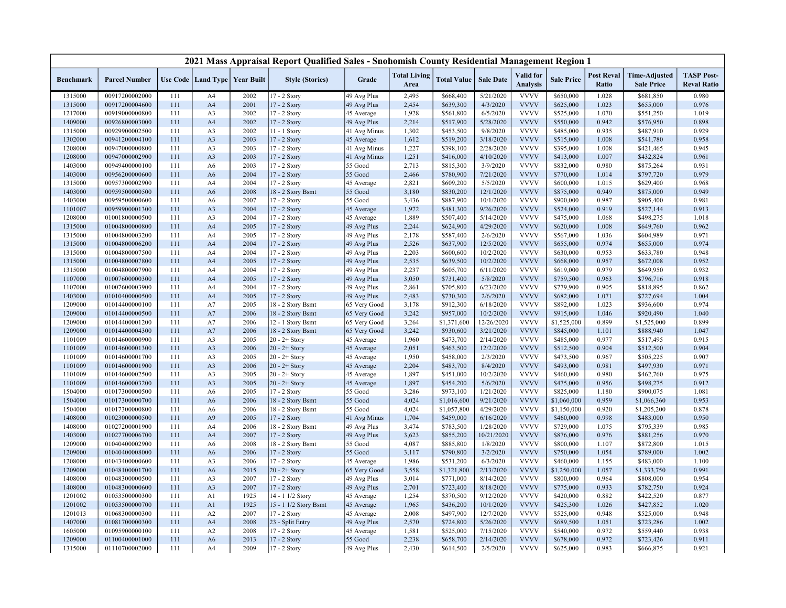|                    |                                  |            |                      |                                   | 2021 Mass Appraisal Report Qualified Sales - Snohomish County Residential Management Region 1 |              |                             |                    |                  |                              |                        |                            |                                           |                                         |
|--------------------|----------------------------------|------------|----------------------|-----------------------------------|-----------------------------------------------------------------------------------------------|--------------|-----------------------------|--------------------|------------------|------------------------------|------------------------|----------------------------|-------------------------------------------|-----------------------------------------|
| <b>Benchmark</b>   | <b>Parcel Number</b>             |            |                      | Use Code   Land Type   Year Built | <b>Style (Stories)</b>                                                                        | Grade        | <b>Total Living</b><br>Area | <b>Total Value</b> | <b>Sale Date</b> | Valid for<br><b>Analysis</b> | <b>Sale Price</b>      | <b>Post Reval</b><br>Ratio | <b>Time-Adjusted</b><br><b>Sale Price</b> | <b>TASP Post-</b><br><b>Reval Ratio</b> |
| 1315000            | 00917200002000                   | 111        | A4                   | 2002                              | 17 - 2 Story                                                                                  | 49 Avg Plus  | 2,495                       | \$668,400          | 5/21/2020        | <b>VVVV</b>                  | \$650,000              | 1.028                      | \$681,850                                 | 0.980                                   |
| 1315000            | 00917200004600                   | 111        | A <sub>4</sub>       | 2001                              | 17 - 2 Story                                                                                  | 49 Avg Plus  | 2,454                       | \$639,300          | 4/3/2020         | <b>VVVV</b>                  | \$625,000              | 1.023                      | \$655,000                                 | 0.976                                   |
| 1217000            | 00919000000800                   | 111        | A <sub>3</sub>       | 2002                              | 17 - 2 Story                                                                                  | 45 Average   | 1,928                       | \$561,800          | 6/5/2020         | <b>VVVV</b>                  | \$525,000              | 1.070                      | \$551,250                                 | 1.019                                   |
| 1409000            | 00926800003000                   | 111        | A4                   | 2002                              | 17 - 2 Story                                                                                  | 49 Avg Plus  | 2,214                       | \$517,900          | 5/28/2020        | <b>VVVV</b>                  | \$550,000              | 0.942                      | \$576,950                                 | 0.898                                   |
| 1315000            | 00929900002500                   | 111        | A <sub>3</sub>       | 2002                              | 11 - 1 Story                                                                                  | 41 Avg Minus | 1,302                       | \$453,500          | 9/8/2020         | <b>VVVV</b>                  | \$485,000              | 0.935                      | \$487,910                                 | 0.929                                   |
| 1302000            | 00941200004100                   | 111        | A <sub>3</sub>       | 2003                              | 17 - 2 Story                                                                                  | 45 Average   | 1,612                       | \$519,200          | 3/18/2020        | <b>VVVV</b>                  | \$515,000              | 1.008                      | \$541,780                                 | 0.958                                   |
| 1208000            | 00947000000800                   | 111        | A3                   | 2003                              | 17 - 2 Story                                                                                  | 41 Avg Minus | 1,227                       | \$398,100          | 2/28/2020        | <b>VVVV</b>                  | \$395,000              | 1.008                      | \$421,465                                 | 0.945                                   |
| 1208000            | 00947000002900                   | 111        | A <sub>3</sub>       | 2003                              | 17 - 2 Story                                                                                  | 41 Avg Minus | 1,251                       | \$416,000          | 4/10/2020        | <b>VVVV</b>                  | \$413,000              | 1.007                      | \$432,824                                 | 0.961                                   |
| 1403000            | 00949400000100                   | 111        | A6                   | 2003                              | 17 - 2 Story                                                                                  | 55 Good      | 2,713                       | \$815,300          | 3/9/2020         | <b>VVVV</b>                  | \$832,000              | 0.980                      | \$875,264                                 | 0.931                                   |
| 1403000            | 00956200000600                   | 111        | A <sub>6</sub>       | 2004                              | 17 - 2 Story                                                                                  | 55 Good      | 2,466                       | \$780,900          | 7/21/2020        | <b>VVVV</b>                  | \$770,000              | 1.014                      | \$797,720                                 | 0.979                                   |
| 1315000            | 00957300002900                   | 111        | A <sub>4</sub>       | 2004                              | 17 - 2 Story                                                                                  | 45 Average   | 2,821                       | \$609,200          | 5/5/2020         | <b>VVVV</b>                  | \$600,000              | 1.015                      | \$629,400                                 | 0.968                                   |
| 1403000            | 00959500000500                   | 111        | A <sub>6</sub>       | 2008                              | 18 - 2 Story Bsmt                                                                             | 55 Good      | 3,180                       | \$830,200          | 12/1/2020        | <b>VVVV</b>                  | \$875,000              | 0.949                      | \$875,000                                 | 0.949                                   |
| 1403000            | 00959500000600                   | 111        | A <sub>6</sub>       | 2007                              | 17 - 2 Story                                                                                  | 55 Good      | 3,436                       | \$887,900          | 10/1/2020        | <b>VVVV</b>                  | \$900,000              | 0.987                      | \$905,400                                 | 0.981                                   |
| 1101007            | 00959900001300                   | 111        | A <sub>3</sub>       | 2004                              | 17 - 2 Story                                                                                  | 45 Average   | 1,972                       | \$481,300          | 9/26/2020        | <b>VVVV</b>                  | \$524,000              | 0.919                      | \$527,144                                 | 0.913                                   |
| 1208000            | 01001800000500                   | 111        | A <sub>3</sub>       | 2004                              | 17 - 2 Story                                                                                  | 45 Average   | 1,889                       | \$507,400          | 5/14/2020        | <b>VVVV</b>                  | \$475,000              | 1.068                      | \$498,275                                 | 1.018                                   |
| 1315000            | 01004800000800                   | 111        | A <sub>4</sub>       | 2005                              | 17 - 2 Story                                                                                  | 49 Avg Plus  | 2,244                       | \$624,900          | 4/29/2020        | <b>VVVV</b>                  | \$620,000              | 1.008                      | \$649,760                                 | 0.962                                   |
| 1315000            | 01004800003200                   | 111        | A4                   | 2005                              | 17 - 2 Story                                                                                  | 49 Avg Plus  | 2,178                       | \$587,400          | 2/6/2020         | <b>VVVV</b>                  | \$567,000              | 1.036                      | \$604,989                                 | 0.971                                   |
| 1315000            | 01004800006200                   | 111        | A <sub>4</sub>       | 2004                              | 17 - 2 Story                                                                                  | 49 Avg Plus  | 2,526                       | \$637,900          | 12/5/2020        | <b>VVVV</b>                  | \$655,000              | 0.974                      | \$655,000                                 | 0.974                                   |
| 1315000            | 01004800007500                   | 111        | A <sub>4</sub>       | 2004                              | 17 - 2 Story                                                                                  | 49 Avg Plus  | 2,203                       | \$600,600          | 10/2/2020        | <b>VVVV</b>                  | \$630,000              | 0.953                      | \$633,780                                 | 0.948                                   |
| 1315000            | 01004800007800                   | 111        | A4                   | 2005                              | 17 - 2 Story                                                                                  | 49 Avg Plus  | 2,535                       | \$639,500          | 10/2/2020        | <b>VVVV</b>                  | \$668,000              | 0.957                      | \$672,008                                 | 0.952                                   |
| 1315000            | 01004800007900                   | 111        | A4                   | 2004                              | 17 - 2 Story                                                                                  | 49 Avg Plus  | 2,237                       | \$605,700          | 6/11/2020        | <b>VVVV</b>                  | \$619,000              | 0.979                      | \$649,950                                 | 0.932                                   |
| 1107000            | 01007600000300                   | 111        | A4                   | 2005                              | 17 - 2 Story                                                                                  | 49 Avg Plus  | 3,050                       | \$731,400          | 5/8/2020         | <b>VVVV</b>                  | \$759,500              | 0.963                      | \$796,716                                 | 0.918                                   |
| 1107000            | 01007600003900                   | 111        | A4                   | 2004                              | 17 - 2 Story                                                                                  | 49 Avg Plus  | 2,861                       | \$705,800          | 6/23/2020        | <b>VVVV</b>                  | \$779,900              | 0.905                      | \$818,895                                 | 0.862                                   |
| 1403000            | 01010400000500                   | 111        | A <sub>4</sub>       | 2005                              | 17 - 2 Story                                                                                  | 49 Avg Plus  | 2,483                       | \$730,300          | 2/6/2020         | <b>VVVV</b>                  | \$682,000              | 1.071                      | \$727,694                                 | 1.004                                   |
| 1209000            | 01014400000100                   | 111        | A7                   | 2005                              | 18 - 2 Story Bsmt                                                                             | 65 Very Good | 3,178                       | \$912,300          | 6/18/2020        | <b>VVVV</b>                  | \$892,000              | 1.023                      | \$936,600                                 | 0.974                                   |
| 1209000            | 01014400000500                   | 111        | A7                   | 2006                              | 18 - 2 Story Bsmt                                                                             | 65 Very Good | 3,242                       | \$957,000          | 10/2/2020        | <b>VVVV</b>                  | \$915,000              | 1.046                      | \$920,490                                 | 1.040                                   |
| 1209000            | 01014400001200                   | 111        | A7                   | 2006                              | 12 - 1 Story Bsmt                                                                             | 65 Very Good | 3,264                       | \$1,371,600        | 12/26/2020       | <b>VVVV</b>                  | \$1,525,000            | 0.899                      | \$1,525,000                               | 0.899                                   |
| 1209000            | 01014400004300                   | 111        | A7                   | 2006                              | 18 - 2 Story Bsmt                                                                             | 65 Very Good | 3,242                       | \$930,600          | 3/21/2020        | <b>VVVV</b>                  | \$845,000              | 1.101                      | \$888,940                                 | 1.047                                   |
| 1101009            | 01014600000900                   | 111        | A3                   | 2005                              | $20 - 2 +$ Story                                                                              | 45 Average   | 1,960                       | \$473,700          | 2/14/2020        | <b>VVVV</b>                  | \$485,000              | 0.977                      | \$517,495                                 | 0.915                                   |
| 1101009            | 01014600001300                   | 111        | A <sub>3</sub>       | 2006                              | $20 - 2 +$ Story                                                                              | 45 Average   | 2,051                       | \$463,500          | 12/2/2020        | <b>VVVV</b>                  | \$512,500              | 0.904                      | \$512,500                                 | 0.904                                   |
| 1101009            | 01014600001700                   | 111        | A <sub>3</sub>       | 2005                              | $20 - 2 +$ Story                                                                              | 45 Average   | 1,950                       | \$458,000          | 2/3/2020         | <b>VVVV</b>                  | \$473,500              | 0.967                      | \$505,225                                 | 0.907                                   |
| 1101009            | 01014600001900                   | 111        | A <sub>3</sub>       | 2006                              | $20 - 2 +$ Story                                                                              | 45 Average   | 2,204                       | \$483,700          | 8/4/2020         | <b>VVVV</b>                  | \$493,000              | 0.981                      | \$497,930                                 | 0.971                                   |
| 1101009            | 01014600002500                   | 111        | A <sub>3</sub>       | 2005                              | $20 - 2 +$ Story                                                                              | 45 Average   | 1,897                       | \$451,000          | 10/2/2020        | <b>VVVV</b>                  | \$460,000              | 0.980                      | \$462,760                                 | 0.975                                   |
| 1101009            | 01014600003200                   | 111        | A <sub>3</sub>       | 2005                              | $20 - 2 +$ Story                                                                              | 45 Average   | 1,897                       | \$454,200          | 5/6/2020         | <b>VVVV</b>                  | \$475,000              | 0.956                      | \$498,275                                 | 0.912                                   |
| 1504000            | 01017300000500                   | 111        | A <sub>6</sub>       | 2005                              | 17 - 2 Story                                                                                  | 55 Good      | 3,286                       | \$973,100          | 1/21/2020        | <b>VVVV</b>                  | \$825,000              | 1.180                      | \$900,075                                 | 1.081                                   |
| 1504000            | 01017300000700                   | 111        | A <sub>6</sub>       | 2006                              | 18 - 2 Story Bsmt                                                                             | 55 Good      | 4,024                       | \$1,016,600        | 9/21/2020        | <b>VVVV</b>                  | \$1,060,000            | 0.959                      | \$1,066,360                               | 0.953                                   |
| 1504000            | 01017300000800                   | 111        | A <sub>6</sub>       | 2006                              | 18 - 2 Story Bsmt                                                                             | 55 Good      | 4,024                       | \$1,057,800        | 4/29/2020        | <b>VVVV</b>                  | \$1,150,000            | 0.920                      | \$1,205,200                               | 0.878                                   |
| 1408000            | 01023000000500                   | 111        | A <sub>9</sub>       | 2005                              | 17 - 2 Story                                                                                  | 41 Avg Minus | 1,704                       | \$459,000          | 6/16/2020        | <b>VVVV</b>                  | \$460,000              | 0.998                      | \$483,000                                 | 0.950                                   |
| 1408000            | 01027200001900                   | 111        | A4                   | 2006                              | 18 - 2 Story Bsmt                                                                             | 49 Avg Plus  | 3,474                       | \$783,500          | 1/28/2020        | <b>VVVV</b>                  | \$729,000              | 1.075                      | \$795,339                                 | 0.985                                   |
| 1403000            | 01027700006700                   | 111        | A4                   | 2007                              | 17 - 2 Story                                                                                  | 49 Avg Plus  | 3,623                       | \$855,200          | 10/21/2020       | <b>VVVV</b>                  | \$876,000              | 0.976                      | \$881,256                                 | 0.970                                   |
| 1209000            | 01040400002900                   | 111        | A <sub>6</sub>       | 2008                              | 18 - 2 Story Bsmt                                                                             | 55 Good      | 4,087                       | \$885,800          | 1/8/2020         | <b>VVVV</b>                  | \$800,000              | 1.107                      | \$872,800                                 | 1.015                                   |
| 1209000            | 01040400008000                   | 111        | A <sub>6</sub>       | 2006                              | 17 - 2 Story                                                                                  | 55 Good      | 3,117                       | \$790,800          | 3/2/2020         | <b>VVVV</b>                  | \$750,000              | 1.054                      | \$789,000                                 | 1.002                                   |
| 1208000            | 01043400000600                   | 111        | A <sub>3</sub>       | 2006                              | 17 - 2 Story                                                                                  | 45 Average   | 1,986                       | \$531,200          | 6/3/2020         | <b>VVVV</b>                  | \$460,000              | 1.155                      | \$483,000                                 | 1.100                                   |
| 1209000            | 01048100001700                   |            | A <sub>6</sub>       | 2015                              | $20 - 2 +$ Story                                                                              | 65 Very Good | 3,558                       | \$1,321,800        | 2/13/2020        | <b>VVVV</b>                  | \$1,250,000            | 1.057                      | \$1,333,750                               | 0.991                                   |
|                    | 01048300000500                   | 111<br>111 | A <sub>3</sub>       | 2007                              |                                                                                               |              | 3,014                       | \$771,000          | 8/14/2020        | <b>VVVV</b>                  | \$800,000              | 0.964                      |                                           | 0.954                                   |
| 1408000            |                                  | 111        | A <sub>3</sub>       | 2007                              | 17 - 2 Story                                                                                  | 49 Avg Plus  | 2,701                       | \$723,400          | 8/18/2020        | <b>VVVV</b>                  |                        | 0.933                      | \$808,000                                 | 0.924                                   |
| 1408000            | 01048300000600                   |            |                      | 1925                              | 17 - 2 Story<br>14 - 1 1/2 Story                                                              | 49 Avg Plus  |                             |                    | 9/12/2020        | <b>VVVV</b>                  | \$775,000<br>\$420,000 | 0.882                      | \$782,750                                 |                                         |
| 1201002            | 01053500000300                   | 111<br>111 | A <sub>1</sub><br>A1 | 1925                              | 15 - 1 1/2 Story Bsmt                                                                         | 45 Average   | 1,254<br>1,965              | \$370,500          | 10/1/2020        | <b>VVVV</b>                  |                        |                            | \$422,520                                 | 0.877<br>1.020                          |
| 1201002            | 01053500000700                   |            |                      | 2007                              |                                                                                               | 45 Average   |                             | \$436,200          |                  | <b>VVVV</b>                  | \$425,300              | 1.026<br>0.948             | \$427,852                                 |                                         |
| 1201013<br>1407000 | 01068300000300<br>01081700000300 | 111<br>111 | A2                   | 2008                              | 17 - 2 Story<br>23 - Split Entry                                                              | 45 Average   | 2,008<br>2,570              | \$497,900          | 12/7/2020        | <b>VVVV</b>                  | \$525,000              | 1.051                      | \$525,000                                 | 0.948<br>1.002                          |
|                    | 01095900000100                   | 111        | A4                   |                                   |                                                                                               | 49 Avg Plus  |                             | \$724,800          | 5/26/2020        | <b>VVVV</b>                  | \$689,500              |                            | \$723,286                                 |                                         |
| 1605000            |                                  |            | A2                   | 2008                              | 17 - 2 Story                                                                                  | 45 Average   | 1,581                       | \$525,000          | 7/15/2020        | <b>VVVV</b>                  | \$540,000              | 0.972                      | \$559,440                                 | 0.938                                   |
| 1209000            | 01100400001000                   | 111        | A <sub>6</sub>       | 2013                              | 17 - 2 Story                                                                                  | 55 Good      | 2,238                       | \$658,700          | 2/14/2020        |                              | \$678,000              | 0.972                      | \$723,426                                 | 0.911                                   |
| 1315000            | 01110700002000                   | 111        | A4                   | 2009                              | 17 - 2 Story                                                                                  | 49 Avg Plus  | 2,430                       | \$614,500          | 2/5/2020         | <b>VVVV</b>                  | \$625,000              | 0.983                      | \$666,875                                 | 0.921                                   |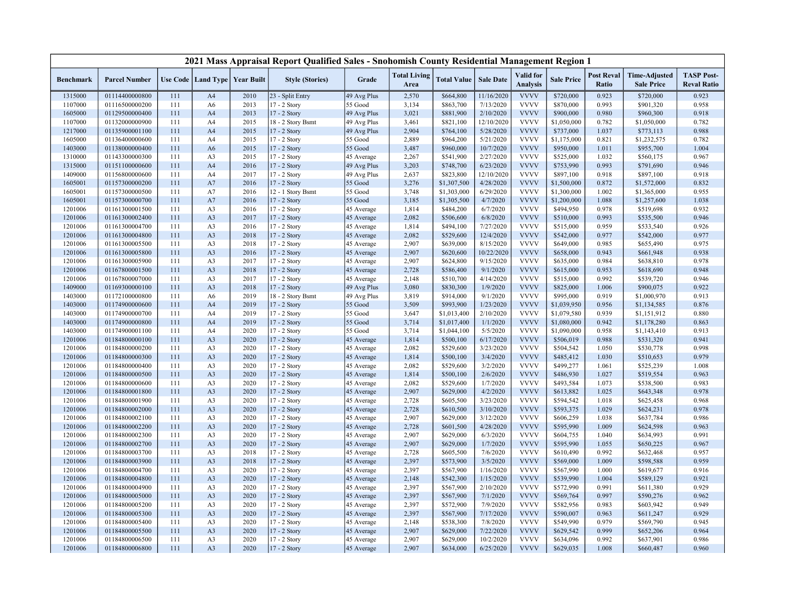|                    |                                  |            |                                   |              | 2021 Mass Appraisal Report Qualified Sales - Snohomish County Residential Management Region 1 |                    |                             |                            |                       |                                     |                            |                                   |                                           |                                         |
|--------------------|----------------------------------|------------|-----------------------------------|--------------|-----------------------------------------------------------------------------------------------|--------------------|-----------------------------|----------------------------|-----------------------|-------------------------------------|----------------------------|-----------------------------------|-------------------------------------------|-----------------------------------------|
| <b>Benchmark</b>   | <b>Parcel Number</b>             |            | Use Code   Land Type   Year Built |              | <b>Style (Stories)</b>                                                                        | Grade              | <b>Total Living</b><br>Area | <b>Total Value</b>         | <b>Sale Date</b>      | <b>Valid</b> for<br><b>Analysis</b> | <b>Sale Price</b>          | <b>Post Reval</b><br><b>Ratio</b> | <b>Time-Adjusted</b><br><b>Sale Price</b> | <b>TASP Post-</b><br><b>Reval Ratio</b> |
| 1315000            | 01114400000800                   | 111        | A <sub>4</sub>                    | 2010         | 23 - Split Entry                                                                              | 49 Avg Plus        | 2,570                       | \$664,800                  | 11/16/2020            | <b>VVVV</b>                         | \$720,000                  | 0.923                             | \$720,000                                 | 0.923                                   |
| 1107000            | 01116500000200                   | 111        | A6                                | 2013         | 17 - 2 Story                                                                                  | 55 Good            | 3,134                       | \$863,700                  | 7/13/2020             | <b>VVVV</b>                         | \$870,000                  | 0.993                             | \$901,320                                 | 0.958                                   |
| 1605000            | 01129500000400                   | 111        | A <sub>4</sub>                    | 2013         | 17 - 2 Story                                                                                  | 49 Avg Plus        | 3,021                       | \$881,900                  | 2/10/2020             | <b>VVVV</b>                         | \$900,000                  | 0.980                             | \$960,300                                 | 0.918                                   |
| 1107000            | 01132000000900                   | 111        | A4                                | 2015         | 18 - 2 Story Bsmt                                                                             | 49 Avg Plus        | 3,461                       | \$821,100                  | 12/10/2020            | <b>VVVV</b>                         | \$1,050,000                | 0.782                             | \$1,050,000                               | 0.782                                   |
| 1217000            | 01135900001100                   | 111        | A <sub>4</sub>                    | 2015         | 17 - 2 Story                                                                                  | 49 Avg Plus        | 2,904                       | \$764,100                  | 5/28/2020             | <b>VVVV</b>                         | \$737,000                  | 1.037                             | \$773,113                                 | 0.988                                   |
| 1605000            | 01136400000600                   | 111        | A4                                | 2015         | 17 - 2 Story                                                                                  | 55 Good            | 2,889                       | \$964,200                  | 5/21/2020             | <b>VVVV</b>                         | \$1,175,000                | 0.821                             | \$1,232,575                               | 0.782                                   |
| 1403000            | 01138000000400                   | 111        | A <sub>6</sub>                    | 2015         | 17 - 2 Story                                                                                  | 55 Good            | 3,487                       | \$960,000                  | 10/7/2020             | <b>VVVV</b>                         | \$950,000                  | 1.011                             | \$955,700                                 | 1.004                                   |
| 1310000            | 01143300000300                   | 111        | A <sub>3</sub>                    | 2015         | 17 - 2 Story                                                                                  | 45 Average         | 2,267                       | \$541,900                  | 2/27/2020             | <b>VVVV</b>                         | \$525,000                  | 1.032                             | \$560,175                                 | 0.967                                   |
| 1315000            | 01151100000600                   | 111        | A <sub>4</sub>                    | 2016         | 17 - 2 Story                                                                                  | 49 Avg Plus        | 3,203                       | \$748,700                  | 6/23/2020             | <b>VVVV</b>                         | \$753,990                  | 0.993                             | \$791,690                                 | 0.946                                   |
| 1409000            | 01156800000600                   | 111        | A4                                | 2017         | 17 - 2 Story                                                                                  | 49 Avg Plus        | 2,637                       | \$823,800                  | 12/10/2020            | <b>VVVV</b>                         | \$897,100                  | 0.918                             | \$897,100                                 | 0.918                                   |
| 1605001            | 01157300000200                   | 111        | A7                                | 2016         | 17 - 2 Story                                                                                  | 55 Good            | 3,276                       | \$1,307,500                | 4/28/2020             | <b>VVVV</b>                         | \$1,500,000                | 0.872                             | \$1,572,000                               | 0.832                                   |
| 1605001            | 01157300000500                   | 111        | A7                                | 2016         | 12 - 1 Story Bsmt                                                                             | 55 Good            | 3,748                       | \$1,303,000                | 6/29/2020             | <b>VVVV</b>                         | \$1,300,000                | 1.002                             | \$1,365,000                               | 0.955                                   |
| 1605001            | 01157300000700                   | 111        | A7                                | 2016         | 17 - 2 Story                                                                                  | 55 Good            | 3,185                       | \$1,305,500                | 4/7/2020              | <b>VVVV</b>                         | \$1,200,000                | 1.088                             | \$1,257,600                               | 1.038                                   |
| 1201006            | 01161300001500                   | 111        | A3                                | 2016         | 17 - 2 Story                                                                                  | 45 Average         | 1,814                       | \$484,200                  | 6/7/2020              | <b>VVVV</b>                         | \$494,950                  | 0.978                             | \$519,698                                 | 0.932                                   |
| 1201006            | 01161300002400                   | 111        | A <sub>3</sub>                    | 2017         | 17 - 2 Story                                                                                  | 45 Average         | 2,082                       | \$506,600                  | 6/8/2020              | <b>VVVV</b>                         | \$510,000                  | 0.993                             | \$535,500                                 | 0.946                                   |
| 1201006            | 01161300004700                   | 111        | A3                                | 2016         | 17 - 2 Story                                                                                  | 45 Average         | 1,814                       | \$494,100                  | 7/27/2020             | <b>VVVV</b>                         | \$515,000                  | 0.959                             | \$533,540                                 | 0.926                                   |
| 1201006            | 01161300004800                   | 111        | A <sub>3</sub>                    | 2018         | 17 - 2 Story                                                                                  | 45 Average         | 2,082                       | \$529,600                  | 12/4/2020             | <b>VVVV</b>                         | \$542,000                  | 0.977                             | \$542,000                                 | 0.977                                   |
| 1201006            | 01161300005500                   | 111        | A3                                | 2018         | 17 - 2 Story                                                                                  | 45 Average         | 2,907                       | \$639,000                  | 8/15/2020             | <b>VVVV</b>                         | \$649,000                  | 0.985                             | \$655,490                                 | 0.975                                   |
| 1201006            | 01161300005800                   | 111        | A <sub>3</sub>                    | 2016         | $17 - 2$ Story                                                                                | 45 Average         | 2,907                       | \$620,600                  | 10/22/2020            | <b>VVVV</b>                         | \$658,000                  | 0.943                             | \$661,948                                 | 0.938                                   |
| 1201006            | 01161300005900                   | 111        | A <sub>3</sub>                    | 2017         | 17 - 2 Story                                                                                  | 45 Average         | 2,907                       | \$624,800                  | 9/15/2020             | <b>VVVV</b>                         | \$635,000                  | 0.984                             | \$638,810                                 | 0.978                                   |
| 1201006            | 01167800001500                   | 111        | A <sub>3</sub>                    | 2018         | 17 - 2 Story                                                                                  | 45 Average         | 2,728                       | \$586,400                  | 9/1/2020              | <b>VVVV</b>                         | \$615,000                  | 0.953                             | \$618,690                                 | 0.948                                   |
| 1201006            | 01167800007000                   | 111        | A <sub>3</sub>                    | 2017         | 17 - 2 Story                                                                                  | 45 Average         | 2,148                       | \$510,700                  | 4/14/2020             | <b>VVVV</b>                         | \$515,000                  | 0.992                             | \$539,720                                 | 0.946                                   |
| 1409000            | 01169300000100                   | 111        | A <sub>3</sub>                    | 2018         | 17 - 2 Story                                                                                  | 49 Avg Plus        | 3,080                       | \$830,300                  | 1/9/2020              | <b>VVVV</b>                         | \$825,000                  | 1.006                             | \$900,075                                 | 0.922                                   |
| 1403000            | 01172100000800                   | 111        | A <sub>6</sub>                    | 2019         | 18 - 2 Story Bsmt                                                                             | 49 Avg Plus        | 3,819                       | \$914,000                  | 9/1/2020              | <b>VVVV</b><br><b>VVVV</b>          | \$995,000                  | 0.919                             | \$1,000,970                               | 0.913                                   |
| 1403000            | 01174900000600                   | 111<br>111 | A <sub>4</sub><br>A <sub>4</sub>  | 2019<br>2019 | 17 - 2 Story                                                                                  | 55 Good<br>55 Good | 3,509                       | \$993,900                  | 1/23/2020             | <b>VVVV</b>                         | \$1,039,950<br>\$1,079,580 | 0.956<br>0.939                    | \$1,134,585                               | 0.876                                   |
| 1403000            | 01174900000700<br>01174900000800 |            |                                   | 2019         | 17 - 2 Story                                                                                  | 55 Good            | 3,647<br>3,714              | \$1,013,400<br>\$1,017,400 | 2/10/2020<br>1/1/2020 | <b>VVVV</b>                         |                            | 0.942                             | \$1,151,912                               | 0.880<br>0.863                          |
| 1403000<br>1403000 | 01174900001100                   | 111<br>111 | A <sub>4</sub><br>A4              | 2020         | 17 - 2 Story<br>17 - 2 Story                                                                  | 55 Good            | 3,714                       | \$1,044,100                | 5/5/2020              | <b>VVVV</b>                         | \$1,080,000<br>\$1,090,000 | 0.958                             | \$1,178,280<br>\$1,143,410                | 0.913                                   |
| 1201006            | 01184800000100                   | 111        | A <sub>3</sub>                    | 2020         | 17 - 2 Story                                                                                  | 45 Average         | 1,814                       | \$500,100                  | 6/17/2020             | <b>VVVV</b>                         | \$506,019                  | 0.988                             | \$531,320                                 | 0.941                                   |
| 1201006            | 01184800000200                   | 111        | A3                                | 2020         | 17 - 2 Story                                                                                  | 45 Average         | 2,082                       | \$529,600                  | 3/23/2020             | <b>VVVV</b>                         | \$504,542                  | 1.050                             | \$530,778                                 | 0.998                                   |
| 1201006            | 01184800000300                   | 111        | A <sub>3</sub>                    | 2020         | 17 - 2 Story                                                                                  | 45 Average         | 1,814                       | \$500,100                  | 3/4/2020              | <b>VVVV</b>                         | \$485,412                  | 1.030                             | \$510,653                                 | 0.979                                   |
| 1201006            | 01184800000400                   | 111        | A3                                | 2020         | 17 - 2 Story                                                                                  | 45 Average         | 2,082                       | \$529,600                  | 3/2/2020              | <b>VVVV</b>                         | \$499,277                  | 1.061                             | \$525,239                                 | 1.008                                   |
| 1201006            | 01184800000500                   | 111        | A <sub>3</sub>                    | 2020         | 17 - 2 Story                                                                                  | 45 Average         | 1,814                       | \$500,100                  | 2/6/2020              | <b>VVVV</b>                         | \$486,930                  | 1.027                             | \$519,554                                 | 0.963                                   |
| 1201006            | 01184800000600                   | 111        | A3                                | 2020         | 17 - 2 Story                                                                                  | 45 Average         | 2,082                       | \$529,600                  | 1/7/2020              | <b>VVVV</b>                         | \$493,584                  | 1.073                             | \$538,500                                 | 0.983                                   |
| 1201006            | 01184800001800                   | 111        | A <sub>3</sub>                    | 2020         | 17 - 2 Story                                                                                  | 45 Average         | 2,907                       | \$629,000                  | 4/2/2020              | <b>VVVV</b>                         | \$613,882                  | 1.025                             | \$643,348                                 | 0.978                                   |
| 1201006            | 01184800001900                   | 111        | A <sub>3</sub>                    | 2020         | 17 - 2 Story                                                                                  | 45 Average         | 2,728                       | \$605,500                  | 3/23/2020             | <b>VVVV</b>                         | \$594,542                  | 1.018                             | \$625,458                                 | 0.968                                   |
| 1201006            | 01184800002000                   | 111        | A <sub>3</sub>                    | 2020         | 17 - 2 Story                                                                                  | 45 Average         | 2,728                       | \$610,500                  | 3/10/2020             | <b>VVVV</b>                         | \$593,375                  | 1.029                             | \$624,231                                 | 0.978                                   |
| 1201006            | 01184800002100                   | 111        | A <sub>3</sub>                    | 2020         | 17 - 2 Story                                                                                  | 45 Average         | 2,907                       | \$629,000                  | 3/12/2020             | <b>VVVV</b>                         | \$606,259                  | 1.038                             | \$637,784                                 | 0.986                                   |
| 1201006            | 01184800002200                   | 111        | A <sub>3</sub>                    | 2020         | 17 - 2 Story                                                                                  | 45 Average         | 2,728                       | \$601,500                  | 4/28/2020             | <b>VVVV</b>                         | \$595,990                  | 1.009                             | \$624,598                                 | 0.963                                   |
| 1201006            | 01184800002300                   | 111        | A <sub>3</sub>                    | 2020         | 17 - 2 Story                                                                                  | 45 Average         | 2,907                       | \$629,000                  | 6/3/2020              | <b>VVVV</b>                         | \$604,755                  | 1.040                             | \$634,993                                 | 0.991                                   |
| 1201006            | 01184800002700                   | 111        | A <sub>3</sub>                    | 2020         | 17 - 2 Story                                                                                  | 45 Average         | 2,907                       | \$629,000                  | 1/7/2020              | <b>VVVV</b>                         | \$595,990                  | 1.055                             | \$650,225                                 | 0.967                                   |
| 1201006            | 01184800003700                   | 111        | A <sub>3</sub>                    | 2018         | 17 - 2 Story                                                                                  | 45 Average         | 2,728                       | \$605,500                  | 7/6/2020              | <b>VVVV</b>                         | \$610,490                  | 0.992                             | \$632,468                                 | 0.957                                   |
| 1201006            | 01184800003900                   | 111        | A <sub>3</sub>                    | 2018         | 17 - 2 Story                                                                                  | 45 Average         | 2,397                       | \$573,900                  | 3/5/2020              | <b>VVVV</b>                         | \$569,000                  | 1.009                             | \$598,588                                 | 0.959                                   |
| 1201006            | 01184800004700                   | 111        | A3                                | 2020         | 17 - 2 Story                                                                                  | 45 Average         | 2,397                       | \$567,900                  | 1/16/2020             | <b>VVVV</b>                         | \$567,990                  | 1.000                             | \$619,677                                 | 0.916                                   |
| 1201006            | 01184800004800                   | 111        | A <sub>3</sub>                    | 2020         | 17 - 2 Story                                                                                  | 45 Average         | 2,148                       | \$542,300                  | 1/15/2020             | <b>VVVV</b>                         | \$539,990                  | 1.004                             | \$589,129                                 | 0.921                                   |
| 1201006            | 01184800004900                   | 111        | A3                                | 2020         | 17 - 2 Story                                                                                  | 45 Average         | 2,397                       | \$567,900                  | 2/10/2020             | <b>VVVV</b>                         | \$572,990                  | 0.991                             | \$611,380                                 | 0.929                                   |
| 1201006            | 01184800005000                   | 111        | A <sub>3</sub>                    | 2020         | 17 - 2 Story                                                                                  | 45 Average         | 2,397                       | \$567,900                  | 7/1/2020              | <b>VVVV</b>                         | \$569,764                  | 0.997                             | \$590,276                                 | 0.962                                   |
| 1201006            | 01184800005200                   | 111        | A3                                | 2020         | 17 - 2 Story                                                                                  | 45 Average         | 2,397                       | \$572,900                  | 7/9/2020              | <b>VVVV</b>                         | \$582,956                  | 0.983                             | \$603,942                                 | 0.949                                   |
| 1201006            | 01184800005300                   | 111        | A <sub>3</sub>                    | 2020         | $17 - 2$ Story                                                                                | 45 Average         | 2,397                       | \$567,900                  | 7/17/2020             | <b>VVVV</b>                         | \$590,007                  | 0.963                             | \$611,247                                 | 0.929                                   |
| 1201006            | 01184800005400                   | 111        | A3                                | 2020         | 17 - 2 Story                                                                                  | 45 Average         | 2,148                       | \$538,300                  | 7/8/2020              | <b>VVVV</b>                         | \$549,990                  | 0.979                             | \$569,790                                 | 0.945                                   |
| 1201006            | 01184800005500                   | 111        | A <sub>3</sub>                    | 2020         | 17 - 2 Story                                                                                  | 45 Average         | 2,907                       | \$629,000                  | 7/22/2020             | <b>VVVV</b>                         | \$629,542                  | 0.999                             | \$652,206                                 | 0.964                                   |
| 1201006            | 01184800006500                   | 111        | A <sub>3</sub>                    | 2020         | 17 - 2 Story                                                                                  | 45 Average         | 2,907                       | \$629,000                  | 10/2/2020             | <b>VVVV</b>                         | \$634,096                  | 0.992                             | \$637,901                                 | 0.986                                   |
| 1201006            | 01184800006800                   | 111        | A <sub>3</sub>                    | 2020         | 17 - 2 Story                                                                                  | 45 Average         | 2,907                       | \$634,000                  | 6/25/2020             | <b>VVVV</b>                         | \$629,035                  | 1.008                             | \$660,487                                 | 0.960                                   |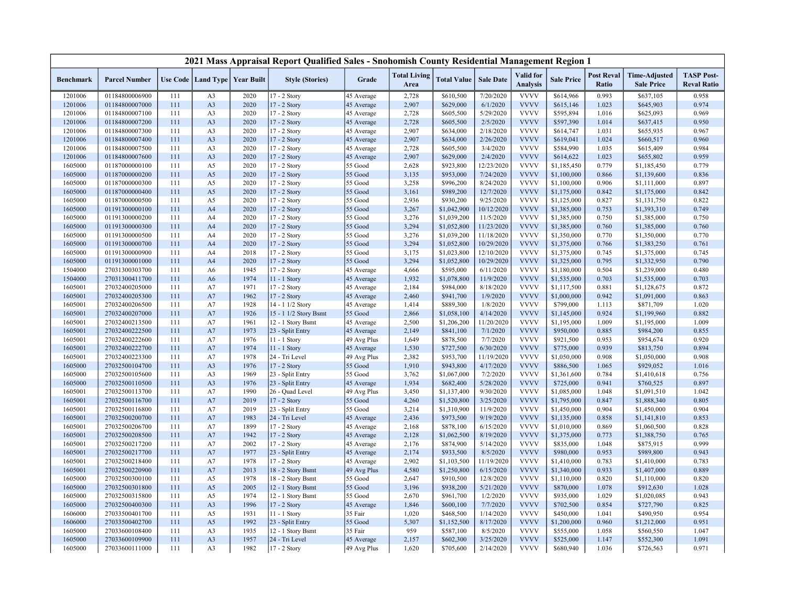|                  |                      |     |                      |                   | 2021 Mass Appraisal Report Qualified Sales - Snohomish County Residential Management Region 1 |             |                             |                    |                  |                                     |                   |                            |                                           |                                         |
|------------------|----------------------|-----|----------------------|-------------------|-----------------------------------------------------------------------------------------------|-------------|-----------------------------|--------------------|------------------|-------------------------------------|-------------------|----------------------------|-------------------------------------------|-----------------------------------------|
| <b>Benchmark</b> | <b>Parcel Number</b> |     | Use Code   Land Type | <b>Year Built</b> | <b>Style (Stories)</b>                                                                        | Grade       | <b>Total Living</b><br>Area | <b>Total Value</b> | <b>Sale Date</b> | <b>Valid</b> for<br><b>Analysis</b> | <b>Sale Price</b> | <b>Post Reval</b><br>Ratio | <b>Time-Adjusted</b><br><b>Sale Price</b> | <b>TASP Post-</b><br><b>Reval Ratio</b> |
| 1201006          | 01184800006900       | 111 | A <sub>3</sub>       | 2020              | 17 - 2 Story                                                                                  | 45 Average  | 2,728                       | \$610,500          | 7/20/2020        | <b>VVVV</b>                         | \$614,966         | 0.993                      | \$637,105                                 | 0.958                                   |
| 1201006          | 01184800007000       | 111 | A3                   | 2020              | 17 - 2 Story                                                                                  | 45 Average  | 2,907                       | \$629,000          | 6/1/2020         | <b>VVVV</b>                         | \$615,146         | 1.023                      | \$645,903                                 | 0.974                                   |
| 1201006          | 01184800007100       | 111 | A <sub>3</sub>       | 2020              | 17 - 2 Story                                                                                  | 45 Average  | 2,728                       | \$605,500          | 5/29/2020        | <b>VVVV</b>                         | \$595,894         | 1.016                      | \$625,093                                 | 0.969                                   |
| 1201006          | 01184800007200       | 111 | A <sub>3</sub>       | 2020              | 17 - 2 Story                                                                                  | 45 Average  | 2,728                       | \$605,500          | 2/5/2020         | <b>VVVV</b>                         | \$597,390         | 1.014                      | \$637,415                                 | 0.950                                   |
| 1201006          | 01184800007300       | 111 | A <sub>3</sub>       | 2020              | 17 - 2 Story                                                                                  | 45 Average  | 2,907                       | \$634,000          | 2/18/2020        | <b>VVVV</b>                         | \$614,747         | 1.031                      | \$655,935                                 | 0.967                                   |
| 1201006          | 01184800007400       | 111 | A <sub>3</sub>       | 2020              | 17 - 2 Story                                                                                  | 45 Average  | 2,907                       | \$634,000          | 2/26/2020        | <b>VVVV</b>                         | \$619,041         | 1.024                      | \$660,517                                 | 0.960                                   |
| 1201006          | 01184800007500       | 111 | A <sub>3</sub>       | 2020              | 17 - 2 Story                                                                                  | 45 Average  | 2,728                       | \$605,500          | 3/4/2020         | <b>VVVV</b>                         | \$584,990         | 1.035                      | \$615,409                                 | 0.984                                   |
| 1201006          | 01184800007600       | 111 | A <sub>3</sub>       | 2020              | 17 - 2 Story                                                                                  | 45 Average  | 2,907                       | \$629,000          | 2/4/2020         | <b>VVVV</b>                         | \$614,622         | 1.023                      | \$655,802                                 | 0.959                                   |
| 1605000          | 01187000000100       | 111 | A5                   | 2020              | 17 - 2 Story                                                                                  | 55 Good     | 2,628                       | \$923,800          | 12/23/2020       | <b>VVVV</b>                         | \$1,185,450       | 0.779                      | \$1,185,450                               | 0.779                                   |
| 1605000          | 01187000000200       | 111 | A5                   | 2020              | 17 - 2 Story                                                                                  | 55 Good     | 3,135                       | \$953,000          | 7/24/2020        | <b>VVVV</b>                         | \$1,100,000       | 0.866                      | \$1,139,600                               | 0.836                                   |
| 1605000          | 01187000000300       | 111 | A5                   | 2020              | 17 - 2 Story                                                                                  | 55 Good     | 3,258                       | \$996,200          | 8/24/2020        | <b>VVVV</b>                         | \$1,100,000       | 0.906                      | \$1,111,000                               | 0.897                                   |
| 1605000          | 01187000000400       | 111 | A <sub>5</sub>       | 2020              | 17 - 2 Story                                                                                  | 55 Good     | 3,161                       | \$989,200          | 12/7/2020        | <b>VVVV</b>                         | \$1,175,000       | 0.842                      | \$1,175,000                               | 0.842                                   |
| 1605000          | 01187000000500       | 111 | A5                   | 2020              | 17 - 2 Story                                                                                  | 55 Good     | 2,936                       | \$930,200          | 9/25/2020        | <b>VVVV</b>                         | \$1,125,000       | 0.827                      | \$1,131,750                               | 0.822                                   |
| 1605000          | 01191300000100       | 111 | A <sub>4</sub>       | 2020              | 17 - 2 Story                                                                                  | 55 Good     | 3,267                       | \$1,042,900        | 10/12/2020       | <b>VVVV</b>                         | \$1,385,000       | 0.753                      | \$1,393,310                               | 0.749                                   |
| 1605000          | 01191300000200       | 111 | A4                   | 2020              | 17 - 2 Story                                                                                  | 55 Good     | 3,276                       | \$1,039,200        | 11/5/2020        | <b>VVVV</b>                         | \$1,385,000       | 0.750                      | \$1,385,000                               | 0.750                                   |
| 1605000          | 01191300000300       | 111 | A <sub>4</sub>       | 2020              | 17 - 2 Story                                                                                  | 55 Good     | 3,294                       | \$1,052,800        | 11/23/2020       | <b>VVVV</b>                         | \$1,385,000       | 0.760                      | \$1,385,000                               | 0.760                                   |
| 1605000          | 01191300000500       | 111 | A4                   | 2020              | 17 - 2 Story                                                                                  | 55 Good     | 3,276                       | \$1,039,200        | 11/18/2020       | <b>VVVV</b>                         | \$1,350,000       | 0.770                      | \$1,350,000                               | 0.770                                   |
| 1605000          | 01191300000700       | 111 | A <sub>4</sub>       | 2020              | 17 - 2 Story                                                                                  | 55 Good     | 3,294                       | \$1,052,800        | 10/29/2020       | <b>VVVV</b>                         | \$1,375,000       | 0.766                      | \$1,383,250                               | 0.761                                   |
| 1605000          | 01191300000900       | 111 | A4                   | 2018              | 17 - 2 Story                                                                                  | 55 Good     | 3,175                       | \$1,023,800        | 12/10/2020       | <b>VVVV</b>                         | \$1,375,000       | 0.745                      | \$1,375,000                               | 0.745                                   |
| 1605000          | 01191300001000       | 111 | A <sub>4</sub>       | 2020              | 17 - 2 Story                                                                                  | 55 Good     | 3,294                       | \$1,052,800        | 10/29/2020       | <b>VVVV</b>                         | \$1,325,000       | 0.795                      | \$1,332,950                               | 0.790                                   |
| 1504000          | 27031300303700       | 111 | A <sub>6</sub>       | 1945              | 17 - 2 Story                                                                                  | 45 Average  | 4,666                       | \$595,000          | 6/11/2020        | <b>VVVV</b>                         | \$1,180,000       | 0.504                      | \$1,239,000                               | 0.480                                   |
| 1504000          | 27031300411700       | 111 | A6                   | 1974              | $11 - 1$ Story                                                                                | 45 Average  | 1,932                       | \$1,078,800        | 11/9/2020        | <b>VVVV</b>                         | \$1,535,000       | 0.703                      | \$1,535,000                               | 0.703                                   |
| 1605001          | 27032400205000       | 111 | A7                   | 1971              | 17 - 2 Story                                                                                  | 45 Average  | 2,184                       | \$984,000          | 8/18/2020        | <b>VVVV</b>                         | \$1,117,500       | 0.881                      | \$1,128,675                               | 0.872                                   |
| 1605001          | 27032400205300       | 111 | A7                   | 1962              | 17 - 2 Story                                                                                  | 45 Average  | 2,460                       | \$941,700          | 1/9/2020         | <b>VVVV</b>                         | \$1,000,000       | 0.942                      | \$1,091,000                               | 0.863                                   |
| 1605001          | 27032400206500       | 111 | A7                   | 1928              | 14 - 1 1/2 Story                                                                              | 45 Average  | 1,414                       | \$889,300          | 1/8/2020         | <b>VVVV</b>                         | \$799,000         | 1.113                      | \$871,709                                 | 1.020                                   |
| 1605001          | 27032400207000       | 111 | A7                   | 1926              | 15 - 1 1/2 Story Bsmt                                                                         | 55 Good     | 2,866                       | \$1,058,100        | 4/14/2020        | <b>VVVV</b>                         | \$1,145,000       | 0.924                      | \$1,199,960                               | 0.882                                   |
| 1605001          | 27032400213500       | 111 | A7                   | 1961              | 12 - 1 Story Bsmt                                                                             | 45 Average  | 2,500                       | \$1,206,200        | 11/20/2020       | <b>VVVV</b>                         | \$1,195,000       | 1.009                      | \$1,195,000                               | 1.009                                   |
| 1605001          | 27032400222500       | 111 | A7                   | 1973              | 23 - Split Entry                                                                              | 45 Average  | 2,149                       | \$841,100          | 7/1/2020         | <b>VVVV</b>                         | \$950,000         | 0.885                      | \$984,200                                 | 0.855                                   |
| 1605001          | 27032400222600       | 111 | A7                   | 1976              | 11 - 1 Story                                                                                  | 49 Avg Plus | 1,649                       | \$878,500          | 7/7/2020         | <b>VVVV</b>                         | \$921,500         | 0.953                      | \$954,674                                 | 0.920                                   |
| 1605001          | 27032400222700       | 111 | A7                   | 1974              | 11 - 1 Story                                                                                  | 45 Average  | 1,530                       | \$727,500          | 6/30/2020        | <b>VVVV</b>                         | \$775,000         | 0.939                      | \$813,750                                 | 0.894                                   |
| 1605001          | 27032400223300       | 111 | A7                   | 1978              | 24 - Tri Level                                                                                | 49 Avg Plus | 2,382                       | \$953,700          | 11/19/2020       | <b>VVVV</b>                         | \$1,050,000       | 0.908                      | \$1,050,000                               | 0.908                                   |
| 1605000          | 27032500104700       | 111 | A <sub>3</sub>       | 1976              | 17 - 2 Story                                                                                  | 55 Good     | 1,910                       | \$943,800          | 4/17/2020        | <b>VVVV</b>                         | \$886,500         | 1.065                      | \$929,052                                 | 1.016                                   |
| 1605000          | 27032500105600       | 111 | A <sub>3</sub>       | 1969              | 23 - Split Entry                                                                              | 55 Good     | 3,762                       | \$1,067,000        | 7/2/2020         | <b>VVVV</b>                         | \$1,361,600       | 0.784                      | \$1,410,618                               | 0.756                                   |
| 1605000          | 27032500110500       | 111 | A <sub>3</sub>       | 1976              | 23 - Split Entry                                                                              | 45 Average  | 1,934                       | \$682,400          | 5/28/2020        | <b>VVVV</b>                         | \$725,000         | 0.941                      | \$760,525                                 | 0.897                                   |
| 1605001          | 27032500113700       | 111 | A7                   | 1990              | 26 - Quad Level                                                                               | 49 Avg Plus | 3,450                       | \$1,137,400        | 9/30/2020        | <b>VVVV</b>                         | \$1,085,000       | 1.048                      | \$1,091,510                               | 1.042                                   |
| 1605001          | 27032500116700       | 111 | A7                   | 2019              | 17 - 2 Story                                                                                  | 55 Good     | 4,260                       | \$1,520,800        | 3/25/2020        | <b>VVVV</b>                         | \$1,795,000       | 0.847                      | \$1,888,340                               | 0.805                                   |
| 1605001          | 27032500116800       | 111 | A7                   | 2019              | 23 - Split Entry                                                                              | 55 Good     | 3,214                       | \$1,310,900        | 11/9/2020        | <b>VVVV</b>                         | \$1,450,000       | 0.904                      | \$1,450,000                               | 0.904                                   |
| 1605001          | 27032500200700       | 111 | A7                   | 1983              | 24 - Tri Level                                                                                | 45 Average  | 2,436                       | \$973,500          | 9/19/2020        | <b>VVVV</b>                         | \$1,135,000       | 0.858                      | \$1,141,810                               | 0.853                                   |
| 1605001          | 27032500206700       | 111 | A7                   | 1899              | 17 - 2 Story                                                                                  | 45 Average  | 2,168                       | \$878,100          | 6/15/2020        | <b>VVVV</b>                         | \$1,010,000       | 0.869                      | \$1,060,500                               | 0.828                                   |
| 1605001          | 27032500208500       | 111 | A7                   | 1942              | 17 - 2 Story                                                                                  | 45 Average  | 2,128                       | \$1,062,500        | 8/19/2020        | <b>VVVV</b>                         | \$1,375,000       | 0.773                      | \$1,388,750                               | 0.765                                   |
| 1605001          | 27032500217200       | 111 | A7                   | 2002              | 17 - 2 Story                                                                                  | 45 Average  | 2,176                       | \$874,900          | 5/14/2020        | <b>VVVV</b>                         | \$835,000         | 1.048                      | \$875,915                                 | 0.999                                   |
| 1605001          | 27032500217700       | 111 | A7                   | 1977              | 23 - Split Entry                                                                              | 45 Average  | 2,174                       | \$933,500          | 8/5/2020         | <b>VVVV</b>                         | \$980,000         | 0.953                      | \$989,800                                 | 0.943                                   |
| 1605001          | 27032500218400       | 111 | A7                   | 1978              | 17 - 2 Story                                                                                  | 45 Average  | 2,902                       | \$1,103,500        | 11/19/2020       | <b>VVVV</b>                         | \$1,410,000       | 0.783                      | \$1,410,000                               | 0.783                                   |
| 1605001          | 27032500220900       | 111 | A7                   | 2013              | 18 - 2 Story Bsmt                                                                             | 49 Avg Plus | 4,580                       | \$1,250,800        | 6/15/2020        | <b>VVVV</b>                         | \$1,340,000       | 0.933                      | \$1,407,000                               | 0.889                                   |
| 1605000          | 27032500300100       | 111 | A5                   | 1978              | 18 - 2 Story Bsmt                                                                             | 55 Good     | 2,647                       | \$910,500          | 12/8/2020        | <b>VVVV</b>                         | \$1,110,000       | 0.820                      | \$1,110,000                               | 0.820                                   |
| 1605000          | 27032500301800       | 111 | A5                   | 2005              | 12 - 1 Story Bsmt                                                                             | 55 Good     | 3,196                       | \$938,200          | 5/21/2020        | <b>VVVV</b>                         | \$870,000         | 1.078                      | \$912,630                                 | 1.028                                   |
| 1605000          | 27032500315800       | 111 | A5                   | 1974              | 12 - 1 Story Bsmt                                                                             | 55 Good     | 2,670                       | \$961,700          | 1/2/2020         | <b>VVVV</b>                         | \$935,000         | 1.029                      | \$1,020,085                               | 0.943                                   |
| 1605000          | 27032500400300       | 111 | A <sub>3</sub>       | 1996              | 17 - 2 Story                                                                                  | 45 Average  | 1,846                       | \$600,100          | 7/7/2020         | <b>VVVV</b>                         | \$702,500         | 0.854                      | \$727,790                                 | 0.825                                   |
| 1606000          | 27033500401700       | 111 | A5                   | 1931              | 11 - 1 Story                                                                                  | 35 Fair     | 1,020                       | \$468,500          | 1/14/2020        | <b>VVVV</b>                         | \$450,000         | 1.041                      | \$490,950                                 | 0.954                                   |
| 1606000          | 27033500402700       | 111 | A5                   | 1992              | 23 - Split Entry                                                                              | 55 Good     | 5,307                       | \$1,152,500        | 8/17/2020        | <b>VVVV</b>                         | \$1,200,000       | 0.960                      | \$1,212,000                               | 0.951                                   |
| 1605000          | 27033600108400       | 111 | A3                   | 1935              | 12 - 1 Story Bsmt                                                                             | 35 Fair     | 959                         | \$587,100          | 8/5/2020         | <b>VVVV</b>                         | \$555,000         | 1.058                      | \$560,550                                 | 1.047                                   |
| 1605000          | 27033600109900       | 111 | A <sub>3</sub>       | 1957              | 24 - Tri Level                                                                                | 45 Average  | 2,157                       | \$602,300          | 3/25/2020        | <b>VVVV</b>                         | \$525,000         | 1.147                      | \$552,300                                 | 1.091                                   |
| 1605000          | 27033600111000       | 111 | A <sub>3</sub>       | 1982              | 17 - 2 Story                                                                                  | 49 Avg Plus | 1,620                       | \$705,600          | 2/14/2020        | <b>VVVV</b>                         | \$680,940         | 1.036                      | \$726,563                                 | 0.971                                   |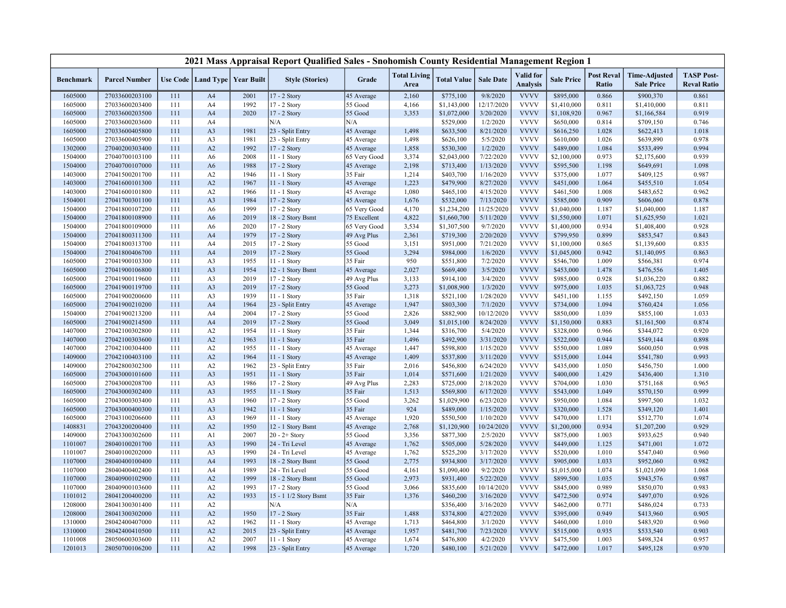|                  |                      |     |                      |                   | 2021 Mass Appraisal Report Qualified Sales - Snohomish County Residential Management Region 1 |              |                             |                    |                  |                                     |                   |                            |                                           |                                         |
|------------------|----------------------|-----|----------------------|-------------------|-----------------------------------------------------------------------------------------------|--------------|-----------------------------|--------------------|------------------|-------------------------------------|-------------------|----------------------------|-------------------------------------------|-----------------------------------------|
| <b>Benchmark</b> | <b>Parcel Number</b> |     | Use Code   Land Type | <b>Year Built</b> | <b>Style (Stories)</b>                                                                        | Grade        | <b>Total Living</b><br>Area | <b>Total Value</b> | <b>Sale Date</b> | <b>Valid</b> for<br><b>Analysis</b> | <b>Sale Price</b> | <b>Post Reval</b><br>Ratio | <b>Time-Adjusted</b><br><b>Sale Price</b> | <b>TASP Post-</b><br><b>Reval Ratio</b> |
| 1605000          | 27033600203100       | 111 | A <sub>4</sub>       | 2001              | 17 - 2 Story                                                                                  | 45 Average   | 2,160                       | \$775,100          | 9/8/2020         | <b>VVVV</b>                         | \$895,000         | 0.866                      | \$900,370                                 | 0.861                                   |
| 1605000          | 27033600203400       | 111 | A4                   | 1992              | 17 - 2 Story                                                                                  | 55 Good      | 4,166                       | \$1,143,000        | 12/17/2020       | <b>VVVV</b>                         | \$1,410,000       | 0.811                      | \$1,410,000                               | 0.811                                   |
| 1605000          | 27033600203500       | 111 | A <sub>4</sub>       | 2020              | 17 - 2 Story                                                                                  | 55 Good      | 3,353                       | \$1,072,000        | 3/20/2020        | <b>VVVV</b>                         | \$1,108,920       | 0.967                      | \$1,166,584                               | 0.919                                   |
| 1605000          | 27033600203600       | 111 | A4                   |                   | N/A                                                                                           | N/A          |                             | \$529,000          | 1/2/2020         | <b>VVVV</b>                         | \$650,000         | 0.814                      | \$709,150                                 | 0.746                                   |
| 1605000          | 27033600405800       | 111 | A <sub>3</sub>       | 1981              | 23 - Split Entry                                                                              | 45 Average   | 1,498                       | \$633,500          | 8/21/2020        | <b>VVVV</b>                         | \$616,250         | 1.028                      | \$622,413                                 | 1.018                                   |
| 1605000          | 27033600405900       | 111 | A <sub>3</sub>       | 1981              | 23 - Split Entry                                                                              | 45 Average   | 1,498                       | \$626,100          | 5/5/2020         | <b>VVVV</b>                         | \$610,000         | 1.026                      | \$639,890                                 | 0.978                                   |
| 1302000          | 27040200303400       | 111 | A2                   | 1992              | 17 - 2 Story                                                                                  | 45 Average   | 1,858                       | \$530,300          | 1/2/2020         | <b>VVVV</b>                         | \$489,000         | 1.084                      | \$533,499                                 | 0.994                                   |
| 1504000          | 27040700103100       | 111 | A6                   | 2008              | 11 - 1 Story                                                                                  | 65 Very Good | 3,374                       | \$2,043,000        | 7/22/2020        | <b>VVVV</b>                         | \$2,100,000       | 0.973                      | \$2,175,600                               | 0.939                                   |
| 1504000          | 27040700107000       | 111 | A <sub>6</sub>       | 1988              | 17 - 2 Story                                                                                  | 45 Average   | 2,198                       | \$713,400          | 1/13/2020        | <b>VVVV</b>                         | \$595,500         | 1.198                      | \$649,691                                 | 1.098                                   |
| 1403000          | 27041500201700       | 111 | A2                   | 1946              | 11 - 1 Story                                                                                  | 35 Fair      | 1,214                       | \$403,700          | 1/16/2020        | <b>VVVV</b>                         | \$375,000         | 1.077                      | \$409,125                                 | 0.987                                   |
| 1403000          | 27041600101300       | 111 | A2                   | 1967              | 11 - 1 Story                                                                                  | 45 Average   | 1,223                       | \$479,900          | 8/27/2020        | <b>VVVV</b>                         | \$451,000         | 1.064                      | \$455,510                                 | 1.054                                   |
| 1403000          | 27041600101800       | 111 | A2                   | 1966              | 11 - 1 Story                                                                                  | 45 Average   | 1,080                       | \$465,100          | 4/15/2020        | <b>VVVV</b>                         | \$461,500         | 1.008                      | \$483,652                                 | 0.962                                   |
| 1504001          | 27041700301100       | 111 | A <sub>3</sub>       | 1984              | 17 - 2 Story                                                                                  | 45 Average   | 1,676                       | \$532,000          | 7/13/2020        | <b>VVVV</b>                         | \$585,000         | 0.909                      | \$606,060                                 | 0.878                                   |
| 1504000          | 27041800107200       | 111 | A6                   | 1999              | 17 - 2 Story                                                                                  | 65 Very Good | 4,170                       | \$1,234,200        | 11/25/2020       | <b>VVVV</b>                         | \$1,040,000       | 1.187                      | \$1,040,000                               | 1.187                                   |
| 1504000          | 27041800108900       | 111 | A <sub>6</sub>       | 2019              | 18 - 2 Story Bsmt                                                                             | 75 Excellent | 4,822                       | \$1,660,700        | 5/11/2020        | <b>VVVV</b>                         | \$1,550,000       | 1.071                      | \$1,625,950                               | 1.021                                   |
| 1504000          | 27041800109000       | 111 | A6                   | 2020              | 17 - 2 Story                                                                                  | 65 Very Good | 3,534                       | \$1,307,500        | 9/7/2020         | <b>VVVV</b>                         | \$1,400,000       | 0.934                      | \$1,408,400                               | 0.928                                   |
| 1504000          | 27041800311300       | 111 | A <sub>4</sub>       | 1979              | 17 - 2 Story                                                                                  | 49 Avg Plus  | 2,361                       | \$719,300          | 2/20/2020        | <b>VVVV</b>                         | \$799,950         | 0.899                      | \$853,547                                 | 0.843                                   |
| 1504000          | 27041800313700       | 111 | A4                   | 2015              | 17 - 2 Story                                                                                  | 55 Good      | 3,151                       | \$951,000          | 7/21/2020        | <b>VVVV</b>                         | \$1,100,000       | 0.865                      | \$1,139,600                               | 0.835                                   |
| 1504000          | 27041800406700       | 111 | A <sub>4</sub>       | 2019              | 17 - 2 Story                                                                                  | 55 Good      | 3,294                       | \$984,000          | 1/6/2020         | <b>VVVV</b>                         | \$1,045,000       | 0.942                      | \$1,140,095                               | 0.863                                   |
| 1605000          | 27041900103300       | 111 | A3                   | 1955              | 11 - 1 Story                                                                                  | 35 Fair      | 950                         | \$551,800          | 7/2/2020         | <b>VVVV</b>                         | \$546,700         | 1.009                      | \$566,381                                 | 0.974                                   |
| 1605000          | 27041900106800       | 111 | A <sub>3</sub>       | 1954              | 12 - 1 Story Bsmt                                                                             | 45 Average   | 2,027                       | \$669,400          | 3/5/2020         | <b>VVVV</b>                         | \$453,000         | 1.478                      | \$476,556                                 | 1.405                                   |
| 1605000          | 27041900119600       | 111 | A <sub>3</sub>       | 2019              | 17 - 2 Story                                                                                  | 49 Avg Plus  | 3,133                       | \$914,100          | 3/4/2020         | <b>VVVV</b>                         | \$985,000         | 0.928                      | \$1,036,220                               | 0.882                                   |
| 1605000          | 27041900119700       | 111 | A <sub>3</sub>       | 2019              | 17 - 2 Story                                                                                  | 55 Good      | 3,273                       | \$1,008,900        | 1/3/2020         | <b>VVVV</b>                         | \$975,000         | 1.035                      | \$1,063,725                               | 0.948                                   |
| 1605000          | 27041900200600       | 111 | A <sub>3</sub>       | 1939              | 11 - 1 Story                                                                                  | 35 Fair      | 1,318                       | \$521,100          | 1/28/2020        | <b>VVVV</b>                         | \$451,100         | 1.155                      | \$492,150                                 | 1.059                                   |
| 1605000          | 27041900210200       | 111 | A <sub>4</sub>       | 1964              | 23 - Split Entry                                                                              | 45 Average   | 1,947                       | \$803,300          | 7/1/2020         | <b>VVVV</b>                         | \$734,000         | 1.094                      | \$760,424                                 | 1.056                                   |
| 1504000          | 27041900213200       | 111 | A4                   | 2004              | 17 - 2 Story                                                                                  | 55 Good      | 2,826                       | \$882,900          | 10/12/2020       | <b>VVVV</b>                         | \$850,000         | 1.039                      | \$855,100                                 | 1.033                                   |
| 1605000          | 27041900214500       | 111 | A <sub>4</sub>       | 2019              | 17 - 2 Story                                                                                  | 55 Good      | 3,049                       | \$1,015,100        | 8/24/2020        | <b>VVVV</b>                         | \$1,150,000       | 0.883                      | \$1,161,500                               | 0.874                                   |
| 1407000          | 27042100302800       | 111 | A <sub>2</sub>       | 1954              | 11 - 1 Story                                                                                  | 35 Fair      | 1,344                       | \$316,700          | 5/4/2020         | <b>VVVV</b>                         | \$328,000         | 0.966                      | \$344,072                                 | 0.920                                   |
| 1407000          | 27042100303600       | 111 | A2                   | 1963              | 11 - 1 Story                                                                                  | 35 Fair      | 1,496                       | \$492,900          | 3/31/2020        | <b>VVVV</b>                         | \$522,000         | 0.944                      | \$549,144                                 | 0.898                                   |
| 1407000          | 27042100304400       | 111 | A2                   | 1955              | 11 - 1 Story                                                                                  | 45 Average   | 1,447                       | \$598,800          | 1/15/2020        | <b>VVVV</b>                         | \$550,000         | 1.089                      | \$600,050                                 | 0.998                                   |
| 1409000          | 27042100403100       | 111 | A2                   | 1964              | 11 - 1 Story                                                                                  | 45 Average   | 1,409                       | \$537,800          | 3/11/2020        | <b>VVVV</b>                         | \$515,000         | 1.044                      | \$541,780                                 | 0.993                                   |
| 1409000          | 27042800302300       | 111 | A2                   | 1962              | 23 - Split Entry                                                                              | 35 Fair      | 2,016                       | \$456,800          | 6/24/2020        | <b>VVVV</b>                         | \$435,000         | 1.050                      | \$456,750                                 | 1.000                                   |
| 1605000          | 27043000101600       | 111 | A <sub>3</sub>       | 1951              | 11 - 1 Story                                                                                  | 35 Fair      | 1,014                       | \$571,600          | 1/21/2020        | <b>VVVV</b>                         | \$400,000         | 1.429                      | \$436,400                                 | 1.310                                   |
| 1605000          | 27043000208700       | 111 | A <sub>3</sub>       | 1986              | 17 - 2 Story                                                                                  | 49 Avg Plus  | 2,283                       | \$725,000          | 2/18/2020        | <b>VVVV</b>                         | \$704,000         | 1.030                      | \$751,168                                 | 0.965                                   |
| 1605000          | 27043000302400       | 111 | A <sub>3</sub>       | 1955              | 11 - 1 Story                                                                                  | 35 Fair      | 1,513                       | \$569,800          | 6/17/2020        | <b>VVVV</b>                         | \$543,000         | 1.049                      | \$570,150                                 | 0.999                                   |
| 1605000          | 27043000303400       | 111 | A3                   | 1960              | 17 - 2 Story                                                                                  | 55 Good      | 3,262                       | \$1,029,900        | 6/23/2020        | <b>VVVV</b>                         | \$950,000         | 1.084                      | \$997,500                                 | 1.032                                   |
| 1605000          | 27043000400300       | 111 | A <sub>3</sub>       | 1942              | 11 - 1 Story                                                                                  | 35 Fair      | 924                         | \$489,000          | 1/15/2020        | <b>VVVV</b>                         | \$320,000         | 1.528                      | \$349,120                                 | 1.401                                   |
| 1605000          | 27043100206600       | 111 | A <sub>3</sub>       | 1969              | 11 - 1 Story                                                                                  | 45 Average   | 1,920                       | \$550,500          | 1/10/2020        | <b>VVVV</b>                         | \$470,000         | 1.171                      | \$512,770                                 | 1.074                                   |
| 1408831          | 27043200200400       | 111 | A2                   | 1950              | 12 - 1 Story Bsmt                                                                             | 45 Average   | 2,768                       | \$1,120,900        | 10/24/2020       | <b>VVVV</b>                         | \$1,200,000       | 0.934                      | \$1,207,200                               | 0.929                                   |
| 1409000          | 27043300302600       | 111 | A1                   | 2007              | $20 - 2 +$ Story                                                                              | 55 Good      | 3,356                       | \$877,300          | 2/5/2020         | <b>VVVV</b>                         | \$875,000         | 1.003                      | \$933,625                                 | 0.940                                   |
| 1101007          | 28040100201700       | 111 | A <sub>3</sub>       | 1990              | 24 - Tri Level                                                                                | 45 Average   | 1,762                       | \$505,000          | 5/28/2020        | <b>VVVV</b>                         | \$449,000         | 1.125                      | \$471,001                                 | 1.072                                   |
| 1101007          | 28040100202000       | 111 | A3                   | 1990              | 24 - Tri Level                                                                                | 45 Average   | 1,762                       | \$525,200          | 3/17/2020        | <b>VVVV</b>                         | \$520,000         | 1.010                      | \$547,040                                 | 0.960                                   |
| 1107000          | 28040400100400       | 111 | A <sub>4</sub>       | 1993              | 18 - 2 Story Bsmt                                                                             | 55 Good      | 2,775                       | \$934,800          | 3/17/2020        | <b>VVVV</b>                         | \$905,000         | 1.033                      | \$952,060                                 | 0.982                                   |
| 1107000          | 28040400402400       | 111 | A4                   | 1989              | 24 - Tri Level                                                                                | 55 Good      | 4,161                       | \$1,090,400        | 9/2/2020         | <b>VVVV</b>                         | \$1,015,000       | 1.074                      | \$1,021,090                               | 1.068                                   |
| 1107000          | 28040900102900       | 111 | A2                   | 1999              | 18 - 2 Story Bsmt                                                                             | 55 Good      | 2,973                       | \$931,400          | 5/22/2020        | <b>VVVV</b>                         | \$899,500         | 1.035                      | \$943,576                                 | 0.987                                   |
| 1107000          | 28040900103600       | 111 | A2                   | 1993              | 17 - 2 Story                                                                                  | 55 Good      | 3,066                       | \$835,600          | 10/14/2020       | <b>VVVV</b>                         | \$845,000         | 0.989                      | \$850,070                                 | 0.983                                   |
| 1101012          | 28041200400200       | 111 | A2                   | 1933              | 15 - 1 1/2 Story Bsmt                                                                         | 35 Fair      | 1,376                       | \$460,200          | 3/16/2020        | <b>VVVV</b>                         | \$472,500         | 0.974                      | \$497,070                                 | 0.926                                   |
| 1208000          | 28041300301400       | 111 | A2                   |                   | N/A                                                                                           | N/A          |                             | \$356,400          | 3/16/2020        | <b>VVVV</b>                         | \$462,000         | 0.771                      | \$486,024                                 | 0.733                                   |
| 1208000          | 28041300302000       | 111 | A2                   | 1950              | 17 - 2 Story                                                                                  | 35 Fair      | 1,488                       | \$374,800          | 4/27/2020        | <b>VVVV</b>                         | \$395,000         | 0.949                      | \$413,960                                 | 0.905                                   |
| 1310000          | 28042400407000       | 111 | A2                   | 1962              | 11 - 1 Story                                                                                  | 45 Average   | 1,713                       | \$464,800          | 3/1/2020         | <b>VVVV</b>                         | \$460,000         | 1.010                      | \$483,920                                 | 0.960                                   |
| 1310000          | 28042400410500       | 111 | A2                   | 2015              | 23 - Split Entry                                                                              | 45 Average   | 1,957                       | \$481,700          | 7/23/2020        | <b>VVVV</b>                         | \$515,000         | 0.935                      | \$533,540                                 | 0.903                                   |
| 1101008          | 28050600303600       | 111 | A2                   | 2007              | 11 - 1 Story                                                                                  | 45 Average   | 1,674                       | \$476,800          | 4/2/2020         | <b>VVVV</b>                         | \$475,500         | 1.003                      | \$498,324                                 | 0.957                                   |
| 1201013          | 28050700106200       | 111 | A2                   | 1998              | 23 - Split Entry                                                                              | 45 Average   | 1,720                       | \$480,100          | 5/21/2020        | <b>VVVV</b>                         | \$472,000         | 1.017                      | \$495,128                                 | 0.970                                   |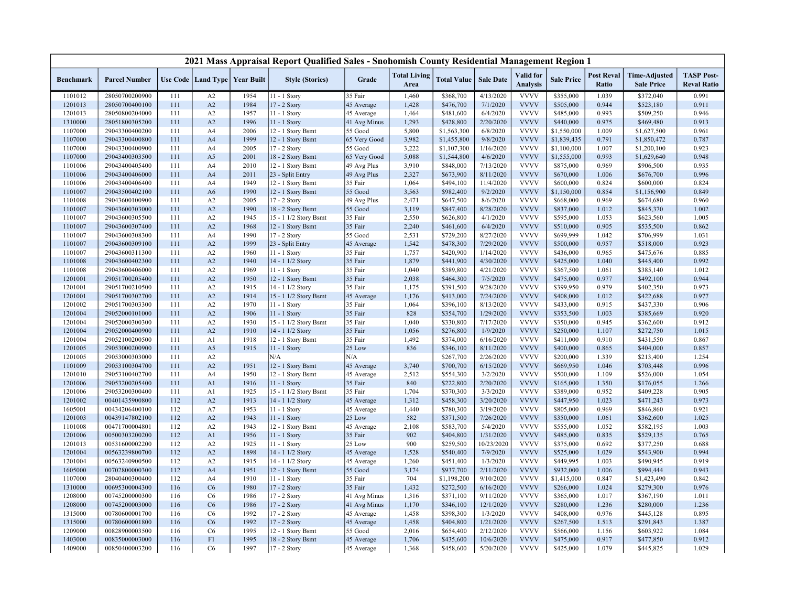|                  |                      |     |                |                                   | 2021 Mass Appraisal Report Qualified Sales - Snohomish County Residential Management Region 1 |              |                             |                    |                  |                              |                   |                            |                                           |                                         |
|------------------|----------------------|-----|----------------|-----------------------------------|-----------------------------------------------------------------------------------------------|--------------|-----------------------------|--------------------|------------------|------------------------------|-------------------|----------------------------|-------------------------------------------|-----------------------------------------|
| <b>Benchmark</b> | <b>Parcel Number</b> |     |                | Use Code   Land Type   Year Built | <b>Style (Stories)</b>                                                                        | Grade        | <b>Total Living</b><br>Area | <b>Total Value</b> | <b>Sale Date</b> | Valid for<br><b>Analysis</b> | <b>Sale Price</b> | <b>Post Reval</b><br>Ratio | <b>Time-Adjusted</b><br><b>Sale Price</b> | <b>TASP Post-</b><br><b>Reval Ratio</b> |
| 1101012          | 28050700200900       | 111 | A2             | 1954                              | 11 - 1 Story                                                                                  | 35 Fair      | 1,460                       | \$368,700          | 4/13/2020        | <b>VVVV</b>                  | \$355,000         | 1.039                      | \$372,040                                 | 0.991                                   |
| 1201013          | 28050700400100       | 111 | A2             | 1984                              | 17 - 2 Story                                                                                  | 45 Average   | 1,428                       | \$476,700          | 7/1/2020         | <b>VVVV</b>                  | \$505,000         | 0.944                      | \$523,180                                 | 0.911                                   |
| 1201013          | 28050800204000       | 111 | A2             | 1957                              | 11 - 1 Story                                                                                  | 45 Average   | 1,464                       | \$481,600          | 6/4/2020         | <b>VVVV</b>                  | \$485,000         | 0.993                      | \$509,250                                 | 0.946                                   |
| 1310000          | 28051800305200       | 111 | A2             | 1996                              | 11 - 1 Story                                                                                  | 41 Avg Minus | 1,293                       | \$428,800          | 2/20/2020        | <b>VVVV</b>                  | \$440,000         | 0.975                      | \$469,480                                 | 0.913                                   |
| 1107000          | 29043300400200       | 111 | A4             | 2006                              | 12 - 1 Story Bsmt                                                                             | 55 Good      | 5,800                       | \$1,563,300        | 6/8/2020         | <b>VVVV</b>                  | \$1,550,000       | 1.009                      | \$1,627,500                               | 0.961                                   |
| 1107000          | 29043300400800       | 111 | A <sub>4</sub> | 1999                              | 12 - 1 Story Bsmt                                                                             | 65 Very Good | 3,982                       | \$1,455,800        | 9/8/2020         | <b>VVVV</b>                  | \$1,839,435       | 0.791                      | \$1,850,472                               | 0.787                                   |
| 1107000          | 29043300400900       | 111 | A4             | 2005                              | 17 - 2 Story                                                                                  | 55 Good      | 3,222                       | \$1,107,300        | 1/16/2020        | <b>VVVV</b>                  | \$1,100,000       | 1.007                      | \$1,200,100                               | 0.923                                   |
| 1107000          | 29043400303500       | 111 | A <sub>5</sub> | 2001                              | 18 - 2 Story Bsmt                                                                             | 65 Very Good | 5,088                       | \$1,544,800        | 4/6/2020         | <b>VVVV</b>                  | \$1,555,000       | 0.993                      | \$1,629,640                               | 0.948                                   |
| 1101006          | 29043400405400       | 111 | A4             | 2010                              | 12 - 1 Story Bsmt                                                                             | 49 Avg Plus  | 3,910                       | \$848,000          | 7/13/2020        | <b>VVVV</b>                  | \$875,000         | 0.969                      | \$906,500                                 | 0.935                                   |
| 1101006          | 29043400406000       | 111 | A <sub>4</sub> | 2011                              | 23 - Split Entry                                                                              | 49 Avg Plus  | 2,327                       | \$673,900          | 8/11/2020        | <b>VVVV</b>                  | \$670,000         | 1.006                      | \$676,700                                 | 0.996                                   |
| 1101006          | 29043400406400       | 111 | A <sub>4</sub> | 1949                              | 12 - 1 Story Bsmt                                                                             | 35 Fair      | 1,064                       | \$494,100          | 11/4/2020        | <b>VVVV</b>                  | \$600,000         | 0.824                      | \$600,000                                 | 0.824                                   |
| 1101007          | 29043500402100       | 111 | A <sub>6</sub> | 1990                              | 12 - 1 Story Bsmt                                                                             | 55 Good      | 3,563                       | \$982,400          | 9/2/2020         | <b>VVVV</b>                  | \$1,150,000       | 0.854                      | \$1,156,900                               | 0.849                                   |
| 1101008          | 29043600100900       | 111 | A2             | 2005                              | 17 - 2 Story                                                                                  | 49 Avg Plus  | 2,471                       | \$647,500          | 8/6/2020         | <b>VVVV</b>                  | \$668,000         | 0.969                      | \$674,680                                 | 0.960                                   |
| 1101007          | 29043600303000       | 111 | A2             | 1990                              | 18 - 2 Story Bsmt                                                                             | 55 Good      | 3,119                       | \$847,400          | 8/28/2020        | <b>VVVV</b>                  | \$837,000         | 1.012                      | \$845,370                                 | 1.002                                   |
| 1101007          | 29043600305500       | 111 | A2             | 1945                              | 15 - 1 1/2 Story Bsmt                                                                         | 35 Fair      | 2,550                       | \$626,800          | 4/1/2020         | <b>VVVV</b>                  | \$595,000         | 1.053                      | \$623,560                                 | 1.005                                   |
| 1101007          | 29043600307400       | 111 | A2             | 1968                              | 12 - 1 Story Bsmt                                                                             | 35 Fair      | 2,240                       | \$461,600          | 6/4/2020         | <b>VVVV</b>                  | \$510,000         | 0.905                      | \$535,500                                 | 0.862                                   |
| 1101007          | 29043600308300       | 111 | A4             | 1990                              | 17 - 2 Story                                                                                  | 55 Good      | 2,531                       | \$729,200          | 8/27/2020        | <b>VVVV</b>                  | \$699,999         | 1.042                      | \$706,999                                 | 1.031                                   |
| 1101007          | 29043600309100       | 111 | A2             | 1999                              | 23 - Split Entry                                                                              | 45 Average   | 1,542                       | \$478,300          | 7/29/2020        | <b>VVVV</b>                  | \$500,000         | 0.957                      | \$518,000                                 | 0.923                                   |
| 1101007          | 29043600311300       | 111 | A2             | 1960                              | 11 - 1 Story                                                                                  | 35 Fair      | 1,757                       | \$420,900          | 1/14/2020        | <b>VVVV</b>                  | \$436,000         | 0.965                      | \$475,676                                 | 0.885                                   |
| 1101008          | 29043600402300       | 111 | A2             | 1940                              | 14 - 1 1/2 Story                                                                              | 35 Fair      | 1,879                       | \$441,900          | 4/30/2020        | <b>VVVV</b>                  | \$425,000         | 1.040                      | \$445,400                                 | 0.992                                   |
| 1101008          | 29043600406000       | 111 | A2             | 1969                              | 11 - 1 Story                                                                                  | 35 Fair      | 1,040                       | \$389,800          | 4/21/2020        | <b>VVVV</b>                  | \$367,500         | 1.061                      | \$385,140                                 | 1.012                                   |
| 1201001          | 29051700205400       | 111 | A2             | 1950                              | 12 - 1 Story Bsmt                                                                             | 35 Fair      | 2,038                       | \$464,300          | 7/5/2020         | <b>VVVV</b>                  | \$475,000         | 0.977                      | \$492,100                                 | 0.944                                   |
| 1201001          | 29051700210500       | 111 | A2             | 1915                              | 14 - 1 1/2 Story                                                                              | 35 Fair      | 1,175                       | \$391,500          | 9/28/2020        | <b>VVVV</b>                  | \$399,950         | 0.979                      | \$402,350                                 | 0.973                                   |
| 1201001          | 29051700302700       | 111 | A2             | 1914                              | 15 - 1 1/2 Story Bsmt                                                                         | 45 Average   | 1,176                       | \$413,000          | 7/24/2020        | <b>VVVV</b>                  | \$408,000         | 1.012                      | \$422,688                                 | 0.977                                   |
| 1201002          | 29051700303300       | 111 | A2             | 1970                              | 11 - 1 Story                                                                                  | 35 Fair      | 1,064                       | \$396,100          | 8/13/2020        | <b>VVVV</b>                  | \$433,000         | 0.915                      | \$437,330                                 | 0.906                                   |
| 1201004          | 29052000101000       | 111 | A2             | 1906                              | 11 - 1 Story                                                                                  | 35 Fair      | 828                         | \$354,700          | 1/29/2020        | <b>VVVV</b>                  | \$353,500         | 1.003                      | \$385,669                                 | 0.920                                   |
| 1201004          | 29052000300300       | 111 | A2             | 1930                              | 15 - 1 1/2 Story Bsmt                                                                         | 35 Fair      | 1,040                       | \$330,800          | 7/17/2020        | <b>VVVV</b>                  | \$350,000         | 0.945                      | \$362,600                                 | 0.912                                   |
| 1201004          | 29052000400900       | 111 | A2             | 1910                              | 14 - 1 1/2 Story                                                                              | 35 Fair      | 1,056                       | \$276,800          | 1/9/2020         | <b>VVVV</b>                  | \$250,000         | 1.107                      | \$272,750                                 | 1.015                                   |
| 1201004          | 29052100200500       | 111 | A1             | 1918                              | 12 - 1 Story Bsmt                                                                             | 35 Fair      | 1,492                       | \$374,000          | 6/16/2020        | <b>VVVV</b>                  | \$411,000         | 0.910                      | \$431,550                                 | 0.867                                   |
| 1201005          | 29053000200900       | 111 | A <sub>5</sub> | 1915                              | 11 - 1 Story                                                                                  | 25 Low       | 836                         | \$346,100          | 8/11/2020        | <b>VVVV</b>                  | \$400,000         | 0.865                      | \$404,000                                 | 0.857                                   |
| 1201005          | 29053000303000       | 111 | A2             |                                   | N/A                                                                                           | N/A          |                             | \$267,700          | 2/26/2020        | <b>VVVV</b>                  | \$200,000         | 1.339                      | \$213,400                                 | 1.254                                   |
| 1101009          | 29053100304700       | 111 | A2             | 1951                              | 12 - 1 Story Bsmt                                                                             | 45 Average   | 3,740                       | \$700,700          | 6/15/2020        | <b>VVVV</b>                  | \$669,950         | 1.046                      | \$703,448                                 | 0.996                                   |
| 1201010          | 29053100402700       | 111 | A4             | 1950                              | 12 - 1 Story Bsmt                                                                             | 45 Average   | 2,512                       | \$554,300          | 3/2/2020         | <b>VVVV</b>                  | \$500,000         | 1.109                      | \$526,000                                 | 1.054                                   |
| 1201006          | 29053200205400       | 111 | A <sub>1</sub> | 1916                              | 11 - 1 Story                                                                                  | 35 Fair      | 840                         | \$222,800          | 2/20/2020        | <b>VVVV</b>                  | \$165,000         | 1.350                      | \$176,055                                 | 1.266                                   |
| 1201006          | 29053200300400       | 111 | A <sub>1</sub> | 1925                              | 15 - 1 1/2 Story Bsmt                                                                         | 35 Fair      | 1,704                       | \$370,300          | 3/3/2020         | <b>VVVV</b>                  | \$389,000         | 0.952                      | \$409,228                                 | 0.905                                   |
| 1201002          | 00401435900800       | 112 | A2             | 1913                              | 14 - 1 1/2 Story                                                                              | 45 Average   | 1,312                       | \$458,300          | 3/20/2020        | <b>VVVV</b>                  | \$447,950         | 1.023                      | \$471,243                                 | 0.973                                   |
| 1605001          | 00434206400100       | 112 | A7             | 1953                              | 11 - 1 Story                                                                                  | 45 Average   | 1,440                       | \$780,300          | 3/19/2020        | <b>VVVV</b>                  | \$805,000         | 0.969                      | \$846,860                                 | 0.921                                   |
| 1201003          | 00439147802100       | 112 | A2             | 1943                              | 11 - 1 Story                                                                                  | 25 Low       | 582                         | \$371,500          | 7/26/2020        | <b>VVVV</b>                  | \$350,000         | 1.061                      | \$362,600                                 | 1.025                                   |
| 1101008          | 00471700004801       | 112 | A2             | 1943                              | 12 - 1 Story Bsmt                                                                             | 45 Average   | 2,108                       | \$583,700          | 5/4/2020         | <b>VVVV</b>                  | \$555,000         | 1.052                      | \$582,195                                 | 1.003                                   |
| 1201006          | 00500303200200       | 112 | A <sub>1</sub> | 1956                              | 11 - 1 Story                                                                                  | 35 Fair      | 902                         | \$404,800          | 1/31/2020        | <b>VVVV</b>                  | \$485,000         | 0.835                      | \$529,135                                 | 0.765                                   |
| 1201013          | 00531600002200       | 112 | A2             | 1925                              | 11 - 1 Story                                                                                  | 25 Low       | 900                         | \$259,500          | 10/23/2020       | <b>VVVV</b>                  | \$375,000         | 0.692                      | \$377,250                                 | 0.688                                   |
| 1201004          | 00563239800700       | 112 | A2             | 1898                              | 14 - 1 1/2 Story                                                                              | 45 Average   | 1,528                       | \$540,400          | 7/9/2020         | <b>VVVV</b>                  | \$525,000         | 1.029                      | \$543,900                                 | 0.994                                   |
| 1201004          | 00563240900500       | 112 | A2             | 1915                              | 14 - 1 1/2 Story                                                                              | 45 Average   | 1,260                       | \$451,400          | 1/3/2020         | <b>VVVV</b>                  | \$449,995         | 1.003                      | \$490,945                                 | 0.919                                   |
| 1605000          | 00702800000300       | 112 | A <sub>4</sub> | 1951                              | 12 - 1 Story Bsmt                                                                             | 55 Good      | 3,174                       | \$937,700          | 2/11/2020        | <b>VVVV</b>                  | \$932,000         | 1.006                      | \$994,444                                 | 0.943                                   |
| 1107000          | 28040400300400       | 112 | A4             | 1910                              | 11 - 1 Story                                                                                  | 35 Fair      | 704                         | \$1,198,200        | 9/10/2020        | <b>VVVV</b>                  | \$1,415,000       | 0.847                      | \$1,423,490                               | 0.842                                   |
| 1310000          | 00695300004300       | 116 | C6             | 1980                              | 17 - 2 Story                                                                                  | 35 Fair      | 1,432                       | \$272,500          | 6/16/2020        | <b>VVVV</b>                  | \$266,000         | 1.024                      | \$279,300                                 | 0.976                                   |
| 1208000          | 00745200000300       | 116 | C <sub>6</sub> | 1986                              | 17 - 2 Story                                                                                  | 41 Avg Minus | 1,316                       | \$371,100          | 9/11/2020        | <b>VVVV</b>                  | \$365,000         | 1.017                      | \$367,190                                 | 1.011                                   |
| 1208000          | 00745200003000       | 116 | C6             | 1986                              | 17 - 2 Story                                                                                  | 41 Avg Minus | 1,170                       | \$346,100          | 12/1/2020        | <b>VVVV</b>                  | \$280,000         | 1.236                      | \$280,000                                 | 1.236                                   |
| 1315000          | 00780600001700       | 116 | C <sub>6</sub> | 1992                              | 17 - 2 Story                                                                                  | 45 Average   | 1,458                       | \$398,300          | 1/3/2020         | <b>VVVV</b>                  | \$408,000         | 0.976                      | \$445,128                                 | 0.895                                   |
| 1315000          | 00780600001800       | 116 | C6             | 1992                              | $17 - 2$ Story                                                                                | 45 Average   | 1,458                       | \$404,800          | 1/21/2020        | <b>VVVV</b>                  | \$267,500         | 1.513                      | \$291,843                                 | 1.387                                   |
| 1209000          | 00828900003500       | 116 | C <sub>6</sub> | 1995                              | 12 - 1 Story Bsmt                                                                             | 55 Good      | 2,016                       | \$654,400          | 2/12/2020        | <b>VVVV</b>                  | \$566,000         | 1.156                      | \$603,922                                 | 1.084                                   |
| 1403000          | 00835000003000       | 116 | F1             | 1995                              | 18 - 2 Story Bsmt                                                                             | 45 Average   | 1,706                       | \$435,600          | 10/6/2020        | <b>VVVV</b>                  | \$475,000         | 0.917                      | \$477,850                                 | 0.912                                   |
| 1409000          | 00850400003200       | 116 | C <sub>6</sub> | 1997                              | 17 - 2 Story                                                                                  | 45 Average   | 1,368                       | \$458,600          | 5/20/2020        | <b>VVVV</b>                  | \$425,000         | 1.079                      | \$445,825                                 | 1.029                                   |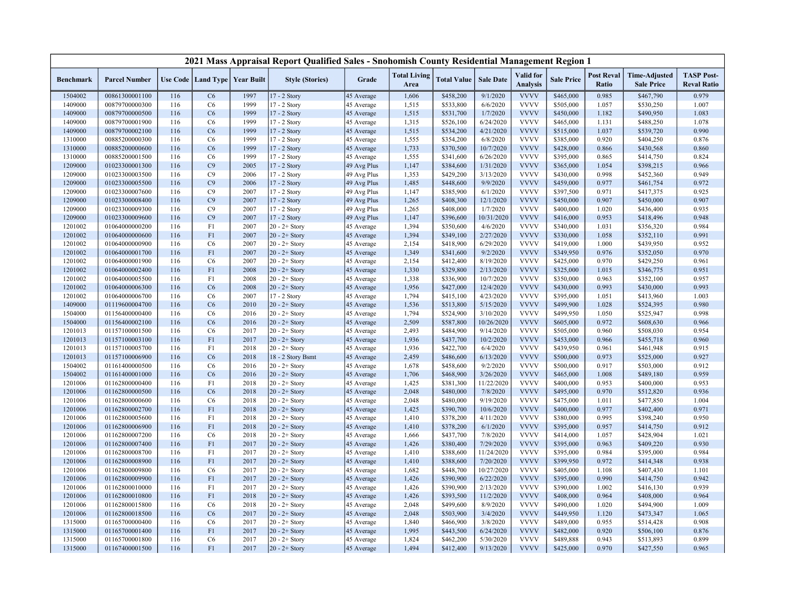|                    |                                  |            |                                   |              | 2021 Mass Appraisal Report Qualified Sales - Snohomish County Residential Management Region 1 |                          |                             |                        |                        |                              |                        |                                   |                                           |                                         |
|--------------------|----------------------------------|------------|-----------------------------------|--------------|-----------------------------------------------------------------------------------------------|--------------------------|-----------------------------|------------------------|------------------------|------------------------------|------------------------|-----------------------------------|-------------------------------------------|-----------------------------------------|
| <b>Benchmark</b>   | <b>Parcel Number</b>             |            | Use Code   Land Type   Year Built |              | <b>Style (Stories)</b>                                                                        | Grade                    | <b>Total Living</b><br>Area | <b>Total Value</b>     | <b>Sale Date</b>       | Valid for<br><b>Analysis</b> | <b>Sale Price</b>      | <b>Post Reval</b><br><b>Ratio</b> | <b>Time-Adjusted</b><br><b>Sale Price</b> | <b>TASP Post-</b><br><b>Reval Ratio</b> |
| 1504002            | 00861300001100                   | 116        | C6                                | 1997         | 17 - 2 Story                                                                                  | 45 Average               | 1,606                       | \$458,200              | 9/1/2020               | <b>VVVV</b>                  | \$465,000              | 0.985                             | \$467,790                                 | 0.979                                   |
| 1409000            | 00879700000300                   | 116        | C <sub>6</sub>                    | 1999         | 17 - 2 Story                                                                                  | 45 Average               | 1,515                       | \$533,800              | 6/6/2020               | <b>VVVV</b>                  | \$505,000              | 1.057                             | \$530,250                                 | 1.007                                   |
| 1409000            | 00879700000500                   | 116        | C6                                | 1999         | 17 - 2 Story                                                                                  | 45 Average               | 1,515                       | \$531,700              | 1/7/2020               | <b>VVVV</b>                  | \$450,000              | 1.182                             | \$490,950                                 | 1.083                                   |
| 1409000            | 00879700001900                   | 116        | C <sub>6</sub>                    | 1999         | 17 - 2 Story                                                                                  | 45 Average               | 1,315                       | \$526,100              | 6/24/2020              | <b>VVVV</b>                  | \$465,000              | 1.131                             | \$488,250                                 | 1.078                                   |
| 1409000            | 00879700002100                   | 116        | C6                                | 1999         | 17 - 2 Story                                                                                  | 45 Average               | 1,515                       | \$534,200              | 4/21/2020              | <b>VVVV</b>                  | \$515,000              | 1.037                             | \$539,720                                 | 0.990                                   |
| 1310000            | 00885200000300                   | 116        | C <sub>6</sub>                    | 1999         | 17 - 2 Story                                                                                  | 45 Average               | 1,555                       | \$354,200              | 6/8/2020               | <b>VVVV</b>                  | \$385,000              | 0.920                             | \$404,250                                 | 0.876                                   |
| 1310000            | 00885200000600                   | 116        | C6                                | 1999         | 17 - 2 Story                                                                                  | 45 Average               | 1,733                       | \$370,500              | 10/7/2020              | <b>VVVV</b>                  | \$428,000              | 0.866                             | \$430,568                                 | 0.860                                   |
| 1310000            | 00885200001500                   | 116        | C <sub>6</sub>                    | 1999         | 17 - 2 Story                                                                                  | 45 Average               | 1,555                       | \$341,600              | 6/26/2020              | <b>VVVV</b>                  | \$395,000              | 0.865                             | \$414,750                                 | 0.824                                   |
| 1209000            | 01023300001300                   | 116        | C9                                | 2005         | 17 - 2 Story                                                                                  | 49 Avg Plus              | 1,147                       | \$384,600              | 1/31/2020              | <b>VVVV</b>                  | \$365,000              | 1.054                             | \$398,215                                 | 0.966                                   |
| 1209000            | 01023300003500                   | 116        | C9                                | 2006         | 17 - 2 Story                                                                                  | 49 Avg Plus              | 1,353                       | \$429,200              | 3/13/2020              | <b>VVVV</b>                  | \$430,000              | 0.998                             | \$452,360                                 | 0.949                                   |
| 1209000            | 01023300005500                   | 116        | C9                                | 2006         | 17 - 2 Story                                                                                  | 49 Avg Plus              | 1,485                       | \$448,600              | 9/9/2020               | <b>VVVV</b>                  | \$459,000              | 0.977                             | \$461,754                                 | 0.972                                   |
| 1209000            | 01023300007600                   | 116        | C9                                | 2007         | 17 - 2 Story                                                                                  | 49 Avg Plus              | 1,147                       | \$385,900              | 6/1/2020               | <b>VVVV</b>                  | \$397,500              | 0.971                             | \$417,375                                 | 0.925                                   |
| 1209000            | 01023300008400                   | 116        | C9                                | 2007         | 17 - 2 Story                                                                                  | 49 Avg Plus              | 1,265                       | \$408,300              | 12/1/2020              | <b>VVVV</b>                  | \$450,000              | 0.907                             | \$450,000                                 | 0.907                                   |
| 1209000            | 01023300009300                   | 116        | C9                                | 2007         | 17 - 2 Story                                                                                  | 49 Avg Plus              | 1,265                       | \$408,000              | 1/7/2020               | <b>VVVV</b>                  | \$400,000              | 1.020                             | \$436,400                                 | 0.935                                   |
| 1209000            | 01023300009600                   | 116        | C9                                | 2007         | 17 - 2 Story                                                                                  | 49 Avg Plus              | 1,147                       | \$396,600              | 10/31/2020             | <b>VVVV</b>                  | \$416,000              | 0.953                             | \$418,496                                 | 0.948                                   |
| 1201002            | 01064000000200                   | 116        | F1                                | 2007         | $20 - 2 +$ Story                                                                              | 45 Average               | 1,394                       | \$350,600              | 4/6/2020               | <b>VVVV</b>                  | \$340,000              | 1.031                             | \$356,320                                 | 0.984                                   |
| 1201002            | 01064000000600                   | 116        | F1                                | 2007         | $20 - 2 +$ Story                                                                              | 45 Average               | 1,394                       | \$349,100              | 2/27/2020              | <b>VVVV</b>                  | \$330,000              | 1.058                             | \$352,110                                 | 0.991                                   |
| 1201002            | 01064000000900                   | 116        | C <sub>6</sub>                    | 2007         | $20 - 2 +$ Story                                                                              | 45 Average               | 2,154                       | \$418,900              | 6/29/2020              | <b>VVVV</b>                  | \$419,000              | 1.000                             | \$439,950                                 | 0.952                                   |
| 1201002            | 01064000001700                   | 116        | F1                                | 2007         | $20 - 2 +$ Story                                                                              | 45 Average               | 1,349                       | \$341,600              | 9/2/2020               | <b>VVVV</b>                  | \$349,950              | 0.976                             | \$352,050                                 | 0.970                                   |
| 1201002            | 01064000001900                   | 116        | C6                                | 2007         | $20 - 2 +$ Story                                                                              | 45 Average               | 2,154                       | \$412,400              | 8/19/2020              | <b>VVVV</b>                  | \$425,000              | 0.970                             | \$429,250                                 | 0.961                                   |
| 1201002            | 01064000002400                   | 116        | F1                                | 2008         | $20 - 2 +$ Story                                                                              | 45 Average               | 1,330                       | \$329,800              | 2/13/2020              | <b>VVVV</b>                  | \$325,000              | 1.015                             | \$346,775                                 | 0.951                                   |
| 1201002            | 01064000005500                   | 116        | F1                                | 2008         | $20 - 2 +$ Story                                                                              | 45 Average               | 1,338                       | \$336,900              | 10/7/2020              | <b>VVVV</b>                  | \$350,000              | 0.963                             | \$352,100                                 | 0.957                                   |
| 1201002            | 01064000006300                   | 116        | C6                                | 2008         | $20 - 2 +$ Story                                                                              | 45 Average               | 1,956                       | \$427,000              | 12/4/2020              | <b>VVVV</b>                  | \$430,000              | 0.993                             | \$430,000                                 | 0.993                                   |
| 1201002            | 01064000006700                   | 116        | C <sub>6</sub>                    | 2007         | 17 - 2 Story                                                                                  | 45 Average               | 1,794                       | \$415,100              | 4/23/2020              | <b>VVVV</b><br><b>VVVV</b>   | \$395,000              | 1.051                             | \$413,960                                 | 1.003                                   |
| 1409000            | 01119600004700<br>01156400000400 | 116<br>116 | C6<br>C6                          | 2010<br>2016 | $20 - 2 +$ Story                                                                              | 45 Average               | 1,536<br>1,794              | \$513,800<br>\$524,900 | 5/15/2020<br>3/10/2020 | <b>VVVV</b>                  | \$499,900<br>\$499,950 | 1.028<br>1.050                    | \$524,395<br>\$525,947                    | 0.980<br>0.998                          |
| 1504000<br>1504000 | 01156400002100                   | 116        | C6                                | 2016         | $20 - 2 +$ Story<br>$20 - 2 +$ Story                                                          | 45 Average<br>45 Average | 2,509                       | \$587,800              | 10/26/2020             | <b>VVVV</b>                  | \$605,000              | 0.972                             | \$608,630                                 | 0.966                                   |
| 1201013            | 01157100001500                   | 116        | C <sub>6</sub>                    | 2017         | $20 - 2 +$ Story                                                                              | 45 Average               | 2,493                       | \$484,900              | 9/14/2020              | <b>VVVV</b>                  | \$505,000              | 0.960                             | \$508,030                                 | 0.954                                   |
| 1201013            | 01157100003100                   | 116        | F1                                | 2017         | $20 - 2 +$ Story                                                                              | 45 Average               | 1,936                       | \$437,700              | 10/2/2020              | <b>VVVV</b>                  | \$453,000              | 0.966                             | \$455,718                                 | 0.960                                   |
| 1201013            | 01157100005700                   | 116        | F1                                | 2018         | $20 - 2 +$ Story                                                                              | 45 Average               | 1,936                       | \$422,700              | 6/4/2020               | <b>VVVV</b>                  | \$439,950              | 0.961                             | \$461,948                                 | 0.915                                   |
| 1201013            | 01157100006900                   | 116        | C6                                | 2018         | 18 - 2 Story Bsmt                                                                             | 45 Average               | 2,459                       | \$486,600              | 6/13/2020              | <b>VVVV</b>                  | \$500,000              | 0.973                             | \$525,000                                 | 0.927                                   |
| 1504002            | 01161400000500                   | 116        | C <sub>6</sub>                    | 2016         | $20 - 2 +$ Story                                                                              | 45 Average               | 1,678                       | \$458,600              | 9/2/2020               | <b>VVVV</b>                  | \$500,000              | 0.917                             | \$503,000                                 | 0.912                                   |
| 1504002            | 01161400001000                   | 116        | C6                                | 2016         | $20 - 2 +$ Story                                                                              | 45 Average               | 1,706                       | \$468,900              | 3/26/2020              | <b>VVVV</b>                  | \$465,000              | 1.008                             | \$489,180                                 | 0.959                                   |
| 1201006            | 01162800000400                   | 116        | F1                                | 2018         | $20 - 2 +$ Story                                                                              | 45 Average               | 1,425                       | \$381,300              | 11/22/2020             | <b>VVVV</b>                  | \$400,000              | 0.953                             | \$400,000                                 | 0.953                                   |
| 1201006            | 01162800000500                   | 116        | C6                                | 2018         | $20 - 2 +$ Story                                                                              | 45 Average               | 2,048                       | \$480,000              | 7/8/2020               | <b>VVVV</b>                  | \$495,000              | 0.970                             | \$512,820                                 | 0.936                                   |
| 1201006            | 01162800000600                   | 116        | C <sub>6</sub>                    | 2018         | $20 - 2 +$ Story                                                                              | 45 Average               | 2,048                       | \$480,000              | 9/19/2020              | <b>VVVV</b>                  | \$475,000              | 1.011                             | \$477,850                                 | 1.004                                   |
| 1201006            | 01162800002700                   | 116        | F1                                | 2018         | $20 - 2 +$ Story                                                                              | 45 Average               | 1,425                       | \$390,700              | 10/6/2020              | <b>VVVV</b>                  | \$400,000              | 0.977                             | \$402,400                                 | 0.971                                   |
| 1201006            | 01162800005600                   | 116        | F1                                | 2018         | $20 - 2 +$ Story                                                                              | 45 Average               | 1,410                       | \$378,200              | 4/11/2020              | <b>VVVV</b>                  | \$380,000              | 0.995                             | \$398,240                                 | 0.950                                   |
| 1201006            | 01162800006900                   | 116        | F1                                | 2018         | $20 - 2 +$ Story                                                                              | 45 Average               | 1,410                       | \$378,200              | 6/1/2020               | <b>VVVV</b>                  | \$395,000              | 0.957                             | \$414,750                                 | 0.912                                   |
| 1201006            | 01162800007200                   | 116        | C <sub>6</sub>                    | 2018         | $20 - 2 +$ Story                                                                              | 45 Average               | 1,666                       | \$437,700              | 7/8/2020               | <b>VVVV</b>                  | \$414,000              | 1.057                             | \$428,904                                 | 1.021                                   |
| 1201006            | 01162800007400                   | 116        | F1                                | 2017         | $20 - 2 +$ Story                                                                              | 45 Average               | 1,426                       | \$380,400              | 7/29/2020              | <b>VVVV</b>                  | \$395,000              | 0.963                             | \$409,220                                 | 0.930                                   |
| 1201006            | 01162800008700                   | 116        | F1                                | 2017         | $20 - 2 +$ Story                                                                              | 45 Average               | 1,410                       | \$388,600              | 11/24/2020             | <b>VVVV</b>                  | \$395,000              | 0.984                             | \$395,000                                 | 0.984                                   |
| 1201006            | 01162800008900                   | 116        | F1                                | 2017         | $20 - 2 +$ Story                                                                              | 45 Average               | 1,410                       | \$388,600              | 7/20/2020              | <b>VVVV</b>                  | \$399,950              | 0.972                             | \$414,348                                 | 0.938                                   |
| 1201006            | 01162800009800                   | 116        | C <sub>6</sub>                    | 2017         | $20 - 2 +$ Story                                                                              | 45 Average               | 1,682                       | \$448,700              | 10/27/2020             | <b>VVVV</b>                  | \$405,000              | 1.108                             | \$407,430                                 | 1.101                                   |
| 1201006            | 01162800009900                   | 116        | F1                                | 2017         | $20 - 2 +$ Story                                                                              | 45 Average               | 1,426                       | \$390,900              | 6/22/2020              | <b>VVVV</b>                  | \$395,000              | 0.990                             | \$414,750                                 | 0.942                                   |
| 1201006            | 01162800010000                   | 116        | F1                                | 2017         | $20 - 2 +$ Story                                                                              | 45 Average               | 1,426                       | \$390,900              | 2/13/2020              | <b>VVVV</b>                  | \$390,000              | 1.002                             | \$416,130                                 | 0.939                                   |
| 1201006            | 01162800010800                   | 116        | F1                                | 2018         | $20 - 2 +$ Story                                                                              | 45 Average               | 1,426                       | \$393,500              | 11/2/2020              | <b>VVVV</b>                  | \$408,000              | 0.964                             | \$408,000                                 | 0.964                                   |
| 1201006            | 01162800015800                   | 116        | C <sub>6</sub>                    | 2018         | $20 - 2 +$ Story                                                                              | 45 Average               | 2,048                       | \$499,600              | 8/9/2020               | <b>VVVV</b>                  | \$490,000              | 1.020                             | \$494,900                                 | 1.009                                   |
| 1201006            | 01162800018500                   | 116        | C6                                | 2017         | $20 - 2 +$ Story                                                                              | 45 Average               | 2,048                       | \$503,900              | 3/4/2020               | <b>VVVV</b>                  | \$449,950              | 1.120                             | \$473,347                                 | 1.065                                   |
| 1315000            | 01165700000400                   | 116        | C <sub>6</sub>                    | 2017         | $20 - 2 +$ Story                                                                              | 45 Average               | 1,840                       | \$466,900              | 3/8/2020               | <b>VVVV</b>                  | \$489,000              | 0.955                             | \$514,428                                 | 0.908                                   |
| 1315000            | 01165700001400                   | 116        | F1                                | 2017         | $20 - 2 +$ Story                                                                              | 45 Average               | 1,995                       | \$443,500              | 6/24/2020              | <b>VVVV</b>                  | \$482,000              | 0.920                             | \$506,100                                 | 0.876                                   |
| 1315000            | 01165700001800                   | 116        | C <sub>6</sub>                    | 2017         | $20 - 2 +$ Story                                                                              | 45 Average               | 1,824                       | \$462,200              | 5/30/2020              | <b>VVVV</b>                  | \$489,888              | 0.943                             | \$513,893                                 | 0.899                                   |
| 1315000            | 01167400001500                   | 116        | F1                                | 2017         | $20 - 2 +$ Story                                                                              | 45 Average               | 1,494                       | \$412,400              | 9/13/2020              | <b>VVVV</b>                  | \$425,000              | 0.970                             | \$427,550                                 | 0.965                                   |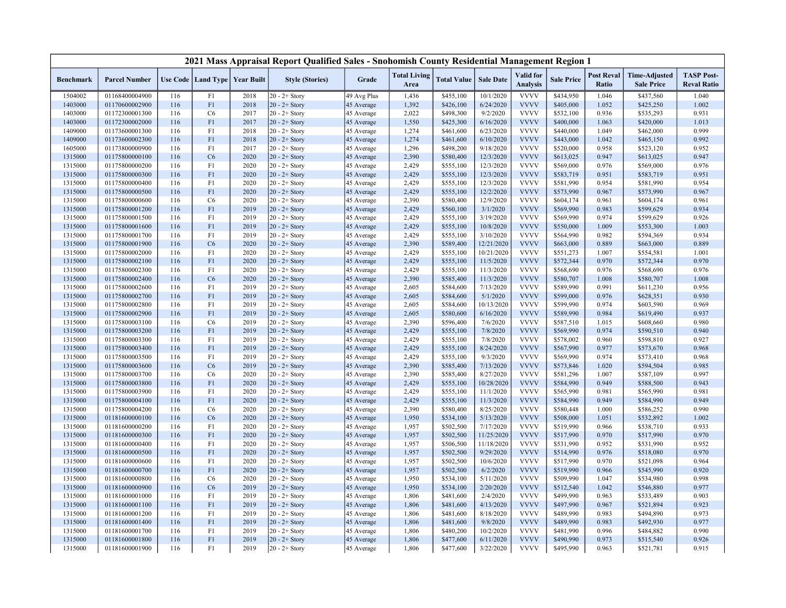|                  |                      |     |                      |                   | 2021 Mass Appraisal Report Qualified Sales - Snohomish County Residential Management Region 1 |             |                             |                    |                  |                                     |                   |                            |                                           |                                         |
|------------------|----------------------|-----|----------------------|-------------------|-----------------------------------------------------------------------------------------------|-------------|-----------------------------|--------------------|------------------|-------------------------------------|-------------------|----------------------------|-------------------------------------------|-----------------------------------------|
| <b>Benchmark</b> | <b>Parcel Number</b> |     | Use Code   Land Type | <b>Year Built</b> | <b>Style (Stories)</b>                                                                        | Grade       | <b>Total Living</b><br>Area | <b>Total Value</b> | <b>Sale Date</b> | <b>Valid</b> for<br><b>Analysis</b> | <b>Sale Price</b> | <b>Post Reval</b><br>Ratio | <b>Time-Adjusted</b><br><b>Sale Price</b> | <b>TASP Post-</b><br><b>Reval Ratio</b> |
| 1504002          | 01168400004900       | 116 | F1                   | 2018              | $20 - 2 +$ Story                                                                              | 49 Avg Plus | 1,436                       | \$455,100          | 10/1/2020        | <b>VVVV</b>                         | \$434,950         | 1.046                      | \$437,560                                 | 1.040                                   |
| 1403000          | 01170600002900       | 116 | F1                   | 2018              | $20 - 2 +$ Story                                                                              | 45 Average  | 1,392                       | \$426,100          | 6/24/2020        | <b>VVVV</b>                         | \$405,000         | 1.052                      | \$425,250                                 | 1.002                                   |
| 1403000          | 01172300001300       | 116 | C <sub>6</sub>       | 2017              | $20 - 2 +$ Story                                                                              | 45 Average  | 2,022                       | \$498,300          | 9/2/2020         | <b>VVVV</b>                         | \$532,100         | 0.936                      | \$535,293                                 | 0.931                                   |
| 1403000          | 01172300002000       | 116 | F1                   | 2017              | $20 - 2 +$ Story                                                                              | 45 Average  | 1,550                       | \$425,300          | 6/16/2020        | <b>VVVV</b>                         | \$400,000         | 1.063                      | \$420,000                                 | 1.013                                   |
| 1409000          | 01173600001300       | 116 | F1                   | 2018              | $20 - 2 +$ Story                                                                              | 45 Average  | 1,274                       | \$461,600          | 6/23/2020        | <b>VVVV</b>                         | \$440,000         | 1.049                      | \$462,000                                 | 0.999                                   |
| 1409000          | 01173600002300       | 116 | F1                   | 2018              | $20 - 2 +$ Story                                                                              | 45 Average  | 1,274                       | \$461,600          | 6/10/2020        | <b>VVVV</b>                         | \$443,000         | 1.042                      | \$465,150                                 | 0.992                                   |
| 1605000          | 01173800000900       | 116 | F1                   | 2017              | $20 - 2 +$ Story                                                                              | 45 Average  | 1,296                       | \$498,200          | 9/18/2020        | <b>VVVV</b>                         | \$520,000         | 0.958                      | \$523,120                                 | 0.952                                   |
| 1315000          | 01175800000100       | 116 | C6                   | 2020              | $20 - 2 +$ Story                                                                              | 45 Average  | 2,390                       | \$580,400          | 12/3/2020        | <b>VVVV</b>                         | \$613,025         | 0.947                      | \$613,025                                 | 0.947                                   |
| 1315000          | 01175800000200       | 116 | F1                   | 2020              | $20 - 2 +$ Story                                                                              | 45 Average  | 2,429                       | \$555,100          | 12/3/2020        | <b>VVVV</b>                         | \$569,000         | 0.976                      | \$569,000                                 | 0.976                                   |
| 1315000          | 01175800000300       | 116 | F1                   | 2020              | $20 - 2 +$ Story                                                                              | 45 Average  | 2,429                       | \$555,100          | 12/3/2020        | <b>VVVV</b>                         | \$583,719         | 0.951                      | \$583,719                                 | 0.951                                   |
| 1315000          | 01175800000400       | 116 | F1                   | 2020              | $20 - 2 +$ Story                                                                              | 45 Average  | 2,429                       | \$555,100          | 12/3/2020        | <b>VVVV</b>                         | \$581,990         | 0.954                      | \$581,990                                 | 0.954                                   |
| 1315000          | 01175800000500       | 116 | F1                   | 2020              | $20 - 2 +$ Story                                                                              | 45 Average  | 2,429                       | \$555,100          | 12/2/2020        | <b>VVVV</b>                         | \$573,990         | 0.967                      | \$573,990                                 | 0.967                                   |
| 1315000          | 01175800000600       | 116 | C6                   | 2020              | $20 - 2 +$ Story                                                                              | 45 Average  | 2,390                       | \$580,400          | 12/9/2020        | <b>VVVV</b>                         | \$604,174         | 0.961                      | \$604,174                                 | 0.961                                   |
| 1315000          | 01175800001200       | 116 | F1                   | 2019              | $20 - 2 +$ Story                                                                              | 45 Average  | 2,429                       | \$560,100          | 3/1/2020         | <b>VVVV</b>                         | \$569,990         | 0.983                      | \$599,629                                 | 0.934                                   |
| 1315000          | 01175800001500       | 116 | F1                   | 2019              | $20 - 2 +$ Story                                                                              | 45 Average  | 2,429                       | \$555,100          | 3/19/2020        | <b>VVVV</b>                         | \$569,990         | 0.974                      | \$599,629                                 | 0.926                                   |
| 1315000          | 01175800001600       | 116 | F1                   | 2019              | $20 - 2 +$ Story                                                                              | 45 Average  | 2,429                       | \$555,100          | 10/8/2020        | <b>VVVV</b>                         | \$550,000         | 1.009                      | \$553,300                                 | 1.003                                   |
| 1315000          | 01175800001700       | 116 | F1                   | 2019              | $20 - 2 +$ Story                                                                              | 45 Average  | 2,429                       | \$555,100          | 3/10/2020        | <b>VVVV</b>                         | \$564,990         | 0.982                      | \$594,369                                 | 0.934                                   |
| 1315000          | 01175800001900       | 116 | C6                   | 2020              | $20 - 2 +$ Story                                                                              | 45 Average  | 2,390                       | \$589,400          | 12/21/2020       | <b>VVVV</b>                         | \$663,000         | 0.889                      | \$663,000                                 | 0.889                                   |
| 1315000          | 01175800002000       | 116 | F1                   | 2020              | $20 - 2 +$ Story                                                                              | 45 Average  | 2,429                       | \$555,100          | 10/21/2020       | <b>VVVV</b>                         | \$551,273         | 1.007                      | \$554,581                                 | 1.001                                   |
| 1315000          | 01175800002100       | 116 | F1                   | 2020              | $20 - 2 +$ Story                                                                              | 45 Average  | 2,429                       | \$555,100          | 11/5/2020        | <b>VVVV</b>                         | \$572,344         | 0.970                      | \$572,344                                 | 0.970                                   |
| 1315000          | 01175800002300       | 116 | F1                   | 2020              | $20 - 2 +$ Story                                                                              | 45 Average  | 2,429                       | \$555,100          | 11/3/2020        | <b>VVVV</b>                         | \$568,690         | 0.976                      | \$568,690                                 | 0.976                                   |
| 1315000          | 01175800002400       | 116 | C6                   | 2020              | $20 - 2 +$ Story                                                                              | 45 Average  | 2,390                       | \$585,400          | 11/3/2020        | <b>VVVV</b>                         | \$580,707         | 1.008                      | \$580,707                                 | 1.008                                   |
| 1315000          | 01175800002600       | 116 | F1                   | 2019              | $20 - 2 +$ Story                                                                              | 45 Average  | 2,605                       | \$584,600          | 7/13/2020        | <b>VVVV</b>                         | \$589,990         | 0.991                      | \$611,230                                 | 0.956                                   |
| 1315000          | 01175800002700       | 116 | F1                   | 2019              | $20 - 2 +$ Story                                                                              | 45 Average  | 2,605                       | \$584,600          | 5/1/2020         | <b>VVVV</b>                         | \$599,000         | 0.976                      | \$628,351                                 | 0.930                                   |
| 1315000          | 01175800002800       | 116 | F1                   | 2019              | $20 - 2 +$ Story                                                                              | 45 Average  | 2,605                       | \$584,600          | 10/13/2020       | <b>VVVV</b>                         | \$599,990         | 0.974                      | \$603,590                                 | 0.969                                   |
| 1315000          | 01175800002900       | 116 | F1                   | 2019              | $20 - 2 +$ Story                                                                              | 45 Average  | 2,605                       | \$580,600          | 6/16/2020        | <b>VVVV</b>                         | \$589,990         | 0.984                      | \$619,490                                 | 0.937                                   |
| 1315000          | 01175800003100       | 116 | C <sub>6</sub>       | 2019              | $20 - 2 +$ Story                                                                              | 45 Average  | 2,390                       | \$596,400          | 7/6/2020         | <b>VVVV</b>                         | \$587,510         | 1.015                      | \$608,660                                 | 0.980                                   |
| 1315000          | 01175800003200       | 116 | F1                   | 2019              | $20 - 2 +$ Story                                                                              | 45 Average  | 2,429                       | \$555,100          | 7/8/2020         | <b>VVVV</b>                         | \$569,990         | 0.974                      | \$590,510                                 | 0.940                                   |
| 1315000          | 01175800003300       | 116 | F1                   | 2019              | $20 - 2 +$ Story                                                                              | 45 Average  | 2,429                       | \$555,100          | 7/8/2020         | <b>VVVV</b>                         | \$578,002         | 0.960                      | \$598,810                                 | 0.927                                   |
| 1315000          | 01175800003400       | 116 | F1                   | 2019              | $20 - 2 +$ Story                                                                              | 45 Average  | 2,429                       | \$555,100          | 8/24/2020        | <b>VVVV</b>                         | \$567,990         | 0.977                      | \$573,670                                 | 0.968                                   |
| 1315000          | 01175800003500       | 116 | F1                   | 2019              | $20 - 2 +$ Story                                                                              | 45 Average  | 2,429                       | \$555,100          | 9/3/2020         | <b>VVVV</b>                         | \$569,990         | 0.974                      | \$573,410                                 | 0.968                                   |
| 1315000          | 01175800003600       | 116 | C <sub>6</sub>       | 2019              | $20 - 2 +$ Story                                                                              | 45 Average  | 2,390                       | \$585,400          | 7/13/2020        | <b>VVVV</b>                         | \$573,846         | 1.020                      | \$594,504                                 | 0.985                                   |
| 1315000          | 01175800003700       | 116 | C <sub>6</sub>       | 2020              | $20 - 2 +$ Story                                                                              | 45 Average  | 2,390                       | \$585,400          | 8/27/2020        | <b>VVVV</b>                         | \$581,296         | 1.007                      | \$587,109                                 | 0.997                                   |
| 1315000          | 01175800003800       | 116 | F1                   | 2020              | $20 - 2 +$ Story                                                                              | 45 Average  | 2,429                       | \$555,100          | 10/28/2020       | <b>VVVV</b>                         | \$584,990         | 0.949                      | \$588,500                                 | 0.943                                   |
| 1315000          | 01175800003900       | 116 | F1                   | 2020              | $20 - 2 +$ Story                                                                              | 45 Average  | 2,429                       | \$555,100          | 11/1/2020        | <b>VVVV</b>                         | \$565,990         | 0.981                      | \$565,990                                 | 0.981                                   |
| 1315000          | 01175800004100       | 116 | F1                   | 2020              | $20 - 2 +$ Story                                                                              | 45 Average  | 2,429                       | \$555,100          | 11/3/2020        | <b>VVVV</b>                         | \$584,990         | 0.949                      | \$584,990                                 | 0.949                                   |
| 1315000          | 01175800004200       | 116 | C <sub>6</sub>       | 2020              | $20 - 2 +$ Story                                                                              | 45 Average  | 2,390                       | \$580,400          | 8/25/2020        | <b>VVVV</b>                         | \$580,448         | 1.000                      | \$586,252                                 | 0.990                                   |
| 1315000          | 01181600000100       | 116 | C6                   | 2020              | $20 - 2 +$ Story                                                                              | 45 Average  | 1,950                       | \$534,100          | 5/13/2020        | <b>VVVV</b>                         | \$508,000         | 1.051                      | \$532,892                                 | 1.002                                   |
| 1315000          | 01181600000200       | 116 | F1                   | 2020              | $20 - 2 +$ Story                                                                              | 45 Average  | 1,957                       | \$502,500          | 7/17/2020        | <b>VVVV</b>                         | \$519,990         | 0.966                      | \$538,710                                 | 0.933                                   |
| 1315000          | 01181600000300       | 116 | F1                   | 2020              | $20 - 2 +$ Story                                                                              | 45 Average  | 1,957                       | \$502,500          | 11/25/2020       | <b>VVVV</b>                         | \$517,990         | 0.970                      | \$517,990                                 | 0.970                                   |
| 1315000          | 01181600000400       | 116 | F1                   | 2020              | $20 - 2 +$ Story                                                                              | 45 Average  | 1,957                       | \$506,500          | 11/18/2020       | <b>VVVV</b>                         | \$531,990         | 0.952                      | \$531,990                                 | 0.952                                   |
| 1315000          | 01181600000500       | 116 | F1                   | 2020              | $20 - 2 +$ Story                                                                              | 45 Average  | 1,957                       | \$502,500          | 9/29/2020        | <b>VVVV</b>                         | \$514,990         | 0.976                      | \$518,080                                 | 0.970                                   |
| 1315000          | 01181600000600       | 116 | F1                   | 2020              | $20 - 2 +$ Story                                                                              | 45 Average  | 1,957                       | \$502,500          | 10/6/2020        | <b>VVVV</b>                         | \$517,990         | 0.970                      | \$521,098                                 | 0.964                                   |
| 1315000          | 01181600000700       | 116 | F1                   | 2020              | $20 - 2 +$ Story                                                                              | 45 Average  | 1,957                       | \$502,500          | 6/2/2020         | <b>VVVV</b>                         | \$519,990         | 0.966                      | \$545,990                                 | 0.920                                   |
| 1315000          | 01181600000800       | 116 | C <sub>6</sub>       | 2020              | $20 - 2 +$ Story                                                                              | 45 Average  | 1,950                       | \$534,100          | 5/11/2020        | <b>VVVV</b>                         | \$509,990         | 1.047                      | \$534,980                                 | 0.998                                   |
| 1315000          | 01181600000900       | 116 | C6                   | 2019              | $20 - 2 +$ Story                                                                              | 45 Average  | 1,950                       | \$534,100          | 2/20/2020        | <b>VVVV</b>                         | \$512,540         | 1.042                      | \$546,880                                 | 0.977                                   |
| 1315000          | 01181600001000       | 116 | F1                   | 2019              | $20 - 2 +$ Story                                                                              | 45 Average  | 1,806                       | \$481,600          | 2/4/2020         | <b>VVVV</b>                         | \$499,990         | 0.963                      | \$533,489                                 | 0.903                                   |
| 1315000          | 01181600001100       | 116 | F1                   | 2019              | $20 - 2 +$ Story                                                                              | 45 Average  | 1,806                       | \$481,600          | 4/13/2020        | <b>VVVV</b>                         | \$497,990         | 0.967                      | \$521,894                                 | 0.923                                   |
| 1315000          | 01181600001200       | 116 | F1                   | 2019              | $20 - 2 +$ Story                                                                              | 45 Average  | 1,806                       | \$481,600          | 8/18/2020        | <b>VVVV</b>                         | \$489,990         | 0.983                      | \$494,890                                 | 0.973                                   |
| 1315000          | 01181600001400       | 116 | F1                   | 2019              | $20 - 2 +$ Story                                                                              | 45 Average  | 1,806                       | \$481,600          | 9/8/2020         | <b>VVVV</b>                         | \$489,990         | 0.983                      | \$492,930                                 | 0.977                                   |
| 1315000          | 01181600001700       | 116 | F1                   | 2019              | $20 - 2 +$ Story                                                                              | 45 Average  | 1,806                       | \$480,200          | 10/2/2020        | <b>VVVV</b>                         | \$481,990         | 0.996                      | \$484,882                                 | 0.990                                   |
| 1315000          | 01181600001800       | 116 | F1                   | 2019              | $20 - 2 +$ Story                                                                              | 45 Average  | 1,806                       | \$477,600          | 6/11/2020        | <b>VVVV</b>                         | \$490,990         | 0.973                      | \$515,540                                 | 0.926                                   |
| 1315000          | 01181600001900       | 116 | F1                   | 2019              | $20 - 2 +$ Story                                                                              | 45 Average  | 1,806                       | \$477,600          | 3/22/2020        | <b>VVVV</b>                         | \$495,990         | 0.963                      | \$521,781                                 | 0.915                                   |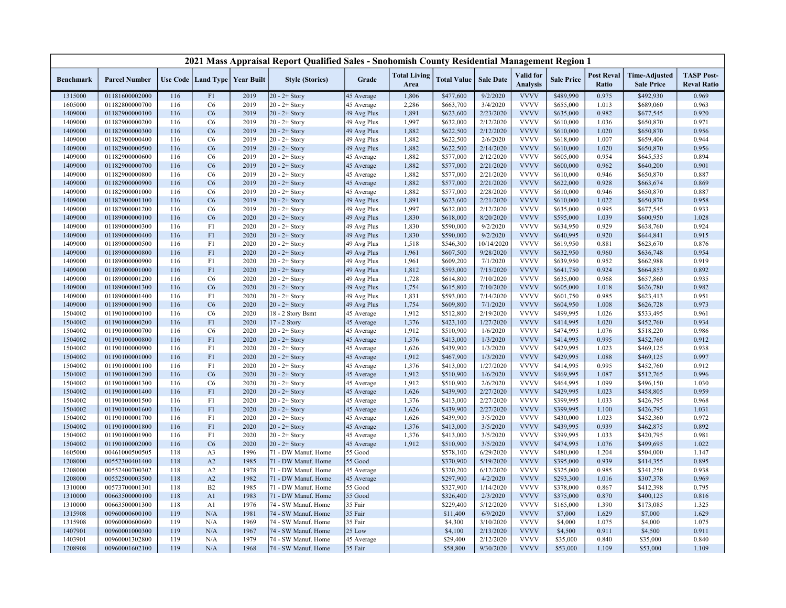|                  |                      |     |                |                                   | 2021 Mass Appraisal Report Qualified Sales - Snohomish County Residential Management Region 1 |             |                             |                    |                  |                                     |                   |                            |                                           |                                         |
|------------------|----------------------|-----|----------------|-----------------------------------|-----------------------------------------------------------------------------------------------|-------------|-----------------------------|--------------------|------------------|-------------------------------------|-------------------|----------------------------|-------------------------------------------|-----------------------------------------|
| <b>Benchmark</b> | <b>Parcel Number</b> |     |                | Use Code   Land Type   Year Built | <b>Style (Stories)</b>                                                                        | Grade       | <b>Total Living</b><br>Area | <b>Total Value</b> | <b>Sale Date</b> | <b>Valid</b> for<br><b>Analysis</b> | <b>Sale Price</b> | <b>Post Reval</b><br>Ratio | <b>Time-Adjusted</b><br><b>Sale Price</b> | <b>TASP Post-</b><br><b>Reval Ratio</b> |
| 1315000          | 01181600002000       | 116 | F1             | 2019                              | $20 - 2 +$ Story                                                                              | 45 Average  | 1,806                       | \$477,600          | 9/2/2020         | <b>VVVV</b>                         | \$489,990         | 0.975                      | \$492,930                                 | 0.969                                   |
| 1605000          | 01182800000700       | 116 | C <sub>6</sub> | 2019                              | $20 - 2 +$ Story                                                                              | 45 Average  | 2,286                       | \$663,700          | 3/4/2020         | <b>VVVV</b>                         | \$655,000         | 1.013                      | \$689,060                                 | 0.963                                   |
| 1409000          | 01182900000100       | 116 | C <sub>6</sub> | 2019                              | $20 - 2 +$ Story                                                                              | 49 Avg Plus | 1,891                       | \$623,600          | 2/23/2020        | <b>VVVV</b>                         | \$635,000         | 0.982                      | \$677,545                                 | 0.920                                   |
| 1409000          | 01182900000200       | 116 | C <sub>6</sub> | 2019                              | $20 - 2 +$ Story                                                                              | 49 Avg Plus | 1,997                       | \$632,000          | 2/12/2020        | <b>VVVV</b>                         | \$610,000         | 1.036                      | \$650,870                                 | 0.971                                   |
| 1409000          | 01182900000300       | 116 | C <sub>6</sub> | 2019                              | $20 - 2 +$ Story                                                                              | 49 Avg Plus | 1,882                       | \$622,500          | 2/12/2020        | <b>VVVV</b>                         | \$610,000         | 1.020                      | \$650,870                                 | 0.956                                   |
| 1409000          | 01182900000400       | 116 | C6             | 2019                              | $20 - 2 +$ Story                                                                              | 49 Avg Plus | 1,882                       | \$622,500          | 2/6/2020         | <b>VVVV</b>                         | \$618,000         | 1.007                      | \$659,406                                 | 0.944                                   |
| 1409000          | 01182900000500       | 116 | C <sub>6</sub> | 2019                              | $20 - 2 +$ Story                                                                              | 49 Avg Plus | 1,882                       | \$622,500          | 2/14/2020        | <b>VVVV</b>                         | \$610,000         | 1.020                      | \$650,870                                 | 0.956                                   |
| 1409000          | 01182900000600       | 116 | C <sub>6</sub> | 2019                              | $20 - 2 +$ Story                                                                              | 45 Average  | 1,882                       | \$577,000          | 2/12/2020        | <b>VVVV</b>                         | \$605,000         | 0.954                      | \$645,535                                 | 0.894                                   |
| 1409000          | 01182900000700       | 116 | C <sub>6</sub> | 2019                              | $20 - 2 +$ Story                                                                              | 45 Average  | 1,882                       | \$577,000          | 2/21/2020        | <b>VVVV</b>                         | \$600,000         | 0.962                      | \$640,200                                 | 0.901                                   |
| 1409000          | 01182900000800       | 116 | C <sub>6</sub> | 2019                              | $20 - 2 +$ Story                                                                              | 45 Average  | 1,882                       | \$577,000          | 2/21/2020        | <b>VVVV</b>                         | \$610,000         | 0.946                      | \$650,870                                 | 0.887                                   |
| 1409000          | 01182900000900       | 116 | C <sub>6</sub> | 2019                              | $20 - 2 +$ Story                                                                              | 45 Average  | 1,882                       | \$577,000          | 2/21/2020        | <b>VVVV</b>                         | \$622,000         | 0.928                      | \$663,674                                 | 0.869                                   |
| 1409000          | 01182900001000       | 116 | C <sub>6</sub> | 2019                              | $20 - 2 +$ Story                                                                              | 45 Average  | 1,882                       | \$577,000          | 2/28/2020        | <b>VVVV</b>                         | \$610,000         | 0.946                      | \$650,870                                 | 0.887                                   |
| 1409000          | 01182900001100       | 116 | C <sub>6</sub> | 2019                              | $20 - 2 +$ Story                                                                              | 49 Avg Plus | 1,891                       | \$623,600          | 2/21/2020        | <b>VVVV</b>                         | \$610,000         | 1.022                      | \$650,870                                 | 0.958                                   |
| 1409000          | 01182900001200       | 116 | C6             | 2019                              | $20 - 2 +$ Story                                                                              | 49 Avg Plus | 1,997                       | \$632,000          | 2/12/2020        | <b>VVVV</b>                         | \$635,000         | 0.995                      | \$677,545                                 | 0.933                                   |
| 1409000          | 01189000000100       | 116 | C <sub>6</sub> | 2020                              | $20 - 2 +$ Story                                                                              | 49 Avg Plus | 1,830                       | \$618,000          | 8/20/2020        | <b>VVVV</b>                         | \$595,000         | 1.039                      | \$600,950                                 | 1.028                                   |
| 1409000          | 01189000000300       | 116 | F1             | 2020                              | 20 - 2+ Story                                                                                 | 49 Avg Plus | 1,830                       | \$590,000          | 9/2/2020         | <b>VVVV</b>                         | \$634,950         | 0.929                      | \$638,760                                 | 0.924                                   |
| 1409000          | 01189000000400       | 116 | F1             | 2020                              | $20 - 2 +$ Story                                                                              | 49 Avg Plus | 1,830                       | \$590,000          | 9/2/2020         | <b>VVVV</b>                         | \$640,995         | 0.920                      | \$644,841                                 | 0.915                                   |
| 1409000          | 01189000000500       | 116 | F1             | 2020                              | $20 - 2 +$ Story                                                                              | 49 Avg Plus | 1,518                       | \$546,300          | 10/14/2020       | <b>VVVV</b>                         | \$619,950         | 0.881                      | \$623,670                                 | 0.876                                   |
| 1409000          | 01189000000800       | 116 | F1             | 2020                              | $20 - 2 +$ Story                                                                              | 49 Avg Plus | 1,961                       | \$607,500          | 9/28/2020        | <b>VVVV</b>                         | \$632,950         | 0.960                      | \$636,748                                 | 0.954                                   |
| 1409000          | 01189000000900       | 116 | F1             | 2020                              | $20 - 2 +$ Story                                                                              | 49 Avg Plus | 1,961                       | \$609,200          | 7/1/2020         | <b>VVVV</b>                         | \$639,950         | 0.952                      | \$662,988                                 | 0.919                                   |
| 1409000          | 01189000001000       | 116 | F1             | 2020                              | $20 - 2 +$ Story                                                                              | 49 Avg Plus | 1,812                       | \$593,000          | 7/15/2020        | <b>VVVV</b>                         | \$641,750         | 0.924                      | \$664,853                                 | 0.892                                   |
| 1409000          | 01189000001200       | 116 | C <sub>6</sub> | 2020                              | $20 - 2 +$ Story                                                                              | 49 Avg Plus | 1,728                       | \$614,800          | 7/10/2020        | <b>VVVV</b>                         | \$635,000         | 0.968                      | \$657,860                                 | 0.935                                   |
| 1409000          | 01189000001300       | 116 | C6             | 2020                              | $20 - 2 +$ Story                                                                              | 49 Avg Plus | 1,754                       | \$615,800          | 7/10/2020        | <b>VVVV</b>                         | \$605,000         | 1.018                      | \$626,780                                 | 0.982                                   |
| 1409000          | 01189000001400       | 116 | F1             | 2020                              | $20 - 2 +$ Story                                                                              | 49 Avg Plus | 1,831                       | \$593,000          | 7/14/2020        | <b>VVVV</b>                         | \$601,750         | 0.985                      | \$623,413                                 | 0.951                                   |
| 1409000          | 01189000001900       | 116 | C <sub>6</sub> | 2020                              | $20 - 2 +$ Story                                                                              | 49 Avg Plus | 1,754                       | \$609,800          | 7/1/2020         | <b>VVVV</b>                         | \$604,950         | 1.008                      | \$626,728                                 | 0.973                                   |
| 1504002          | 01190100000100       | 116 | C6             | 2020                              | 18 - 2 Story Bsmt                                                                             | 45 Average  | 1,912                       | \$512,800          | 2/19/2020        | <b>VVVV</b>                         | \$499,995         | 1.026                      | \$533,495                                 | 0.961                                   |
| 1504002          | 01190100000200       | 116 | F1             | 2020                              | 17 - 2 Story                                                                                  | 45 Average  | 1,376                       | \$423,100          | 1/27/2020        | <b>VVVV</b>                         | \$414,995         | 1.020                      | \$452,760                                 | 0.934                                   |
| 1504002          | 01190100000700       | 116 | C6             | 2020                              | $20 - 2 +$ Story                                                                              | 45 Average  | 1,912                       | \$510,900          | 1/6/2020         | <b>VVVV</b>                         | \$474,995         | 1.076                      | \$518,220                                 | 0.986                                   |
| 1504002          | 01190100000800       | 116 | F1             | 2020                              | $20 - 2 +$ Story                                                                              | 45 Average  | 1,376                       | \$413,000          | 1/3/2020         | <b>VVVV</b>                         | \$414,995         | 0.995                      | \$452,760                                 | 0.912                                   |
| 1504002          | 01190100000900       | 116 | F1             | 2020                              | $20 - 2 +$ Story                                                                              | 45 Average  | 1,626                       | \$439,900          | 1/3/2020         | <b>VVVV</b>                         | \$429,995         | 1.023                      | \$469,125                                 | 0.938                                   |
| 1504002          | 01190100001000       | 116 | F1             | 2020                              | $20 - 2 +$ Story                                                                              | 45 Average  | 1,912                       | \$467,900          | 1/3/2020         | <b>VVVV</b>                         | \$429,995         | 1.088                      | \$469,125                                 | 0.997                                   |
| 1504002          | 01190100001100       | 116 | F1             | 2020                              | $20 - 2 +$ Story                                                                              | 45 Average  | 1,376                       | \$413,000          | 1/27/2020        | <b>VVVV</b>                         | \$414,995         | 0.995                      | \$452,760                                 | 0.912                                   |
| 1504002          | 01190100001200       | 116 | C <sub>6</sub> | 2020                              | $20 - 2 +$ Story                                                                              | 45 Average  | 1,912                       | \$510,900          | 1/6/2020         | <b>VVVV</b>                         | \$469,995         | 1.087                      | \$512,765                                 | 0.996                                   |
| 1504002          | 01190100001300       | 116 | C6             | 2020                              | $20 - 2 +$ Story                                                                              | 45 Average  | 1,912                       | \$510,900          | 2/6/2020         | <b>VVVV</b>                         | \$464,995         | 1.099                      | \$496,150                                 | 1.030                                   |
| 1504002          | 01190100001400       | 116 | F1             | 2020                              | $20 - 2 +$ Story                                                                              | 45 Average  | 1,626                       | \$439,900          | 2/27/2020        | <b>VVVV</b>                         | \$429,995         | 1.023                      | \$458,805                                 | 0.959                                   |
| 1504002          | 01190100001500       | 116 | F1             | 2020                              | $20 - 2 +$ Story                                                                              | 45 Average  | 1,376                       | \$413,000          | 2/27/2020        | <b>VVVV</b>                         | \$399,995         | 1.033                      | \$426,795                                 | 0.968                                   |
| 1504002          | 01190100001600       | 116 | F1             | 2020                              | $20 - 2 +$ Story                                                                              | 45 Average  | 1,626                       | \$439,900          | 2/27/2020        | <b>VVVV</b>                         | \$399,995         | 1.100                      | \$426,795                                 | 1.031                                   |
| 1504002          | 01190100001700       | 116 | F1             | 2020                              | $20 - 2 +$ Story                                                                              | 45 Average  | 1,626                       | \$439,900          | 3/5/2020         | <b>VVVV</b>                         | \$430,000         | 1.023                      | \$452,360                                 | 0.972                                   |
| 1504002          | 01190100001800       | 116 | F1             | 2020                              | $20 - 2 +$ Story                                                                              | 45 Average  | 1,376                       | \$413,000          | 3/5/2020         | <b>VVVV</b>                         | \$439,995         | 0.939                      | \$462,875                                 | 0.892                                   |
| 1504002          | 01190100001900       | 116 | F1             | 2020                              | $20 - 2 +$ Story                                                                              | 45 Average  | 1,376                       | \$413,000          | 3/5/2020         | <b>VVVV</b>                         | \$399,995         | 1.033                      | \$420,795                                 | 0.981                                   |
| 1504002          | 01190100002000       | 116 | C <sub>6</sub> | 2020                              | $20 - 2 +$ Story                                                                              | 45 Average  | 1,912                       | \$510,900          | 3/5/2020         | <b>VVVV</b>                         | \$474,995         | 1.076                      | \$499,695                                 | 1.022                                   |
| 1605000          | 00461000500505       | 118 | A3             | 1996                              | 71 - DW Manuf. Home                                                                           | 55 Good     |                             | \$578,100          | 6/29/2020        | <b>VVVV</b>                         | \$480,000         | 1.204                      | \$504,000                                 | 1.147                                   |
| 1208000          | 00552300401400       | 118 | A2             | 1985                              | 71 - DW Manuf. Home                                                                           | 55 Good     |                             | \$370,900          | 5/19/2020        | <b>VVVV</b>                         | \$395,000         | 0.939                      | \$414,355                                 | 0.895                                   |
| 1208000          | 00552400700302       | 118 | A2             | 1978                              | 71 - DW Manuf. Home                                                                           | 45 Average  |                             | \$320,200          | 6/12/2020        | <b>VVVV</b>                         | \$325,000         | 0.985                      | \$341,250                                 | 0.938                                   |
| 1208000          | 00552500003500       | 118 | A2             | 1982                              | 71 - DW Manuf. Home                                                                           | 45 Average  |                             | \$297,900          | 4/2/2020         | <b>VVVV</b>                         | \$293,300         | 1.016                      | \$307,378                                 | 0.969                                   |
| 1310000          | 00573700001301       | 118 | B2             | 1985                              | 71 - DW Manuf. Home                                                                           | 55 Good     |                             | \$327,900          | 1/14/2020        | <b>VVVV</b>                         | \$378,000         | 0.867                      | \$412,398                                 | 0.795                                   |
| 1310000          | 00663500000100       | 118 | A1             | 1983                              | 71 - DW Manuf. Home                                                                           | 55 Good     |                             | \$326,400          | 2/3/2020         | <b>VVVV</b>                         | \$375,000         | 0.870                      | \$400,125                                 | 0.816                                   |
| 1310000          | 00663500001300       | 118 | A <sub>1</sub> | 1976                              | 74 - SW Manuf. Home                                                                           | 35 Fair     |                             | \$229,400          | 5/12/2020        | <b>VVVV</b>                         | \$165,000         | 1.390                      | \$173,085                                 | 1.325                                   |
| 1315908          | 00960000600100       | 119 | N/A            | 1981                              | 74 - SW Manuf. Home                                                                           | 35 Fair     |                             | \$11,400           | 6/9/2020         | <b>VVVV</b>                         | \$7,000           | 1.629                      | \$7,000                                   | 1.629                                   |
| 1315908          | 00960000600600       | 119 | N/A            | 1969                              | 74 - SW Manuf. Home                                                                           | 35 Fair     |                             | \$4,300            | 3/10/2020        | <b>VVVV</b>                         | \$4,000           | 1.075                      | \$4,000                                   | 1.075                                   |
| 1407901          | 00960001000300       | 119 | N/A            | 1967                              | 74 - SW Manuf. Home                                                                           | 25 Low      |                             | \$4,100            | 2/13/2020        | <b>VVVV</b>                         | \$4,500           | 0.911                      | \$4,500                                   | 0.911                                   |
| 1403901          | 00960001302800       | 119 | N/A            | 1979                              | 74 - SW Manuf. Home                                                                           | 45 Average  |                             | \$29,400           | 2/12/2020        | <b>VVVV</b>                         | \$35,000          | 0.840                      | \$35,000                                  | 0.840                                   |
| 1208908          | 00960001602100       | 119 | N/A            | 1968                              | 74 - SW Manuf. Home                                                                           | 35 Fair     |                             | \$58,800           | 9/30/2020        | <b>VVVV</b>                         | \$53,000          | 1.109                      | \$53,000                                  | 1.109                                   |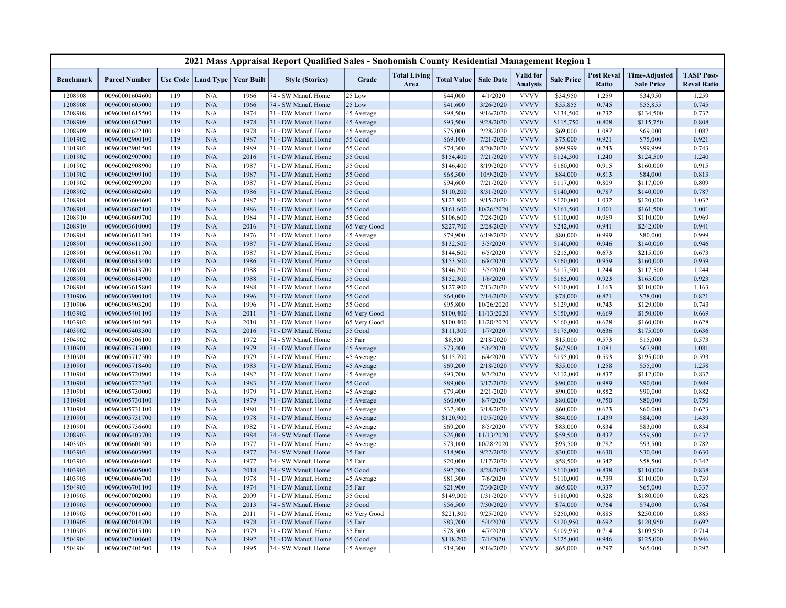|                  |                      |     |     |                                   | 2021 Mass Appraisal Report Qualified Sales - Snohomish County Residential Management Region 1 |              |                             |                    |                  |                              |                   |                            |                                           |                                         |
|------------------|----------------------|-----|-----|-----------------------------------|-----------------------------------------------------------------------------------------------|--------------|-----------------------------|--------------------|------------------|------------------------------|-------------------|----------------------------|-------------------------------------------|-----------------------------------------|
| <b>Benchmark</b> | <b>Parcel Number</b> |     |     | Use Code   Land Type   Year Built | <b>Style (Stories)</b>                                                                        | Grade        | <b>Total Living</b><br>Area | <b>Total Value</b> | <b>Sale Date</b> | Valid for<br><b>Analysis</b> | <b>Sale Price</b> | <b>Post Reval</b><br>Ratio | <b>Time-Adjusted</b><br><b>Sale Price</b> | <b>TASP Post-</b><br><b>Reval Ratio</b> |
| 1208908          | 00960001604600       | 119 | N/A | 1966                              | 74 - SW Manuf. Home                                                                           | 25 Low       |                             | \$44,000           | 4/1/2020         | <b>VVVV</b>                  | \$34,950          | 1.259                      | \$34,950                                  | 1.259                                   |
| 1208908          | 00960001605000       | 119 | N/A | 1966                              | 74 - SW Manuf. Home                                                                           | 25 Low       |                             | \$41,600           | 3/26/2020        | <b>VVVV</b>                  | \$55,855          | 0.745                      | \$55,855                                  | 0.745                                   |
| 1208908          | 00960001615500       | 119 | N/A | 1974                              | 71 - DW Manuf. Home                                                                           | 45 Average   |                             | \$98,500           | 9/16/2020        | <b>VVVV</b>                  | \$134,500         | 0.732                      | \$134,500                                 | 0.732                                   |
| 1208909          | 00960001617000       | 119 | N/A | 1978                              | 71 - DW Manuf. Home                                                                           | 45 Average   |                             | \$93,500           | 9/28/2020        | <b>VVVV</b>                  | \$115,750         | 0.808                      | \$115,750                                 | 0.808                                   |
| 1208909          | 00960001622100       | 119 | N/A | 1978                              | 71 - DW Manuf. Home                                                                           | 45 Average   |                             | \$75,000           | 2/28/2020        | <b>VVVV</b>                  | \$69,000          | 1.087                      | \$69,000                                  | 1.087                                   |
| 1101902          | 00960002900100       | 119 | N/A | 1987                              | 71 - DW Manuf. Home                                                                           | 55 Good      |                             | \$69,100           | 7/21/2020        | <b>VVVV</b>                  | \$75,000          | 0.921                      | \$75,000                                  | 0.921                                   |
| 1101902          | 00960002901500       | 119 | N/A | 1989                              | 71 - DW Manuf. Home                                                                           | 55 Good      |                             | \$74,300           | 8/20/2020        | <b>VVVV</b>                  | \$99,999          | 0.743                      | \$99,999                                  | 0.743                                   |
| 1101902          | 00960002907000       | 119 | N/A | 2016                              | 71 - DW Manuf. Home                                                                           | 55 Good      |                             | \$154,400          | 7/21/2020        | <b>VVVV</b>                  | \$124,500         | 1.240                      | \$124,500                                 | 1.240                                   |
| 1101902          | 00960002908900       | 119 | N/A | 1987                              | 71 - DW Manuf. Home                                                                           | 55 Good      |                             | \$146,400          | 8/19/2020        | <b>VVVV</b>                  | \$160,000         | 0.915                      | \$160,000                                 | 0.915                                   |
| 1101902          | 00960002909100       | 119 | N/A | 1987                              | 71 - DW Manuf. Home                                                                           | 55 Good      |                             | \$68,300           | 10/9/2020        | <b>VVVV</b>                  | \$84,000          | 0.813                      | \$84,000                                  | 0.813                                   |
| 1101902          | 00960002909200       | 119 | N/A | 1987                              | 71 - DW Manuf. Home                                                                           | 55 Good      |                             | \$94,600           | 7/21/2020        | <b>VVVV</b>                  | \$117,000         | 0.809                      | \$117,000                                 | 0.809                                   |
| 1208902          | 00960003602600       | 119 | N/A | 1986                              | 71 - DW Manuf. Home                                                                           | 55 Good      |                             | \$110,200          | 8/31/2020        | <b>VVVV</b>                  | \$140,000         | 0.787                      | \$140,000                                 | 0.787                                   |
| 1208901          | 00960003604600       | 119 | N/A | 1987                              | 71 - DW Manuf. Home                                                                           | 55 Good      |                             | \$123,800          | 9/15/2020        | <b>VVVV</b>                  | \$120,000         | 1.032                      | \$120,000                                 | 1.032                                   |
| 1208901          | 00960003607100       | 119 | N/A | 1986                              | 71 - DW Manuf. Home                                                                           | 55 Good      |                             | \$161,600          | 10/26/2020       | <b>VVVV</b>                  | \$161,500         | 1.001                      | \$161,500                                 | 1.001                                   |
| 1208910          | 00960003609700       | 119 | N/A | 1984                              | 71 - DW Manuf. Home                                                                           | 55 Good      |                             | \$106,600          | 7/28/2020        | <b>VVVV</b>                  | \$110,000         | 0.969                      | \$110,000                                 | 0.969                                   |
| 1208910          | 00960003610000       | 119 | N/A | 2016                              | 71 - DW Manuf. Home                                                                           | 65 Very Good |                             | \$227,700          | 2/28/2020        | <b>VVVV</b>                  | \$242,000         | 0.941                      | \$242,000                                 | 0.941                                   |
| 1208901          | 00960003611200       | 119 | N/A | 1976                              | 71 - DW Manuf. Home                                                                           | 45 Average   |                             | \$79,900           | 6/19/2020        | <b>VVVV</b>                  | \$80,000          | 0.999                      | \$80,000                                  | 0.999                                   |
| 1208901          | 00960003611500       | 119 | N/A | 1987                              | 71 - DW Manuf. Home                                                                           | 55 Good      |                             | \$132,500          | 3/5/2020         | <b>VVVV</b>                  | \$140,000         | 0.946                      | \$140,000                                 | 0.946                                   |
| 1208901          | 00960003611700       | 119 | N/A | 1987                              | 71 - DW Manuf. Home                                                                           | 55 Good      |                             | \$144,600          | 6/5/2020         | <b>VVVV</b>                  | \$215,000         | 0.673                      | \$215,000                                 | 0.673                                   |
| 1208901          | 00960003613400       | 119 | N/A | 1986                              | 71 - DW Manuf. Home                                                                           | 55 Good      |                             | \$153,500          | 6/8/2020         | <b>VVVV</b>                  | \$160,000         | 0.959                      | \$160,000                                 | 0.959                                   |
| 1208901          | 00960003613700       | 119 | N/A | 1988                              | 71 - DW Manuf. Home                                                                           | 55 Good      |                             | \$146,200          | 3/5/2020         | <b>VVVV</b>                  | \$117,500         | 1.244                      | \$117,500                                 | 1.244                                   |
| 1208901          | 00960003614900       | 119 | N/A | 1988                              | 71 - DW Manuf. Home                                                                           | 55 Good      |                             | \$152,300          | 1/6/2020         | <b>VVVV</b>                  | \$165,000         | 0.923                      | \$165,000                                 | 0.923                                   |
| 1208901          | 00960003615800       | 119 | N/A | 1988                              | 71 - DW Manuf. Home                                                                           | 55 Good      |                             | \$127,900          | 7/13/2020        | <b>VVVV</b>                  | \$110,000         | 1.163                      | \$110,000                                 | 1.163                                   |
| 1310906          | 00960003900100       | 119 | N/A | 1996                              | 71 - DW Manuf. Home                                                                           | 55 Good      |                             | \$64,000           | 2/14/2020        | <b>VVVV</b>                  | \$78,000          | 0.821                      | \$78,000                                  | 0.821                                   |
| 1310906          | 00960003903200       | 119 | N/A | 1996                              | 71 - DW Manuf. Home                                                                           | 55 Good      |                             | \$95,800           | 10/26/2020       | <b>VVVV</b>                  | \$129,000         | 0.743                      | \$129,000                                 | 0.743                                   |
| 1403902          | 00960005401100       | 119 | N/A | 2011                              | 71 - DW Manuf. Home                                                                           | 65 Very Good |                             | \$100,400          | 11/13/2020       | <b>VVVV</b>                  | \$150,000         | 0.669                      | \$150,000                                 | 0.669                                   |
| 1403902          | 00960005401500       | 119 | N/A | 2010                              | 71 - DW Manuf. Home                                                                           | 65 Very Good |                             | \$100,400          | 11/20/2020       | <b>VVVV</b>                  | \$160,000         | 0.628                      | \$160,000                                 | 0.628                                   |
| 1403902          | 00960005403300       | 119 | N/A | 2016                              | 71 - DW Manuf. Home                                                                           | 55 Good      |                             | \$111,300          | 1/7/2020         | <b>VVVV</b>                  | \$175,000         | 0.636                      | \$175,000                                 | 0.636                                   |
| 1504902          | 00960005506100       | 119 | N/A | 1972                              | 74 - SW Manuf. Home                                                                           | 35 Fair      |                             | \$8,600            | 2/18/2020        | <b>VVVV</b>                  | \$15,000          | 0.573                      | \$15,000                                  | 0.573                                   |
| 1310901          | 00960005713000       | 119 | N/A | 1979                              | 71 - DW Manuf. Home                                                                           | 45 Average   |                             | \$73,400           | 5/6/2020         | <b>VVVV</b>                  | \$67,900          | 1.081                      | \$67,900                                  | 1.081                                   |
| 1310901          | 00960005717500       | 119 | N/A | 1979                              | 71 - DW Manuf. Home                                                                           | 45 Average   |                             | \$115,700          | 6/4/2020         | <b>VVVV</b>                  | \$195,000         | 0.593                      | \$195,000                                 | 0.593                                   |
| 1310901          | 00960005718400       | 119 | N/A | 1983                              | 71 - DW Manuf. Home                                                                           | 45 Average   |                             | \$69,200           | 2/18/2020        | <b>VVVV</b>                  | \$55,000          | 1.258                      | \$55,000                                  | 1.258                                   |
| 1310901          | 00960005720900       | 119 | N/A | 1982                              | 71 - DW Manuf. Home                                                                           | 45 Average   |                             | \$93,700           | 9/3/2020         | <b>VVVV</b>                  | \$112,000         | 0.837                      | \$112,000                                 | 0.837                                   |
| 1310901          | 00960005722300       | 119 | N/A | 1983                              | 71 - DW Manuf. Home                                                                           | 55 Good      |                             | \$89,000           | 3/17/2020        | <b>VVVV</b>                  | \$90,000          | 0.989                      | \$90,000                                  | 0.989                                   |
| 1310901          | 00960005730000       | 119 | N/A | 1979                              | 71 - DW Manuf. Home                                                                           | 45 Average   |                             | \$79,400           | 2/21/2020        | <b>VVVV</b>                  | \$90,000          | 0.882                      | \$90,000                                  | 0.882                                   |
| 1310901          | 00960005730100       | 119 | N/A | 1979                              | 71 - DW Manuf. Home                                                                           | 45 Average   |                             | \$60,000           | 8/7/2020         | <b>VVVV</b>                  | \$80,000          | 0.750                      | \$80,000                                  | 0.750                                   |
| 1310901          | 00960005731100       | 119 | N/A | 1980                              | 71 - DW Manuf. Home                                                                           | 45 Average   |                             | \$37,400           | 3/18/2020        | <b>VVVV</b>                  | \$60,000          | 0.623                      | \$60,000                                  | 0.623                                   |
| 1310901          | 00960005731700       | 119 | N/A | 1978                              | 71 - DW Manuf. Home                                                                           | 45 Average   |                             | \$120,900          | 10/5/2020        | <b>VVVV</b>                  | \$84,000          | 1.439                      | \$84,000                                  | 1.439                                   |
| 1310901          | 00960005736600       | 119 | N/A | 1982                              | 71 - DW Manuf. Home                                                                           | 45 Average   |                             | \$69,200           | 8/5/2020         | <b>VVVV</b>                  | \$83,000          | 0.834                      | \$83,000                                  | 0.834                                   |
| 1208903          | 00960006403700       | 119 | N/A | 1984                              | 74 - SW Manuf. Home                                                                           | 45 Average   |                             | \$26,000           | 11/13/2020       | <b>VVVV</b>                  | \$59,500          | 0.437                      | \$59,500                                  | 0.437                                   |
| 1403903          | 00960006601500       | 119 | N/A | 1977                              | 71 - DW Manuf. Home                                                                           | 45 Average   |                             | \$73,100           | 10/28/2020       | <b>VVVV</b>                  | \$93,500          | 0.782                      | \$93,500                                  | 0.782                                   |
| 1403903          | 00960006603900       | 119 | N/A | 1977                              | 74 - SW Manuf. Home                                                                           | 35 Fair      |                             | \$18,900           | 9/22/2020        | <b>VVVV</b>                  | \$30,000          | 0.630                      | \$30,000                                  | 0.630                                   |
| 1403903          | 00960006604600       | 119 | N/A | 1977                              | 74 - SW Manuf. Home                                                                           | 35 Fair      |                             | \$20,000           | 1/17/2020        | <b>VVVV</b>                  | \$58,500          | 0.342                      | \$58,500                                  | 0.342                                   |
| 1403903          | 00960006605000       | 119 | N/A | 2018                              | 74 - SW Manuf. Home                                                                           | 55 Good      |                             | \$92,200           | 8/28/2020        | <b>VVVV</b>                  | \$110,000         | 0.838                      | \$110,000                                 | 0.838                                   |
| 1403903          | 00960006606700       | 119 | N/A | 1978                              | 71 - DW Manuf. Home                                                                           | 45 Average   |                             | \$81,300           | 7/6/2020         | <b>VVVV</b>                  | \$110,000         | 0.739                      | \$110,000                                 | 0.739                                   |
| 1504903          | 00960006701100       | 119 | N/A | 1974                              | 71 - DW Manuf. Home                                                                           | 35 Fair      |                             | \$21,900           | 7/30/2020        | <b>VVVV</b>                  | \$65,000          | 0.337                      | \$65,000                                  | 0.337                                   |
| 1310905          | 00960007002000       | 119 | N/A | 2009                              | 71 - DW Manuf. Home                                                                           | 55 Good      |                             | \$149,000          | 1/31/2020        | <b>VVVV</b>                  | \$180,000         | 0.828                      | \$180,000                                 | 0.828                                   |
| 1310905          | 00960007009000       | 119 | N/A | 2013                              | 74 - SW Manuf. Home                                                                           | 55 Good      |                             | \$56,500           | 7/30/2020        | <b>VVVV</b>                  | \$74,000          | 0.764                      | \$74,000                                  | 0.764                                   |
| 1310905          | 00960007011600       | 119 | N/A | 2011                              | 71 - DW Manuf. Home                                                                           | 65 Very Good |                             | \$221,300          | 9/25/2020        | <b>VVVV</b>                  | \$250,000         | 0.885                      | \$250,000                                 | 0.885                                   |
| 1310905          | 00960007014700       | 119 | N/A | 1978                              | 71 - DW Manuf. Home                                                                           | 35 Fair      |                             | \$83,700           | 5/4/2020         | <b>VVVV</b>                  | \$120,950         | 0.692                      | \$120,950                                 | 0.692                                   |
| 1310905          | 00960007015100       | 119 | N/A | 1979                              | 71 - DW Manuf. Home                                                                           | 35 Fair      |                             | \$78,500           | 4/7/2020         | <b>VVVV</b>                  | \$109,950         | 0.714                      | \$109,950                                 | 0.714                                   |
| 1504904          | 00960007400600       | 119 | N/A | 1992                              | 71 - DW Manuf. Home                                                                           | 55 Good      |                             | \$118,200          | 7/1/2020         | <b>VVVV</b>                  | \$125,000         | 0.946                      | \$125,000                                 | 0.946                                   |
| 1504904          | 00960007401500       | 119 | N/A | 1995                              | 74 - SW Manuf. Home                                                                           | 45 Average   |                             | \$19,300           | 9/16/2020        | <b>VVVV</b>                  | \$65,000          | 0.297                      | \$65,000                                  | 0.297                                   |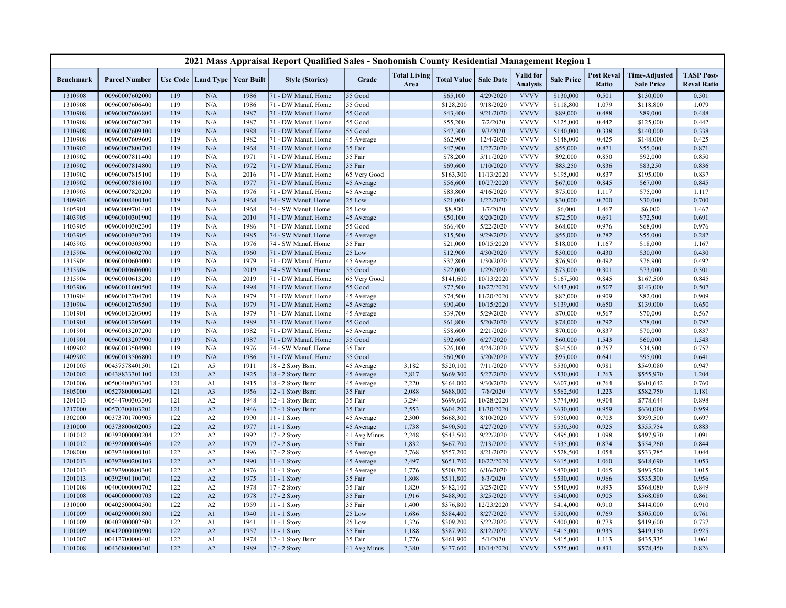|                  |                      |     |                                   |      | 2021 Mass Appraisal Report Qualified Sales - Snohomish County Residential Management Region 1 |              |                             |                    |                  |                                     |                   |                            |                                           |                                         |
|------------------|----------------------|-----|-----------------------------------|------|-----------------------------------------------------------------------------------------------|--------------|-----------------------------|--------------------|------------------|-------------------------------------|-------------------|----------------------------|-------------------------------------------|-----------------------------------------|
| <b>Benchmark</b> | <b>Parcel Number</b> |     | Use Code   Land Type   Year Built |      | <b>Style (Stories)</b>                                                                        | Grade        | <b>Total Living</b><br>Area | <b>Total Value</b> | <b>Sale Date</b> | <b>Valid</b> for<br><b>Analysis</b> | <b>Sale Price</b> | <b>Post Reval</b><br>Ratio | <b>Time-Adjusted</b><br><b>Sale Price</b> | <b>TASP Post-</b><br><b>Reval Ratio</b> |
| 1310908          | 00960007602000       | 119 | N/A                               | 1986 | 71 - DW Manuf. Home                                                                           | 55 Good      |                             | \$65,100           | 4/29/2020        | <b>VVVV</b>                         | \$130,000         | 0.501                      | \$130,000                                 | 0.501                                   |
| 1310908          | 00960007606400       | 119 | N/A                               | 1986 | 71 - DW Manuf. Home                                                                           | 55 Good      |                             | \$128,200          | 9/18/2020        | <b>VVVV</b>                         | \$118,800         | 1.079                      | \$118,800                                 | 1.079                                   |
| 1310908          | 00960007606800       | 119 | N/A                               | 1987 | 71 - DW Manuf. Home                                                                           | 55 Good      |                             | \$43,400           | 9/21/2020        | <b>VVVV</b>                         | \$89,000          | 0.488                      | \$89,000                                  | 0.488                                   |
| 1310908          | 00960007607200       | 119 | N/A                               | 1987 | 71 - DW Manuf. Home                                                                           | 55 Good      |                             | \$55,200           | 7/2/2020         | <b>VVVV</b>                         | \$125,000         | 0.442                      | \$125,000                                 | 0.442                                   |
| 1310908          | 00960007609100       | 119 | N/A                               | 1988 | 71 - DW Manuf. Home                                                                           | 55 Good      |                             | \$47,300           | 9/3/2020         | <b>VVVV</b>                         | \$140,000         | 0.338                      | \$140,000                                 | 0.338                                   |
| 1310908          | 00960007609600       | 119 | N/A                               | 1982 | 71 - DW Manuf. Home                                                                           | 45 Average   |                             | \$62,900           | 12/4/2020        | <b>VVVV</b>                         | \$148,000         | 0.425                      | \$148,000                                 | 0.425                                   |
| 1310902          | 00960007800700       | 119 | N/A                               | 1968 | 71 - DW Manuf. Home                                                                           | 35 Fair      |                             | \$47,900           | 1/27/2020        | <b>VVVV</b>                         | \$55,000          | 0.871                      | \$55,000                                  | 0.871                                   |
| 1310902          | 00960007811400       | 119 | N/A                               | 1971 | 71 - DW Manuf. Home                                                                           | 35 Fair      |                             | \$78,200           | 5/11/2020        | <b>VVVV</b>                         | \$92,000          | 0.850                      | \$92,000                                  | 0.850                                   |
| 1310902          | 00960007814800       | 119 | N/A                               | 1972 | 71 - DW Manuf. Home                                                                           | 35 Fair      |                             | \$69,600           | 1/10/2020        | <b>VVVV</b>                         | \$83,250          | 0.836                      | \$83,250                                  | 0.836                                   |
| 1310902          | 00960007815100       | 119 | N/A                               | 2016 | 71 - DW Manuf. Home                                                                           | 65 Very Good |                             | \$163,300          | 11/13/2020       | <b>VVVV</b>                         | \$195,000         | 0.837                      | \$195,000                                 | 0.837                                   |
| 1310902          | 00960007816100       | 119 | N/A                               | 1977 | 71 - DW Manuf. Home                                                                           | 45 Average   |                             | \$56,600           | 10/27/2020       | <b>VVVV</b>                         | \$67,000          | 0.845                      | \$67,000                                  | 0.845                                   |
| 1310903          | 00960007820200       | 119 | N/A                               | 1976 | 71 - DW Manuf. Home                                                                           | 45 Average   |                             | \$83,800           | 4/16/2020        | <b>VVVV</b>                         | \$75,000          | 1.117                      | \$75,000                                  | 1.117                                   |
| 1409903          | 00960008400100       | 119 | N/A                               | 1968 | 74 - SW Manuf. Home                                                                           | 25 Low       |                             | \$21,000           | 1/22/2020        | <b>VVVV</b>                         | \$30,000          | 0.700                      | \$30,000                                  | 0.700                                   |
| 1605901          | 00960009701400       | 119 | N/A                               | 1968 | 74 - SW Manuf. Home                                                                           | 25 Low       |                             | \$8,800            | 1/7/2020         | <b>VVVV</b>                         | \$6,000           | 1.467                      | \$6,000                                   | 1.467                                   |
| 1403905          | 00960010301900       | 119 | N/A                               | 2010 | 71 - DW Manuf. Home                                                                           | 45 Average   |                             | \$50,100           | 8/20/2020        | <b>VVVV</b>                         | \$72,500          | 0.691                      | \$72,500                                  | 0.691                                   |
| 1403905          | 00960010302300       | 119 | N/A                               | 1986 | 71 - DW Manuf. Home                                                                           | 55 Good      |                             | \$66,400           | 5/22/2020        | <b>VVVV</b>                         | \$68,000          | 0.976                      | \$68,000                                  | 0.976                                   |
| 1403905          | 00960010302700       | 119 | N/A                               | 1985 | 74 - SW Manuf. Home                                                                           | 45 Average   |                             | \$15,500           | 9/29/2020        | <b>VVVV</b>                         | \$55,000          | 0.282                      | \$55,000                                  | 0.282                                   |
| 1403905          | 00960010303900       | 119 | N/A                               | 1976 | 74 - SW Manuf. Home                                                                           | 35 Fair      |                             | \$21,000           | 10/15/2020       | <b>VVVV</b>                         | \$18,000          | 1.167                      | \$18,000                                  | 1.167                                   |
| 1315904          | 00960010602700       | 119 | N/A                               | 1960 | 71 - DW Manuf. Home                                                                           | 25 Low       |                             | \$12,900           | 4/30/2020        | <b>VVVV</b>                         | \$30,000          | 0.430                      | \$30,000                                  | 0.430                                   |
| 1315904          | 00960010604000       | 119 | N/A                               | 1979 | 71 - DW Manuf. Home                                                                           | 45 Average   |                             | \$37,800           | 1/30/2020        | <b>VVVV</b>                         | \$76,900          | 0.492                      | \$76,900                                  | 0.492                                   |
| 1315904          | 00960010606000       | 119 | N/A                               | 2019 | 74 - SW Manuf. Home                                                                           | 55 Good      |                             | \$22,000           | 1/29/2020        | <b>VVVV</b>                         | \$73,000          | 0.301                      | \$73,000                                  | 0.301                                   |
| 1315904          | 00960010613200       | 119 | N/A                               | 2019 | 71 - DW Manuf. Home                                                                           | 65 Very Good |                             | \$141,600          | 10/13/2020       | <b>VVVV</b>                         | \$167,500         | 0.845                      | \$167,500                                 | 0.845                                   |
| 1403906          | 00960011600500       | 119 | N/A                               | 1998 | 71 - DW Manuf. Home                                                                           | 55 Good      |                             | \$72,500           | 10/27/2020       | <b>VVVV</b>                         | \$143,000         | 0.507                      | \$143,000                                 | 0.507                                   |
| 1310904          | 00960012704700       | 119 | N/A                               | 1979 | 71 - DW Manuf. Home                                                                           | 45 Average   |                             | \$74,500           | 11/20/2020       | <b>VVVV</b>                         | \$82,000          | 0.909                      | \$82,000                                  | 0.909                                   |
| 1310904          | 00960012705500       | 119 | N/A                               | 1979 | 71 - DW Manuf. Home                                                                           | 45 Average   |                             | \$90,400           | 10/15/2020       | <b>VVVV</b>                         | \$139,000         | 0.650                      | \$139,000                                 | 0.650                                   |
| 1101901          | 00960013203000       | 119 | N/A                               | 1979 | 71 - DW Manuf. Home                                                                           | 45 Average   |                             | \$39,700           | 5/29/2020        | <b>VVVV</b>                         | \$70,000          | 0.567                      | \$70,000                                  | 0.567                                   |
| 1101901          | 00960013205600       | 119 | N/A                               | 1989 | 71 - DW Manuf. Home                                                                           | 55 Good      |                             | \$61,800           | 5/20/2020        | <b>VVVV</b>                         | \$78,000          | 0.792                      | \$78,000                                  | 0.792                                   |
| 1101901          | 00960013207200       | 119 | N/A                               | 1982 | 71 - DW Manuf. Home                                                                           | 45 Average   |                             | \$58,600           | 2/21/2020        | <b>VVVV</b>                         | \$70,000          | 0.837                      | \$70,000                                  | 0.837                                   |
| 1101901          | 00960013207900       | 119 | N/A                               | 1987 | 71 - DW Manuf. Home                                                                           | 55 Good      |                             | \$92,600           | 6/27/2020        | <b>VVVV</b>                         | \$60,000          | 1.543                      | \$60,000                                  | 1.543                                   |
| 1409902          | 00960013504900       | 119 | N/A                               | 1976 | 74 - SW Manuf. Home                                                                           | 35 Fair      |                             | \$26,100           | 4/24/2020        | <b>VVVV</b>                         | \$34,500          | 0.757                      | \$34,500                                  | 0.757                                   |
| 1409902          | 00960013506800       | 119 | N/A                               | 1986 | 71 - DW Manuf. Home                                                                           | 55 Good      |                             | \$60,900           | 5/20/2020        | <b>VVVV</b>                         | \$95,000          | 0.641                      | \$95,000                                  | 0.641                                   |
| 1201005          | 00437578401501       | 121 | A5                                | 1911 | 18 - 2 Story Bsmt                                                                             | 45 Average   | 3,182                       | \$520,100          | 7/11/2020        | <b>VVVV</b>                         | \$530,000         | 0.981                      | \$549,080                                 | 0.947                                   |
| 1201002          | 00438833301100       | 121 | A2                                | 1925 | 18 - 2 Story Bsmt                                                                             | 45 Average   | 2,817                       | \$669,300          | 5/27/2020        | <b>VVVV</b>                         | \$530,000         | 1.263                      | \$555,970                                 | 1.204                                   |
| 1201006          | 00500400303300       | 121 | A1                                | 1915 | 18 - 2 Story Bsmt                                                                             | 45 Average   | 2,220                       | \$464,000          | 9/30/2020        | <b>VVVV</b>                         | \$607,000         | 0.764                      | \$610,642                                 | 0.760                                   |
| 1605000          | 00527800000400       | 121 | A <sub>3</sub>                    | 1956 | 12 - 1 Story Bsmt                                                                             | 35 Fair      | 2,088                       | \$688,000          | 7/8/2020         | <b>VVVV</b>                         | \$562,500         | 1.223                      | \$582,750                                 | 1.181                                   |
| 1201013          | 00544700303300       | 121 | A2                                | 1948 | 12 - 1 Story Bsmt                                                                             | 35 Fair      | 3,294                       | \$699,600          | 10/28/2020       | <b>VVVV</b>                         | \$774,000         | 0.904                      | \$778,644                                 | 0.898                                   |
| 1217000          | 00570300103201       | 121 | A2                                | 1946 | 12 - 1 Story Bsmt                                                                             | 35 Fair      | 2,553                       | \$604,200          | 11/30/2020       | <b>VVVV</b>                         | \$630,000         | 0.959                      | \$630,000                                 | 0.959                                   |
| 1302000          | 00373701700905       | 122 | A2                                | 1990 | 11 - 1 Story                                                                                  | 45 Average   | 2,300                       | \$668,300          | 8/10/2020        | <b>VVVV</b>                         | \$950,000         | 0.703                      | \$959,500                                 | 0.697                                   |
| 1310000          | 00373800602005       | 122 | A2                                | 1977 | 11 - 1 Story                                                                                  | 45 Average   | 1,738                       | \$490,500          | 4/27/2020        | <b>VVVV</b>                         | \$530,300         | 0.925                      | \$555,754                                 | 0.883                                   |
| 1101012          | 00392000000204       | 122 | A2                                | 1992 | 17 - 2 Story                                                                                  | 41 Avg Minus | 2,248                       | \$543,500          | 9/22/2020        | <b>VVVV</b>                         | \$495,000         | 1.098                      | \$497,970                                 | 1.091                                   |
| 1101012          | 00392000003406       | 122 | A2                                | 1979 | 17 - 2 Story                                                                                  | 35 Fair      | 1,832                       | \$467,700          | 7/13/2020        | <b>VVVV</b>                         | \$535,000         | 0.874                      | \$554,260                                 | 0.844                                   |
| 1208000          | 00392400000101       | 122 | A2                                | 1996 | 17 - 2 Story                                                                                  | 45 Average   | 2,768                       | \$557,200          | 8/21/2020        | <b>VVVV</b>                         | \$528,500         | 1.054                      | \$533,785                                 | 1.044                                   |
| 1201013          | 00392900200103       | 122 | A2                                | 1990 | 11 - 1 Story                                                                                  | 45 Average   | 2,497                       | \$651,700          | 10/22/2020       | <b>VVVV</b>                         | \$615,000         | 1.060                      | \$618,690                                 | 1.053                                   |
| 1201013          | 00392900800300       | 122 | A2                                | 1976 | 11 - 1 Story                                                                                  | 45 Average   | 1,776                       | \$500,700          | 6/16/2020        | <b>VVVV</b>                         | \$470,000         | 1.065                      | \$493,500                                 | 1.015                                   |
| 1201013          | 00392901100701       | 122 | A2                                | 1975 | $11 - 1$ Story                                                                                | 35 Fair      | 1,808                       | \$511,800          | 8/3/2020         | <b>VVVV</b>                         | \$530,000         | 0.966                      | \$535,300                                 | 0.956                                   |
| 1101008          | 00400000000702       | 122 | A2                                | 1978 | 17 - 2 Story                                                                                  | 35 Fair      | 1,820                       | \$482,100          | 3/25/2020        | <b>VVVV</b>                         | \$540,000         | 0.893                      | \$568,080                                 | 0.849                                   |
| 1101008          | 00400000000703       | 122 | A2                                | 1978 | 17 - 2 Story                                                                                  | 35 Fair      | 1,916                       | \$488,900          | 3/25/2020        | <b>VVVV</b>                         | \$540,000         | 0.905                      | \$568,080                                 | 0.861                                   |
| 1310000          | 00402500004500       | 122 | A2                                | 1959 | 11 - 1 Story                                                                                  | 35 Fair      | 1,400                       | \$376,800          | 12/23/2020       | <b>VVVV</b>                         | \$414,000         | 0.910                      | \$414,000                                 | 0.910                                   |
| 1101009          | 00402900001800       | 122 | A <sub>1</sub>                    | 1940 | 11 - 1 Story                                                                                  | 25 Low       | 1,686                       | \$384,400          | 8/27/2020        | <b>VVVV</b>                         | \$500,000         | 0.769                      | \$505,000                                 | 0.761                                   |
| 1101009          | 00402900002500       | 122 | A1                                | 1941 | 11 - 1 Story                                                                                  | 25 Low       | 1,326                       | \$309,200          | 5/22/2020        | <b>VVVV</b>                         | \$400,000         | 0.773                      | \$419,600                                 | 0.737                                   |
| 1101009          | 00412000100900       | 122 | A2                                | 1957 | 11 - 1 Story                                                                                  | 35 Fair      | 1,188                       | \$387,900          | 8/12/2020        | <b>VVVV</b>                         | \$415,000         | 0.935                      | \$419,150                                 | 0.925                                   |
| 1101007          | 00412700000401       | 122 | A <sub>1</sub>                    | 1978 | 12 - 1 Story Bsmt                                                                             | 35 Fair      | 1,776                       | \$461,900          | 5/1/2020         | <b>VVVV</b>                         | \$415,000         | 1.113                      | \$435,335                                 | 1.061                                   |
| 1101008          | 00436800000301       | 122 | A2                                | 1989 | 17 - 2 Story                                                                                  | 41 Avg Minus | 2,380                       | \$477,600          | 10/14/2020       | <b>VVVV</b>                         | \$575,000         | 0.831                      | \$578,450                                 | 0.826                                   |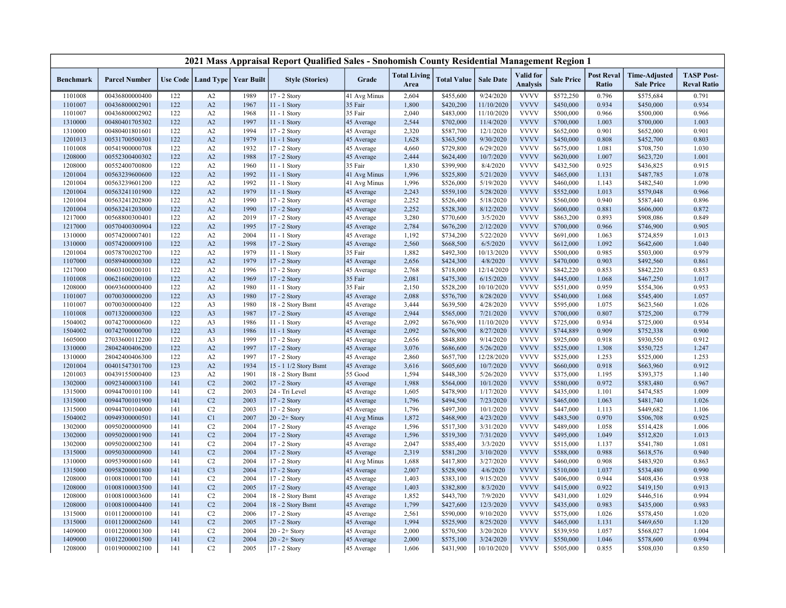|                  |                                  |            |                |                                   | 2021 Mass Appraisal Report Qualified Sales - Snohomish County Residential Management Region 1 |                       |                             |                    |                         |                              |                   |                                   |                                           |                                         |
|------------------|----------------------------------|------------|----------------|-----------------------------------|-----------------------------------------------------------------------------------------------|-----------------------|-----------------------------|--------------------|-------------------------|------------------------------|-------------------|-----------------------------------|-------------------------------------------|-----------------------------------------|
| <b>Benchmark</b> | <b>Parcel Number</b>             |            |                | Use Code   Land Type   Year Built | <b>Style (Stories)</b>                                                                        | Grade                 | <b>Total Living</b><br>Area | <b>Total Value</b> | <b>Sale Date</b>        | Valid for<br><b>Analysis</b> | <b>Sale Price</b> | <b>Post Reval</b><br><b>Ratio</b> | <b>Time-Adjusted</b><br><b>Sale Price</b> | <b>TASP Post-</b><br><b>Reval Ratio</b> |
| 1101008          | 00436800000400                   | 122        | A2             | 1989                              | 17 - 2 Story                                                                                  | 41 Avg Minus          | 2,604                       | \$455,600          | 9/24/2020               | <b>VVVV</b>                  | \$572,250         | 0.796                             | \$575,684                                 | 0.791                                   |
| 1101007          | 00436800002901                   | 122        | A2             | 1967                              | 11 - 1 Story                                                                                  | 35 Fair               | 1,800                       | \$420,200          | 11/10/2020              | <b>VVVV</b>                  | \$450,000         | 0.934                             | \$450,000                                 | 0.934                                   |
| 1101007          | 00436800002902                   | 122        | A2             | 1968                              | $11 - 1$ Story                                                                                | 35 Fair               | 2,040                       | \$483,000          | 11/10/2020              | <b>VVVV</b>                  | \$500,000         | 0.966                             | \$500,000                                 | 0.966                                   |
| 1310000          | 00480401705302                   | 122        | A2             | 1997                              | 11 - 1 Story                                                                                  | 45 Average            | 2,544                       | \$702,000          | 11/4/2020               | <b>VVVV</b>                  | \$700,000         | 1.003                             | \$700,000                                 | 1.003                                   |
| 1310000          | 00480401801601                   | 122        | A2             | 1994                              | 17 - 2 Story                                                                                  | 45 Average            | 2,320                       | \$587,700          | 12/1/2020               | <b>VVVV</b>                  | \$652,000         | 0.901                             | \$652,000                                 | 0.901                                   |
| 1201013          | 00531700500301                   | 122        | A2             | 1979                              | $11 - 1$ Story                                                                                | 45 Average            | 1,628                       | \$363,500          | 9/30/2020               | <b>VVVV</b>                  | \$450,000         | 0.808                             | \$452,700                                 | 0.803                                   |
| 1101008          | 00541900000708                   | 122        | A2             | 1932                              | 17 - 2 Story                                                                                  | 45 Average            | 4,660                       | \$729,800          | 6/29/2020               | <b>VVVV</b>                  | \$675,000         | 1.081                             | \$708,750                                 | 1.030                                   |
| 1208000          | 00552300400302                   | 122        | A2             | 1988                              | 17 - 2 Story                                                                                  | 45 Average            | 2,444                       | \$624,400          | 10/7/2020               | <b>VVVV</b>                  | \$620,000         | 1.007                             | \$623,720                                 | 1.001                                   |
| 1208000          | 00552400700800                   | 122        | A2             | 1960                              | 11 - 1 Story                                                                                  | 35 Fair               | 1,830                       | \$399,900          | 8/4/2020                | <b>VVVV</b>                  | \$432,500         | 0.925                             | \$436,825                                 | 0.915                                   |
| 1201004          | 00563239600600                   | 122        | A2             | 1992                              | $11 - 1$ Story                                                                                | 41 Avg Minus          | 1,996                       | \$525,800          | 5/21/2020               | <b>VVVV</b>                  | \$465,000         | 1.131                             | \$487,785                                 | 1.078                                   |
| 1201004          | 00563239601200                   | 122        | A2             | 1992                              | 11 - 1 Story                                                                                  | 41 Avg Minus          | 1,996                       | \$526,000          | 5/19/2020               | <b>VVVV</b>                  | \$460,000         | 1.143                             | \$482,540                                 | 1.090                                   |
| 1201004          | 00563241101900                   | 122        | A2             | 1979                              | 11 - 1 Story                                                                                  | 45 Average            | 2,243                       | \$559,100          | 5/28/2020               | <b>VVVV</b>                  | \$552,000         | 1.013                             | \$579,048                                 | 0.966                                   |
| 1201004          | 00563241202800                   | 122        | A2             | 1990                              | 17 - 2 Story                                                                                  | 45 Average            | 2,252                       | \$526,400          | 5/18/2020               | <b>VVVV</b>                  | \$560,000         | 0.940                             | \$587,440                                 | 0.896                                   |
| 1201004          | 00563241203000                   | 122        | A2             | 1990                              | 17 - 2 Story                                                                                  | 45 Average            | 2,252                       | \$528,300          | 8/12/2020               | <b>VVVV</b>                  | \$600,000         | 0.881                             | \$606,000                                 | 0.872                                   |
| 1217000          | 00568800300401                   | 122        | A2             | 2019                              | 17 - 2 Story                                                                                  | 45 Average            | 3,280                       | \$770,600          | 3/5/2020                | <b>VVVV</b>                  | \$863,200         | 0.893                             | \$908,086                                 | 0.849                                   |
| 1217000          | 00570400300904                   | 122        | A2             | 1995                              | 17 - 2 Story                                                                                  | 45 Average            | 2,784                       | \$676,200          | 2/12/2020               | <b>VVVV</b>                  | \$700,000         | 0.966                             | \$746,900                                 | 0.905                                   |
| 1310000          | 00574200007401                   | 122        | A2             | 2004                              | $11 - 1$ Story                                                                                | 45 Average            | 1,192                       | \$734,200          | 5/22/2020               | <b>VVVV</b>                  | \$691,000         | 1.063                             | \$724,859                                 | 1.013                                   |
| 1310000          | 00574200009100                   | 122        | A2             | 1998                              | 17 - 2 Story                                                                                  | 45 Average            | 2,560                       | \$668,500          | 6/5/2020                | <b>VVVV</b>                  | \$612,000         | 1.092                             | \$642,600                                 | 1.040                                   |
| 1201004          | 00578700202700                   | 122        | A2             | 1979                              | 11 - 1 Story                                                                                  | 35 Fair               | 1,882                       | \$492,300          | 10/13/2020              | <b>VVVV</b>                  | \$500,000         | 0.985                             | \$503,000                                 | 0.979                                   |
| 1107000          | 00589400000300                   | 122        | A2             | 1979                              | 17 - 2 Story                                                                                  | 45 Average            | 2,656                       | \$424,300          | 4/8/2020                | <b>VVVV</b>                  | \$470,000         | 0.903                             | \$492,560                                 | 0.861                                   |
|                  |                                  |            |                |                                   |                                                                                               |                       |                             |                    |                         |                              |                   | 0.853                             |                                           |                                         |
| 1217000          | 00603100200101<br>00621600200100 | 122<br>122 | A2<br>A2       | 1996<br>1969                      | 17 - 2 Story                                                                                  | 45 Average<br>35 Fair | 2,768                       | \$718,000          | 12/14/2020<br>6/15/2020 | <b>VVVV</b><br><b>VVVV</b>   | \$842,220         | 1.068                             | \$842,220                                 | 0.853<br>1.017                          |
| 1101008          |                                  |            |                |                                   | 17 - 2 Story                                                                                  |                       | 2,081                       | \$475,300          |                         | <b>VVVV</b>                  | \$445,000         | 0.959                             | \$467,250                                 |                                         |
| 1208000          | 00693600000400                   | 122        | A2             | 1980                              | $11 - 1$ Story                                                                                | 35 Fair               | 2,150                       | \$528,200          | 10/10/2020              |                              | \$551,000         |                                   | \$554,306                                 | 0.953                                   |
| 1101007          | 00700300000200                   | 122        | A <sub>3</sub> | 1980                              | 17 - 2 Story                                                                                  | 45 Average            | 2,088                       | \$576,700          | 8/28/2020               | <b>VVVV</b>                  | \$540,000         | 1.068                             | \$545,400                                 | 1.057                                   |
| 1101007          | 00700300000400                   | 122        | A <sub>3</sub> | 1980                              | 18 - 2 Story Bsmt                                                                             | 45 Average            | 3,444                       | \$639,500          | 4/28/2020               | <b>VVVV</b>                  | \$595,000         | 1.075                             | \$623,560                                 | 1.026                                   |
| 1101008          | 00713200000300                   | 122        | A <sub>3</sub> | 1987                              | 17 - 2 Story                                                                                  | 45 Average            | 2,944                       | \$565,000          | 7/21/2020               | <b>VVVV</b>                  | \$700,000         | 0.807                             | \$725,200                                 | 0.779                                   |
| 1504002          | 00742700000600                   | 122        | A <sub>3</sub> | 1986                              | 11 - 1 Story                                                                                  | 45 Average            | 2,092                       | \$676,900          | 11/10/2020              | <b>VVVV</b>                  | \$725,000         | 0.934                             | \$725,000                                 | 0.934                                   |
| 1504002          | 00742700000700                   | 122        | A <sub>3</sub> | 1986                              | 11 - 1 Story                                                                                  | 45 Average            | 2,092                       | \$676,900          | 8/27/2020               | <b>VVVV</b>                  | \$744,889         | 0.909                             | \$752,338                                 | 0.900                                   |
| 1605000          | 27033600112200                   | 122        | A3             | 1999                              | 17 - 2 Story                                                                                  | 45 Average            | 2,656                       | \$848,800          | 9/14/2020               | <b>VVVV</b>                  | \$925,000         | 0.918                             | \$930,550                                 | 0.912                                   |
| 1310000          | 28042400406200                   | 122        | A2             | 1997                              | 17 - 2 Story                                                                                  | 45 Average            | 3,076                       | \$686,600          | 5/26/2020               | <b>VVVV</b>                  | \$525,000         | 1.308                             | \$550,725                                 | 1.247                                   |
| 1310000          | 28042400406300                   | 122        | A2             | 1997                              | 17 - 2 Story                                                                                  | 45 Average            | 2,860                       | \$657,700          | 12/28/2020              | <b>VVVV</b>                  | \$525,000         | 1.253                             | \$525,000                                 | 1.253                                   |
| 1201004          | 00401547301700                   | 123        | A2             | 1934                              | 15 - 1 1/2 Story Bsmt                                                                         | 45 Average            | 3,616                       | \$605,600          | 10/7/2020               | <b>VVVV</b>                  | \$660,000         | 0.918                             | \$663,960                                 | 0.912                                   |
| 1201003          | 00439155000400                   | 123        | A2             | 1901                              | 18 - 2 Story Bsmt                                                                             | 55 Good               | 1,594                       | \$448,300          | 5/26/2020               | <b>VVVV</b>                  | \$375,000         | 1.195                             | \$393,375                                 | 1.140                                   |
| 1302000          | 00923400003100                   | 141        | C <sub>2</sub> | 2002                              | 17 - 2 Story                                                                                  | 45 Average            | 1,988                       | \$564,000          | 10/1/2020               | <b>VVVV</b>                  | \$580,000         | 0.972                             | \$583,480                                 | 0.967                                   |
| 1315000          | 00944700101100                   | 141        | C <sub>2</sub> | 2003                              | 24 - Tri Level                                                                                | 45 Average            | 1,605                       | \$478,900          | 1/17/2020               | <b>VVVV</b>                  | \$435,000         | 1.101                             | \$474,585                                 | 1.009                                   |
| 1315000          | 00944700101900                   | 141        | C <sub>2</sub> | 2003                              | 17 - 2 Story                                                                                  | 45 Average            | 1,796                       | \$494,500          | 7/23/2020               | <b>VVVV</b>                  | \$465,000         | 1.063                             | \$481,740                                 | 1.026                                   |
| 1315000          | 00944700104000                   | 141        | C2             | 2003                              | 17 - 2 Story                                                                                  | 45 Average            | 1,796                       | \$497,300          | 10/1/2020               | <b>VVVV</b>                  | \$447,000         | 1.113                             | \$449,682                                 | 1.106                                   |
| 1504002          | 00949300000501                   | 141        | C1             | 2007                              | $20 - 2 +$ Story                                                                              | 41 Avg Minus          | 1,872                       | \$468,900          | 4/23/2020               | <b>VVVV</b>                  | \$483,500         | 0.970                             | \$506,708                                 | 0.925                                   |
| 1302000          | 00950200000900                   | 141        | C <sub>2</sub> | 2004                              | 17 - 2 Story                                                                                  | 45 Average            | 1,596                       | \$517,300          | 3/31/2020               | <b>VVVV</b>                  | \$489,000         | 1.058                             | \$514,428                                 | 1.006                                   |
| 1302000          | 00950200001900                   | 141        | C <sub>2</sub> | 2004                              | 17 - 2 Story                                                                                  | 45 Average            | 1,596                       | \$519,300          | 7/31/2020               | <b>VVVV</b>                  | \$495,000         | 1.049                             | \$512,820                                 | 1.013                                   |
| 1302000          | 00950200002300                   | 141        | C2             | 2004                              | 17 - 2 Story                                                                                  | 45 Average            | 2,047                       | \$585,400          | 3/3/2020                | <b>VVVV</b>                  | \$515,000         | 1.137                             | \$541,780                                 | 1.081                                   |
| 1315000          | 00950300000900                   | 141        | C2             | 2004                              | 17 - 2 Story                                                                                  | 45 Average            | 2,319                       | \$581,200          | 3/10/2020               | <b>VVVV</b>                  | \$588,000         | 0.988                             | \$618,576                                 | 0.940                                   |
| 1310000          | 00953900001600                   | 141        | C2             | 2004                              | 17 - 2 Story                                                                                  | 41 Avg Minus          | 1,688                       | \$417,800          | 3/27/2020               | <b>VVVV</b>                  | \$460,000         | 0.908                             | \$483,920                                 | 0.863                                   |
| 1315000          | 00958200001800                   | 141        | C <sub>3</sub> | 2004                              | 17 - 2 Story                                                                                  | 45 Average            | 2,007                       | \$528,900          | 4/6/2020                | <b>VVVV</b>                  | \$510,000         | 1.037                             | \$534,480                                 | 0.990                                   |
| 1208000          | 01008100001700                   | 141        | C <sub>2</sub> | 2004                              | 17 - 2 Story                                                                                  | 45 Average            | 1,403                       | \$383,100          | 9/15/2020               | <b>VVVV</b>                  | \$406,000         | 0.944                             | \$408,436                                 | 0.938                                   |
| 1208000          | 01008100003500                   | 141        | C <sub>2</sub> | 2005                              | 17 - 2 Story                                                                                  | 45 Average            | 1,403                       | \$382,800          | 8/3/2020                | <b>VVVV</b>                  | \$415,000         | 0.922                             | \$419,150                                 | 0.913                                   |
| 1208000          | 01008100003600                   | 141        | C <sub>2</sub> | 2004                              | 18 - 2 Story Bsmt                                                                             | 45 Average            | 1,852                       | \$443,700          | 7/9/2020                | <b>VVVV</b>                  | \$431,000         | 1.029                             | \$446,516                                 | 0.994                                   |
| 1208000          | 01008100004400                   | 141        | C <sub>2</sub> | 2004                              | 18 - 2 Story Bsmt                                                                             | 45 Average            | 1,799                       | \$427,600          | 12/3/2020               | <b>VVVV</b>                  | \$435,000         | 0.983                             | \$435,000                                 | 0.983                                   |
| 1315000          | 01011200000100                   | 141        | C <sub>2</sub> | 2006                              | 17 - 2 Story                                                                                  | 45 Average            | 2,561                       | \$590,000          | 9/10/2020               | <b>VVVV</b>                  | \$575,000         | 1.026                             | \$578,450                                 | 1.020                                   |
| 1315000          | 01011200002600                   | 141        | C2             | 2005                              | 17 - 2 Story                                                                                  | 45 Average            | 1,994                       | \$525,900          | 8/25/2020               | <b>VVVV</b>                  | \$465,000         | 1.131                             | \$469,650                                 | 1.120                                   |
| 1409000          | 01012200001300                   | 141        | C2             | 2004                              | $20 - 2 +$ Story                                                                              | 45 Average            | 2,000                       | \$570,500          | 3/20/2020               | <b>VVVV</b>                  | \$539,950         | 1.057                             | \$568,027                                 | 1.004                                   |
| 1409000          | 01012200001500                   | 141        | C <sub>2</sub> | 2004                              | $20 - 2 +$ Story                                                                              | 45 Average            | 2,000                       | \$575,100          | 3/24/2020               | <b>VVVV</b>                  | \$550,000         | 1.046                             | \$578,600                                 | 0.994                                   |
| 1208000          | 01019000002100                   | 141        | C2             | 2005                              | 17 - 2 Story                                                                                  | 45 Average            | 1,606                       | \$431,900          | 10/10/2020              | <b>VVVV</b>                  | \$505,000         | 0.855                             | \$508,030                                 | 0.850                                   |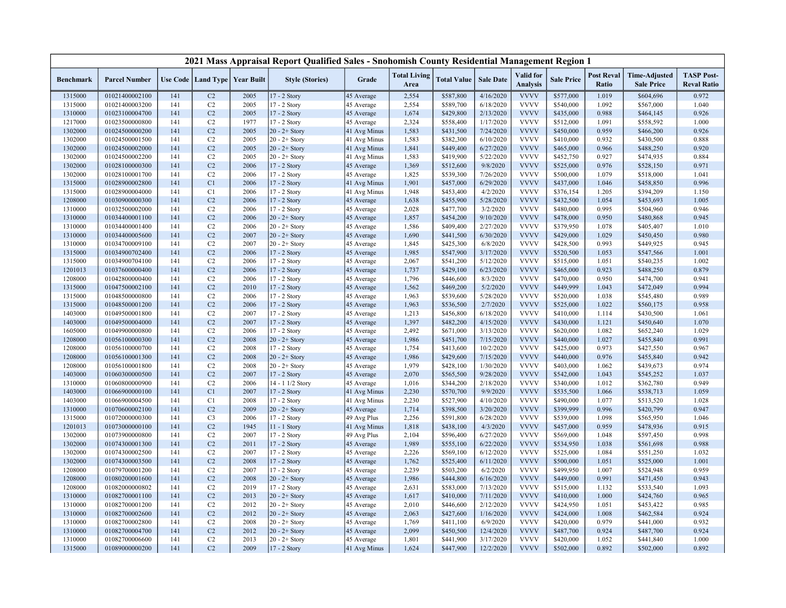|                  |                      |     |                      |                   | 2021 Mass Appraisal Report Qualified Sales - Snohomish County Residential Management Region 1 |              |                             |                    |                  |                                     |                   |                            |                                           |                                         |
|------------------|----------------------|-----|----------------------|-------------------|-----------------------------------------------------------------------------------------------|--------------|-----------------------------|--------------------|------------------|-------------------------------------|-------------------|----------------------------|-------------------------------------------|-----------------------------------------|
| <b>Benchmark</b> | <b>Parcel Number</b> |     | Use Code   Land Type | <b>Year Built</b> | <b>Style (Stories)</b>                                                                        | Grade        | <b>Total Living</b><br>Area | <b>Total Value</b> | <b>Sale Date</b> | <b>Valid</b> for<br><b>Analysis</b> | <b>Sale Price</b> | <b>Post Reval</b><br>Ratio | <b>Time-Adjusted</b><br><b>Sale Price</b> | <b>TASP Post-</b><br><b>Reval Ratio</b> |
| 1315000          | 01021400002100       | 141 | C <sub>2</sub>       | 2005              | 17 - 2 Story                                                                                  | 45 Average   | 2,554                       | \$587,800          | 4/16/2020        | <b>VVVV</b>                         | \$577,000         | 1.019                      | \$604,696                                 | 0.972                                   |
| 1315000          | 01021400003200       | 141 | C2                   | 2005              | 17 - 2 Story                                                                                  | 45 Average   | 2,554                       | \$589,700          | 6/18/2020        | <b>VVVV</b>                         | \$540,000         | 1.092                      | \$567,000                                 | 1.040                                   |
| 1310000          | 01023100004700       | 141 | C2                   | 2005              | 17 - 2 Story                                                                                  | 45 Average   | 1,674                       | \$429,800          | 2/13/2020        | <b>VVVV</b>                         | \$435,000         | 0.988                      | \$464,145                                 | 0.926                                   |
| 1217000          | 01023500000800       | 141 | C2                   | 1977              | 17 - 2 Story                                                                                  | 45 Average   | 2,324                       | \$558,400          | 1/17/2020        | <b>VVVV</b>                         | \$512,000         | 1.091                      | \$558,592                                 | 1.000                                   |
| 1302000          | 01024500000200       | 141 | C2                   | 2005              | $20 - 2 +$ Story                                                                              | 41 Avg Minus | 1,583                       | \$431,500          | 7/24/2020        | <b>VVVV</b>                         | \$450,000         | 0.959                      | \$466,200                                 | 0.926                                   |
| 1302000          | 01024500001500       | 141 | C2                   | 2005              | $20 - 2 +$ Story                                                                              | 41 Avg Minus | 1,583                       | \$382,300          | 6/10/2020        | <b>VVVV</b>                         | \$410,000         | 0.932                      | \$430,500                                 | 0.888                                   |
| 1302000          | 01024500002000       | 141 | C2                   | 2005              | $20 - 2 +$ Story                                                                              | 41 Avg Minus | 1,841                       | \$449,400          | 6/27/2020        | <b>VVVV</b>                         | \$465,000         | 0.966                      | \$488,250                                 | 0.920                                   |
| 1302000          | 01024500002200       | 141 | C2                   | 2005              | $20 - 2 +$ Story                                                                              | 41 Avg Minus | 1,583                       | \$419,900          | 5/22/2020        | <b>VVVV</b>                         | \$452,750         | 0.927                      | \$474,935                                 | 0.884                                   |
| 1302000          | 01028100000300       | 141 | C <sub>2</sub>       | 2006              | 17 - 2 Story                                                                                  | 45 Average   | 1,369                       | \$512,600          | 9/8/2020         | <b>VVVV</b>                         | \$525,000         | 0.976                      | \$528,150                                 | 0.971                                   |
| 1302000          | 01028100001700       | 141 | C2                   | 2006              | 17 - 2 Story                                                                                  | 45 Average   | 1,825                       | \$539,300          | 7/26/2020        | <b>VVVV</b>                         | \$500,000         | 1.079                      | \$518,000                                 | 1.041                                   |
| 1315000          | 01028900002800       | 141 | C1                   | 2006              | 17 - 2 Story                                                                                  | 41 Avg Minus | 1,901                       | \$457,000          | 6/29/2020        | <b>VVVV</b>                         | \$437,000         | 1.046                      | \$458,850                                 | 0.996                                   |
| 1315000          | 01028900004000       | 141 | C1                   | 2006              | 17 - 2 Story                                                                                  | 41 Avg Minus | 1,948                       | \$453,400          | 4/2/2020         | <b>VVVV</b>                         | \$376,154         | 1.205                      | \$394,209                                 | 1.150                                   |
| 1208000          | 01030900000300       | 141 | C2                   | 2006              | 17 - 2 Story                                                                                  | 45 Average   | 1,638                       | \$455,900          | 5/28/2020        | <b>VVVV</b>                         | \$432,500         | 1.054                      | \$453,693                                 | 1.005                                   |
| 1310000          | 01032500002000       | 141 | C2                   | 2006              | 17 - 2 Story                                                                                  | 45 Average   | 2,028                       | \$477,700          | 3/2/2020         | <b>VVVV</b>                         | \$480,000         | 0.995                      | \$504,960                                 | 0.946                                   |
| 1310000          | 01034400001100       | 141 | C2                   | 2006              | $20 - 2 +$ Story                                                                              | 45 Average   | 1,857                       | \$454,200          | 9/10/2020        | <b>VVVV</b>                         | \$478,000         | 0.950                      | \$480,868                                 | 0.945                                   |
| 1310000          | 01034400001400       | 141 | C2                   | 2006              | $20 - 2 +$ Story                                                                              | 45 Average   | 1,586                       | \$409,400          | 2/27/2020        | <b>VVVV</b>                         | \$379,950         | 1.078                      | \$405,407                                 | 1.010                                   |
| 1310000          | 01034400005600       | 141 | C2                   | 2007              | $20 - 2 +$ Story                                                                              | 45 Average   | 1,690                       | \$441,500          | 6/30/2020        | <b>VVVV</b>                         | \$429,000         | 1.029                      | \$450,450                                 | 0.980                                   |
| 1310000          | 01034700009100       | 141 | C2                   | 2007              | $20 - 2 +$ Story                                                                              | 45 Average   | 1,845                       | \$425,300          | 6/8/2020         | <b>VVVV</b>                         | \$428,500         | 0.993                      | \$449,925                                 | 0.945                                   |
| 1315000          | 01034900702400       | 141 | C <sub>2</sub>       | 2006              | 17 - 2 Story                                                                                  | 45 Average   | 1,985                       | \$547,900          | 3/17/2020        | <b>VVVV</b>                         | \$520,500         | 1.053                      | \$547,566                                 | 1.001                                   |
| 1315000          | 01034900704100       | 141 | C2                   | 2006              | 17 - 2 Story                                                                                  | 45 Average   | 2,067                       | \$541,200          | 5/12/2020        | <b>VVVV</b>                         | \$515,000         | 1.051                      | \$540,235                                 | 1.002                                   |
| 1201013          | 01037600000400       | 141 | C <sub>2</sub>       | 2006              | 17 - 2 Story                                                                                  | 45 Average   | 1,737                       | \$429,100          | 6/23/2020        | <b>VVVV</b>                         | \$465,000         | 0.923                      | \$488,250                                 | 0.879                                   |
| 1208000          | 01042800000400       | 141 | C <sub>2</sub>       | 2006              | 17 - 2 Story                                                                                  | 45 Average   | 1,796                       | \$446,600          | 8/3/2020         | <b>VVVV</b>                         | \$470,000         | 0.950                      | \$474,700                                 | 0.941                                   |
| 1315000          | 01047500002100       | 141 | C <sub>2</sub>       | 2010              | 17 - 2 Story                                                                                  | 45 Average   | 1,562                       | \$469,200          | 5/2/2020         | <b>VVVV</b>                         | \$449,999         | 1.043                      | \$472,049                                 | 0.994                                   |
| 1315000          | 01048500000800       | 141 | C2                   | 2006              | 17 - 2 Story                                                                                  | 45 Average   | 1,963                       | \$539,600          | 5/28/2020        | <b>VVVV</b>                         | \$520,000         | 1.038                      | \$545,480                                 | 0.989                                   |
| 1315000          | 01048500001200       | 141 | C <sub>2</sub>       | 2006              | 17 - 2 Story                                                                                  | 45 Average   | 1,963                       | \$536,500          | 2/7/2020         | <b>VVVV</b>                         | \$525,000         | 1.022                      | \$560,175                                 | 0.958                                   |
| 1403000          | 01049500001800       | 141 | C2                   | 2007              | 17 - 2 Story                                                                                  | 45 Average   | 1,213                       | \$456,800          | 6/18/2020        | <b>VVVV</b>                         | \$410,000         | 1.114                      | \$430,500                                 | 1.061                                   |
| 1403000          | 01049500004000       | 141 | C2                   | 2007              | 17 - 2 Story                                                                                  | 45 Average   | 1,397                       | \$482,200          | 4/15/2020        | <b>VVVV</b>                         | \$430,000         | 1.121                      | \$450,640                                 | 1.070                                   |
| 1605000          | 01049900000800       | 141 | C2                   | 2006              | 17 - 2 Story                                                                                  | 45 Average   | 2,492                       | \$671,000          | 3/13/2020        | <b>VVVV</b>                         | \$620,000         | 1.082                      | \$652,240                                 | 1.029                                   |
| 1208000          | 01056100000300       | 141 | C2                   | 2008              | $20 - 2 +$ Story                                                                              | 45 Average   | 1,986                       | \$451,700          | 7/15/2020        | <b>VVVV</b>                         | \$440,000         | 1.027                      | \$455,840                                 | 0.991                                   |
| 1208000          | 01056100000700       | 141 | C2                   | 2008              | 17 - 2 Story                                                                                  | 45 Average   | 1,754                       | \$413,600          | 10/2/2020        | <b>VVVV</b>                         | \$425,000         | 0.973                      | \$427,550                                 | 0.967                                   |
| 1208000          | 01056100001300       | 141 | C <sub>2</sub>       | 2008              | $20 - 2 +$ Story                                                                              | 45 Average   | 1,986                       | \$429,600          | 7/15/2020        | <b>VVVV</b>                         | \$440,000         | 0.976                      | \$455,840                                 | 0.942                                   |
| 1208000          | 01056100001800       | 141 | C <sub>2</sub>       | 2008              | $20 - 2 +$ Story                                                                              | 45 Average   | 1,979                       | \$428,100          | 1/30/2020        | <b>VVVV</b>                         | \$403,000         | 1.062                      | \$439,673                                 | 0.974                                   |
| 1403000          | 01060300000500       | 141 | C <sub>2</sub>       | 2007              | 17 - 2 Story                                                                                  | 45 Average   | 2,070                       | \$565,500          | 9/28/2020        | <b>VVVV</b>                         | \$542,000         | 1.043                      | \$545,252                                 | 1.037                                   |
| 1310000          | 01060800000900       | 141 | C2                   | 2006              | 14 - 1 1/2 Story                                                                              | 45 Average   | 1,016                       | \$344,200          | 2/18/2020        | <b>VVVV</b>                         | \$340,000         | 1.012                      | \$362,780                                 | 0.949                                   |
| 1403000          | 01066900000100       | 141 | C1                   | 2007              | 17 - 2 Story                                                                                  | 41 Avg Minus | 2,230                       | \$570,700          | 9/9/2020         | <b>VVVV</b>                         | \$535,500         | 1.066                      | \$538,713                                 | 1.059                                   |
| 1403000          | 01066900004500       | 141 | C1                   | 2008              | 17 - 2 Story                                                                                  | 41 Avg Minus | 2,230                       | \$527,900          | 4/10/2020        | <b>VVVV</b>                         | \$490,000         | 1.077                      | \$513,520                                 | 1.028                                   |
| 1310000          | 01070600002100       | 141 | C2                   | 2009              | $20 - 2 +$ Story                                                                              | 45 Average   | 1,714                       | \$398,500          | 3/20/2020        | <b>VVVV</b>                         | \$399,999         | 0.996                      | \$420,799                                 | 0.947                                   |
| 1315000          | 01072000000300       | 141 | C <sub>3</sub>       | 2006              | 17 - 2 Story                                                                                  | 49 Avg Plus  | 2,256                       | \$591,800          | 6/28/2020        | <b>VVVV</b>                         | \$539,000         | 1.098                      | \$565,950                                 | 1.046                                   |
| 1201013          | 01073000000100       | 141 | C2                   | 1945              | $11 - 1$ Story                                                                                | 41 Avg Minus | 1,818                       | \$438,100          | 4/3/2020         | <b>VVVV</b>                         | \$457,000         | 0.959                      | \$478,936                                 | 0.915                                   |
| 1302000          | 01073900000800       | 141 | C2                   | 2007              | 17 - 2 Story                                                                                  | 49 Avg Plus  | 2,104                       | \$596,400          | 6/27/2020        | <b>VVVV</b>                         | \$569,000         | 1.048                      | \$597,450                                 | 0.998                                   |
| 1302000          | 01074300001300       | 141 | C2                   | 2011              | 17 - 2 Story                                                                                  | 45 Average   | 1,989                       | \$555,100          | 6/22/2020        | <b>VVVV</b>                         | \$534,950         | 1.038                      | \$561,698                                 | 0.988                                   |
| 1302000          | 01074300002500       | 141 | C <sub>2</sub>       | 2007              | 17 - 2 Story                                                                                  | 45 Average   | 2,226                       | \$569,100          | 6/12/2020        | <b>VVVV</b>                         | \$525,000         | 1.084                      | \$551,250                                 | 1.032                                   |
| 1302000          | 01074300003500       | 141 | C <sub>2</sub>       | 2008              | 17 - 2 Story                                                                                  | 45 Average   | 1,762                       | \$525,400          | 6/11/2020        | <b>VVVV</b>                         | \$500,000         | 1.051                      | \$525,000                                 | 1.001                                   |
| 1208000          | 01079700001200       | 141 | C2                   | 2007              | 17 - 2 Story                                                                                  | 45 Average   | 2,239                       | \$503,200          | 6/2/2020         | <b>VVVV</b>                         | \$499,950         | 1.007                      | \$524,948                                 | 0.959                                   |
| 1208000          | 01080200001600       | 141 | C <sub>2</sub>       | 2008              | $20 - 2 +$ Story                                                                              | 45 Average   | 1,986                       | \$444,800          | 6/16/2020        | <b>VVVV</b>                         | \$449,000         | 0.991                      | \$471,450                                 | 0.943                                   |
| 1208000          | 01082000000802       | 141 | C2                   | 2019              | 17 - 2 Story                                                                                  | 45 Average   | 2,631                       | \$583,000          | 7/13/2020        | <b>VVVV</b>                         | \$515,000         | 1.132                      | \$533,540                                 | 1.093                                   |
| 1310000          | 01082700001100       | 141 | C2                   | 2013              | $20 - 2 +$ Story                                                                              | 45 Average   | 1,617                       | \$410,000          | 7/11/2020        | <b>VVVV</b>                         | \$410,000         | 1.000                      | \$424,760                                 | 0.965                                   |
| 1310000          | 01082700001200       | 141 | C2                   | 2012              | $20 - 2 +$ Story                                                                              | 45 Average   | 2,010                       | \$446,600          | 2/12/2020        | <b>VVVV</b>                         | \$424,950         | 1.051                      | \$453,422                                 | 0.985                                   |
| 1310000          | 01082700002600       | 141 | C <sub>2</sub>       | 2012              | $20 - 2 +$ Story                                                                              | 45 Average   | 2,063                       | \$427,600          | 1/16/2020        | <b>VVVV</b>                         | \$424,000         | 1.008                      | \$462,584                                 | 0.924                                   |
| 1310000          | 01082700002800       | 141 | C2                   | 2008              | $20 - 2 +$ Story                                                                              | 45 Average   | 1,769                       | \$411,100          | 6/9/2020         | <b>VVVV</b>                         | \$420,000         | 0.979                      | \$441,000                                 | 0.932                                   |
| 1310000          | 01082700004700       | 141 | C <sub>2</sub>       | 2012              | $20 - 2 +$ Story                                                                              | 45 Average   | 2,099                       | \$450,500          | 12/4/2020        | <b>VVVV</b>                         | \$487,700         | 0.924                      | \$487,700                                 | 0.924                                   |
| 1310000          | 01082700006600       | 141 | C <sub>2</sub>       | 2013              | $20 - 2 +$ Story                                                                              | 45 Average   | 1,801                       | \$441,900          | 3/17/2020        | <b>VVVV</b>                         | \$420,000         | 1.052                      | \$441,840                                 | 1.000                                   |
| 1315000          | 01089000000200       | 141 | C2                   | 2009              | 17 - 2 Story                                                                                  | 41 Avg Minus | 1,624                       | \$447,900          | 12/2/2020        | <b>VVVV</b>                         | \$502,000         | 0.892                      | \$502,000                                 | 0.892                                   |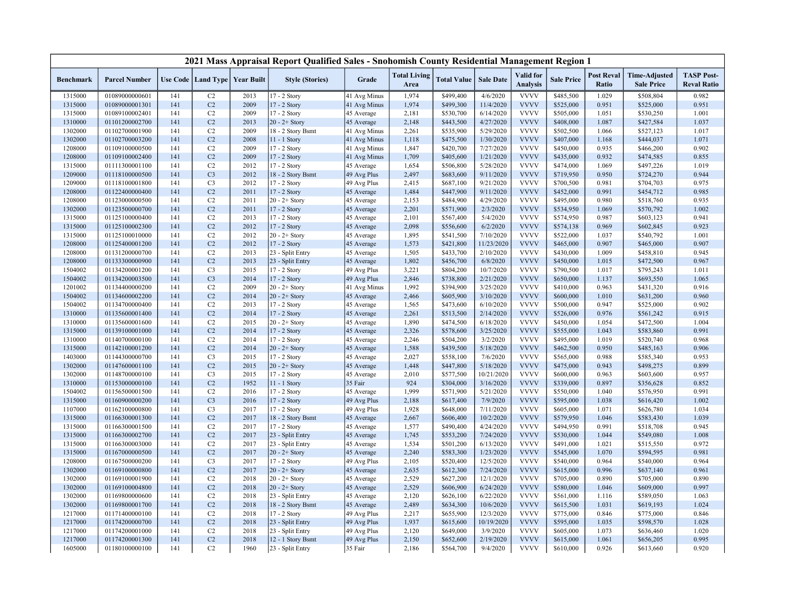|                  |                      |     |                      |                   | 2021 Mass Appraisal Report Qualified Sales - Snohomish County Residential Management Region 1 |              |                             |                    |                  |                                     |                   |                            |                                           |                                         |
|------------------|----------------------|-----|----------------------|-------------------|-----------------------------------------------------------------------------------------------|--------------|-----------------------------|--------------------|------------------|-------------------------------------|-------------------|----------------------------|-------------------------------------------|-----------------------------------------|
| <b>Benchmark</b> | <b>Parcel Number</b> |     | Use Code   Land Type | <b>Year Built</b> | <b>Style (Stories)</b>                                                                        | Grade        | <b>Total Living</b><br>Area | <b>Total Value</b> | <b>Sale Date</b> | <b>Valid</b> for<br><b>Analysis</b> | <b>Sale Price</b> | <b>Post Reval</b><br>Ratio | <b>Time-Adjusted</b><br><b>Sale Price</b> | <b>TASP Post-</b><br><b>Reval Ratio</b> |
| 1315000          | 01089000000601       | 141 | C2                   | 2013              | 17 - 2 Story                                                                                  | 41 Avg Minus | 1,974                       | \$499,400          | 4/6/2020         | <b>VVVV</b>                         | \$485,500         | 1.029                      | \$508,804                                 | 0.982                                   |
| 1315000          | 01089000001301       | 141 | C2                   | 2009              | 17 - 2 Story                                                                                  | 41 Avg Minus | 1,974                       | \$499,300          | 11/4/2020        | <b>VVVV</b>                         | \$525,000         | 0.951                      | \$525,000                                 | 0.951                                   |
| 1315000          | 01089100002401       | 141 | C2                   | 2009              | 17 - 2 Story                                                                                  | 45 Average   | 2,181                       | \$530,700          | 6/14/2020        | <b>VVVV</b>                         | \$505,000         | 1.051                      | \$530,250                                 | 1.001                                   |
| 1310000          | 01101200002700       | 141 | C2                   | 2013              | $20 - 2 +$ Story                                                                              | 45 Average   | 2,148                       | \$443,500          | 4/27/2020        | <b>VVVV</b>                         | \$408,000         | 1.087                      | \$427,584                                 | 1.037                                   |
| 1302000          | 01102700001900       | 141 | C2                   | 2009              | 18 - 2 Story Bsmt                                                                             | 41 Avg Minus | 2,261                       | \$535,900          | 5/29/2020        | <b>VVVV</b>                         | \$502,500         | 1.066                      | \$527,123                                 | 1.017                                   |
| 1302000          | 01102700003200       | 141 | C <sub>2</sub>       | 2008              | 11 - 1 Story                                                                                  | 41 Avg Minus | 1,118                       | \$475,500          | 1/30/2020        | <b>VVVV</b>                         | \$407,000         | 1.168                      | \$444,037                                 | 1.071                                   |
| 1208000          | 01109100000500       | 141 | C2                   | 2009              | 17 - 2 Story                                                                                  | 41 Avg Minus | 1,847                       | \$420,700          | 7/27/2020        | <b>VVVV</b>                         | \$450,000         | 0.935                      | \$466,200                                 | 0.902                                   |
| 1208000          | 01109100002400       | 141 | C <sub>2</sub>       | 2009              | 17 - 2 Story                                                                                  | 41 Avg Minus | 1,709                       | \$405,600          | 1/21/2020        | <b>VVVV</b>                         | \$435,000         | 0.932                      | \$474,585                                 | 0.855                                   |
| 1315000          | 01111300001100       | 141 | C2                   | 2012              | 17 - 2 Story                                                                                  | 45 Average   | 1,654                       | \$506,800          | 5/28/2020        | <b>VVVV</b>                         | \$474,000         | 1.069                      | \$497,226                                 | 1.019                                   |
| 1209000          | 01118100000500       | 141 | C <sub>3</sub>       | 2012              | 18 - 2 Story Bsmt                                                                             | 49 Avg Plus  | 2,497                       | \$683,600          | 9/11/2020        | <b>VVVV</b>                         | \$719,950         | 0.950                      | \$724,270                                 | 0.944                                   |
| 1209000          | 01118100001800       | 141 | C <sub>3</sub>       | 2012              | 17 - 2 Story                                                                                  | 49 Avg Plus  | 2,415                       | \$687,100          | 9/21/2020        | <b>VVVV</b>                         | \$700,500         | 0.981                      | \$704,703                                 | 0.975                                   |
| 1208000          | 01122400000400       | 141 | C <sub>2</sub>       | 2011              | 17 - 2 Story                                                                                  | 45 Average   | 1,484                       | \$447,900          | 9/11/2020        | <b>VVVV</b>                         | \$452,000         | 0.991                      | \$454,712                                 | 0.985                                   |
| 1208000          | 01123000000500       | 141 | C2                   | 2011              | $20 - 2 +$ Story                                                                              | 45 Average   | 2,153                       | \$484,900          | 4/29/2020        | <b>VVVV</b>                         | \$495,000         | 0.980                      | \$518,760                                 | 0.935                                   |
| 1302000          | 01123500000700       | 141 | C <sub>2</sub>       | 2011              | 17 - 2 Story                                                                                  | 45 Average   | 2,201                       | \$571,900          | 2/3/2020         | <b>VVVV</b>                         | \$534,950         | 1.069                      | \$570,792                                 | 1.002                                   |
| 1315000          | 01125100000400       | 141 | C2                   | 2013              | 17 - 2 Story                                                                                  | 45 Average   | 2,101                       | \$567,400          | 5/4/2020         | <b>VVVV</b>                         | \$574,950         | 0.987                      | \$603,123                                 | 0.941                                   |
| 1315000          | 01125100002300       | 141 | C2                   | 2012              | 17 - 2 Story                                                                                  | 45 Average   | 2,098                       | \$556,600          | 6/2/2020         | <b>VVVV</b>                         | \$574,138         | 0.969                      | \$602,845                                 | 0.923                                   |
| 1315000          | 01125100010000       | 141 | C2                   | 2012              | $20 - 2 +$ Story                                                                              | 45 Average   | 1,895                       | \$541,500          | 7/10/2020        | <b>VVVV</b>                         | \$522,000         | 1.037                      | \$540,792                                 | 1.001                                   |
| 1208000          | 01125400001200       | 141 | C2                   | 2012              | 17 - 2 Story                                                                                  | 45 Average   | 1,573                       | \$421,800          | 11/23/2020       | <b>VVVV</b>                         | \$465,000         | 0.907                      | \$465,000                                 | 0.907                                   |
| 1208000          | 01131200000700       | 141 | C <sub>2</sub>       | 2013              | 23 - Split Entry                                                                              | 45 Average   | 1,505                       | \$433,700          | 2/10/2020        | <b>VVVV</b>                         | \$430,000         | 1.009                      | \$458,810                                 | 0.945                                   |
| 1208000          | 01133300000900       | 141 | C2                   | 2013              | 23 - Split Entry                                                                              | 45 Average   | 1,802                       | \$456,700          | 6/8/2020         | <b>VVVV</b>                         | \$450,000         | 1.015                      | \$472,500                                 | 0.967                                   |
| 1504002          | 01134200001200       | 141 | C <sub>3</sub>       | 2015              | 17 - 2 Story                                                                                  | 49 Avg Plus  | 3,221                       | \$804,200          | 10/7/2020        | <b>VVVV</b>                         | \$790,500         | 1.017                      | \$795,243                                 | 1.011                                   |
| 1504002          | 01134200003500       | 141 | C <sub>3</sub>       | 2014              | 17 - 2 Story                                                                                  | 49 Avg Plus  | 2,846                       | \$738,800          | 2/21/2020        | <b>VVVV</b>                         | \$650,000         | 1.137                      | \$693,550                                 | 1.065                                   |
| 1201002          | 01134400000200       | 141 | C2                   | 2009              | $20 - 2 +$ Story                                                                              | 41 Avg Minus | 1,992                       | \$394,900          | 3/25/2020        | <b>VVVV</b>                         | \$410,000         | 0.963                      | \$431,320                                 | 0.916                                   |
| 1504002          | 01134600002200       | 141 | C <sub>2</sub>       | 2014              | $20 - 2 +$ Story                                                                              | 45 Average   | 2,466                       | \$605,900          | 3/10/2020        | <b>VVVV</b>                         | \$600,000         | 1.010                      | \$631,200                                 | 0.960                                   |
| 1504002          | 01134700000400       | 141 | C2                   | 2013              | 17 - 2 Story                                                                                  | 45 Average   | 1,565                       | \$473,600          | 6/10/2020        | <b>VVVV</b>                         | \$500,000         | 0.947                      | \$525,000                                 | 0.902                                   |
| 1310000          | 01135600001400       | 141 | C2                   | 2014              | 17 - 2 Story                                                                                  | 45 Average   | 2,261                       | \$513,500          | 2/14/2020        | <b>VVVV</b>                         | \$526,000         | 0.976                      | \$561,242                                 | 0.915                                   |
| 1310000          | 01135600001600       | 141 | C2                   | 2015              | $20 - 2 +$ Story                                                                              | 45 Average   | 1,890                       | \$474,500          | 6/18/2020        | <b>VVVV</b>                         | \$450,000         | 1.054                      | \$472,500                                 | 1.004                                   |
| 1315000          | 01139100001000       | 141 | C <sub>2</sub>       | 2014              | 17 - 2 Story                                                                                  | 45 Average   | 2,326                       | \$578,600          | 3/25/2020        | <b>VVVV</b>                         | \$555,000         | 1.043                      | \$583,860                                 | 0.991                                   |
| 1310000          | 01140700000100       | 141 | C2                   | 2014              | 17 - 2 Story                                                                                  | 45 Average   | 2,246                       | \$504,200          | 3/2/2020         | <b>VVVV</b>                         | \$495,000         | 1.019                      | \$520,740                                 | 0.968                                   |
| 1315000          | 01142100001200       | 141 | C2                   | 2014              | $20 - 2 +$ Story                                                                              | 45 Average   | 1,588                       | \$439,500          | 5/18/2020        | <b>VVVV</b>                         | \$462,500         | 0.950                      | \$485,163                                 | 0.906                                   |
| 1403000          | 01144300000700       | 141 | C <sub>3</sub>       | 2015              | 17 - 2 Story                                                                                  | 45 Average   | 2,027                       | \$558,100          | 7/6/2020         | <b>VVVV</b>                         | \$565,000         | 0.988                      | \$585,340                                 | 0.953                                   |
| 1302000          | 01147600001100       | 141 | C <sub>2</sub>       | 2015              | $20 - 2 +$ Story                                                                              | 45 Average   | 1,448                       | \$447,800          | 5/18/2020        | <b>VVVV</b>                         | \$475,000         | 0.943                      | \$498,275                                 | 0.899                                   |
| 1302000          | 01148700000100       | 141 | C <sub>3</sub>       | 2015              | 17 - 2 Story                                                                                  | 45 Average   | 2,010                       | \$577,500          | 10/21/2020       | <b>VVVV</b>                         | \$600,000         | 0.963                      | \$603,600                                 | 0.957                                   |
| 1310000          | 01153000000100       | 141 | C <sub>2</sub>       | 1952              | 11 - 1 Story                                                                                  | 35 Fair      | 924                         | \$304,000          | 3/16/2020        | <b>VVVV</b>                         | \$339,000         | 0.897                      | \$356,628                                 | 0.852                                   |
| 1504002          | 01156500001500       | 141 | C <sub>2</sub>       | 2016              | 17 - 2 Story                                                                                  | 45 Average   | 1,999                       | \$571,900          | 5/21/2020        | <b>VVVV</b>                         | \$550,000         | 1.040                      | \$576,950                                 | 0.991                                   |
| 1315000          | 01160900000200       | 141 | C <sub>3</sub>       | 2016              | 17 - 2 Story                                                                                  | 49 Avg Plus  | 2,188                       | \$617,400          | 7/9/2020         | <b>VVVV</b>                         | \$595,000         | 1.038                      | \$616,420                                 | 1.002                                   |
| 1107000          | 01162100000800       | 141 | C <sub>3</sub>       | 2017              | 17 - 2 Story                                                                                  | 49 Avg Plus  | 1,928                       | \$648,000          | 7/11/2020        | <b>VVVV</b>                         | \$605,000         | 1.071                      | \$626,780                                 | 1.034                                   |
| 1315000          | 01166300001300       | 141 | C2                   | 2017              | 18 - 2 Story Bsmt                                                                             | 45 Average   | 2,667                       | \$606,400          | 10/2/2020        | <b>VVVV</b>                         | \$579,950         | 1.046                      | \$583,430                                 | 1.039                                   |
| 1315000          | 01166300001500       | 141 | C <sub>2</sub>       | 2017              | 17 - 2 Story                                                                                  | 45 Average   | 1,577                       | \$490,400          | 4/24/2020        | <b>VVVV</b>                         | \$494,950         | 0.991                      | \$518,708                                 | 0.945                                   |
| 1315000          | 01166300002700       | 141 | C2                   | 2017              | 23 - Split Entry                                                                              | 45 Average   | 1,745                       | \$553,200          | 7/24/2020        | <b>VVVV</b>                         | \$530,000         | 1.044                      | \$549,080                                 | 1.008                                   |
| 1315000          | 01166300003000       | 141 | C2                   | 2017              | 23 - Split Entry                                                                              | 45 Average   | 1,534                       | \$501,200          | 6/13/2020        | <b>VVVV</b>                         | \$491,000         | 1.021                      | \$515,550                                 | 0.972                                   |
| 1315000          | 01167000000500       | 141 | C2                   | 2017              | $20 - 2 +$ Story                                                                              | 45 Average   | 2,240                       | \$583,300          | 1/23/2020        | <b>VVVV</b>                         | \$545,000         | 1.070                      | \$594,595                                 | 0.981                                   |
| 1208000          | 01167500000200       | 141 | C <sub>3</sub>       | 2017              | 17 - 2 Story                                                                                  | 49 Avg Plus  | 2,105                       | \$520,400          | 12/5/2020        | <b>VVVV</b>                         | \$540,000         | 0.964                      | \$540,000                                 | 0.964                                   |
| 1302000          | 01169100000800       | 141 | C <sub>2</sub>       | 2017              | $20 - 2 +$ Story                                                                              | 45 Average   | 2,635                       | \$612,300          | 7/24/2020        | <b>VVVV</b>                         | \$615,000         | 0.996                      | \$637,140                                 | 0.961                                   |
| 1302000          | 01169100001900       | 141 | C2                   | 2018              | $20 - 2 +$ Story                                                                              | 45 Average   | 2,529                       | \$627,200          | 12/1/2020        | <b>VVVV</b>                         | \$705,000         | 0.890                      | \$705,000                                 | 0.890                                   |
| 1302000          | 01169100004800       | 141 | C <sub>2</sub>       | 2018              | $20 - 2 +$ Story                                                                              | 45 Average   | 2,529                       | \$606,900          | 6/24/2020        | <b>VVVV</b>                         | \$580,000         | 1.046                      | \$609,000                                 | 0.997                                   |
| 1302000          | 01169800000600       | 141 | C2                   | 2018              | 23 - Split Entry                                                                              | 45 Average   | 2,120                       | \$626,100          | 6/22/2020        | <b>VVVV</b>                         | \$561,000         | 1.116                      | \$589,050                                 | 1.063                                   |
| 1302000          | 01169800001700       | 141 | C <sub>2</sub>       | 2018              | 18 - 2 Story Bsmt                                                                             | 45 Average   | 2,489                       | \$634,300          | 10/6/2020        | <b>VVVV</b>                         | \$615,500         | 1.031                      | \$619,193                                 | 1.024                                   |
| 1217000          | 01171400000100       | 141 | C2                   | 2018              | 17 - 2 Story                                                                                  | 49 Avg Plus  | 2,217                       | \$655,900          | 12/3/2020        | <b>VVVV</b>                         | \$775,000         | 0.846                      | \$775,000                                 | 0.846                                   |
| 1217000          | 01174200000700       | 141 | C2                   | 2018              | 23 - Split Entry                                                                              | 49 Avg Plus  | 1,937                       | \$615,600          | 10/19/2020       | <b>VVVV</b>                         | \$595,000         | 1.035                      | \$598,570                                 | 1.028                                   |
| 1217000          | 01174200001000       | 141 | C2                   | 2018              | 23 - Split Entry                                                                              | 49 Avg Plus  | 2,120                       | \$649,000          | 3/9/2020         | <b>VVVV</b>                         | \$605,000         | 1.073                      | \$636,460                                 | 1.020                                   |
| 1217000          | 01174200001300       | 141 | C <sub>2</sub>       | 2018              | 12 - 1 Story Bsmt                                                                             | 49 Avg Plus  | 2,150                       | \$652,600          | 2/19/2020        | <b>VVVV</b>                         | \$615,000         | 1.061                      | \$656,205                                 | 0.995                                   |
| 1605000          | 01180100000100       | 141 | C2                   | 1960              | 23 - Split Entry                                                                              | 35 Fair      | 2,186                       | \$564,700          | 9/4/2020         | <b>VVVV</b>                         | \$610,000         | 0.926                      | \$613,660                                 | 0.920                                   |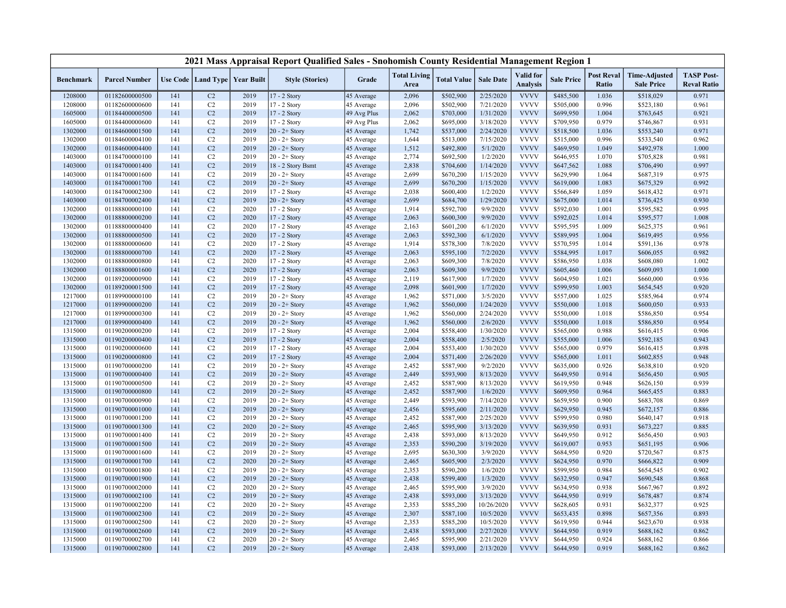| <b>Total Living</b><br><b>Valid</b> for<br><b>Post Reval</b><br><b>TASP Post-</b><br><b>Time-Adjusted</b><br>Use Code   Land Type   Year Built<br><b>Style (Stories)</b><br>Grade<br><b>Total Value</b><br><b>Sale Date</b><br><b>Sale Price</b><br><b>Benchmark</b><br><b>Parcel Number</b><br><b>Analysis</b><br>Ratio<br><b>Sale Price</b><br><b>Reval Ratio</b><br>Area<br>17 - 2 Story<br>2/25/2020<br>1208000<br>01182600000500<br>C <sub>2</sub><br>2019<br>2,096<br>\$502,900<br><b>VVVV</b><br>\$485,500<br>1.036<br>\$518,029<br>0.971<br>141<br>45 Average<br><b>VVVV</b><br>1208000<br>01182600000600<br>C2<br>2019<br>17 - 2 Story<br>2,096<br>\$502,900<br>7/21/2020<br>\$505,000<br>0.996<br>\$523,180<br>0.961<br>141<br>45 Average<br><b>VVVV</b><br>C2<br>2019<br>2,062<br>\$703,000<br>1/31/2020<br>\$699,950<br>1.004<br>0.921<br>1605000<br>01184400000500<br>141<br>17 - 2 Story<br>49 Avg Plus<br>\$763,645<br><b>VVVV</b><br>C <sub>2</sub><br>2019<br>2,062<br>\$695,000<br>3/18/2020<br>\$709,950<br>0.979<br>0.931<br>1605000<br>01184400000600<br>141<br>17 - 2 Story<br>49 Avg Plus<br>\$746,867<br>C <sub>2</sub><br>2019<br>1,742<br><b>VVVV</b><br>0.971<br>1302000<br>01184600001500<br>141<br>$20 - 2 +$ Story<br>45 Average<br>\$537,000<br>2/24/2020<br>\$518,500<br>1.036<br>\$553,240<br><b>VVVV</b><br>1302000<br>C2<br>2019<br>$20 - 2 +$ Story<br>1,644<br>\$513,000<br>7/15/2020<br>\$515,000<br>0.996<br>\$533,540<br>0.962<br>01184600004100<br>141<br>45 Average<br>C2<br>2019<br>1,512<br>\$492,800<br>5/1/2020<br><b>VVVV</b><br>1.049<br>\$492,978<br>1.000<br>1302000<br>01184600004400<br>141<br>$20 - 2 +$ Story<br>45 Average<br>\$469,950<br><b>VVVV</b><br>1403000<br>01184700000100<br>141<br>C2<br>2019<br>$20 - 2 +$ Story<br>2,774<br>\$692,500<br>1/2/2020<br>\$646,955<br>1.070<br>\$705,828<br>0.981<br>45 Average<br>C <sub>2</sub><br><b>VVVV</b><br>1403000<br>2019<br>2,838<br>\$704,600<br>1/14/2020<br>\$647,562<br>1.088<br>0.997<br>01184700001400<br>141<br>18 - 2 Story Bsmt<br>\$706,490<br>45 Average<br>2019<br><b>VVVV</b><br>0.975<br>1403000<br>01184700001600<br>141<br>C2<br>$20 - 2 +$ Story<br>45 Average<br>2,699<br>\$670,200<br>1/15/2020<br>\$629,990<br>1.064<br>\$687,319<br>01184700001700<br>C <sub>2</sub><br>2019<br>$20 - 2 +$ Story<br>2,699<br>\$670,200<br>1/15/2020<br><b>VVVV</b><br>\$619,000<br>1.083<br>\$675,329<br>0.992<br>1403000<br>141<br>45 Average<br>C2<br>2019<br>\$600,400<br>1/2/2020<br><b>VVVV</b><br>0.971<br>1403000<br>01184700002300<br>141<br>17 - 2 Story<br>45 Average<br>2,038<br>\$566,849<br>1.059<br>\$618,432<br>C <sub>2</sub><br>2019<br>1/29/2020<br><b>VVVV</b><br>1403000<br>01184700002400<br>141<br>$20 - 2 +$ Story<br>2,699<br>\$684,700<br>\$675,000<br>1.014<br>\$736,425<br>0.930<br>45 Average<br>C <sub>2</sub><br>2020<br>1,914<br>9/9/2020<br><b>VVVV</b><br>0.995<br>1302000<br>01188800000100<br>141<br>17 - 2 Story<br>45 Average<br>\$592,700<br>\$592,030<br>1.001<br>\$595,582<br><b>VVVV</b><br>141<br>C2<br>2020<br>2,063<br>\$600,300<br>9/9/2020<br>\$592,025<br>1.014<br>\$595,577<br>1.008<br>1302000<br>01188800000200<br>17 - 2 Story<br>45 Average<br><b>VVVV</b><br>1302000<br>01188800000400<br>C2<br>2020<br>2,163<br>\$601,200<br>6/1/2020<br>\$595,595<br>1.009<br>\$625,375<br>0.961<br>141<br>17 - 2 Story<br>45 Average<br>C2<br>2020<br>2,063<br>\$592,300<br>6/1/2020<br><b>VVVV</b><br>1.004<br>\$619,495<br>0.956<br>1302000<br>01188800000500<br>141<br>17 - 2 Story<br>45 Average<br>\$589,995<br><b>VVVV</b><br>1302000<br>141<br>C <sub>2</sub><br>2020<br>17 - 2 Story<br>1,914<br>\$578,300<br>7/8/2020<br>\$570,595<br>1.014<br>\$591,136<br>0.978<br>01188800000600<br>45 Average<br>C <sub>2</sub><br>7/2/2020<br><b>VVVV</b><br>2020<br>2,063<br>\$595,100<br>\$584,995<br>1.017<br>0.982<br>1302000<br>01188800000700<br>141<br>17 - 2 Story<br>\$606,055<br>45 Average<br><b>VVVV</b><br>2020<br>C2<br>2,063<br>\$609,300<br>7/8/2020<br>\$586,950<br>1.038<br>\$608,080<br>1.002<br>1302000<br>01188800000800<br>141<br>$17 - 2$ Story<br>45 Average<br>01188800001600<br>C <sub>2</sub><br>2020<br>2,063<br>\$609,300<br>9/9/2020<br><b>VVVV</b><br>\$605,460<br>1.006<br>1.000<br>1302000<br>141<br>17 - 2 Story<br>45 Average<br>\$609,093<br>C2<br>2019<br>1/7/2020<br><b>VVVV</b><br>0.936<br>1302000<br>01189200000900<br>141<br>17 - 2 Story<br>2,119<br>\$617,900<br>\$604,950<br>1.021<br>\$660,000<br>45 Average<br>C <sub>2</sub><br><b>VVVV</b><br>1302000<br>141<br>2019<br>2,098<br>\$601,900<br>1/7/2020<br>\$599,950<br>1.003<br>\$654,545<br>0.920<br>01189200001500<br>17 - 2 Story<br>45 Average<br><b>VVVV</b><br>C2<br>2019<br>1,962<br>\$571,000<br>3/5/2020<br>1.025<br>0.974<br>1217000<br>01189900000100<br>141<br>$20 - 2 +$ Story<br>45 Average<br>\$557,000<br>\$585,964<br><b>VVVV</b><br>2019<br>0.933<br>C <sub>2</sub><br>$20 - 2 +$ Story<br>1,962<br>\$560,000<br>1/24/2020<br>\$550,000<br>\$600,050<br>1217000<br>01189900000200<br>141<br>45 Average<br>1.018<br><b>VVVV</b><br>2019<br>1,962<br>\$560,000<br>2/24/2020<br>\$550,000<br>1.018<br>0.954<br>1217000<br>01189900000300<br>141<br>C2<br>$20 - 2 +$ Story<br>45 Average<br>\$586,850<br>C2<br>2019<br>1,962<br>\$560,000<br>2/6/2020<br><b>VVVV</b><br>0.954<br>1217000<br>01189900000400<br>141<br>$20 - 2 +$ Story<br>45 Average<br>\$550,000<br>1.018<br>\$586,850<br><b>VVVV</b><br>C2<br>2019<br>17 - 2 Story<br>2,004<br>\$558,400<br>1/30/2020<br>0.988<br>0.906<br>1315000<br>01190200000200<br>141<br>45 Average<br>\$565,000<br>\$616,415<br>C2<br>2019<br>2,004<br>\$558,400<br>2/5/2020<br><b>VVVV</b><br>1.006<br>0.943<br>1315000<br>01190200000400<br>141<br>17 - 2 Story<br>\$555,000<br>\$592,185<br>45 Average<br><b>VVVV</b><br>2019<br>C2<br>2,004<br>\$553,400<br>1/30/2020<br>0.979<br>0.898<br>1315000<br>01190200000600<br>141<br>17 - 2 Story<br>45 Average<br>\$565,000<br>\$616,415<br>C2<br><b>VVVV</b><br>1315000<br>01190200000800<br>141<br>2019<br>17 - 2 Story<br>45 Average<br>2,004<br>\$571,400<br>2/26/2020<br>\$565,000<br>1.011<br>\$602,855<br>0.948 |  |  | 2021 Mass Appraisal Report Qualified Sales - Snohomish County Residential Management Region 1 |  |  |  |  |  |
|------------------------------------------------------------------------------------------------------------------------------------------------------------------------------------------------------------------------------------------------------------------------------------------------------------------------------------------------------------------------------------------------------------------------------------------------------------------------------------------------------------------------------------------------------------------------------------------------------------------------------------------------------------------------------------------------------------------------------------------------------------------------------------------------------------------------------------------------------------------------------------------------------------------------------------------------------------------------------------------------------------------------------------------------------------------------------------------------------------------------------------------------------------------------------------------------------------------------------------------------------------------------------------------------------------------------------------------------------------------------------------------------------------------------------------------------------------------------------------------------------------------------------------------------------------------------------------------------------------------------------------------------------------------------------------------------------------------------------------------------------------------------------------------------------------------------------------------------------------------------------------------------------------------------------------------------------------------------------------------------------------------------------------------------------------------------------------------------------------------------------------------------------------------------------------------------------------------------------------------------------------------------------------------------------------------------------------------------------------------------------------------------------------------------------------------------------------------------------------------------------------------------------------------------------------------------------------------------------------------------------------------------------------------------------------------------------------------------------------------------------------------------------------------------------------------------------------------------------------------------------------------------------------------------------------------------------------------------------------------------------------------------------------------------------------------------------------------------------------------------------------------------------------------------------------------------------------------------------------------------------------------------------------------------------------------------------------------------------------------------------------------------------------------------------------------------------------------------------------------------------------------------------------------------------------------------------------------------------------------------------------------------------------------------------------------------------------------------------------------------------------------------------------------------------------------------------------------------------------------------------------------------------------------------------------------------------------------------------------------------------------------------------------------------------------------------------------------------------------------------------------------------------------------------------------------------------------------------------------------------------------------------------------------------------------------------------------------------------------------------------------------------------------------------------------------------------------------------------------------------------------------------------------------------------------------------------------------------------------------------------------------------------------------------------------------------------------------------------------------------------------------------------------------------------------------------------------------------------------------------------------------------------------------------------------------------------------------------------------------------------------------------------------------------------------------------------------------------------------------------------------------------------------------------------------------------------------------------------------------------------------------------------------------------------------------------------------------------------------------------------------------------------------------------------------------------------------------------------------------------------------------------------------------------------------------------------------------------------------------------------------------------------------------------------------------------------------------------------------------------------------------------------------------------------------------------------------------------------------------------------------------------------------------------------------------------------------------------------------------------------------------------------------------------------------------------------------------------------------------------------------------------------------------------------------|--|--|-----------------------------------------------------------------------------------------------|--|--|--|--|--|
|                                                                                                                                                                                                                                                                                                                                                                                                                                                                                                                                                                                                                                                                                                                                                                                                                                                                                                                                                                                                                                                                                                                                                                                                                                                                                                                                                                                                                                                                                                                                                                                                                                                                                                                                                                                                                                                                                                                                                                                                                                                                                                                                                                                                                                                                                                                                                                                                                                                                                                                                                                                                                                                                                                                                                                                                                                                                                                                                                                                                                                                                                                                                                                                                                                                                                                                                                                                                                                                                                                                                                                                                                                                                                                                                                                                                                                                                                                                                                                                                                                                                                                                                                                                                                                                                                                                                                                                                                                                                                                                                                                                                                                                                                                                                                                                                                                                                                                                                                                                                                                                                                                                                                                                                                                                                                                                                                                                                                                                                                                                                                                                                                                                                                                                                                                                                                                                                                                                                                                                                                                                                                                                                                                                    |  |  |                                                                                               |  |  |  |  |  |
|                                                                                                                                                                                                                                                                                                                                                                                                                                                                                                                                                                                                                                                                                                                                                                                                                                                                                                                                                                                                                                                                                                                                                                                                                                                                                                                                                                                                                                                                                                                                                                                                                                                                                                                                                                                                                                                                                                                                                                                                                                                                                                                                                                                                                                                                                                                                                                                                                                                                                                                                                                                                                                                                                                                                                                                                                                                                                                                                                                                                                                                                                                                                                                                                                                                                                                                                                                                                                                                                                                                                                                                                                                                                                                                                                                                                                                                                                                                                                                                                                                                                                                                                                                                                                                                                                                                                                                                                                                                                                                                                                                                                                                                                                                                                                                                                                                                                                                                                                                                                                                                                                                                                                                                                                                                                                                                                                                                                                                                                                                                                                                                                                                                                                                                                                                                                                                                                                                                                                                                                                                                                                                                                                                                    |  |  |                                                                                               |  |  |  |  |  |
|                                                                                                                                                                                                                                                                                                                                                                                                                                                                                                                                                                                                                                                                                                                                                                                                                                                                                                                                                                                                                                                                                                                                                                                                                                                                                                                                                                                                                                                                                                                                                                                                                                                                                                                                                                                                                                                                                                                                                                                                                                                                                                                                                                                                                                                                                                                                                                                                                                                                                                                                                                                                                                                                                                                                                                                                                                                                                                                                                                                                                                                                                                                                                                                                                                                                                                                                                                                                                                                                                                                                                                                                                                                                                                                                                                                                                                                                                                                                                                                                                                                                                                                                                                                                                                                                                                                                                                                                                                                                                                                                                                                                                                                                                                                                                                                                                                                                                                                                                                                                                                                                                                                                                                                                                                                                                                                                                                                                                                                                                                                                                                                                                                                                                                                                                                                                                                                                                                                                                                                                                                                                                                                                                                                    |  |  |                                                                                               |  |  |  |  |  |
|                                                                                                                                                                                                                                                                                                                                                                                                                                                                                                                                                                                                                                                                                                                                                                                                                                                                                                                                                                                                                                                                                                                                                                                                                                                                                                                                                                                                                                                                                                                                                                                                                                                                                                                                                                                                                                                                                                                                                                                                                                                                                                                                                                                                                                                                                                                                                                                                                                                                                                                                                                                                                                                                                                                                                                                                                                                                                                                                                                                                                                                                                                                                                                                                                                                                                                                                                                                                                                                                                                                                                                                                                                                                                                                                                                                                                                                                                                                                                                                                                                                                                                                                                                                                                                                                                                                                                                                                                                                                                                                                                                                                                                                                                                                                                                                                                                                                                                                                                                                                                                                                                                                                                                                                                                                                                                                                                                                                                                                                                                                                                                                                                                                                                                                                                                                                                                                                                                                                                                                                                                                                                                                                                                                    |  |  |                                                                                               |  |  |  |  |  |
|                                                                                                                                                                                                                                                                                                                                                                                                                                                                                                                                                                                                                                                                                                                                                                                                                                                                                                                                                                                                                                                                                                                                                                                                                                                                                                                                                                                                                                                                                                                                                                                                                                                                                                                                                                                                                                                                                                                                                                                                                                                                                                                                                                                                                                                                                                                                                                                                                                                                                                                                                                                                                                                                                                                                                                                                                                                                                                                                                                                                                                                                                                                                                                                                                                                                                                                                                                                                                                                                                                                                                                                                                                                                                                                                                                                                                                                                                                                                                                                                                                                                                                                                                                                                                                                                                                                                                                                                                                                                                                                                                                                                                                                                                                                                                                                                                                                                                                                                                                                                                                                                                                                                                                                                                                                                                                                                                                                                                                                                                                                                                                                                                                                                                                                                                                                                                                                                                                                                                                                                                                                                                                                                                                                    |  |  |                                                                                               |  |  |  |  |  |
|                                                                                                                                                                                                                                                                                                                                                                                                                                                                                                                                                                                                                                                                                                                                                                                                                                                                                                                                                                                                                                                                                                                                                                                                                                                                                                                                                                                                                                                                                                                                                                                                                                                                                                                                                                                                                                                                                                                                                                                                                                                                                                                                                                                                                                                                                                                                                                                                                                                                                                                                                                                                                                                                                                                                                                                                                                                                                                                                                                                                                                                                                                                                                                                                                                                                                                                                                                                                                                                                                                                                                                                                                                                                                                                                                                                                                                                                                                                                                                                                                                                                                                                                                                                                                                                                                                                                                                                                                                                                                                                                                                                                                                                                                                                                                                                                                                                                                                                                                                                                                                                                                                                                                                                                                                                                                                                                                                                                                                                                                                                                                                                                                                                                                                                                                                                                                                                                                                                                                                                                                                                                                                                                                                                    |  |  |                                                                                               |  |  |  |  |  |
|                                                                                                                                                                                                                                                                                                                                                                                                                                                                                                                                                                                                                                                                                                                                                                                                                                                                                                                                                                                                                                                                                                                                                                                                                                                                                                                                                                                                                                                                                                                                                                                                                                                                                                                                                                                                                                                                                                                                                                                                                                                                                                                                                                                                                                                                                                                                                                                                                                                                                                                                                                                                                                                                                                                                                                                                                                                                                                                                                                                                                                                                                                                                                                                                                                                                                                                                                                                                                                                                                                                                                                                                                                                                                                                                                                                                                                                                                                                                                                                                                                                                                                                                                                                                                                                                                                                                                                                                                                                                                                                                                                                                                                                                                                                                                                                                                                                                                                                                                                                                                                                                                                                                                                                                                                                                                                                                                                                                                                                                                                                                                                                                                                                                                                                                                                                                                                                                                                                                                                                                                                                                                                                                                                                    |  |  |                                                                                               |  |  |  |  |  |
|                                                                                                                                                                                                                                                                                                                                                                                                                                                                                                                                                                                                                                                                                                                                                                                                                                                                                                                                                                                                                                                                                                                                                                                                                                                                                                                                                                                                                                                                                                                                                                                                                                                                                                                                                                                                                                                                                                                                                                                                                                                                                                                                                                                                                                                                                                                                                                                                                                                                                                                                                                                                                                                                                                                                                                                                                                                                                                                                                                                                                                                                                                                                                                                                                                                                                                                                                                                                                                                                                                                                                                                                                                                                                                                                                                                                                                                                                                                                                                                                                                                                                                                                                                                                                                                                                                                                                                                                                                                                                                                                                                                                                                                                                                                                                                                                                                                                                                                                                                                                                                                                                                                                                                                                                                                                                                                                                                                                                                                                                                                                                                                                                                                                                                                                                                                                                                                                                                                                                                                                                                                                                                                                                                                    |  |  |                                                                                               |  |  |  |  |  |
|                                                                                                                                                                                                                                                                                                                                                                                                                                                                                                                                                                                                                                                                                                                                                                                                                                                                                                                                                                                                                                                                                                                                                                                                                                                                                                                                                                                                                                                                                                                                                                                                                                                                                                                                                                                                                                                                                                                                                                                                                                                                                                                                                                                                                                                                                                                                                                                                                                                                                                                                                                                                                                                                                                                                                                                                                                                                                                                                                                                                                                                                                                                                                                                                                                                                                                                                                                                                                                                                                                                                                                                                                                                                                                                                                                                                                                                                                                                                                                                                                                                                                                                                                                                                                                                                                                                                                                                                                                                                                                                                                                                                                                                                                                                                                                                                                                                                                                                                                                                                                                                                                                                                                                                                                                                                                                                                                                                                                                                                                                                                                                                                                                                                                                                                                                                                                                                                                                                                                                                                                                                                                                                                                                                    |  |  |                                                                                               |  |  |  |  |  |
|                                                                                                                                                                                                                                                                                                                                                                                                                                                                                                                                                                                                                                                                                                                                                                                                                                                                                                                                                                                                                                                                                                                                                                                                                                                                                                                                                                                                                                                                                                                                                                                                                                                                                                                                                                                                                                                                                                                                                                                                                                                                                                                                                                                                                                                                                                                                                                                                                                                                                                                                                                                                                                                                                                                                                                                                                                                                                                                                                                                                                                                                                                                                                                                                                                                                                                                                                                                                                                                                                                                                                                                                                                                                                                                                                                                                                                                                                                                                                                                                                                                                                                                                                                                                                                                                                                                                                                                                                                                                                                                                                                                                                                                                                                                                                                                                                                                                                                                                                                                                                                                                                                                                                                                                                                                                                                                                                                                                                                                                                                                                                                                                                                                                                                                                                                                                                                                                                                                                                                                                                                                                                                                                                                                    |  |  |                                                                                               |  |  |  |  |  |
|                                                                                                                                                                                                                                                                                                                                                                                                                                                                                                                                                                                                                                                                                                                                                                                                                                                                                                                                                                                                                                                                                                                                                                                                                                                                                                                                                                                                                                                                                                                                                                                                                                                                                                                                                                                                                                                                                                                                                                                                                                                                                                                                                                                                                                                                                                                                                                                                                                                                                                                                                                                                                                                                                                                                                                                                                                                                                                                                                                                                                                                                                                                                                                                                                                                                                                                                                                                                                                                                                                                                                                                                                                                                                                                                                                                                                                                                                                                                                                                                                                                                                                                                                                                                                                                                                                                                                                                                                                                                                                                                                                                                                                                                                                                                                                                                                                                                                                                                                                                                                                                                                                                                                                                                                                                                                                                                                                                                                                                                                                                                                                                                                                                                                                                                                                                                                                                                                                                                                                                                                                                                                                                                                                                    |  |  |                                                                                               |  |  |  |  |  |
|                                                                                                                                                                                                                                                                                                                                                                                                                                                                                                                                                                                                                                                                                                                                                                                                                                                                                                                                                                                                                                                                                                                                                                                                                                                                                                                                                                                                                                                                                                                                                                                                                                                                                                                                                                                                                                                                                                                                                                                                                                                                                                                                                                                                                                                                                                                                                                                                                                                                                                                                                                                                                                                                                                                                                                                                                                                                                                                                                                                                                                                                                                                                                                                                                                                                                                                                                                                                                                                                                                                                                                                                                                                                                                                                                                                                                                                                                                                                                                                                                                                                                                                                                                                                                                                                                                                                                                                                                                                                                                                                                                                                                                                                                                                                                                                                                                                                                                                                                                                                                                                                                                                                                                                                                                                                                                                                                                                                                                                                                                                                                                                                                                                                                                                                                                                                                                                                                                                                                                                                                                                                                                                                                                                    |  |  |                                                                                               |  |  |  |  |  |
|                                                                                                                                                                                                                                                                                                                                                                                                                                                                                                                                                                                                                                                                                                                                                                                                                                                                                                                                                                                                                                                                                                                                                                                                                                                                                                                                                                                                                                                                                                                                                                                                                                                                                                                                                                                                                                                                                                                                                                                                                                                                                                                                                                                                                                                                                                                                                                                                                                                                                                                                                                                                                                                                                                                                                                                                                                                                                                                                                                                                                                                                                                                                                                                                                                                                                                                                                                                                                                                                                                                                                                                                                                                                                                                                                                                                                                                                                                                                                                                                                                                                                                                                                                                                                                                                                                                                                                                                                                                                                                                                                                                                                                                                                                                                                                                                                                                                                                                                                                                                                                                                                                                                                                                                                                                                                                                                                                                                                                                                                                                                                                                                                                                                                                                                                                                                                                                                                                                                                                                                                                                                                                                                                                                    |  |  |                                                                                               |  |  |  |  |  |
|                                                                                                                                                                                                                                                                                                                                                                                                                                                                                                                                                                                                                                                                                                                                                                                                                                                                                                                                                                                                                                                                                                                                                                                                                                                                                                                                                                                                                                                                                                                                                                                                                                                                                                                                                                                                                                                                                                                                                                                                                                                                                                                                                                                                                                                                                                                                                                                                                                                                                                                                                                                                                                                                                                                                                                                                                                                                                                                                                                                                                                                                                                                                                                                                                                                                                                                                                                                                                                                                                                                                                                                                                                                                                                                                                                                                                                                                                                                                                                                                                                                                                                                                                                                                                                                                                                                                                                                                                                                                                                                                                                                                                                                                                                                                                                                                                                                                                                                                                                                                                                                                                                                                                                                                                                                                                                                                                                                                                                                                                                                                                                                                                                                                                                                                                                                                                                                                                                                                                                                                                                                                                                                                                                                    |  |  |                                                                                               |  |  |  |  |  |
|                                                                                                                                                                                                                                                                                                                                                                                                                                                                                                                                                                                                                                                                                                                                                                                                                                                                                                                                                                                                                                                                                                                                                                                                                                                                                                                                                                                                                                                                                                                                                                                                                                                                                                                                                                                                                                                                                                                                                                                                                                                                                                                                                                                                                                                                                                                                                                                                                                                                                                                                                                                                                                                                                                                                                                                                                                                                                                                                                                                                                                                                                                                                                                                                                                                                                                                                                                                                                                                                                                                                                                                                                                                                                                                                                                                                                                                                                                                                                                                                                                                                                                                                                                                                                                                                                                                                                                                                                                                                                                                                                                                                                                                                                                                                                                                                                                                                                                                                                                                                                                                                                                                                                                                                                                                                                                                                                                                                                                                                                                                                                                                                                                                                                                                                                                                                                                                                                                                                                                                                                                                                                                                                                                                    |  |  |                                                                                               |  |  |  |  |  |
|                                                                                                                                                                                                                                                                                                                                                                                                                                                                                                                                                                                                                                                                                                                                                                                                                                                                                                                                                                                                                                                                                                                                                                                                                                                                                                                                                                                                                                                                                                                                                                                                                                                                                                                                                                                                                                                                                                                                                                                                                                                                                                                                                                                                                                                                                                                                                                                                                                                                                                                                                                                                                                                                                                                                                                                                                                                                                                                                                                                                                                                                                                                                                                                                                                                                                                                                                                                                                                                                                                                                                                                                                                                                                                                                                                                                                                                                                                                                                                                                                                                                                                                                                                                                                                                                                                                                                                                                                                                                                                                                                                                                                                                                                                                                                                                                                                                                                                                                                                                                                                                                                                                                                                                                                                                                                                                                                                                                                                                                                                                                                                                                                                                                                                                                                                                                                                                                                                                                                                                                                                                                                                                                                                                    |  |  |                                                                                               |  |  |  |  |  |
|                                                                                                                                                                                                                                                                                                                                                                                                                                                                                                                                                                                                                                                                                                                                                                                                                                                                                                                                                                                                                                                                                                                                                                                                                                                                                                                                                                                                                                                                                                                                                                                                                                                                                                                                                                                                                                                                                                                                                                                                                                                                                                                                                                                                                                                                                                                                                                                                                                                                                                                                                                                                                                                                                                                                                                                                                                                                                                                                                                                                                                                                                                                                                                                                                                                                                                                                                                                                                                                                                                                                                                                                                                                                                                                                                                                                                                                                                                                                                                                                                                                                                                                                                                                                                                                                                                                                                                                                                                                                                                                                                                                                                                                                                                                                                                                                                                                                                                                                                                                                                                                                                                                                                                                                                                                                                                                                                                                                                                                                                                                                                                                                                                                                                                                                                                                                                                                                                                                                                                                                                                                                                                                                                                                    |  |  |                                                                                               |  |  |  |  |  |
|                                                                                                                                                                                                                                                                                                                                                                                                                                                                                                                                                                                                                                                                                                                                                                                                                                                                                                                                                                                                                                                                                                                                                                                                                                                                                                                                                                                                                                                                                                                                                                                                                                                                                                                                                                                                                                                                                                                                                                                                                                                                                                                                                                                                                                                                                                                                                                                                                                                                                                                                                                                                                                                                                                                                                                                                                                                                                                                                                                                                                                                                                                                                                                                                                                                                                                                                                                                                                                                                                                                                                                                                                                                                                                                                                                                                                                                                                                                                                                                                                                                                                                                                                                                                                                                                                                                                                                                                                                                                                                                                                                                                                                                                                                                                                                                                                                                                                                                                                                                                                                                                                                                                                                                                                                                                                                                                                                                                                                                                                                                                                                                                                                                                                                                                                                                                                                                                                                                                                                                                                                                                                                                                                                                    |  |  |                                                                                               |  |  |  |  |  |
|                                                                                                                                                                                                                                                                                                                                                                                                                                                                                                                                                                                                                                                                                                                                                                                                                                                                                                                                                                                                                                                                                                                                                                                                                                                                                                                                                                                                                                                                                                                                                                                                                                                                                                                                                                                                                                                                                                                                                                                                                                                                                                                                                                                                                                                                                                                                                                                                                                                                                                                                                                                                                                                                                                                                                                                                                                                                                                                                                                                                                                                                                                                                                                                                                                                                                                                                                                                                                                                                                                                                                                                                                                                                                                                                                                                                                                                                                                                                                                                                                                                                                                                                                                                                                                                                                                                                                                                                                                                                                                                                                                                                                                                                                                                                                                                                                                                                                                                                                                                                                                                                                                                                                                                                                                                                                                                                                                                                                                                                                                                                                                                                                                                                                                                                                                                                                                                                                                                                                                                                                                                                                                                                                                                    |  |  |                                                                                               |  |  |  |  |  |
|                                                                                                                                                                                                                                                                                                                                                                                                                                                                                                                                                                                                                                                                                                                                                                                                                                                                                                                                                                                                                                                                                                                                                                                                                                                                                                                                                                                                                                                                                                                                                                                                                                                                                                                                                                                                                                                                                                                                                                                                                                                                                                                                                                                                                                                                                                                                                                                                                                                                                                                                                                                                                                                                                                                                                                                                                                                                                                                                                                                                                                                                                                                                                                                                                                                                                                                                                                                                                                                                                                                                                                                                                                                                                                                                                                                                                                                                                                                                                                                                                                                                                                                                                                                                                                                                                                                                                                                                                                                                                                                                                                                                                                                                                                                                                                                                                                                                                                                                                                                                                                                                                                                                                                                                                                                                                                                                                                                                                                                                                                                                                                                                                                                                                                                                                                                                                                                                                                                                                                                                                                                                                                                                                                                    |  |  |                                                                                               |  |  |  |  |  |
|                                                                                                                                                                                                                                                                                                                                                                                                                                                                                                                                                                                                                                                                                                                                                                                                                                                                                                                                                                                                                                                                                                                                                                                                                                                                                                                                                                                                                                                                                                                                                                                                                                                                                                                                                                                                                                                                                                                                                                                                                                                                                                                                                                                                                                                                                                                                                                                                                                                                                                                                                                                                                                                                                                                                                                                                                                                                                                                                                                                                                                                                                                                                                                                                                                                                                                                                                                                                                                                                                                                                                                                                                                                                                                                                                                                                                                                                                                                                                                                                                                                                                                                                                                                                                                                                                                                                                                                                                                                                                                                                                                                                                                                                                                                                                                                                                                                                                                                                                                                                                                                                                                                                                                                                                                                                                                                                                                                                                                                                                                                                                                                                                                                                                                                                                                                                                                                                                                                                                                                                                                                                                                                                                                                    |  |  |                                                                                               |  |  |  |  |  |
|                                                                                                                                                                                                                                                                                                                                                                                                                                                                                                                                                                                                                                                                                                                                                                                                                                                                                                                                                                                                                                                                                                                                                                                                                                                                                                                                                                                                                                                                                                                                                                                                                                                                                                                                                                                                                                                                                                                                                                                                                                                                                                                                                                                                                                                                                                                                                                                                                                                                                                                                                                                                                                                                                                                                                                                                                                                                                                                                                                                                                                                                                                                                                                                                                                                                                                                                                                                                                                                                                                                                                                                                                                                                                                                                                                                                                                                                                                                                                                                                                                                                                                                                                                                                                                                                                                                                                                                                                                                                                                                                                                                                                                                                                                                                                                                                                                                                                                                                                                                                                                                                                                                                                                                                                                                                                                                                                                                                                                                                                                                                                                                                                                                                                                                                                                                                                                                                                                                                                                                                                                                                                                                                                                                    |  |  |                                                                                               |  |  |  |  |  |
|                                                                                                                                                                                                                                                                                                                                                                                                                                                                                                                                                                                                                                                                                                                                                                                                                                                                                                                                                                                                                                                                                                                                                                                                                                                                                                                                                                                                                                                                                                                                                                                                                                                                                                                                                                                                                                                                                                                                                                                                                                                                                                                                                                                                                                                                                                                                                                                                                                                                                                                                                                                                                                                                                                                                                                                                                                                                                                                                                                                                                                                                                                                                                                                                                                                                                                                                                                                                                                                                                                                                                                                                                                                                                                                                                                                                                                                                                                                                                                                                                                                                                                                                                                                                                                                                                                                                                                                                                                                                                                                                                                                                                                                                                                                                                                                                                                                                                                                                                                                                                                                                                                                                                                                                                                                                                                                                                                                                                                                                                                                                                                                                                                                                                                                                                                                                                                                                                                                                                                                                                                                                                                                                                                                    |  |  |                                                                                               |  |  |  |  |  |
|                                                                                                                                                                                                                                                                                                                                                                                                                                                                                                                                                                                                                                                                                                                                                                                                                                                                                                                                                                                                                                                                                                                                                                                                                                                                                                                                                                                                                                                                                                                                                                                                                                                                                                                                                                                                                                                                                                                                                                                                                                                                                                                                                                                                                                                                                                                                                                                                                                                                                                                                                                                                                                                                                                                                                                                                                                                                                                                                                                                                                                                                                                                                                                                                                                                                                                                                                                                                                                                                                                                                                                                                                                                                                                                                                                                                                                                                                                                                                                                                                                                                                                                                                                                                                                                                                                                                                                                                                                                                                                                                                                                                                                                                                                                                                                                                                                                                                                                                                                                                                                                                                                                                                                                                                                                                                                                                                                                                                                                                                                                                                                                                                                                                                                                                                                                                                                                                                                                                                                                                                                                                                                                                                                                    |  |  |                                                                                               |  |  |  |  |  |
|                                                                                                                                                                                                                                                                                                                                                                                                                                                                                                                                                                                                                                                                                                                                                                                                                                                                                                                                                                                                                                                                                                                                                                                                                                                                                                                                                                                                                                                                                                                                                                                                                                                                                                                                                                                                                                                                                                                                                                                                                                                                                                                                                                                                                                                                                                                                                                                                                                                                                                                                                                                                                                                                                                                                                                                                                                                                                                                                                                                                                                                                                                                                                                                                                                                                                                                                                                                                                                                                                                                                                                                                                                                                                                                                                                                                                                                                                                                                                                                                                                                                                                                                                                                                                                                                                                                                                                                                                                                                                                                                                                                                                                                                                                                                                                                                                                                                                                                                                                                                                                                                                                                                                                                                                                                                                                                                                                                                                                                                                                                                                                                                                                                                                                                                                                                                                                                                                                                                                                                                                                                                                                                                                                                    |  |  |                                                                                               |  |  |  |  |  |
|                                                                                                                                                                                                                                                                                                                                                                                                                                                                                                                                                                                                                                                                                                                                                                                                                                                                                                                                                                                                                                                                                                                                                                                                                                                                                                                                                                                                                                                                                                                                                                                                                                                                                                                                                                                                                                                                                                                                                                                                                                                                                                                                                                                                                                                                                                                                                                                                                                                                                                                                                                                                                                                                                                                                                                                                                                                                                                                                                                                                                                                                                                                                                                                                                                                                                                                                                                                                                                                                                                                                                                                                                                                                                                                                                                                                                                                                                                                                                                                                                                                                                                                                                                                                                                                                                                                                                                                                                                                                                                                                                                                                                                                                                                                                                                                                                                                                                                                                                                                                                                                                                                                                                                                                                                                                                                                                                                                                                                                                                                                                                                                                                                                                                                                                                                                                                                                                                                                                                                                                                                                                                                                                                                                    |  |  |                                                                                               |  |  |  |  |  |
|                                                                                                                                                                                                                                                                                                                                                                                                                                                                                                                                                                                                                                                                                                                                                                                                                                                                                                                                                                                                                                                                                                                                                                                                                                                                                                                                                                                                                                                                                                                                                                                                                                                                                                                                                                                                                                                                                                                                                                                                                                                                                                                                                                                                                                                                                                                                                                                                                                                                                                                                                                                                                                                                                                                                                                                                                                                                                                                                                                                                                                                                                                                                                                                                                                                                                                                                                                                                                                                                                                                                                                                                                                                                                                                                                                                                                                                                                                                                                                                                                                                                                                                                                                                                                                                                                                                                                                                                                                                                                                                                                                                                                                                                                                                                                                                                                                                                                                                                                                                                                                                                                                                                                                                                                                                                                                                                                                                                                                                                                                                                                                                                                                                                                                                                                                                                                                                                                                                                                                                                                                                                                                                                                                                    |  |  |                                                                                               |  |  |  |  |  |
|                                                                                                                                                                                                                                                                                                                                                                                                                                                                                                                                                                                                                                                                                                                                                                                                                                                                                                                                                                                                                                                                                                                                                                                                                                                                                                                                                                                                                                                                                                                                                                                                                                                                                                                                                                                                                                                                                                                                                                                                                                                                                                                                                                                                                                                                                                                                                                                                                                                                                                                                                                                                                                                                                                                                                                                                                                                                                                                                                                                                                                                                                                                                                                                                                                                                                                                                                                                                                                                                                                                                                                                                                                                                                                                                                                                                                                                                                                                                                                                                                                                                                                                                                                                                                                                                                                                                                                                                                                                                                                                                                                                                                                                                                                                                                                                                                                                                                                                                                                                                                                                                                                                                                                                                                                                                                                                                                                                                                                                                                                                                                                                                                                                                                                                                                                                                                                                                                                                                                                                                                                                                                                                                                                                    |  |  |                                                                                               |  |  |  |  |  |
|                                                                                                                                                                                                                                                                                                                                                                                                                                                                                                                                                                                                                                                                                                                                                                                                                                                                                                                                                                                                                                                                                                                                                                                                                                                                                                                                                                                                                                                                                                                                                                                                                                                                                                                                                                                                                                                                                                                                                                                                                                                                                                                                                                                                                                                                                                                                                                                                                                                                                                                                                                                                                                                                                                                                                                                                                                                                                                                                                                                                                                                                                                                                                                                                                                                                                                                                                                                                                                                                                                                                                                                                                                                                                                                                                                                                                                                                                                                                                                                                                                                                                                                                                                                                                                                                                                                                                                                                                                                                                                                                                                                                                                                                                                                                                                                                                                                                                                                                                                                                                                                                                                                                                                                                                                                                                                                                                                                                                                                                                                                                                                                                                                                                                                                                                                                                                                                                                                                                                                                                                                                                                                                                                                                    |  |  |                                                                                               |  |  |  |  |  |
|                                                                                                                                                                                                                                                                                                                                                                                                                                                                                                                                                                                                                                                                                                                                                                                                                                                                                                                                                                                                                                                                                                                                                                                                                                                                                                                                                                                                                                                                                                                                                                                                                                                                                                                                                                                                                                                                                                                                                                                                                                                                                                                                                                                                                                                                                                                                                                                                                                                                                                                                                                                                                                                                                                                                                                                                                                                                                                                                                                                                                                                                                                                                                                                                                                                                                                                                                                                                                                                                                                                                                                                                                                                                                                                                                                                                                                                                                                                                                                                                                                                                                                                                                                                                                                                                                                                                                                                                                                                                                                                                                                                                                                                                                                                                                                                                                                                                                                                                                                                                                                                                                                                                                                                                                                                                                                                                                                                                                                                                                                                                                                                                                                                                                                                                                                                                                                                                                                                                                                                                                                                                                                                                                                                    |  |  |                                                                                               |  |  |  |  |  |
|                                                                                                                                                                                                                                                                                                                                                                                                                                                                                                                                                                                                                                                                                                                                                                                                                                                                                                                                                                                                                                                                                                                                                                                                                                                                                                                                                                                                                                                                                                                                                                                                                                                                                                                                                                                                                                                                                                                                                                                                                                                                                                                                                                                                                                                                                                                                                                                                                                                                                                                                                                                                                                                                                                                                                                                                                                                                                                                                                                                                                                                                                                                                                                                                                                                                                                                                                                                                                                                                                                                                                                                                                                                                                                                                                                                                                                                                                                                                                                                                                                                                                                                                                                                                                                                                                                                                                                                                                                                                                                                                                                                                                                                                                                                                                                                                                                                                                                                                                                                                                                                                                                                                                                                                                                                                                                                                                                                                                                                                                                                                                                                                                                                                                                                                                                                                                                                                                                                                                                                                                                                                                                                                                                                    |  |  |                                                                                               |  |  |  |  |  |
|                                                                                                                                                                                                                                                                                                                                                                                                                                                                                                                                                                                                                                                                                                                                                                                                                                                                                                                                                                                                                                                                                                                                                                                                                                                                                                                                                                                                                                                                                                                                                                                                                                                                                                                                                                                                                                                                                                                                                                                                                                                                                                                                                                                                                                                                                                                                                                                                                                                                                                                                                                                                                                                                                                                                                                                                                                                                                                                                                                                                                                                                                                                                                                                                                                                                                                                                                                                                                                                                                                                                                                                                                                                                                                                                                                                                                                                                                                                                                                                                                                                                                                                                                                                                                                                                                                                                                                                                                                                                                                                                                                                                                                                                                                                                                                                                                                                                                                                                                                                                                                                                                                                                                                                                                                                                                                                                                                                                                                                                                                                                                                                                                                                                                                                                                                                                                                                                                                                                                                                                                                                                                                                                                                                    |  |  |                                                                                               |  |  |  |  |  |
| <b>VVVV</b><br>1315000<br>01190700000200<br>C2<br>2019<br>$20 - 2 +$ Story<br>2,452<br>\$587,900<br>9/2/2020<br>\$635,000<br>0.926<br>\$638,810<br>0.920<br>141<br>45 Average                                                                                                                                                                                                                                                                                                                                                                                                                                                                                                                                                                                                                                                                                                                                                                                                                                                                                                                                                                                                                                                                                                                                                                                                                                                                                                                                                                                                                                                                                                                                                                                                                                                                                                                                                                                                                                                                                                                                                                                                                                                                                                                                                                                                                                                                                                                                                                                                                                                                                                                                                                                                                                                                                                                                                                                                                                                                                                                                                                                                                                                                                                                                                                                                                                                                                                                                                                                                                                                                                                                                                                                                                                                                                                                                                                                                                                                                                                                                                                                                                                                                                                                                                                                                                                                                                                                                                                                                                                                                                                                                                                                                                                                                                                                                                                                                                                                                                                                                                                                                                                                                                                                                                                                                                                                                                                                                                                                                                                                                                                                                                                                                                                                                                                                                                                                                                                                                                                                                                                                                      |  |  |                                                                                               |  |  |  |  |  |
| <b>VVVV</b><br>1315000<br>01190700000400<br>C2<br>2019<br>2,449<br>\$593,900<br>8/13/2020<br>\$649,950<br>0.914<br>\$656,450<br>0.905<br>141<br>$20 - 2 +$ Story<br>45 Average                                                                                                                                                                                                                                                                                                                                                                                                                                                                                                                                                                                                                                                                                                                                                                                                                                                                                                                                                                                                                                                                                                                                                                                                                                                                                                                                                                                                                                                                                                                                                                                                                                                                                                                                                                                                                                                                                                                                                                                                                                                                                                                                                                                                                                                                                                                                                                                                                                                                                                                                                                                                                                                                                                                                                                                                                                                                                                                                                                                                                                                                                                                                                                                                                                                                                                                                                                                                                                                                                                                                                                                                                                                                                                                                                                                                                                                                                                                                                                                                                                                                                                                                                                                                                                                                                                                                                                                                                                                                                                                                                                                                                                                                                                                                                                                                                                                                                                                                                                                                                                                                                                                                                                                                                                                                                                                                                                                                                                                                                                                                                                                                                                                                                                                                                                                                                                                                                                                                                                                                     |  |  |                                                                                               |  |  |  |  |  |
| C2<br><b>VVVV</b><br>0.948<br>0.939<br>141<br>2019<br>$20 - 2 +$ Story<br>2,452<br>\$587,900<br>8/13/2020<br>\$619,950<br>\$626,150<br>1315000<br>01190700000500<br>45 Average                                                                                                                                                                                                                                                                                                                                                                                                                                                                                                                                                                                                                                                                                                                                                                                                                                                                                                                                                                                                                                                                                                                                                                                                                                                                                                                                                                                                                                                                                                                                                                                                                                                                                                                                                                                                                                                                                                                                                                                                                                                                                                                                                                                                                                                                                                                                                                                                                                                                                                                                                                                                                                                                                                                                                                                                                                                                                                                                                                                                                                                                                                                                                                                                                                                                                                                                                                                                                                                                                                                                                                                                                                                                                                                                                                                                                                                                                                                                                                                                                                                                                                                                                                                                                                                                                                                                                                                                                                                                                                                                                                                                                                                                                                                                                                                                                                                                                                                                                                                                                                                                                                                                                                                                                                                                                                                                                                                                                                                                                                                                                                                                                                                                                                                                                                                                                                                                                                                                                                                                     |  |  |                                                                                               |  |  |  |  |  |
| <b>VVVV</b><br>C <sub>2</sub><br>2019<br>2,452<br>\$587,900<br>1/6/2020<br>\$609,950<br>0.964<br>0.883<br>1315000<br>01190700000800<br>141<br>$20 - 2 +$ Story<br>45 Average<br>\$665,455                                                                                                                                                                                                                                                                                                                                                                                                                                                                                                                                                                                                                                                                                                                                                                                                                                                                                                                                                                                                                                                                                                                                                                                                                                                                                                                                                                                                                                                                                                                                                                                                                                                                                                                                                                                                                                                                                                                                                                                                                                                                                                                                                                                                                                                                                                                                                                                                                                                                                                                                                                                                                                                                                                                                                                                                                                                                                                                                                                                                                                                                                                                                                                                                                                                                                                                                                                                                                                                                                                                                                                                                                                                                                                                                                                                                                                                                                                                                                                                                                                                                                                                                                                                                                                                                                                                                                                                                                                                                                                                                                                                                                                                                                                                                                                                                                                                                                                                                                                                                                                                                                                                                                                                                                                                                                                                                                                                                                                                                                                                                                                                                                                                                                                                                                                                                                                                                                                                                                                                          |  |  |                                                                                               |  |  |  |  |  |
| <b>VVVV</b><br>1315000<br>01190700000900<br>141<br>C2<br>2019<br>$20 - 2 +$ Story<br>2,449<br>\$593,900<br>7/14/2020<br>\$659,950<br>0.900<br>\$683,708<br>0.869<br>45 Average                                                                                                                                                                                                                                                                                                                                                                                                                                                                                                                                                                                                                                                                                                                                                                                                                                                                                                                                                                                                                                                                                                                                                                                                                                                                                                                                                                                                                                                                                                                                                                                                                                                                                                                                                                                                                                                                                                                                                                                                                                                                                                                                                                                                                                                                                                                                                                                                                                                                                                                                                                                                                                                                                                                                                                                                                                                                                                                                                                                                                                                                                                                                                                                                                                                                                                                                                                                                                                                                                                                                                                                                                                                                                                                                                                                                                                                                                                                                                                                                                                                                                                                                                                                                                                                                                                                                                                                                                                                                                                                                                                                                                                                                                                                                                                                                                                                                                                                                                                                                                                                                                                                                                                                                                                                                                                                                                                                                                                                                                                                                                                                                                                                                                                                                                                                                                                                                                                                                                                                                     |  |  |                                                                                               |  |  |  |  |  |
| <b>VVVV</b><br>1315000<br>01190700001000<br>C <sub>2</sub><br>2019<br>2,456<br>\$595,600<br>2/11/2020<br>\$629,950<br>0.945<br>\$672,157<br>0.886<br>141<br>$20 - 2 +$ Story<br>45 Average                                                                                                                                                                                                                                                                                                                                                                                                                                                                                                                                                                                                                                                                                                                                                                                                                                                                                                                                                                                                                                                                                                                                                                                                                                                                                                                                                                                                                                                                                                                                                                                                                                                                                                                                                                                                                                                                                                                                                                                                                                                                                                                                                                                                                                                                                                                                                                                                                                                                                                                                                                                                                                                                                                                                                                                                                                                                                                                                                                                                                                                                                                                                                                                                                                                                                                                                                                                                                                                                                                                                                                                                                                                                                                                                                                                                                                                                                                                                                                                                                                                                                                                                                                                                                                                                                                                                                                                                                                                                                                                                                                                                                                                                                                                                                                                                                                                                                                                                                                                                                                                                                                                                                                                                                                                                                                                                                                                                                                                                                                                                                                                                                                                                                                                                                                                                                                                                                                                                                                                         |  |  |                                                                                               |  |  |  |  |  |
| <b>VVVV</b><br>C2<br>2019<br>$20 - 2 +$ Story<br>2,452<br>\$587,900<br>2/25/2020<br>\$599,950<br>0.980<br>0.918<br>1315000<br>01190700001200<br>141<br>45 Average<br>\$640,147                                                                                                                                                                                                                                                                                                                                                                                                                                                                                                                                                                                                                                                                                                                                                                                                                                                                                                                                                                                                                                                                                                                                                                                                                                                                                                                                                                                                                                                                                                                                                                                                                                                                                                                                                                                                                                                                                                                                                                                                                                                                                                                                                                                                                                                                                                                                                                                                                                                                                                                                                                                                                                                                                                                                                                                                                                                                                                                                                                                                                                                                                                                                                                                                                                                                                                                                                                                                                                                                                                                                                                                                                                                                                                                                                                                                                                                                                                                                                                                                                                                                                                                                                                                                                                                                                                                                                                                                                                                                                                                                                                                                                                                                                                                                                                                                                                                                                                                                                                                                                                                                                                                                                                                                                                                                                                                                                                                                                                                                                                                                                                                                                                                                                                                                                                                                                                                                                                                                                                                                     |  |  |                                                                                               |  |  |  |  |  |
| C2<br>2020<br>\$595,900<br>3/13/2020<br><b>VVVV</b><br>\$639,950<br>0.885<br>1315000<br>01190700001300<br>141<br>$20 - 2 +$ Story<br>2,465<br>0.931<br>\$673,227<br>45 Average                                                                                                                                                                                                                                                                                                                                                                                                                                                                                                                                                                                                                                                                                                                                                                                                                                                                                                                                                                                                                                                                                                                                                                                                                                                                                                                                                                                                                                                                                                                                                                                                                                                                                                                                                                                                                                                                                                                                                                                                                                                                                                                                                                                                                                                                                                                                                                                                                                                                                                                                                                                                                                                                                                                                                                                                                                                                                                                                                                                                                                                                                                                                                                                                                                                                                                                                                                                                                                                                                                                                                                                                                                                                                                                                                                                                                                                                                                                                                                                                                                                                                                                                                                                                                                                                                                                                                                                                                                                                                                                                                                                                                                                                                                                                                                                                                                                                                                                                                                                                                                                                                                                                                                                                                                                                                                                                                                                                                                                                                                                                                                                                                                                                                                                                                                                                                                                                                                                                                                                                     |  |  |                                                                                               |  |  |  |  |  |
| <b>VVVV</b><br>C <sub>2</sub><br>2019<br>2,438<br>\$593,000<br>8/13/2020<br>\$649,950<br>0.912<br>0.903<br>1315000<br>01190700001400<br>141<br>$20 - 2 +$ Story<br>45 Average<br>\$656,450                                                                                                                                                                                                                                                                                                                                                                                                                                                                                                                                                                                                                                                                                                                                                                                                                                                                                                                                                                                                                                                                                                                                                                                                                                                                                                                                                                                                                                                                                                                                                                                                                                                                                                                                                                                                                                                                                                                                                                                                                                                                                                                                                                                                                                                                                                                                                                                                                                                                                                                                                                                                                                                                                                                                                                                                                                                                                                                                                                                                                                                                                                                                                                                                                                                                                                                                                                                                                                                                                                                                                                                                                                                                                                                                                                                                                                                                                                                                                                                                                                                                                                                                                                                                                                                                                                                                                                                                                                                                                                                                                                                                                                                                                                                                                                                                                                                                                                                                                                                                                                                                                                                                                                                                                                                                                                                                                                                                                                                                                                                                                                                                                                                                                                                                                                                                                                                                                                                                                                                         |  |  |                                                                                               |  |  |  |  |  |
| C2<br><b>VVVV</b><br>1315000<br>01190700001500<br>141<br>2019<br>$20 - 2 +$ Story<br>45 Average<br>2,353<br>\$590,200<br>3/19/2020<br>\$619,007<br>0.953<br>\$651,195<br>0.906                                                                                                                                                                                                                                                                                                                                                                                                                                                                                                                                                                                                                                                                                                                                                                                                                                                                                                                                                                                                                                                                                                                                                                                                                                                                                                                                                                                                                                                                                                                                                                                                                                                                                                                                                                                                                                                                                                                                                                                                                                                                                                                                                                                                                                                                                                                                                                                                                                                                                                                                                                                                                                                                                                                                                                                                                                                                                                                                                                                                                                                                                                                                                                                                                                                                                                                                                                                                                                                                                                                                                                                                                                                                                                                                                                                                                                                                                                                                                                                                                                                                                                                                                                                                                                                                                                                                                                                                                                                                                                                                                                                                                                                                                                                                                                                                                                                                                                                                                                                                                                                                                                                                                                                                                                                                                                                                                                                                                                                                                                                                                                                                                                                                                                                                                                                                                                                                                                                                                                                                     |  |  |                                                                                               |  |  |  |  |  |
| <b>VVVV</b><br>1315000<br>C <sub>2</sub><br>2019<br>$20 - 2 +$ Story<br>2,695<br>\$630,300<br>3/9/2020<br>\$684,950<br>0.920<br>\$720,567<br>0.875<br>01190700001600<br>141<br>45 Average                                                                                                                                                                                                                                                                                                                                                                                                                                                                                                                                                                                                                                                                                                                                                                                                                                                                                                                                                                                                                                                                                                                                                                                                                                                                                                                                                                                                                                                                                                                                                                                                                                                                                                                                                                                                                                                                                                                                                                                                                                                                                                                                                                                                                                                                                                                                                                                                                                                                                                                                                                                                                                                                                                                                                                                                                                                                                                                                                                                                                                                                                                                                                                                                                                                                                                                                                                                                                                                                                                                                                                                                                                                                                                                                                                                                                                                                                                                                                                                                                                                                                                                                                                                                                                                                                                                                                                                                                                                                                                                                                                                                                                                                                                                                                                                                                                                                                                                                                                                                                                                                                                                                                                                                                                                                                                                                                                                                                                                                                                                                                                                                                                                                                                                                                                                                                                                                                                                                                                                          |  |  |                                                                                               |  |  |  |  |  |
| C2<br>2020<br>2,465<br>\$605,900<br>2/3/2020<br><b>VVVV</b><br>0.970<br>0.909<br>1315000<br>01190700001700<br>141<br>$20 - 2 +$ Story<br>45 Average<br>\$624,950<br>\$666,822                                                                                                                                                                                                                                                                                                                                                                                                                                                                                                                                                                                                                                                                                                                                                                                                                                                                                                                                                                                                                                                                                                                                                                                                                                                                                                                                                                                                                                                                                                                                                                                                                                                                                                                                                                                                                                                                                                                                                                                                                                                                                                                                                                                                                                                                                                                                                                                                                                                                                                                                                                                                                                                                                                                                                                                                                                                                                                                                                                                                                                                                                                                                                                                                                                                                                                                                                                                                                                                                                                                                                                                                                                                                                                                                                                                                                                                                                                                                                                                                                                                                                                                                                                                                                                                                                                                                                                                                                                                                                                                                                                                                                                                                                                                                                                                                                                                                                                                                                                                                                                                                                                                                                                                                                                                                                                                                                                                                                                                                                                                                                                                                                                                                                                                                                                                                                                                                                                                                                                                                      |  |  |                                                                                               |  |  |  |  |  |
| C <sub>2</sub><br><b>VVVV</b><br>141<br>2019<br>2,353<br>\$590,200<br>1/6/2020<br>\$599,950<br>0.984<br>\$654,545<br>0.902<br>1315000<br>01190700001800<br>$20 - 2 +$ Story<br>45 Average                                                                                                                                                                                                                                                                                                                                                                                                                                                                                                                                                                                                                                                                                                                                                                                                                                                                                                                                                                                                                                                                                                                                                                                                                                                                                                                                                                                                                                                                                                                                                                                                                                                                                                                                                                                                                                                                                                                                                                                                                                                                                                                                                                                                                                                                                                                                                                                                                                                                                                                                                                                                                                                                                                                                                                                                                                                                                                                                                                                                                                                                                                                                                                                                                                                                                                                                                                                                                                                                                                                                                                                                                                                                                                                                                                                                                                                                                                                                                                                                                                                                                                                                                                                                                                                                                                                                                                                                                                                                                                                                                                                                                                                                                                                                                                                                                                                                                                                                                                                                                                                                                                                                                                                                                                                                                                                                                                                                                                                                                                                                                                                                                                                                                                                                                                                                                                                                                                                                                                                          |  |  |                                                                                               |  |  |  |  |  |
| <b>VVVV</b><br>C <sub>2</sub><br>2019<br>2,438<br>1/3/2020<br>0.947<br>0.868<br>1315000<br>01190700001900<br>141<br>$20 - 2 +$ Story<br>45 Average<br>\$599,400<br>\$632,950<br>\$690,548                                                                                                                                                                                                                                                                                                                                                                                                                                                                                                                                                                                                                                                                                                                                                                                                                                                                                                                                                                                                                                                                                                                                                                                                                                                                                                                                                                                                                                                                                                                                                                                                                                                                                                                                                                                                                                                                                                                                                                                                                                                                                                                                                                                                                                                                                                                                                                                                                                                                                                                                                                                                                                                                                                                                                                                                                                                                                                                                                                                                                                                                                                                                                                                                                                                                                                                                                                                                                                                                                                                                                                                                                                                                                                                                                                                                                                                                                                                                                                                                                                                                                                                                                                                                                                                                                                                                                                                                                                                                                                                                                                                                                                                                                                                                                                                                                                                                                                                                                                                                                                                                                                                                                                                                                                                                                                                                                                                                                                                                                                                                                                                                                                                                                                                                                                                                                                                                                                                                                                                          |  |  |                                                                                               |  |  |  |  |  |
| 3/9/2020<br><b>VVVV</b><br>1315000<br>01190700002000<br>141<br>C2<br>2020<br>$20 - 2 +$ Story<br>2,465<br>\$595,900<br>\$634,950<br>0.938<br>\$667,967<br>0.892<br>45 Average                                                                                                                                                                                                                                                                                                                                                                                                                                                                                                                                                                                                                                                                                                                                                                                                                                                                                                                                                                                                                                                                                                                                                                                                                                                                                                                                                                                                                                                                                                                                                                                                                                                                                                                                                                                                                                                                                                                                                                                                                                                                                                                                                                                                                                                                                                                                                                                                                                                                                                                                                                                                                                                                                                                                                                                                                                                                                                                                                                                                                                                                                                                                                                                                                                                                                                                                                                                                                                                                                                                                                                                                                                                                                                                                                                                                                                                                                                                                                                                                                                                                                                                                                                                                                                                                                                                                                                                                                                                                                                                                                                                                                                                                                                                                                                                                                                                                                                                                                                                                                                                                                                                                                                                                                                                                                                                                                                                                                                                                                                                                                                                                                                                                                                                                                                                                                                                                                                                                                                                                      |  |  |                                                                                               |  |  |  |  |  |
| 01190700002100<br>C <sub>2</sub><br>2019<br>2,438<br>\$593,000<br>3/13/2020<br><b>VVVV</b><br>\$644,950<br>0.919<br>0.874<br>1315000<br>141<br>$20 - 2 +$ Story<br>45 Average<br>\$678,487                                                                                                                                                                                                                                                                                                                                                                                                                                                                                                                                                                                                                                                                                                                                                                                                                                                                                                                                                                                                                                                                                                                                                                                                                                                                                                                                                                                                                                                                                                                                                                                                                                                                                                                                                                                                                                                                                                                                                                                                                                                                                                                                                                                                                                                                                                                                                                                                                                                                                                                                                                                                                                                                                                                                                                                                                                                                                                                                                                                                                                                                                                                                                                                                                                                                                                                                                                                                                                                                                                                                                                                                                                                                                                                                                                                                                                                                                                                                                                                                                                                                                                                                                                                                                                                                                                                                                                                                                                                                                                                                                                                                                                                                                                                                                                                                                                                                                                                                                                                                                                                                                                                                                                                                                                                                                                                                                                                                                                                                                                                                                                                                                                                                                                                                                                                                                                                                                                                                                                                         |  |  |                                                                                               |  |  |  |  |  |
| 2020<br><b>VVVV</b><br>0.931<br>0.925<br>1315000<br>01190700002200<br>141<br>C2<br>$20 - 2 +$ Story<br>45 Average<br>2,353<br>\$585,200<br>10/26/2020<br>\$628,605<br>\$632,377                                                                                                                                                                                                                                                                                                                                                                                                                                                                                                                                                                                                                                                                                                                                                                                                                                                                                                                                                                                                                                                                                                                                                                                                                                                                                                                                                                                                                                                                                                                                                                                                                                                                                                                                                                                                                                                                                                                                                                                                                                                                                                                                                                                                                                                                                                                                                                                                                                                                                                                                                                                                                                                                                                                                                                                                                                                                                                                                                                                                                                                                                                                                                                                                                                                                                                                                                                                                                                                                                                                                                                                                                                                                                                                                                                                                                                                                                                                                                                                                                                                                                                                                                                                                                                                                                                                                                                                                                                                                                                                                                                                                                                                                                                                                                                                                                                                                                                                                                                                                                                                                                                                                                                                                                                                                                                                                                                                                                                                                                                                                                                                                                                                                                                                                                                                                                                                                                                                                                                                                    |  |  |                                                                                               |  |  |  |  |  |
| C <sub>2</sub><br><b>VVVV</b><br>0.893<br>1315000<br>01190700002300<br>141<br>2019<br>$20 - 2 +$ Story<br>2,307<br>\$587,100<br>10/5/2020<br>\$653,435<br>0.898<br>\$657,356<br>45 Average                                                                                                                                                                                                                                                                                                                                                                                                                                                                                                                                                                                                                                                                                                                                                                                                                                                                                                                                                                                                                                                                                                                                                                                                                                                                                                                                                                                                                                                                                                                                                                                                                                                                                                                                                                                                                                                                                                                                                                                                                                                                                                                                                                                                                                                                                                                                                                                                                                                                                                                                                                                                                                                                                                                                                                                                                                                                                                                                                                                                                                                                                                                                                                                                                                                                                                                                                                                                                                                                                                                                                                                                                                                                                                                                                                                                                                                                                                                                                                                                                                                                                                                                                                                                                                                                                                                                                                                                                                                                                                                                                                                                                                                                                                                                                                                                                                                                                                                                                                                                                                                                                                                                                                                                                                                                                                                                                                                                                                                                                                                                                                                                                                                                                                                                                                                                                                                                                                                                                                                         |  |  |                                                                                               |  |  |  |  |  |
| <b>VVVV</b><br>C2<br>2020<br>2,353<br>10/5/2020<br>\$619,950<br>0.944<br>0.938<br>1315000<br>01190700002500<br>141<br>$20 - 2 +$ Story<br>45 Average<br>\$585,200<br>\$623,670                                                                                                                                                                                                                                                                                                                                                                                                                                                                                                                                                                                                                                                                                                                                                                                                                                                                                                                                                                                                                                                                                                                                                                                                                                                                                                                                                                                                                                                                                                                                                                                                                                                                                                                                                                                                                                                                                                                                                                                                                                                                                                                                                                                                                                                                                                                                                                                                                                                                                                                                                                                                                                                                                                                                                                                                                                                                                                                                                                                                                                                                                                                                                                                                                                                                                                                                                                                                                                                                                                                                                                                                                                                                                                                                                                                                                                                                                                                                                                                                                                                                                                                                                                                                                                                                                                                                                                                                                                                                                                                                                                                                                                                                                                                                                                                                                                                                                                                                                                                                                                                                                                                                                                                                                                                                                                                                                                                                                                                                                                                                                                                                                                                                                                                                                                                                                                                                                                                                                                                                     |  |  |                                                                                               |  |  |  |  |  |
| $\rm{C2}$<br><b>VVVV</b><br>2019<br>2,438<br>\$593,000<br>2/27/2020<br>\$644,950<br>0.919<br>0.862<br>1315000<br>01190700002600<br>141<br>$20 - 2 +$ Story<br>45 Average<br>\$688,162                                                                                                                                                                                                                                                                                                                                                                                                                                                                                                                                                                                                                                                                                                                                                                                                                                                                                                                                                                                                                                                                                                                                                                                                                                                                                                                                                                                                                                                                                                                                                                                                                                                                                                                                                                                                                                                                                                                                                                                                                                                                                                                                                                                                                                                                                                                                                                                                                                                                                                                                                                                                                                                                                                                                                                                                                                                                                                                                                                                                                                                                                                                                                                                                                                                                                                                                                                                                                                                                                                                                                                                                                                                                                                                                                                                                                                                                                                                                                                                                                                                                                                                                                                                                                                                                                                                                                                                                                                                                                                                                                                                                                                                                                                                                                                                                                                                                                                                                                                                                                                                                                                                                                                                                                                                                                                                                                                                                                                                                                                                                                                                                                                                                                                                                                                                                                                                                                                                                                                                              |  |  |                                                                                               |  |  |  |  |  |
| <b>VVVV</b><br>1315000<br>01190700002700<br>C2<br>2020<br>$20 - 2 +$ Story<br>2,465<br>\$595,900<br>2/21/2020<br>\$644,950<br>0.924<br>0.866<br>141<br>45 Average<br>\$688,162                                                                                                                                                                                                                                                                                                                                                                                                                                                                                                                                                                                                                                                                                                                                                                                                                                                                                                                                                                                                                                                                                                                                                                                                                                                                                                                                                                                                                                                                                                                                                                                                                                                                                                                                                                                                                                                                                                                                                                                                                                                                                                                                                                                                                                                                                                                                                                                                                                                                                                                                                                                                                                                                                                                                                                                                                                                                                                                                                                                                                                                                                                                                                                                                                                                                                                                                                                                                                                                                                                                                                                                                                                                                                                                                                                                                                                                                                                                                                                                                                                                                                                                                                                                                                                                                                                                                                                                                                                                                                                                                                                                                                                                                                                                                                                                                                                                                                                                                                                                                                                                                                                                                                                                                                                                                                                                                                                                                                                                                                                                                                                                                                                                                                                                                                                                                                                                                                                                                                                                                     |  |  |                                                                                               |  |  |  |  |  |
| 1315000<br>C2<br>2019<br>2/13/2020<br><b>VVVV</b><br>0.919<br>01190700002800<br>141<br>$20 - 2 +$ Story<br>2,438<br>\$593,000<br>\$644,950<br>\$688,162<br>0.862<br>45 Average                                                                                                                                                                                                                                                                                                                                                                                                                                                                                                                                                                                                                                                                                                                                                                                                                                                                                                                                                                                                                                                                                                                                                                                                                                                                                                                                                                                                                                                                                                                                                                                                                                                                                                                                                                                                                                                                                                                                                                                                                                                                                                                                                                                                                                                                                                                                                                                                                                                                                                                                                                                                                                                                                                                                                                                                                                                                                                                                                                                                                                                                                                                                                                                                                                                                                                                                                                                                                                                                                                                                                                                                                                                                                                                                                                                                                                                                                                                                                                                                                                                                                                                                                                                                                                                                                                                                                                                                                                                                                                                                                                                                                                                                                                                                                                                                                                                                                                                                                                                                                                                                                                                                                                                                                                                                                                                                                                                                                                                                                                                                                                                                                                                                                                                                                                                                                                                                                                                                                                                                     |  |  |                                                                                               |  |  |  |  |  |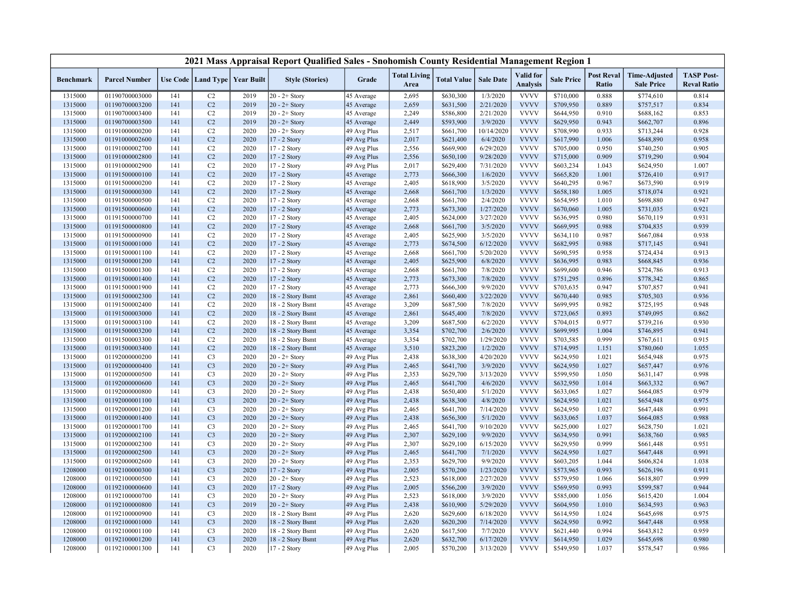|                  |                      |     |                      |                   | 2021 Mass Appraisal Report Qualified Sales - Snohomish County Residential Management Region 1 |             |                             |                    |                  |                                     |                   |                            |                                           |                                         |
|------------------|----------------------|-----|----------------------|-------------------|-----------------------------------------------------------------------------------------------|-------------|-----------------------------|--------------------|------------------|-------------------------------------|-------------------|----------------------------|-------------------------------------------|-----------------------------------------|
| <b>Benchmark</b> | <b>Parcel Number</b> |     | Use Code   Land Type | <b>Year Built</b> | <b>Style (Stories)</b>                                                                        | Grade       | <b>Total Living</b><br>Area | <b>Total Value</b> | <b>Sale Date</b> | <b>Valid</b> for<br><b>Analysis</b> | <b>Sale Price</b> | <b>Post Reval</b><br>Ratio | <b>Time-Adjusted</b><br><b>Sale Price</b> | <b>TASP Post-</b><br><b>Reval Ratio</b> |
| 1315000          | 01190700003000       | 141 | C2                   | 2019              | $20 - 2 +$ Story                                                                              | 45 Average  | 2,695                       | \$630,300          | 1/3/2020         | <b>VVVV</b>                         | \$710,000         | 0.888                      | \$774,610                                 | 0.814                                   |
| 1315000          | 01190700003200       | 141 | C2                   | 2019              | $20 - 2 +$ Story                                                                              | 45 Average  | 2,659                       | \$631,500          | 2/21/2020        | <b>VVVV</b>                         | \$709,950         | 0.889                      | \$757,517                                 | 0.834                                   |
| 1315000          | 01190700003400       | 141 | C2                   | 2019              | $20 - 2 +$ Story                                                                              | 45 Average  | 2,249                       | \$586,800          | 2/21/2020        | <b>VVVV</b>                         | \$644,950         | 0.910                      | \$688,162                                 | 0.853                                   |
| 1315000          | 01190700003500       | 141 | C2                   | 2019              | $20 - 2 +$ Story                                                                              | 45 Average  | 2,449                       | \$593,900          | 3/9/2020         | <b>VVVV</b>                         | \$629,950         | 0.943                      | \$662,707                                 | 0.896                                   |
| 1315000          | 01191000000200       | 141 | C2                   | 2020              | $20 - 2 +$ Story                                                                              | 49 Avg Plus | 2,517                       | \$661,700          | 10/14/2020       | <b>VVVV</b>                         | \$708,990         | 0.933                      | \$713,244                                 | 0.928                                   |
| 1315000          | 01191000002600       | 141 | C <sub>2</sub>       | 2020              | 17 - 2 Story                                                                                  | 49 Avg Plus | 2,017                       | \$621,400          | 6/4/2020         | <b>VVVV</b>                         | \$617,990         | 1.006                      | \$648,890                                 | 0.958                                   |
| 1315000          | 01191000002700       | 141 | C2                   | 2020              | 17 - 2 Story                                                                                  | 49 Avg Plus | 2,556                       | \$669,900          | 6/29/2020        | <b>VVVV</b>                         | \$705,000         | 0.950                      | \$740,250                                 | 0.905                                   |
| 1315000          | 01191000002800       | 141 | C <sub>2</sub>       | 2020              | 17 - 2 Story                                                                                  | 49 Avg Plus | 2,556                       | \$650,100          | 9/28/2020        | <b>VVVV</b>                         | \$715,000         | 0.909                      | \$719,290                                 | 0.904                                   |
| 1315000          | 01191000002900       | 141 | C2                   | 2020              | 17 - 2 Story                                                                                  | 49 Avg Plus | 2,017                       | \$629,400          | 7/31/2020        | <b>VVVV</b>                         | \$603,234         | 1.043                      | \$624,950                                 | 1.007                                   |
| 1315000          | 01191500000100       | 141 | C <sub>2</sub>       | 2020              | 17 - 2 Story                                                                                  | 45 Average  | 2,773                       | \$666,300          | 1/6/2020         | <b>VVVV</b>                         | \$665,820         | 1.001                      | \$726,410                                 | 0.917                                   |
| 1315000          | 01191500000200       | 141 | C2                   | 2020              | 17 - 2 Story                                                                                  | 45 Average  | 2,405                       | \$618,900          | 3/5/2020         | <b>VVVV</b>                         | \$640,295         | 0.967                      | \$673,590                                 | 0.919                                   |
| 1315000          | 01191500000300       | 141 | C <sub>2</sub>       | 2020              | 17 - 2 Story                                                                                  | 45 Average  | 2,668                       | \$661,700          | 1/3/2020         | <b>VVVV</b>                         | \$658,180         | 1.005                      | \$718,074                                 | 0.921                                   |
| 1315000          | 01191500000500       | 141 | C2                   | 2020              | 17 - 2 Story                                                                                  | 45 Average  | 2,668                       | \$661,700          | 2/4/2020         | <b>VVVV</b>                         | \$654,995         | 1.010                      | \$698,880                                 | 0.947                                   |
| 1315000          | 01191500000600       | 141 | C <sub>2</sub>       | 2020              | 17 - 2 Story                                                                                  | 45 Average  | 2,773                       | \$673,300          | 1/27/2020        | <b>VVVV</b>                         | \$670,060         | 1.005                      | \$731,035                                 | 0.921                                   |
| 1315000          | 01191500000700       | 141 | C2                   | 2020              | 17 - 2 Story                                                                                  | 45 Average  | 2,405                       | \$624,000          | 3/27/2020        | <b>VVVV</b>                         | \$636,995         | 0.980                      | \$670,119                                 | 0.931                                   |
| 1315000          | 01191500000800       | 141 | C2                   | 2020              | 17 - 2 Story                                                                                  | 45 Average  | 2,668                       | \$661,700          | 3/5/2020         | <b>VVVV</b>                         | \$669,995         | 0.988                      | \$704,835                                 | 0.939                                   |
| 1315000          | 01191500000900       | 141 | C2                   | 2020              | 17 - 2 Story                                                                                  | 45 Average  | 2,405                       | \$625,900          | 3/5/2020         | <b>VVVV</b>                         | \$634,110         | 0.987                      | \$667,084                                 | 0.938                                   |
| 1315000          | 01191500001000       | 141 | C2                   | 2020              | 17 - 2 Story                                                                                  | 45 Average  | 2,773                       | \$674,500          | 6/12/2020        | <b>VVVV</b>                         | \$682,995         | 0.988                      | \$717,145                                 | 0.941                                   |
| 1315000          | 01191500001100       | 141 | C2                   | 2020              | 17 - 2 Story                                                                                  | 45 Average  | 2,668                       | \$661,700          | 5/20/2020        | <b>VVVV</b>                         | \$690,595         | 0.958                      | \$724,434                                 | 0.913                                   |
| 1315000          | 01191500001200       | 141 | C2                   | 2020              | 17 - 2 Story                                                                                  | 45 Average  | 2,405                       | \$625,900          | 6/8/2020         | <b>VVVV</b>                         | \$636,995         | 0.983                      | \$668,845                                 | 0.936                                   |
| 1315000          | 01191500001300       | 141 | C2                   | 2020              | 17 - 2 Story                                                                                  | 45 Average  | 2,668                       | \$661,700          | 7/8/2020         | <b>VVVV</b>                         | \$699,600         | 0.946                      | \$724,786                                 | 0.913                                   |
| 1315000          | 01191500001400       | 141 | C2                   | 2020              | 17 - 2 Story                                                                                  | 45 Average  | 2,773                       | \$673,300          | 7/8/2020         | <b>VVVV</b>                         | \$751,295         | 0.896                      | \$778,342                                 | 0.865                                   |
| 1315000          | 01191500001900       | 141 | C2                   | 2020              | 17 - 2 Story                                                                                  | 45 Average  | 2,773                       | \$666,300          | 9/9/2020         | <b>VVVV</b>                         | \$703,635         | 0.947                      | \$707,857                                 | 0.941                                   |
| 1315000          | 01191500002300       | 141 | C2                   | 2020              | 18 - 2 Story Bsmt                                                                             | 45 Average  | 2,861                       | \$660,400          | 3/22/2020        | <b>VVVV</b>                         | \$670,440         | 0.985                      | \$705,303                                 | 0.936                                   |
| 1315000          | 01191500002400       | 141 | C2                   | 2020              | 18 - 2 Story Bsmt                                                                             | 45 Average  | 3,209                       | \$687,500          | 7/8/2020         | <b>VVVV</b>                         | \$699,995         | 0.982                      | \$725,195                                 | 0.948                                   |
| 1315000          | 01191500003000       | 141 | C2                   | 2020              | 18 - 2 Story Bsmt                                                                             | 45 Average  | 2,861                       | \$645,400          | 7/8/2020         | <b>VVVV</b>                         | \$723,065         | 0.893                      | \$749,095                                 | 0.862                                   |
| 1315000          | 01191500003100       | 141 | C2                   | 2020              | 18 - 2 Story Bsmt                                                                             | 45 Average  | 3,209                       | \$687,500          | 6/2/2020         | <b>VVVV</b>                         | \$704,015         | 0.977                      | \$739,216                                 | 0.930                                   |
| 1315000          | 01191500003200       | 141 | C2                   | 2020              | 18 - 2 Story Bsmt                                                                             | 45 Average  | 3,354                       | \$702,700          | 2/6/2020         | <b>VVVV</b>                         | \$699,995         | 1.004                      | \$746,895                                 | 0.941                                   |
| 1315000          | 01191500003300       | 141 | C2                   | 2020              | 18 - 2 Story Bsmt                                                                             | 45 Average  | 3,354                       | \$702,700          | 1/29/2020        | <b>VVVV</b>                         | \$703,585         | 0.999                      | \$767,611                                 | 0.915                                   |
| 1315000          | 01191500003400       | 141 | C2                   | 2020              | 18 - 2 Story Bsmt                                                                             | 45 Average  | 3,510                       | \$823,200          | 1/2/2020         | <b>VVVV</b>                         | \$714,995         | 1.151                      | \$780,060                                 | 1.055                                   |
| 1315000          | 01192000000200       | 141 | C <sub>3</sub>       | 2020              | $20 - 2 +$ Story                                                                              | 49 Avg Plus | 2,438                       | \$638,300          | 4/20/2020        | <b>VVVV</b>                         | \$624,950         | 1.021                      | \$654,948                                 | 0.975                                   |
| 1315000          | 01192000000400       | 141 | C <sub>3</sub>       | 2020              | $20 - 2 +$ Story                                                                              | 49 Avg Plus | 2,465                       | \$641,700          | 3/9/2020         | <b>VVVV</b>                         | \$624,950         | 1.027                      | \$657,447                                 | 0.976                                   |
| 1315000          | 01192000000500       | 141 | C <sub>3</sub>       | 2020              | $20 - 2 +$ Story                                                                              | 49 Avg Plus | 2,353                       | \$629,700          | 3/13/2020        | <b>VVVV</b>                         | \$599,950         | 1.050                      | \$631,147                                 | 0.998                                   |
| 1315000          | 01192000000600       | 141 | C <sub>3</sub>       | 2020              | $20 - 2 +$ Story                                                                              | 49 Avg Plus | 2,465                       | \$641,700          | 4/6/2020         | <b>VVVV</b>                         | \$632,950         | 1.014                      | \$663,332                                 | 0.967                                   |
| 1315000          | 01192000000800       | 141 | C <sub>3</sub>       | 2020              | $20 - 2 +$ Story                                                                              | 49 Avg Plus | 2,438                       | \$650,400          | 5/1/2020         | <b>VVVV</b>                         | \$633,065         | 1.027                      | \$664,085                                 | 0.979                                   |
| 1315000          | 01192000001100       | 141 | C <sub>3</sub>       | 2020              | $20 - 2 +$ Story                                                                              | 49 Avg Plus | 2,438                       | \$638,300          | 4/8/2020         | <b>VVVV</b>                         | \$624,950         | 1.021                      | \$654,948                                 | 0.975                                   |
| 1315000          | 01192000001200       | 141 | C <sub>3</sub>       | 2020              | $20 - 2 +$ Story                                                                              | 49 Avg Plus | 2,465                       | \$641,700          | 7/14/2020        | <b>VVVV</b>                         | \$624,950         | 1.027                      | \$647,448                                 | 0.991                                   |
| 1315000          | 01192000001400       | 141 | C <sub>3</sub>       | 2020              | $20 - 2 +$ Story                                                                              | 49 Avg Plus | 2,438                       | \$656,300          | 5/1/2020         | <b>VVVV</b>                         | \$633,065         | 1.037                      | \$664,085                                 | 0.988                                   |
| 1315000          | 01192000001700       | 141 | C3                   | 2020              | $20 - 2 +$ Story                                                                              | 49 Avg Plus | 2,465                       | \$641,700          | 9/10/2020        | <b>VVVV</b>                         | \$625,000         | 1.027                      | \$628,750                                 | 1.021                                   |
| 1315000          | 01192000002100       | 141 | C <sub>3</sub>       | 2020              | $20 - 2 +$ Story                                                                              | 49 Avg Plus | 2,307                       | \$629,100          | 9/9/2020         | <b>VVVV</b>                         | \$634,950         | 0.991                      | \$638,760                                 | 0.985                                   |
| 1315000          | 01192000002300       | 141 | C <sub>3</sub>       | 2020              | $20 - 2 +$ Story                                                                              | 49 Avg Plus | 2,307                       | \$629,100          | 6/15/2020        | <b>VVVV</b>                         | \$629,950         | 0.999                      | \$661,448                                 | 0.951                                   |
| 1315000          | 01192000002500       | 141 | C <sub>3</sub>       | 2020              | $20 - 2 +$ Story                                                                              | 49 Avg Plus | 2,465                       | \$641,700          | 7/1/2020         | <b>VVVV</b>                         | \$624,950         | 1.027                      | \$647,448                                 | 0.991                                   |
| 1315000          | 01192000002600       | 141 | C <sub>3</sub>       | 2020              | $20 - 2 +$ Story                                                                              | 49 Avg Plus | 2,353                       | \$629,700          | 9/9/2020         | <b>VVVV</b>                         | \$603,205         | 1.044                      | \$606,824                                 | 1.038                                   |
| 1208000          | 01192100000300       | 141 | C <sub>3</sub>       | 2020              | 17 - 2 Story                                                                                  | 49 Avg Plus | 2,005                       | \$570,200          | 1/23/2020        | <b>VVVV</b>                         | \$573,965         | 0.993                      | \$626,196                                 | 0.911                                   |
| 1208000          | 01192100000500       | 141 | C <sub>3</sub>       | 2020              | $20 - 2 +$ Story                                                                              | 49 Avg Plus | 2,523                       | \$618,000          | 2/27/2020        | <b>VVVV</b>                         | \$579,950         | 1.066                      | \$618,807                                 | 0.999                                   |
| 1208000          | 01192100000600       | 141 | C <sub>3</sub>       | 2020              | 17 - 2 Story                                                                                  | 49 Avg Plus | 2,005                       | \$566,200          | 3/9/2020         | <b>VVVV</b>                         | \$569,950         | 0.993                      | \$599,587                                 | 0.944                                   |
| 1208000          | 01192100000700       | 141 | C <sub>3</sub>       | 2020              | $20 - 2 +$ Story                                                                              | 49 Avg Plus | 2,523                       | \$618,000          | 3/9/2020         | <b>VVVV</b>                         | \$585,000         | 1.056                      | \$615,420                                 | 1.004                                   |
| 1208000          | 01192100000800       | 141 | C <sub>3</sub>       | 2019              | $20 - 2 +$ Story                                                                              | 49 Avg Plus | 2,438                       | \$610,900          | 5/29/2020        | <b>VVVV</b>                         | \$604,950         | 1.010                      | \$634,593                                 | 0.963                                   |
| 1208000          | 01192100000900       | 141 | C <sub>3</sub>       | 2020              | 18 - 2 Story Bsmt                                                                             | 49 Avg Plus | 2,620                       | \$629,600          | 6/18/2020        | <b>VVVV</b>                         | \$614,950         | 1.024                      | \$645,698                                 | 0.975                                   |
| 1208000          | 01192100001000       | 141 | C <sub>3</sub>       | 2020              | 18 - 2 Story Bsmt                                                                             | 49 Avg Plus | 2,620                       | \$620,200          | 7/14/2020        | <b>VVVV</b>                         | \$624,950         | 0.992                      | \$647,448                                 | 0.958                                   |
| 1208000          | 01192100001100       | 141 | C <sub>3</sub>       | 2020              | 18 - 2 Story Bsmt                                                                             | 49 Avg Plus | 2,620                       | \$617,500          | 7/7/2020         | <b>VVVV</b>                         | \$621,440         | 0.994                      | \$643,812                                 | 0.959                                   |
| 1208000          | 01192100001200       | 141 | C <sub>3</sub>       | 2020              | 18 - 2 Story Bsmt                                                                             | 49 Avg Plus | 2,620                       | \$632,700          | 6/17/2020        | <b>VVVV</b>                         | \$614,950         | 1.029                      | \$645,698                                 | 0.980                                   |
| 1208000          | 01192100001300       | 141 | C <sub>3</sub>       | 2020              | 17 - 2 Story                                                                                  | 49 Avg Plus | 2,005                       | \$570,200          | 3/13/2020        | <b>VVVV</b>                         | \$549,950         | 1.037                      | \$578,547                                 | 0.986                                   |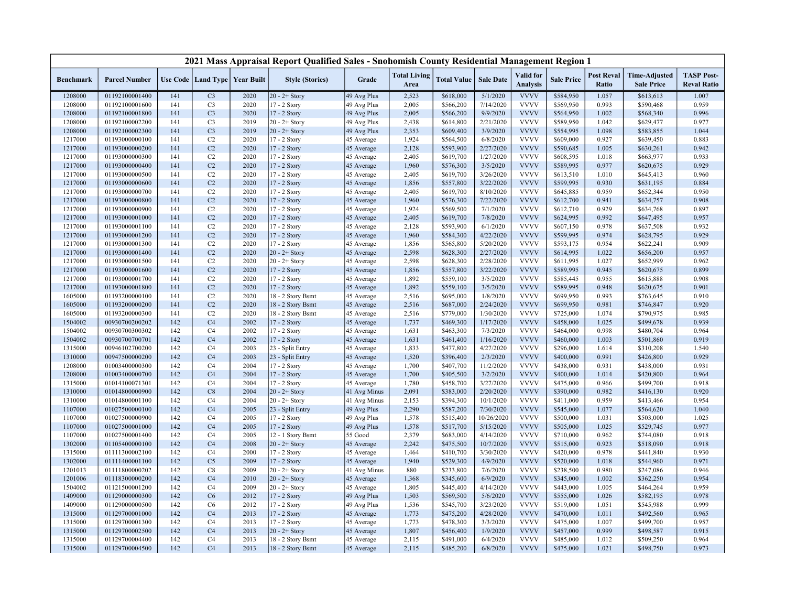| <b>Valid</b> for<br><b>Post Reval</b><br><b>TASP Post-</b><br><b>Total Living</b><br><b>Time-Adjusted</b><br>Use Code   Land Type  <br><b>Year Built</b><br><b>Style (Stories)</b><br>Grade<br><b>Total Value</b><br><b>Sale Date</b><br><b>Sale Price</b><br><b>Benchmark</b><br><b>Parcel Number</b><br><b>Analysis</b><br>Ratio<br><b>Reval Ratio</b><br>Area<br><b>Sale Price</b><br>$20 - 2 +$ Story<br>1208000<br>01192100001400<br>2020<br>49 Avg Plus<br>2,523<br>\$618,000<br>5/1/2020<br><b>VVVV</b><br>\$584,950<br>1.057<br>\$613,613<br>1.007<br>141<br>C <sub>3</sub><br><b>VVVV</b><br>1208000<br>01192100001600<br>C <sub>3</sub><br>2020<br>17 - 2 Story<br>49 Avg Plus<br>2,005<br>\$566,200<br>7/14/2020<br>\$569,950<br>0.993<br>\$590,468<br>0.959<br>141<br><b>VVVV</b><br>C <sub>3</sub><br>2020<br>2,005<br>\$566,200<br>9/9/2020<br>\$564,950<br>1.002<br>0.996<br>1208000<br>01192100001800<br>141<br>17 - 2 Story<br>49 Avg Plus<br>\$568,340<br><b>VVVV</b><br>C <sub>3</sub><br>2019<br>2,438<br>\$614,800<br>2/21/2020<br>1.042<br>0.977<br>1208000<br>01192100002200<br>141<br>$20 - 2 +$ Story<br>49 Avg Plus<br>\$589,950<br>\$629,477<br>C <sub>3</sub><br>2019<br><b>VVVV</b><br>1.044<br>1208000<br>01192100002300<br>141<br>$20 - 2 +$ Story<br>49 Avg Plus<br>2,353<br>\$609,400<br>3/9/2020<br>\$554,995<br>1.098<br>\$583,855<br><b>VVVV</b><br>1217000<br>C2<br>2020<br>1,924<br>\$564,500<br>6/8/2020<br>\$609,000<br>0.927<br>\$639,450<br>0.883<br>01193000000100<br>141<br>17 - 2 Story<br>45 Average<br>C2<br>2020<br>2,128<br>\$593,900<br>2/27/2020<br><b>VVVV</b><br>0.942<br>1217000<br>01193000000200<br>141<br>17 - 2 Story<br>45 Average<br>\$590,685<br>1.005<br>\$630,261<br><b>VVVV</b><br>0.933<br>1217000<br>C2<br>2020<br>2,405<br>\$619,700<br>1/27/2020<br>\$608,595<br>1.018<br>\$663,977<br>01193000000300<br>141<br>17 - 2 Story<br>45 Average<br>C <sub>2</sub><br><b>VVVV</b><br>1217000<br>2020<br>1,960<br>\$576,300<br>3/5/2020<br>0.977<br>0.929<br>01193000000400<br>141<br>17 - 2 Story<br>\$589,995<br>\$620,675<br>45 Average<br><b>VVVV</b><br>0.960<br>1217000<br>01193000000500<br>141<br>C2<br>2020<br>17 - 2 Story<br>2,405<br>\$619,700<br>3/26/2020<br>\$613,510<br>1.010<br>\$645,413<br>45 Average<br>C <sub>2</sub><br>2020<br>\$557,800<br>3/22/2020<br><b>VVVV</b><br>\$599,995<br>0.930<br>0.884<br>1217000<br>01193000000600<br>141<br>17 - 2 Story<br>45 Average<br>1,856<br>\$631,195<br><b>VVVV</b><br>1217000<br>01193000000700<br>141<br>C2<br>2020<br>17 - 2 Story<br>2,405<br>\$619,700<br>8/10/2020<br>\$645,885<br>0.959<br>\$652,344<br>0.950<br>45 Average<br>C <sub>2</sub><br>2020<br><b>VVVV</b><br>1217000<br>01193000000800<br>1,960<br>\$576,300<br>7/22/2020<br>\$612,700<br>0.941<br>0.908<br>141<br>17 - 2 Story<br>45 Average<br>\$634,757<br>C2<br><b>VVVV</b><br>0.929<br>1217000<br>01193000000900<br>2020<br>17 - 2 Story<br>45 Average<br>1,924<br>\$569,500<br>7/1/2020<br>\$612,710<br>\$634,768<br>0.897<br>141<br><b>VVVV</b><br>C2<br>2020<br>2,405<br>\$619,700<br>7/8/2020<br>\$624,995<br>0.992<br>0.957<br>1217000<br>01193000001000<br>141<br>17 - 2 Story<br>45 Average<br>\$647,495<br><b>VVVV</b><br>1217000<br>C2<br>2020<br>2,128<br>\$593,900<br>6/1/2020<br>\$607,150<br>0.978<br>0.932<br>01193000001100<br>141<br>17 - 2 Story<br>45 Average<br>\$637,508<br>C2<br>2020<br>4/22/2020<br><b>VVVV</b><br>0.974<br>0.929<br>1217000<br>01193000001200<br>141<br>17 - 2 Story<br>1,960<br>\$584,300<br>\$599,995<br>\$628,795<br>45 Average<br><b>VVVV</b><br>C2<br>2020<br>5/20/2020<br>\$593,175<br>0.954<br>0.909<br>1217000<br>01193000001300<br>141<br>17 - 2 Story<br>45 Average<br>1,856<br>\$565,800<br>\$622,241<br><b>VVVV</b><br>C2<br>2020<br>2/27/2020<br>1217000<br>01193000001400<br>141<br>$20 - 2 +$ Story<br>2,598<br>\$628,300<br>\$614,995<br>1.022<br>\$656,200<br>0.957<br>45 Average<br><b>VVVV</b><br>C2<br>2020<br>2,598<br>2/28/2020<br>1.027<br>0.962<br>1217000<br>01193000001500<br>141<br>$20 - 2 +$ Story<br>45 Average<br>\$628,300<br>\$611,995<br>\$652,999<br>C <sub>2</sub><br>2020<br>17 - 2 Story<br>3/22/2020<br><b>VVVV</b><br>0.945<br>1217000<br>01193000001600<br>141<br>45 Average<br>1,856<br>\$557,800<br>\$589,995<br>\$620,675<br>0.899<br><b>VVVV</b><br>1217000<br>01193000001700<br>C <sub>2</sub><br>2020<br>1,892<br>\$559,100<br>3/5/2020<br>\$585,445<br>0.955<br>\$615,888<br>0.908<br>141<br>17 - 2 Story<br>45 Average<br><b>VVVV</b><br>1217000<br>C2<br>2020<br>1,892<br>3/5/2020<br>\$589,995<br>0.948<br>0.901<br>01193000001800<br>141<br>17 - 2 Story<br>\$559,100<br>\$620,675<br>45 Average<br><b>VVVV</b><br>1605000<br>01193200000100<br>C2<br>2020<br>18 - 2 Story Bsmt<br>2,516<br>\$695,000<br>1/8/2020<br>\$699,950<br>0.993<br>\$763,645<br>0.910<br>141<br>45 Average<br><b>VVVV</b><br>C2<br>2/24/2020<br>0.920<br>1605000<br>01193200000200<br>141<br>2020<br>18 - 2 Story Bsmt<br>45 Average<br>2,516<br>\$687,000<br>\$699,950<br>0.981<br>\$746,847<br><b>VVVV</b><br>1605000<br>01193200000300<br>C2<br>2020<br>18 - 2 Story Bsmt<br>2,516<br>\$779,000<br>1/30/2020<br>\$725,000<br>1.074<br>\$790,975<br>0.985<br>141<br>45 Average<br><b>VVVV</b><br>0.939<br>1504002<br>00930700200202<br>142<br>C <sub>4</sub><br>2002<br>17 - 2 Story<br>1,737<br>\$469,300<br>1/17/2020<br>\$458,000<br>1.025<br>\$499,678<br>45 Average<br><b>VVVV</b><br>0.998<br>1504002<br>00930700300302<br>142<br>C <sub>4</sub><br>2002<br>17 - 2 Story<br>1,631<br>\$463,300<br>7/3/2020<br>\$464,000<br>\$480,704<br>0.964<br>45 Average<br>1/16/2020<br><b>VVVV</b><br>1504002<br>142<br>C <sub>4</sub><br>2002<br>1,631<br>\$461,400<br>\$460,000<br>1.003<br>0.919<br>00930700700701<br>17 - 2 Story<br>45 Average<br>\$501,860<br><b>VVVV</b><br>2003<br>1.540<br>1315000<br>00946102700200<br>142<br>C <sub>4</sub><br>23 - Split Entry<br>45 Average<br>1,833<br>\$477,800<br>4/27/2020<br>\$296,000<br>1.614<br>\$310,208<br><b>VVVV</b><br>1310000<br>00947500000200<br>142<br>C <sub>4</sub><br>2003<br>23 - Split Entry<br>1,520<br>\$396,400<br>2/3/2020<br>\$400,000<br>0.991<br>\$426,800<br>0.929<br>45 Average<br>2004<br>\$407,700<br>11/2/2020<br><b>VVVV</b><br>0.931<br>1208000<br>01003400000300<br>142<br>C <sub>4</sub><br>17 - 2 Story<br>45 Average<br>1,700<br>\$438,000<br>0.931<br>\$438,000 |
|--------------------------------------------------------------------------------------------------------------------------------------------------------------------------------------------------------------------------------------------------------------------------------------------------------------------------------------------------------------------------------------------------------------------------------------------------------------------------------------------------------------------------------------------------------------------------------------------------------------------------------------------------------------------------------------------------------------------------------------------------------------------------------------------------------------------------------------------------------------------------------------------------------------------------------------------------------------------------------------------------------------------------------------------------------------------------------------------------------------------------------------------------------------------------------------------------------------------------------------------------------------------------------------------------------------------------------------------------------------------------------------------------------------------------------------------------------------------------------------------------------------------------------------------------------------------------------------------------------------------------------------------------------------------------------------------------------------------------------------------------------------------------------------------------------------------------------------------------------------------------------------------------------------------------------------------------------------------------------------------------------------------------------------------------------------------------------------------------------------------------------------------------------------------------------------------------------------------------------------------------------------------------------------------------------------------------------------------------------------------------------------------------------------------------------------------------------------------------------------------------------------------------------------------------------------------------------------------------------------------------------------------------------------------------------------------------------------------------------------------------------------------------------------------------------------------------------------------------------------------------------------------------------------------------------------------------------------------------------------------------------------------------------------------------------------------------------------------------------------------------------------------------------------------------------------------------------------------------------------------------------------------------------------------------------------------------------------------------------------------------------------------------------------------------------------------------------------------------------------------------------------------------------------------------------------------------------------------------------------------------------------------------------------------------------------------------------------------------------------------------------------------------------------------------------------------------------------------------------------------------------------------------------------------------------------------------------------------------------------------------------------------------------------------------------------------------------------------------------------------------------------------------------------------------------------------------------------------------------------------------------------------------------------------------------------------------------------------------------------------------------------------------------------------------------------------------------------------------------------------------------------------------------------------------------------------------------------------------------------------------------------------------------------------------------------------------------------------------------------------------------------------------------------------------------------------------------------------------------------------------------------------------------------------------------------------------------------------------------------------------------------------------------------------------------------------------------------------------------------------------------------------------------------------------------------------------------------------------------------------------------------------------------------------------------------------------------------------------------------------------------------------------------------------------------------------------------------------------------------------------------------------------------------------------------------------------------------------------------------------------------------------------------------------------------------------------------------------------------------------------------------------------------------------------------------------------------------------------------------------------------------------------------------------------------------------------------------------------------------------------------------------------------------------------------------------------------------------------------------------------------------------------------------------------------------------------------------------------------------------------------------------------------------------------------------------------------------------------------------------------------------------------------------------------|
|                                                                                                                                                                                                                                                                                                                                                                                                                                                                                                                                                                                                                                                                                                                                                                                                                                                                                                                                                                                                                                                                                                                                                                                                                                                                                                                                                                                                                                                                                                                                                                                                                                                                                                                                                                                                                                                                                                                                                                                                                                                                                                                                                                                                                                                                                                                                                                                                                                                                                                                                                                                                                                                                                                                                                                                                                                                                                                                                                                                                                                                                                                                                                                                                                                                                                                                                                                                                                                                                                                                                                                                                                                                                                                                                                                                                                                                                                                                                                                                                                                                                                                                                                                                                                                                                                                                                                                                                                                                                                                                                                                                                                                                                                                                                                                                                                                                                                                                                                                                                                                                                                                                                                                                                                                                                                                                                                                                                                                                                                                                                                                                                                                                                                                                                                                                                                                                                                                                                                                                                                                                                                                                                                                                                                                                                                                                                                                                                                          |
|                                                                                                                                                                                                                                                                                                                                                                                                                                                                                                                                                                                                                                                                                                                                                                                                                                                                                                                                                                                                                                                                                                                                                                                                                                                                                                                                                                                                                                                                                                                                                                                                                                                                                                                                                                                                                                                                                                                                                                                                                                                                                                                                                                                                                                                                                                                                                                                                                                                                                                                                                                                                                                                                                                                                                                                                                                                                                                                                                                                                                                                                                                                                                                                                                                                                                                                                                                                                                                                                                                                                                                                                                                                                                                                                                                                                                                                                                                                                                                                                                                                                                                                                                                                                                                                                                                                                                                                                                                                                                                                                                                                                                                                                                                                                                                                                                                                                                                                                                                                                                                                                                                                                                                                                                                                                                                                                                                                                                                                                                                                                                                                                                                                                                                                                                                                                                                                                                                                                                                                                                                                                                                                                                                                                                                                                                                                                                                                                                          |
|                                                                                                                                                                                                                                                                                                                                                                                                                                                                                                                                                                                                                                                                                                                                                                                                                                                                                                                                                                                                                                                                                                                                                                                                                                                                                                                                                                                                                                                                                                                                                                                                                                                                                                                                                                                                                                                                                                                                                                                                                                                                                                                                                                                                                                                                                                                                                                                                                                                                                                                                                                                                                                                                                                                                                                                                                                                                                                                                                                                                                                                                                                                                                                                                                                                                                                                                                                                                                                                                                                                                                                                                                                                                                                                                                                                                                                                                                                                                                                                                                                                                                                                                                                                                                                                                                                                                                                                                                                                                                                                                                                                                                                                                                                                                                                                                                                                                                                                                                                                                                                                                                                                                                                                                                                                                                                                                                                                                                                                                                                                                                                                                                                                                                                                                                                                                                                                                                                                                                                                                                                                                                                                                                                                                                                                                                                                                                                                                                          |
|                                                                                                                                                                                                                                                                                                                                                                                                                                                                                                                                                                                                                                                                                                                                                                                                                                                                                                                                                                                                                                                                                                                                                                                                                                                                                                                                                                                                                                                                                                                                                                                                                                                                                                                                                                                                                                                                                                                                                                                                                                                                                                                                                                                                                                                                                                                                                                                                                                                                                                                                                                                                                                                                                                                                                                                                                                                                                                                                                                                                                                                                                                                                                                                                                                                                                                                                                                                                                                                                                                                                                                                                                                                                                                                                                                                                                                                                                                                                                                                                                                                                                                                                                                                                                                                                                                                                                                                                                                                                                                                                                                                                                                                                                                                                                                                                                                                                                                                                                                                                                                                                                                                                                                                                                                                                                                                                                                                                                                                                                                                                                                                                                                                                                                                                                                                                                                                                                                                                                                                                                                                                                                                                                                                                                                                                                                                                                                                                                          |
|                                                                                                                                                                                                                                                                                                                                                                                                                                                                                                                                                                                                                                                                                                                                                                                                                                                                                                                                                                                                                                                                                                                                                                                                                                                                                                                                                                                                                                                                                                                                                                                                                                                                                                                                                                                                                                                                                                                                                                                                                                                                                                                                                                                                                                                                                                                                                                                                                                                                                                                                                                                                                                                                                                                                                                                                                                                                                                                                                                                                                                                                                                                                                                                                                                                                                                                                                                                                                                                                                                                                                                                                                                                                                                                                                                                                                                                                                                                                                                                                                                                                                                                                                                                                                                                                                                                                                                                                                                                                                                                                                                                                                                                                                                                                                                                                                                                                                                                                                                                                                                                                                                                                                                                                                                                                                                                                                                                                                                                                                                                                                                                                                                                                                                                                                                                                                                                                                                                                                                                                                                                                                                                                                                                                                                                                                                                                                                                                                          |
|                                                                                                                                                                                                                                                                                                                                                                                                                                                                                                                                                                                                                                                                                                                                                                                                                                                                                                                                                                                                                                                                                                                                                                                                                                                                                                                                                                                                                                                                                                                                                                                                                                                                                                                                                                                                                                                                                                                                                                                                                                                                                                                                                                                                                                                                                                                                                                                                                                                                                                                                                                                                                                                                                                                                                                                                                                                                                                                                                                                                                                                                                                                                                                                                                                                                                                                                                                                                                                                                                                                                                                                                                                                                                                                                                                                                                                                                                                                                                                                                                                                                                                                                                                                                                                                                                                                                                                                                                                                                                                                                                                                                                                                                                                                                                                                                                                                                                                                                                                                                                                                                                                                                                                                                                                                                                                                                                                                                                                                                                                                                                                                                                                                                                                                                                                                                                                                                                                                                                                                                                                                                                                                                                                                                                                                                                                                                                                                                                          |
|                                                                                                                                                                                                                                                                                                                                                                                                                                                                                                                                                                                                                                                                                                                                                                                                                                                                                                                                                                                                                                                                                                                                                                                                                                                                                                                                                                                                                                                                                                                                                                                                                                                                                                                                                                                                                                                                                                                                                                                                                                                                                                                                                                                                                                                                                                                                                                                                                                                                                                                                                                                                                                                                                                                                                                                                                                                                                                                                                                                                                                                                                                                                                                                                                                                                                                                                                                                                                                                                                                                                                                                                                                                                                                                                                                                                                                                                                                                                                                                                                                                                                                                                                                                                                                                                                                                                                                                                                                                                                                                                                                                                                                                                                                                                                                                                                                                                                                                                                                                                                                                                                                                                                                                                                                                                                                                                                                                                                                                                                                                                                                                                                                                                                                                                                                                                                                                                                                                                                                                                                                                                                                                                                                                                                                                                                                                                                                                                                          |
|                                                                                                                                                                                                                                                                                                                                                                                                                                                                                                                                                                                                                                                                                                                                                                                                                                                                                                                                                                                                                                                                                                                                                                                                                                                                                                                                                                                                                                                                                                                                                                                                                                                                                                                                                                                                                                                                                                                                                                                                                                                                                                                                                                                                                                                                                                                                                                                                                                                                                                                                                                                                                                                                                                                                                                                                                                                                                                                                                                                                                                                                                                                                                                                                                                                                                                                                                                                                                                                                                                                                                                                                                                                                                                                                                                                                                                                                                                                                                                                                                                                                                                                                                                                                                                                                                                                                                                                                                                                                                                                                                                                                                                                                                                                                                                                                                                                                                                                                                                                                                                                                                                                                                                                                                                                                                                                                                                                                                                                                                                                                                                                                                                                                                                                                                                                                                                                                                                                                                                                                                                                                                                                                                                                                                                                                                                                                                                                                                          |
|                                                                                                                                                                                                                                                                                                                                                                                                                                                                                                                                                                                                                                                                                                                                                                                                                                                                                                                                                                                                                                                                                                                                                                                                                                                                                                                                                                                                                                                                                                                                                                                                                                                                                                                                                                                                                                                                                                                                                                                                                                                                                                                                                                                                                                                                                                                                                                                                                                                                                                                                                                                                                                                                                                                                                                                                                                                                                                                                                                                                                                                                                                                                                                                                                                                                                                                                                                                                                                                                                                                                                                                                                                                                                                                                                                                                                                                                                                                                                                                                                                                                                                                                                                                                                                                                                                                                                                                                                                                                                                                                                                                                                                                                                                                                                                                                                                                                                                                                                                                                                                                                                                                                                                                                                                                                                                                                                                                                                                                                                                                                                                                                                                                                                                                                                                                                                                                                                                                                                                                                                                                                                                                                                                                                                                                                                                                                                                                                                          |
|                                                                                                                                                                                                                                                                                                                                                                                                                                                                                                                                                                                                                                                                                                                                                                                                                                                                                                                                                                                                                                                                                                                                                                                                                                                                                                                                                                                                                                                                                                                                                                                                                                                                                                                                                                                                                                                                                                                                                                                                                                                                                                                                                                                                                                                                                                                                                                                                                                                                                                                                                                                                                                                                                                                                                                                                                                                                                                                                                                                                                                                                                                                                                                                                                                                                                                                                                                                                                                                                                                                                                                                                                                                                                                                                                                                                                                                                                                                                                                                                                                                                                                                                                                                                                                                                                                                                                                                                                                                                                                                                                                                                                                                                                                                                                                                                                                                                                                                                                                                                                                                                                                                                                                                                                                                                                                                                                                                                                                                                                                                                                                                                                                                                                                                                                                                                                                                                                                                                                                                                                                                                                                                                                                                                                                                                                                                                                                                                                          |
|                                                                                                                                                                                                                                                                                                                                                                                                                                                                                                                                                                                                                                                                                                                                                                                                                                                                                                                                                                                                                                                                                                                                                                                                                                                                                                                                                                                                                                                                                                                                                                                                                                                                                                                                                                                                                                                                                                                                                                                                                                                                                                                                                                                                                                                                                                                                                                                                                                                                                                                                                                                                                                                                                                                                                                                                                                                                                                                                                                                                                                                                                                                                                                                                                                                                                                                                                                                                                                                                                                                                                                                                                                                                                                                                                                                                                                                                                                                                                                                                                                                                                                                                                                                                                                                                                                                                                                                                                                                                                                                                                                                                                                                                                                                                                                                                                                                                                                                                                                                                                                                                                                                                                                                                                                                                                                                                                                                                                                                                                                                                                                                                                                                                                                                                                                                                                                                                                                                                                                                                                                                                                                                                                                                                                                                                                                                                                                                                                          |
|                                                                                                                                                                                                                                                                                                                                                                                                                                                                                                                                                                                                                                                                                                                                                                                                                                                                                                                                                                                                                                                                                                                                                                                                                                                                                                                                                                                                                                                                                                                                                                                                                                                                                                                                                                                                                                                                                                                                                                                                                                                                                                                                                                                                                                                                                                                                                                                                                                                                                                                                                                                                                                                                                                                                                                                                                                                                                                                                                                                                                                                                                                                                                                                                                                                                                                                                                                                                                                                                                                                                                                                                                                                                                                                                                                                                                                                                                                                                                                                                                                                                                                                                                                                                                                                                                                                                                                                                                                                                                                                                                                                                                                                                                                                                                                                                                                                                                                                                                                                                                                                                                                                                                                                                                                                                                                                                                                                                                                                                                                                                                                                                                                                                                                                                                                                                                                                                                                                                                                                                                                                                                                                                                                                                                                                                                                                                                                                                                          |
|                                                                                                                                                                                                                                                                                                                                                                                                                                                                                                                                                                                                                                                                                                                                                                                                                                                                                                                                                                                                                                                                                                                                                                                                                                                                                                                                                                                                                                                                                                                                                                                                                                                                                                                                                                                                                                                                                                                                                                                                                                                                                                                                                                                                                                                                                                                                                                                                                                                                                                                                                                                                                                                                                                                                                                                                                                                                                                                                                                                                                                                                                                                                                                                                                                                                                                                                                                                                                                                                                                                                                                                                                                                                                                                                                                                                                                                                                                                                                                                                                                                                                                                                                                                                                                                                                                                                                                                                                                                                                                                                                                                                                                                                                                                                                                                                                                                                                                                                                                                                                                                                                                                                                                                                                                                                                                                                                                                                                                                                                                                                                                                                                                                                                                                                                                                                                                                                                                                                                                                                                                                                                                                                                                                                                                                                                                                                                                                                                          |
|                                                                                                                                                                                                                                                                                                                                                                                                                                                                                                                                                                                                                                                                                                                                                                                                                                                                                                                                                                                                                                                                                                                                                                                                                                                                                                                                                                                                                                                                                                                                                                                                                                                                                                                                                                                                                                                                                                                                                                                                                                                                                                                                                                                                                                                                                                                                                                                                                                                                                                                                                                                                                                                                                                                                                                                                                                                                                                                                                                                                                                                                                                                                                                                                                                                                                                                                                                                                                                                                                                                                                                                                                                                                                                                                                                                                                                                                                                                                                                                                                                                                                                                                                                                                                                                                                                                                                                                                                                                                                                                                                                                                                                                                                                                                                                                                                                                                                                                                                                                                                                                                                                                                                                                                                                                                                                                                                                                                                                                                                                                                                                                                                                                                                                                                                                                                                                                                                                                                                                                                                                                                                                                                                                                                                                                                                                                                                                                                                          |
|                                                                                                                                                                                                                                                                                                                                                                                                                                                                                                                                                                                                                                                                                                                                                                                                                                                                                                                                                                                                                                                                                                                                                                                                                                                                                                                                                                                                                                                                                                                                                                                                                                                                                                                                                                                                                                                                                                                                                                                                                                                                                                                                                                                                                                                                                                                                                                                                                                                                                                                                                                                                                                                                                                                                                                                                                                                                                                                                                                                                                                                                                                                                                                                                                                                                                                                                                                                                                                                                                                                                                                                                                                                                                                                                                                                                                                                                                                                                                                                                                                                                                                                                                                                                                                                                                                                                                                                                                                                                                                                                                                                                                                                                                                                                                                                                                                                                                                                                                                                                                                                                                                                                                                                                                                                                                                                                                                                                                                                                                                                                                                                                                                                                                                                                                                                                                                                                                                                                                                                                                                                                                                                                                                                                                                                                                                                                                                                                                          |
|                                                                                                                                                                                                                                                                                                                                                                                                                                                                                                                                                                                                                                                                                                                                                                                                                                                                                                                                                                                                                                                                                                                                                                                                                                                                                                                                                                                                                                                                                                                                                                                                                                                                                                                                                                                                                                                                                                                                                                                                                                                                                                                                                                                                                                                                                                                                                                                                                                                                                                                                                                                                                                                                                                                                                                                                                                                                                                                                                                                                                                                                                                                                                                                                                                                                                                                                                                                                                                                                                                                                                                                                                                                                                                                                                                                                                                                                                                                                                                                                                                                                                                                                                                                                                                                                                                                                                                                                                                                                                                                                                                                                                                                                                                                                                                                                                                                                                                                                                                                                                                                                                                                                                                                                                                                                                                                                                                                                                                                                                                                                                                                                                                                                                                                                                                                                                                                                                                                                                                                                                                                                                                                                                                                                                                                                                                                                                                                                                          |
|                                                                                                                                                                                                                                                                                                                                                                                                                                                                                                                                                                                                                                                                                                                                                                                                                                                                                                                                                                                                                                                                                                                                                                                                                                                                                                                                                                                                                                                                                                                                                                                                                                                                                                                                                                                                                                                                                                                                                                                                                                                                                                                                                                                                                                                                                                                                                                                                                                                                                                                                                                                                                                                                                                                                                                                                                                                                                                                                                                                                                                                                                                                                                                                                                                                                                                                                                                                                                                                                                                                                                                                                                                                                                                                                                                                                                                                                                                                                                                                                                                                                                                                                                                                                                                                                                                                                                                                                                                                                                                                                                                                                                                                                                                                                                                                                                                                                                                                                                                                                                                                                                                                                                                                                                                                                                                                                                                                                                                                                                                                                                                                                                                                                                                                                                                                                                                                                                                                                                                                                                                                                                                                                                                                                                                                                                                                                                                                                                          |
|                                                                                                                                                                                                                                                                                                                                                                                                                                                                                                                                                                                                                                                                                                                                                                                                                                                                                                                                                                                                                                                                                                                                                                                                                                                                                                                                                                                                                                                                                                                                                                                                                                                                                                                                                                                                                                                                                                                                                                                                                                                                                                                                                                                                                                                                                                                                                                                                                                                                                                                                                                                                                                                                                                                                                                                                                                                                                                                                                                                                                                                                                                                                                                                                                                                                                                                                                                                                                                                                                                                                                                                                                                                                                                                                                                                                                                                                                                                                                                                                                                                                                                                                                                                                                                                                                                                                                                                                                                                                                                                                                                                                                                                                                                                                                                                                                                                                                                                                                                                                                                                                                                                                                                                                                                                                                                                                                                                                                                                                                                                                                                                                                                                                                                                                                                                                                                                                                                                                                                                                                                                                                                                                                                                                                                                                                                                                                                                                                          |
|                                                                                                                                                                                                                                                                                                                                                                                                                                                                                                                                                                                                                                                                                                                                                                                                                                                                                                                                                                                                                                                                                                                                                                                                                                                                                                                                                                                                                                                                                                                                                                                                                                                                                                                                                                                                                                                                                                                                                                                                                                                                                                                                                                                                                                                                                                                                                                                                                                                                                                                                                                                                                                                                                                                                                                                                                                                                                                                                                                                                                                                                                                                                                                                                                                                                                                                                                                                                                                                                                                                                                                                                                                                                                                                                                                                                                                                                                                                                                                                                                                                                                                                                                                                                                                                                                                                                                                                                                                                                                                                                                                                                                                                                                                                                                                                                                                                                                                                                                                                                                                                                                                                                                                                                                                                                                                                                                                                                                                                                                                                                                                                                                                                                                                                                                                                                                                                                                                                                                                                                                                                                                                                                                                                                                                                                                                                                                                                                                          |
|                                                                                                                                                                                                                                                                                                                                                                                                                                                                                                                                                                                                                                                                                                                                                                                                                                                                                                                                                                                                                                                                                                                                                                                                                                                                                                                                                                                                                                                                                                                                                                                                                                                                                                                                                                                                                                                                                                                                                                                                                                                                                                                                                                                                                                                                                                                                                                                                                                                                                                                                                                                                                                                                                                                                                                                                                                                                                                                                                                                                                                                                                                                                                                                                                                                                                                                                                                                                                                                                                                                                                                                                                                                                                                                                                                                                                                                                                                                                                                                                                                                                                                                                                                                                                                                                                                                                                                                                                                                                                                                                                                                                                                                                                                                                                                                                                                                                                                                                                                                                                                                                                                                                                                                                                                                                                                                                                                                                                                                                                                                                                                                                                                                                                                                                                                                                                                                                                                                                                                                                                                                                                                                                                                                                                                                                                                                                                                                                                          |
|                                                                                                                                                                                                                                                                                                                                                                                                                                                                                                                                                                                                                                                                                                                                                                                                                                                                                                                                                                                                                                                                                                                                                                                                                                                                                                                                                                                                                                                                                                                                                                                                                                                                                                                                                                                                                                                                                                                                                                                                                                                                                                                                                                                                                                                                                                                                                                                                                                                                                                                                                                                                                                                                                                                                                                                                                                                                                                                                                                                                                                                                                                                                                                                                                                                                                                                                                                                                                                                                                                                                                                                                                                                                                                                                                                                                                                                                                                                                                                                                                                                                                                                                                                                                                                                                                                                                                                                                                                                                                                                                                                                                                                                                                                                                                                                                                                                                                                                                                                                                                                                                                                                                                                                                                                                                                                                                                                                                                                                                                                                                                                                                                                                                                                                                                                                                                                                                                                                                                                                                                                                                                                                                                                                                                                                                                                                                                                                                                          |
|                                                                                                                                                                                                                                                                                                                                                                                                                                                                                                                                                                                                                                                                                                                                                                                                                                                                                                                                                                                                                                                                                                                                                                                                                                                                                                                                                                                                                                                                                                                                                                                                                                                                                                                                                                                                                                                                                                                                                                                                                                                                                                                                                                                                                                                                                                                                                                                                                                                                                                                                                                                                                                                                                                                                                                                                                                                                                                                                                                                                                                                                                                                                                                                                                                                                                                                                                                                                                                                                                                                                                                                                                                                                                                                                                                                                                                                                                                                                                                                                                                                                                                                                                                                                                                                                                                                                                                                                                                                                                                                                                                                                                                                                                                                                                                                                                                                                                                                                                                                                                                                                                                                                                                                                                                                                                                                                                                                                                                                                                                                                                                                                                                                                                                                                                                                                                                                                                                                                                                                                                                                                                                                                                                                                                                                                                                                                                                                                                          |
|                                                                                                                                                                                                                                                                                                                                                                                                                                                                                                                                                                                                                                                                                                                                                                                                                                                                                                                                                                                                                                                                                                                                                                                                                                                                                                                                                                                                                                                                                                                                                                                                                                                                                                                                                                                                                                                                                                                                                                                                                                                                                                                                                                                                                                                                                                                                                                                                                                                                                                                                                                                                                                                                                                                                                                                                                                                                                                                                                                                                                                                                                                                                                                                                                                                                                                                                                                                                                                                                                                                                                                                                                                                                                                                                                                                                                                                                                                                                                                                                                                                                                                                                                                                                                                                                                                                                                                                                                                                                                                                                                                                                                                                                                                                                                                                                                                                                                                                                                                                                                                                                                                                                                                                                                                                                                                                                                                                                                                                                                                                                                                                                                                                                                                                                                                                                                                                                                                                                                                                                                                                                                                                                                                                                                                                                                                                                                                                                                          |
|                                                                                                                                                                                                                                                                                                                                                                                                                                                                                                                                                                                                                                                                                                                                                                                                                                                                                                                                                                                                                                                                                                                                                                                                                                                                                                                                                                                                                                                                                                                                                                                                                                                                                                                                                                                                                                                                                                                                                                                                                                                                                                                                                                                                                                                                                                                                                                                                                                                                                                                                                                                                                                                                                                                                                                                                                                                                                                                                                                                                                                                                                                                                                                                                                                                                                                                                                                                                                                                                                                                                                                                                                                                                                                                                                                                                                                                                                                                                                                                                                                                                                                                                                                                                                                                                                                                                                                                                                                                                                                                                                                                                                                                                                                                                                                                                                                                                                                                                                                                                                                                                                                                                                                                                                                                                                                                                                                                                                                                                                                                                                                                                                                                                                                                                                                                                                                                                                                                                                                                                                                                                                                                                                                                                                                                                                                                                                                                                                          |
|                                                                                                                                                                                                                                                                                                                                                                                                                                                                                                                                                                                                                                                                                                                                                                                                                                                                                                                                                                                                                                                                                                                                                                                                                                                                                                                                                                                                                                                                                                                                                                                                                                                                                                                                                                                                                                                                                                                                                                                                                                                                                                                                                                                                                                                                                                                                                                                                                                                                                                                                                                                                                                                                                                                                                                                                                                                                                                                                                                                                                                                                                                                                                                                                                                                                                                                                                                                                                                                                                                                                                                                                                                                                                                                                                                                                                                                                                                                                                                                                                                                                                                                                                                                                                                                                                                                                                                                                                                                                                                                                                                                                                                                                                                                                                                                                                                                                                                                                                                                                                                                                                                                                                                                                                                                                                                                                                                                                                                                                                                                                                                                                                                                                                                                                                                                                                                                                                                                                                                                                                                                                                                                                                                                                                                                                                                                                                                                                                          |
|                                                                                                                                                                                                                                                                                                                                                                                                                                                                                                                                                                                                                                                                                                                                                                                                                                                                                                                                                                                                                                                                                                                                                                                                                                                                                                                                                                                                                                                                                                                                                                                                                                                                                                                                                                                                                                                                                                                                                                                                                                                                                                                                                                                                                                                                                                                                                                                                                                                                                                                                                                                                                                                                                                                                                                                                                                                                                                                                                                                                                                                                                                                                                                                                                                                                                                                                                                                                                                                                                                                                                                                                                                                                                                                                                                                                                                                                                                                                                                                                                                                                                                                                                                                                                                                                                                                                                                                                                                                                                                                                                                                                                                                                                                                                                                                                                                                                                                                                                                                                                                                                                                                                                                                                                                                                                                                                                                                                                                                                                                                                                                                                                                                                                                                                                                                                                                                                                                                                                                                                                                                                                                                                                                                                                                                                                                                                                                                                                          |
|                                                                                                                                                                                                                                                                                                                                                                                                                                                                                                                                                                                                                                                                                                                                                                                                                                                                                                                                                                                                                                                                                                                                                                                                                                                                                                                                                                                                                                                                                                                                                                                                                                                                                                                                                                                                                                                                                                                                                                                                                                                                                                                                                                                                                                                                                                                                                                                                                                                                                                                                                                                                                                                                                                                                                                                                                                                                                                                                                                                                                                                                                                                                                                                                                                                                                                                                                                                                                                                                                                                                                                                                                                                                                                                                                                                                                                                                                                                                                                                                                                                                                                                                                                                                                                                                                                                                                                                                                                                                                                                                                                                                                                                                                                                                                                                                                                                                                                                                                                                                                                                                                                                                                                                                                                                                                                                                                                                                                                                                                                                                                                                                                                                                                                                                                                                                                                                                                                                                                                                                                                                                                                                                                                                                                                                                                                                                                                                                                          |
|                                                                                                                                                                                                                                                                                                                                                                                                                                                                                                                                                                                                                                                                                                                                                                                                                                                                                                                                                                                                                                                                                                                                                                                                                                                                                                                                                                                                                                                                                                                                                                                                                                                                                                                                                                                                                                                                                                                                                                                                                                                                                                                                                                                                                                                                                                                                                                                                                                                                                                                                                                                                                                                                                                                                                                                                                                                                                                                                                                                                                                                                                                                                                                                                                                                                                                                                                                                                                                                                                                                                                                                                                                                                                                                                                                                                                                                                                                                                                                                                                                                                                                                                                                                                                                                                                                                                                                                                                                                                                                                                                                                                                                                                                                                                                                                                                                                                                                                                                                                                                                                                                                                                                                                                                                                                                                                                                                                                                                                                                                                                                                                                                                                                                                                                                                                                                                                                                                                                                                                                                                                                                                                                                                                                                                                                                                                                                                                                                          |
|                                                                                                                                                                                                                                                                                                                                                                                                                                                                                                                                                                                                                                                                                                                                                                                                                                                                                                                                                                                                                                                                                                                                                                                                                                                                                                                                                                                                                                                                                                                                                                                                                                                                                                                                                                                                                                                                                                                                                                                                                                                                                                                                                                                                                                                                                                                                                                                                                                                                                                                                                                                                                                                                                                                                                                                                                                                                                                                                                                                                                                                                                                                                                                                                                                                                                                                                                                                                                                                                                                                                                                                                                                                                                                                                                                                                                                                                                                                                                                                                                                                                                                                                                                                                                                                                                                                                                                                                                                                                                                                                                                                                                                                                                                                                                                                                                                                                                                                                                                                                                                                                                                                                                                                                                                                                                                                                                                                                                                                                                                                                                                                                                                                                                                                                                                                                                                                                                                                                                                                                                                                                                                                                                                                                                                                                                                                                                                                                                          |
|                                                                                                                                                                                                                                                                                                                                                                                                                                                                                                                                                                                                                                                                                                                                                                                                                                                                                                                                                                                                                                                                                                                                                                                                                                                                                                                                                                                                                                                                                                                                                                                                                                                                                                                                                                                                                                                                                                                                                                                                                                                                                                                                                                                                                                                                                                                                                                                                                                                                                                                                                                                                                                                                                                                                                                                                                                                                                                                                                                                                                                                                                                                                                                                                                                                                                                                                                                                                                                                                                                                                                                                                                                                                                                                                                                                                                                                                                                                                                                                                                                                                                                                                                                                                                                                                                                                                                                                                                                                                                                                                                                                                                                                                                                                                                                                                                                                                                                                                                                                                                                                                                                                                                                                                                                                                                                                                                                                                                                                                                                                                                                                                                                                                                                                                                                                                                                                                                                                                                                                                                                                                                                                                                                                                                                                                                                                                                                                                                          |
|                                                                                                                                                                                                                                                                                                                                                                                                                                                                                                                                                                                                                                                                                                                                                                                                                                                                                                                                                                                                                                                                                                                                                                                                                                                                                                                                                                                                                                                                                                                                                                                                                                                                                                                                                                                                                                                                                                                                                                                                                                                                                                                                                                                                                                                                                                                                                                                                                                                                                                                                                                                                                                                                                                                                                                                                                                                                                                                                                                                                                                                                                                                                                                                                                                                                                                                                                                                                                                                                                                                                                                                                                                                                                                                                                                                                                                                                                                                                                                                                                                                                                                                                                                                                                                                                                                                                                                                                                                                                                                                                                                                                                                                                                                                                                                                                                                                                                                                                                                                                                                                                                                                                                                                                                                                                                                                                                                                                                                                                                                                                                                                                                                                                                                                                                                                                                                                                                                                                                                                                                                                                                                                                                                                                                                                                                                                                                                                                                          |
|                                                                                                                                                                                                                                                                                                                                                                                                                                                                                                                                                                                                                                                                                                                                                                                                                                                                                                                                                                                                                                                                                                                                                                                                                                                                                                                                                                                                                                                                                                                                                                                                                                                                                                                                                                                                                                                                                                                                                                                                                                                                                                                                                                                                                                                                                                                                                                                                                                                                                                                                                                                                                                                                                                                                                                                                                                                                                                                                                                                                                                                                                                                                                                                                                                                                                                                                                                                                                                                                                                                                                                                                                                                                                                                                                                                                                                                                                                                                                                                                                                                                                                                                                                                                                                                                                                                                                                                                                                                                                                                                                                                                                                                                                                                                                                                                                                                                                                                                                                                                                                                                                                                                                                                                                                                                                                                                                                                                                                                                                                                                                                                                                                                                                                                                                                                                                                                                                                                                                                                                                                                                                                                                                                                                                                                                                                                                                                                                                          |
| <b>VVVV</b>                                                                                                                                                                                                                                                                                                                                                                                                                                                                                                                                                                                                                                                                                                                                                                                                                                                                                                                                                                                                                                                                                                                                                                                                                                                                                                                                                                                                                                                                                                                                                                                                                                                                                                                                                                                                                                                                                                                                                                                                                                                                                                                                                                                                                                                                                                                                                                                                                                                                                                                                                                                                                                                                                                                                                                                                                                                                                                                                                                                                                                                                                                                                                                                                                                                                                                                                                                                                                                                                                                                                                                                                                                                                                                                                                                                                                                                                                                                                                                                                                                                                                                                                                                                                                                                                                                                                                                                                                                                                                                                                                                                                                                                                                                                                                                                                                                                                                                                                                                                                                                                                                                                                                                                                                                                                                                                                                                                                                                                                                                                                                                                                                                                                                                                                                                                                                                                                                                                                                                                                                                                                                                                                                                                                                                                                                                                                                                                                              |
| 142<br>C <sub>4</sub><br>2004<br>3/2/2020<br>0.964<br>1208000<br>01003400000700<br>17 - 2 Story<br>1,700<br>\$405,500<br>\$400,000<br>1.014<br>\$420,800<br>45 Average<br><b>VVVV</b><br>C <sub>4</sub><br>0.966                                                                                                                                                                                                                                                                                                                                                                                                                                                                                                                                                                                                                                                                                                                                                                                                                                                                                                                                                                                                                                                                                                                                                                                                                                                                                                                                                                                                                                                                                                                                                                                                                                                                                                                                                                                                                                                                                                                                                                                                                                                                                                                                                                                                                                                                                                                                                                                                                                                                                                                                                                                                                                                                                                                                                                                                                                                                                                                                                                                                                                                                                                                                                                                                                                                                                                                                                                                                                                                                                                                                                                                                                                                                                                                                                                                                                                                                                                                                                                                                                                                                                                                                                                                                                                                                                                                                                                                                                                                                                                                                                                                                                                                                                                                                                                                                                                                                                                                                                                                                                                                                                                                                                                                                                                                                                                                                                                                                                                                                                                                                                                                                                                                                                                                                                                                                                                                                                                                                                                                                                                                                                                                                                                                                         |
| 3/27/2020<br>0.918<br>1315000<br>01014100071301<br>142<br>2004<br>17 - 2 Story<br>45 Average<br>1,780<br>\$458,700<br>\$475,000<br>\$499,700<br><b>VVVV</b>                                                                                                                                                                                                                                                                                                                                                                                                                                                                                                                                                                                                                                                                                                                                                                                                                                                                                                                                                                                                                                                                                                                                                                                                                                                                                                                                                                                                                                                                                                                                                                                                                                                                                                                                                                                                                                                                                                                                                                                                                                                                                                                                                                                                                                                                                                                                                                                                                                                                                                                                                                                                                                                                                                                                                                                                                                                                                                                                                                                                                                                                                                                                                                                                                                                                                                                                                                                                                                                                                                                                                                                                                                                                                                                                                                                                                                                                                                                                                                                                                                                                                                                                                                                                                                                                                                                                                                                                                                                                                                                                                                                                                                                                                                                                                                                                                                                                                                                                                                                                                                                                                                                                                                                                                                                                                                                                                                                                                                                                                                                                                                                                                                                                                                                                                                                                                                                                                                                                                                                                                                                                                                                                                                                                                                                              |
| 1310000<br>01014800000900<br>142<br>C8<br>2004<br>$20 - 2 +$ Story<br>41 Avg Minus<br>2,091<br>\$383,000<br>2/20/2020<br>\$390,000<br>0.982<br>\$416,130<br>0.920<br><b>VVVV</b><br>1310000<br>2004<br>2,153<br>\$394,300<br>10/1/2020<br>\$411,000<br>0.959<br>\$413,466<br>0.954<br>01014800001100<br>C <sub>4</sub>                                                                                                                                                                                                                                                                                                                                                                                                                                                                                                                                                                                                                                                                                                                                                                                                                                                                                                                                                                                                                                                                                                                                                                                                                                                                                                                                                                                                                                                                                                                                                                                                                                                                                                                                                                                                                                                                                                                                                                                                                                                                                                                                                                                                                                                                                                                                                                                                                                                                                                                                                                                                                                                                                                                                                                                                                                                                                                                                                                                                                                                                                                                                                                                                                                                                                                                                                                                                                                                                                                                                                                                                                                                                                                                                                                                                                                                                                                                                                                                                                                                                                                                                                                                                                                                                                                                                                                                                                                                                                                                                                                                                                                                                                                                                                                                                                                                                                                                                                                                                                                                                                                                                                                                                                                                                                                                                                                                                                                                                                                                                                                                                                                                                                                                                                                                                                                                                                                                                                                                                                                                                                                   |
| 142<br>$20 - 2 +$ Story<br>41 Avg Minus<br>C <sub>4</sub><br>2005<br>2,290<br>\$587,200<br>7/30/2020<br><b>VVVV</b><br>1.040<br>01027500000100<br>142<br>\$545,000<br>1.077                                                                                                                                                                                                                                                                                                                                                                                                                                                                                                                                                                                                                                                                                                                                                                                                                                                                                                                                                                                                                                                                                                                                                                                                                                                                                                                                                                                                                                                                                                                                                                                                                                                                                                                                                                                                                                                                                                                                                                                                                                                                                                                                                                                                                                                                                                                                                                                                                                                                                                                                                                                                                                                                                                                                                                                                                                                                                                                                                                                                                                                                                                                                                                                                                                                                                                                                                                                                                                                                                                                                                                                                                                                                                                                                                                                                                                                                                                                                                                                                                                                                                                                                                                                                                                                                                                                                                                                                                                                                                                                                                                                                                                                                                                                                                                                                                                                                                                                                                                                                                                                                                                                                                                                                                                                                                                                                                                                                                                                                                                                                                                                                                                                                                                                                                                                                                                                                                                                                                                                                                                                                                                                                                                                                                                              |
| 1107000<br>23 - Split Entry<br>49 Avg Plus<br>\$564,620<br><b>VVVV</b><br>01027500000900<br>142<br>C <sub>4</sub><br>2005<br>17 - 2 Story<br>1,578<br>\$515,400<br>10/26/2020<br>\$500,000<br>1.031<br>\$503,000<br>1.025<br>1107000                                                                                                                                                                                                                                                                                                                                                                                                                                                                                                                                                                                                                                                                                                                                                                                                                                                                                                                                                                                                                                                                                                                                                                                                                                                                                                                                                                                                                                                                                                                                                                                                                                                                                                                                                                                                                                                                                                                                                                                                                                                                                                                                                                                                                                                                                                                                                                                                                                                                                                                                                                                                                                                                                                                                                                                                                                                                                                                                                                                                                                                                                                                                                                                                                                                                                                                                                                                                                                                                                                                                                                                                                                                                                                                                                                                                                                                                                                                                                                                                                                                                                                                                                                                                                                                                                                                                                                                                                                                                                                                                                                                                                                                                                                                                                                                                                                                                                                                                                                                                                                                                                                                                                                                                                                                                                                                                                                                                                                                                                                                                                                                                                                                                                                                                                                                                                                                                                                                                                                                                                                                                                                                                                                                     |
| 49 Avg Plus<br><b>VVVV</b><br>C <sub>4</sub><br>2005<br>\$517,700<br>5/15/2020<br>1.025<br>0.977<br>1107000<br>01027500001000<br>142<br>17 - 2 Story<br>49 Avg Plus<br>1,578<br>\$505,000<br>\$529,745                                                                                                                                                                                                                                                                                                                                                                                                                                                                                                                                                                                                                                                                                                                                                                                                                                                                                                                                                                                                                                                                                                                                                                                                                                                                                                                                                                                                                                                                                                                                                                                                                                                                                                                                                                                                                                                                                                                                                                                                                                                                                                                                                                                                                                                                                                                                                                                                                                                                                                                                                                                                                                                                                                                                                                                                                                                                                                                                                                                                                                                                                                                                                                                                                                                                                                                                                                                                                                                                                                                                                                                                                                                                                                                                                                                                                                                                                                                                                                                                                                                                                                                                                                                                                                                                                                                                                                                                                                                                                                                                                                                                                                                                                                                                                                                                                                                                                                                                                                                                                                                                                                                                                                                                                                                                                                                                                                                                                                                                                                                                                                                                                                                                                                                                                                                                                                                                                                                                                                                                                                                                                                                                                                                                                   |
| <b>VVVV</b><br>C <sub>4</sub><br>2005<br>55 Good<br>2,379<br>\$683,000<br>4/14/2020<br>0.962<br>0.918<br>1107000<br>01027500001400<br>142<br>12 - 1 Story Bsmt<br>\$710,000<br>\$744,080                                                                                                                                                                                                                                                                                                                                                                                                                                                                                                                                                                                                                                                                                                                                                                                                                                                                                                                                                                                                                                                                                                                                                                                                                                                                                                                                                                                                                                                                                                                                                                                                                                                                                                                                                                                                                                                                                                                                                                                                                                                                                                                                                                                                                                                                                                                                                                                                                                                                                                                                                                                                                                                                                                                                                                                                                                                                                                                                                                                                                                                                                                                                                                                                                                                                                                                                                                                                                                                                                                                                                                                                                                                                                                                                                                                                                                                                                                                                                                                                                                                                                                                                                                                                                                                                                                                                                                                                                                                                                                                                                                                                                                                                                                                                                                                                                                                                                                                                                                                                                                                                                                                                                                                                                                                                                                                                                                                                                                                                                                                                                                                                                                                                                                                                                                                                                                                                                                                                                                                                                                                                                                                                                                                                                                 |
| 01105400000100<br>142<br>C <sub>4</sub><br>2008<br>$20 - 2 +$ Story<br>2,242<br>\$475,500<br>10/7/2020<br><b>VVVV</b><br>\$515,000<br>0.923<br>0.918<br>1302000<br>45 Average<br>\$518,090                                                                                                                                                                                                                                                                                                                                                                                                                                                                                                                                                                                                                                                                                                                                                                                                                                                                                                                                                                                                                                                                                                                                                                                                                                                                                                                                                                                                                                                                                                                                                                                                                                                                                                                                                                                                                                                                                                                                                                                                                                                                                                                                                                                                                                                                                                                                                                                                                                                                                                                                                                                                                                                                                                                                                                                                                                                                                                                                                                                                                                                                                                                                                                                                                                                                                                                                                                                                                                                                                                                                                                                                                                                                                                                                                                                                                                                                                                                                                                                                                                                                                                                                                                                                                                                                                                                                                                                                                                                                                                                                                                                                                                                                                                                                                                                                                                                                                                                                                                                                                                                                                                                                                                                                                                                                                                                                                                                                                                                                                                                                                                                                                                                                                                                                                                                                                                                                                                                                                                                                                                                                                                                                                                                                                               |
| 3/30/2020<br><b>VVVV</b><br>0.930<br>1315000<br>01111300002100<br>142<br>C <sub>4</sub><br>2000<br>17 - 2 Story<br>1,464<br>\$410,700<br>\$420,000<br>0.978<br>\$441,840<br>45 Average                                                                                                                                                                                                                                                                                                                                                                                                                                                                                                                                                                                                                                                                                                                                                                                                                                                                                                                                                                                                                                                                                                                                                                                                                                                                                                                                                                                                                                                                                                                                                                                                                                                                                                                                                                                                                                                                                                                                                                                                                                                                                                                                                                                                                                                                                                                                                                                                                                                                                                                                                                                                                                                                                                                                                                                                                                                                                                                                                                                                                                                                                                                                                                                                                                                                                                                                                                                                                                                                                                                                                                                                                                                                                                                                                                                                                                                                                                                                                                                                                                                                                                                                                                                                                                                                                                                                                                                                                                                                                                                                                                                                                                                                                                                                                                                                                                                                                                                                                                                                                                                                                                                                                                                                                                                                                                                                                                                                                                                                                                                                                                                                                                                                                                                                                                                                                                                                                                                                                                                                                                                                                                                                                                                                                                   |
| <b>VVVV</b><br>1302000<br>142<br>C <sub>5</sub><br>2009<br>1,940<br>\$529,300<br>4/9/2020<br>\$520,000<br>1.018<br>\$544,960<br>0.971<br>01111400001100<br>17 - 2 Story<br>45 Average                                                                                                                                                                                                                                                                                                                                                                                                                                                                                                                                                                                                                                                                                                                                                                                                                                                                                                                                                                                                                                                                                                                                                                                                                                                                                                                                                                                                                                                                                                                                                                                                                                                                                                                                                                                                                                                                                                                                                                                                                                                                                                                                                                                                                                                                                                                                                                                                                                                                                                                                                                                                                                                                                                                                                                                                                                                                                                                                                                                                                                                                                                                                                                                                                                                                                                                                                                                                                                                                                                                                                                                                                                                                                                                                                                                                                                                                                                                                                                                                                                                                                                                                                                                                                                                                                                                                                                                                                                                                                                                                                                                                                                                                                                                                                                                                                                                                                                                                                                                                                                                                                                                                                                                                                                                                                                                                                                                                                                                                                                                                                                                                                                                                                                                                                                                                                                                                                                                                                                                                                                                                                                                                                                                                                                    |
| 880<br>7/6/2020<br><b>VVVV</b><br>1201013<br>01111800000202<br>142<br>C8<br>2009<br>$20 - 2 +$ Story<br>41 Avg Minus<br>\$233,800<br>\$238,500<br>0.980<br>\$247,086<br>0.946                                                                                                                                                                                                                                                                                                                                                                                                                                                                                                                                                                                                                                                                                                                                                                                                                                                                                                                                                                                                                                                                                                                                                                                                                                                                                                                                                                                                                                                                                                                                                                                                                                                                                                                                                                                                                                                                                                                                                                                                                                                                                                                                                                                                                                                                                                                                                                                                                                                                                                                                                                                                                                                                                                                                                                                                                                                                                                                                                                                                                                                                                                                                                                                                                                                                                                                                                                                                                                                                                                                                                                                                                                                                                                                                                                                                                                                                                                                                                                                                                                                                                                                                                                                                                                                                                                                                                                                                                                                                                                                                                                                                                                                                                                                                                                                                                                                                                                                                                                                                                                                                                                                                                                                                                                                                                                                                                                                                                                                                                                                                                                                                                                                                                                                                                                                                                                                                                                                                                                                                                                                                                                                                                                                                                                            |
| <b>VVVV</b><br>C <sub>4</sub><br>2010<br>\$345,600<br>6/9/2020<br>\$345,000<br>0.954<br>1201006<br>01118300000200<br>142<br>$20 - 2 +$ Story<br>45 Average<br>1,368<br>1.002<br>\$362,250                                                                                                                                                                                                                                                                                                                                                                                                                                                                                                                                                                                                                                                                                                                                                                                                                                                                                                                                                                                                                                                                                                                                                                                                                                                                                                                                                                                                                                                                                                                                                                                                                                                                                                                                                                                                                                                                                                                                                                                                                                                                                                                                                                                                                                                                                                                                                                                                                                                                                                                                                                                                                                                                                                                                                                                                                                                                                                                                                                                                                                                                                                                                                                                                                                                                                                                                                                                                                                                                                                                                                                                                                                                                                                                                                                                                                                                                                                                                                                                                                                                                                                                                                                                                                                                                                                                                                                                                                                                                                                                                                                                                                                                                                                                                                                                                                                                                                                                                                                                                                                                                                                                                                                                                                                                                                                                                                                                                                                                                                                                                                                                                                                                                                                                                                                                                                                                                                                                                                                                                                                                                                                                                                                                                                                |
| <b>VVVV</b><br>1504002<br>2009<br>1,805<br>\$445,400<br>4/14/2020<br>\$443,000<br>1.005<br>0.959<br>01121500001200<br>142<br>C <sub>4</sub><br>$20 - 2 +$ Story<br>45 Average<br>\$464,264                                                                                                                                                                                                                                                                                                                                                                                                                                                                                                                                                                                                                                                                                                                                                                                                                                                                                                                                                                                                                                                                                                                                                                                                                                                                                                                                                                                                                                                                                                                                                                                                                                                                                                                                                                                                                                                                                                                                                                                                                                                                                                                                                                                                                                                                                                                                                                                                                                                                                                                                                                                                                                                                                                                                                                                                                                                                                                                                                                                                                                                                                                                                                                                                                                                                                                                                                                                                                                                                                                                                                                                                                                                                                                                                                                                                                                                                                                                                                                                                                                                                                                                                                                                                                                                                                                                                                                                                                                                                                                                                                                                                                                                                                                                                                                                                                                                                                                                                                                                                                                                                                                                                                                                                                                                                                                                                                                                                                                                                                                                                                                                                                                                                                                                                                                                                                                                                                                                                                                                                                                                                                                                                                                                                                               |
| 2012<br><b>VVVV</b><br>1409000<br>01129000000300<br>142<br>C6<br>17 - 2 Story<br>49 Avg Plus<br>1,503<br>\$569,500<br>5/6/2020<br>\$555,000<br>1.026<br>\$582,195<br>0.978                                                                                                                                                                                                                                                                                                                                                                                                                                                                                                                                                                                                                                                                                                                                                                                                                                                                                                                                                                                                                                                                                                                                                                                                                                                                                                                                                                                                                                                                                                                                                                                                                                                                                                                                                                                                                                                                                                                                                                                                                                                                                                                                                                                                                                                                                                                                                                                                                                                                                                                                                                                                                                                                                                                                                                                                                                                                                                                                                                                                                                                                                                                                                                                                                                                                                                                                                                                                                                                                                                                                                                                                                                                                                                                                                                                                                                                                                                                                                                                                                                                                                                                                                                                                                                                                                                                                                                                                                                                                                                                                                                                                                                                                                                                                                                                                                                                                                                                                                                                                                                                                                                                                                                                                                                                                                                                                                                                                                                                                                                                                                                                                                                                                                                                                                                                                                                                                                                                                                                                                                                                                                                                                                                                                                                               |
| <b>VVVV</b><br>2012<br>\$545,700<br>3/23/2020<br>1.051<br>0.999<br>1409000<br>01129000000500<br>142<br>C <sub>6</sub><br>17 - 2 Story<br>49 Avg Plus<br>1,536<br>\$519,000<br>\$545,988                                                                                                                                                                                                                                                                                                                                                                                                                                                                                                                                                                                                                                                                                                                                                                                                                                                                                                                                                                                                                                                                                                                                                                                                                                                                                                                                                                                                                                                                                                                                                                                                                                                                                                                                                                                                                                                                                                                                                                                                                                                                                                                                                                                                                                                                                                                                                                                                                                                                                                                                                                                                                                                                                                                                                                                                                                                                                                                                                                                                                                                                                                                                                                                                                                                                                                                                                                                                                                                                                                                                                                                                                                                                                                                                                                                                                                                                                                                                                                                                                                                                                                                                                                                                                                                                                                                                                                                                                                                                                                                                                                                                                                                                                                                                                                                                                                                                                                                                                                                                                                                                                                                                                                                                                                                                                                                                                                                                                                                                                                                                                                                                                                                                                                                                                                                                                                                                                                                                                                                                                                                                                                                                                                                                                                  |
| <b>VVVV</b><br>2013<br>4/28/2020<br>1315000<br>01129700001000<br>142<br>C <sub>4</sub><br>17 - 2 Story<br>1,773<br>\$475,200<br>\$470,000<br>1.011<br>\$492,560<br>0.965<br>45 Average                                                                                                                                                                                                                                                                                                                                                                                                                                                                                                                                                                                                                                                                                                                                                                                                                                                                                                                                                                                                                                                                                                                                                                                                                                                                                                                                                                                                                                                                                                                                                                                                                                                                                                                                                                                                                                                                                                                                                                                                                                                                                                                                                                                                                                                                                                                                                                                                                                                                                                                                                                                                                                                                                                                                                                                                                                                                                                                                                                                                                                                                                                                                                                                                                                                                                                                                                                                                                                                                                                                                                                                                                                                                                                                                                                                                                                                                                                                                                                                                                                                                                                                                                                                                                                                                                                                                                                                                                                                                                                                                                                                                                                                                                                                                                                                                                                                                                                                                                                                                                                                                                                                                                                                                                                                                                                                                                                                                                                                                                                                                                                                                                                                                                                                                                                                                                                                                                                                                                                                                                                                                                                                                                                                                                                   |
| <b>VVVV</b><br>2013<br>3/3/2020<br>1.007<br>0.957<br>1315000<br>01129700001300<br>142<br>C <sub>4</sub><br>17 - 2 Story<br>45 Average<br>1,773<br>\$478,300<br>\$475,000<br>\$499,700                                                                                                                                                                                                                                                                                                                                                                                                                                                                                                                                                                                                                                                                                                                                                                                                                                                                                                                                                                                                                                                                                                                                                                                                                                                                                                                                                                                                                                                                                                                                                                                                                                                                                                                                                                                                                                                                                                                                                                                                                                                                                                                                                                                                                                                                                                                                                                                                                                                                                                                                                                                                                                                                                                                                                                                                                                                                                                                                                                                                                                                                                                                                                                                                                                                                                                                                                                                                                                                                                                                                                                                                                                                                                                                                                                                                                                                                                                                                                                                                                                                                                                                                                                                                                                                                                                                                                                                                                                                                                                                                                                                                                                                                                                                                                                                                                                                                                                                                                                                                                                                                                                                                                                                                                                                                                                                                                                                                                                                                                                                                                                                                                                                                                                                                                                                                                                                                                                                                                                                                                                                                                                                                                                                                                                    |
| <b>VVVV</b><br>1315000<br>01129700002500<br>142<br>C <sub>4</sub><br>2013<br>$20 - 2 +$ Story<br>1,807<br>\$456,400<br>1/9/2020<br>\$457,000<br>0.999<br>\$498,587<br>0.915<br>45 Average                                                                                                                                                                                                                                                                                                                                                                                                                                                                                                                                                                                                                                                                                                                                                                                                                                                                                                                                                                                                                                                                                                                                                                                                                                                                                                                                                                                                                                                                                                                                                                                                                                                                                                                                                                                                                                                                                                                                                                                                                                                                                                                                                                                                                                                                                                                                                                                                                                                                                                                                                                                                                                                                                                                                                                                                                                                                                                                                                                                                                                                                                                                                                                                                                                                                                                                                                                                                                                                                                                                                                                                                                                                                                                                                                                                                                                                                                                                                                                                                                                                                                                                                                                                                                                                                                                                                                                                                                                                                                                                                                                                                                                                                                                                                                                                                                                                                                                                                                                                                                                                                                                                                                                                                                                                                                                                                                                                                                                                                                                                                                                                                                                                                                                                                                                                                                                                                                                                                                                                                                                                                                                                                                                                                                                |
| 6/4/2020<br><b>VVVV</b><br>1315000<br>01129700004400<br>142<br>C <sub>4</sub><br>2013<br>18 - 2 Story Bsmt<br>2,115<br>\$491,000<br>\$485,000<br>1.012<br>\$509,250<br>0.964<br>45 Average                                                                                                                                                                                                                                                                                                                                                                                                                                                                                                                                                                                                                                                                                                                                                                                                                                                                                                                                                                                                                                                                                                                                                                                                                                                                                                                                                                                                                                                                                                                                                                                                                                                                                                                                                                                                                                                                                                                                                                                                                                                                                                                                                                                                                                                                                                                                                                                                                                                                                                                                                                                                                                                                                                                                                                                                                                                                                                                                                                                                                                                                                                                                                                                                                                                                                                                                                                                                                                                                                                                                                                                                                                                                                                                                                                                                                                                                                                                                                                                                                                                                                                                                                                                                                                                                                                                                                                                                                                                                                                                                                                                                                                                                                                                                                                                                                                                                                                                                                                                                                                                                                                                                                                                                                                                                                                                                                                                                                                                                                                                                                                                                                                                                                                                                                                                                                                                                                                                                                                                                                                                                                                                                                                                                                               |
| <b>VVVV</b><br>1315000<br>142<br>C <sub>4</sub><br>2013<br>2,115<br>\$485,200<br>6/8/2020<br>\$475,000<br>1.021<br>0.973<br>01129700004500<br>18 - 2 Story Bsmt<br>45 Average<br>\$498,750                                                                                                                                                                                                                                                                                                                                                                                                                                                                                                                                                                                                                                                                                                                                                                                                                                                                                                                                                                                                                                                                                                                                                                                                                                                                                                                                                                                                                                                                                                                                                                                                                                                                                                                                                                                                                                                                                                                                                                                                                                                                                                                                                                                                                                                                                                                                                                                                                                                                                                                                                                                                                                                                                                                                                                                                                                                                                                                                                                                                                                                                                                                                                                                                                                                                                                                                                                                                                                                                                                                                                                                                                                                                                                                                                                                                                                                                                                                                                                                                                                                                                                                                                                                                                                                                                                                                                                                                                                                                                                                                                                                                                                                                                                                                                                                                                                                                                                                                                                                                                                                                                                                                                                                                                                                                                                                                                                                                                                                                                                                                                                                                                                                                                                                                                                                                                                                                                                                                                                                                                                                                                                                                                                                                                               |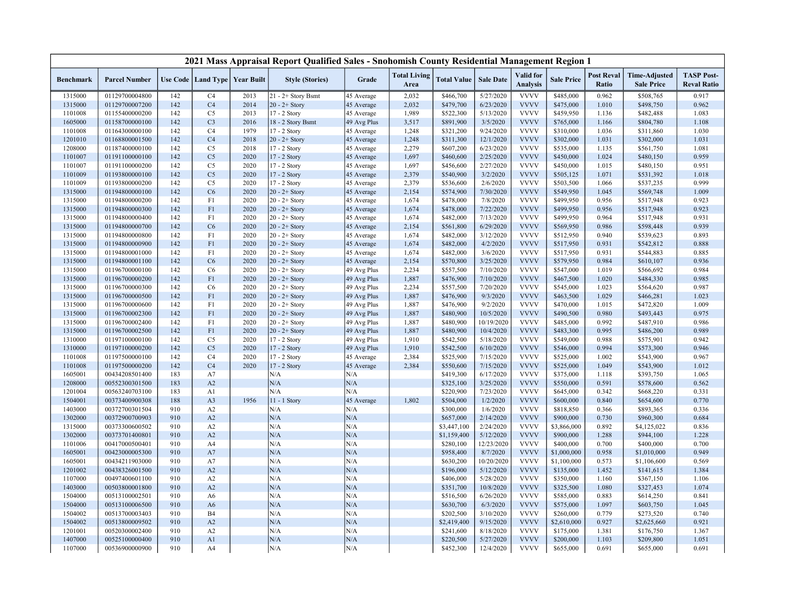|                  |                      |     |                |                                   | 2021 Mass Appraisal Report Qualified Sales - Snohomish County Residential Management Region 1 |             |                             |                    |                  |                              |                   |                                   |                                           |                                         |
|------------------|----------------------|-----|----------------|-----------------------------------|-----------------------------------------------------------------------------------------------|-------------|-----------------------------|--------------------|------------------|------------------------------|-------------------|-----------------------------------|-------------------------------------------|-----------------------------------------|
| <b>Benchmark</b> | <b>Parcel Number</b> |     |                | Use Code   Land Type   Year Built | <b>Style (Stories)</b>                                                                        | Grade       | <b>Total Living</b><br>Area | <b>Total Value</b> | <b>Sale Date</b> | Valid for<br><b>Analysis</b> | <b>Sale Price</b> | <b>Post Reval</b><br><b>Ratio</b> | <b>Time-Adjusted</b><br><b>Sale Price</b> | <b>TASP Post-</b><br><b>Reval Ratio</b> |
| 1315000          | 01129700004800       | 142 | C <sub>4</sub> | 2013                              | 21 - 2+ Story Bsmt                                                                            | 45 Average  | 2,032                       | \$466,700          | 5/27/2020        | <b>VVVV</b>                  | \$485,000         | 0.962                             | \$508,765                                 | 0.917                                   |
| 1315000          | 01129700007200       | 142 | C <sub>4</sub> | 2014                              | $20 - 2 +$ Story                                                                              | 45 Average  | 2,032                       | \$479,700          | 6/23/2020        | <b>VVVV</b>                  | \$475,000         | 1.010                             | \$498,750                                 | 0.962                                   |
| 1101008          | 01155400000200       | 142 | C <sub>5</sub> | 2013                              | 17 - 2 Story                                                                                  | 45 Average  | 1,989                       | \$522,300          | 5/13/2020        | <b>VVVV</b>                  | \$459,950         | 1.136                             | \$482,488                                 | 1.083                                   |
| 1605000          | 01158700000100       | 142 | C <sub>3</sub> | 2016                              | 18 - 2 Story Bsmt                                                                             | 49 Avg Plus | 3,517                       | \$891,900          | 3/5/2020         | <b>VVVV</b>                  | \$765,000         | 1.166                             | \$804,780                                 | 1.108                                   |
| 1101008          | 01164300000100       | 142 | C <sub>4</sub> | 1979                              | 17 - 2 Story                                                                                  | 45 Average  | 1,248                       | \$321,200          | 9/24/2020        | <b>VVVV</b>                  | \$310,000         | 1.036                             | \$311,860                                 | 1.030                                   |
| 1201010          | 01168800001500       | 142 | C <sub>4</sub> | 2018                              | $20 - 2 +$ Story                                                                              | 45 Average  | 1,248                       | \$311,300          | 12/1/2020        | <b>VVVV</b>                  | \$302,000         | 1.031                             | \$302,000                                 | 1.031                                   |
| 1208000          | 01187400000100       | 142 | C <sub>5</sub> | 2018                              | 17 - 2 Story                                                                                  | 45 Average  | 2,279                       | \$607,200          | 6/23/2020        | <b>VVVV</b>                  | \$535,000         | 1.135                             | \$561,750                                 | 1.081                                   |
| 1101007          | 01191100000100       | 142 | C <sub>5</sub> | 2020                              | 17 - 2 Story                                                                                  | 45 Average  | 1,697                       | \$460,600          | 2/25/2020        | <b>VVVV</b>                  | \$450,000         | 1.024                             | \$480,150                                 | 0.959                                   |
| 1101007          | 01191100000200       | 142 | C <sub>5</sub> | 2020                              | 17 - 2 Story                                                                                  | 45 Average  | 1,697                       | \$456,600          | 2/27/2020        | <b>VVVV</b>                  | \$450,000         | 1.015                             | \$480,150                                 | 0.951                                   |
| 1101009          | 01193800000100       | 142 | C <sub>5</sub> | 2020                              | 17 - 2 Story                                                                                  | 45 Average  | 2,379                       | \$540,900          | 3/2/2020         | <b>VVVV</b>                  | \$505,125         | 1.071                             | \$531,392                                 | 1.018                                   |
| 1101009          | 01193800000200       | 142 | C <sub>5</sub> | 2020                              | 17 - 2 Story                                                                                  | 45 Average  | 2,379                       | \$536,600          | 2/6/2020         | <b>VVVV</b>                  | \$503,500         | 1.066                             | \$537,235                                 | 0.999                                   |
| 1315000          | 01194800000100       | 142 | C6             | 2020                              | $20 - 2 +$ Story                                                                              | 45 Average  | 2,154                       | \$574,900          | 7/30/2020        | <b>VVVV</b>                  | \$549,950         | 1.045                             | \$569,748                                 | 1.009                                   |
| 1315000          | 01194800000200       | 142 | F1             | 2020                              | $20 - 2 +$ Story                                                                              | 45 Average  | 1,674                       | \$478,000          | 7/8/2020         | <b>VVVV</b>                  | \$499,950         | 0.956                             | \$517,948                                 | 0.923                                   |
| 1315000          | 01194800000300       | 142 | F1             | 2020                              | $20 - 2 +$ Story                                                                              | 45 Average  | 1,674                       | \$478,000          | 7/22/2020        | <b>VVVV</b>                  | \$499,950         | 0.956                             | \$517,948                                 | 0.923                                   |
| 1315000          | 01194800000400       | 142 | F1             | 2020                              | $20 - 2 +$ Story                                                                              | 45 Average  | 1,674                       | \$482,000          | 7/13/2020        | <b>VVVV</b>                  | \$499,950         | 0.964                             | \$517,948                                 | 0.931                                   |
| 1315000          | 01194800000700       | 142 | C6             | 2020                              | $20 - 2 +$ Story                                                                              | 45 Average  | 2,154                       | \$561,800          | 6/29/2020        | <b>VVVV</b>                  | \$569,950         | 0.986                             | \$598,448                                 | 0.939                                   |
| 1315000          | 01194800000800       | 142 | F1             | 2020                              | $20 - 2 +$ Story                                                                              | 45 Average  | 1,674                       | \$482,000          | 3/12/2020        | <b>VVVV</b>                  | \$512,950         | 0.940                             | \$539,623                                 | 0.893                                   |
| 1315000          | 01194800000900       | 142 | F1             | 2020                              | $20 - 2 +$ Story                                                                              | 45 Average  | 1,674                       | \$482,000          | 4/2/2020         | <b>VVVV</b>                  | \$517,950         | 0.931                             | \$542,812                                 | 0.888                                   |
| 1315000          | 01194800001000       | 142 | F1             | 2020                              | $20 - 2 +$ Story                                                                              | 45 Average  | 1,674                       | \$482,000          | 3/6/2020         | <b>VVVV</b>                  | \$517,950         | 0.931                             | \$544,883                                 | 0.885                                   |
| 1315000          | 01194800001100       | 142 | C6             | 2020                              | $20 - 2 +$ Story                                                                              | 45 Average  | 2,154                       | \$570,800          | 3/25/2020        | <b>VVVV</b>                  | \$579,950         | 0.984                             | \$610,107                                 | 0.936                                   |
| 1315000          | 01196700000100       | 142 | C <sub>6</sub> | 2020                              | $20 - 2 +$ Story                                                                              | 49 Avg Plus | 2,234                       | \$557,500          | 7/10/2020        | <b>VVVV</b>                  | \$547,000         | 1.019                             | \$566,692                                 | 0.984                                   |
| 1315000          | 01196700000200       | 142 | F1             | 2020                              | $20 - 2 +$ Story                                                                              | 49 Avg Plus | 1,887                       | \$476,900          | 7/10/2020        | <b>VVVV</b>                  | \$467,500         | 1.020                             | \$484,330                                 | 0.985                                   |
|                  | 01196700000300       | 142 | C <sub>6</sub> | 2020                              | $20 - 2 +$ Story                                                                              |             |                             |                    | 7/20/2020        | <b>VVVV</b>                  | \$545,000         | 1.023                             |                                           |                                         |
| 1315000          | 01196700000500       |     |                | 2020                              |                                                                                               | 49 Avg Plus | 2,234                       | \$557,500          |                  |                              |                   | 1.029                             | \$564,620                                 | 0.987                                   |
| 1315000          |                      | 142 | F1<br>F1       |                                   | $20 - 2 +$ Story                                                                              | 49 Avg Plus | 1,887                       | \$476,900          | 9/3/2020         | <b>VVVV</b><br><b>VVVV</b>   | \$463,500         |                                   | \$466,281                                 | 1.023                                   |
| 1315000          | 01196700000600       | 142 |                | 2020                              | $20 - 2 +$ Story                                                                              | 49 Avg Plus | 1,887                       | \$476,900          | 9/2/2020         | <b>VVVV</b>                  | \$470,000         | 1.015                             | \$472,820                                 | 1.009                                   |
| 1315000          | 01196700002300       | 142 | F1             | 2020                              | $20 - 2 +$ Story                                                                              | 49 Avg Plus | 1,887                       | \$480,900          | 10/5/2020        |                              | \$490,500         | 0.980                             | \$493,443                                 | 0.975                                   |
| 1315000          | 01196700002400       | 142 | F1             | 2020                              | $20 - 2 +$ Story                                                                              | 49 Avg Plus | 1,887                       | \$480,900          | 10/19/2020       | <b>VVVV</b><br><b>VVVV</b>   | \$485,000         | 0.992                             | \$487,910                                 | 0.986                                   |
| 1315000          | 01196700002500       | 142 | F1             | 2020                              | $20 - 2 +$ Story                                                                              | 49 Avg Plus | 1,887                       | \$480,900          | 10/4/2020        | <b>VVVV</b>                  | \$483,300         | 0.995                             | \$486,200                                 | 0.989                                   |
| 1310000          | 01197100000100       | 142 | C5             | 2020                              | 17 - 2 Story                                                                                  | 49 Avg Plus | 1,910                       | \$542,500          | 5/18/2020        |                              | \$549,000         | 0.988                             | \$575,901                                 | 0.942                                   |
| 1310000          | 01197100000200       | 142 | C <sub>5</sub> | 2020                              | 17 - 2 Story                                                                                  | 49 Avg Plus | 1,910                       | \$542,500          | 6/10/2020        | <b>VVVV</b>                  | \$546,000         | 0.994                             | \$573,300                                 | 0.946                                   |
| 1101008          | 01197500000100       | 142 | C <sub>4</sub> | 2020                              | 17 - 2 Story                                                                                  | 45 Average  | 2,384                       | \$525,900          | 7/15/2020        | <b>VVVV</b>                  | \$525,000         | 1.002                             | \$543,900                                 | 0.967                                   |
| 1101008          | 01197500000200       | 142 | C <sub>4</sub> | 2020                              | 17 - 2 Story                                                                                  | 45 Average  | 2,384                       | \$550,600          | 7/15/2020        | <b>VVVV</b>                  | \$525,000         | 1.049                             | \$543,900                                 | 1.012                                   |
| 1605001          | 00434208501400       | 183 | A7             |                                   | N/A                                                                                           | N/A         |                             | \$419,300          | 6/17/2020        | <b>VVVV</b>                  | \$375,000         | 1.118                             | \$393,750                                 | 1.065                                   |
| 1208000          | 00552300301500       | 183 | A2             |                                   | N/A                                                                                           | N/A         |                             | \$325,100          | 3/25/2020        | <b>VVVV</b>                  | \$550,000         | 0.591                             | \$578,600                                 | 0.562                                   |
| 1201004          | 00563240703100       | 183 | A1             |                                   | N/A                                                                                           | N/A         |                             | \$220,900          | 7/23/2020        | <b>VVVV</b>                  | \$645,000         | 0.342                             | \$668,220                                 | 0.331                                   |
| 1504001          | 00373400900308       | 188 | A <sub>3</sub> | 1956                              | 11 - 1 Story                                                                                  | 45 Average  | 1,802                       | \$504,000          | 1/2/2020         | <b>VVVV</b>                  | \$600,000         | 0.840                             | \$654,600                                 | 0.770                                   |
| 1403000          | 00372700301504       | 910 | A2             |                                   | N/A                                                                                           | N/A         |                             | \$300,000          | 1/6/2020         | <b>VVVV</b>                  | \$818,850         | 0.366                             | \$893,365                                 | 0.336                                   |
| 1302000          | 00372900700903       | 910 | A2             |                                   | N/A                                                                                           | N/A         |                             | \$657,000          | 2/14/2020        | <b>VVVV</b>                  | \$900,000         | 0.730                             | \$960,300                                 | 0.684                                   |
| 1315000          | 00373300600502       | 910 | A2             |                                   | N/A                                                                                           | N/A         |                             | \$3,447,100        | 2/24/2020        | <b>VVVV</b>                  | \$3,866,000       | 0.892                             | \$4,125,022                               | 0.836                                   |
| 1302000          | 00373701400801       | 910 | A2             |                                   | N/A                                                                                           | N/A         |                             | \$1,159,400        | 5/12/2020        | <b>VVVV</b>                  | \$900,000         | 1.288                             | \$944,100                                 | 1.228                                   |
| 1101006          | 00417000500401       | 910 | A4             |                                   | N/A                                                                                           | N/A         |                             | \$280,100          | 12/23/2020       | <b>VVVV</b>                  | \$400,000         | 0.700                             | \$400,000                                 | 0.700                                   |
| 1605001          | 00423000005300       | 910 | A7             |                                   | N/A                                                                                           | N/A         |                             | \$958,400          | 8/7/2020         | <b>VVVV</b>                  | \$1,000,000       | 0.958                             | \$1,010,000                               | 0.949                                   |
| 1605001          | 00434211903000       | 910 | A7             |                                   | N/A                                                                                           | N/A         |                             | \$630,200          | 10/20/2020       | <b>VVVV</b>                  | \$1,100,000       | 0.573                             | \$1,106,600                               | 0.569                                   |
| 1201002          | 00438326001500       | 910 | A2             |                                   | N/A                                                                                           | N/A         |                             | \$196,000          | 5/12/2020        | <b>VVVV</b>                  | \$135,000         | 1.452                             | \$141,615                                 | 1.384                                   |
| 1107000          | 00497400601100       | 910 | A2             |                                   | N/A                                                                                           | N/A         |                             | \$406,000          | 5/28/2020        | <b>VVVV</b>                  | \$350,000         | 1.160                             | \$367,150                                 | 1.106                                   |
| 1403000          | 00503800001800       | 910 | A2             |                                   | N/A                                                                                           | N/A         |                             | \$351,700          | 10/8/2020        | <b>VVVV</b>                  | \$325,500         | 1.080                             | \$327,453                                 | 1.074                                   |
| 1504000          | 00513100002501       | 910 | A <sub>6</sub> |                                   | N/A                                                                                           | N/A         |                             | \$516,500          | 6/26/2020        | <b>VVVV</b>                  | \$585,000         | 0.883                             | \$614,250                                 | 0.841                                   |
| 1504000          | 00513100006500       | 910 | A <sub>6</sub> |                                   | N/A                                                                                           | N/A         |                             | \$630,700          | 6/3/2020         | <b>VVVV</b>                  | \$575,000         | 1.097                             | \$603,750                                 | 1.045                                   |
| 1504002          | 00513700003403       | 910 | <b>B4</b>      |                                   | N/A                                                                                           | N/A         |                             | \$202,500          | 3/10/2020        | <b>VVVV</b>                  | \$260,000         | 0.779                             | \$273,520                                 | 0.740                                   |
| 1504002          | 00513800009502       | 910 | A2             |                                   | N/A                                                                                           | N/A         |                             | \$2,419,400        | 9/15/2020        | <b>VVVV</b>                  | \$2,610,000       | 0.927                             | \$2,625,660                               | 0.921                                   |
| 1201001          | 00520300002400       | 910 | A2             |                                   | N/A                                                                                           | N/A         |                             | \$241,600          | 8/18/2020        | <b>VVVV</b>                  | \$175,000         | 1.381                             | \$176,750                                 | 1.367                                   |
| 1407000          | 00525100000400       | 910 | A1             |                                   | N/A                                                                                           | N/A         |                             | \$220,500          | 5/27/2020        | <b>VVVV</b>                  | \$200,000         | 1.103                             | \$209,800                                 | 1.051                                   |
| 1107000          | 00536900000900       | 910 | A4             |                                   | N/A                                                                                           | N/A         |                             | \$452,300          | 12/4/2020        | <b>VVVV</b>                  | \$655,000         | 0.691                             | \$655,000                                 | 0.691                                   |